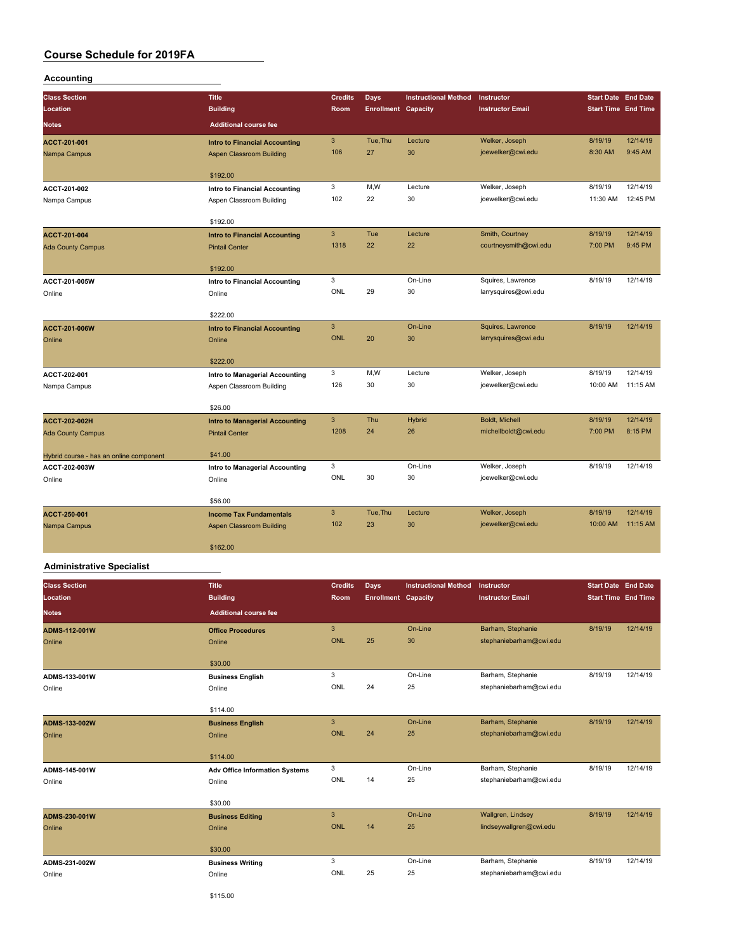## **Accounting**

| <b>Class Section</b>                    | <b>Title</b>                          | <b>Credits</b> | <b>Days</b>                | <b>Instructional Method</b> | Instructor              | <b>Start Date End Date</b> |          |
|-----------------------------------------|---------------------------------------|----------------|----------------------------|-----------------------------|-------------------------|----------------------------|----------|
| Location                                | <b>Building</b>                       | Room           | <b>Enrollment Capacity</b> |                             | <b>Instructor Email</b> | <b>Start Time End Time</b> |          |
| Notes                                   | <b>Additional course fee</b>          |                |                            |                             |                         |                            |          |
| ACCT-201-001                            | <b>Intro to Financial Accounting</b>  | 3              | Tue, Thu                   | Lecture                     | Welker, Joseph          | 8/19/19                    | 12/14/19 |
| Nampa Campus                            | Aspen Classroom Building              | 106            | 27                         | 30                          | joewelker@cwi.edu       | 8:30 AM                    | 9:45 AM  |
|                                         | \$192.00                              |                |                            |                             |                         |                            |          |
| ACCT-201-002                            | Intro to Financial Accounting         | 3              | M,W                        | Lecture                     | Welker, Joseph          | 8/19/19                    | 12/14/19 |
| Nampa Campus                            | Aspen Classroom Building              | 102            | 22                         | 30                          | joewelker@cwi.edu       | 11:30 AM                   | 12:45 PM |
|                                         | \$192.00                              |                |                            |                             |                         |                            |          |
| ACCT-201-004                            | <b>Intro to Financial Accounting</b>  | 3              | Tue                        | Lecture                     | Smith, Courtney         | 8/19/19                    | 12/14/19 |
| <b>Ada County Campus</b>                | <b>Pintail Center</b>                 | 1318           | 22                         | 22                          | courtneysmith@cwi.edu   | 7:00 PM                    | 9:45 PM  |
|                                         | \$192.00                              |                |                            |                             |                         |                            |          |
| ACCT-201-005W                           | <b>Intro to Financial Accounting</b>  | 3              |                            | On-Line                     | Squires, Lawrence       | 8/19/19                    | 12/14/19 |
| Online                                  | Online                                | ONL            | 29                         | 30                          | larrysquires@cwi.edu    |                            |          |
|                                         | \$222.00                              |                |                            |                             |                         |                            |          |
| <b>ACCT-201-006W</b>                    | <b>Intro to Financial Accounting</b>  | 3              |                            | On-Line                     | Squires, Lawrence       | 8/19/19                    | 12/14/19 |
| Online                                  | Online                                | <b>ONL</b>     | 20                         | 30                          | larrysquires@cwi.edu    |                            |          |
|                                         | \$222.00                              |                |                            |                             |                         |                            |          |
| ACCT-202-001                            | Intro to Managerial Accounting        | 3              | M,W                        | Lecture                     | Welker, Joseph          | 8/19/19                    | 12/14/19 |
| Nampa Campus                            | Aspen Classroom Building              | 126            | 30                         | 30                          | joewelker@cwi.edu       | 10:00 AM                   | 11:15 AM |
|                                         | \$26.00                               |                |                            |                             |                         |                            |          |
| ACCT-202-002H                           | <b>Intro to Managerial Accounting</b> | 3              | Thu                        | <b>Hybrid</b>               | Boldt, Michell          | 8/19/19                    | 12/14/19 |
| <b>Ada County Campus</b>                | <b>Pintail Center</b>                 | 1208           | 24                         | 26                          | michellboldt@cwi.edu    | 7:00 PM                    | 8:15 PM  |
| Hybrid course - has an online component | \$41.00                               |                |                            |                             |                         |                            |          |
| ACCT-202-003W                           | Intro to Managerial Accounting        | 3              |                            | On-Line                     | Welker, Joseph          | 8/19/19                    | 12/14/19 |
| Online                                  | Online                                | ONL            | 30                         | 30                          | joewelker@cwi.edu       |                            |          |
|                                         | \$56.00                               |                |                            |                             |                         |                            |          |
| ACCT-250-001                            | <b>Income Tax Fundamentals</b>        | 3              | Tue, Thu                   | Lecture                     | Welker, Joseph          | 8/19/19                    | 12/14/19 |
| Nampa Campus                            | <b>Aspen Classroom Building</b>       | 102            | 23                         | 30                          | joewelker@cwi.edu       | 10:00 AM                   | 11:15 AM |
|                                         | \$162.00                              |                |                            |                             |                         |                            |          |

#### **Administrative Specialist**

| <b>Class Section</b><br>Location | <b>Title</b><br><b>Building</b>       | <b>Credits</b><br>Room | Days<br><b>Enrollment Capacity</b> | <b>Instructional Method</b> | Instructor<br><b>Instructor Email</b> | <b>Start Date End Date</b><br><b>Start Time End Time</b> |          |
|----------------------------------|---------------------------------------|------------------------|------------------------------------|-----------------------------|---------------------------------------|----------------------------------------------------------|----------|
| <b>Notes</b>                     | <b>Additional course fee</b>          |                        |                                    |                             |                                       |                                                          |          |
| <b>ADMS-112-001W</b>             | <b>Office Procedures</b>              | 3                      |                                    | On-Line                     | Barham, Stephanie                     | 8/19/19                                                  | 12/14/19 |
| Online                           | Online                                | <b>ONL</b>             | 25                                 | 30                          | stephaniebarham@cwi.edu               |                                                          |          |
|                                  | \$30.00                               |                        |                                    |                             |                                       |                                                          |          |
| ADMS-133-001W                    | <b>Business English</b>               | 3                      |                                    | On-Line                     | Barham, Stephanie                     | 8/19/19                                                  | 12/14/19 |
| Online                           | Online                                | ONL                    | 24                                 | 25                          | stephaniebarham@cwi.edu               |                                                          |          |
|                                  | \$114.00                              |                        |                                    |                             |                                       |                                                          |          |
| ADMS-133-002W                    | <b>Business English</b>               | 3                      |                                    | On-Line                     | Barham, Stephanie                     | 8/19/19                                                  | 12/14/19 |
| Online                           | Online                                | <b>ONL</b>             | 24                                 | 25                          | stephaniebarham@cwi.edu               |                                                          |          |
|                                  | \$114.00                              |                        |                                    |                             |                                       |                                                          |          |
| ADMS-145-001W                    | <b>Adv Office Information Systems</b> | 3                      |                                    | On-Line                     | Barham, Stephanie                     | 8/19/19                                                  | 12/14/19 |
| Online                           | Online                                | ONL                    | 14                                 | 25                          | stephaniebarham@cwi.edu               |                                                          |          |
|                                  | \$30.00                               |                        |                                    |                             |                                       |                                                          |          |
| ADMS-230-001W                    | <b>Business Editing</b>               | 3                      |                                    | On-Line                     | Wallgren, Lindsey                     | 8/19/19                                                  | 12/14/19 |
| Online                           | Online                                | <b>ONL</b>             | 14                                 | 25                          | lindseywallgren@cwi.edu               |                                                          |          |
|                                  | \$30.00                               |                        |                                    |                             |                                       |                                                          |          |
| ADMS-231-002W                    | <b>Business Writing</b>               | 3                      |                                    | On-Line                     | Barham, Stephanie                     | 8/19/19                                                  | 12/14/19 |
| Online                           | Online                                | ONL                    | 25                                 | 25                          | stephaniebarham@cwi.edu               |                                                          |          |
|                                  |                                       |                        |                                    |                             |                                       |                                                          |          |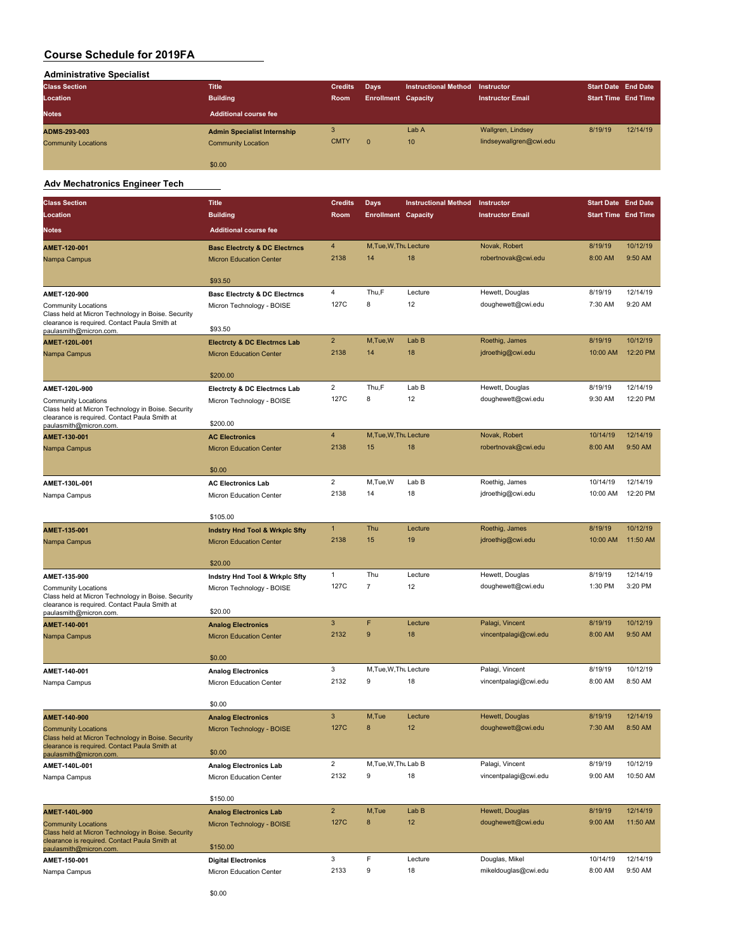| <b>Administrative Specialist</b> |                                    |                |                            |                             |                         |                            |          |
|----------------------------------|------------------------------------|----------------|----------------------------|-----------------------------|-------------------------|----------------------------|----------|
| <b>Class Section</b>             | <b>Title</b>                       | <b>Credits</b> | Days                       | <b>Instructional Method</b> | Instructor              | <b>Start Date End Date</b> |          |
| Location                         | <b>Building</b>                    | Room           | <b>Enrollment Capacity</b> |                             | <b>Instructor Email</b> | <b>Start Time End Time</b> |          |
| <b>Notes</b>                     | <b>Additional course fee</b>       |                |                            |                             |                         |                            |          |
| ADMS-293-003                     | <b>Admin Specialist Internship</b> | 3              |                            | Lab A                       | Wallgren, Lindsey       | 8/19/19                    | 12/14/19 |
| <b>Community Locations</b>       | <b>Community Location</b>          | <b>CMTY</b>    | $\mathbf{0}$               | 10                          | lindseywallgren@cwi.edu |                            |          |
|                                  | \$0.00                             |                |                            |                             |                         |                            |          |

#### **Adv Mechatronics Engineer Tech**

 $\overline{\phantom{a}}$ 

| <b>Class Section</b>                                                                                | <b>Title</b>                                                | <b>Credits</b> | Days                       | <b>Instructional Method</b> | Instructor                            | <b>Start Date End Date</b> |          |
|-----------------------------------------------------------------------------------------------------|-------------------------------------------------------------|----------------|----------------------------|-----------------------------|---------------------------------------|----------------------------|----------|
| Location                                                                                            | <b>Building</b>                                             | Room           | <b>Enrollment Capacity</b> |                             | <b>Instructor Email</b>               | <b>Start Time End Time</b> |          |
| <b>Notes</b>                                                                                        | <b>Additional course fee</b>                                |                |                            |                             |                                       |                            |          |
| AMET-120-001                                                                                        | <b>Basc Electrcty &amp; DC Electrncs</b>                    | 4              | M, Tue, W, Thu Lecture     |                             | Novak, Robert                         | 8/19/19                    | 10/12/19 |
| Nampa Campus                                                                                        | <b>Micron Education Center</b>                              | 2138           | 14                         | 18                          | robertnovak@cwi.edu                   | 8:00 AM                    | 9:50 AM  |
|                                                                                                     | \$93.50                                                     |                |                            |                             |                                       |                            |          |
| AMET-120-900                                                                                        | <b>Basc Electrcty &amp; DC Electrncs</b>                    | 4              | Thu,F                      | Lecture                     | Hewett, Douglas                       | 8/19/19                    | 12/14/19 |
| <b>Community Locations</b>                                                                          | Micron Technology - BOISE                                   | 127C           | 8                          | 12                          | doughewett@cwi.edu                    | 7:30 AM                    | 9:20 AM  |
| Class held at Micron Technology in Boise. Security<br>clearance is required. Contact Paula Smith at |                                                             |                |                            |                             |                                       |                            |          |
| paulasmith@micron.com.                                                                              | \$93.50                                                     |                |                            |                             |                                       |                            |          |
| AMET-120L-001                                                                                       | <b>Electrcty &amp; DC Electrncs Lab</b>                     | $\overline{2}$ | M,Tue,W                    | Lab B                       | Roethig, James                        | 8/19/19                    | 10/12/19 |
| Nampa Campus                                                                                        | <b>Micron Education Center</b>                              | 2138           | 14                         | 18                          | jdroethig@cwi.edu                     | 10:00 AM                   | 12:20 PM |
|                                                                                                     | \$200.00                                                    |                |                            |                             |                                       |                            |          |
| AMET-120L-900                                                                                       | <b>Electrcty &amp; DC Electrncs Lab</b>                     | 2              | Thu,F                      | Lab B                       | Hewett, Douglas                       | 8/19/19                    | 12/14/19 |
| Community Locations                                                                                 | Micron Technology - BOISE                                   | 127C           | 8                          | 12                          | doughewett@cwi.edu                    | 9:30 AM                    | 12:20 PM |
| Class held at Micron Technology in Boise. Security<br>clearance is required. Contact Paula Smith at |                                                             |                |                            |                             |                                       |                            |          |
| paulasmith@micron.com.                                                                              | \$200.00                                                    |                |                            |                             |                                       |                            |          |
| AMET-130-001                                                                                        | <b>AC Electronics</b>                                       | 4              | M, Tue, W, Thu Lecture     |                             | Novak, Robert                         | 10/14/19                   | 12/14/19 |
| Nampa Campus                                                                                        | <b>Micron Education Center</b>                              | 2138           | 15                         | 18                          | robertnovak@cwi.edu                   | 8:00 AM                    | 9:50 AM  |
|                                                                                                     | \$0.00                                                      |                |                            |                             |                                       |                            |          |
| AMET-130L-001                                                                                       | <b>AC Electronics Lab</b>                                   | 2              | M,Tue,W                    | Lab B                       | Roethig, James                        | 10/14/19                   | 12/14/19 |
| Nampa Campus                                                                                        | Micron Education Center                                     | 2138           | 14                         | 18                          | jdroethig@cwi.edu                     | 10:00 AM                   | 12:20 PM |
|                                                                                                     | \$105.00                                                    |                |                            |                             |                                       |                            |          |
| AMET-135-001                                                                                        | <b>Indstry Hnd Tool &amp; Wrkplc Sfty</b>                   | $\mathbf{1}$   | Thu                        | Lecture                     | Roethig, James                        | 8/19/19                    | 10/12/19 |
| Nampa Campus                                                                                        | <b>Micron Education Center</b>                              | 2138           | 15                         | 19                          | jdroethig@cwi.edu                     | 10:00 AM                   | 11:50 AM |
|                                                                                                     |                                                             |                |                            |                             |                                       |                            |          |
|                                                                                                     | \$20.00                                                     |                |                            |                             |                                       |                            |          |
| AMET-135-900                                                                                        | Indstry Hnd Tool & Wrkplc Sfty                              | 1              | Thu                        | Lecture                     | Hewett, Douglas                       | 8/19/19                    | 12/14/19 |
| <b>Community Locations</b><br>Class held at Micron Technology in Boise. Security                    | Micron Technology - BOISE                                   | 127C           | $\overline{7}$             | 12                          | doughewett@cwi.edu                    | 1:30 PM                    | 3:20 PM  |
| clearance is required. Contact Paula Smith at                                                       |                                                             |                |                            |                             |                                       |                            |          |
| paulasmith@micron.com.                                                                              | \$20.00                                                     | $\overline{3}$ | F                          | Lecture                     | Palagi, Vincent                       | 8/19/19                    | 10/12/19 |
| AMET-140-001<br>Nampa Campus                                                                        | <b>Analog Electronics</b><br><b>Micron Education Center</b> | 2132           | 9                          | 18                          | vincentpalagi@cwi.edu                 | 8:00 AM                    | 9:50 AM  |
|                                                                                                     |                                                             |                |                            |                             |                                       |                            |          |
|                                                                                                     | \$0.00                                                      |                |                            |                             |                                       |                            |          |
| AMET-140-001                                                                                        | <b>Analog Electronics</b>                                   | 3              | M, Tue, W, Thu Lecture     |                             | Palagi, Vincent                       | 8/19/19                    | 10/12/19 |
| Nampa Campus                                                                                        | Micron Education Center                                     | 2132           | 9                          | 18                          | vincentpalagi@cwi.edu                 | 8:00 AM                    | 8:50 AM  |
|                                                                                                     | \$0.00                                                      |                |                            |                             |                                       |                            |          |
| AMET-140-900                                                                                        |                                                             | 3              | M,Tue                      | Lecture                     | Hewett, Douglas                       | 8/19/19                    | 12/14/19 |
| <b>Community Locations</b>                                                                          | <b>Analog Electronics</b><br>Micron Technology - BOISE      | 127C           | 8                          | 12                          | doughewett@cwi.edu                    | 7:30 AM                    | 8:50 AM  |
| Class held at Micron Technology in Boise. Security                                                  |                                                             |                |                            |                             |                                       |                            |          |
| clearance is required. Contact Paula Smith at<br>paulasmith@micron.com                              | \$0.00                                                      |                |                            |                             |                                       |                            |          |
| AMET-140L-001                                                                                       | <b>Analog Electronics Lab</b>                               | $\overline{c}$ | M, Tue, W, Thu Lab B       |                             | Palagi, Vincent                       | 8/19/19                    | 10/12/19 |
| Nampa Campus                                                                                        | Micron Education Center                                     | 2132           | 9                          | 18                          | vincentpalagi@cwi.edu                 | 9:00 AM                    | 10:50 AM |
|                                                                                                     |                                                             |                |                            |                             |                                       |                            |          |
|                                                                                                     | \$150.00                                                    | $\overline{2}$ | M,Tue                      | Lab B                       |                                       |                            | 12/14/19 |
| AMET-140L-900                                                                                       | <b>Analog Electronics Lab</b><br>Micron Technology - BOISE  | <b>127C</b>    | 8                          | 12                          | Hewett, Douglas<br>doughewett@cwi.edu | 8/19/19<br>9:00 AM         | 11:50 AM |
| <b>Community Locations</b><br>Class held at Micron Technology in Boise. Security                    |                                                             |                |                            |                             |                                       |                            |          |
| clearance is required. Contact Paula Smith at<br>paulasmith@micron.com.                             | \$150.00                                                    |                |                            |                             |                                       |                            |          |
| AMET-150-001                                                                                        | <b>Digital Electronics</b>                                  | 3              | F                          | Lecture                     | Douglas, Mikel                        | 10/14/19                   | 12/14/19 |
| Nampa Campus                                                                                        | Micron Education Center                                     | 2133           | 9                          | 18                          | mikeldouglas@cwi.edu                  | 8:00 AM                    | 9:50 AM  |
|                                                                                                     |                                                             |                |                            |                             |                                       |                            |          |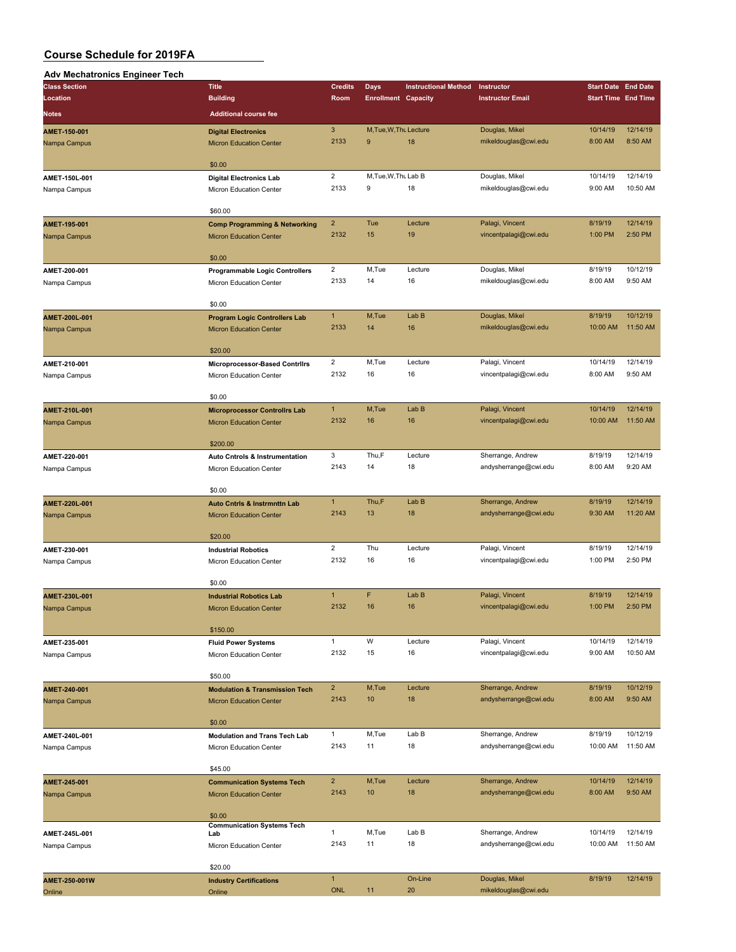## **Adv Mechatronics Engineer Tech**

| Aar moonaa omoo Enginoor<br><b>Class Section</b> | <b>Title</b>                                                 | <b>Credits</b>          | <b>Days</b>                | <b>Instructional Method</b> | Instructor              | <b>Start Date End Date</b> |          |
|--------------------------------------------------|--------------------------------------------------------------|-------------------------|----------------------------|-----------------------------|-------------------------|----------------------------|----------|
|                                                  |                                                              |                         |                            |                             |                         | <b>Start Time End Time</b> |          |
| Location                                         | <b>Building</b>                                              | Room                    | <b>Enrollment Capacity</b> |                             | <b>Instructor Email</b> |                            |          |
| Notes                                            | <b>Additional course fee</b>                                 |                         |                            |                             |                         |                            |          |
|                                                  |                                                              | $\mathbf{3}$            | M, Tue, W, Thu Lecture     |                             | Douglas, Mikel          | 10/14/19                   | 12/14/19 |
| AMET-150-001<br>Nampa Campus                     | <b>Digital Electronics</b><br><b>Micron Education Center</b> | 2133                    | 9                          | 18                          | mikeldouglas@cwi.edu    | 8:00 AM                    | 8:50 AM  |
|                                                  |                                                              |                         |                            |                             |                         |                            |          |
|                                                  | \$0.00                                                       |                         |                            |                             |                         |                            |          |
|                                                  |                                                              | $\overline{c}$          | M, Tue, W, Thu Lab B       |                             | Douglas, Mikel          | 10/14/19                   | 12/14/19 |
| AMET-150L-001                                    | <b>Digital Electronics Lab</b>                               | 2133                    |                            |                             |                         |                            | 10:50 AM |
| Nampa Campus                                     | Micron Education Center                                      |                         | 9                          | 18                          | mikeldouglas@cwi.edu    | 9:00 AM                    |          |
|                                                  |                                                              |                         |                            |                             |                         |                            |          |
|                                                  | \$60.00                                                      |                         |                            |                             |                         |                            |          |
| AMET-195-001                                     | <b>Comp Programming &amp; Networking</b>                     | $\overline{2}$          | Tue                        | Lecture                     | Palagi, Vincent         | 8/19/19                    | 12/14/19 |
| Nampa Campus                                     | <b>Micron Education Center</b>                               | 2132                    | 15                         | 19                          | vincentpalagi@cwi.edu   | 1:00 PM                    | 2:50 PM  |
|                                                  |                                                              |                         |                            |                             |                         |                            |          |
|                                                  | \$0.00                                                       |                         |                            |                             |                         |                            |          |
| AMET-200-001                                     | <b>Programmable Logic Controllers</b>                        | $\overline{\mathbf{c}}$ | M,Tue                      | Lecture                     | Douglas, Mikel          | 8/19/19                    | 10/12/19 |
| Nampa Campus                                     | Micron Education Center                                      | 2133                    | 14                         | 16                          | mikeldouglas@cwi.edu    | 8:00 AM                    | 9:50 AM  |
|                                                  |                                                              |                         |                            |                             |                         |                            |          |
|                                                  | \$0.00                                                       |                         |                            |                             |                         |                            |          |
| AMET-200L-001                                    | <b>Program Logic Controllers Lab</b>                         | $\mathbf{1}$            | M,Tue                      | Lab B                       | Douglas, Mikel          | 8/19/19                    | 10/12/19 |
| Nampa Campus                                     | <b>Micron Education Center</b>                               | 2133                    | 14                         | 16                          | mikeldouglas@cwi.edu    | 10:00 AM                   | 11:50 AM |
|                                                  |                                                              |                         |                            |                             |                         |                            |          |
|                                                  | \$20.00                                                      |                         |                            |                             |                         |                            |          |
| AMET-210-001                                     | Microprocessor-Based Contrilrs                               | $\overline{2}$          | M,Tue                      | Lecture                     | Palagi, Vincent         | 10/14/19                   | 12/14/19 |
| Nampa Campus                                     | Micron Education Center                                      | 2132                    | 16                         | 16                          | vincentpalagi@cwi.edu   | 8:00 AM                    | 9:50 AM  |
|                                                  |                                                              |                         |                            |                             |                         |                            |          |
|                                                  | \$0.00                                                       |                         |                            |                             |                         |                            |          |
| AMET-210L-001                                    |                                                              | $\mathbf{1}$            | M,Tue                      | Lab B                       | Palagi, Vincent         | 10/14/19                   | 12/14/19 |
|                                                  | <b>Microprocessor Controllrs Lab</b>                         | 2132                    | 16                         | 16                          | vincentpalagi@cwi.edu   | 10:00 AM                   | 11:50 AM |
| Nampa Campus                                     | <b>Micron Education Center</b>                               |                         |                            |                             |                         |                            |          |
|                                                  | \$200.00                                                     |                         |                            |                             |                         |                            |          |
|                                                  |                                                              | 3                       | Thu,F                      | Lecture                     | Sherrange, Andrew       | 8/19/19                    | 12/14/19 |
| AMET-220-001                                     | Auto Cntrols & Instrumentation                               | 2143                    |                            |                             |                         |                            |          |
| Nampa Campus                                     | Micron Education Center                                      |                         | 14                         | 18                          | andysherrange@cwi.edu   | 8:00 AM                    | 9:20 AM  |
|                                                  |                                                              |                         |                            |                             |                         |                            |          |
|                                                  | \$0.00                                                       |                         |                            |                             |                         |                            |          |
| AMET-220L-001                                    | <b>Auto Cntrls &amp; Instrmnttn Lab</b>                      | $\mathbf{1}$            | Thu,F                      | Lab B                       | Sherrange, Andrew       | 8/19/19                    | 12/14/19 |
| Nampa Campus                                     | <b>Micron Education Center</b>                               | 2143                    | 13                         | 18                          | andysherrange@cwi.edu   | 9:30 AM                    | 11:20 AM |
|                                                  |                                                              |                         |                            |                             |                         |                            |          |
|                                                  | \$20.00                                                      |                         |                            |                             |                         |                            |          |
| AMET-230-001                                     | <b>Industrial Robotics</b>                                   | $\overline{2}$          | Thu                        | Lecture                     | Palagi, Vincent         | 8/19/19                    | 12/14/19 |
| Nampa Campus                                     | Micron Education Center                                      | 2132                    | 16                         | 16                          | vincentpalagi@cwi.edu   | 1:00 PM                    | 2:50 PM  |
|                                                  |                                                              |                         |                            |                             |                         |                            |          |
|                                                  | \$0.00                                                       |                         |                            |                             |                         |                            |          |
| AMET-230L-001                                    | <b>Industrial Robotics Lab</b>                               | $\mathbf{1}$            | F                          | Lab B                       | Palagi, Vincent         | 8/19/19                    | 12/14/19 |
| Nampa Campus                                     | <b>Micron Education Center</b>                               | 2132                    | 16                         | 16                          | vincentpalagi@cwi.edu   | 1:00 PM                    | 2:50 PM  |
|                                                  |                                                              |                         |                            |                             |                         |                            |          |
|                                                  | \$150.00                                                     |                         |                            |                             |                         |                            |          |
| AMET-235-001                                     | <b>Fluid Power Systems</b>                                   | $\mathbf{1}$            | W                          | Lecture                     | Palagi, Vincent         | 10/14/19                   | 12/14/19 |
| Nampa Campus                                     | Micron Education Center                                      | 2132                    | 15                         | 16                          | vincentpalagi@cwi.edu   | 9:00 AM                    | 10:50 AM |
|                                                  |                                                              |                         |                            |                             |                         |                            |          |
|                                                  | \$50.00                                                      |                         |                            |                             |                         |                            |          |
| AMET-240-001                                     | <b>Modulation &amp; Transmission Tech</b>                    | $\overline{2}$          | M,Tue                      | Lecture                     | Sherrange, Andrew       | 8/19/19                    | 10/12/19 |
| Nampa Campus                                     | <b>Micron Education Center</b>                               | 2143                    | 10                         | 18                          | andysherrange@cwi.edu   | 8:00 AM                    | 9:50 AM  |
|                                                  |                                                              |                         |                            |                             |                         |                            |          |
|                                                  | \$0.00                                                       |                         |                            |                             |                         |                            |          |
| AMET-240L-001                                    | <b>Modulation and Trans Tech Lab</b>                         | $\mathbf{1}$            | M,Tue                      | Lab B                       | Sherrange, Andrew       | 8/19/19                    | 10/12/19 |
| Nampa Campus                                     | Micron Education Center                                      | 2143                    | 11                         | 18                          | andysherrange@cwi.edu   | 10:00 AM                   | 11:50 AM |
|                                                  |                                                              |                         |                            |                             |                         |                            |          |
|                                                  | \$45.00                                                      |                         |                            |                             |                         |                            |          |
|                                                  |                                                              |                         |                            |                             |                         |                            |          |
| AMET-245-001                                     | <b>Communication Systems Tech</b>                            | $\overline{2}$          | M,Tue                      | Lecture                     | Sherrange, Andrew       | 10/14/19                   | 12/14/19 |
| Nampa Campus                                     | <b>Micron Education Center</b>                               | 2143                    | 10                         | 18                          | andysherrange@cwi.edu   | 8:00 AM                    | 9:50 AM  |
|                                                  |                                                              |                         |                            |                             |                         |                            |          |
|                                                  | \$0.00                                                       |                         |                            |                             |                         |                            |          |
| AMET-245L-001                                    | <b>Communication Systems Tech</b><br>Lab                     | $\mathbf{1}$            | M,Tue                      | Lab B                       | Sherrange, Andrew       | 10/14/19                   | 12/14/19 |
| Nampa Campus                                     | Micron Education Center                                      | 2143                    | 11                         | 18                          | andysherrange@cwi.edu   | 10:00 AM                   | 11:50 AM |
|                                                  |                                                              |                         |                            |                             |                         |                            |          |
|                                                  | \$20.00                                                      |                         |                            |                             |                         |                            |          |
|                                                  |                                                              | $\mathbf{1}$            |                            | On-Line                     | Douglas, Mikel          | 8/19/19                    | 12/14/19 |
| AMET-250-001W                                    | <b>Industry Certifications</b>                               | <b>ONL</b>              | 11                         | 20                          | mikeldouglas@cwi.edu    |                            |          |
| Online                                           | Online                                                       |                         |                            |                             |                         |                            |          |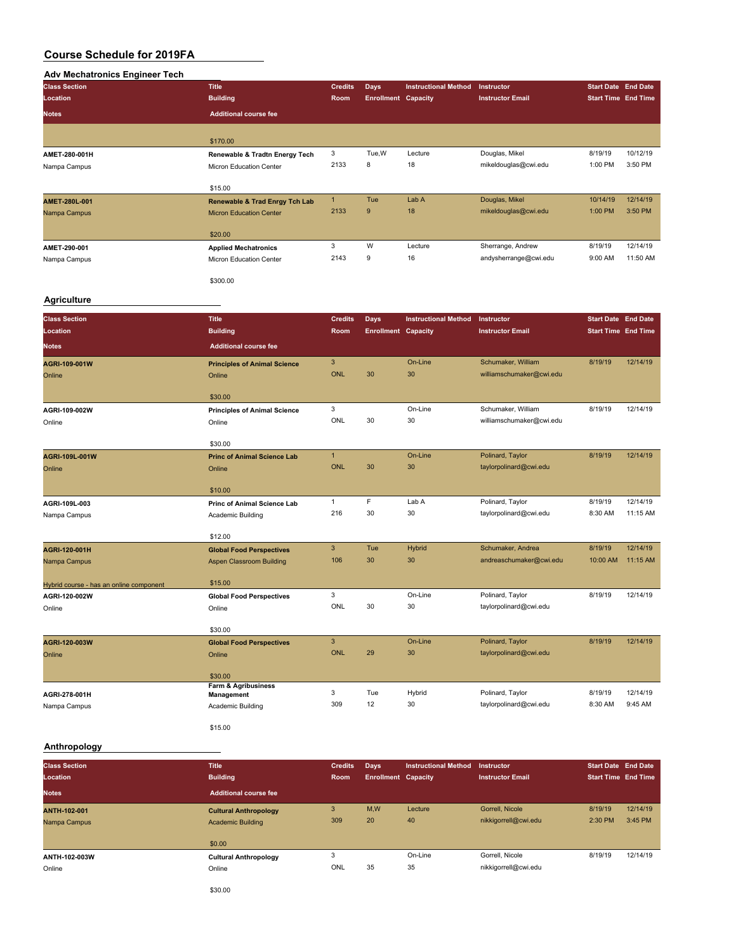## **Adv Mechatronics Engineer Tech**

| <b>Class Section</b> | <b>Title</b>                              | <b>Credits</b> | Days                       | <b>Instructional Method</b> | Instructor              | <b>Start Date End Date</b> |                            |
|----------------------|-------------------------------------------|----------------|----------------------------|-----------------------------|-------------------------|----------------------------|----------------------------|
| Location             | <b>Building</b>                           | Room           | <b>Enrollment Capacity</b> |                             | <b>Instructor Email</b> |                            | <b>Start Time End Time</b> |
| <b>Notes</b>         | <b>Additional course fee</b>              |                |                            |                             |                         |                            |                            |
|                      | \$170.00                                  |                |                            |                             |                         |                            |                            |
| AMET-280-001H        | Renewable & Tradtn Energy Tech            | 3              | Tue, W                     | Lecture                     | Douglas, Mikel          | 8/19/19                    | 10/12/19                   |
| Nampa Campus         | Micron Education Center                   | 2133           | 8                          | 18                          | mikeldouglas@cwi.edu    | 1:00 PM                    | 3:50 PM                    |
|                      | \$15.00                                   |                |                            |                             |                         |                            |                            |
| AMET-280L-001        | <b>Renewable &amp; Trad Enrgy Tch Lab</b> | $\mathbf{1}$   | Tue                        | Lab A                       | Douglas, Mikel          | 10/14/19                   | 12/14/19                   |
| Nampa Campus         | <b>Micron Education Center</b>            | 2133           | 9                          | 18                          | mikeldouglas@cwi.edu    | 1:00 PM                    | 3:50 PM                    |
|                      | \$20.00                                   |                |                            |                             |                         |                            |                            |
| AMET-290-001         | <b>Applied Mechatronics</b>               | 3              | W                          | Lecture                     | Sherrange, Andrew       | 8/19/19                    | 12/14/19                   |
| Nampa Campus         | Micron Education Center                   | 2143           | 9                          | 16                          | andysherrange@cwi.edu   | 9:00 AM                    | 11:50 AM                   |
|                      | \$300.00                                  |                |                            |                             |                         |                            |                            |

#### **Agriculture**

| <b>Class Section</b>                    | <b>Title</b>                        | <b>Credits</b> | <b>Days</b>                | <b>Instructional Method</b> | Instructor               | <b>Start Date End Date</b> |          |
|-----------------------------------------|-------------------------------------|----------------|----------------------------|-----------------------------|--------------------------|----------------------------|----------|
| Location                                | <b>Building</b>                     | <b>Room</b>    | <b>Enrollment Capacity</b> |                             | <b>Instructor Email</b>  | <b>Start Time End Time</b> |          |
| <b>Notes</b>                            | <b>Additional course fee</b>        |                |                            |                             |                          |                            |          |
| AGRI-109-001W                           | <b>Principles of Animal Science</b> | 3              |                            | On-Line                     | Schumaker, William       | 8/19/19                    | 12/14/19 |
| Online                                  | Online                              | <b>ONL</b>     | 30                         | 30                          | williamschumaker@cwi.edu |                            |          |
|                                         | \$30.00                             |                |                            |                             |                          |                            |          |
| AGRI-109-002W                           | <b>Principles of Animal Science</b> | 3              |                            | On-Line                     | Schumaker, William       | 8/19/19                    | 12/14/19 |
| Online                                  | Online                              | ONL            | 30                         | 30                          | williamschumaker@cwi.edu |                            |          |
|                                         | \$30.00                             |                |                            |                             |                          |                            |          |
| AGRI-109L-001W                          | <b>Princ of Animal Science Lab</b>  | $\mathbf{1}$   |                            | On-Line                     | Polinard, Taylor         | 8/19/19                    | 12/14/19 |
| Online                                  | Online                              | ONL            | 30                         | 30                          | taylorpolinard@cwi.edu   |                            |          |
|                                         | \$10.00                             |                |                            |                             |                          |                            |          |
| AGRI-109L-003                           | <b>Princ of Animal Science Lab</b>  | $\mathbf{1}$   | F                          | Lab A                       | Polinard, Taylor         | 8/19/19                    | 12/14/19 |
| Nampa Campus                            | Academic Building                   | 216            | 30                         | 30                          | taylorpolinard@cwi.edu   | 8:30 AM                    | 11:15 AM |
|                                         |                                     |                |                            |                             |                          |                            |          |
|                                         | \$12.00                             |                |                            |                             |                          |                            |          |
| AGRI-120-001H                           | <b>Global Food Perspectives</b>     | 3              | <b>Tue</b>                 | <b>Hybrid</b>               | Schumaker, Andrea        | 8/19/19                    | 12/14/19 |
| Nampa Campus                            | <b>Aspen Classroom Building</b>     | 106            | 30                         | 30                          | andreaschumaker@cwi.edu  | 10:00 AM                   | 11:15 AM |
| Hybrid course - has an online component | \$15.00                             |                |                            |                             |                          |                            |          |
| AGRI-120-002W                           | <b>Global Food Perspectives</b>     | 3              |                            | On-Line                     | Polinard, Taylor         | 8/19/19                    | 12/14/19 |
| Online                                  | Online                              | ONL            | 30                         | 30                          | taylorpolinard@cwi.edu   |                            |          |
|                                         |                                     |                |                            |                             |                          |                            |          |
|                                         | \$30.00                             |                |                            |                             |                          |                            |          |
| AGRI-120-003W                           | <b>Global Food Perspectives</b>     | 3              |                            | On-Line                     | Polinard, Taylor         | 8/19/19                    | 12/14/19 |
| Online                                  | Online                              | <b>ONL</b>     | 29                         | 30                          | taylorpolinard@cwi.edu   |                            |          |
|                                         | \$30.00                             |                |                            |                             |                          |                            |          |
| AGRI-278-001H                           | Farm & Agribusiness<br>Management   | 3              | Tue                        | Hybrid                      | Polinard, Taylor         | 8/19/19                    | 12/14/19 |
| Nampa Campus                            | Academic Building                   | 309            | 12                         | 30                          | taylorpolinard@cwi.edu   | 8:30 AM                    | 9:45 AM  |
|                                         | \$15.00                             |                |                            |                             |                          |                            |          |

## **Anthropology**

| <b>Class Section</b><br>Location | <b>Title</b><br><b>Building</b> | <b>Credits</b><br>Room | Days<br><b>Enrollment Capacity</b> | <b>Instructional Method</b> | Instructor<br><b>Instructor Email</b> | Start Date End Date<br><b>Start Time End Time</b> |          |
|----------------------------------|---------------------------------|------------------------|------------------------------------|-----------------------------|---------------------------------------|---------------------------------------------------|----------|
| <b>Notes</b>                     | <b>Additional course fee</b>    |                        |                                    |                             |                                       |                                                   |          |
| <b>ANTH-102-001</b>              | <b>Cultural Anthropology</b>    | 3                      | M,W                                | Lecture                     | Gorrell, Nicole                       | 8/19/19                                           | 12/14/19 |
| Nampa Campus                     | <b>Academic Building</b>        | 309                    | 20                                 | 40                          | nikkigorrell@cwi.edu                  | 2:30 PM                                           | 3:45 PM  |
|                                  | \$0.00                          |                        |                                    |                             |                                       |                                                   |          |
| ANTH-102-003W                    | <b>Cultural Anthropology</b>    |                        |                                    | On-Line                     | Gorrell, Nicole                       | 8/19/19                                           | 12/14/19 |
| Online                           | Online                          | ONL                    | 35                                 | 35                          | nikkigorrell@cwi.edu                  |                                                   |          |

\$30.00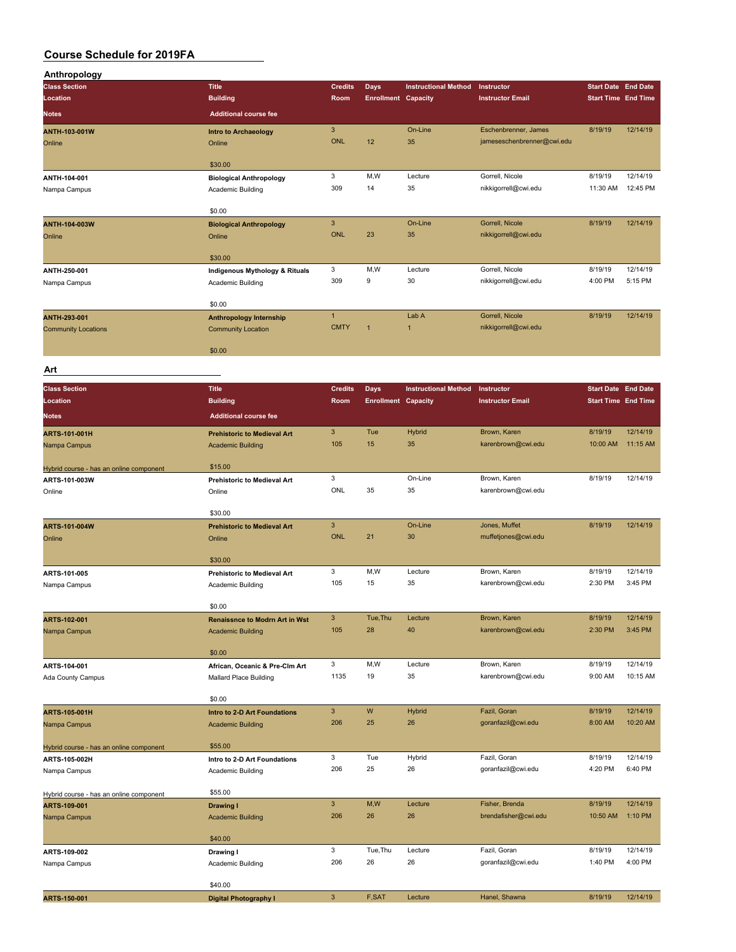| Anthropology<br><b>Title</b><br><b>Class Section</b><br><b>Credits</b><br><b>Instructional Method</b><br>Days<br>Instructor<br><b>Building</b><br>Location<br>Room<br><b>Enrollment Capacity</b><br><b>Instructor Email</b><br><b>Notes</b><br><b>Additional course fee</b><br>$\ensuremath{\mathsf{3}}$<br>On-Line<br>Eschenbrenner, James<br>ANTH-103-001W<br>Intro to Archaeology<br><b>ONL</b><br>12<br>35<br>jameseschenbrenner@cwi.edu<br>Online<br>Online<br>\$30.00<br>3<br>M,W<br>Gorrell, Nicole<br>Lecture<br>ANTH-104-001<br><b>Biological Anthropology</b><br>309<br>35<br>nikkigorrell@cwi.edu<br>14<br>Nampa Campus<br>Academic Building | <b>Start Date End Date</b> |                      |
|---------------------------------------------------------------------------------------------------------------------------------------------------------------------------------------------------------------------------------------------------------------------------------------------------------------------------------------------------------------------------------------------------------------------------------------------------------------------------------------------------------------------------------------------------------------------------------------------------------------------------------------------------------|----------------------------|----------------------|
|                                                                                                                                                                                                                                                                                                                                                                                                                                                                                                                                                                                                                                                         |                            |                      |
|                                                                                                                                                                                                                                                                                                                                                                                                                                                                                                                                                                                                                                                         | <b>Start Time End Time</b> |                      |
|                                                                                                                                                                                                                                                                                                                                                                                                                                                                                                                                                                                                                                                         |                            |                      |
|                                                                                                                                                                                                                                                                                                                                                                                                                                                                                                                                                                                                                                                         | 8/19/19                    | 12/14/19             |
|                                                                                                                                                                                                                                                                                                                                                                                                                                                                                                                                                                                                                                                         |                            |                      |
|                                                                                                                                                                                                                                                                                                                                                                                                                                                                                                                                                                                                                                                         |                            |                      |
|                                                                                                                                                                                                                                                                                                                                                                                                                                                                                                                                                                                                                                                         |                            |                      |
|                                                                                                                                                                                                                                                                                                                                                                                                                                                                                                                                                                                                                                                         | 8/19/19                    | 12/14/19             |
|                                                                                                                                                                                                                                                                                                                                                                                                                                                                                                                                                                                                                                                         | 11:30 AM                   | 12:45 PM             |
| \$0.00                                                                                                                                                                                                                                                                                                                                                                                                                                                                                                                                                                                                                                                  |                            |                      |
| $\mathbf{3}$<br>Gorrell, Nicole<br>On-Line<br>ANTH-104-003W<br><b>Biological Anthropology</b>                                                                                                                                                                                                                                                                                                                                                                                                                                                                                                                                                           | 8/19/19                    | 12/14/19             |
| <b>ONL</b><br>23<br>35<br>nikkigorrell@cwi.edu<br>Online<br>Online                                                                                                                                                                                                                                                                                                                                                                                                                                                                                                                                                                                      |                            |                      |
|                                                                                                                                                                                                                                                                                                                                                                                                                                                                                                                                                                                                                                                         |                            |                      |
| \$30.00                                                                                                                                                                                                                                                                                                                                                                                                                                                                                                                                                                                                                                                 |                            |                      |
| 3<br>M,W<br>Gorrell, Nicole<br>Lecture<br>ANTH-250-001<br>Indigenous Mythology & Rituals<br>309<br>9<br>30<br>nikkigorrell@cwi.edu                                                                                                                                                                                                                                                                                                                                                                                                                                                                                                                      | 8/19/19<br>4:00 PM         | 12/14/19<br>5:15 PM  |
| Nampa Campus<br>Academic Building                                                                                                                                                                                                                                                                                                                                                                                                                                                                                                                                                                                                                       |                            |                      |
| \$0.00                                                                                                                                                                                                                                                                                                                                                                                                                                                                                                                                                                                                                                                  |                            |                      |
| $\mathbf{1}$<br>Lab A<br>Gorrell, Nicole<br>ANTH-293-001<br><b>Anthropology Internship</b>                                                                                                                                                                                                                                                                                                                                                                                                                                                                                                                                                              | 8/19/19                    | 12/14/19             |
| <b>CMTY</b><br>1<br>nikkigorrell@cwi.edu<br>1<br><b>Community Locations</b><br><b>Community Location</b>                                                                                                                                                                                                                                                                                                                                                                                                                                                                                                                                                |                            |                      |
|                                                                                                                                                                                                                                                                                                                                                                                                                                                                                                                                                                                                                                                         |                            |                      |
| \$0.00                                                                                                                                                                                                                                                                                                                                                                                                                                                                                                                                                                                                                                                  |                            |                      |
| Art                                                                                                                                                                                                                                                                                                                                                                                                                                                                                                                                                                                                                                                     |                            |                      |
| <b>Class Section</b><br><b>Title</b><br><b>Instructional Method</b><br><b>Credits</b><br>Instructor                                                                                                                                                                                                                                                                                                                                                                                                                                                                                                                                                     | <b>Start Date End Date</b> |                      |
| Days<br><b>Building</b><br><b>Enrollment Capacity</b><br><b>Instructor Email</b><br>Location<br>Room                                                                                                                                                                                                                                                                                                                                                                                                                                                                                                                                                    | <b>Start Time End Time</b> |                      |
|                                                                                                                                                                                                                                                                                                                                                                                                                                                                                                                                                                                                                                                         |                            |                      |
| <b>Additional course fee</b><br>Notes                                                                                                                                                                                                                                                                                                                                                                                                                                                                                                                                                                                                                   |                            |                      |
| $\mathbf{3}$<br>Tue<br><b>Hybrid</b><br>Brown, Karen<br>ARTS-101-001H<br><b>Prehistoric to Medieval Art</b>                                                                                                                                                                                                                                                                                                                                                                                                                                                                                                                                             | 8/19/19                    | 12/14/19             |
| 105<br>15<br>35<br>karenbrown@cwi.edu<br>Nampa Campus<br><b>Academic Building</b>                                                                                                                                                                                                                                                                                                                                                                                                                                                                                                                                                                       | 10:00 AM                   | 11:15 AM             |
| \$15.00<br>Hybrid course - has an online component                                                                                                                                                                                                                                                                                                                                                                                                                                                                                                                                                                                                      |                            |                      |
| 3<br>On-Line<br>Brown, Karen<br>ARTS-101-003W<br><b>Prehistoric to Medieval Art</b>                                                                                                                                                                                                                                                                                                                                                                                                                                                                                                                                                                     | 8/19/19                    | 12/14/19             |
| ONL<br>35<br>35<br>karenbrown@cwi.edu<br>Online<br>Online                                                                                                                                                                                                                                                                                                                                                                                                                                                                                                                                                                                               |                            |                      |
|                                                                                                                                                                                                                                                                                                                                                                                                                                                                                                                                                                                                                                                         |                            |                      |
| \$30.00                                                                                                                                                                                                                                                                                                                                                                                                                                                                                                                                                                                                                                                 |                            |                      |
| $\overline{3}$<br>On-Line<br>Jones, Muffet<br><b>ARTS-101-004W</b><br><b>Prehistoric to Medieval Art</b><br><b>ONL</b><br>21<br>30<br>muffetjones@cwi.edu                                                                                                                                                                                                                                                                                                                                                                                                                                                                                               | 8/19/19                    | 12/14/19             |
| Online<br>Online                                                                                                                                                                                                                                                                                                                                                                                                                                                                                                                                                                                                                                        |                            |                      |
|                                                                                                                                                                                                                                                                                                                                                                                                                                                                                                                                                                                                                                                         |                            |                      |
| \$30.00                                                                                                                                                                                                                                                                                                                                                                                                                                                                                                                                                                                                                                                 |                            |                      |
| 3<br>M,W<br>Lecture<br>Brown, Karen<br>ARTS-101-005<br><b>Prehistoric to Medieval Art</b>                                                                                                                                                                                                                                                                                                                                                                                                                                                                                                                                                               | 8/19/19                    | 12/14/19             |
| 35<br>105<br>15<br>karenbrown@cwi.edu<br>Nampa Campus<br>Academic Building                                                                                                                                                                                                                                                                                                                                                                                                                                                                                                                                                                              | 2:30 PM                    | 3:45 PM              |
|                                                                                                                                                                                                                                                                                                                                                                                                                                                                                                                                                                                                                                                         |                            |                      |
| \$0.00                                                                                                                                                                                                                                                                                                                                                                                                                                                                                                                                                                                                                                                  |                            |                      |
| $\mathbf{3}$<br>Tue, Thu<br>Brown, Karen<br>Lecture<br>ARTS-102-001<br><b>Renaissnce to Modrn Art in Wst</b>                                                                                                                                                                                                                                                                                                                                                                                                                                                                                                                                            | 8/19/19                    | 12/14/19             |
| 105<br>28<br>40<br>karenbrown@cwi.edu<br>Nampa Campus<br><b>Academic Building</b>                                                                                                                                                                                                                                                                                                                                                                                                                                                                                                                                                                       | 2:30 PM                    | 3:45 PM              |
| \$0.00                                                                                                                                                                                                                                                                                                                                                                                                                                                                                                                                                                                                                                                  |                            |                      |
| 3<br>M, W<br>Brown, Karen<br>Lecture<br>ARTS-104-001<br>African, Oceanic & Pre-Clm Art                                                                                                                                                                                                                                                                                                                                                                                                                                                                                                                                                                  | 8/19/19                    | 12/14/19             |
| 1135<br>19<br>35<br>karenbrown@cwi.edu<br>Mallard Place Building<br>Ada County Campus                                                                                                                                                                                                                                                                                                                                                                                                                                                                                                                                                                   | 9:00 AM                    | 10:15 AM             |
|                                                                                                                                                                                                                                                                                                                                                                                                                                                                                                                                                                                                                                                         |                            |                      |
| \$0.00                                                                                                                                                                                                                                                                                                                                                                                                                                                                                                                                                                                                                                                  |                            |                      |
| $\ensuremath{\mathsf{3}}$<br>${\sf W}$<br><b>Hybrid</b><br>Fazil, Goran<br>ARTS-105-001H<br>Intro to 2-D Art Foundations<br>206<br>25<br>26                                                                                                                                                                                                                                                                                                                                                                                                                                                                                                             | 8/19/19<br>8:00 AM         | 12/14/19<br>10:20 AM |
| goranfazil@cwi.edu<br>Nampa Campus<br><b>Academic Building</b>                                                                                                                                                                                                                                                                                                                                                                                                                                                                                                                                                                                          |                            |                      |
| \$55.00<br>Hybrid course - has an online component                                                                                                                                                                                                                                                                                                                                                                                                                                                                                                                                                                                                      |                            |                      |
| 3<br>Tue<br>Hybrid<br>Fazil, Goran<br>ARTS-105-002H<br>Intro to 2-D Art Foundations                                                                                                                                                                                                                                                                                                                                                                                                                                                                                                                                                                     | 8/19/19                    | 12/14/19             |
| 206<br>25<br>26<br>goranfazil@cwi.edu<br>Nampa Campus<br>Academic Building                                                                                                                                                                                                                                                                                                                                                                                                                                                                                                                                                                              | 4:20 PM                    | 6:40 PM              |
|                                                                                                                                                                                                                                                                                                                                                                                                                                                                                                                                                                                                                                                         |                            |                      |
| \$55.00<br>Hybrid course - has an online component<br>$\mathbf{3}$<br>M,W<br>Fisher, Brenda<br>Lecture                                                                                                                                                                                                                                                                                                                                                                                                                                                                                                                                                  | 8/19/19                    | 12/14/19             |
| ARTS-109-001<br><b>Drawing I</b><br>206<br>26<br>26<br>brendafisher@cwi.edu<br>Nampa Campus<br><b>Academic Building</b>                                                                                                                                                                                                                                                                                                                                                                                                                                                                                                                                 | 10:50 AM                   | 1:10 PM              |
|                                                                                                                                                                                                                                                                                                                                                                                                                                                                                                                                                                                                                                                         |                            |                      |
| \$40.00                                                                                                                                                                                                                                                                                                                                                                                                                                                                                                                                                                                                                                                 |                            |                      |
| 3<br>Tue, Thu<br>Lecture<br>Fazil, Goran<br>ARTS-109-002<br>Drawing I                                                                                                                                                                                                                                                                                                                                                                                                                                                                                                                                                                                   | 8/19/19                    | 12/14/19             |
| 206<br>26<br>26<br>goranfazil@cwi.edu<br>Nampa Campus<br>Academic Building                                                                                                                                                                                                                                                                                                                                                                                                                                                                                                                                                                              | 1:40 PM                    | 4:00 PM              |
| \$40.00                                                                                                                                                                                                                                                                                                                                                                                                                                                                                                                                                                                                                                                 |                            |                      |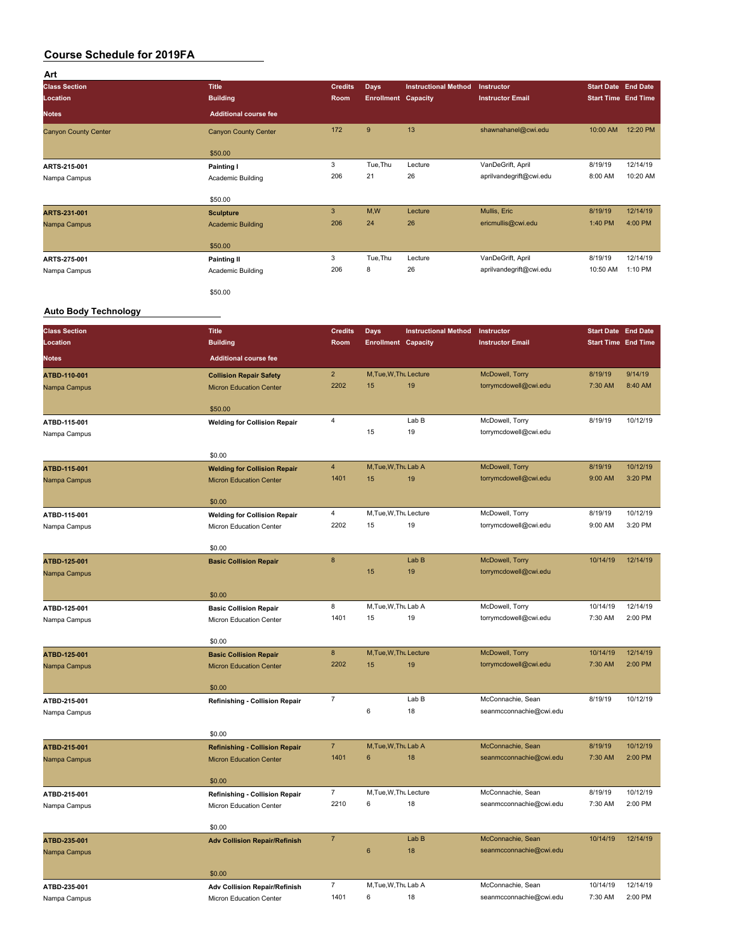| Art                         |                              |                |                            |                             |                         |                            |          |
|-----------------------------|------------------------------|----------------|----------------------------|-----------------------------|-------------------------|----------------------------|----------|
| <b>Class Section</b>        | <b>Title</b>                 | <b>Credits</b> | <b>Days</b>                | <b>Instructional Method</b> | <b>Instructor</b>       | <b>Start Date End Date</b> |          |
| Location                    | <b>Building</b>              | Room           | <b>Enrollment Capacity</b> |                             | <b>Instructor Email</b> | <b>Start Time End Time</b> |          |
| <b>Notes</b>                | <b>Additional course fee</b> |                |                            |                             |                         |                            |          |
| <b>Canyon County Center</b> | <b>Canyon County Center</b>  | 172            | 9                          | 13                          | shawnahanel@cwi.edu     | 10:00 AM                   | 12:20 PM |
|                             | \$50.00                      |                |                            |                             |                         |                            |          |
| ARTS-215-001                | Painting I                   | 3              | Tue, Thu                   | Lecture                     | VanDeGrift, April       | 8/19/19                    | 12/14/19 |
| Nampa Campus                | Academic Building            | 206            | 21                         | 26                          | aprilvandegrift@cwi.edu | 8:00 AM                    | 10:20 AM |
|                             | \$50.00                      |                |                            |                             |                         |                            |          |
| ARTS-231-001                | <b>Sculpture</b>             | 3              | M,W                        | Lecture                     | Mullis, Eric            | 8/19/19                    | 12/14/19 |
| Nampa Campus                | <b>Academic Building</b>     | 206            | 24                         | 26                          | ericmullis@cwi.edu      | 1:40 PM                    | 4:00 PM  |
|                             | \$50.00                      |                |                            |                             |                         |                            |          |
| ARTS-275-001                | <b>Painting II</b>           | 3              | Tue, Thu                   | Lecture                     | VanDeGrift, April       | 8/19/19                    | 12/14/19 |
| Nampa Campus                | Academic Building            | 206            | 8                          | 26                          | aprilvandegrift@cwi.edu | 10:50 AM                   | 1:10 PM  |
|                             | \$50.00                      |                |                            |                             |                         |                            |          |

#### **Auto Body Technology**

| <b>Class Section</b> | <b>Title</b>                          | <b>Credits</b> | <b>Days</b>                | <b>Instructional Method</b> | Instructor              | <b>Start Date End Date</b> |          |
|----------------------|---------------------------------------|----------------|----------------------------|-----------------------------|-------------------------|----------------------------|----------|
| Location             | <b>Building</b>                       | Room           | <b>Enrollment Capacity</b> |                             | <b>Instructor Email</b> | <b>Start Time End Time</b> |          |
| <b>Notes</b>         | <b>Additional course fee</b>          |                |                            |                             |                         |                            |          |
| ATBD-110-001         | <b>Collision Repair Safety</b>        | $\overline{2}$ | M, Tue, W, Thu Lecture     |                             | McDowell, Torry         | 8/19/19                    | 9/14/19  |
| Nampa Campus         | <b>Micron Education Center</b>        | 2202           | 15                         | 19                          | torrymcdowell@cwi.edu   | 7:30 AM                    | 8:40 AM  |
|                      | \$50.00                               |                |                            |                             |                         |                            |          |
| ATBD-115-001         | <b>Welding for Collision Repair</b>   | 4              |                            | Lab B                       | McDowell, Torry         | 8/19/19                    | 10/12/19 |
| Nampa Campus         |                                       |                | 15                         | 19                          | torrymcdowell@cwi.edu   |                            |          |
|                      | \$0.00                                |                |                            |                             |                         |                            |          |
| ATBD-115-001         | <b>Welding for Collision Repair</b>   | 4              | M, Tue, W, Thu Lab A       |                             | McDowell, Torry         | 8/19/19                    | 10/12/19 |
| Nampa Campus         | <b>Micron Education Center</b>        | 1401           | 15                         | 19                          | torrymcdowell@cwi.edu   | 9:00 AM                    | 3:20 PM  |
|                      | \$0.00                                |                |                            |                             |                         |                            |          |
| ATBD-115-001         | <b>Welding for Collision Repair</b>   | 4              | M, Tue, W, Thu Lecture     |                             | McDowell, Torry         | 8/19/19                    | 10/12/19 |
| Nampa Campus         | Micron Education Center               | 2202           | 15                         | 19                          | torrymcdowell@cwi.edu   | 9:00 AM                    | 3:20 PM  |
|                      | \$0.00                                |                |                            |                             |                         |                            |          |
| ATBD-125-001         | <b>Basic Collision Repair</b>         | $\bf 8$        |                            | Lab B                       | McDowell, Torry         | 10/14/19                   | 12/14/19 |
| Nampa Campus         |                                       |                | 15                         | 19                          | torrymcdowell@cwi.edu   |                            |          |
|                      | \$0.00                                |                |                            |                             |                         |                            |          |
| ATBD-125-001         | <b>Basic Collision Repair</b>         | 8              | M, Tue, W, Thu Lab A       |                             | McDowell, Torry         | 10/14/19                   | 12/14/19 |
| Nampa Campus         | Micron Education Center               | 1401           | 15                         | 19                          | torrymcdowell@cwi.edu   | 7:30 AM                    | 2:00 PM  |
|                      | \$0.00                                |                |                            |                             |                         |                            |          |
| ATBD-125-001         | <b>Basic Collision Repair</b>         | 8              | M, Tue, W, Thu Lecture     |                             | McDowell, Torry         | 10/14/19                   | 12/14/19 |
| Nampa Campus         | <b>Micron Education Center</b>        | 2202           | 15                         | 19                          | torrymcdowell@cwi.edu   | 7:30 AM                    | 2:00 PM  |
|                      | \$0.00                                |                |                            |                             |                         |                            |          |
| ATBD-215-001         | <b>Refinishing - Collision Repair</b> | $\overline{7}$ |                            | Lab B                       | McConnachie, Sean       | 8/19/19                    | 10/12/19 |
| Nampa Campus         |                                       |                | 6                          | 18                          | seanmcconnachie@cwi.edu |                            |          |
|                      | \$0.00                                |                |                            |                             |                         |                            |          |
| ATBD-215-001         | <b>Refinishing - Collision Repair</b> | $\overline{7}$ | M, Tue, W, Thu Lab A       |                             | McConnachie, Sean       | 8/19/19                    | 10/12/19 |
| Nampa Campus         | <b>Micron Education Center</b>        | 1401           | 6                          | 18                          | seanmcconnachie@cwi.edu | 7:30 AM                    | 2:00 PM  |
|                      | \$0.00                                |                |                            |                             |                         |                            |          |
| ATBD-215-001         | Refinishing - Collision Repair        | $\overline{7}$ | M, Tue, W, Thu Lecture     |                             | McConnachie, Sean       | 8/19/19                    | 10/12/19 |
| Nampa Campus         | Micron Education Center               | 2210           | 6                          | 18                          | seanmcconnachie@cwi.edu | 7:30 AM                    | 2:00 PM  |
|                      | \$0.00                                |                |                            |                             |                         |                            |          |
| ATBD-235-001         | <b>Adv Collision Repair/Refinish</b>  | $\overline{7}$ |                            | Lab B                       | McConnachie, Sean       | 10/14/19                   | 12/14/19 |
| Nampa Campus         |                                       |                | $6\phantom{1}$             | 18                          | seanmcconnachie@cwi.edu |                            |          |
|                      | \$0.00                                |                |                            |                             |                         |                            |          |
| ATBD-235-001         | <b>Adv Collision Repair/Refinish</b>  | $\overline{7}$ | M, Tue, W, Thu Lab A       |                             | McConnachie, Sean       | 10/14/19                   | 12/14/19 |
| Nampa Campus         | Micron Education Center               | 1401           | 6                          | 18                          | seanmcconnachie@cwi.edu | 7:30 AM                    | 2:00 PM  |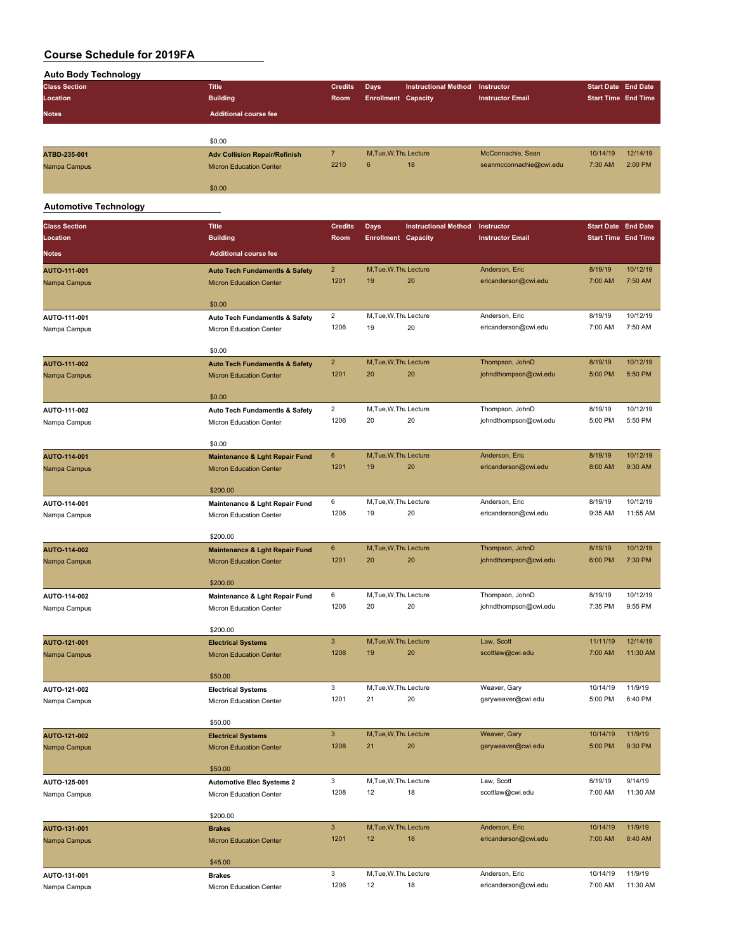| <b>Auto Body Technology</b>  |                                           |                 |                            |                             |                         |                            |                            |
|------------------------------|-------------------------------------------|-----------------|----------------------------|-----------------------------|-------------------------|----------------------------|----------------------------|
| <b>Class Section</b>         | <b>Title</b>                              | <b>Credits</b>  | Days                       | <b>Instructional Method</b> | Instructor              | <b>Start Date End Date</b> |                            |
| Location                     | <b>Building</b>                           | Room            | <b>Enrollment Capacity</b> |                             | <b>Instructor Email</b> |                            | <b>Start Time End Time</b> |
|                              |                                           |                 |                            |                             |                         |                            |                            |
| Notes                        | <b>Additional course fee</b>              |                 |                            |                             |                         |                            |                            |
|                              |                                           |                 |                            |                             |                         |                            |                            |
|                              | \$0.00                                    |                 |                            |                             |                         |                            |                            |
| ATBD-235-001                 | <b>Adv Collision Repair/Refinish</b>      | $\overline{7}$  | M, Tue, W, Thu Lecture     |                             | McConnachie, Sean       | 10/14/19                   | 12/14/19                   |
| Nampa Campus                 | <b>Micron Education Center</b>            | 2210            | 6                          | 18                          | seanmcconnachie@cwi.edu | 7:30 AM                    | 2:00 PM                    |
|                              |                                           |                 |                            |                             |                         |                            |                            |
|                              | \$0.00                                    |                 |                            |                             |                         |                            |                            |
|                              |                                           |                 |                            |                             |                         |                            |                            |
| <b>Automotive Technology</b> |                                           |                 |                            |                             |                         |                            |                            |
| <b>Class Section</b>         |                                           | <b>Credits</b>  |                            |                             |                         | <b>Start Date End Date</b> |                            |
|                              | <b>Title</b>                              |                 | <b>Days</b>                | <b>Instructional Method</b> | Instructor              |                            |                            |
| Location                     | <b>Building</b>                           | Room            | <b>Enrollment Capacity</b> |                             | <b>Instructor Email</b> |                            | <b>Start Time End Time</b> |
| <b>Notes</b>                 | <b>Additional course fee</b>              |                 |                            |                             |                         |                            |                            |
|                              |                                           | $\overline{2}$  | M, Tue, W, Thu Lecture     |                             | Anderson, Eric          | 8/19/19                    | 10/12/19                   |
| AUTO-111-001                 | <b>Auto Tech Fundamentls &amp; Safety</b> | 1201            | 19                         | 20                          | ericanderson@cwi.edu    | 7:00 AM                    | 7:50 AM                    |
| Nampa Campus                 | <b>Micron Education Center</b>            |                 |                            |                             |                         |                            |                            |
|                              | \$0.00                                    |                 |                            |                             |                         |                            |                            |
|                              |                                           |                 |                            |                             |                         |                            |                            |
| AUTO-111-001                 | Auto Tech Fundamentls & Safety            | $\overline{2}$  | M, Tue, W, Thu Lecture     |                             | Anderson, Eric          | 8/19/19                    | 10/12/19                   |
| Nampa Campus                 | <b>Micron Education Center</b>            | 1206            | 19                         | 20                          | ericanderson@cwi.edu    | 7:00 AM                    | 7:50 AM                    |
|                              |                                           |                 |                            |                             |                         |                            |                            |
|                              | \$0.00                                    |                 |                            |                             |                         |                            |                            |
| AUTO-111-002                 | <b>Auto Tech Fundamentls &amp; Safety</b> | $\overline{2}$  | M, Tue, W, Thu Lecture     |                             | Thompson, JohnD         | 8/19/19                    | 10/12/19                   |
| Nampa Campus                 | <b>Micron Education Center</b>            | 1201            | 20                         | 20                          | johndthompson@cwi.edu   | 5:00 PM                    | 5:50 PM                    |
|                              |                                           |                 |                            |                             |                         |                            |                            |
|                              | \$0.00                                    |                 |                            |                             |                         |                            |                            |
| AUTO-111-002                 | Auto Tech Fundamentls & Safety            | $\overline{2}$  | M, Tue, W, Thu Lecture     |                             | Thompson, JohnD         | 8/19/19                    | 10/12/19                   |
| Nampa Campus                 | Micron Education Center                   | 1206            | 20                         | 20                          | johndthompson@cwi.edu   | 5:00 PM                    | 5:50 PM                    |
|                              |                                           |                 |                            |                             |                         |                            |                            |
|                              | \$0.00                                    |                 |                            |                             |                         |                            |                            |
| AUTO-114-001                 | <b>Maintenance &amp; Lght Repair Fund</b> | $6\phantom{1}6$ | M.Tue, W, Thu Lecture      |                             | Anderson, Eric          | 8/19/19                    | 10/12/19                   |
|                              | <b>Micron Education Center</b>            | 1201            | 19                         | 20                          | ericanderson@cwi.edu    | 8:00 AM                    | 9:30 AM                    |
| Nampa Campus                 |                                           |                 |                            |                             |                         |                            |                            |
|                              | \$200.00                                  |                 |                            |                             |                         |                            |                            |
|                              |                                           | 6               | M, Tue, W, Thu Lecture     |                             |                         | 8/19/19                    | 10/12/19                   |
| AUTO-114-001                 | Maintenance & Lght Repair Fund            |                 |                            |                             | Anderson, Eric          |                            |                            |
| Nampa Campus                 | Micron Education Center                   | 1206            | 19                         | 20                          | ericanderson@cwi.edu    | 9:35 AM                    | 11:55 AM                   |
|                              |                                           |                 |                            |                             |                         |                            |                            |
|                              | \$200.00                                  |                 |                            |                             |                         |                            |                            |
| AUTO-114-002                 | <b>Maintenance &amp; Lght Repair Fund</b> | $6\phantom{1}6$ | M, Tue, W, Thu Lecture     |                             | Thompson, JohnD         | 8/19/19                    | 10/12/19                   |
| Nampa Campus                 | <b>Micron Education Center</b>            | 1201            | 20                         | 20                          | johndthompson@cwi.edu   | 6:00 PM                    | 7:30 PM                    |
|                              |                                           |                 |                            |                             |                         |                            |                            |
|                              | \$200.00                                  |                 |                            |                             |                         |                            |                            |
| AUTO-114-002                 | Maintenance & Lght Repair Fund            | 6               | M, Tue, W, Thu Lecture     |                             | Thompson, JohnD         | 8/19/19                    | 10/12/19                   |
| Nampa Campus                 | Micron Education Center                   | 1206            | 20                         | 20                          | johndthompson@cwi.edu   | 7:35 PM                    | 9:55 PM                    |
|                              |                                           |                 |                            |                             |                         |                            |                            |
|                              | \$200.00                                  |                 |                            |                             |                         |                            |                            |
| AUTO-121-001                 | <b>Electrical Systems</b>                 | $\mathbf{3}$    | M, Tue, W, Thu Lecture     |                             | Law, Scott              | 11/11/19                   | 12/14/19                   |
| Nampa Campus                 | <b>Micron Education Center</b>            | 1208            | 19                         | 20                          | scottlaw@cwi.edu        | 7:00 AM                    | 11:30 AM                   |
|                              |                                           |                 |                            |                             |                         |                            |                            |
|                              | \$50.00                                   |                 |                            |                             |                         |                            |                            |
| AUTO-121-002                 | <b>Electrical Systems</b>                 | 3               | M, Tue, W, Thu Lecture     |                             | Weaver, Gary            | 10/14/19                   | 11/9/19                    |
|                              | Micron Education Center                   | 1201            | 21                         | 20                          | garyweaver@cwi.edu      | 5:00 PM                    | 6:40 PM                    |
| Nampa Campus                 |                                           |                 |                            |                             |                         |                            |                            |
|                              | \$50.00                                   |                 |                            |                             |                         |                            |                            |
|                              |                                           | $\mathbf{3}$    | M, Tue, W, Thu Lecture     |                             | Weaver, Gary            |                            | 11/9/19                    |
| AUTO-121-002                 | <b>Electrical Systems</b>                 | 1208            |                            |                             |                         | 10/14/19<br>5:00 PM        | 9:30 PM                    |
| Nampa Campus                 | <b>Micron Education Center</b>            |                 | 21                         | 20                          | garyweaver@cwi.edu      |                            |                            |
|                              |                                           |                 |                            |                             |                         |                            |                            |
|                              | \$50.00                                   |                 |                            |                             |                         |                            |                            |
| AUTO-125-001                 | <b>Automotive Elec Systems 2</b>          | 3               | M, Tue, W, Thu Lecture     |                             | Law, Scott              | 8/19/19                    | 9/14/19                    |
| Nampa Campus                 | Micron Education Center                   | 1208            | 12                         | 18                          | scottlaw@cwi.edu        | 7:00 AM                    | 11:30 AM                   |
|                              |                                           |                 |                            |                             |                         |                            |                            |
|                              | \$200.00                                  |                 |                            |                             |                         |                            |                            |
| AUTO-131-001                 | <b>Brakes</b>                             | $\mathbf{3}$    | M, Tue, W, Thu Lecture     |                             | Anderson, Eric          | 10/14/19                   | 11/9/19                    |
| Nampa Campus                 | <b>Micron Education Center</b>            | 1201            | 12                         | 18                          | ericanderson@cwi.edu    | 7:00 AM                    | 8:40 AM                    |
|                              |                                           |                 |                            |                             |                         |                            |                            |
|                              | \$45.00                                   |                 |                            |                             |                         |                            |                            |
| AUTO-131-001                 | <b>Brakes</b>                             | 3               | M, Tue, W, Thu Lecture     |                             | Anderson, Eric          | 10/14/19                   | 11/9/19                    |
| Nampa Campus                 | Micron Education Center                   | 1206            | 12                         | 18                          | ericanderson@cwi.edu    | 7:00 AM                    | 11:30 AM                   |
|                              |                                           |                 |                            |                             |                         |                            |                            |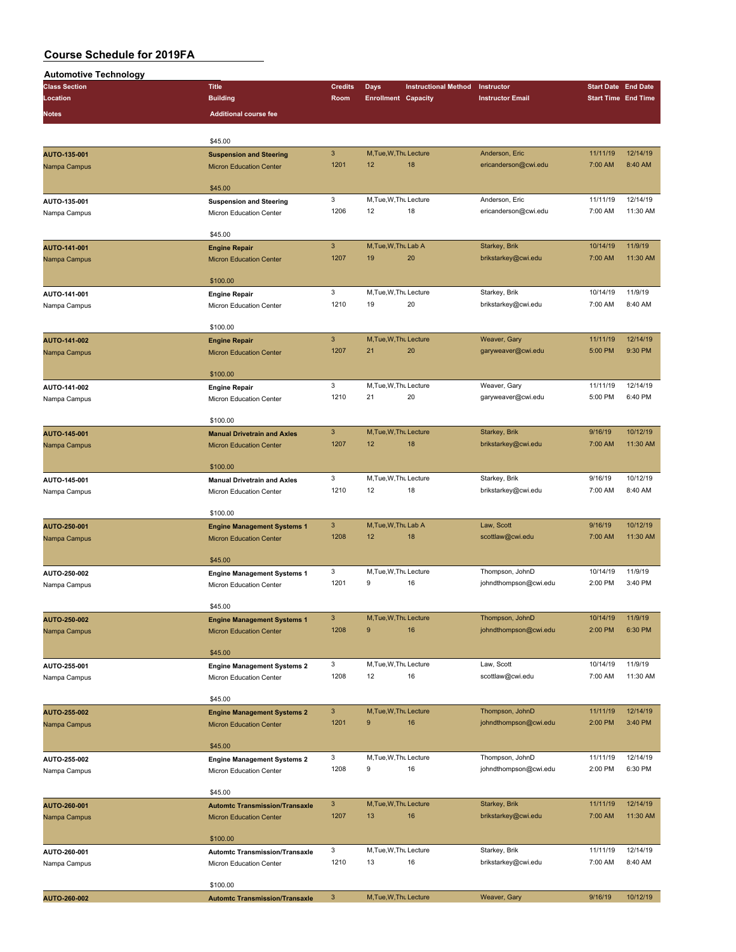| <b>Automotive Technology</b> |                                       |                      |                            |                             |                                      |                                                                                                                                                                                                                                                                                                                                                                                                                |                      |
|------------------------------|---------------------------------------|----------------------|----------------------------|-----------------------------|--------------------------------------|----------------------------------------------------------------------------------------------------------------------------------------------------------------------------------------------------------------------------------------------------------------------------------------------------------------------------------------------------------------------------------------------------------------|----------------------|
| <b>Class Section</b>         | <b>Title</b>                          | <b>Credits</b>       | <b>Days</b>                | <b>Instructional Method</b> | Instructor                           |                                                                                                                                                                                                                                                                                                                                                                                                                |                      |
| Location                     | <b>Building</b>                       | Room                 | <b>Enrollment Capacity</b> |                             | <b>Instructor Email</b>              |                                                                                                                                                                                                                                                                                                                                                                                                                |                      |
| Notes                        | <b>Additional course fee</b>          |                      |                            |                             |                                      |                                                                                                                                                                                                                                                                                                                                                                                                                |                      |
|                              |                                       |                      |                            |                             |                                      |                                                                                                                                                                                                                                                                                                                                                                                                                |                      |
|                              |                                       |                      |                            |                             |                                      | <b>Start Date End Date</b><br><b>Start Time End Time</b><br>11/11/19<br>7:00 AM<br>11/11/19<br>7:00 AM<br>10/14/19<br>7:00 AM<br>10/14/19<br>7:00 AM<br>11/11/19<br>5:00 PM<br>11/11/19<br>5:00 PM<br>9/16/19<br>7:00 AM<br>9/16/19<br>7:00 AM<br>9/16/19<br>7:00 AM<br>10/14/19<br>2:00 PM<br>10/14/19<br>2:00 PM<br>10/14/19<br>7:00 AM<br>11/11/19<br>2:00 PM<br>11/11/19<br>2:00 PM<br>11/11/19<br>7:00 AM |                      |
|                              | \$45.00                               |                      |                            |                             |                                      |                                                                                                                                                                                                                                                                                                                                                                                                                |                      |
| AUTO-135-001                 | <b>Suspension and Steering</b>        | $\mathbf{3}$         | M, Tue, W, Thu Lecture     |                             | Anderson, Eric                       |                                                                                                                                                                                                                                                                                                                                                                                                                | 12/14/19             |
| Nampa Campus                 | <b>Micron Education Center</b>        | 1201                 | 12                         | 18                          | ericanderson@cwi.edu                 |                                                                                                                                                                                                                                                                                                                                                                                                                | 8:40 AM              |
|                              |                                       |                      |                            |                             |                                      |                                                                                                                                                                                                                                                                                                                                                                                                                |                      |
|                              | \$45.00                               | 3                    | M, Tue, W, Thu Lecture     |                             | Anderson, Eric                       |                                                                                                                                                                                                                                                                                                                                                                                                                | 12/14/19             |
| AUTO-135-001                 | <b>Suspension and Steering</b>        | 1206                 | 12                         | 18                          | ericanderson@cwi.edu                 |                                                                                                                                                                                                                                                                                                                                                                                                                | 11:30 AM             |
| Nampa Campus                 | Micron Education Center               |                      |                            |                             |                                      |                                                                                                                                                                                                                                                                                                                                                                                                                |                      |
|                              | \$45.00                               |                      |                            |                             |                                      |                                                                                                                                                                                                                                                                                                                                                                                                                |                      |
|                              |                                       | $\mathbf{3}$         | M, Tue, W, Thu Lab A       |                             | Starkey, Brik                        |                                                                                                                                                                                                                                                                                                                                                                                                                | 11/9/19              |
| AUTO-141-001                 | <b>Engine Repair</b>                  | 1207                 | 19                         | 20                          | brikstarkey@cwi.edu                  |                                                                                                                                                                                                                                                                                                                                                                                                                | 11:30 AM             |
| Nampa Campus                 | <b>Micron Education Center</b>        |                      |                            |                             |                                      |                                                                                                                                                                                                                                                                                                                                                                                                                |                      |
|                              | \$100.00                              |                      |                            |                             |                                      |                                                                                                                                                                                                                                                                                                                                                                                                                |                      |
| AUTO-141-001                 | <b>Engine Repair</b>                  | 3                    | M, Tue, W, Thu Lecture     |                             | Starkey, Brik                        |                                                                                                                                                                                                                                                                                                                                                                                                                | 11/9/19              |
| Nampa Campus                 | Micron Education Center               | 1210                 | 19                         | 20                          | brikstarkey@cwi.edu                  |                                                                                                                                                                                                                                                                                                                                                                                                                | 8:40 AM              |
|                              |                                       |                      |                            |                             |                                      |                                                                                                                                                                                                                                                                                                                                                                                                                |                      |
|                              | \$100.00                              |                      |                            |                             |                                      |                                                                                                                                                                                                                                                                                                                                                                                                                |                      |
| AUTO-141-002                 | <b>Engine Repair</b>                  | $\mathbf{3}$         | M, Tue, W, Thu Lecture     |                             | Weaver, Gary                         |                                                                                                                                                                                                                                                                                                                                                                                                                | 12/14/19             |
| Nampa Campus                 | <b>Micron Education Center</b>        | 1207                 | 21                         | 20                          | garyweaver@cwi.edu                   |                                                                                                                                                                                                                                                                                                                                                                                                                | 9:30 PM              |
|                              |                                       |                      |                            |                             |                                      |                                                                                                                                                                                                                                                                                                                                                                                                                |                      |
|                              | \$100.00                              |                      |                            |                             |                                      |                                                                                                                                                                                                                                                                                                                                                                                                                |                      |
| AUTO-141-002                 | <b>Engine Repair</b>                  | 3                    | M, Tue, W, Thu Lecture     |                             | Weaver, Gary                         |                                                                                                                                                                                                                                                                                                                                                                                                                | 12/14/19             |
| Nampa Campus                 | Micron Education Center               | 1210                 | 21                         | 20                          | garyweaver@cwi.edu                   |                                                                                                                                                                                                                                                                                                                                                                                                                | 6:40 PM              |
|                              |                                       |                      |                            |                             |                                      |                                                                                                                                                                                                                                                                                                                                                                                                                |                      |
|                              | \$100.00                              |                      |                            |                             |                                      |                                                                                                                                                                                                                                                                                                                                                                                                                |                      |
| AUTO-145-001                 | <b>Manual Drivetrain and Axles</b>    | $\mathbf{3}$         | M.Tue.W.Thu Lecture        |                             | Starkey, Brik                        |                                                                                                                                                                                                                                                                                                                                                                                                                | 10/12/19             |
| Nampa Campus                 | <b>Micron Education Center</b>        | 1207                 | 12                         | 18                          | brikstarkey@cwi.edu                  |                                                                                                                                                                                                                                                                                                                                                                                                                | 11:30 AM             |
|                              |                                       |                      |                            |                             |                                      |                                                                                                                                                                                                                                                                                                                                                                                                                |                      |
|                              | \$100.00                              |                      |                            |                             |                                      |                                                                                                                                                                                                                                                                                                                                                                                                                |                      |
| AUTO-145-001                 | <b>Manual Drivetrain and Axles</b>    | 3                    | M, Tue, W, Thu Lecture     |                             | Starkey, Brik                        |                                                                                                                                                                                                                                                                                                                                                                                                                | 10/12/19             |
| Nampa Campus                 | Micron Education Center               | 1210                 | 12                         | 18                          | brikstarkey@cwi.edu                  |                                                                                                                                                                                                                                                                                                                                                                                                                | 8:40 AM              |
|                              |                                       |                      |                            |                             |                                      |                                                                                                                                                                                                                                                                                                                                                                                                                |                      |
|                              | \$100.00                              |                      |                            |                             |                                      |                                                                                                                                                                                                                                                                                                                                                                                                                |                      |
| AUTO-250-001                 | <b>Engine Management Systems 1</b>    | $\mathbf{3}$         | M, Tue, W, Thu Lab A       |                             | Law, Scott                           |                                                                                                                                                                                                                                                                                                                                                                                                                | 10/12/19             |
| Nampa Campus                 | <b>Micron Education Center</b>        | 1208                 | 12                         | 18                          | scottlaw@cwi.edu                     |                                                                                                                                                                                                                                                                                                                                                                                                                | 11:30 AM             |
|                              |                                       |                      |                            |                             |                                      |                                                                                                                                                                                                                                                                                                                                                                                                                |                      |
|                              | \$45.00                               |                      |                            |                             |                                      |                                                                                                                                                                                                                                                                                                                                                                                                                |                      |
| AUTO-250-002                 | <b>Engine Management Systems 1</b>    | 3                    | M, Tue, W, Thu Lecture     |                             | Thompson, JohnD                      |                                                                                                                                                                                                                                                                                                                                                                                                                | 11/9/19              |
| Nampa Campus                 | Micron Education Center               | 1201                 | 9                          | 16                          | johndthompson@cwi.edu                |                                                                                                                                                                                                                                                                                                                                                                                                                | 3:40 PM              |
|                              |                                       |                      |                            |                             |                                      |                                                                                                                                                                                                                                                                                                                                                                                                                |                      |
|                              | \$45.00                               |                      |                            |                             |                                      |                                                                                                                                                                                                                                                                                                                                                                                                                |                      |
| AUTO-250-002                 | <b>Engine Management Systems 1</b>    | 3                    | M, Tue, W, Thu Lecture     |                             | Thompson, JohnD                      |                                                                                                                                                                                                                                                                                                                                                                                                                | 11/9/19              |
| Nampa Campus                 | <b>Micron Education Center</b>        | 1208                 | $9$                        | 16                          | johndthompson@cwi.edu                |                                                                                                                                                                                                                                                                                                                                                                                                                | 6:30 PM              |
|                              |                                       |                      |                            |                             |                                      |                                                                                                                                                                                                                                                                                                                                                                                                                |                      |
|                              | \$45.00                               |                      |                            |                             |                                      |                                                                                                                                                                                                                                                                                                                                                                                                                |                      |
| AUTO-255-001                 | <b>Engine Management Systems 2</b>    | 3                    | M, Tue, W, Thu Lecture     |                             | Law, Scott                           |                                                                                                                                                                                                                                                                                                                                                                                                                | 11/9/19              |
| Nampa Campus                 | Micron Education Center               | 1208                 | 12                         | 16                          | scottlaw@cwi.edu                     |                                                                                                                                                                                                                                                                                                                                                                                                                | 11:30 AM             |
|                              |                                       |                      |                            |                             |                                      |                                                                                                                                                                                                                                                                                                                                                                                                                |                      |
|                              | \$45.00                               |                      |                            |                             |                                      |                                                                                                                                                                                                                                                                                                                                                                                                                |                      |
| AUTO-255-002                 | <b>Engine Management Systems 2</b>    | $\mathbf{3}$         | M, Tue, W, Thu Lecture     |                             | Thompson, JohnD                      |                                                                                                                                                                                                                                                                                                                                                                                                                | 12/14/19             |
| Nampa Campus                 | <b>Micron Education Center</b>        | 1201                 | 9                          | 16                          | johndthompson@cwi.edu                |                                                                                                                                                                                                                                                                                                                                                                                                                | 3:40 PM              |
|                              |                                       |                      |                            |                             |                                      | 11/11/19<br>7:00 AM<br>9/16/19                                                                                                                                                                                                                                                                                                                                                                                 |                      |
|                              | \$45.00                               |                      |                            |                             |                                      |                                                                                                                                                                                                                                                                                                                                                                                                                |                      |
| AUTO-255-002                 | <b>Engine Management Systems 2</b>    | 3                    | M, Tue, W, Thu Lecture     |                             | Thompson, JohnD                      |                                                                                                                                                                                                                                                                                                                                                                                                                | 12/14/19             |
| Nampa Campus                 | Micron Education Center               | 1208                 | 9                          | 16                          | johndthompson@cwi.edu                |                                                                                                                                                                                                                                                                                                                                                                                                                | 6:30 PM              |
|                              |                                       |                      |                            |                             |                                      |                                                                                                                                                                                                                                                                                                                                                                                                                |                      |
|                              | \$45.00                               |                      |                            |                             |                                      |                                                                                                                                                                                                                                                                                                                                                                                                                |                      |
| AUTO-260-001                 | <b>Automtc Transmission/Transaxle</b> | $\mathbf{3}$<br>1207 | M, Tue, W, Thu Lecture     | 16                          | Starkey, Brik                        |                                                                                                                                                                                                                                                                                                                                                                                                                | 12/14/19<br>11:30 AM |
| Nampa Campus                 | <b>Micron Education Center</b>        |                      | 13                         |                             | brikstarkey@cwi.edu                  |                                                                                                                                                                                                                                                                                                                                                                                                                |                      |
|                              | \$100.00                              |                      |                            |                             |                                      |                                                                                                                                                                                                                                                                                                                                                                                                                |                      |
|                              |                                       |                      | M, Tue, W, Thu Lecture     |                             |                                      |                                                                                                                                                                                                                                                                                                                                                                                                                | 12/14/19             |
| AUTO-260-001                 | <b>Automtc Transmission/Transaxle</b> | 3<br>1210            | 13                         | 16                          | Starkey, Brik<br>brikstarkey@cwi.edu |                                                                                                                                                                                                                                                                                                                                                                                                                | 8:40 AM              |
| Nampa Campus                 | Micron Education Center               |                      |                            |                             |                                      |                                                                                                                                                                                                                                                                                                                                                                                                                |                      |
|                              | \$100.00                              |                      |                            |                             |                                      |                                                                                                                                                                                                                                                                                                                                                                                                                |                      |
| AUTO-260-002                 | <b>Automtc Transmission/Transaxle</b> | $\mathbf{3}$         | M, Tue, W, Thu Lecture     |                             | Weaver, Gary                         |                                                                                                                                                                                                                                                                                                                                                                                                                | 10/12/19             |
|                              |                                       |                      |                            |                             |                                      |                                                                                                                                                                                                                                                                                                                                                                                                                |                      |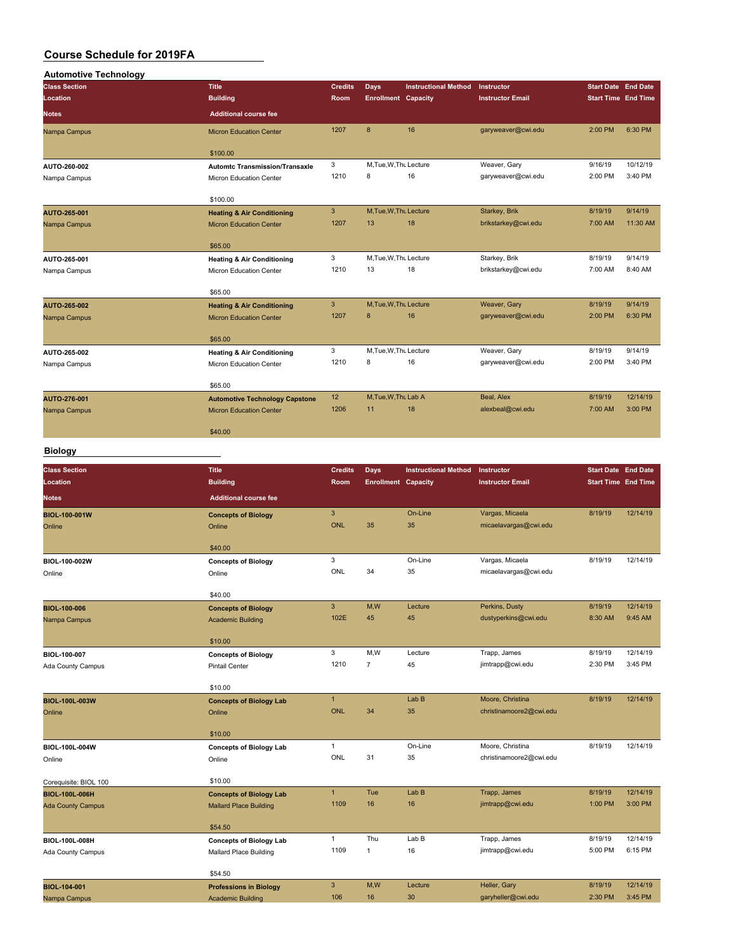| <b>Automotive Technology</b> |                                       |                |                            |                             |                         |           |                            |
|------------------------------|---------------------------------------|----------------|----------------------------|-----------------------------|-------------------------|-----------|----------------------------|
| <b>Class Section</b>         | Title                                 | <b>Credits</b> | Days                       | <b>Instructional Method</b> | Instructor              |           | <b>Start Date End Date</b> |
| Location                     | <b>Building</b>                       | Room           | <b>Enrollment Capacity</b> |                             | <b>Instructor Email</b> |           | <b>Start Time End Time</b> |
| <b>Notes</b>                 | <b>Additional course fee</b>          |                |                            |                             |                         |           |                            |
| Nampa Campus                 | <b>Micron Education Center</b>        | 1207           | $\mathbf{8}$               | 16                          | garyweaver@cwi.edu      | $2:00$ PM | 6:30 PM                    |
|                              | \$100.00                              |                |                            |                             |                         |           |                            |
| AUTO-260-002                 | <b>Automtc Transmission/Transaxle</b> | 3              | M, Tue, W, Thu Lecture     |                             | Weaver, Gary            | 9/16/19   | 10/12/19                   |
| Nampa Campus                 | Micron Education Center               | 1210           | 8                          | 16                          | garyweaver@cwi.edu      | 2:00 PM   | 3:40 PM                    |
|                              | \$100.00                              |                |                            |                             |                         |           |                            |
| AUTO-265-001                 | <b>Heating &amp; Air Conditioning</b> | $\overline{3}$ | M.Tue.W.Thu Lecture        |                             | Starkey, Brik           | 8/19/19   | 9/14/19                    |
| Nampa Campus                 | <b>Micron Education Center</b>        | 1207           | 13                         | 18                          | brikstarkey@cwi.edu     | 7:00 AM   | 11:30 AM                   |
|                              | \$65.00                               |                |                            |                             |                         |           |                            |
| AUTO-265-001                 | <b>Heating &amp; Air Conditioning</b> | 3              | M.Tue, W.Thu Lecture       |                             | Starkey, Brik           | 8/19/19   | 9/14/19                    |
| Nampa Campus                 | Micron Education Center               | 1210           | 13                         | 18                          | brikstarkey@cwi.edu     | 7:00 AM   | 8:40 AM                    |
|                              | \$65.00                               |                |                            |                             |                         |           |                            |
| <b>AUTO-265-002</b>          | <b>Heating &amp; Air Conditioning</b> | 3              | M, Tue, W, Thu Lecture     |                             | Weaver, Gary            | 8/19/19   | 9/14/19                    |
| Nampa Campus                 | <b>Micron Education Center</b>        | 1207           | 8                          | 16                          | garyweaver@cwi.edu      | 2:00 PM   | 6:30 PM                    |
|                              | \$65.00                               |                |                            |                             |                         |           |                            |
| AUTO-265-002                 | <b>Heating &amp; Air Conditioning</b> | 3              | M, Tue, W, Thu Lecture     |                             | Weaver, Gary            | 8/19/19   | 9/14/19                    |
| Nampa Campus                 | Micron Education Center               | 1210           | 8                          | 16                          | garyweaver@cwi.edu      | 2:00 PM   | 3:40 PM                    |
|                              | \$65.00                               |                |                            |                             |                         |           |                            |
| AUTO-276-001                 | <b>Automotive Technology Capstone</b> | 12             | M, Tue, W, Thu Lab A       |                             | Beal, Alex              | 8/19/19   | 12/14/19                   |
| Nampa Campus                 | <b>Micron Education Center</b>        | 1206           | 11                         | 18                          | alexbeal@cwi.edu        | 7:00 AM   | 3:00 PM                    |
|                              | \$40.00                               |                |                            |                             |                         |           |                            |
|                              |                                       |                |                            |                             |                         |           |                            |

#### **Biology**

| <b>Class Section</b>     | <b>Title</b>                   | <b>Credits</b>            | Days                       | <b>Instructional Method</b> | Instructor              | <b>Start Date End Date</b> |          |
|--------------------------|--------------------------------|---------------------------|----------------------------|-----------------------------|-------------------------|----------------------------|----------|
| Location                 | <b>Building</b>                | <b>Room</b>               | <b>Enrollment Capacity</b> |                             | <b>Instructor Email</b> | <b>Start Time End Time</b> |          |
| <b>Notes</b>             | <b>Additional course fee</b>   |                           |                            |                             |                         |                            |          |
| BIOL-100-001W            | <b>Concepts of Biology</b>     | $\ensuremath{\mathsf{3}}$ |                            | On-Line                     | Vargas, Micaela         | 8/19/19                    | 12/14/19 |
| Online                   | Online                         | <b>ONL</b>                | 35                         | 35                          | micaelavargas@cwi.edu   |                            |          |
|                          | \$40.00                        |                           |                            |                             |                         |                            |          |
| BIOL-100-002W            | <b>Concepts of Biology</b>     | 3                         |                            | On-Line                     | Vargas, Micaela         | 8/19/19                    | 12/14/19 |
| Online                   | Online                         | ONL                       | 34                         | 35                          | micaelavargas@cwi.edu   |                            |          |
|                          | \$40.00                        |                           |                            |                             |                         |                            |          |
| <b>BIOL-100-006</b>      | <b>Concepts of Biology</b>     | $\ensuremath{\mathsf{3}}$ | M,W                        | Lecture                     | Perkins, Dusty          | 8/19/19                    | 12/14/19 |
| Nampa Campus             | <b>Academic Building</b>       | 102E                      | 45                         | 45                          | dustyperkins@cwi.edu    | 8:30 AM                    | 9:45 AM  |
|                          | \$10.00                        |                           |                            |                             |                         |                            |          |
| BIOL-100-007             | <b>Concepts of Biology</b>     | 3                         | M,W                        | Lecture                     | Trapp, James            | 8/19/19                    | 12/14/19 |
| Ada County Campus        | <b>Pintail Center</b>          | 1210                      | $\overline{7}$             | 45                          | jimtrapp@cwi.edu        | 2:30 PM                    | 3:45 PM  |
|                          | \$10.00                        |                           |                            |                             |                         |                            |          |
| <b>BIOL-100L-003W</b>    | <b>Concepts of Biology Lab</b> | $\mathbf{1}$              |                            | Lab B                       | Moore, Christina        | 8/19/19                    | 12/14/19 |
| Online                   | Online                         | <b>ONL</b>                | 34                         | 35                          | christinamoore2@cwi.edu |                            |          |
|                          | \$10.00                        |                           |                            |                             |                         |                            |          |
| BIOL-100L-004W           | <b>Concepts of Biology Lab</b> | $\mathbf{1}$              |                            | On-Line                     | Moore, Christina        | 8/19/19                    | 12/14/19 |
| Online                   | Online                         | ONL                       | 31                         | 35                          | christinamoore2@cwi.edu |                            |          |
| Corequisite: BIOL 100    | \$10.00                        |                           |                            |                             |                         |                            |          |
| <b>BIOL-100L-006H</b>    | <b>Concepts of Biology Lab</b> | $\mathbf{1}$              | Tue                        | Lab B                       | Trapp, James            | 8/19/19                    | 12/14/19 |
| <b>Ada County Campus</b> | <b>Mallard Place Building</b>  | 1109                      | 16                         | 16                          | jimtrapp@cwi.edu        | 1:00 PM                    | 3:00 PM  |
|                          | \$54.50                        |                           |                            |                             |                         |                            |          |
| BIOL-100L-008H           | <b>Concepts of Biology Lab</b> | $\mathbf{1}$              | Thu                        | Lab B                       | Trapp, James            | 8/19/19                    | 12/14/19 |
| Ada County Campus        | Mallard Place Building         | 1109                      | $\mathbf{1}$               | 16                          | jimtrapp@cwi.edu        | 5:00 PM                    | 6:15 PM  |
|                          | \$54.50                        |                           |                            |                             |                         |                            |          |
| <b>BIOL-104-001</b>      | <b>Professions in Biology</b>  | $\mathbf{3}$              | M,W                        | Lecture                     | Heller, Gary            | 8/19/19                    | 12/14/19 |
| Nampa Campus             | <b>Academic Building</b>       | 106                       | 16                         | 30                          | garyheller@cwi.edu      | 2:30 PM                    | 3:45 PM  |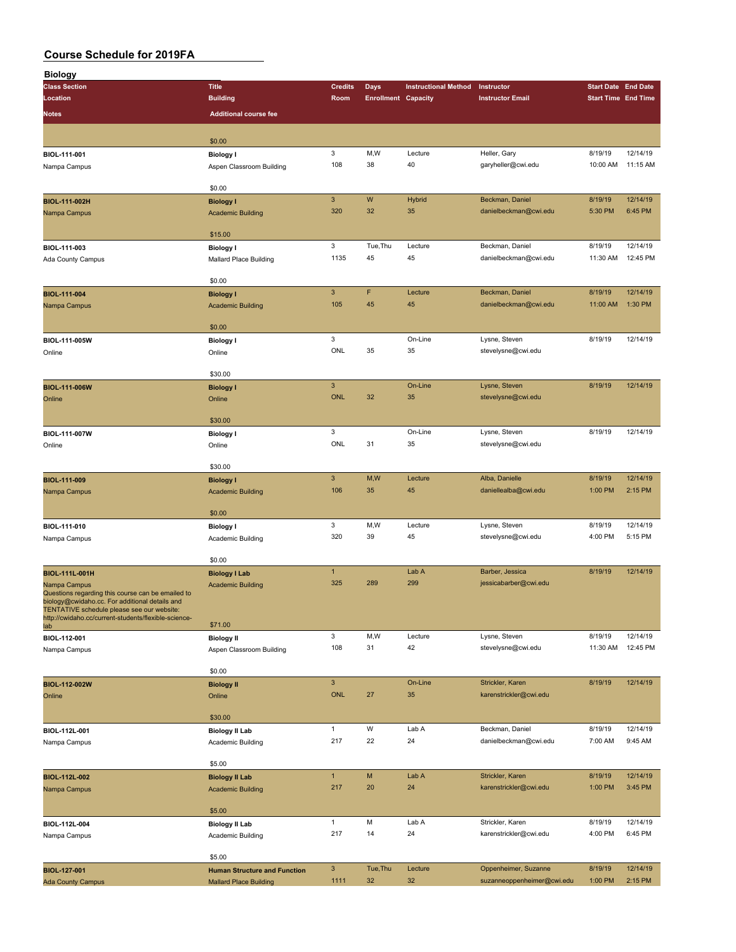| <b>Biology</b>                                                                                      |                                                                      |                                  |                            |                             |                                          |                            |                     |
|-----------------------------------------------------------------------------------------------------|----------------------------------------------------------------------|----------------------------------|----------------------------|-----------------------------|------------------------------------------|----------------------------|---------------------|
| <b>Class Section</b>                                                                                | <b>Title</b>                                                         | <b>Credits</b>                   | <b>Days</b>                | <b>Instructional Method</b> | Instructor                               | <b>Start Date End Date</b> |                     |
| Location                                                                                            | <b>Building</b>                                                      | Room                             | <b>Enrollment Capacity</b> |                             | <b>Instructor Email</b>                  | <b>Start Time End Time</b> |                     |
| Notes                                                                                               | <b>Additional course fee</b>                                         |                                  |                            |                             |                                          |                            |                     |
|                                                                                                     | \$0.00                                                               |                                  |                            |                             |                                          |                            |                     |
| BIOL-111-001                                                                                        | <b>Biology I</b>                                                     | 3                                | M,W                        | Lecture                     | Heller, Gary                             | 8/19/19                    | 12/14/19            |
| Nampa Campus                                                                                        | Aspen Classroom Building                                             | 108                              | 38                         | 40                          | garyheller@cwi.edu                       | 10:00 AM                   | 11:15 AM            |
|                                                                                                     |                                                                      |                                  |                            |                             |                                          |                            |                     |
| BIOL-111-002H                                                                                       | \$0.00<br><b>Biology I</b>                                           | $\mathbf{3}$                     | W                          | Hybrid                      | Beckman, Daniel                          | 8/19/19                    | 12/14/19            |
| Nampa Campus                                                                                        | <b>Academic Building</b>                                             | 320                              | 32                         | 35                          | danielbeckman@cwi.edu                    | 5:30 PM                    | 6:45 PM             |
|                                                                                                     |                                                                      |                                  |                            |                             |                                          |                            |                     |
|                                                                                                     | \$15.00                                                              | 3                                | Tue, Thu                   | Lecture                     | Beckman, Daniel                          | 8/19/19                    | 12/14/19            |
| BIOL-111-003<br>Ada County Campus                                                                   | <b>Biology I</b><br>Mallard Place Building                           | 1135                             | 45                         | 45                          | danielbeckman@cwi.edu                    | 11:30 AM                   | 12:45 PM            |
|                                                                                                     |                                                                      |                                  |                            |                             |                                          |                            |                     |
|                                                                                                     | \$0.00                                                               |                                  |                            |                             |                                          |                            |                     |
| <b>BIOL-111-004</b>                                                                                 | <b>Biology I</b>                                                     | $\ensuremath{\mathsf{3}}$<br>105 | F<br>45                    | Lecture<br>45               | Beckman, Daniel<br>danielbeckman@cwi.edu | 8/19/19<br>11:00 AM        | 12/14/19<br>1:30 PM |
| Nampa Campus                                                                                        | <b>Academic Building</b>                                             |                                  |                            |                             |                                          |                            |                     |
|                                                                                                     | \$0.00                                                               |                                  |                            |                             |                                          |                            |                     |
| BIOL-111-005W                                                                                       | <b>Biology I</b>                                                     | 3                                |                            | On-Line                     | Lysne, Steven                            | 8/19/19                    | 12/14/19            |
| Online                                                                                              | Online                                                               | ONL                              | 35                         | 35                          | stevelysne@cwi.edu                       |                            |                     |
|                                                                                                     | \$30.00                                                              |                                  |                            |                             |                                          |                            |                     |
| BIOL-111-006W                                                                                       | <b>Biology I</b>                                                     | $\mathbf{3}$                     |                            | On-Line                     | Lysne, Steven                            | 8/19/19                    | 12/14/19            |
| Online                                                                                              | Online                                                               | <b>ONL</b>                       | 32                         | 35                          | stevelysne@cwi.edu                       |                            |                     |
|                                                                                                     | \$30.00                                                              |                                  |                            |                             |                                          |                            |                     |
| BIOL-111-007W                                                                                       | <b>Biology I</b>                                                     | 3                                |                            | On-Line                     | Lysne, Steven                            | 8/19/19                    | 12/14/19            |
| Online                                                                                              | Online                                                               | ONL                              | 31                         | 35                          | stevelysne@cwi.edu                       |                            |                     |
|                                                                                                     | \$30.00                                                              |                                  |                            |                             |                                          |                            |                     |
| BIOL-111-009                                                                                        | <b>Biology I</b>                                                     | $\mathbf{3}$                     | M,W                        | Lecture                     | Alba, Danielle                           | 8/19/19                    | 12/14/19            |
| Nampa Campus                                                                                        | <b>Academic Building</b>                                             | 106                              | 35                         | 45                          | daniellealba@cwi.edu                     | 1:00 PM                    | 2:15 PM             |
|                                                                                                     | \$0.00                                                               |                                  |                            |                             |                                          |                            |                     |
| BIOL-111-010                                                                                        | <b>Biology I</b>                                                     | 3                                | M, W                       | Lecture                     | Lysne, Steven                            | 8/19/19                    | 12/14/19            |
| Nampa Campus                                                                                        | Academic Building                                                    | 320                              | 39                         | 45                          | stevelysne@cwi.edu                       | 4:00 PM                    | 5:15 PM             |
|                                                                                                     |                                                                      |                                  |                            |                             |                                          |                            |                     |
|                                                                                                     | \$0.00                                                               | $\mathbf{1}$                     |                            | Lab A                       | Barber, Jessica                          | 8/19/19                    | 12/14/19            |
| <b>BIOL-111L-001H</b><br>Nampa Campus                                                               | <b>Biology I Lab</b><br><b>Academic Building</b>                     | 325                              | 289                        | 299                         | jessicabarber@cwi.edu                    |                            |                     |
| Questions regarding this course can be emailed to<br>biology@cwidaho.cc. For additional details and |                                                                      |                                  |                            |                             |                                          |                            |                     |
| TENTATIVE schedule please see our website:                                                          |                                                                      |                                  |                            |                             |                                          |                            |                     |
| http://cwidaho.cc/current-students/flexible-science-<br>lab                                         | \$71.00                                                              |                                  |                            |                             |                                          |                            |                     |
| BIOL-112-001                                                                                        | <b>Biology II</b>                                                    | 3                                | M,W                        | Lecture                     | Lysne, Steven                            | 8/19/19                    | 12/14/19            |
| Nampa Campus                                                                                        | Aspen Classroom Building                                             | 108                              | 31                         | 42                          | stevelysne@cwi.edu                       | 11:30 AM                   | 12:45 PM            |
|                                                                                                     | \$0.00                                                               |                                  |                            |                             |                                          |                            |                     |
| BIOL-112-002W                                                                                       | <b>Biology II</b>                                                    | $\mathsf 3$                      |                            | On-Line                     | Strickler, Karen                         | 8/19/19                    | 12/14/19            |
| Online                                                                                              | Online                                                               | <b>ONL</b>                       | 27                         | 35                          | karenstrickler@cwi.edu                   |                            |                     |
|                                                                                                     | \$30.00                                                              |                                  |                            |                             |                                          |                            |                     |
| BIOL-112L-001                                                                                       | <b>Biology II Lab</b>                                                | $\mathbf{1}$                     | W                          | Lab A                       | Beckman, Daniel                          | 8/19/19                    | 12/14/19            |
| Nampa Campus                                                                                        | Academic Building                                                    | 217                              | 22                         | 24                          | danielbeckman@cwi.edu                    | 7:00 AM                    | 9:45 AM             |
|                                                                                                     | \$5.00                                                               |                                  |                            |                             |                                          |                            |                     |
| BIOL-112L-002                                                                                       | <b>Biology II Lab</b>                                                | $\mathbf{1}$                     | M                          | Lab A                       | Strickler, Karen                         | 8/19/19                    | 12/14/19            |
| Nampa Campus                                                                                        | <b>Academic Building</b>                                             | 217                              | 20                         | 24                          | karenstrickler@cwi.edu                   | 1:00 PM                    | 3:45 PM             |
|                                                                                                     | \$5.00                                                               |                                  |                            |                             |                                          |                            |                     |
| BIOL-112L-004                                                                                       | <b>Biology II Lab</b>                                                | $\mathbf{1}$                     | M                          | Lab A                       | Strickler, Karen                         | 8/19/19                    | 12/14/19            |
| Nampa Campus                                                                                        | Academic Building                                                    | 217                              | 14                         | 24                          | karenstrickler@cwi.edu                   | 4:00 PM                    | 6:45 PM             |
|                                                                                                     |                                                                      |                                  |                            |                             |                                          |                            |                     |
|                                                                                                     | \$5.00                                                               | $\mathbf{3}$                     | Tue, Thu                   | Lecture                     | Oppenheimer, Suzanne                     | 8/19/19                    | 12/14/19            |
| BIOL-127-001<br><b>Ada County Campus</b>                                                            | <b>Human Structure and Function</b><br><b>Mallard Place Building</b> | 1111                             | 32                         | 32                          | suzanneoppenheimer@cwi.edu               | 1:00 PM                    | 2:15 PM             |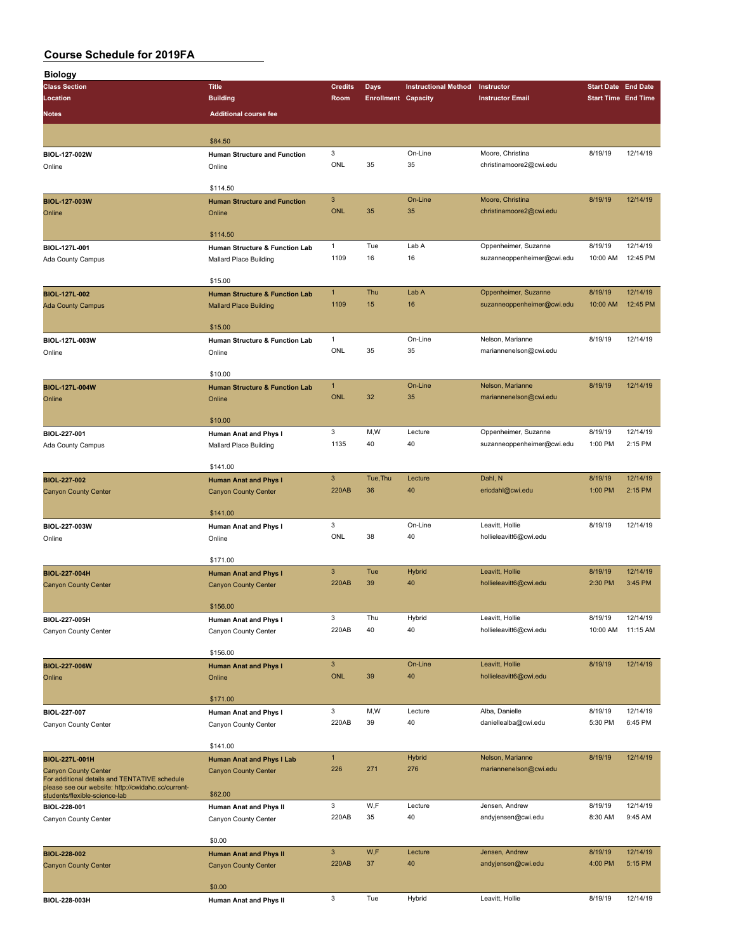| <b>Biology</b>                                                                                      |                                           |                |                            |                             |                            |                            |                            |
|-----------------------------------------------------------------------------------------------------|-------------------------------------------|----------------|----------------------------|-----------------------------|----------------------------|----------------------------|----------------------------|
| <b>Class Section</b>                                                                                | <b>Title</b>                              | <b>Credits</b> | <b>Days</b>                | <b>Instructional Method</b> | Instructor                 | <b>Start Date End Date</b> |                            |
| Location                                                                                            | <b>Building</b>                           | Room           | <b>Enrollment Capacity</b> |                             | <b>Instructor Email</b>    |                            | <b>Start Time End Time</b> |
|                                                                                                     |                                           |                |                            |                             |                            |                            |                            |
| <b>Notes</b>                                                                                        | <b>Additional course fee</b>              |                |                            |                             |                            |                            |                            |
|                                                                                                     |                                           |                |                            |                             |                            |                            |                            |
|                                                                                                     | \$84.50                                   |                |                            |                             |                            |                            |                            |
| BIOL-127-002W                                                                                       | Human Structure and Function              | 3              |                            | On-Line                     | Moore, Christina           | 8/19/19                    | 12/14/19                   |
| Online                                                                                              | Online                                    | ONL            | 35                         | 35                          | christinamoore2@cwi.edu    |                            |                            |
|                                                                                                     |                                           |                |                            |                             |                            |                            |                            |
|                                                                                                     | \$114.50                                  |                |                            |                             |                            |                            |                            |
| <b>BIOL-127-003W</b>                                                                                | <b>Human Structure and Function</b>       | $\mathbf{3}$   |                            | On-Line                     | Moore, Christina           | 8/19/19                    | 12/14/19                   |
| Online                                                                                              | Online                                    | <b>ONL</b>     | 35                         | 35                          | christinamoore2@cwi.edu    |                            |                            |
|                                                                                                     |                                           |                |                            |                             |                            |                            |                            |
|                                                                                                     | \$114.50                                  |                |                            |                             |                            |                            |                            |
| BIOL-127L-001                                                                                       | Human Structure & Function Lab            | $\mathbf{1}$   | Tue                        | Lab A                       | Oppenheimer, Suzanne       | 8/19/19                    | 12/14/19                   |
|                                                                                                     |                                           | 1109           | 16                         | 16                          | suzanneoppenheimer@cwi.edu | 10:00 AM                   | 12:45 PM                   |
| Ada County Campus                                                                                   | Mallard Place Building                    |                |                            |                             |                            |                            |                            |
|                                                                                                     | \$15.00                                   |                |                            |                             |                            |                            |                            |
|                                                                                                     |                                           | $\mathbf{1}$   | Thu                        | Lab A                       |                            | 8/19/19                    | 12/14/19                   |
| <b>BIOL-127L-002</b>                                                                                | <b>Human Structure &amp; Function Lab</b> |                |                            |                             | Oppenheimer, Suzanne       |                            |                            |
| <b>Ada County Campus</b>                                                                            | <b>Mallard Place Building</b>             | 1109           | 15                         | 16                          | suzanneoppenheimer@cwi.edu | 10:00 AM                   | 12:45 PM                   |
|                                                                                                     |                                           |                |                            |                             |                            |                            |                            |
|                                                                                                     | \$15.00                                   |                |                            |                             |                            |                            |                            |
| BIOL-127L-003W                                                                                      | Human Structure & Function Lab            | $\mathbf{1}$   |                            | On-Line                     | Nelson, Marianne           | 8/19/19                    | 12/14/19                   |
| Online                                                                                              | Online                                    | ONL            | 35                         | 35                          | mariannenelson@cwi.edu     |                            |                            |
|                                                                                                     |                                           |                |                            |                             |                            |                            |                            |
|                                                                                                     | \$10.00                                   |                |                            |                             |                            |                            |                            |
| <b>BIOL-127L-004W</b>                                                                               | <b>Human Structure &amp; Function Lab</b> | $\mathbf{1}$   |                            | On-Line                     | Nelson, Marianne           | 8/19/19                    | 12/14/19                   |
| Online                                                                                              | Online                                    | <b>ONL</b>     | 32                         | 35                          | mariannenelson@cwi.edu     |                            |                            |
|                                                                                                     |                                           |                |                            |                             |                            |                            |                            |
|                                                                                                     | \$10.00                                   |                |                            |                             |                            |                            |                            |
| BIOL-227-001                                                                                        | Human Anat and Phys I                     | 3              | M,W                        | Lecture                     | Oppenheimer, Suzanne       | 8/19/19                    | 12/14/19                   |
| Ada County Campus                                                                                   | Mallard Place Building                    | 1135           | 40                         | 40                          | suzanneoppenheimer@cwi.edu | 1:00 PM                    | 2:15 PM                    |
|                                                                                                     |                                           |                |                            |                             |                            |                            |                            |
|                                                                                                     | \$141.00                                  |                |                            |                             |                            |                            |                            |
| <b>BIOL-227-002</b>                                                                                 | <b>Human Anat and Phys I</b>              | $\mathbf{3}$   | Tue, Thu                   | Lecture                     | Dahl, N                    | 8/19/19                    | 12/14/19                   |
|                                                                                                     |                                           | <b>220AB</b>   | 36                         | 40                          | ericdahl@cwi.edu           | 1:00 PM                    | 2:15 PM                    |
| <b>Canyon County Center</b>                                                                         | <b>Canyon County Center</b>               |                |                            |                             |                            |                            |                            |
|                                                                                                     | \$141.00                                  |                |                            |                             |                            |                            |                            |
|                                                                                                     |                                           |                |                            |                             |                            |                            |                            |
| BIOL-227-003W                                                                                       | Human Anat and Phys I                     | 3              |                            | On-Line                     | Leavitt, Hollie            | 8/19/19                    | 12/14/19                   |
| Online                                                                                              | Online                                    | ONL            | 38                         | 40                          | hollieleavitt6@cwi.edu     |                            |                            |
|                                                                                                     |                                           |                |                            |                             |                            |                            |                            |
|                                                                                                     | \$171.00                                  |                |                            |                             |                            |                            |                            |
| <b>BIOL-227-004H</b>                                                                                | <b>Human Anat and Phys I</b>              | $\mathbf{3}$   | Tue                        | Hybrid                      | Leavitt, Hollie            | 8/19/19                    | 12/14/19                   |
| <b>Canyon County Center</b>                                                                         | <b>Canyon County Center</b>               | <b>220AB</b>   | 39                         | 40                          | hollieleavitt6@cwi.edu     | 2:30 PM                    | 3:45 PM                    |
|                                                                                                     |                                           |                |                            |                             |                            |                            |                            |
|                                                                                                     | \$156.00                                  |                |                            |                             |                            |                            |                            |
| BIOL-227-005H                                                                                       | Human Anat and Phys I                     | 3              | Thu                        | Hybrid                      | Leavitt, Hollie            | 8/19/19                    | 12/14/19                   |
| Canyon County Center                                                                                | Canyon County Center                      | 220AB          | 40                         | 40                          | hollieleavitt6@cwi.edu     | 10:00 AM                   | 11:15 AM                   |
|                                                                                                     |                                           |                |                            |                             |                            |                            |                            |
|                                                                                                     | \$156.00                                  |                |                            |                             |                            |                            |                            |
| BIOL-227-006W                                                                                       | <b>Human Anat and Phys I</b>              | $\mathbf{3}$   |                            | On-Line                     | Leavitt, Hollie            | 8/19/19                    | 12/14/19                   |
| Online                                                                                              | Online                                    | <b>ONL</b>     | 39                         | 40                          | hollieleavitt6@cwi.edu     |                            |                            |
|                                                                                                     |                                           |                |                            |                             |                            |                            |                            |
|                                                                                                     | \$171.00                                  |                |                            |                             |                            |                            |                            |
|                                                                                                     |                                           | 3              | M,W                        | Lecture                     | Alba, Danielle             | 8/19/19                    | 12/14/19                   |
| BIOL-227-007                                                                                        | Human Anat and Phys I                     | 220AB          | 39                         | 40                          | daniellealba@cwi.edu       | 5:30 PM                    | 6:45 PM                    |
| Canyon County Center                                                                                | Canyon County Center                      |                |                            |                             |                            |                            |                            |
|                                                                                                     |                                           |                |                            |                             |                            |                            |                            |
|                                                                                                     | \$141.00                                  |                |                            |                             |                            |                            |                            |
| BIOL-227L-001H                                                                                      | Human Anat and Phys I Lab                 | $\mathbf{1}$   |                            | <b>Hybrid</b>               | Nelson, Marianne           | 8/19/19                    | 12/14/19                   |
| <b>Canyon County Center</b>                                                                         | <b>Canyon County Center</b>               | 226            | 271                        | 276                         | mariannenelson@cwi.edu     |                            |                            |
| For additional details and TENTATIVE schedule<br>please see our website: http://cwidaho.cc/current- |                                           |                |                            |                             |                            |                            |                            |
| students/flexible-science-lab                                                                       | \$62.00                                   |                |                            |                             |                            |                            |                            |
| BIOL-228-001                                                                                        | Human Anat and Phys II                    | 3              | W,F                        | Lecture                     | Jensen, Andrew             | 8/19/19                    | 12/14/19                   |
| Canyon County Center                                                                                | Canyon County Center                      | 220AB          | 35                         | 40                          | andyjensen@cwi.edu         | 8:30 AM                    | 9:45 AM                    |
|                                                                                                     |                                           |                |                            |                             |                            |                            |                            |
|                                                                                                     | \$0.00                                    |                |                            |                             |                            |                            |                            |
| BIOL-228-002                                                                                        | <b>Human Anat and Phys II</b>             | $\mathbf{3}$   | W,F                        | Lecture                     | Jensen, Andrew             | 8/19/19                    | 12/14/19                   |
| <b>Canyon County Center</b>                                                                         | <b>Canyon County Center</b>               | 220AB          | 37                         | 40                          | andyjensen@cwi.edu         | 4:00 PM                    | 5:15 PM                    |
|                                                                                                     |                                           |                |                            |                             |                            |                            |                            |
|                                                                                                     | \$0.00                                    |                |                            |                             |                            |                            |                            |
| BIOL-228-003H                                                                                       |                                           | 3              | Tue                        | Hybrid                      | Leavitt, Hollie            | 8/19/19                    | 12/14/19                   |
|                                                                                                     | Human Anat and Phys II                    |                |                            |                             |                            |                            |                            |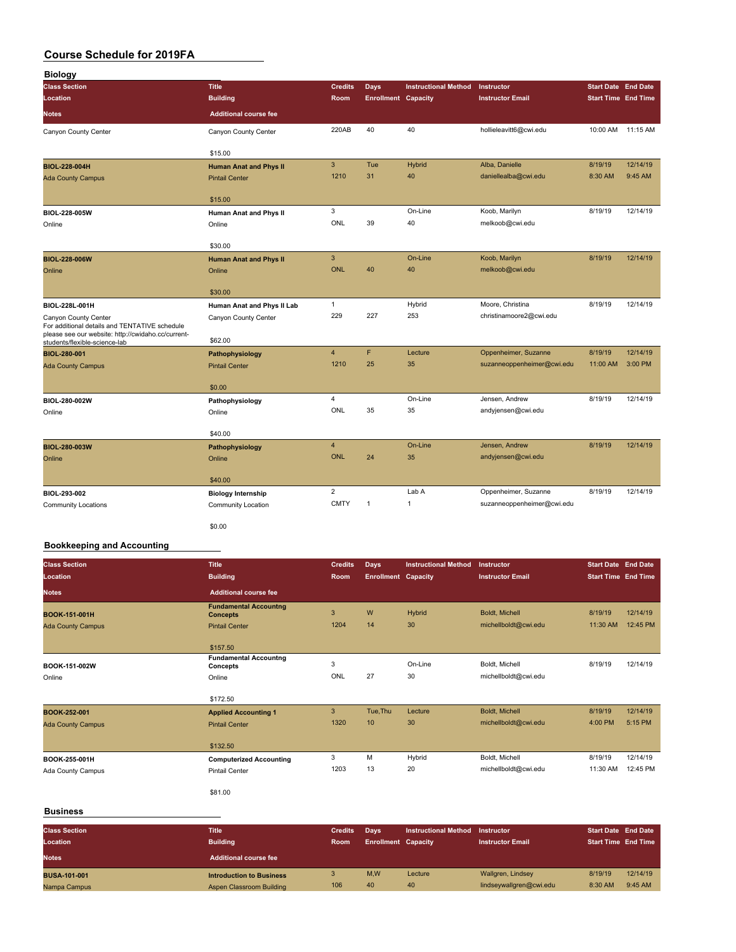| <b>Biology</b>                                                                                                              |                                          |                |                            |                             |                            |                            |                   |
|-----------------------------------------------------------------------------------------------------------------------------|------------------------------------------|----------------|----------------------------|-----------------------------|----------------------------|----------------------------|-------------------|
| <b>Class Section</b>                                                                                                        | <b>Title</b>                             | <b>Credits</b> | <b>Days</b>                | <b>Instructional Method</b> | Instructor                 | <b>Start Date End Date</b> |                   |
| Location                                                                                                                    | <b>Building</b>                          | <b>Room</b>    | <b>Enrollment Capacity</b> |                             | <b>Instructor Email</b>    | <b>Start Time End Time</b> |                   |
| <b>Notes</b>                                                                                                                | <b>Additional course fee</b>             |                |                            |                             |                            |                            |                   |
| Canyon County Center                                                                                                        | Canyon County Center                     | 220AB          | 40                         | 40                          | hollieleavitt6@cwi.edu     |                            | 10:00 AM 11:15 AM |
|                                                                                                                             | \$15.00                                  |                |                            |                             |                            |                            |                   |
| <b>BIOL-228-004H</b>                                                                                                        | <b>Human Anat and Phys II</b>            | $\mathbf{3}$   | Tue                        | <b>Hybrid</b>               | Alba, Danielle             | 8/19/19                    | 12/14/19          |
| <b>Ada County Campus</b>                                                                                                    | <b>Pintail Center</b>                    | 1210           | 31                         | 40                          | daniellealba@cwi.edu       | 8:30 AM                    | 9:45 AM           |
|                                                                                                                             | \$15.00                                  |                |                            |                             |                            |                            |                   |
| BIOL-228-005W                                                                                                               | Human Anat and Phys II                   | 3              |                            | On-Line                     | Koob, Marilyn              | 8/19/19                    | 12/14/19          |
| Online                                                                                                                      | Online                                   | ONL            | 39                         | 40                          | melkoob@cwi.edu            |                            |                   |
|                                                                                                                             | \$30.00                                  |                |                            |                             |                            |                            |                   |
| BIOL-228-006W                                                                                                               | <b>Human Anat and Phys II</b>            | $\mathbf{3}$   |                            | On-Line                     | Koob, Marilyn              | 8/19/19                    | 12/14/19          |
| Online                                                                                                                      | Online                                   | <b>ONL</b>     | 40                         | 40                          | melkoob@cwi.edu            |                            |                   |
|                                                                                                                             |                                          |                |                            |                             |                            |                            |                   |
|                                                                                                                             | \$30.00                                  | $\mathbf{1}$   |                            |                             | Moore, Christina           | 8/19/19                    | 12/14/19          |
| BIOL-228L-001H                                                                                                              | Human Anat and Phys II Lab               | 229            | 227                        | Hybrid<br>253               | christinamoore2@cwi.edu    |                            |                   |
| Canyon County Center<br>For additional details and TENTATIVE schedule<br>please see our website: http://cwidaho.cc/current- | Canyon County Center<br>\$62.00          |                |                            |                             |                            |                            |                   |
| students/flexible-science-lab                                                                                               |                                          | $\overline{4}$ | F                          | Lecture                     | Oppenheimer, Suzanne       | 8/19/19                    | 12/14/19          |
| <b>BIOL-280-001</b><br><b>Ada County Campus</b>                                                                             | Pathophysiology<br><b>Pintail Center</b> | 1210           | 25                         | 35                          | suzanneoppenheimer@cwi.edu | 11:00 AM                   | 3:00 PM           |
|                                                                                                                             |                                          |                |                            |                             |                            |                            |                   |
|                                                                                                                             | \$0.00                                   |                |                            |                             |                            |                            |                   |
| BIOL-280-002W                                                                                                               | Pathophysiology                          | 4              |                            | On-Line                     | Jensen, Andrew             | 8/19/19                    | 12/14/19          |
| Online                                                                                                                      | Online                                   | ONL            | 35                         | 35                          | andyjensen@cwi.edu         |                            |                   |
|                                                                                                                             | \$40.00                                  |                |                            |                             |                            |                            |                   |
| BIOL-280-003W                                                                                                               | Pathophysiology                          | $\overline{4}$ |                            | On-Line                     | Jensen, Andrew             | 8/19/19                    | 12/14/19          |
| Online                                                                                                                      | Online                                   | <b>ONL</b>     | 24                         | 35                          | andyjensen@cwi.edu         |                            |                   |
|                                                                                                                             |                                          |                |                            |                             |                            |                            |                   |
|                                                                                                                             | \$40.00                                  |                |                            |                             |                            |                            |                   |
| BIOL-293-002                                                                                                                | <b>Biology Internship</b>                | $\overline{2}$ |                            | Lab A                       | Oppenheimer, Suzanne       | 8/19/19                    | 12/14/19          |
| <b>Community Locations</b>                                                                                                  | Community Location                       | <b>CMTY</b>    | $\mathbf{1}$               | 1                           | suzanneoppenheimer@cwi.edu |                            |                   |
|                                                                                                                             | \$0.00                                   |                |                            |                             |                            |                            |                   |

#### **Bookkeeping and Accounting**

| <b>Class Section</b>     | <b>Title</b>                                    | <b>Credits</b> | <b>Days</b>                | <b>Instructional Method</b> | Instructor              | <b>Start Date End Date</b> |          |
|--------------------------|-------------------------------------------------|----------------|----------------------------|-----------------------------|-------------------------|----------------------------|----------|
| Location                 | <b>Building</b>                                 | Room           | <b>Enrollment Capacity</b> |                             | <b>Instructor Email</b> | <b>Start Time End Time</b> |          |
| <b>Notes</b>             | <b>Additional course fee</b>                    |                |                            |                             |                         |                            |          |
| BOOK-151-001H            | <b>Fundamental Accountng</b><br><b>Concepts</b> | 3              | W                          | Hybrid                      | <b>Boldt, Michell</b>   | 8/19/19                    | 12/14/19 |
| <b>Ada County Campus</b> | <b>Pintail Center</b>                           | 1204           | 14                         | 30                          | michellboldt@cwi.edu    | 11:30 AM                   | 12:45 PM |
|                          | \$157.50                                        |                |                            |                             |                         |                            |          |
| BOOK-151-002W            | <b>Fundamental Accountng</b>                    | 3              |                            | On-Line                     | Boldt, Michell          | 8/19/19                    | 12/14/19 |
| Online                   | Concepts<br>Online                              | ONL            | 27                         | 30                          | michellboldt@cwi.edu    |                            |          |
|                          | \$172.50                                        |                |                            |                             |                         |                            |          |
| BOOK-252-001             | <b>Applied Accounting 1</b>                     | 3              | Tue, Thu                   | Lecture                     | Boldt, Michell          | 8/19/19                    | 12/14/19 |
| <b>Ada County Campus</b> | <b>Pintail Center</b>                           | 1320           | 10                         | 30                          | michellboldt@cwi.edu    | 4:00 PM                    | 5:15 PM  |
|                          | \$132.50                                        |                |                            |                             |                         |                            |          |
| BOOK-255-001H            | <b>Computerized Accounting</b>                  | 3              | M                          | Hybrid                      | Boldt, Michell          | 8/19/19                    | 12/14/19 |
| Ada County Campus        | <b>Pintail Center</b>                           | 1203           | 13                         | 20                          | michellboldt@cwi.edu    | 11:30 AM                   | 12:45 PM |
|                          | \$81.00                                         |                |                            |                             |                         |                            |          |

#### **Business**

| <b>Class Section</b><br>Location<br><b>Notes</b> | <b>Title</b><br><b>Building</b><br><b>Additional course fee</b> | <b>Credits</b><br><b>Room</b> | Davs<br><b>Enrollment Capacity</b> | <b>Instructional Method</b> | Instructor<br><b>Instructor Email</b> | <b>Start Date End Date</b><br><b>Start Time End Time</b> |          |
|--------------------------------------------------|-----------------------------------------------------------------|-------------------------------|------------------------------------|-----------------------------|---------------------------------------|----------------------------------------------------------|----------|
| <b>BUSA-101-001</b>                              | <b>Introduction to Business</b>                                 |                               | M.W                                | Lecture                     | Wallgren, Lindsey                     | 8/19/19                                                  | 12/14/19 |
| Nampa Campus                                     | Aspen Classroom Building                                        | 106                           | 40                                 | 40                          | lindseywallgren@cwi.edu               | 8:30 AM                                                  | 9:45 AM  |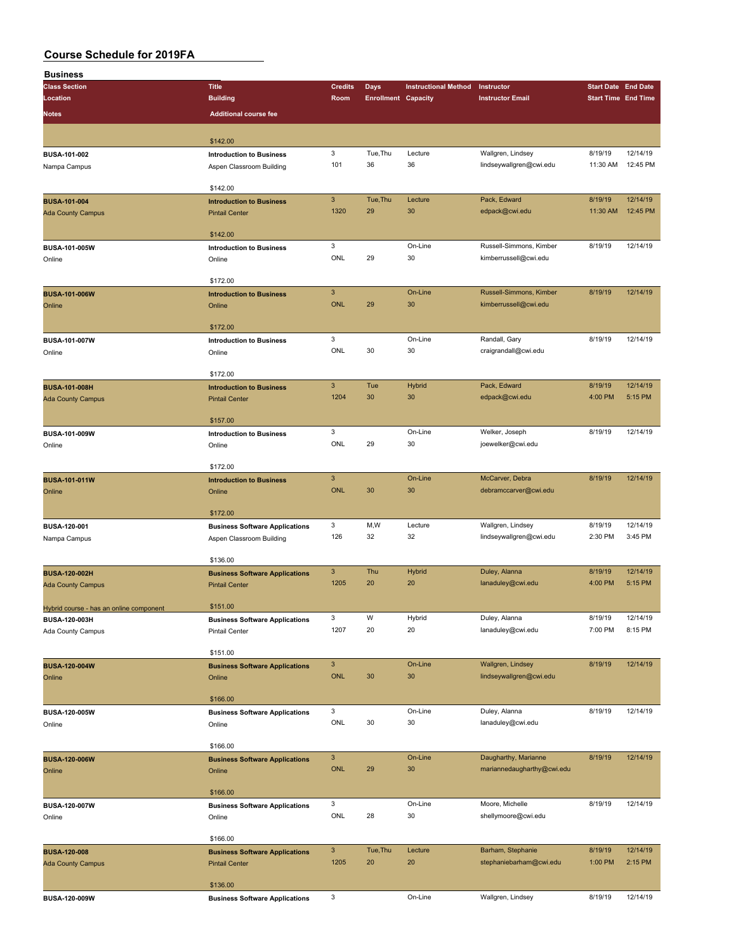| <b>Business</b>                                          |                                           |                |                            |                             |                                     |                            |          |
|----------------------------------------------------------|-------------------------------------------|----------------|----------------------------|-----------------------------|-------------------------------------|----------------------------|----------|
| <b>Class Section</b>                                     | <b>Title</b>                              | <b>Credits</b> | <b>Days</b>                | <b>Instructional Method</b> | Instructor                          | <b>Start Date End Date</b> |          |
| Location                                                 | <b>Building</b>                           | Room           | <b>Enrollment Capacity</b> |                             | <b>Instructor Email</b>             | <b>Start Time End Time</b> |          |
| <b>Notes</b>                                             | <b>Additional course fee</b>              |                |                            |                             |                                     |                            |          |
|                                                          |                                           |                |                            |                             |                                     |                            |          |
|                                                          | \$142.00                                  |                |                            |                             |                                     |                            |          |
| BUSA-101-002                                             | <b>Introduction to Business</b>           | 3              | Tue, Thu                   | Lecture                     | Wallgren, Lindsey                   | 8/19/19                    | 12/14/19 |
| Nampa Campus                                             | Aspen Classroom Building                  | 101            | 36                         | 36                          | lindseywallgren@cwi.edu             | 11:30 AM                   | 12:45 PM |
|                                                          |                                           |                |                            |                             |                                     |                            |          |
|                                                          | \$142.00                                  |                |                            |                             |                                     |                            |          |
| <b>BUSA-101-004</b>                                      | <b>Introduction to Business</b>           | $\overline{3}$ | Tue, Thu                   | Lecture                     | Pack, Edward                        | 8/19/19                    | 12/14/19 |
| <b>Ada County Campus</b>                                 | <b>Pintail Center</b>                     | 1320           | 29                         | 30                          | edpack@cwi.edu                      | 11:30 AM                   | 12:45 PM |
|                                                          |                                           |                |                            |                             |                                     |                            |          |
|                                                          | \$142.00                                  |                |                            |                             |                                     |                            |          |
| BUSA-101-005W                                            | <b>Introduction to Business</b>           | 3              |                            | On-Line                     | Russell-Simmons, Kimber             | 8/19/19                    | 12/14/19 |
| Online                                                   | Online                                    | ONL            | 29                         | 30                          | kimberrussell@cwi.edu               |                            |          |
|                                                          | \$172.00                                  |                |                            |                             |                                     |                            |          |
| <b>BUSA-101-006W</b>                                     |                                           | $\mathbf{3}$   |                            | On-Line                     | Russell-Simmons, Kimber             | 8/19/19                    | 12/14/19 |
| Online                                                   | <b>Introduction to Business</b><br>Online | <b>ONL</b>     | 29                         | 30                          | kimberrussell@cwi.edu               |                            |          |
|                                                          |                                           |                |                            |                             |                                     |                            |          |
|                                                          | \$172.00                                  |                |                            |                             |                                     |                            |          |
| <b>BUSA-101-007W</b>                                     | <b>Introduction to Business</b>           | 3              |                            | On-Line                     | Randall, Gary                       | 8/19/19                    | 12/14/19 |
| Online                                                   | Online                                    | ONL            | 30                         | 30                          | craigrandall@cwi.edu                |                            |          |
|                                                          |                                           |                |                            |                             |                                     |                            |          |
|                                                          | \$172.00                                  |                |                            |                             |                                     |                            |          |
| <b>BUSA-101-008H</b>                                     | <b>Introduction to Business</b>           | $\mathbf{3}$   | Tue                        | Hybrid                      | Pack, Edward                        | 8/19/19                    | 12/14/19 |
| <b>Ada County Campus</b>                                 | <b>Pintail Center</b>                     | 1204           | 30                         | 30                          | edpack@cwi.edu                      | 4:00 PM                    | 5:15 PM  |
|                                                          |                                           |                |                            |                             |                                     |                            |          |
|                                                          | \$157.00                                  |                |                            |                             |                                     |                            |          |
| BUSA-101-009W                                            | <b>Introduction to Business</b>           | 3<br>ONL       | 29                         | On-Line<br>30               | Welker, Joseph<br>joewelker@cwi.edu | 8/19/19                    | 12/14/19 |
| Online                                                   | Online                                    |                |                            |                             |                                     |                            |          |
|                                                          | \$172.00                                  |                |                            |                             |                                     |                            |          |
| BUSA-101-011W                                            | <b>Introduction to Business</b>           | $\mathbf{3}$   |                            | On-Line                     | McCarver, Debra                     | 8/19/19                    | 12/14/19 |
| Online                                                   | Online                                    | <b>ONL</b>     | 30                         | 30                          | debramccarver@cwi.edu               |                            |          |
|                                                          |                                           |                |                            |                             |                                     |                            |          |
|                                                          | \$172.00                                  |                |                            |                             |                                     |                            |          |
| BUSA-120-001                                             | <b>Business Software Applications</b>     | 3              | M,W                        | Lecture                     | Wallgren, Lindsey                   | 8/19/19                    | 12/14/19 |
| Nampa Campus                                             | Aspen Classroom Building                  | 126            | 32                         | 32                          | lindseywallgren@cwi.edu             | 2:30 PM                    | 3:45 PM  |
|                                                          |                                           |                |                            |                             |                                     |                            |          |
|                                                          | \$136.00                                  |                |                            |                             |                                     |                            |          |
| <b>BUSA-120-002H</b>                                     | <b>Business Software Applications</b>     | $\mathbf{3}$   | Thu                        | Hybrid                      | Duley, Alanna                       | 8/19/19                    | 12/14/19 |
| <b>Ada County Campus</b>                                 | <b>Pintail Center</b>                     | 1205           | 20                         | 20                          | lanaduley@cwi.edu                   | 4:00 PM                    | 5:15 PM  |
|                                                          | \$151.00                                  |                |                            |                             |                                     |                            |          |
| Hybrid course - has an online component<br>BUSA-120-003H | <b>Business Software Applications</b>     | 3              | W                          | Hybrid                      | Duley, Alanna                       | 8/19/19                    | 12/14/19 |
| Ada County Campus                                        | <b>Pintail Center</b>                     | 1207           | 20                         | 20                          | lanaduley@cwi.edu                   | 7:00 PM                    | 8:15 PM  |
|                                                          |                                           |                |                            |                             |                                     |                            |          |
|                                                          | \$151.00                                  |                |                            |                             |                                     |                            |          |
| <b>BUSA-120-004W</b>                                     | <b>Business Software Applications</b>     | $\mathbf{3}$   |                            | On-Line                     | Wallgren, Lindsey                   | 8/19/19                    | 12/14/19 |
| Online                                                   | Online                                    | <b>ONL</b>     | 30                         | 30                          | lindseywallgren@cwi.edu             |                            |          |
|                                                          |                                           |                |                            |                             |                                     |                            |          |
|                                                          | \$166.00                                  |                |                            |                             |                                     |                            |          |
| BUSA-120-005W                                            | <b>Business Software Applications</b>     | 3              |                            | On-Line                     | Duley, Alanna                       | 8/19/19                    | 12/14/19 |
| Online                                                   | Online                                    | ONL            | 30                         | 30                          | lanaduley@cwi.edu                   |                            |          |
|                                                          | \$166.00                                  |                |                            |                             |                                     |                            |          |
|                                                          |                                           | $\mathbf{3}$   |                            | On-Line                     | Daugharthy, Marianne                | 8/19/19                    | 12/14/19 |
| <b>BUSA-120-006W</b>                                     | <b>Business Software Applications</b>     | <b>ONL</b>     | 29                         | 30                          | mariannedaugharthy@cwi.edu          |                            |          |
| Online                                                   | Online                                    |                |                            |                             |                                     |                            |          |
|                                                          | \$166.00                                  |                |                            |                             |                                     |                            |          |
| BUSA-120-007W                                            | <b>Business Software Applications</b>     | 3              |                            | On-Line                     | Moore, Michelle                     | 8/19/19                    | 12/14/19 |
| Online                                                   | Online                                    | ONL            | 28                         | 30                          | shellymoore@cwi.edu                 |                            |          |
|                                                          |                                           |                |                            |                             |                                     |                            |          |
|                                                          | \$166.00                                  |                |                            |                             |                                     |                            |          |
| <b>BUSA-120-008</b>                                      | <b>Business Software Applications</b>     | $\mathbf{3}$   | Tue, Thu                   | Lecture                     | Barham, Stephanie                   | 8/19/19                    | 12/14/19 |
| <b>Ada County Campus</b>                                 | <b>Pintail Center</b>                     | 1205           | 20                         | 20                          | stephaniebarham@cwi.edu             | 1:00 PM                    | 2:15 PM  |
|                                                          |                                           |                |                            |                             |                                     |                            |          |
|                                                          | \$136.00                                  |                |                            |                             |                                     |                            |          |
| BUSA-120-009W                                            | <b>Business Software Applications</b>     | 3              |                            | On-Line                     | Wallgren, Lindsey                   | 8/19/19                    | 12/14/19 |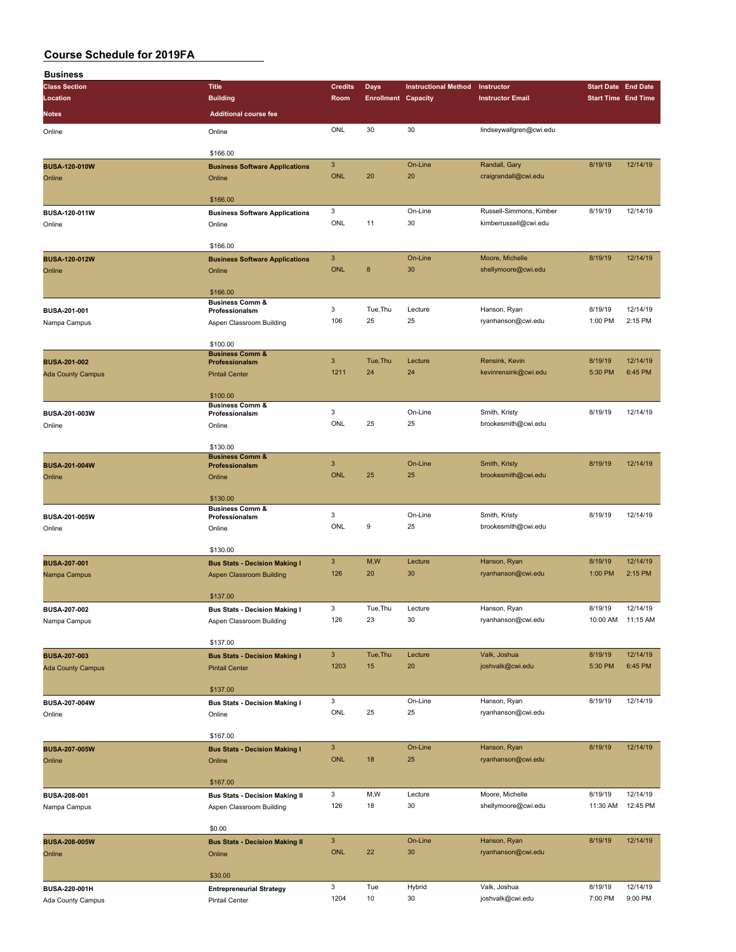| <b>Business</b>          |                                              |                           |                            |                             |                         |                            |                   |
|--------------------------|----------------------------------------------|---------------------------|----------------------------|-----------------------------|-------------------------|----------------------------|-------------------|
| <b>Class Section</b>     | <b>Title</b>                                 | <b>Credits</b>            | Days                       | <b>Instructional Method</b> | Instructor              | <b>Start Date End Date</b> |                   |
| Location                 | <b>Building</b>                              | Room                      | <b>Enrollment Capacity</b> |                             | <b>Instructor Email</b> | <b>Start Time End Time</b> |                   |
|                          |                                              |                           |                            |                             |                         |                            |                   |
| Notes                    | <b>Additional course fee</b>                 |                           |                            |                             |                         |                            |                   |
| Online                   | Online                                       | ONL                       | 30                         | 30                          | lindseywallgren@cwi.edu |                            |                   |
|                          |                                              |                           |                            |                             |                         |                            |                   |
|                          | \$166.00                                     |                           |                            |                             |                         |                            |                   |
| <b>BUSA-120-010W</b>     | <b>Business Software Applications</b>        | $\mathbf{3}$              |                            | On-Line                     | Randall, Gary           | 8/19/19                    | 12/14/19          |
| Online                   | Online                                       | <b>ONL</b>                | 20                         | 20                          | craigrandall@cwi.edu    |                            |                   |
|                          |                                              |                           |                            |                             |                         |                            |                   |
|                          | \$166.00                                     |                           |                            |                             |                         |                            |                   |
| BUSA-120-011W            | <b>Business Software Applications</b>        | 3                         |                            | On-Line                     | Russell-Simmons, Kimber | 8/19/19                    | 12/14/19          |
| Online                   | Online                                       | ONL                       | 11                         | 30                          | kimberrussell@cwi.edu   |                            |                   |
|                          |                                              |                           |                            |                             |                         |                            |                   |
|                          | \$166.00                                     |                           |                            |                             |                         |                            |                   |
| <b>BUSA-120-012W</b>     | <b>Business Software Applications</b>        | $\mathbf{3}$              |                            | On-Line                     | Moore, Michelle         | 8/19/19                    | 12/14/19          |
| Online                   | Online                                       | <b>ONL</b>                | 8                          | 30                          | shellymoore@cwi.edu     |                            |                   |
|                          |                                              |                           |                            |                             |                         |                            |                   |
|                          | \$166.00                                     |                           |                            |                             |                         |                            |                   |
|                          | <b>Business Comm &amp;</b>                   |                           |                            |                             |                         |                            |                   |
| BUSA-201-001             | Professionalsm                               | $\mathbf 3$               | Tue, Thu                   | Lecture                     | Hanson, Ryan            | 8/19/19                    | 12/14/19          |
| Nampa Campus             | Aspen Classroom Building                     | 106                       | 25                         | 25                          | ryanhanson@cwi.edu      | 1:00 PM                    | 2:15 PM           |
|                          |                                              |                           |                            |                             |                         |                            |                   |
|                          | \$100.00                                     |                           |                            |                             |                         |                            |                   |
| <b>BUSA-201-002</b>      | <b>Business Comm &amp;</b><br>Professionalsm | $\mathbf{3}$              | Tue, Thu                   | Lecture                     | Rensink, Kevin          | 8/19/19                    | 12/14/19          |
| <b>Ada County Campus</b> | <b>Pintail Center</b>                        | 1211                      | 24                         | 24                          | kevinrensink@cwi.edu    | 5:30 PM                    | 6:45 PM           |
|                          |                                              |                           |                            |                             |                         |                            |                   |
|                          | \$100.00                                     |                           |                            |                             |                         |                            |                   |
|                          | <b>Business Comm &amp;</b>                   |                           |                            |                             |                         |                            |                   |
| BUSA-201-003W            | Professionalsm                               | 3                         |                            | On-Line                     | Smith, Kristy           | 8/19/19                    | 12/14/19          |
| Online                   | Online                                       | ONL                       | 25                         | 25                          | brookesmith@cwi.edu     |                            |                   |
|                          |                                              |                           |                            |                             |                         |                            |                   |
|                          | \$130.00                                     |                           |                            |                             |                         |                            |                   |
|                          | <b>Business Comm &amp;</b>                   | $\mathbf{3}$              |                            | On-Line                     | Smith, Kristy           | 8/19/19                    | 12/14/19          |
| <b>BUSA-201-004W</b>     | Professionalsm                               | <b>ONL</b>                | 25                         | 25                          | brookesmith@cwi.edu     |                            |                   |
| Online                   | Online                                       |                           |                            |                             |                         |                            |                   |
|                          |                                              |                           |                            |                             |                         |                            |                   |
|                          | \$130.00<br><b>Business Comm &amp;</b>       |                           |                            |                             |                         |                            |                   |
| <b>BUSA-201-005W</b>     | Professionalsm                               | 3                         |                            | On-Line                     | Smith, Kristy           | 8/19/19                    | 12/14/19          |
| Online                   | Online                                       | ONL                       | 9                          | 25                          | brookesmith@cwi.edu     |                            |                   |
|                          |                                              |                           |                            |                             |                         |                            |                   |
|                          | \$130.00                                     |                           |                            |                             |                         |                            |                   |
| <b>BUSA-207-001</b>      | <b>Bus Stats - Decision Making I</b>         | $\ensuremath{\mathsf{3}}$ | M, W                       | Lecture                     | Hanson, Ryan            | 8/19/19                    | 12/14/19          |
| Nampa Campus             | Aspen Classroom Building                     | 126                       | 20                         | 30                          | ryanhanson@cwi.edu      | 1:00 PM                    | 2:15 PM           |
|                          |                                              |                           |                            |                             |                         |                            |                   |
|                          | \$137.00                                     |                           |                            |                             |                         |                            |                   |
| <b>BUSA-207-002</b>      | <b>Bus Stats - Decision Making I</b>         | 3                         | Tue, Thu                   | Lecture                     | Hanson, Ryan            | 8/19/19                    | 12/14/19          |
| Nampa Campus             | Aspen Classroom Building                     | 126                       | 23                         | 30                          | ryanhanson@cwi.edu      |                            | 10:00 AM 11:15 AM |
|                          |                                              |                           |                            |                             |                         |                            |                   |
|                          | \$137.00                                     |                           |                            |                             |                         |                            |                   |
| <b>BUSA-207-003</b>      | <b>Bus Stats - Decision Making I</b>         | $\mathbf{3}$              | Tue, Thu                   | Lecture                     | Valk, Joshua            | 8/19/19                    | 12/14/19          |
| <b>Ada County Campus</b> | <b>Pintail Center</b>                        | 1203                      | 15                         | 20                          | joshvalk@cwi.edu        | 5:30 PM                    | 6:45 PM           |
|                          |                                              |                           |                            |                             |                         |                            |                   |
|                          | \$137.00                                     |                           |                            |                             |                         |                            |                   |
| <b>BUSA-207-004W</b>     |                                              | 3                         |                            | On-Line                     | Hanson, Ryan            | 8/19/19                    | 12/14/19          |
|                          | <b>Bus Stats - Decision Making I</b>         | ONL                       | 25                         | 25                          | ryanhanson@cwi.edu      |                            |                   |
| Online                   | Online                                       |                           |                            |                             |                         |                            |                   |
|                          | \$167.00                                     |                           |                            |                             |                         |                            |                   |
|                          |                                              | $\ensuremath{\mathsf{3}}$ |                            | On-Line                     |                         | 8/19/19                    | 12/14/19          |
| <b>BUSA-207-005W</b>     | <b>Bus Stats - Decision Making I</b>         |                           |                            |                             | Hanson, Ryan            |                            |                   |
| Online                   | Online                                       | ONL                       | 18                         | 25                          | ryanhanson@cwi.edu      |                            |                   |
|                          |                                              |                           |                            |                             |                         |                            |                   |
|                          | \$167.00                                     |                           |                            |                             |                         |                            |                   |
| <b>BUSA-208-001</b>      | <b>Bus Stats - Decision Making II</b>        | 3                         | M, W                       | Lecture                     | Moore, Michelle         | 8/19/19                    | 12/14/19          |
| Nampa Campus             | Aspen Classroom Building                     | 126                       | 18                         | 30                          | shellymoore@cwi.edu     | 11:30 AM                   | 12:45 PM          |
|                          |                                              |                           |                            |                             |                         |                            |                   |
|                          | \$0.00                                       |                           |                            |                             |                         |                            |                   |
| <b>BUSA-208-005W</b>     | <b>Bus Stats - Decision Making II</b>        | $\mathbf{3}$              |                            | On-Line                     | Hanson, Ryan            | 8/19/19                    | 12/14/19          |
| Online                   | Online                                       | <b>ONL</b>                | 22                         | 30                          | ryanhanson@cwi.edu      |                            |                   |
|                          |                                              |                           |                            |                             |                         |                            |                   |
|                          | \$30.00                                      |                           |                            |                             |                         |                            |                   |
| BUSA-220-001H            | <b>Entrepreneurial Strategy</b>              | 3                         | Tue                        | Hybrid                      | Valk, Joshua            | 8/19/19                    | 12/14/19          |
| Ada County Campus        | Pintail Center                               | 1204                      | 10                         | 30                          | joshvalk@cwi.edu        | 7:00 PM                    | 9:00 PM           |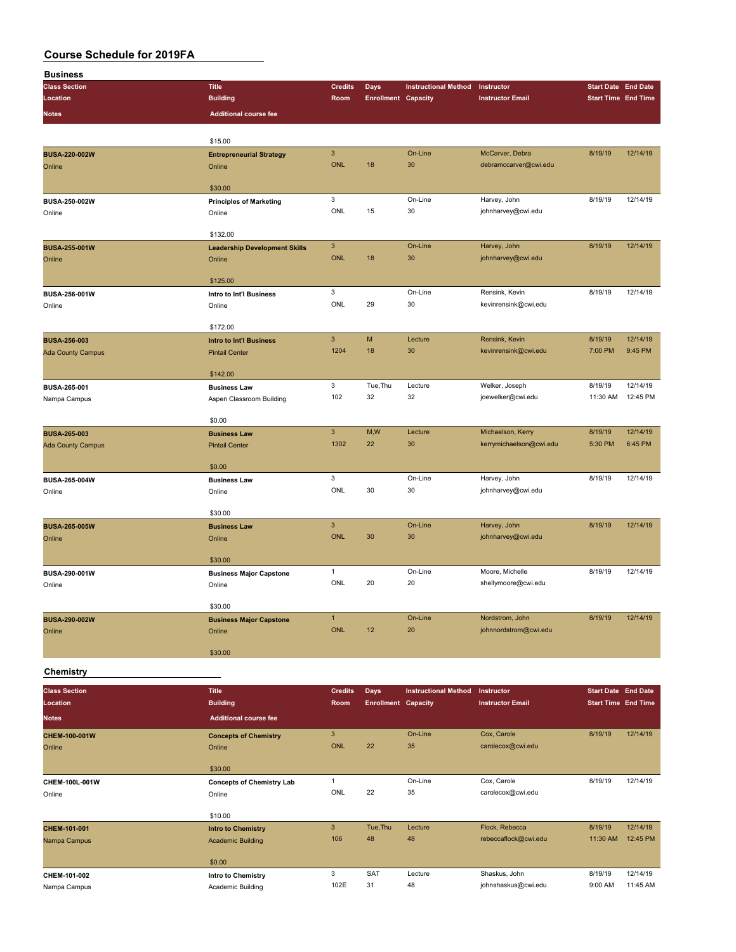| <b>Business</b>                  |                                      |                           |                                           |                             |                                        |                                                          |          |
|----------------------------------|--------------------------------------|---------------------------|-------------------------------------------|-----------------------------|----------------------------------------|----------------------------------------------------------|----------|
| <b>Class Section</b>             | <b>Title</b>                         | <b>Credits</b>            | <b>Days</b>                               | <b>Instructional Method</b> | Instructor                             | <b>Start Date End Date</b>                               |          |
| Location                         | <b>Building</b>                      | Room                      | <b>Enrollment Capacity</b>                |                             | <b>Instructor Email</b>                | <b>Start Time End Time</b>                               |          |
| <b>Notes</b>                     | <b>Additional course fee</b>         |                           |                                           |                             |                                        |                                                          |          |
|                                  |                                      |                           |                                           |                             |                                        |                                                          |          |
|                                  | \$15.00                              |                           |                                           |                             |                                        |                                                          |          |
| <b>BUSA-220-002W</b>             | <b>Entrepreneurial Strategy</b>      | $\mathbf{3}$              |                                           | On-Line                     | McCarver, Debra                        | 8/19/19                                                  | 12/14/19 |
| Online                           | Online                               | <b>ONL</b>                | 18                                        | 30                          | debramccarver@cwi.edu                  |                                                          |          |
|                                  |                                      |                           |                                           |                             |                                        |                                                          |          |
|                                  | \$30.00                              |                           |                                           |                             |                                        |                                                          |          |
| BUSA-250-002W                    | <b>Principles of Marketing</b>       | 3                         |                                           | On-Line                     | Harvey, John                           | 8/19/19                                                  | 12/14/19 |
| Online                           | Online                               | ONL                       | 15                                        | 30                          | johnharvey@cwi.edu                     |                                                          |          |
|                                  |                                      |                           |                                           |                             |                                        |                                                          |          |
|                                  | \$132.00                             |                           |                                           |                             |                                        |                                                          |          |
| <b>BUSA-255-001W</b>             | <b>Leadership Development Skills</b> | $\ensuremath{\mathsf{3}}$ |                                           | On-Line                     | Harvey, John                           | 8/19/19                                                  | 12/14/19 |
| Online                           | Online                               | <b>ONL</b>                | 18                                        | 30                          | johnharvey@cwi.edu                     |                                                          |          |
|                                  |                                      |                           |                                           |                             |                                        |                                                          |          |
|                                  | \$125.00                             | 3                         |                                           | On-Line                     | Rensink, Kevin                         | 8/19/19                                                  | 12/14/19 |
| BUSA-256-001W                    | Intro to Int'l Business              | ONL                       | 29                                        | 30                          | kevinrensink@cwi.edu                   |                                                          |          |
| Online                           | Online                               |                           |                                           |                             |                                        |                                                          |          |
|                                  | \$172.00                             |                           |                                           |                             |                                        |                                                          |          |
| <b>BUSA-256-003</b>              | <b>Intro to Int'l Business</b>       | $\mathbf{3}$              | M                                         | Lecture                     | Rensink, Kevin                         | 8/19/19                                                  | 12/14/19 |
| <b>Ada County Campus</b>         | <b>Pintail Center</b>                | 1204                      | 18                                        | 30                          | kevinrensink@cwi.edu                   | 7:00 PM                                                  | 9:45 PM  |
|                                  |                                      |                           |                                           |                             |                                        |                                                          |          |
|                                  | \$142.00                             |                           |                                           |                             |                                        |                                                          |          |
| BUSA-265-001                     | <b>Business Law</b>                  | 3                         | Tue, Thu                                  | Lecture                     | Welker, Joseph                         | 8/19/19                                                  | 12/14/19 |
| Nampa Campus                     | Aspen Classroom Building             | 102                       | 32                                        | 32                          | joewelker@cwi.edu                      | 11:30 AM                                                 | 12:45 PM |
|                                  |                                      |                           |                                           |                             |                                        |                                                          |          |
|                                  | \$0.00                               |                           |                                           |                             |                                        |                                                          |          |
| <b>BUSA-265-003</b>              | <b>Business Law</b>                  | $\overline{3}$            | M,W                                       | Lecture                     | Michaelson, Kerry                      | 8/19/19                                                  | 12/14/19 |
| <b>Ada County Campus</b>         | <b>Pintail Center</b>                | 1302                      | 22                                        | 30                          | kerrymichaelson@cwi.edu                | 5:30 PM                                                  | 6:45 PM  |
|                                  |                                      |                           |                                           |                             |                                        |                                                          |          |
|                                  | \$0.00                               | 3                         |                                           | On-Line                     |                                        | 8/19/19                                                  | 12/14/19 |
| BUSA-265-004W                    | <b>Business Law</b>                  | ONL                       | 30                                        | 30                          | Harvey, John<br>johnharvey@cwi.edu     |                                                          |          |
| Online                           | Online                               |                           |                                           |                             |                                        |                                                          |          |
|                                  | \$30.00                              |                           |                                           |                             |                                        |                                                          |          |
| <b>BUSA-265-005W</b>             | <b>Business Law</b>                  | $\mathbf{3}$              |                                           | On-Line                     | Harvey, John                           | 8/19/19                                                  | 12/14/19 |
| Online                           | Online                               | <b>ONL</b>                | 30                                        | 30                          | johnharvey@cwi.edu                     |                                                          |          |
|                                  |                                      |                           |                                           |                             |                                        |                                                          |          |
|                                  | \$30.00                              |                           |                                           |                             |                                        |                                                          |          |
| BUSA-290-001W                    | <b>Business Major Capstone</b>       | $\mathbf{1}$              |                                           | On-Line                     | Moore, Michelle                        | 8/19/19                                                  | 12/14/19 |
| Online                           | Online                               | ONL                       | 20                                        | 20                          | shellymoore@cwi.edu                    |                                                          |          |
|                                  |                                      |                           |                                           |                             |                                        |                                                          |          |
|                                  | \$30.00                              |                           |                                           |                             |                                        |                                                          |          |
| BUSA-290-002W                    | <b>Business Major Capstone</b>       | $\mathbf{1}$              |                                           | On-Line                     | Nordstrom, John                        | 8/19/19                                                  | 12/14/19 |
| Online                           | Online                               | ONL                       | 12                                        | 20                          | johnnordstrom@cwi.edu                  |                                                          |          |
|                                  |                                      |                           |                                           |                             |                                        |                                                          |          |
|                                  | \$30.00                              |                           |                                           |                             |                                        |                                                          |          |
| Chemistry                        |                                      |                           |                                           |                             |                                        |                                                          |          |
|                                  |                                      |                           |                                           |                             |                                        |                                                          |          |
| <b>Class Section</b><br>Location | <b>Title</b><br><b>Building</b>      | <b>Credits</b><br>Room    | <b>Days</b><br><b>Enrollment Capacity</b> | <b>Instructional Method</b> | Instructor<br><b>Instructor Email</b>  | <b>Start Date End Date</b><br><b>Start Time End Time</b> |          |
|                                  |                                      |                           |                                           |                             |                                        |                                                          |          |
| <b>Notes</b>                     | <b>Additional course fee</b>         |                           |                                           |                             |                                        |                                                          |          |
| CHEM-100-001W                    | <b>Concepts of Chemistry</b>         | $\ensuremath{\mathsf{3}}$ |                                           | On-Line                     | Cox, Carole                            | 8/19/19                                                  | 12/14/19 |
| Online                           | Online                               | <b>ONL</b>                | 22                                        | 35                          | carolecox@cwi.edu                      |                                                          |          |
|                                  |                                      |                           |                                           |                             |                                        |                                                          |          |
|                                  | \$30.00                              |                           |                                           |                             |                                        |                                                          |          |
| CHEM-100L-001W                   | <b>Concepts of Chemistry Lab</b>     | $\mathbf{1}$              |                                           | On-Line                     | Cox, Carole                            | 8/19/19                                                  | 12/14/19 |
| Online                           | Online                               | ONL                       | 22                                        | 35                          | carolecox@cwi.edu                      |                                                          |          |
|                                  |                                      |                           |                                           |                             |                                        |                                                          |          |
|                                  | \$10.00                              | $\mathbf{3}$              | Tue, Thu                                  | Lecture                     |                                        | 8/19/19                                                  | 12/14/19 |
| CHEM-101-001                     | <b>Intro to Chemistry</b>            | 106                       | 48                                        | 48                          | Flock, Rebecca<br>rebeccaflock@cwi.edu | 11:30 AM                                                 | 12:45 PM |
| Nampa Campus                     | <b>Academic Building</b>             |                           |                                           |                             |                                        |                                                          |          |
|                                  | \$0.00                               |                           |                                           |                             |                                        |                                                          |          |
| CHEM-101-002                     | Intro to Chemistry                   | 3                         | <b>SAT</b>                                | Lecture                     | Shaskus, John                          | 8/19/19                                                  | 12/14/19 |
| Nampa Campus                     | Academic Building                    | 102E                      | 31                                        | 48                          | johnshaskus@cwi.edu                    | 9:00 AM                                                  | 11:45 AM |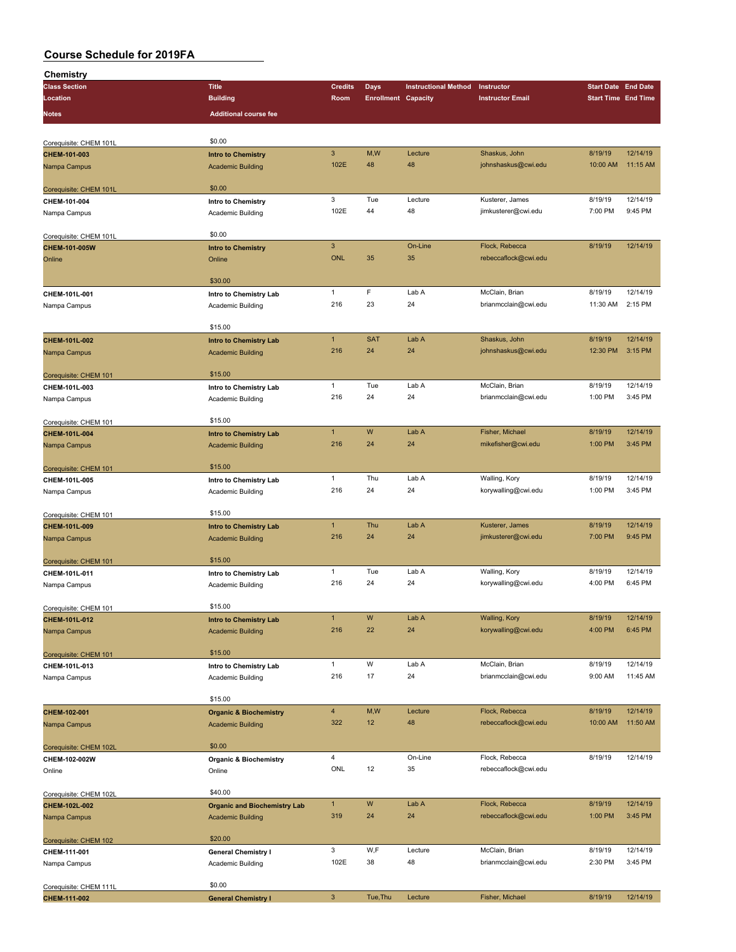| Chemistry              |                                     |                           |                            |                             |                         |                            |          |
|------------------------|-------------------------------------|---------------------------|----------------------------|-----------------------------|-------------------------|----------------------------|----------|
| <b>Class Section</b>   | <b>Title</b>                        | <b>Credits</b>            | <b>Days</b>                | <b>Instructional Method</b> | Instructor              | <b>Start Date End Date</b> |          |
| Location               | <b>Building</b>                     | Room                      | <b>Enrollment Capacity</b> |                             | <b>Instructor Email</b> | <b>Start Time End Time</b> |          |
|                        |                                     |                           |                            |                             |                         |                            |          |
| Notes                  | <b>Additional course fee</b>        |                           |                            |                             |                         |                            |          |
|                        |                                     |                           |                            |                             |                         |                            |          |
| Corequisite: CHEM 101L | \$0.00                              |                           |                            |                             |                         |                            |          |
| CHEM-101-003           | <b>Intro to Chemistry</b>           | $\ensuremath{\mathsf{3}}$ | M,W                        | Lecture                     | Shaskus, John           | 8/19/19                    | 12/14/19 |
|                        |                                     | 102E                      | 48                         | 48                          | johnshaskus@cwi.edu     | 10:00 AM                   | 11:15 AM |
| Nampa Campus           | <b>Academic Building</b>            |                           |                            |                             |                         |                            |          |
|                        |                                     |                           |                            |                             |                         |                            |          |
| Corequisite: CHEM 101L | \$0.00                              |                           |                            |                             |                         |                            |          |
| CHEM-101-004           | <b>Intro to Chemistry</b>           | 3                         | Tue                        | Lecture                     | Kusterer, James         | 8/19/19                    | 12/14/19 |
| Nampa Campus           | Academic Building                   | 102E                      | 44                         | 48                          | jimkusterer@cwi.edu     | 7:00 PM                    | 9:45 PM  |
|                        |                                     |                           |                            |                             |                         |                            |          |
| Corequisite: CHEM 101L | \$0.00                              |                           |                            |                             |                         |                            |          |
| CHEM-101-005W          | <b>Intro to Chemistry</b>           | $\ensuremath{\mathsf{3}}$ |                            | On-Line                     | Flock, Rebecca          | 8/19/19                    | 12/14/19 |
| Online                 | Online                              | <b>ONL</b>                | 35                         | 35                          | rebeccaflock@cwi.edu    |                            |          |
|                        |                                     |                           |                            |                             |                         |                            |          |
|                        | \$30.00                             |                           |                            |                             |                         |                            |          |
|                        |                                     | $\mathbf{1}$              | F                          | Lab A                       | McClain, Brian          | 8/19/19                    | 12/14/19 |
| CHEM-101L-001          | Intro to Chemistry Lab              | 216                       | 23                         | 24                          |                         | 11:30 AM                   | 2:15 PM  |
| Nampa Campus           | Academic Building                   |                           |                            |                             | brianmcclain@cwi.edu    |                            |          |
|                        |                                     |                           |                            |                             |                         |                            |          |
|                        | \$15.00                             |                           |                            |                             |                         |                            |          |
| CHEM-101L-002          | <b>Intro to Chemistry Lab</b>       | $\mathbf{1}$              | <b>SAT</b>                 | Lab A                       | Shaskus, John           | 8/19/19                    | 12/14/19 |
| Nampa Campus           | <b>Academic Building</b>            | 216                       | 24                         | 24                          | johnshaskus@cwi.edu     | 12:30 PM                   | 3:15 PM  |
|                        |                                     |                           |                            |                             |                         |                            |          |
| Corequisite: CHEM 101  | \$15.00                             |                           |                            |                             |                         |                            |          |
| CHEM-101L-003          | Intro to Chemistry Lab              | $\mathbf{1}$              | Tue                        | Lab A                       | McClain, Brian          | 8/19/19                    | 12/14/19 |
| Nampa Campus           | Academic Building                   | 216                       | 24                         | 24                          | brianmcclain@cwi.edu    | 1:00 PM                    | 3:45 PM  |
|                        |                                     |                           |                            |                             |                         |                            |          |
|                        | \$15.00                             |                           |                            |                             |                         |                            |          |
| Corequisite: CHEM 101  |                                     |                           |                            |                             |                         |                            |          |
| CHEM-101L-004          | <b>Intro to Chemistry Lab</b>       | $\mathbf{1}$              | W                          | Lab A                       | Fisher, Michael         | 8/19/19                    | 12/14/19 |
| Nampa Campus           | <b>Academic Building</b>            | 216                       | 24                         | 24                          | mikefisher@cwi.edu      | 1:00 PM                    | 3:45 PM  |
|                        |                                     |                           |                            |                             |                         |                            |          |
| Corequisite: CHEM 101  | \$15.00                             |                           |                            |                             |                         |                            |          |
| CHEM-101L-005          | Intro to Chemistry Lab              | $\mathbf{1}$              | Thu                        | Lab A                       | Walling, Kory           | 8/19/19                    | 12/14/19 |
| Nampa Campus           | Academic Building                   | 216                       | 24                         | 24                          | korywalling@cwi.edu     | 1:00 PM                    | 3:45 PM  |
|                        |                                     |                           |                            |                             |                         |                            |          |
| Corequisite: CHEM 101  | \$15.00                             |                           |                            |                             |                         |                            |          |
| CHEM-101L-009          |                                     | $\mathbf{1}$              | Thu                        | Lab A                       | Kusterer, James         | 8/19/19                    | 12/14/19 |
|                        | Intro to Chemistry Lab              | 216                       | 24                         | 24                          |                         |                            | 9:45 PM  |
| Nampa Campus           | <b>Academic Building</b>            |                           |                            |                             | jimkusterer@cwi.edu     | 7:00 PM                    |          |
|                        |                                     |                           |                            |                             |                         |                            |          |
| Corequisite: CHEM 101  | \$15.00                             |                           |                            |                             |                         |                            |          |
| CHEM-101L-011          | Intro to Chemistry Lab              | $\mathbf{1}$              | Tue                        | Lab A                       | Walling, Kory           | 8/19/19                    | 12/14/19 |
| Nampa Campus           | Academic Building                   | 216                       | 24                         | 24                          | korywalling@cwi.edu     | 4:00 PM                    | 6:45 PM  |
|                        |                                     |                           |                            |                             |                         |                            |          |
| Corequisite: CHEM 101  | \$15.00                             |                           |                            |                             |                         |                            |          |
| CHEM-101L-012          | <b>Intro to Chemistry Lab</b>       | $\mathbf{1}$              | W                          | Lab A                       | Walling, Kory           | 8/19/19                    | 12/14/19 |
| Nampa Campus           | <b>Academic Building</b>            | 216                       | 22                         | 24                          | korywalling@cwi.edu     | 4:00 PM                    | 6:45 PM  |
|                        |                                     |                           |                            |                             |                         |                            |          |
| Corequisite: CHEM 101  | \$15.00                             |                           |                            |                             |                         |                            |          |
|                        |                                     | $\mathbf{1}$              | W                          | Lab A                       | McClain, Brian          | 8/19/19                    | 12/14/19 |
| CHEM-101L-013          | Intro to Chemistry Lab              |                           |                            |                             |                         |                            |          |
| Nampa Campus           | Academic Building                   | 216                       | 17                         | 24                          | brianmcclain@cwi.edu    | 9:00 AM                    | 11:45 AM |
|                        |                                     |                           |                            |                             |                         |                            |          |
|                        | \$15.00                             |                           |                            |                             |                         |                            |          |
| CHEM-102-001           | <b>Organic &amp; Biochemistry</b>   | $\overline{4}$            | M,W                        | Lecture                     | Flock, Rebecca          | 8/19/19                    | 12/14/19 |
| Nampa Campus           | <b>Academic Building</b>            | 322                       | 12                         | 48                          | rebeccaflock@cwi.edu    | 10:00 AM                   | 11:50 AM |
|                        |                                     |                           |                            |                             |                         |                            |          |
| Corequisite: CHEM 102L | \$0.00                              |                           |                            |                             |                         |                            |          |
| CHEM-102-002W          | <b>Organic &amp; Biochemistry</b>   | $\overline{4}$            |                            | On-Line                     | Flock, Rebecca          | 8/19/19                    | 12/14/19 |
|                        |                                     | ONL                       | 12                         | 35                          | rebeccaflock@cwi.edu    |                            |          |
| Online                 | Online                              |                           |                            |                             |                         |                            |          |
|                        |                                     |                           |                            |                             |                         |                            |          |
| Corequisite: CHEM 102L | \$40.00                             |                           |                            |                             |                         |                            |          |
| CHEM-102L-002          | <b>Organic and Biochemistry Lab</b> | $\mathbf{1}$              | W                          | Lab A                       | Flock, Rebecca          | 8/19/19                    | 12/14/19 |
| Nampa Campus           | <b>Academic Building</b>            | 319                       | 24                         | 24                          | rebeccaflock@cwi.edu    | 1:00 PM                    | 3:45 PM  |
|                        |                                     |                           |                            |                             |                         |                            |          |
| Corequisite: CHEM 102  | \$20.00                             |                           |                            |                             |                         |                            |          |
| CHEM-111-001           | <b>General Chemistry I</b>          | 3                         | W,F                        | Lecture                     | McClain, Brian          | 8/19/19                    | 12/14/19 |
|                        |                                     | 102E                      | 38                         | 48                          | brianmcclain@cwi.edu    | 2:30 PM                    | 3:45 PM  |
| Nampa Campus           | Academic Building                   |                           |                            |                             |                         |                            |          |
|                        |                                     |                           |                            |                             |                         |                            |          |
| Corequisite: CHEM 111L | \$0.00                              |                           |                            |                             |                         |                            |          |
| CHEM-111-002           | <b>General Chemistry I</b>          | $\mathsf 3$               | Tue, Thu                   | Lecture                     | Fisher, Michael         | 8/19/19                    | 12/14/19 |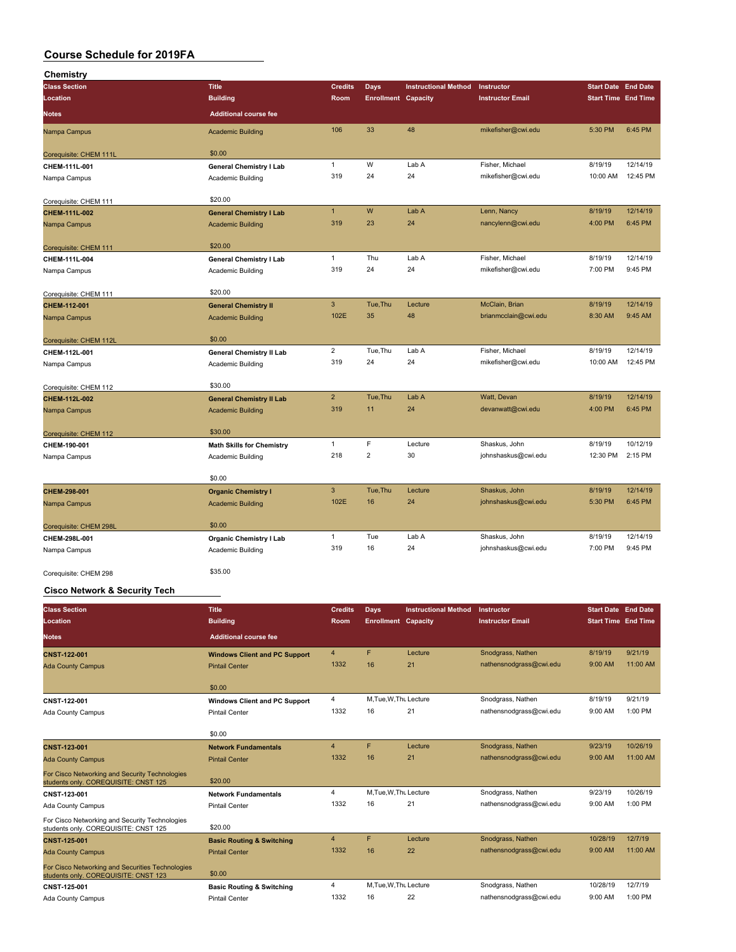| Chemistry              |                                  |                |                            |                             |                         |                            |          |
|------------------------|----------------------------------|----------------|----------------------------|-----------------------------|-------------------------|----------------------------|----------|
| <b>Class Section</b>   | <b>Title</b>                     | <b>Credits</b> | <b>Days</b>                | <b>Instructional Method</b> | Instructor              | <b>Start Date End Date</b> |          |
| Location               | <b>Building</b>                  | Room           | <b>Enrollment Capacity</b> |                             | <b>Instructor Email</b> | <b>Start Time End Time</b> |          |
| <b>Notes</b>           | <b>Additional course fee</b>     |                |                            |                             |                         |                            |          |
| Nampa Campus           | <b>Academic Building</b>         | 106            | 33                         | 48                          | mikefisher@cwi.edu      | 5:30 PM                    | 6:45 PM  |
| Corequisite: CHEM 111L | \$0.00                           |                |                            |                             |                         |                            |          |
| CHEM-111L-001          | <b>General Chemistry I Lab</b>   | $\mathbf{1}$   | W                          | Lab A                       | Fisher, Michael         | 8/19/19                    | 12/14/19 |
| Nampa Campus           | Academic Building                | 319            | 24                         | 24                          | mikefisher@cwi.edu      | 10:00 AM                   | 12:45 PM |
| Corequisite: CHEM 111  | \$20.00                          |                |                            |                             |                         |                            |          |
| CHEM-111L-002          | <b>General Chemistry I Lab</b>   | $\overline{1}$ | W                          | Lab A                       | Lenn, Nancy             | 8/19/19                    | 12/14/19 |
| Nampa Campus           | <b>Academic Building</b>         | 319            | 23                         | 24                          | nancylenn@cwi.edu       | 4:00 PM                    | 6:45 PM  |
| Corequisite: CHEM 111  | \$20.00                          |                |                            |                             |                         |                            |          |
| CHEM-111L-004          | <b>General Chemistry I Lab</b>   | $\mathbf{1}$   | Thu                        | Lab A                       | Fisher, Michael         | 8/19/19                    | 12/14/19 |
| Nampa Campus           | Academic Building                | 319            | 24                         | 24                          | mikefisher@cwi.edu      | 7:00 PM                    | 9:45 PM  |
| Corequisite: CHEM 111  | \$20.00                          |                |                            |                             |                         |                            |          |
| CHEM-112-001           | <b>General Chemistry II</b>      | 3              | Tue, Thu                   | Lecture                     | McClain, Brian          | 8/19/19                    | 12/14/19 |
| Nampa Campus           | <b>Academic Building</b>         | 102E           | 35                         | 48                          | brianmcclain@cwi.edu    | 8:30 AM                    | 9:45 AM  |
| Corequisite: CHEM 112L | \$0.00                           |                |                            |                             |                         |                            |          |
| CHEM-112L-001          | <b>General Chemistry II Lab</b>  | $\overline{2}$ | Tue, Thu                   | Lab A                       | Fisher, Michael         | 8/19/19                    | 12/14/19 |
| Nampa Campus           | <b>Academic Building</b>         | 319            | 24                         | 24                          | mikefisher@cwi.edu      | 10:00 AM                   | 12:45 PM |
| Corequisite: CHEM 112  | \$30.00                          |                |                            |                             |                         |                            |          |
| CHEM-112L-002          | <b>General Chemistry II Lab</b>  | $\overline{2}$ | Tue, Thu                   | Lab A                       | Watt, Devan             | 8/19/19                    | 12/14/19 |
| Nampa Campus           | <b>Academic Building</b>         | 319            | 11                         | 24                          | devanwatt@cwi.edu       | 4:00 PM                    | 6:45 PM  |
| Corequisite: CHEM 112  | \$30.00                          |                |                            |                             |                         |                            |          |
| CHEM-190-001           | <b>Math Skills for Chemistry</b> | 1              | F                          | Lecture                     | Shaskus, John           | 8/19/19                    | 10/12/19 |
| Nampa Campus           | Academic Building                | 218            | $\overline{2}$             | 30                          | johnshaskus@cwi.edu     | 12:30 PM                   | 2:15 PM  |
|                        | \$0.00                           |                |                            |                             |                         |                            |          |
| CHEM-298-001           | <b>Organic Chemistry I</b>       | 3              | Tue, Thu                   | Lecture                     | Shaskus, John           | 8/19/19                    | 12/14/19 |
| Nampa Campus           | <b>Academic Building</b>         | 102E           | 16                         | 24                          | johnshaskus@cwi.edu     | 5:30 PM                    | 6:45 PM  |
| Corequisite: CHEM 298L | \$0.00                           |                |                            |                             |                         |                            |          |
| CHEM-298L-001          | <b>Organic Chemistry I Lab</b>   | $\mathbf{1}$   | Tue                        | Lab A                       | Shaskus, John           | 8/19/19                    | 12/14/19 |
| Nampa Campus           | <b>Academic Building</b>         | 319            | 16                         | 24                          | johnshaskus@cwi.edu     | 7:00 PM                    | 9:45 PM  |
| Corequisite: CHEM 298  | \$35.00                          |                |                            |                             |                         |                            |          |

#### **Cisco Network & Security Tech**

| <b>Class Section</b><br>Location                                                         | <b>Title</b><br><b>Building</b>      | <b>Credits</b><br><b>Room</b> | Days<br><b>Enrollment Capacity</b> | <b>Instructional Method</b> | Instructor<br><b>Instructor Email</b> | <b>Start Date End Date</b><br><b>Start Time End Time</b> |           |
|------------------------------------------------------------------------------------------|--------------------------------------|-------------------------------|------------------------------------|-----------------------------|---------------------------------------|----------------------------------------------------------|-----------|
| <b>Notes</b>                                                                             | <b>Additional course fee</b>         |                               |                                    |                             |                                       |                                                          |           |
| <b>CNST-122-001</b>                                                                      | <b>Windows Client and PC Support</b> | $\overline{4}$                | F                                  | Lecture                     | Snodgrass, Nathen                     | 8/19/19                                                  | 9/21/19   |
| <b>Ada County Campus</b>                                                                 | <b>Pintail Center</b>                | 1332                          | 16                                 | 21                          | nathensnodgrass@cwi.edu               | 9:00 AM                                                  | 11:00 AM  |
|                                                                                          | \$0.00                               |                               |                                    |                             |                                       |                                                          |           |
| CNST-122-001                                                                             | <b>Windows Client and PC Support</b> | 4                             | M.Tue, W.Thu Lecture               |                             | Snodgrass, Nathen                     | 8/19/19                                                  | 9/21/19   |
| Ada County Campus                                                                        | <b>Pintail Center</b>                | 1332                          | 16                                 | 21                          | nathensnodgrass@cwi.edu               | 9:00 AM                                                  | 1:00 PM   |
|                                                                                          | \$0.00                               |                               |                                    |                             |                                       |                                                          |           |
| <b>CNST-123-001</b>                                                                      | <b>Network Fundamentals</b>          | $\overline{4}$                | F                                  | Lecture                     | Snodgrass, Nathen                     | 9/23/19                                                  | 10/26/19  |
| <b>Ada County Campus</b>                                                                 | <b>Pintail Center</b>                | 1332                          | 16                                 | 21                          | nathensnodgrass@cwi.edu               | 9:00 AM                                                  | 11:00 AM  |
| For Cisco Networking and Security Technologies<br>students only. COREQUISITE: CNST 125   | \$20.00                              |                               |                                    |                             |                                       |                                                          |           |
| CNST-123-001                                                                             | <b>Network Fundamentals</b>          | 4                             | M, Tue, W, Thu Lecture             |                             | Snodgrass, Nathen                     | 9/23/19                                                  | 10/26/19  |
| Ada County Campus                                                                        | <b>Pintail Center</b>                | 1332                          | 16                                 | 21                          | nathensnodgrass@cwi.edu               | 9:00 AM                                                  | 1:00 PM   |
| For Cisco Networking and Security Technologies<br>students only. COREQUISITE: CNST 125   | \$20.00                              |                               |                                    |                             |                                       |                                                          |           |
| <b>CNST-125-001</b>                                                                      | <b>Basic Routing &amp; Switching</b> | $\overline{4}$                | F                                  | Lecture                     | Snodgrass, Nathen                     | 10/28/19                                                 | 12/7/19   |
| <b>Ada County Campus</b>                                                                 | <b>Pintail Center</b>                | 1332                          | 16                                 | 22                          | nathensnodgrass@cwi.edu               | 9:00 AM                                                  | 11:00 AM  |
| For Cisco Networking and Securities Technologies<br>students only. COREQUISITE: CNST 123 | \$0.00                               |                               |                                    |                             |                                       |                                                          |           |
| CNST-125-001                                                                             | <b>Basic Routing &amp; Switching</b> | 4                             | M.Tue, W.Thu Lecture               |                             | Snodgrass, Nathen                     | 10/28/19                                                 | 12/7/19   |
| Ada County Campus                                                                        | <b>Pintail Center</b>                | 1332                          | 16                                 | 22                          | nathensnodgrass@cwi.edu               | 9:00 AM                                                  | $1:00$ PM |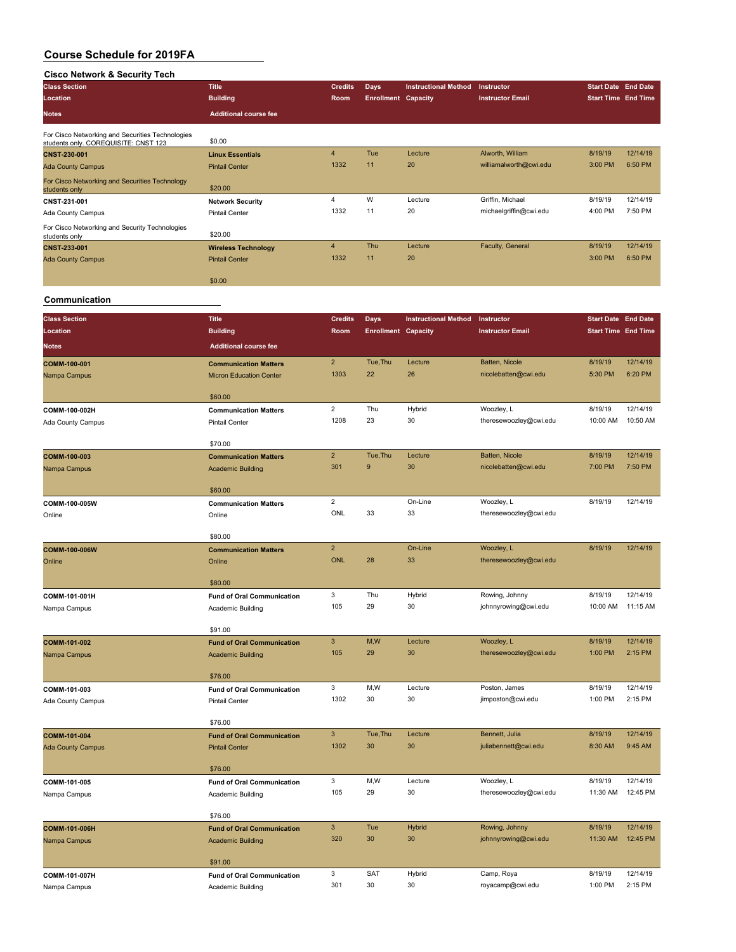#### **Cisco Network & Security Tech**

| <b>Class Section</b>                                                                     | <b>Title</b>                 | <b>Credits</b> | <b>Days</b>                | <b>Instructional Method</b> | Instructor              | <b>Start Date End Date</b> |          |
|------------------------------------------------------------------------------------------|------------------------------|----------------|----------------------------|-----------------------------|-------------------------|----------------------------|----------|
| Location                                                                                 | <b>Building</b>              | Room           | <b>Enrollment Capacity</b> |                             | <b>Instructor Email</b> | <b>Start Time End Time</b> |          |
| <b>Notes</b>                                                                             | <b>Additional course fee</b> |                |                            |                             |                         |                            |          |
| For Cisco Networking and Securities Technologies<br>students only. COREQUISITE: CNST 123 | \$0.00                       |                |                            |                             |                         |                            |          |
| <b>CNST-230-001</b>                                                                      | <b>Linux Essentials</b>      | $\overline{4}$ | Tue                        | Lecture                     | Alworth, William        | 8/19/19                    | 12/14/19 |
| <b>Ada County Campus</b>                                                                 | <b>Pintail Center</b>        | 1332           | 11                         | 20                          | williamalworth@cwi.edu  | 3:00 PM                    | 6:50 PM  |
| For Cisco Networking and Securities Technology<br>students only                          | \$20.00                      |                |                            |                             |                         |                            |          |
| CNST-231-001                                                                             | <b>Network Security</b>      | 4              | W                          | Lecture                     | Griffin, Michael        | 8/19/19                    | 12/14/19 |
| Ada County Campus                                                                        | <b>Pintail Center</b>        | 1332           | 11                         | 20                          | michaelgriffin@cwi.edu  | 4:00 PM                    | 7:50 PM  |
| For Cisco Networking and Security Technologies<br>students only                          | \$20.00                      |                |                            |                             |                         |                            |          |
| <b>CNST-233-001</b>                                                                      | <b>Wireless Technology</b>   | $\overline{4}$ | Thu                        | Lecture                     | Faculty, General        | 8/19/19                    | 12/14/19 |
| <b>Ada County Campus</b>                                                                 | <b>Pintail Center</b>        | 1332           | 11                         | 20                          |                         | 3:00 PM                    | 6:50 PM  |
|                                                                                          | \$0.00                       |                |                            |                             |                         |                            |          |
|                                                                                          |                              |                |                            |                             |                         |                            |          |

#### **Communication**

| <b>Class Section</b>     | <b>Title</b>                            | <b>Credits</b> | <b>Days</b>                | <b>Instructional Method</b> | Instructor                           | <b>Start Date End Date</b> |                     |
|--------------------------|-----------------------------------------|----------------|----------------------------|-----------------------------|--------------------------------------|----------------------------|---------------------|
| Location                 | <b>Building</b>                         | Room           | <b>Enrollment Capacity</b> |                             | <b>Instructor Email</b>              | <b>Start Time End Time</b> |                     |
|                          |                                         |                |                            |                             |                                      |                            |                     |
| <b>Notes</b>             | <b>Additional course fee</b>            |                |                            |                             |                                      |                            |                     |
| COMM-100-001             | <b>Communication Matters</b>            | $\overline{2}$ | Tue, Thu                   | Lecture                     | Batten, Nicole                       | 8/19/19                    | 12/14/19            |
| Nampa Campus             | <b>Micron Education Center</b>          | 1303           | 22                         | 26                          | nicolebatten@cwi.edu                 | 5:30 PM                    | 6:20 PM             |
|                          |                                         |                |                            |                             |                                      |                            |                     |
|                          | \$60.00                                 |                |                            |                             |                                      |                            |                     |
| COMM-100-002H            | <b>Communication Matters</b>            | $\overline{2}$ | Thu                        | Hybrid                      | Woozley, L                           | 8/19/19                    | 12/14/19            |
| Ada County Campus        | <b>Pintail Center</b>                   | 1208           | 23                         | 30                          | theresewoozley@cwi.edu               | 10:00 AM                   | 10:50 AM            |
|                          | \$70.00                                 |                |                            |                             |                                      |                            |                     |
| COMM-100-003             | <b>Communication Matters</b>            | $\overline{2}$ | Tue, Thu                   | Lecture                     | Batten, Nicole                       | 8/19/19                    | 12/14/19            |
| Nampa Campus             | <b>Academic Building</b>                | 301            | 9                          | 30                          | nicolebatten@cwi.edu                 | 7:00 PM                    | 7:50 PM             |
|                          |                                         |                |                            |                             |                                      |                            |                     |
|                          | \$60.00                                 |                |                            |                             |                                      |                            |                     |
| COMM-100-005W            | <b>Communication Matters</b>            | $\overline{2}$ |                            | On-Line                     | Woozley, L                           | 8/19/19                    | 12/14/19            |
| Online                   | Online                                  | ONL            | 33                         | 33                          | theresewoozley@cwi.edu               |                            |                     |
|                          |                                         |                |                            |                             |                                      |                            |                     |
| COMM-100-006W            | \$80.00<br><b>Communication Matters</b> | $\overline{2}$ |                            | On-Line                     | Woozley, L                           | 8/19/19                    | 12/14/19            |
| Online                   | Online                                  | <b>ONL</b>     | 28                         | 33                          | theresewoozley@cwi.edu               |                            |                     |
|                          |                                         |                |                            |                             |                                      |                            |                     |
|                          | \$80.00                                 |                |                            |                             |                                      |                            |                     |
| COMM-101-001H            | <b>Fund of Oral Communication</b>       | 3              | Thu                        | Hybrid                      | Rowing, Johnny                       | 8/19/19                    | 12/14/19            |
| Nampa Campus             | Academic Building                       | 105            | 29                         | 30                          | johnnyrowing@cwi.edu                 | 10:00 AM                   | 11:15 AM            |
|                          |                                         |                |                            |                             |                                      |                            |                     |
|                          | \$91.00                                 | $\mathsf 3$    | M,W                        | Lecture                     |                                      | 8/19/19                    | 12/14/19            |
| COMM-101-002             | <b>Fund of Oral Communication</b>       | 105            | 29                         | 30                          | Woozley, L<br>theresewoozley@cwi.edu | 1:00 PM                    | 2:15 PM             |
| Nampa Campus             | <b>Academic Building</b>                |                |                            |                             |                                      |                            |                     |
|                          | \$76.00                                 |                |                            |                             |                                      |                            |                     |
| COMM-101-003             | <b>Fund of Oral Communication</b>       | 3              | M, W                       | Lecture                     | Poston, James                        | 8/19/19                    | 12/14/19            |
| Ada County Campus        | <b>Pintail Center</b>                   | 1302           | 30                         | 30                          | jimposton@cwi.edu                    | 1:00 PM                    | 2:15 PM             |
|                          |                                         |                |                            |                             |                                      |                            |                     |
|                          | \$76.00                                 |                |                            |                             |                                      |                            |                     |
| COMM-101-004             | <b>Fund of Oral Communication</b>       | $\mathbf{3}$   | Tue, Thu                   | Lecture                     | Bennett, Julia                       | 8/19/19                    | 12/14/19            |
| <b>Ada County Campus</b> | <b>Pintail Center</b>                   | 1302           | 30                         | 30                          | juliabennett@cwi.edu                 | 8:30 AM                    | 9:45 AM             |
|                          | \$76.00                                 |                |                            |                             |                                      |                            |                     |
| COMM-101-005             | <b>Fund of Oral Communication</b>       | 3              | M,W                        | Lecture                     | Woozley, L                           | 8/19/19                    | 12/14/19            |
| Nampa Campus             | Academic Building                       | 105            | 29                         | 30                          | theresewoozley@cwi.edu               | 11:30 AM                   | 12:45 PM            |
|                          |                                         |                |                            |                             |                                      |                            |                     |
|                          | \$76.00                                 |                |                            |                             |                                      |                            |                     |
| COMM-101-006H            | <b>Fund of Oral Communication</b>       | $\overline{3}$ | Tue                        | Hybrid                      | Rowing, Johnny                       | 8/19/19                    | 12/14/19            |
| Nampa Campus             | <b>Academic Building</b>                | 320            | 30                         | 30                          | johnnyrowing@cwi.edu                 | 11:30 AM                   | 12:45 PM            |
|                          |                                         |                |                            |                             |                                      |                            |                     |
|                          | \$91.00                                 |                |                            |                             |                                      |                            |                     |
| COMM-101-007H            | <b>Fund of Oral Communication</b>       | 3<br>301       | SAT<br>30                  | Hybrid                      | Camp, Roya                           | 8/19/19<br>1:00 PM         | 12/14/19<br>2:15 PM |
| Nampa Campus             | Academic Building                       |                |                            | 30                          | royacamp@cwi.edu                     |                            |                     |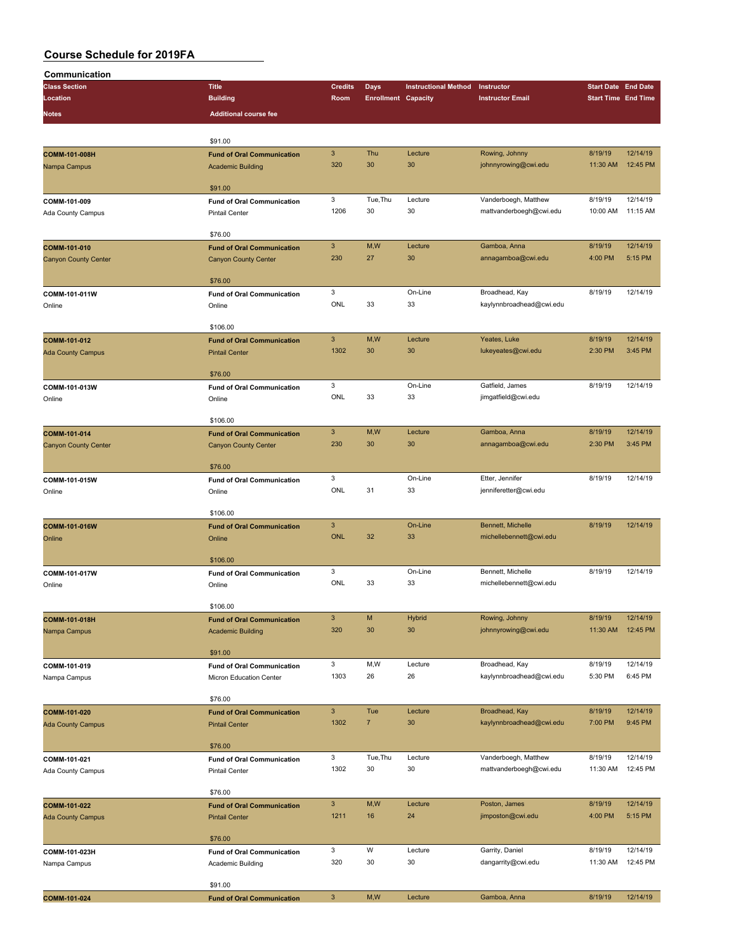| Communication               |                                   |                           |                            |                             |                          |                            |          |
|-----------------------------|-----------------------------------|---------------------------|----------------------------|-----------------------------|--------------------------|----------------------------|----------|
| <b>Class Section</b>        | <b>Title</b>                      | <b>Credits</b>            | <b>Days</b>                | <b>Instructional Method</b> | Instructor               | <b>Start Date End Date</b> |          |
| Location                    | <b>Building</b>                   | Room                      | <b>Enrollment Capacity</b> |                             | <b>Instructor Email</b>  | <b>Start Time End Time</b> |          |
| <b>Notes</b>                | <b>Additional course fee</b>      |                           |                            |                             |                          |                            |          |
|                             |                                   |                           |                            |                             |                          |                            |          |
|                             |                                   |                           |                            |                             |                          |                            |          |
|                             | \$91.00                           |                           |                            |                             |                          |                            |          |
| COMM-101-008H               | <b>Fund of Oral Communication</b> | $\mathbf{3}$              | Thu                        | Lecture                     | Rowing, Johnny           | 8/19/19                    | 12/14/19 |
| Nampa Campus                | <b>Academic Building</b>          | 320                       | 30                         | 30                          | johnnyrowing@cwi.edu     | 11:30 AM                   | 12:45 PM |
|                             |                                   |                           |                            |                             |                          |                            |          |
|                             | \$91.00                           |                           |                            |                             |                          |                            |          |
| COMM-101-009                | <b>Fund of Oral Communication</b> | 3                         | Tue, Thu                   | Lecture                     | Vanderboegh, Matthew     | 8/19/19                    | 12/14/19 |
| Ada County Campus           | <b>Pintail Center</b>             | 1206                      | 30                         | 30                          | mattvanderboegh@cwi.edu  | 10:00 AM                   | 11:15 AM |
|                             |                                   |                           |                            |                             |                          |                            |          |
|                             | \$76.00                           |                           |                            |                             |                          |                            |          |
| COMM-101-010                | <b>Fund of Oral Communication</b> | $\mathbf{3}$              | M,W                        | Lecture                     | Gamboa, Anna             | 8/19/19                    | 12/14/19 |
| <b>Canyon County Center</b> | <b>Canyon County Center</b>       | 230                       | 27                         | 30                          | annagamboa@cwi.edu       | 4:00 PM                    | 5:15 PM  |
|                             |                                   |                           |                            |                             |                          |                            |          |
|                             | \$76.00                           |                           |                            |                             |                          |                            |          |
| COMM-101-011W               | <b>Fund of Oral Communication</b> | 3                         |                            | On-Line                     | Broadhead, Kay           | 8/19/19                    | 12/14/19 |
| Online                      | Online                            | ONL                       | 33                         | 33                          | kaylynnbroadhead@cwi.edu |                            |          |
|                             |                                   |                           |                            |                             |                          |                            |          |
|                             | \$106.00                          |                           |                            |                             |                          |                            |          |
| COMM-101-012                | <b>Fund of Oral Communication</b> | $\mathbf{3}$              | M,W                        | Lecture                     | Yeates, Luke             | 8/19/19                    | 12/14/19 |
| <b>Ada County Campus</b>    | <b>Pintail Center</b>             | 1302                      | 30                         | 30                          | lukeyeates@cwi.edu       | 2:30 PM                    | 3:45 PM  |
|                             |                                   |                           |                            |                             |                          |                            |          |
|                             | \$76.00                           |                           |                            |                             |                          |                            |          |
| COMM-101-013W               | <b>Fund of Oral Communication</b> | 3                         |                            | On-Line                     | Gatfield, James          | 8/19/19                    | 12/14/19 |
| Online                      | Online                            | ONL                       | 33                         | 33                          | jimgatfield@cwi.edu      |                            |          |
|                             |                                   |                           |                            |                             |                          |                            |          |
|                             | \$106.00                          |                           |                            |                             |                          |                            |          |
| COMM-101-014                | <b>Fund of Oral Communication</b> | $\mathbf{3}$              | M,W                        | Lecture                     | Gamboa, Anna             | 8/19/19                    | 12/14/19 |
| <b>Canyon County Center</b> | <b>Canyon County Center</b>       | 230                       | 30                         | 30                          | annagamboa@cwi.edu       | 2:30 PM                    | 3:45 PM  |
|                             |                                   |                           |                            |                             |                          |                            |          |
|                             | \$76.00                           |                           |                            |                             |                          |                            |          |
| COMM-101-015W               | <b>Fund of Oral Communication</b> | 3                         |                            | On-Line                     | Etter, Jennifer          | 8/19/19                    | 12/14/19 |
| Online                      | Online                            | ONL                       | 31                         | 33                          | jenniferetter@cwi.edu    |                            |          |
|                             |                                   |                           |                            |                             |                          |                            |          |
|                             | \$106.00                          |                           |                            |                             |                          |                            |          |
| COMM-101-016W               | <b>Fund of Oral Communication</b> | $\mathbf{3}$              |                            | On-Line                     | Bennett, Michelle        | 8/19/19                    | 12/14/19 |
| Online                      | Online                            | <b>ONL</b>                | 32                         | 33                          | michellebennett@cwi.edu  |                            |          |
|                             |                                   |                           |                            |                             |                          |                            |          |
|                             | \$106.00                          |                           |                            |                             |                          |                            |          |
| COMM-101-017W               | <b>Fund of Oral Communication</b> | 3                         |                            | On-Line                     | Bennett, Michelle        | 8/19/19                    | 12/14/19 |
| Online                      | Online                            | ONL                       | 33                         | 33                          | michellebennett@cwi.edu  |                            |          |
|                             |                                   |                           |                            |                             |                          |                            |          |
|                             | \$106.00                          |                           |                            |                             |                          |                            |          |
| COMM-101-018H               | <b>Fund of Oral Communication</b> | $\ensuremath{\mathsf{3}}$ | M                          | <b>Hybrid</b>               | Rowing, Johnny           | 8/19/19                    | 12/14/19 |
|                             |                                   | 320                       | 30                         | 30                          | johnnyrowing@cwi.edu     | 11:30 AM                   | 12:45 PM |
| Nampa Campus                | <b>Academic Building</b>          |                           |                            |                             |                          |                            |          |
|                             | \$91.00                           |                           |                            |                             |                          |                            |          |
|                             |                                   | 3                         | M, W                       | Lecture                     | Broadhead, Kay           | 8/19/19                    | 12/14/19 |
| COMM-101-019                | <b>Fund of Oral Communication</b> | 1303                      | 26                         | 26                          |                          | 5:30 PM                    | 6:45 PM  |
| Nampa Campus                | Micron Education Center           |                           |                            |                             | kaylynnbroadhead@cwi.edu |                            |          |
|                             | \$76.00                           |                           |                            |                             |                          |                            |          |
|                             |                                   | $\mathbf{3}$              |                            |                             |                          |                            | 12/14/19 |
| COMM-101-020                | <b>Fund of Oral Communication</b> |                           | Tue                        | Lecture                     | Broadhead, Kay           | 8/19/19                    |          |
| <b>Ada County Campus</b>    | <b>Pintail Center</b>             | 1302                      | $\overline{7}$             | 30                          | kaylynnbroadhead@cwi.edu | 7:00 PM                    | 9:45 PM  |
|                             |                                   |                           |                            |                             |                          |                            |          |
|                             | \$76.00                           |                           |                            |                             |                          |                            |          |
| COMM-101-021                | <b>Fund of Oral Communication</b> | 3                         | Tue, Thu                   | Lecture                     | Vanderboegh, Matthew     | 8/19/19                    | 12/14/19 |
| Ada County Campus           | <b>Pintail Center</b>             | 1302                      | 30                         | 30                          | mattvanderboegh@cwi.edu  | 11:30 AM                   | 12:45 PM |
|                             |                                   |                           |                            |                             |                          |                            |          |
|                             | \$76.00                           |                           |                            |                             |                          |                            |          |
| COMM-101-022                | <b>Fund of Oral Communication</b> | $\mathbf{3}$              | M,W                        | Lecture                     | Poston, James            | 8/19/19                    | 12/14/19 |
| <b>Ada County Campus</b>    | <b>Pintail Center</b>             | 1211                      | 16                         | 24                          | jimposton@cwi.edu        | 4:00 PM                    | 5:15 PM  |
|                             |                                   |                           |                            |                             |                          |                            |          |
|                             | \$76.00                           |                           |                            |                             |                          |                            |          |
| COMM-101-023H               | <b>Fund of Oral Communication</b> | 3                         | W                          | Lecture                     | Garrity, Daniel          | 8/19/19                    | 12/14/19 |
| Nampa Campus                | Academic Building                 | 320                       | 30                         | 30                          | dangarrity@cwi.edu       | 11:30 AM                   | 12:45 PM |
|                             |                                   |                           |                            |                             |                          |                            |          |
|                             | \$91.00                           |                           |                            |                             |                          |                            |          |
| COMM-101-024                | <b>Fund of Oral Communication</b> | $\mathsf 3$               | M,W                        | Lecture                     | Gamboa, Anna             | 8/19/19                    | 12/14/19 |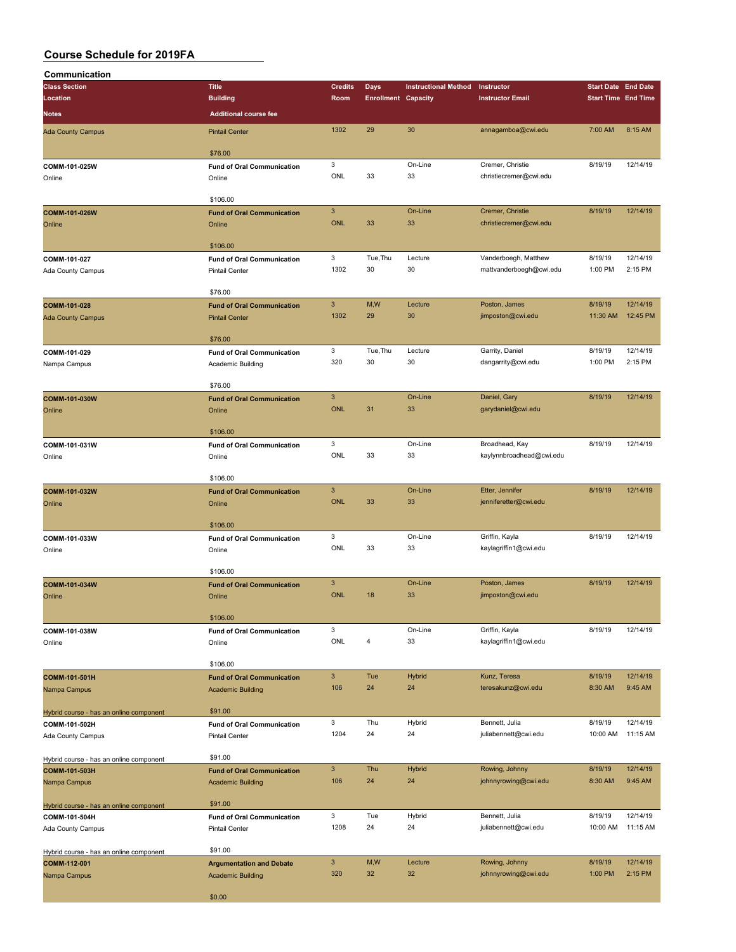| Communication                           |                                                               |                           |                            |                             |                                         |                            |                      |
|-----------------------------------------|---------------------------------------------------------------|---------------------------|----------------------------|-----------------------------|-----------------------------------------|----------------------------|----------------------|
| <b>Class Section</b>                    | <b>Title</b>                                                  | <b>Credits</b>            | <b>Days</b>                | <b>Instructional Method</b> | Instructor                              | <b>Start Date End Date</b> |                      |
| Location                                | <b>Building</b>                                               | Room                      | <b>Enrollment Capacity</b> |                             | <b>Instructor Email</b>                 | <b>Start Time End Time</b> |                      |
| <b>Notes</b>                            | <b>Additional course fee</b>                                  |                           |                            |                             |                                         |                            |                      |
| <b>Ada County Campus</b>                | <b>Pintail Center</b>                                         | 1302                      | 29                         | 30                          | annagamboa@cwi.edu                      | 7:00 AM                    | 8:15 AM              |
|                                         | \$76.00                                                       |                           |                            |                             |                                         |                            |                      |
| COMM-101-025W                           | <b>Fund of Oral Communication</b>                             | 3                         |                            | On-Line                     | Cremer, Christie                        | 8/19/19                    | 12/14/19             |
| Online                                  | Online                                                        | ONL                       | 33                         | 33                          | christiecremer@cwi.edu                  |                            |                      |
|                                         | \$106.00                                                      |                           |                            |                             |                                         |                            |                      |
| COMM-101-026W                           | <b>Fund of Oral Communication</b>                             | $\ensuremath{\mathsf{3}}$ |                            | On-Line                     | Cremer, Christie                        | 8/19/19                    | 12/14/19             |
| Online                                  | Online                                                        | <b>ONL</b>                | 33                         | 33                          | christiecremer@cwi.edu                  |                            |                      |
|                                         | \$106.00                                                      |                           |                            |                             |                                         |                            |                      |
| COMM-101-027                            | <b>Fund of Oral Communication</b>                             | 3                         | Tue, Thu                   | Lecture                     | Vanderboegh, Matthew                    | 8/19/19                    | 12/14/19             |
| Ada County Campus                       | <b>Pintail Center</b>                                         | 1302                      | 30                         | 30                          | mattvanderboegh@cwi.edu                 | 1:00 PM                    | 2:15 PM              |
|                                         | \$76.00                                                       |                           |                            |                             |                                         |                            |                      |
| COMM-101-028                            | <b>Fund of Oral Communication</b>                             | $\mathbf{3}$              | M,W                        | Lecture                     | Poston, James                           | 8/19/19                    | 12/14/19             |
| <b>Ada County Campus</b>                | <b>Pintail Center</b>                                         | 1302                      | 29                         | 30                          | jimposton@cwi.edu                       | 11:30 AM                   | 12:45 PM             |
|                                         | \$76.00                                                       |                           |                            |                             |                                         |                            |                      |
| COMM-101-029                            | <b>Fund of Oral Communication</b>                             | 3                         | Tue, Thu                   | Lecture                     | Garrity, Daniel                         | 8/19/19                    | 12/14/19             |
| Nampa Campus                            | Academic Building                                             | 320                       | 30                         | 30                          | dangarrity@cwi.edu                      | 1:00 PM                    | 2:15 PM              |
|                                         | \$76.00                                                       |                           |                            |                             |                                         |                            |                      |
| COMM-101-030W                           | <b>Fund of Oral Communication</b>                             | $\mathbf{3}$              |                            | On-Line                     | Daniel, Gary                            | 8/19/19                    | 12/14/19             |
| Online                                  | Online                                                        | <b>ONL</b>                | 31                         | 33                          | garydaniel@cwi.edu                      |                            |                      |
|                                         |                                                               |                           |                            |                             |                                         |                            |                      |
| COMM-101-031W                           | \$106.00<br><b>Fund of Oral Communication</b>                 | 3                         |                            | On-Line                     | Broadhead, Kay                          | 8/19/19                    | 12/14/19             |
| Online                                  | Online                                                        | ONL                       | 33                         | 33                          | kaylynnbroadhead@cwi.edu                |                            |                      |
|                                         |                                                               |                           |                            |                             |                                         |                            |                      |
| COMM-101-032W                           | \$106.00<br><b>Fund of Oral Communication</b>                 | $\mathbf{3}$              |                            | On-Line                     | Etter, Jennifer                         | 8/19/19                    | 12/14/19             |
| Online                                  | Online                                                        | <b>ONL</b>                | 33                         | 33                          | jenniferetter@cwi.edu                   |                            |                      |
|                                         |                                                               |                           |                            |                             |                                         |                            |                      |
|                                         | \$106.00                                                      | 3                         |                            | On-Line                     | Griffin, Kayla                          | 8/19/19                    | 12/14/19             |
| COMM-101-033W<br>Online                 | <b>Fund of Oral Communication</b><br>Online                   | ONL                       | 33                         | 33                          | kaylagriffin1@cwi.edu                   |                            |                      |
|                                         |                                                               |                           |                            |                             |                                         |                            |                      |
|                                         | \$106.00                                                      | $\mathbf{3}$              |                            | On-Line                     | Poston, James                           | 8/19/19                    | 12/14/19             |
| COMM-101-034W<br>Online                 | <b>Fund of Oral Communication</b><br>Online                   | <b>ONL</b>                | 18                         | 33                          | jimposton@cwi.edu                       |                            |                      |
|                                         |                                                               |                           |                            |                             |                                         |                            |                      |
|                                         | \$106.00                                                      |                           |                            |                             |                                         |                            |                      |
| COMM-101-038W<br>Online                 | <b>Fund of Oral Communication</b><br>Online                   | 3<br>ONL                  | 4                          | On-Line<br>33               | Griffin, Kayla<br>kaylagriffin1@cwi.edu | 8/19/19                    | 12/14/19             |
|                                         |                                                               |                           |                            |                             |                                         |                            |                      |
|                                         | \$106.00                                                      |                           |                            |                             |                                         |                            |                      |
| COMM-101-501H                           | <b>Fund of Oral Communication</b><br><b>Academic Building</b> | $\mathbf{3}$<br>106       | Tue<br>24                  | <b>Hybrid</b><br>24         | Kunz, Teresa<br>teresakunz@cwi.edu      | 8/19/19<br>8:30 AM         | 12/14/19<br>9:45 AM  |
| Nampa Campus                            |                                                               |                           |                            |                             |                                         |                            |                      |
| Hybrid course - has an online component | \$91.00                                                       |                           |                            |                             |                                         |                            |                      |
| COMM-101-502H                           | <b>Fund of Oral Communication</b>                             | 3<br>1204                 | Thu<br>24                  | Hybrid<br>24                | Bennett, Julia<br>juliabennett@cwi.edu  | 8/19/19<br>10:00 AM        | 12/14/19<br>11:15 AM |
| Ada County Campus                       | <b>Pintail Center</b>                                         |                           |                            |                             |                                         |                            |                      |
| Hybrid course - has an online component | \$91.00                                                       |                           |                            |                             |                                         |                            |                      |
| COMM-101-503H                           | <b>Fund of Oral Communication</b>                             | $\mathbf{3}$              | Thu                        | <b>Hybrid</b>               | Rowing, Johnny                          | 8/19/19                    | 12/14/19             |
| Nampa Campus                            | <b>Academic Building</b>                                      | 106                       | 24                         | 24                          | johnnyrowing@cwi.edu                    | 8:30 AM                    | 9:45 AM              |
| Hybrid course - has an online component | \$91.00                                                       |                           |                            |                             |                                         |                            |                      |
| COMM-101-504H                           | <b>Fund of Oral Communication</b>                             | $\mathbf 3$               | Tue                        | Hybrid                      | Bennett, Julia                          | 8/19/19                    | 12/14/19             |
| Ada County Campus                       | <b>Pintail Center</b>                                         | 1208                      | 24                         | 24                          | juliabennett@cwi.edu                    | 10:00 AM                   | 11:15 AM             |
| Hybrid course - has an online component | \$91.00                                                       |                           |                            |                             |                                         |                            |                      |
| COMM-112-001                            | <b>Argumentation and Debate</b>                               | $\mathbf{3}$              | M,W                        | Lecture                     | Rowing, Johnny                          | 8/19/19                    | 12/14/19             |
| Nampa Campus                            | <b>Academic Building</b>                                      | 320                       | 32                         | 32                          | johnnyrowing@cwi.edu                    | 1:00 PM                    | 2:15 PM              |
|                                         | \$0.00                                                        |                           |                            |                             |                                         |                            |                      |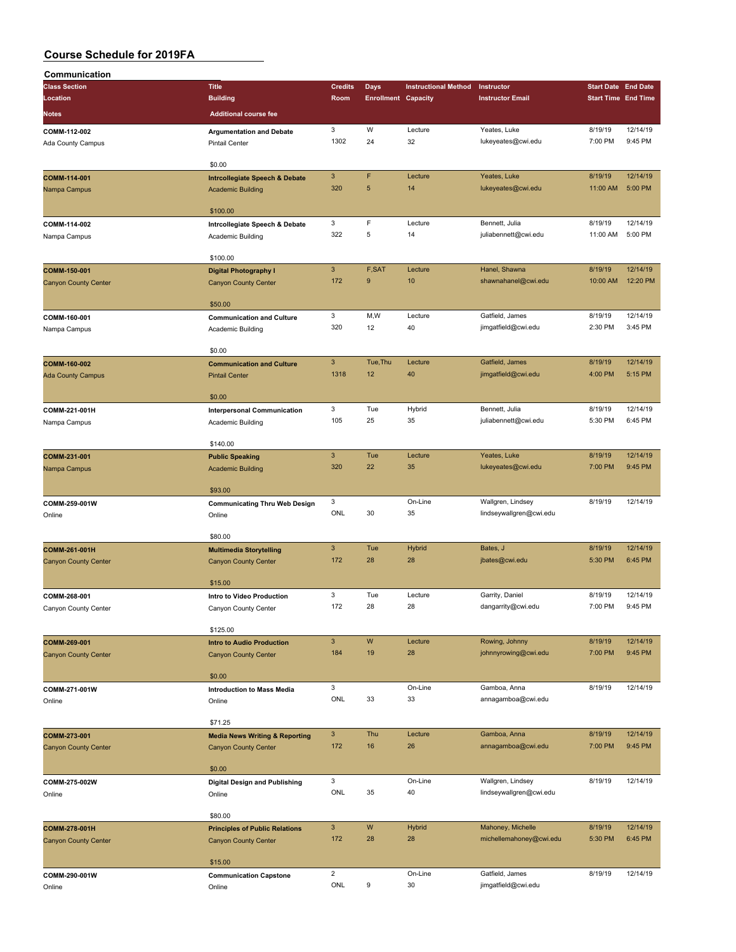| Communication               |                                                            |                           |                            |                             |                                        |                            |                     |
|-----------------------------|------------------------------------------------------------|---------------------------|----------------------------|-----------------------------|----------------------------------------|----------------------------|---------------------|
| <b>Class Section</b>        | <b>Title</b>                                               | <b>Credits</b>            | Days                       | <b>Instructional Method</b> | Instructor                             | <b>Start Date End Date</b> |                     |
| Location                    | <b>Building</b>                                            | Room                      | <b>Enrollment Capacity</b> |                             | <b>Instructor Email</b>                | <b>Start Time End Time</b> |                     |
| Notes                       | <b>Additional course fee</b>                               |                           |                            |                             |                                        |                            |                     |
|                             |                                                            |                           |                            |                             |                                        |                            |                     |
| COMM-112-002                | <b>Argumentation and Debate</b>                            | 3<br>1302                 | W<br>24                    | Lecture<br>32               | Yeates, Luke<br>lukeyeates@cwi.edu     | 8/19/19<br>7:00 PM         | 12/14/19<br>9:45 PM |
| Ada County Campus           | <b>Pintail Center</b>                                      |                           |                            |                             |                                        |                            |                     |
|                             | \$0.00                                                     |                           |                            |                             |                                        |                            |                     |
| COMM-114-001                |                                                            | $\ensuremath{\mathsf{3}}$ | F                          | Lecture                     | Yeates, Luke                           | 8/19/19                    | 12/14/19            |
| Nampa Campus                | Intrcollegiate Speech & Debate<br><b>Academic Building</b> | 320                       | 5                          | 14                          | lukeyeates@cwi.edu                     | 11:00 AM                   | 5:00 PM             |
|                             |                                                            |                           |                            |                             |                                        |                            |                     |
|                             | \$100.00                                                   |                           |                            |                             |                                        |                            |                     |
| COMM-114-002                | Intrcollegiate Speech & Debate                             | 3                         | F                          | Lecture                     | Bennett, Julia                         | 8/19/19                    | 12/14/19            |
| Nampa Campus                | Academic Building                                          | 322                       | 5                          | 14                          | juliabennett@cwi.edu                   | 11:00 AM                   | 5:00 PM             |
|                             |                                                            |                           |                            |                             |                                        |                            |                     |
|                             | \$100.00                                                   |                           |                            |                             |                                        |                            |                     |
| COMM-150-001                | <b>Digital Photography I</b>                               | $\mathbf{3}$              | F,SAT                      | Lecture                     | Hanel, Shawna                          | 8/19/19                    | 12/14/19            |
| <b>Canyon County Center</b> | <b>Canyon County Center</b>                                | 172                       | 9                          | 10                          | shawnahanel@cwi.edu                    | 10:00 AM                   | 12:20 PM            |
|                             |                                                            |                           |                            |                             |                                        |                            |                     |
|                             | \$50.00                                                    |                           |                            |                             |                                        |                            |                     |
| COMM-160-001                | <b>Communication and Culture</b>                           | 3                         | M,W                        | Lecture                     | Gatfield, James                        | 8/19/19                    | 12/14/19            |
| Nampa Campus                | Academic Building                                          | 320                       | 12                         | 40                          | jimgatfield@cwi.edu                    | 2:30 PM                    | 3:45 PM             |
|                             |                                                            |                           |                            |                             |                                        |                            |                     |
|                             | \$0.00                                                     |                           |                            |                             |                                        |                            |                     |
| COMM-160-002                | <b>Communication and Culture</b>                           | $\ensuremath{\mathsf{3}}$ | Tue, Thu                   | Lecture                     | Gatfield, James                        | 8/19/19                    | 12/14/19            |
| <b>Ada County Campus</b>    | <b>Pintail Center</b>                                      | 1318                      | 12                         | 40                          | jimgatfield@cwi.edu                    | 4:00 PM                    | 5:15 PM             |
|                             |                                                            |                           |                            |                             |                                        |                            |                     |
|                             | \$0.00                                                     |                           |                            |                             |                                        |                            |                     |
| COMM-221-001H               | <b>Interpersonal Communication</b>                         | 3<br>105                  | Tue<br>25                  | Hybrid<br>35                | Bennett, Julia<br>juliabennett@cwi.edu | 8/19/19<br>5:30 PM         | 12/14/19<br>6:45 PM |
| Nampa Campus                | Academic Building                                          |                           |                            |                             |                                        |                            |                     |
|                             | \$140.00                                                   |                           |                            |                             |                                        |                            |                     |
| COMM-231-001                |                                                            | $\mathbf{3}$              | Tue                        | Lecture                     | Yeates, Luke                           | 8/19/19                    | 12/14/19            |
|                             | <b>Public Speaking</b>                                     | 320                       | 22                         | 35                          | lukeyeates@cwi.edu                     | 7:00 PM                    | 9:45 PM             |
| Nampa Campus                | <b>Academic Building</b>                                   |                           |                            |                             |                                        |                            |                     |
|                             | \$93.00                                                    |                           |                            |                             |                                        |                            |                     |
| COMM-259-001W               | <b>Communicating Thru Web Design</b>                       | 3                         |                            | On-Line                     | Wallgren, Lindsey                      | 8/19/19                    | 12/14/19            |
| Online                      | Online                                                     | ONL                       | 30                         | 35                          | lindseywallgren@cwi.edu                |                            |                     |
|                             |                                                            |                           |                            |                             |                                        |                            |                     |
|                             | \$80.00                                                    |                           |                            |                             |                                        |                            |                     |
| COMM-261-001H               | <b>Multimedia Storytelling</b>                             | $\mathsf 3$               | Tue                        | <b>Hybrid</b>               | Bates, J                               | 8/19/19                    | 12/14/19            |
| <b>Canyon County Center</b> | <b>Canyon County Center</b>                                | 172                       | 28                         | 28                          | jbates@cwi.edu                         | 5:30 PM                    | 6:45 PM             |
|                             |                                                            |                           |                            |                             |                                        |                            |                     |
|                             | \$15.00                                                    |                           |                            |                             |                                        |                            |                     |
| COMM-268-001                | Intro to Video Production                                  | 3                         | Tue                        | Lecture                     | Garrity, Daniel                        | 8/19/19                    | 12/14/19            |
| Canyon County Center        | Canyon County Center                                       | 172                       | 28                         | 28                          | dangarrity@cwi.edu                     | 7:00 PM                    | 9:45 PM             |
|                             |                                                            |                           |                            |                             |                                        |                            |                     |
|                             | \$125.00                                                   |                           |                            |                             |                                        |                            |                     |
| COMM-269-001                | <b>Intro to Audio Production</b>                           | $\mathbf{3}$              | W                          | Lecture                     | Rowing, Johnny                         | 8/19/19                    | 12/14/19            |
| <b>Canyon County Center</b> | <b>Canyon County Center</b>                                | 184                       | 19                         | 28                          | johnnyrowing@cwi.edu                   | 7:00 PM                    | 9:45 PM             |
|                             |                                                            |                           |                            |                             |                                        |                            |                     |
|                             | \$0.00                                                     |                           |                            | On-Line                     |                                        |                            | 12/14/19            |
| COMM-271-001W               | <b>Introduction to Mass Media</b>                          | 3<br>ONL                  | 33                         | 33                          | Gamboa, Anna<br>annagamboa@cwi.edu     | 8/19/19                    |                     |
| Online                      | Online                                                     |                           |                            |                             |                                        |                            |                     |
|                             | \$71.25                                                    |                           |                            |                             |                                        |                            |                     |
| COMM-273-001                | <b>Media News Writing &amp; Reporting</b>                  | $\mathbf{3}$              | Thu                        | Lecture                     | Gamboa, Anna                           | 8/19/19                    | 12/14/19            |
| <b>Canyon County Center</b> | <b>Canyon County Center</b>                                | 172                       | 16                         | 26                          | annagamboa@cwi.edu                     | 7:00 PM                    | 9:45 PM             |
|                             |                                                            |                           |                            |                             |                                        |                            |                     |
|                             | \$0.00                                                     |                           |                            |                             |                                        |                            |                     |
| COMM-275-002W               | <b>Digital Design and Publishing</b>                       | 3                         |                            | On-Line                     | Wallgren, Lindsey                      | 8/19/19                    | 12/14/19            |
| Online                      | Online                                                     | ONL                       | 35                         | 40                          | lindseywallgren@cwi.edu                |                            |                     |
|                             |                                                            |                           |                            |                             |                                        |                            |                     |
|                             | \$80.00                                                    |                           |                            |                             |                                        |                            |                     |
| COMM-278-001H               | <b>Principles of Public Relations</b>                      | $\mathbf{3}$              | W                          | <b>Hybrid</b>               | Mahoney, Michelle                      | 8/19/19                    | 12/14/19            |
| <b>Canyon County Center</b> | <b>Canyon County Center</b>                                | 172                       | 28                         | 28                          | michellemahoney@cwi.edu                | 5:30 PM                    | 6:45 PM             |
|                             |                                                            |                           |                            |                             |                                        |                            |                     |
|                             | \$15.00                                                    |                           |                            |                             |                                        |                            |                     |
|                             |                                                            |                           |                            |                             |                                        |                            |                     |
| COMM-290-001W               | <b>Communication Capstone</b>                              | $\overline{2}$<br>ONL     | 9                          | On-Line<br>30               | Gatfield, James<br>jimgatfield@cwi.edu | 8/19/19                    | 12/14/19            |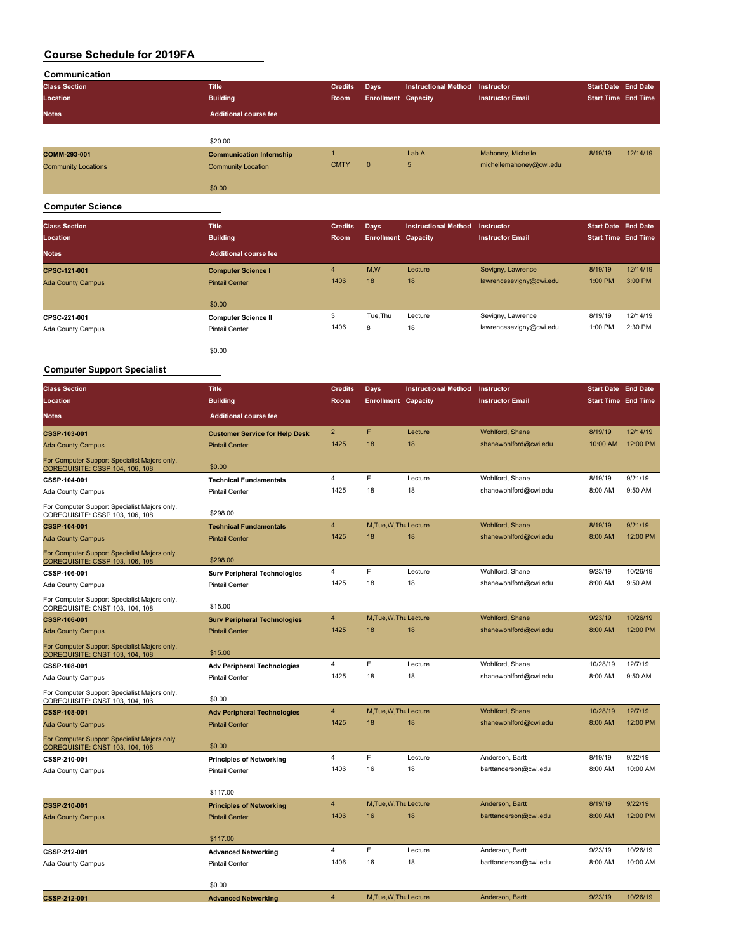| Communication              |                                 |                |                            |                             |                         |                            |                            |
|----------------------------|---------------------------------|----------------|----------------------------|-----------------------------|-------------------------|----------------------------|----------------------------|
| <b>Class Section</b>       | <b>Title</b>                    | <b>Credits</b> | Days                       | <b>Instructional Method</b> | Instructor              | <b>Start Date End Date</b> |                            |
| Location                   | <b>Building</b>                 | Room           | <b>Enrollment Capacity</b> |                             | <b>Instructor Email</b> |                            | <b>Start Time End Time</b> |
| <b>Notes</b>               | <b>Additional course fee</b>    |                |                            |                             |                         |                            |                            |
|                            |                                 |                |                            |                             |                         |                            |                            |
|                            | \$20.00                         |                |                            |                             |                         |                            |                            |
| COMM-293-001               | <b>Communication Internship</b> |                |                            | Lab A                       | Mahoney, Michelle       | 8/19/19                    | 12/14/19                   |
| <b>Community Locations</b> | <b>Community Location</b>       | <b>CMTY</b>    | $\mathbf{0}$               | 5                           | michellemahoney@cwi.edu |                            |                            |
|                            | \$0.00                          |                |                            |                             |                         |                            |                            |

#### **Computer Science**

| <b>Class Section</b><br>Location | <b>Title</b><br><b>Building</b> | <b>Credits</b><br>Room | Days<br><b>Enrollment Capacity</b> | <b>Instructional Method</b> | <b>Instructor</b><br><b>Instructor Email</b> | <b>Start Date End Date</b><br><b>Start Time End Time</b> |          |
|----------------------------------|---------------------------------|------------------------|------------------------------------|-----------------------------|----------------------------------------------|----------------------------------------------------------|----------|
| <b>Notes</b>                     | <b>Additional course fee</b>    |                        |                                    |                             |                                              |                                                          |          |
| <b>CPSC-121-001</b>              | <b>Computer Science I</b>       | 4                      | M,W                                | Lecture                     | Sevigny, Lawrence                            | 8/19/19                                                  | 12/14/19 |
| <b>Ada County Campus</b>         | <b>Pintail Center</b>           | 1406                   | 18                                 | 18                          | lawrencesevigny@cwi.edu                      | 1:00 PM                                                  | 3:00 PM  |
|                                  | \$0.00                          |                        |                                    |                             |                                              |                                                          |          |
| CPSC-221-001                     | <b>Computer Science II</b>      | 3                      | Tue, Thu                           | Lecture                     | Sevigny, Lawrence                            | 8/19/19                                                  | 12/14/19 |
| Ada County Campus                | <b>Pintail Center</b>           | 1406                   | 8                                  | 18                          | lawrencesevigny@cwi.edu                      | 1:00 PM                                                  | 2:30 PM  |
|                                  | \$0.00                          |                        |                                    |                             |                                              |                                                          |          |

#### **Computer Support Specialist**

| <b>Class Section</b>                                                            | <b>Title</b>                          | <b>Credits</b> | <b>Days</b>            | <b>Instructional Method</b> | Instructor              | <b>Start Date End Date</b> |          |
|---------------------------------------------------------------------------------|---------------------------------------|----------------|------------------------|-----------------------------|-------------------------|----------------------------|----------|
| Location                                                                        | <b>Building</b>                       | Room           | <b>Enrollment</b>      | Capacity                    | <b>Instructor Email</b> | <b>Start Time End Time</b> |          |
| Notes                                                                           | <b>Additional course fee</b>          |                |                        |                             |                         |                            |          |
| CSSP-103-001                                                                    | <b>Customer Service for Help Desk</b> | $\overline{2}$ | F                      | Lecture                     | Wohlford, Shane         | 8/19/19                    | 12/14/19 |
| <b>Ada County Campus</b>                                                        | <b>Pintail Center</b>                 | 1425           | 18                     | 18                          | shanewohlford@cwi.edu   | 10:00 AM                   | 12:00 PM |
| For Computer Support Specialist Majors only.<br>COREQUISITE: CSSP 104, 106, 108 | \$0.00                                |                |                        |                             |                         |                            |          |
| CSSP-104-001                                                                    | <b>Technical Fundamentals</b>         | $\overline{4}$ | F                      | Lecture                     | Wohlford, Shane         | 8/19/19                    | 9/21/19  |
| Ada County Campus                                                               | <b>Pintail Center</b>                 | 1425           | 18                     | 18                          | shanewohlford@cwi.edu   | 8:00 AM                    | 9:50 AM  |
| For Computer Support Specialist Majors only.<br>COREQUISITE: CSSP 103, 106, 108 | \$298.00                              |                |                        |                             |                         |                            |          |
| <b>CSSP-104-001</b>                                                             | <b>Technical Fundamentals</b>         | $\overline{4}$ | M, Tue, W, Thu Lecture |                             | Wohlford, Shane         | 8/19/19                    | 9/21/19  |
| <b>Ada County Campus</b>                                                        | <b>Pintail Center</b>                 | 1425           | 18                     | 18                          | shanewohlford@cwi.edu   | 8:00 AM                    | 12:00 PM |
| For Computer Support Specialist Majors only.<br>COREQUISITE: CSSP 103, 106, 108 | \$298.00                              |                |                        |                             |                         |                            |          |
| CSSP-106-001                                                                    | <b>Surv Peripheral Technologies</b>   | $\overline{4}$ | F                      | Lecture                     | Wohlford, Shane         | 9/23/19                    | 10/26/19 |
| Ada County Campus                                                               | <b>Pintail Center</b>                 | 1425           | 18                     | 18                          | shanewohlford@cwi.edu   | 8:00 AM                    | 9:50 AM  |
| For Computer Support Specialist Majors only.<br>COREQUISITE: CNST 103, 104, 108 | \$15.00                               |                |                        |                             |                         |                            |          |
| <b>CSSP-106-001</b>                                                             | <b>Surv Peripheral Technologies</b>   | $\overline{4}$ | M, Tue, W, Thu Lecture |                             | Wohlford, Shane         | 9/23/19                    | 10/26/19 |
| <b>Ada County Campus</b>                                                        | <b>Pintail Center</b>                 | 1425           | 18                     | 18                          | shanewohlford@cwi.edu   | 8:00 AM                    | 12:00 PM |
| For Computer Support Specialist Majors only.<br>COREQUISITE: CNST 103, 104, 108 | \$15.00                               |                |                        |                             |                         |                            |          |
| CSSP-108-001                                                                    | <b>Adv Peripheral Technologies</b>    | 4              | F                      | Lecture                     | Wohlford, Shane         | 10/28/19                   | 12/7/19  |
| Ada County Campus                                                               | <b>Pintail Center</b>                 | 1425           | 18                     | 18                          | shanewohlford@cwi.edu   | 8:00 AM                    | 9:50 AM  |
| For Computer Support Specialist Majors only.<br>COREQUISITE: CNST 103, 104, 106 | \$0.00                                |                |                        |                             |                         |                            |          |
| CSSP-108-001                                                                    | <b>Adv Peripheral Technologies</b>    | $\overline{4}$ | M, Tue, W, Thu Lecture |                             | Wohlford, Shane         | 10/28/19                   | 12/7/19  |
| <b>Ada County Campus</b>                                                        | <b>Pintail Center</b>                 | 1425           | 18                     | 18                          | shanewohlford@cwi.edu   | 8:00 AM                    | 12:00 PM |
| For Computer Support Specialist Majors only.<br>COREQUISITE: CNST 103, 104, 106 | \$0.00                                |                |                        |                             |                         |                            |          |
| CSSP-210-001                                                                    | <b>Principles of Networking</b>       | 4              | F                      | Lecture                     | Anderson, Bartt         | 8/19/19                    | 9/22/19  |
| Ada County Campus                                                               | <b>Pintail Center</b>                 | 1406           | 16                     | 18                          | barttanderson@cwi.edu   | 8:00 AM                    | 10:00 AM |
|                                                                                 | \$117.00                              |                |                        |                             |                         |                            |          |
| CSSP-210-001                                                                    | <b>Principles of Networking</b>       | $\overline{4}$ | M, Tue, W, Thu Lecture |                             | Anderson, Bartt         | 8/19/19                    | 9/22/19  |
| <b>Ada County Campus</b>                                                        | <b>Pintail Center</b>                 | 1406           | 16                     | 18                          | barttanderson@cwi.edu   | 8:00 AM                    | 12:00 PM |
|                                                                                 | \$117.00                              |                |                        |                             |                         |                            |          |
| CSSP-212-001                                                                    | <b>Advanced Networking</b>            | 4              | F                      | Lecture                     | Anderson, Bartt         | 9/23/19                    | 10/26/19 |
| Ada County Campus                                                               | <b>Pintail Center</b>                 | 1406           | 16                     | 18                          | barttanderson@cwi.edu   | 8:00 AM                    | 10:00 AM |
|                                                                                 | \$0.00                                |                |                        |                             |                         |                            |          |
| CSSP-212-001                                                                    | <b>Advanced Networking</b>            | $\overline{4}$ | M, Tue, W, Thu Lecture |                             | Anderson, Bartt         | 9/23/19                    | 10/26/19 |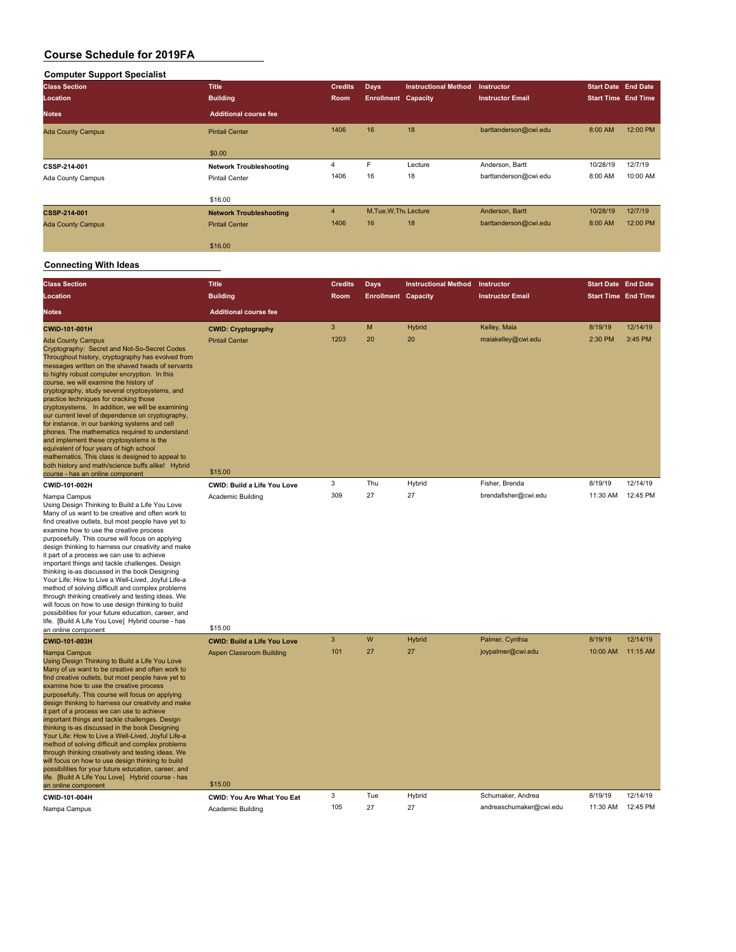## **Computer Support Specialist**

| <b>Class Section</b>     | <b>Title</b>                   | <b>Credits</b> | <b>Days</b>                | <b>Instructional Method</b> | <b>Instructor</b>       | <b>Start Date End Date</b> |          |
|--------------------------|--------------------------------|----------------|----------------------------|-----------------------------|-------------------------|----------------------------|----------|
| Location                 | <b>Building</b>                | Room           | <b>Enrollment Capacity</b> |                             | <b>Instructor Email</b> | <b>Start Time End Time</b> |          |
| <b>Notes</b>             | <b>Additional course fee</b>   |                |                            |                             |                         |                            |          |
| <b>Ada County Campus</b> | <b>Pintail Center</b>          | 1406           | 16                         | 18                          | barttanderson@cwi.edu   | 8:00 AM                    | 12:00 PM |
|                          | \$0.00                         |                |                            |                             |                         |                            |          |
| CSSP-214-001             | <b>Network Troubleshooting</b> | 4              | F                          | Lecture                     | Anderson, Bartt         | 10/28/19                   | 12/7/19  |
| Ada County Campus        | <b>Pintail Center</b>          | 1406           | 16                         | 18                          | barttanderson@cwi.edu   | 8:00 AM                    | 10:00 AM |
|                          | \$16.00                        |                |                            |                             |                         |                            |          |
| CSSP-214-001             | <b>Network Troubleshooting</b> | $\overline{4}$ | M.Tue.W.Tht Lecture        |                             | Anderson, Bartt         | 10/28/19                   | 12/7/19  |
| <b>Ada County Campus</b> | <b>Pintail Center</b>          | 1406           | 16                         | 18                          | barttanderson@cwi.edu   | 8:00 AM                    | 12:00 PM |
|                          | \$16,00                        |                |                            |                             |                         |                            |          |

| <b>Class Section</b>                                                                                                                                                                                                                                                                                                                                                                                                                                                                                                                                                                                                                                                                                                                                                                                                                    | <b>Title</b>                        | <b>Credits</b> | <b>Days</b>                | <b>Instructional Method</b> | Instructor              | <b>Start Date End Date</b> |          |
|-----------------------------------------------------------------------------------------------------------------------------------------------------------------------------------------------------------------------------------------------------------------------------------------------------------------------------------------------------------------------------------------------------------------------------------------------------------------------------------------------------------------------------------------------------------------------------------------------------------------------------------------------------------------------------------------------------------------------------------------------------------------------------------------------------------------------------------------|-------------------------------------|----------------|----------------------------|-----------------------------|-------------------------|----------------------------|----------|
| Location                                                                                                                                                                                                                                                                                                                                                                                                                                                                                                                                                                                                                                                                                                                                                                                                                                | <b>Building</b>                     | Room           | <b>Enrollment Capacity</b> |                             | <b>Instructor Email</b> | <b>Start Time End Time</b> |          |
| <b>Notes</b>                                                                                                                                                                                                                                                                                                                                                                                                                                                                                                                                                                                                                                                                                                                                                                                                                            | <b>Additional course fee</b>        |                |                            |                             |                         |                            |          |
| CWID-101-001H                                                                                                                                                                                                                                                                                                                                                                                                                                                                                                                                                                                                                                                                                                                                                                                                                           | <b>CWID: Cryptography</b>           | $\mathbf{3}$   | M                          | Hybrid                      | Kelley, Maia            | 8/19/19                    | 12/14/19 |
| <b>Ada County Campus</b><br>Cryptography: Secret and Not-So-Secret Codes<br>Throughout history, cryptography has evolved from<br>messages written on the shaved heads of servants<br>to highly robust computer encryption. In this<br>course, we will examine the history of<br>cryptography, study several cryptosystems, and<br>practice techniques for cracking those<br>cryptosystems. In addition, we will be examining<br>our current level of dependence on cryptography,<br>for instance, in our banking systems and cell<br>phones. The mathematics required to understand<br>and implement these cryptosystems is the<br>equivalent of four years of high school<br>mathematics. This class is designed to appeal to<br>both history and math/science buffs alike! Hybrid<br>course - has an online component                 | <b>Pintail Center</b><br>\$15.00    | 1203           | 20                         | 20                          | maiakelley@cwi.edu      | 2:30 PM                    | 3:45 PM  |
| CWID-101-002H                                                                                                                                                                                                                                                                                                                                                                                                                                                                                                                                                                                                                                                                                                                                                                                                                           | CWID: Build a Life You Love         | 3              | Thu                        | Hybrid                      | Fisher, Brenda          | 8/19/19                    | 12/14/19 |
| Nampa Campus<br>Using Design Thinking to Build a Life You Love<br>Many of us want to be creative and often work to<br>find creative outlets, but most people have yet to<br>examine how to use the creative process<br>purposefully. This course will focus on applying<br>design thinking to harness our creativity and make<br>it part of a process we can use to achieve<br>important things and tackle challenges. Design<br>thinking is-as discussed in the book Designing<br>Your Life: How to Live a Well-Lived, Joyful Life-a<br>method of solving difficult and complex problems<br>through thinking creatively and testing ideas. We<br>will focus on how to use design thinking to build<br>possibilities for your future education, career, and<br>life. [Build A Life You Love] Hybrid course - has<br>an online component | Academic Building<br>\$15.00        | 309            | 27                         | 27                          | brendafisher@cwi.edu    | 11:30 AM                   | 12:45 PM |
| CWID-101-003H                                                                                                                                                                                                                                                                                                                                                                                                                                                                                                                                                                                                                                                                                                                                                                                                                           | <b>CWID: Build a Life You Love</b>  | $\overline{3}$ | W                          | Hybrid                      | Palmer, Cynthia         | 8/19/19                    | 12/14/19 |
| Nampa Campus<br>Using Design Thinking to Build a Life You Love<br>Many of us want to be creative and often work to<br>find creative outlets, but most people have yet to<br>examine how to use the creative process<br>purposefully. This course will focus on applying<br>design thinking to harness our creativity and make<br>it part of a process we can use to achieve<br>important things and tackle challenges. Design<br>thinking is-as discussed in the book Designing<br>Your Life: How to Live a Well-Lived, Joyful Life-a<br>method of solving difficult and complex problems<br>through thinking creatively and testing ideas. We<br>will focus on how to use design thinking to build<br>possibilities for your future education, career, and<br>life. [Build A Life You Love] Hybrid course - has<br>an online component | Aspen Classroom Building<br>\$15.00 | 101            | 27                         | 27                          | joypalmer@cwi.edu       | 10:00 AM                   | 11:15 AM |
| CWID-101-004H                                                                                                                                                                                                                                                                                                                                                                                                                                                                                                                                                                                                                                                                                                                                                                                                                           | CWID: You Are What You Eat          | 3              | Tue                        | Hybrid                      | Schumaker, Andrea       | 8/19/19                    | 12/14/19 |
| Nampa Campus                                                                                                                                                                                                                                                                                                                                                                                                                                                                                                                                                                                                                                                                                                                                                                                                                            | Academic Building                   | 105            | 27                         | 27                          | andreaschumaker@cwi.edu | 11:30 AM                   | 12:45 PM |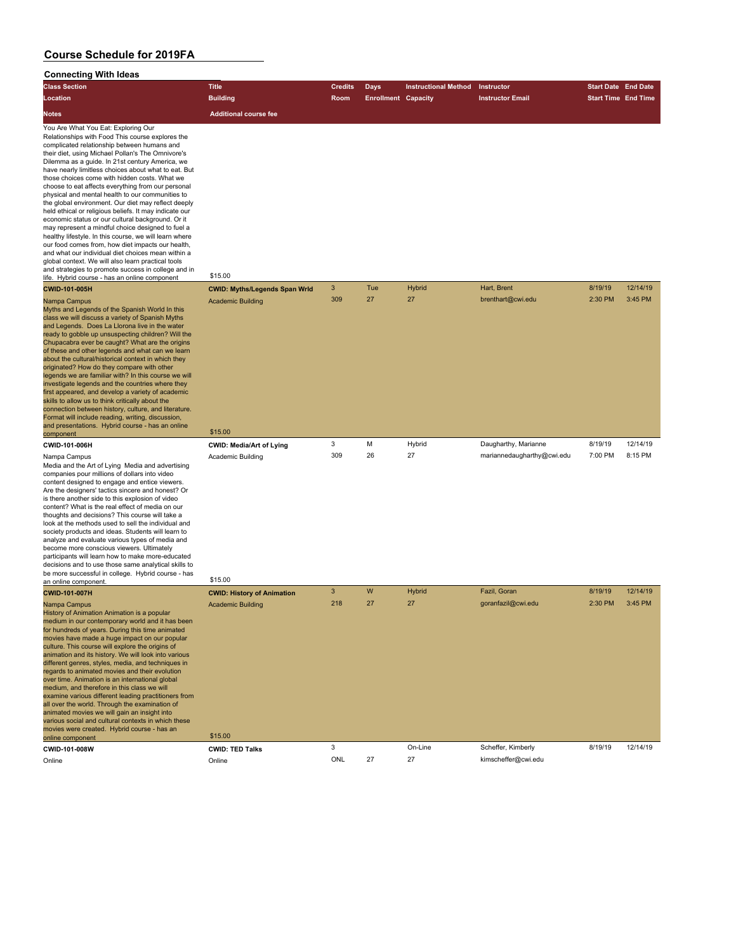## **Connecting With Ideas**

| Connecting with ideas                                                                                                                                                                                                                                                                                                                                                                                                                                                                                                                                                                                                                                                                                                                                                                                                                                                                                                                                                                                                           |                                                                          |                |                            |                             |                            |                            |          |
|---------------------------------------------------------------------------------------------------------------------------------------------------------------------------------------------------------------------------------------------------------------------------------------------------------------------------------------------------------------------------------------------------------------------------------------------------------------------------------------------------------------------------------------------------------------------------------------------------------------------------------------------------------------------------------------------------------------------------------------------------------------------------------------------------------------------------------------------------------------------------------------------------------------------------------------------------------------------------------------------------------------------------------|--------------------------------------------------------------------------|----------------|----------------------------|-----------------------------|----------------------------|----------------------------|----------|
| <b>Class Section</b>                                                                                                                                                                                                                                                                                                                                                                                                                                                                                                                                                                                                                                                                                                                                                                                                                                                                                                                                                                                                            | <b>Title</b>                                                             | <b>Credits</b> | <b>Days</b>                | <b>Instructional Method</b> | Instructor                 | <b>Start Date End Date</b> |          |
| Location                                                                                                                                                                                                                                                                                                                                                                                                                                                                                                                                                                                                                                                                                                                                                                                                                                                                                                                                                                                                                        | <b>Building</b>                                                          | Room           | <b>Enrollment Capacity</b> |                             | <b>Instructor Email</b>    | <b>Start Time End Time</b> |          |
|                                                                                                                                                                                                                                                                                                                                                                                                                                                                                                                                                                                                                                                                                                                                                                                                                                                                                                                                                                                                                                 |                                                                          |                |                            |                             |                            |                            |          |
| Notes                                                                                                                                                                                                                                                                                                                                                                                                                                                                                                                                                                                                                                                                                                                                                                                                                                                                                                                                                                                                                           | <b>Additional course fee</b>                                             |                |                            |                             |                            |                            |          |
| You Are What You Eat: Exploring Our<br>Relationships with Food This course explores the<br>complicated relationship between humans and<br>their diet, using Michael Pollan's The Omnivore's<br>Dilemma as a guide. In 21st century America, we<br>have nearly limitless choices about what to eat. But<br>those choices come with hidden costs. What we<br>choose to eat affects everything from our personal<br>physical and mental health to our communities to<br>the global environment. Our diet may reflect deeply<br>held ethical or religious beliefs. It may indicate our<br>economic status or our cultural background. Or it<br>may represent a mindful choice designed to fuel a<br>healthy lifestyle. In this course, we will learn where<br>our food comes from, how diet impacts our health,<br>and what our individual diet choices mean within a<br>global context. We will also learn practical tools<br>and strategies to promote success in college and in<br>life. Hybrid course - has an online component | \$15.00                                                                  |                |                            |                             |                            |                            |          |
| CWID-101-005H                                                                                                                                                                                                                                                                                                                                                                                                                                                                                                                                                                                                                                                                                                                                                                                                                                                                                                                                                                                                                   | <b>CWID: Myths/Legends Span Wrld</b>                                     | 3              | Tue                        | Hybrid                      | Hart, Brent                | 8/19/19                    | 12/14/19 |
| Nampa Campus<br>Myths and Legends of the Spanish World In this<br>class we will discuss a variety of Spanish Myths<br>and Legends. Does La Llorona live in the water<br>ready to gobble up unsuspecting children? Will the<br>Chupacabra ever be caught? What are the origins<br>of these and other legends and what can we learn<br>about the cultural/historical context in which they<br>originated? How do they compare with other<br>legends we are familiar with? In this course we will<br>investigate legends and the countries where they<br>first appeared, and develop a variety of academic<br>skills to allow us to think critically about the<br>connection between history, culture, and literature.<br>Format will include reading, writing, discussion,<br>and presentations. Hybrid course - has an online<br>component                                                                                                                                                                                       | <b>Academic Building</b><br>\$15.00                                      | 309            | 27                         | 27                          | brenthart@cwi.edu          | 2:30 PM                    | 3:45 PM  |
|                                                                                                                                                                                                                                                                                                                                                                                                                                                                                                                                                                                                                                                                                                                                                                                                                                                                                                                                                                                                                                 |                                                                          | 3              | M                          | Hybrid                      | Daugharthy, Marianne       | 8/19/19                    | 12/14/19 |
| CWID-101-006H<br>Nampa Campus<br>Media and the Art of Lying Media and advertising<br>companies pour millions of dollars into video<br>content designed to engage and entice viewers.<br>Are the designers' tactics sincere and honest? Or<br>is there another side to this explosion of video<br>content? What is the real effect of media on our<br>thoughts and decisions? This course will take a<br>look at the methods used to sell the individual and<br>society products and ideas. Students will learn to<br>analyze and evaluate various types of media and<br>become more conscious viewers. Ultimately<br>participants will learn how to make more-educated<br>decisions and to use those same analytical skills to<br>be more successful in college. Hybrid course - has                                                                                                                                                                                                                                            | <b>CWID: Media/Art of Lying</b><br>Academic Building<br>\$15.00          | 309            | 26                         | 27                          | mariannedaugharthy@cwi.edu | 7:00 PM                    | 8:15 PM  |
| an online component.                                                                                                                                                                                                                                                                                                                                                                                                                                                                                                                                                                                                                                                                                                                                                                                                                                                                                                                                                                                                            |                                                                          | 3              | W                          | <b>Hybrid</b>               | Fazil, Goran               | 8/19/19                    | 12/14/19 |
| <b>CWID-101-007H</b><br>Nampa Campus<br>History of Animation Animation is a popular<br>medium in our contemporary world and it has been<br>for hundreds of years. During this time animated<br>movies have made a huge impact on our popular<br>culture. This course will explore the origins of<br>animation and its history. We will look into various<br>different genres, styles, media, and techniques in<br>regards to animated movies and their evolution<br>over time. Animation is an international global<br>medium, and therefore in this class we will<br>examine various different leading practitioners from<br>all over the world. Through the examination of<br>animated movies we will gain an insight into<br>various social and cultural contexts in which these<br>movies were created. Hybrid course - has an<br>online component                                                                                                                                                                          | <b>CWID: History of Animation</b><br><b>Academic Building</b><br>\$15.00 | 218            | 27                         | 27                          | goranfazil@cwi.edu         | 2:30 PM                    | 3:45 PM  |

**CWID-101-008W CWID: TED Talks** 3 On-Line Scheffer, Kimberly 8/19/19 12/14/19 Online Online ONL 27 27 kimscheffer@cwi.edu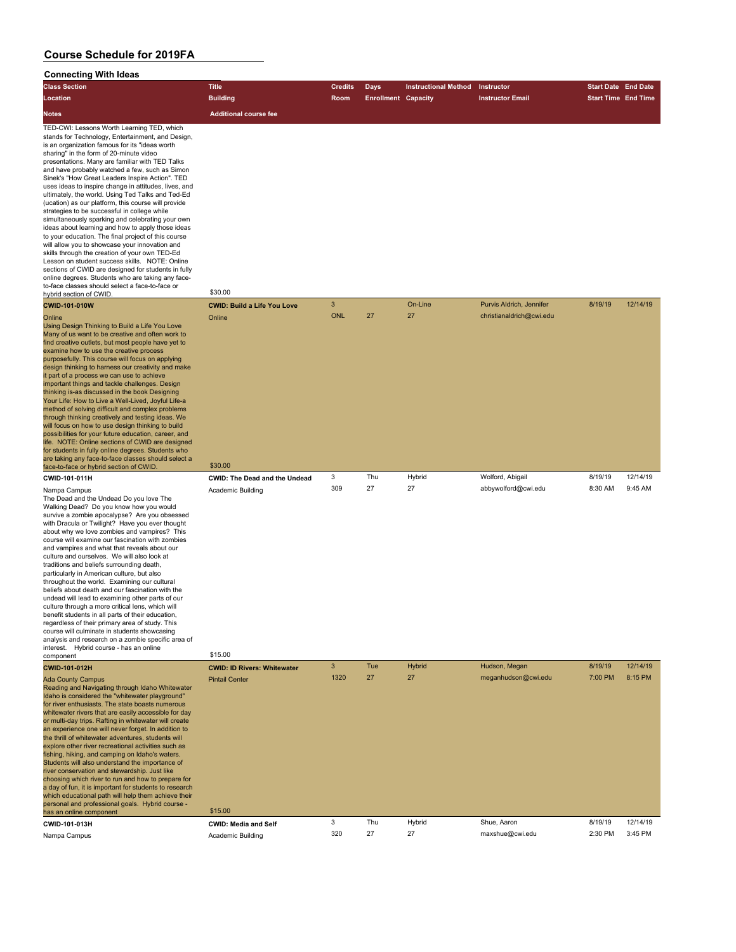| oonnoomiy<br><b>THEF INCHS</b><br><b>Class Section</b>                                                        | Title                                | <b>Credits</b> | Days                       | <b>Instructional Method</b> | Instructor               | <b>Start Date End Date</b> |          |
|---------------------------------------------------------------------------------------------------------------|--------------------------------------|----------------|----------------------------|-----------------------------|--------------------------|----------------------------|----------|
| Location                                                                                                      | <b>Building</b>                      | Room           | <b>Enrollment Capacity</b> |                             | <b>Instructor Email</b>  | <b>Start Time End Time</b> |          |
|                                                                                                               |                                      |                |                            |                             |                          |                            |          |
| <b>Notes</b>                                                                                                  | <b>Additional course fee</b>         |                |                            |                             |                          |                            |          |
| TED-CWI: Lessons Worth Learning TED, which<br>stands for Technology, Entertainment, and Design,               |                                      |                |                            |                             |                          |                            |          |
| is an organization famous for its "ideas worth<br>sharing" in the form of 20-minute video                     |                                      |                |                            |                             |                          |                            |          |
| presentations. Many are familiar with TED Talks                                                               |                                      |                |                            |                             |                          |                            |          |
| and have probably watched a few, such as Simon<br>Sinek's "How Great Leaders Inspire Action". TED             |                                      |                |                            |                             |                          |                            |          |
| uses ideas to inspire change in attitudes, lives, and                                                         |                                      |                |                            |                             |                          |                            |          |
| ultimately, the world. Using Ted Talks and Ted-Ed                                                             |                                      |                |                            |                             |                          |                            |          |
| (ucation) as our platform, this course will provide<br>strategies to be successful in college while           |                                      |                |                            |                             |                          |                            |          |
| simultaneously sparking and celebrating your own                                                              |                                      |                |                            |                             |                          |                            |          |
| ideas about learning and how to apply those ideas                                                             |                                      |                |                            |                             |                          |                            |          |
| to your education. The final project of this course<br>will allow you to showcase your innovation and         |                                      |                |                            |                             |                          |                            |          |
| skills through the creation of your own TED-Ed                                                                |                                      |                |                            |                             |                          |                            |          |
| Lesson on student success skills. NOTE: Online<br>sections of CWID are designed for students in fully         |                                      |                |                            |                             |                          |                            |          |
| online degrees. Students who are taking any face-                                                             |                                      |                |                            |                             |                          |                            |          |
| to-face classes should select a face-to-face or                                                               | \$30.00                              |                |                            |                             |                          |                            |          |
| hybrid section of CWID.<br><b>CWID-101-010W</b>                                                               | <b>CWID: Build a Life You Love</b>   | 3              |                            | On-Line                     | Purvis Aldrich, Jennifer | 8/19/19                    | 12/14/19 |
|                                                                                                               |                                      | <b>ONL</b>     | 27                         | 27                          | christianaldrich@cwi.edu |                            |          |
| Online<br>Using Design Thinking to Build a Life You Love                                                      | Online                               |                |                            |                             |                          |                            |          |
| Many of us want to be creative and often work to                                                              |                                      |                |                            |                             |                          |                            |          |
| find creative outlets, but most people have yet to<br>examine how to use the creative process                 |                                      |                |                            |                             |                          |                            |          |
| purposefully. This course will focus on applying                                                              |                                      |                |                            |                             |                          |                            |          |
| design thinking to harness our creativity and make<br>it part of a process we can use to achieve              |                                      |                |                            |                             |                          |                            |          |
| important things and tackle challenges. Design                                                                |                                      |                |                            |                             |                          |                            |          |
| thinking is-as discussed in the book Designing                                                                |                                      |                |                            |                             |                          |                            |          |
| Your Life: How to Live a Well-Lived, Joyful Life-a<br>method of solving difficult and complex problems        |                                      |                |                            |                             |                          |                            |          |
| through thinking creatively and testing ideas. We                                                             |                                      |                |                            |                             |                          |                            |          |
| will focus on how to use design thinking to build<br>possibilities for your future education, career, and     |                                      |                |                            |                             |                          |                            |          |
| life. NOTE: Online sections of CWID are designed                                                              |                                      |                |                            |                             |                          |                            |          |
| for students in fully online degrees. Students who                                                            |                                      |                |                            |                             |                          |                            |          |
| are taking any face-to-face classes should select a<br>face-to-face or hybrid section of CWID.                | \$30.00                              |                |                            |                             |                          |                            |          |
| CWID-101-011H                                                                                                 | <b>CWID: The Dead and the Undead</b> | 3              | Thu                        | Hybrid                      | Wolford, Abigail         | 8/19/19                    | 12/14/19 |
| Nampa Campus                                                                                                  | Academic Building                    | 309            | 27                         | 27                          | abbywolford@cwi.edu      | 8:30 AM                    | 9:45 AM  |
| The Dead and the Undead Do you love The                                                                       |                                      |                |                            |                             |                          |                            |          |
| Walking Dead? Do you know how you would<br>survive a zombie apocalypse? Are you obsessed                      |                                      |                |                            |                             |                          |                            |          |
| with Dracula or Twilight? Have you ever thought                                                               |                                      |                |                            |                             |                          |                            |          |
| about why we love zombies and vampires? This<br>course will examine our fascination with zombies              |                                      |                |                            |                             |                          |                            |          |
| and vampires and what that reveals about our                                                                  |                                      |                |                            |                             |                          |                            |          |
| culture and ourselves. We will also look at                                                                   |                                      |                |                            |                             |                          |                            |          |
| traditions and beliefs surrounding death,<br>particularly in American culture, but also                       |                                      |                |                            |                             |                          |                            |          |
| throughout the world. Examining our cultural                                                                  |                                      |                |                            |                             |                          |                            |          |
| beliefs about death and our fascination with the                                                              |                                      |                |                            |                             |                          |                            |          |
| undead will lead to examining other parts of our<br>culture through a more critical lens, which will          |                                      |                |                            |                             |                          |                            |          |
| benefit students in all parts of their education,                                                             |                                      |                |                            |                             |                          |                            |          |
| regardless of their primary area of study. This<br>course will culminate in students showcasing               |                                      |                |                            |                             |                          |                            |          |
| analysis and research on a zombie specific area of                                                            |                                      |                |                            |                             |                          |                            |          |
| interest. Hybrid course - has an online<br>component                                                          | \$15.00                              |                |                            |                             |                          |                            |          |
| CWID-101-012H                                                                                                 | <b>CWID: ID Rivers: Whitewater</b>   | $\mathbf{3}$   | Tue                        | <b>Hybrid</b>               | Hudson, Megan            | 8/19/19                    | 12/14/19 |
| <b>Ada County Campus</b>                                                                                      | <b>Pintail Center</b>                | 1320           | 27                         | 27                          | meganhudson@cwi.edu      | 7:00 PM                    | 8:15 PM  |
| Reading and Navigating through Idaho Whitewater                                                               |                                      |                |                            |                             |                          |                            |          |
| Idaho is considered the "whitewater playground"<br>for river enthusiasts. The state boasts numerous           |                                      |                |                            |                             |                          |                            |          |
| whitewater rivers that are easily accessible for day                                                          |                                      |                |                            |                             |                          |                            |          |
| or multi-day trips. Rafting in whitewater will create                                                         |                                      |                |                            |                             |                          |                            |          |
| an experience one will never forget. In addition to<br>the thrill of whitewater adventures, students will     |                                      |                |                            |                             |                          |                            |          |
| explore other river recreational activities such as                                                           |                                      |                |                            |                             |                          |                            |          |
| fishing, hiking, and camping on Idaho's waters.                                                               |                                      |                |                            |                             |                          |                            |          |
| Students will also understand the importance of<br>river conservation and stewardship. Just like              |                                      |                |                            |                             |                          |                            |          |
| choosing which river to run and how to prepare for                                                            |                                      |                |                            |                             |                          |                            |          |
| a day of fun, it is important for students to research<br>which educational path will help them achieve their |                                      |                |                            |                             |                          |                            |          |
| personal and professional goals. Hybrid course -                                                              |                                      |                |                            |                             |                          |                            |          |
| has an online component                                                                                       | \$15.00                              |                |                            |                             |                          |                            |          |
| CWID-101-013H                                                                                                 | <b>CWID: Media and Self</b>          | 3              | Thu                        | Hybrid<br>27                | Shue, Aaron              | 8/19/19                    | 12/14/19 |
| Nampa Campus                                                                                                  | <b>Academic Building</b>             | 320            | 27                         |                             | maxshue@cwi.edu          | 2:30 PM                    | 3:45 PM  |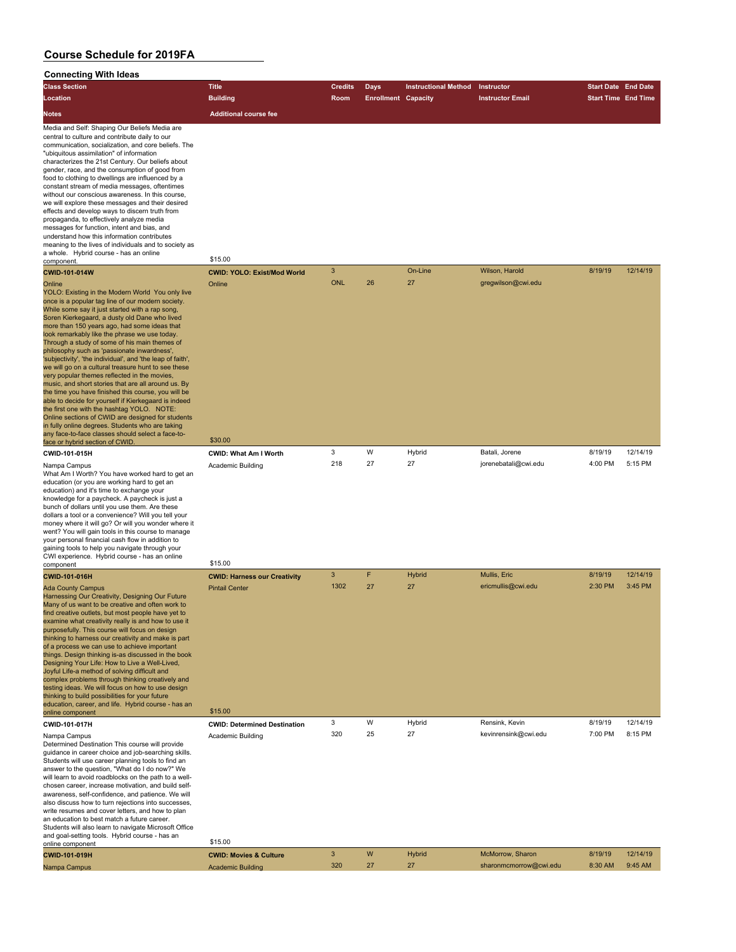| <b>Connecting With Ideas</b>                                                                                                                                                                                                                                                                                                                                                                                                                                                                                                                                                                                                                                                                                                                                                                                                                                                                                                                                                                                                                                                                                                                                                                                                                                                                                                                                                                                                                                                                                                                                                                                                                                           |                                                               |                     |                            |                             |                                            |                            |                     |
|------------------------------------------------------------------------------------------------------------------------------------------------------------------------------------------------------------------------------------------------------------------------------------------------------------------------------------------------------------------------------------------------------------------------------------------------------------------------------------------------------------------------------------------------------------------------------------------------------------------------------------------------------------------------------------------------------------------------------------------------------------------------------------------------------------------------------------------------------------------------------------------------------------------------------------------------------------------------------------------------------------------------------------------------------------------------------------------------------------------------------------------------------------------------------------------------------------------------------------------------------------------------------------------------------------------------------------------------------------------------------------------------------------------------------------------------------------------------------------------------------------------------------------------------------------------------------------------------------------------------------------------------------------------------|---------------------------------------------------------------|---------------------|----------------------------|-----------------------------|--------------------------------------------|----------------------------|---------------------|
| <b>Class Section</b>                                                                                                                                                                                                                                                                                                                                                                                                                                                                                                                                                                                                                                                                                                                                                                                                                                                                                                                                                                                                                                                                                                                                                                                                                                                                                                                                                                                                                                                                                                                                                                                                                                                   | <b>Title</b>                                                  | <b>Credits</b>      | <b>Days</b>                | <b>Instructional Method</b> | Instructor                                 | <b>Start Date End Date</b> |                     |
| Location                                                                                                                                                                                                                                                                                                                                                                                                                                                                                                                                                                                                                                                                                                                                                                                                                                                                                                                                                                                                                                                                                                                                                                                                                                                                                                                                                                                                                                                                                                                                                                                                                                                               | <b>Building</b>                                               | Room                | <b>Enrollment Capacity</b> |                             | <b>Instructor Email</b>                    | <b>Start Time End Time</b> |                     |
| Notes                                                                                                                                                                                                                                                                                                                                                                                                                                                                                                                                                                                                                                                                                                                                                                                                                                                                                                                                                                                                                                                                                                                                                                                                                                                                                                                                                                                                                                                                                                                                                                                                                                                                  | <b>Additional course fee</b>                                  |                     |                            |                             |                                            |                            |                     |
| Media and Self: Shaping Our Beliefs Media are<br>central to culture and contribute daily to our<br>communication, socialization, and core beliefs. The<br>"ubiquitous assimilation" of information<br>characterizes the 21st Century. Our beliefs about<br>gender, race, and the consumption of good from<br>food to clothing to dwellings are influenced by a<br>constant stream of media messages, oftentimes<br>without our conscious awareness. In this course,<br>we will explore these messages and their desired<br>effects and develop ways to discern truth from<br>propaganda, to effectively analyze media<br>messages for function, intent and bias, and<br>understand how this information contributes<br>meaning to the lives of individuals and to society as<br>a whole. Hybrid course - has an online<br>component.<br>CWID-101-014W<br>Online<br>YOLO: Existing in the Modern World You only live<br>once is a popular tag line of our modern society.<br>While some say it just started with a rap song,<br>Soren Kierkegaard, a dusty old Dane who lived<br>more than 150 years ago, had some ideas that<br>look remarkably like the phrase we use today.<br>Through a study of some of his main themes of<br>philosophy such as 'passionate inwardness',<br>'subjectivity', 'the individual', and 'the leap of faith',<br>we will go on a cultural treasure hunt to see these<br>very popular themes reflected in the movies,<br>music, and short stories that are all around us. By<br>the time you have finished this course, you will be<br>able to decide for yourself if Kierkegaard is indeed<br>the first one with the hashtag YOLO. NOTE: | \$15.00<br><b>CWID: YOLO: Exist/Mod World</b><br>Online       | 3<br><b>ONL</b>     | 26                         | On-Line<br>27               | Wilson, Harold<br>gregwilson@cwi.edu       | 8/19/19                    | 12/14/19            |
| Online sections of CWID are designed for students                                                                                                                                                                                                                                                                                                                                                                                                                                                                                                                                                                                                                                                                                                                                                                                                                                                                                                                                                                                                                                                                                                                                                                                                                                                                                                                                                                                                                                                                                                                                                                                                                      |                                                               |                     |                            |                             |                                            |                            |                     |
| in fully online degrees. Students who are taking<br>any face-to-face classes should select a face-to-                                                                                                                                                                                                                                                                                                                                                                                                                                                                                                                                                                                                                                                                                                                                                                                                                                                                                                                                                                                                                                                                                                                                                                                                                                                                                                                                                                                                                                                                                                                                                                  |                                                               |                     |                            |                             |                                            |                            |                     |
| face or hybrid section of CWID                                                                                                                                                                                                                                                                                                                                                                                                                                                                                                                                                                                                                                                                                                                                                                                                                                                                                                                                                                                                                                                                                                                                                                                                                                                                                                                                                                                                                                                                                                                                                                                                                                         | \$30.00                                                       |                     |                            |                             |                                            |                            |                     |
| CWID-101-015H                                                                                                                                                                                                                                                                                                                                                                                                                                                                                                                                                                                                                                                                                                                                                                                                                                                                                                                                                                                                                                                                                                                                                                                                                                                                                                                                                                                                                                                                                                                                                                                                                                                          | CWID: What Am I Worth                                         | 3<br>218            | W<br>27                    | Hybrid<br>27                | Batali, Jorene<br>jorenebatali@cwi.edu     | 8/19/19<br>4:00 PM         | 12/14/19<br>5:15 PM |
| Nampa Campus<br>What Am I Worth? You have worked hard to get an<br>education (or you are working hard to get an<br>education) and it's time to exchange your<br>knowledge for a paycheck. A paycheck is just a<br>bunch of dollars until you use them. Are these<br>dollars a tool or a convenience? Will you tell your<br>money where it will go? Or will you wonder where it<br>went? You will gain tools in this course to manage<br>your personal financial cash flow in addition to<br>gaining tools to help you navigate through your<br>CWI experience. Hybrid course - has an online                                                                                                                                                                                                                                                                                                                                                                                                                                                                                                                                                                                                                                                                                                                                                                                                                                                                                                                                                                                                                                                                           | Academic Building                                             |                     |                            |                             |                                            |                            |                     |
| component                                                                                                                                                                                                                                                                                                                                                                                                                                                                                                                                                                                                                                                                                                                                                                                                                                                                                                                                                                                                                                                                                                                                                                                                                                                                                                                                                                                                                                                                                                                                                                                                                                                              | \$15.00                                                       | $\overline{3}$      | F.                         |                             | Mullis, Eric                               |                            | 12/14/19            |
| CWID-101-016H<br><b>Ada County Campus</b><br>Harnessing Our Creativity, Designing Our Future<br>Many of us want to be creative and often work to<br>find creative outlets, but most people have yet to<br>examine what creativity really is and how to use it<br>purposefully. This course will focus on design<br>thinking to harness our creativity and make is part<br>of a process we can use to achieve important<br>things. Design thinking is-as discussed in the book<br>Designing Your Life: How to Live a Well-Lived,                                                                                                                                                                                                                                                                                                                                                                                                                                                                                                                                                                                                                                                                                                                                                                                                                                                                                                                                                                                                                                                                                                                                        | <b>CWID: Harness our Creativity</b><br><b>Pintail Center</b>  | 1302                | 27                         | <b>Hybrid</b><br>27         | ericmullis@cwi.edu                         | 8/19/19<br>2:30 PM         | 3:45 PM             |
| Joyful Life-a method of solving difficult and<br>complex problems through thinking creatively and<br>testing ideas. We will focus on how to use design<br>thinking to build possibilities for your future<br>education, career, and life. Hybrid course - has an<br>online component                                                                                                                                                                                                                                                                                                                                                                                                                                                                                                                                                                                                                                                                                                                                                                                                                                                                                                                                                                                                                                                                                                                                                                                                                                                                                                                                                                                   | \$15.00                                                       |                     |                            |                             |                                            |                            |                     |
| CWID-101-017H                                                                                                                                                                                                                                                                                                                                                                                                                                                                                                                                                                                                                                                                                                                                                                                                                                                                                                                                                                                                                                                                                                                                                                                                                                                                                                                                                                                                                                                                                                                                                                                                                                                          | <b>CWID: Determined Destination</b>                           | 3                   | W                          | Hybrid                      | Rensink, Kevin                             | 8/19/19                    | 12/14/19            |
| Nampa Campus<br>Determined Destination This course will provide<br>guidance in career choice and job-searching skills.<br>Students will use career planning tools to find an<br>answer to the question, "What do I do now?" We<br>will learn to avoid roadblocks on the path to a well-<br>chosen career, increase motivation, and build self-<br>awareness, self-confidence, and patience. We will<br>also discuss how to turn rejections into successes,<br>write resumes and cover letters, and how to plan<br>an education to best match a future career.<br>Students will also learn to navigate Microsoft Office<br>and goal-setting tools. Hybrid course - has an                                                                                                                                                                                                                                                                                                                                                                                                                                                                                                                                                                                                                                                                                                                                                                                                                                                                                                                                                                                               | Academic Building                                             | 320                 | 25                         | 27                          | kevinrensink@cwi.edu                       | 7:00 PM                    | 8:15 PM             |
| online component                                                                                                                                                                                                                                                                                                                                                                                                                                                                                                                                                                                                                                                                                                                                                                                                                                                                                                                                                                                                                                                                                                                                                                                                                                                                                                                                                                                                                                                                                                                                                                                                                                                       | \$15.00                                                       |                     |                            |                             |                                            |                            |                     |
| CWID-101-019H<br>Nampa Campus                                                                                                                                                                                                                                                                                                                                                                                                                                                                                                                                                                                                                                                                                                                                                                                                                                                                                                                                                                                                                                                                                                                                                                                                                                                                                                                                                                                                                                                                                                                                                                                                                                          | <b>CWID: Movies &amp; Culture</b><br><b>Academic Building</b> | $\mathbf{3}$<br>320 | W<br>27                    | <b>Hybrid</b><br>27         | McMorrow, Sharon<br>sharonmcmorrow@cwi.edu | 8/19/19<br>8:30 AM         | 12/14/19<br>9:45 AM |
|                                                                                                                                                                                                                                                                                                                                                                                                                                                                                                                                                                                                                                                                                                                                                                                                                                                                                                                                                                                                                                                                                                                                                                                                                                                                                                                                                                                                                                                                                                                                                                                                                                                                        |                                                               |                     |                            |                             |                                            |                            |                     |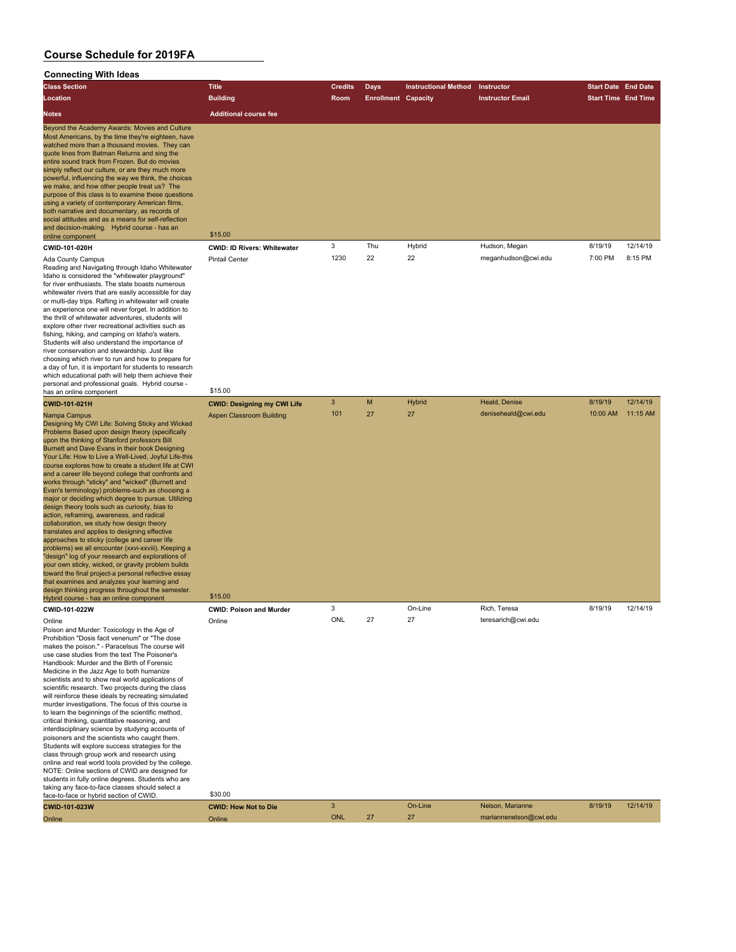| <b>Class Section</b>                                                                                                                                                                                                                                                                                                                                                                                                                                                                                                                                                                                                                                                                                                                                                                                                                                                                                                                                                                                                                                                                                                                                                                | <b>Title</b>                                  | <b>Credits</b> | Days                       | <b>Instructional Method</b> | Instructor              | <b>Start Date End Date</b> |          |
|-------------------------------------------------------------------------------------------------------------------------------------------------------------------------------------------------------------------------------------------------------------------------------------------------------------------------------------------------------------------------------------------------------------------------------------------------------------------------------------------------------------------------------------------------------------------------------------------------------------------------------------------------------------------------------------------------------------------------------------------------------------------------------------------------------------------------------------------------------------------------------------------------------------------------------------------------------------------------------------------------------------------------------------------------------------------------------------------------------------------------------------------------------------------------------------|-----------------------------------------------|----------------|----------------------------|-----------------------------|-------------------------|----------------------------|----------|
| Location                                                                                                                                                                                                                                                                                                                                                                                                                                                                                                                                                                                                                                                                                                                                                                                                                                                                                                                                                                                                                                                                                                                                                                            | <b>Building</b>                               | Room           | <b>Enrollment Capacity</b> |                             | <b>Instructor Email</b> | <b>Start Time End Time</b> |          |
| <b>Notes</b>                                                                                                                                                                                                                                                                                                                                                                                                                                                                                                                                                                                                                                                                                                                                                                                                                                                                                                                                                                                                                                                                                                                                                                        | <b>Additional course fee</b>                  |                |                            |                             |                         |                            |          |
| Beyond the Academy Awards: Movies and Culture<br>Most Americans, by the time they're eighteen, have<br>watched more than a thousand movies. They can<br>quote lines from Batman Returns and sing the<br>entire sound track from Frozen. But do movies<br>simply reflect our culture, or are they much more<br>powerful, influencing the way we think, the choices<br>we make, and how other people treat us? The<br>purpose of this class is to examine these questions<br>using a variety of contemporary American films,<br>both narrative and documentary, as records of<br>social attitudes and as a means for self-reflection<br>and decision-making. Hybrid course - has an<br>online component<br>CWID-101-020H                                                                                                                                                                                                                                                                                                                                                                                                                                                              | \$15.00<br><b>CWID: ID Rivers: Whitewater</b> | 3              | Thu                        | Hybrid                      | Hudson, Megan           | 8/19/19                    | 12/14/19 |
| Ada County Campus                                                                                                                                                                                                                                                                                                                                                                                                                                                                                                                                                                                                                                                                                                                                                                                                                                                                                                                                                                                                                                                                                                                                                                   | <b>Pintail Center</b>                         | 1230           | 22                         | 22                          | meganhudson@cwi.edu     | 7:00 PM                    | 8:15 PM  |
| Reading and Navigating through Idaho Whitewater<br>Idaho is considered the "whitewater playground"<br>for river enthusiasts. The state boasts numerous<br>whitewater rivers that are easily accessible for day<br>or multi-day trips. Rafting in whitewater will create<br>an experience one will never forget. In addition to<br>the thrill of whitewater adventures, students will<br>explore other river recreational activities such as<br>fishing, hiking, and camping on Idaho's waters.<br>Students will also understand the importance of<br>river conservation and stewardship. Just like<br>choosing which river to run and how to prepare for<br>a day of fun, it is important for students to research<br>which educational path will help them achieve their<br>personal and professional goals. Hybrid course -                                                                                                                                                                                                                                                                                                                                                       |                                               |                |                            |                             |                         |                            |          |
| has an online component<br>CWID-101-021H                                                                                                                                                                                                                                                                                                                                                                                                                                                                                                                                                                                                                                                                                                                                                                                                                                                                                                                                                                                                                                                                                                                                            | \$15.00<br><b>CWID: Designing my CWI Life</b> | 3              | M                          | Hybrid                      | Heald, Denise           | 8/19/19                    | 12/14/19 |
| Nampa Campus<br>Designing My CWI Life: Solving Sticky and Wicked<br>Problems Based upon design theory (specifically<br>upon the thinking of Stanford professors Bill<br>Burnett and Dave Evans in their book Designing<br>Your Life: How to Live a Well-Lived, Joyful Life-this<br>course explores how to create a student life at CWI<br>and a career life beyond college that confronts and<br>works through "sticky" and "wicked" (Burnett and<br>Evan's terminology) problems-such as choosing a<br>major or deciding which degree to pursue. Utilizing<br>design theory tools such as curiosity, bias to<br>action, reframing, awareness, and radical<br>collaboration, we study how design theory<br>translates and applies to designing effective<br>approaches to sticky (college and career life<br>problems) we all encounter (xxvi-xxviii). Keeping a<br>"design" log of your research and explorations of<br>your own sticky, wicked, or gravity problem builds<br>toward the final project-a personal reflective essay<br>that examines and analyzes your learning and<br>design thinking progress throughout the semester.<br>Hybrid course - has an online component | Aspen Classroom Building<br>\$15.00           | 101            | 27                         | 27                          | deniseheald@cwi.edu     | 10:00 AM                   | 11:15 AM |
| CWID-101-022W                                                                                                                                                                                                                                                                                                                                                                                                                                                                                                                                                                                                                                                                                                                                                                                                                                                                                                                                                                                                                                                                                                                                                                       | <b>CWID: Poison and Murder</b>                | 3              |                            | On-Line                     | Rich, Teresa            | 8/19/19                    | 12/14/19 |
| Online<br>Poison and Murder: Toxicology in the Age of<br>Prohibition "Dosis facit venenum" or "The dose<br>makes the poison." - Paracelsus The course will<br>use case studies from the text The Poisoner's<br>Handbook: Murder and the Birth of Forensic<br>Medicine in the Jazz Age to both humanize<br>scientists and to show real world applications of<br>scientific research. Two projects during the class<br>will reinforce these ideals by recreating simulated<br>murder investigations. The focus of this course is<br>to learn the beginnings of the scientific method,<br>critical thinking, quantitative reasoning, and<br>interdisciplinary science by studying accounts of<br>poisoners and the scientists who caught them.<br>Students will explore success strategies for the<br>class through group work and research using<br>online and real world tools provided by the college.<br>NOTE: Online sections of CWID are designed for<br>students in fully online degrees. Students who are<br>taking any face-to-face classes should select a<br>face-to-face or hybrid section of CWID.                                                                        | Online<br>\$30.00                             | ONL            |                            |                             | teresarich@cwi.edu      |                            |          |
| CWID-101-023W                                                                                                                                                                                                                                                                                                                                                                                                                                                                                                                                                                                                                                                                                                                                                                                                                                                                                                                                                                                                                                                                                                                                                                       | <b>CWID: How Not to Die</b>                   | 3              |                            | On-Line                     | Nelson, Marianne        | 8/19/19                    | 12/14/19 |
| Online                                                                                                                                                                                                                                                                                                                                                                                                                                                                                                                                                                                                                                                                                                                                                                                                                                                                                                                                                                                                                                                                                                                                                                              | Online                                        | <b>ONL</b>     | 27                         | 27                          | mariannenelson@cwi.edu  |                            |          |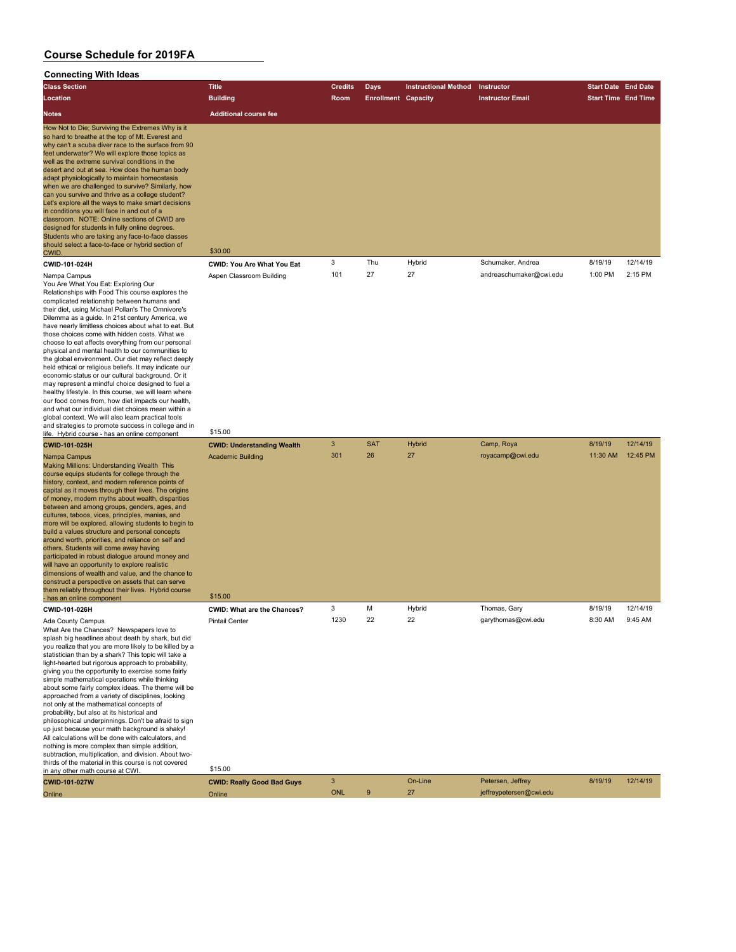#### **Connecting With Ideas**

| <b>Class Section</b>                                                                                                                                                                                                                                                                                                                                                                                                                                                                                                                                                                                                                                                                                                                                                                                   | <b>Title</b>                      | <b>Credits</b> | Days                       | <b>Instructional Method</b> | <b>Instructor</b>       | <b>Start Date End Date</b> |          |
|--------------------------------------------------------------------------------------------------------------------------------------------------------------------------------------------------------------------------------------------------------------------------------------------------------------------------------------------------------------------------------------------------------------------------------------------------------------------------------------------------------------------------------------------------------------------------------------------------------------------------------------------------------------------------------------------------------------------------------------------------------------------------------------------------------|-----------------------------------|----------------|----------------------------|-----------------------------|-------------------------|----------------------------|----------|
| Location                                                                                                                                                                                                                                                                                                                                                                                                                                                                                                                                                                                                                                                                                                                                                                                               | <b>Building</b>                   | Room           | <b>Enrollment Capacity</b> |                             | <b>Instructor Email</b> | <b>Start Time End Time</b> |          |
| <b>Notes</b>                                                                                                                                                                                                                                                                                                                                                                                                                                                                                                                                                                                                                                                                                                                                                                                           | <b>Additional course fee</b>      |                |                            |                             |                         |                            |          |
| How Not to Die; Surviving the Extremes Why is it<br>so hard to breathe at the top of Mt. Everest and<br>why can't a scuba diver race to the surface from 90<br>feet underwater? We will explore those topics as<br>well as the extreme survival conditions in the<br>desert and out at sea. How does the human body<br>adapt physiologically to maintain homeostasis<br>when we are challenged to survive? Similarly, how<br>can you survive and thrive as a college student?<br>Let's explore all the ways to make smart decisions<br>in conditions you will face in and out of a<br>classroom. NOTE: Online sections of CWID are<br>designed for students in fully online degrees.<br>Students who are taking any face-to-face classes<br>should select a face-to-face or hybrid section of<br>CWID. | \$30.00                           |                |                            |                             |                         |                            |          |
| CWID-101-024H                                                                                                                                                                                                                                                                                                                                                                                                                                                                                                                                                                                                                                                                                                                                                                                          | <b>CWID: You Are What You Eat</b> | 3              | Thu                        | Hybrid                      | Schumaker, Andrea       | 8/19/19                    | 12/14/19 |
| Nampa Campus<br>$\mathcal{L}$ and $\mathcal{L}$ and $\mathcal{L}$ and $\mathcal{L}$ and $\mathcal{L}$ and $\mathcal{L}$ and $\mathcal{L}$                                                                                                                                                                                                                                                                                                                                                                                                                                                                                                                                                                                                                                                              | Aspen Classroom Building          | 101            | 27                         | 27                          | andreaschumaker@cwi.edu | 1:00 PM                    | 2:15 PM  |

You Are What You Eat: Exploring Our Relationships with Food This course explores the complicated relationship between humans and their diet, using Michael Pollan's The Omnivore's Dilemma as a guide. In 21st century America, we have nearly limitless choices about what to eat. But those choices come with hidden costs. What we choose to eat affects everything from our personal physical and mental health to our communities to the global environment. Our diet may reflect deeply held ethical or religious beliefs. It may indicate our economic status or our cultural background. Or it may represent a mindful choice designed to fuel a healthy lifestyle. In this course, we will learn where our food comes from, how diet impacts our health, and what our individual diet choices mean within a global context. We will also learn practical tools and strategies to promote success in college and in life. Hybrid course - has an online component \$15.00

**CWID-101-025H CWID: Understanding Wealth** 3 SAT Hybrid Camp, Roya 8/19/19 12/14/19 Nampa Campus Academic Building 301 26 27 royacamp@cwi.edu 11:30 AM 12:45 PM ميدا 11:30 AM 12:45 PM Making Millions: Understanding Wealth This course equips students for college through the history, context, and modern reference points of capital as it moves through their lives. The origins of money, modern myths about wealth, disparities etween and among groups, genders, ages, and cultures, taboos, vices, principles, manias, and more will be explored, allowing students to begin to build a values structure and personal concepts around worth, priorities, and reliance on self and others. Students will come away having participated in robust dialogue around money and will have an opportunity to explore realistic dimensions of wealth and value, and the chance to construct a perspective on assets that can serve them reliably throughout their lives. Hybrid course - has an online component \$15.00 **CWID-101-026H CWID: What are the Chances?** 3 M Hybrid Thomas, Gary 8/19/19 12/14/19 Ada County Campus **Ada County Campus Pintail Center** What Are the Chances? Newspapers love to splash big headlines about death by shark, but did you realize that you are more likely to be killed by a statistician than by a shark? This topic will take a light-hearted but rigorous approach to probability, giving you the opportunity to exercise some fairly simple mathematical operations while thinking about some fairly complex ideas. The theme will be approached from a variety of disciplines, looking not only at the mathematical concepts of probability, but also at its historical and philosophical underpinnings. Don't be afraid to sign up just because your math background is shaky! All calculations will be done with calculators, and nothing is more complex than simple addition, subtraction, multiplication, and division. About twothirds of the material in this course is not covered<br>in any other math source of CWL

| in any other math course at CWI. | \$15.00                           |            |         |                         |         |          |
|----------------------------------|-----------------------------------|------------|---------|-------------------------|---------|----------|
| <b>CWID-101-027W</b>             | <b>CWID: Really Good Bad Guys</b> |            | On-Line | Petersen, Jeffrey       | 8/19/19 | 12/14/19 |
| Online                           | Online                            | <b>ONL</b> | ົ       | jeffreypetersen@cwi.edu |         |          |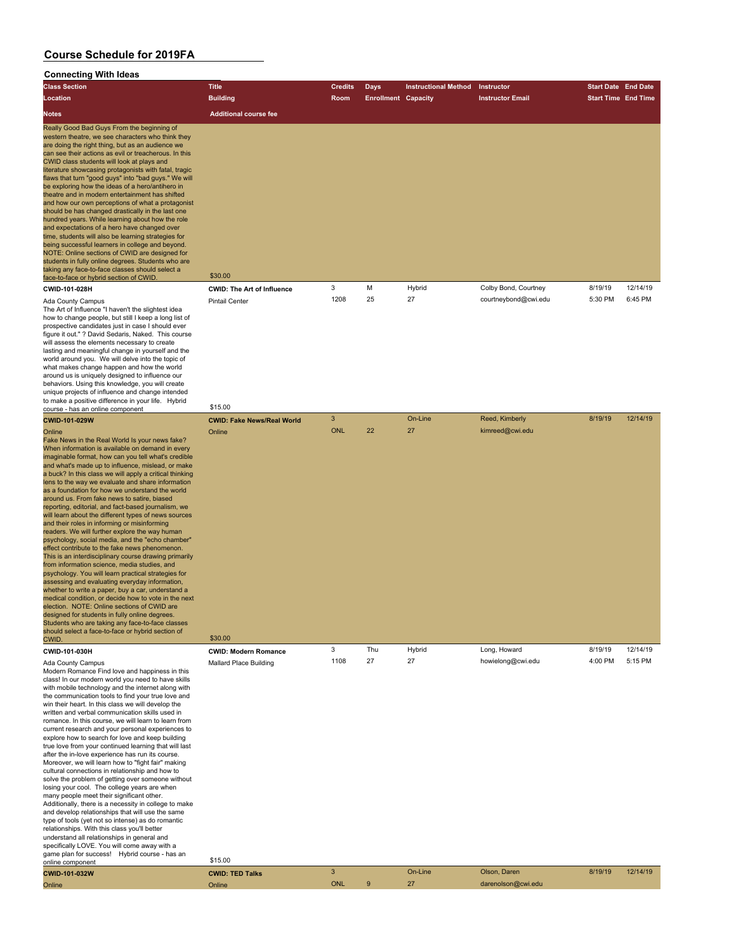written and verbal communication skills used in

#### **Connecting With Ideas**

| <b>Class Section</b>                                                                                                                                                                                                                                                                                                                                                                                                                                                                                                                                                                                                                                                                                                                                                                                                                                                                                                                                                                                              | Title                             | <b>Credits</b> | Days                       | <b>Instructional Method</b> | Instructor              | <b>Start Date End Date</b> |          |
|-------------------------------------------------------------------------------------------------------------------------------------------------------------------------------------------------------------------------------------------------------------------------------------------------------------------------------------------------------------------------------------------------------------------------------------------------------------------------------------------------------------------------------------------------------------------------------------------------------------------------------------------------------------------------------------------------------------------------------------------------------------------------------------------------------------------------------------------------------------------------------------------------------------------------------------------------------------------------------------------------------------------|-----------------------------------|----------------|----------------------------|-----------------------------|-------------------------|----------------------------|----------|
| Location                                                                                                                                                                                                                                                                                                                                                                                                                                                                                                                                                                                                                                                                                                                                                                                                                                                                                                                                                                                                          | <b>Building</b>                   | <b>Room</b>    | <b>Enrollment Capacity</b> |                             | <b>Instructor Email</b> | <b>Start Time End Time</b> |          |
| <b>Notes</b>                                                                                                                                                                                                                                                                                                                                                                                                                                                                                                                                                                                                                                                                                                                                                                                                                                                                                                                                                                                                      | <b>Additional course fee</b>      |                |                            |                             |                         |                            |          |
| Really Good Bad Guys From the beginning of<br>western theatre, we see characters who think they<br>are doing the right thing, but as an audience we<br>can see their actions as evil or treacherous. In this<br>CWID class students will look at plays and<br>literature showcasing protagonists with fatal, tragic<br>flaws that turn "good guys" into "bad guys." We will<br>be exploring how the ideas of a hero/antihero in<br>theatre and in modern entertainment has shifted<br>and how our own perceptions of what a protagonist<br>should be has changed drastically in the last one<br>hundred years. While learning about how the role<br>and expectations of a hero have changed over<br>time, students will also be learning strategies for<br>being successful learners in college and beyond.<br>NOTE: Online sections of CWID are designed for<br>students in fully online degrees. Students who are<br>taking any face-to-face classes should select a<br>face-to-face or hybrid section of CWID. | \$30.00                           |                |                            |                             |                         |                            |          |
| CWID-101-028H                                                                                                                                                                                                                                                                                                                                                                                                                                                                                                                                                                                                                                                                                                                                                                                                                                                                                                                                                                                                     | <b>CWID: The Art of Influence</b> | 3              | M                          | Hybrid                      | Colby Bond, Courtney    | 8/19/19                    | 12/14/19 |
| Ada County Campus<br>The Art of Influence "I haven't the slightest idea<br>how to change people, but still I keep a long list of<br>prospective candidates just in case I should ever<br>figure it out." ? David Sedaris, Naked. This course<br>will assess the elements necessary to create<br>lasting and meaningful change in yourself and the<br>world around you. We will delve into the topic of<br>what makes change happen and how the world<br>around us is uniquely designed to influence our<br>behaviors. Using this knowledge, you will create<br>unique projects of influence and change intended<br>to make a positive difference in your life. Hybrid                                                                                                                                                                                                                                                                                                                                             | <b>Pintail Center</b>             | 1208           | 25                         | 27                          | courtneybond@cwi.edu    | 5:30 PM                    | 6:45 PM  |

course - has an online component \$15.00 **CWID-101-029W CWID: Fake News/Real World** 3 On-Line Reed, Kimberly 8/19/19 12/14/19 Online Online ONL 22 27 kimreed@cwi.edu Fake News in the Real World Is your news fake? When information is available on demand in every imaginable format, how can you tell what's credible and what's made up to influence, mislead, or make a buck? In this class we will apply a critical thinking lens to the way we evaluate and share information as a foundation for how we understand the world around us. From fake news to satire, biased reporting, editorial, and fact-based journalism, we will learn about the different types of news sources and their roles in informing or misinforming readers. We will further explore the way human psychology, social media, and the "echo chamber fect contribute to the fake news phenomenon This is an interdisciplinary course drawing primarily from information science, media studies, and psychology. You will learn practical strategies for assessing and evaluating everyday information, whether to write a paper, buy a car, understand a medical condition, or decide how to vote in the next election. NOTE: Online sections of CWID are esigned for students in fully online degrees. Students who are taking any face-to-face classes should select a face-to-face or hybrid section of CWID. \$30.00 **CWID-101-030H CWID: Modern Romance** 3 Thu Hybrid Long, Howard 8/19/19 12/14/19 Ada County Campus **Mallard Place Building** 1108 27 27 howielong@cwi.edu 4:00 PM 5:15 PM Modern Romance Find love and happiness in this class! In our modern world you need to have skills with mobile technology and the internet along with the communication tools to find your true love and win their heart. In this class we will develop the

romance. In this course, we will learn to learn from current research and your personal experiences to explore how to search for love and keep building true love from your continued learning that will last after the in-love experience has run its course. Moreover, we will learn how to "fight fair" making cultural connections in relationship and how to solve the problem of getting over someone without losing your cool. The college years are when many people meet their significant other. Additionally, there is a necessity in college to make and develop relationships that will use the same type of tools (yet not so intense) as do romantic relationships. With this class you'll better understand all relationships in general and specifically LOVE. You will come away with a game plan for success! Hybrid course - has an Statistic plant of success. Trybitd course - has all \$15.00 **CWID-101-032W CWID: TED Talks** 3 On-Line Olson, Daren 8/19/19 12/14/19 Online Online ONL 9 27 darenolson@cwi.edu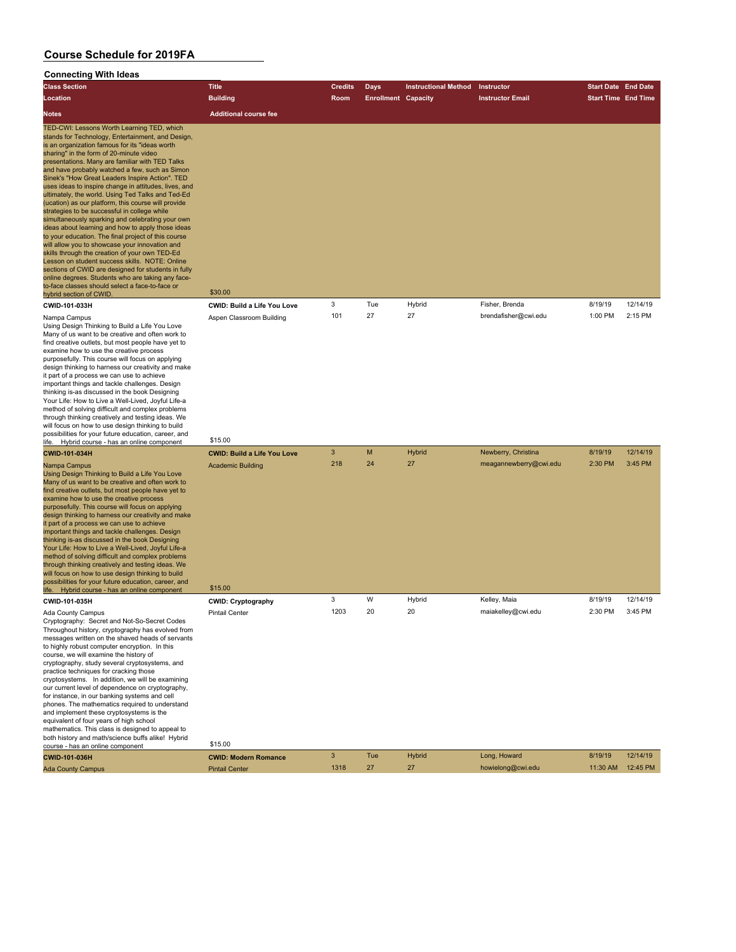| <b>Class Section</b>                                                                                                                                                                                                                                                                                                                                                                                                                                                                                                                                                                                                                                                                                                                                                                                                                                                                                                                                                                                                                                                                                       | <b>Title</b>                           | <b>Credits</b> | <b>Days</b>                | <b>Instructional Method</b> | Instructor              | <b>Start Date End Date</b> |          |
|------------------------------------------------------------------------------------------------------------------------------------------------------------------------------------------------------------------------------------------------------------------------------------------------------------------------------------------------------------------------------------------------------------------------------------------------------------------------------------------------------------------------------------------------------------------------------------------------------------------------------------------------------------------------------------------------------------------------------------------------------------------------------------------------------------------------------------------------------------------------------------------------------------------------------------------------------------------------------------------------------------------------------------------------------------------------------------------------------------|----------------------------------------|----------------|----------------------------|-----------------------------|-------------------------|----------------------------|----------|
| Location                                                                                                                                                                                                                                                                                                                                                                                                                                                                                                                                                                                                                                                                                                                                                                                                                                                                                                                                                                                                                                                                                                   | <b>Building</b>                        | Room           | <b>Enrollment Capacity</b> |                             | <b>Instructor Email</b> | <b>Start Time End Time</b> |          |
| Notes                                                                                                                                                                                                                                                                                                                                                                                                                                                                                                                                                                                                                                                                                                                                                                                                                                                                                                                                                                                                                                                                                                      | <b>Additional course fee</b>           |                |                            |                             |                         |                            |          |
| TED-CWI: Lessons Worth Learning TED, which<br>stands for Technology, Entertainment, and Design,<br>is an organization famous for its "ideas worth<br>sharing" in the form of 20-minute video<br>presentations. Many are familiar with TED Talks<br>and have probably watched a few, such as Simon<br>Sinek's "How Great Leaders Inspire Action". TED<br>uses ideas to inspire change in attitudes, lives, and<br>ultimately, the world. Using Ted Talks and Ted-Ed<br>(ucation) as our platform, this course will provide<br>strategies to be successful in college while<br>simultaneously sparking and celebrating your own<br>ideas about learning and how to apply those ideas<br>to your education. The final project of this course<br>will allow you to showcase your innovation and<br>skills through the creation of your own TED-Ed<br>Lesson on student success skills. NOTE: Online<br>sections of CWID are designed for students in fully<br>online degrees. Students who are taking any face-<br>to-face classes should select a face-to-face or<br>hybrid section of CWID.<br>CWID-101-033H | \$30.00<br>CWID: Build a Life You Love | 3              | Tue                        | Hybrid                      | Fisher, Brenda          | 8/19/19                    | 12/14/19 |
| Nampa Campus<br>Using Design Thinking to Build a Life You Love<br>Many of us want to be creative and often work to<br>find creative outlets, but most people have yet to<br>examine how to use the creative process<br>purposefully. This course will focus on applying<br>design thinking to harness our creativity and make<br>it part of a process we can use to achieve<br>important things and tackle challenges. Design<br>thinking is-as discussed in the book Designing<br>Your Life: How to Live a Well-Lived, Joyful Life-a<br>method of solving difficult and complex problems<br>through thinking creatively and testing ideas. We<br>will focus on how to use design thinking to build<br>possibilities for your future education, career, and                                                                                                                                                                                                                                                                                                                                                | Aspen Classroom Building<br>\$15.00    | 101            | 27                         | 27                          | brendafisher@cwi.edu    | 1:00 PM                    | 2:15 PM  |
| life. Hybrid course - has an online component<br>CWID-101-034H                                                                                                                                                                                                                                                                                                                                                                                                                                                                                                                                                                                                                                                                                                                                                                                                                                                                                                                                                                                                                                             | <b>CWID: Build a Life You Love</b>     | 3              | M                          | <b>Hybrid</b>               | Newberry, Christina     | 8/19/19                    | 12/14/19 |
| Nampa Campus<br>Using Design Thinking to Build a Life You Love<br>Many of us want to be creative and often work to<br>find creative outlets, but most people have yet to<br>examine how to use the creative process<br>purposefully. This course will focus on applying<br>design thinking to harness our creativity and make<br>it part of a process we can use to achieve<br>important things and tackle challenges. Design<br>thinking is-as discussed in the book Designing<br>Your Life: How to Live a Well-Lived, Joyful Life-a<br>method of solving difficult and complex problems<br>through thinking creatively and testing ideas. We<br>will focus on how to use design thinking to build<br>possibilities for your future education, career, and<br>life. Hybrid course - has an online component                                                                                                                                                                                                                                                                                               | <b>Academic Building</b><br>\$15.00    | 218            | 24                         | 27                          | meagannewberry@cwi.edu  | 2:30 PM                    | 3:45 PM  |
| CWID-101-035H                                                                                                                                                                                                                                                                                                                                                                                                                                                                                                                                                                                                                                                                                                                                                                                                                                                                                                                                                                                                                                                                                              | <b>CWID: Cryptography</b>              | 3              | W                          | Hybrid                      | Kelley, Maia            | 8/19/19                    | 12/14/19 |
| Ada County Campus<br>Cryptography: Secret and Not-So-Secret Codes<br>Throughout history, cryptography has evolved from<br>messages written on the shaved heads of servants<br>to highly robust computer encryption. In this<br>course, we will examine the history of<br>cryptography, study several cryptosystems, and<br>practice techniques for cracking those<br>cryptosystems. In addition, we will be examining<br>our current level of dependence on cryptography,<br>for instance, in our banking systems and cell<br>phones. The mathematics required to understand<br>and implement these cryptosystems is the<br>equivalent of four years of high school<br>mathematics. This class is designed to appeal to<br>both history and math/science buffs alike! Hybrid<br>course - has an online component                                                                                                                                                                                                                                                                                           | <b>Pintail Center</b><br>\$15.00       | 1203           | 20                         | 20                          | maiakelley@cwi.edu      | 2:30 PM                    | 3:45 PM  |
| CWID-101-036H                                                                                                                                                                                                                                                                                                                                                                                                                                                                                                                                                                                                                                                                                                                                                                                                                                                                                                                                                                                                                                                                                              | <b>CWID: Modern Romance</b>            | 3              | Tue                        | <b>Hybrid</b>               | Long, Howard            | 8/19/19                    | 12/14/19 |
| <b>Ada County Campus</b>                                                                                                                                                                                                                                                                                                                                                                                                                                                                                                                                                                                                                                                                                                                                                                                                                                                                                                                                                                                                                                                                                   | <b>Pintail Center</b>                  | 1318           | 27                         | 27                          | howielong@cwi.edu       | 11:30 AM                   | 12:45 PM |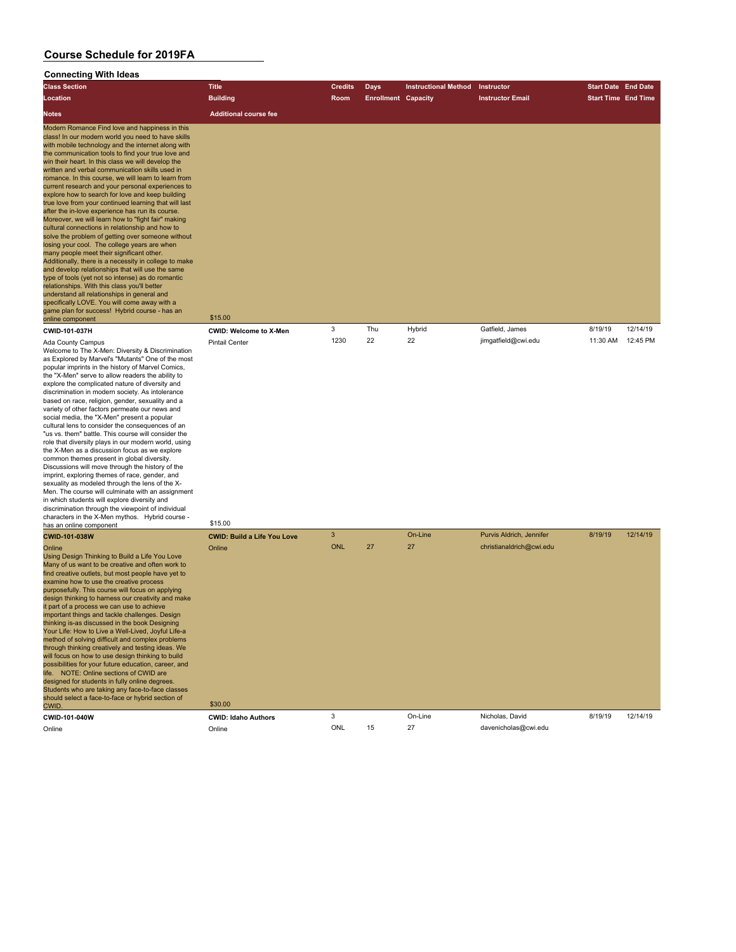| ,,,,,,,,,,,,,,<br><b>Class Section</b>                                                                                                                                                                                                                                                                                                                                                                                                                                                                                                                                                                                                                                                                                                                                                                                                                                                                                                                                                                                                                                                                                                                                                                                                                   | <b>Title</b>                       | <b>Credits</b> | <b>Days</b>                | <b>Instructional Method</b> | Instructor               | <b>Start Date End Date</b> |          |
|----------------------------------------------------------------------------------------------------------------------------------------------------------------------------------------------------------------------------------------------------------------------------------------------------------------------------------------------------------------------------------------------------------------------------------------------------------------------------------------------------------------------------------------------------------------------------------------------------------------------------------------------------------------------------------------------------------------------------------------------------------------------------------------------------------------------------------------------------------------------------------------------------------------------------------------------------------------------------------------------------------------------------------------------------------------------------------------------------------------------------------------------------------------------------------------------------------------------------------------------------------|------------------------------------|----------------|----------------------------|-----------------------------|--------------------------|----------------------------|----------|
| Location                                                                                                                                                                                                                                                                                                                                                                                                                                                                                                                                                                                                                                                                                                                                                                                                                                                                                                                                                                                                                                                                                                                                                                                                                                                 | <b>Building</b>                    | Room           | <b>Enrollment Capacity</b> |                             | <b>Instructor Email</b>  | <b>Start Time End Time</b> |          |
| <b>Notes</b>                                                                                                                                                                                                                                                                                                                                                                                                                                                                                                                                                                                                                                                                                                                                                                                                                                                                                                                                                                                                                                                                                                                                                                                                                                             | <b>Additional course fee</b>       |                |                            |                             |                          |                            |          |
| Modern Romance Find love and happiness in this<br>class! In our modern world you need to have skills<br>with mobile technology and the internet along with<br>the communication tools to find your true love and<br>win their heart. In this class we will develop the<br>written and verbal communication skills used in<br>romance. In this course, we will learn to learn from<br>current research and your personal experiences to<br>explore how to search for love and keep building<br>true love from your continued learning that will last<br>after the in-love experience has run its course.<br>Moreover, we will learn how to "fight fair" making<br>cultural connections in relationship and how to<br>solve the problem of getting over someone without<br>losing your cool. The college years are when<br>many people meet their significant other.<br>Additionally, there is a necessity in college to make<br>and develop relationships that will use the same<br>type of tools (yet not so intense) as do romantic<br>relationships. With this class you'll better<br>understand all relationships in general and<br>specifically LOVE. You will come away with a<br>game plan for success! Hybrid course - has an<br>online component | \$15.00                            |                |                            |                             |                          |                            |          |
| CWID-101-037H                                                                                                                                                                                                                                                                                                                                                                                                                                                                                                                                                                                                                                                                                                                                                                                                                                                                                                                                                                                                                                                                                                                                                                                                                                            | <b>CWID: Welcome to X-Men</b>      | 3              | Thu                        | Hybrid                      | Gatfield, James          | 8/19/19                    | 12/14/19 |
| Ada County Campus<br>Welcome to The X-Men: Diversity & Discrimination<br>as Explored by Marvel's "Mutants" One of the most<br>popular imprints in the history of Marvel Comics,<br>the "X-Men" serve to allow readers the ability to<br>explore the complicated nature of diversity and<br>discrimination in modern society. As intolerance<br>based on race, religion, gender, sexuality and a<br>variety of other factors permeate our news and<br>social media, the "X-Men" present a popular<br>cultural lens to consider the consequences of an<br>"us vs. them" battle. This course will consider the<br>role that diversity plays in our modern world, using<br>the X-Men as a discussion focus as we explore<br>common themes present in global diversity.<br>Discussions will move through the history of the<br>imprint, exploring themes of race, gender, and<br>sexuality as modeled through the lens of the X-<br>Men. The course will culminate with an assignment<br>in which students will explore diversity and<br>discrimination through the viewpoint of individual<br>characters in the X-Men mythos. Hybrid course -<br>has an online component                                                                                     | <b>Pintail Center</b><br>\$15.00   | 1230           | 22                         | 22                          | jimgatfield@cwi.edu      | 11:30 AM                   | 12:45 PM |
| <b>CWID-101-038W</b>                                                                                                                                                                                                                                                                                                                                                                                                                                                                                                                                                                                                                                                                                                                                                                                                                                                                                                                                                                                                                                                                                                                                                                                                                                     | <b>CWID: Build a Life You Love</b> | 3              |                            | On-Line                     | Purvis Aldrich, Jennifer | 8/19/19                    | 12/14/19 |
| Online<br>Using Design Thinking to Build a Life You Love<br>Many of us want to be creative and often work to<br>find creative outlets, but most people have yet to<br>examine how to use the creative process<br>purposefully. This course will focus on applying<br>design thinking to harness our creativity and make<br>it part of a process we can use to achieve<br>important things and tackle challenges. Design<br>thinking is-as discussed in the book Designing<br>Your Life: How to Live a Well-Lived, Joyful Life-a<br>method of solving difficult and complex problems<br>through thinking creatively and testing ideas. We<br>will focus on how to use design thinking to build<br>possibilities for your future education, career, and<br>life. NOTE: Online sections of CWID are<br>designed for students in fully online degrees.<br>Students who are taking any face-to-face classes<br>should select a face-to-face or hybrid section of                                                                                                                                                                                                                                                                                              | Online<br>\$30.00                  | <b>ONL</b>     | 27                         | 27                          | christianaldrich@cwi.edu |                            |          |
| CWID.<br>CWID-101-040W                                                                                                                                                                                                                                                                                                                                                                                                                                                                                                                                                                                                                                                                                                                                                                                                                                                                                                                                                                                                                                                                                                                                                                                                                                   | <b>CWID: Idaho Authors</b>         | 3              |                            | On-Line                     | Nicholas, David          | 8/19/19                    | 12/14/19 |
| Online                                                                                                                                                                                                                                                                                                                                                                                                                                                                                                                                                                                                                                                                                                                                                                                                                                                                                                                                                                                                                                                                                                                                                                                                                                                   | Online                             | ONL            | 15                         | 27                          | davenicholas@cwi.edu     |                            |          |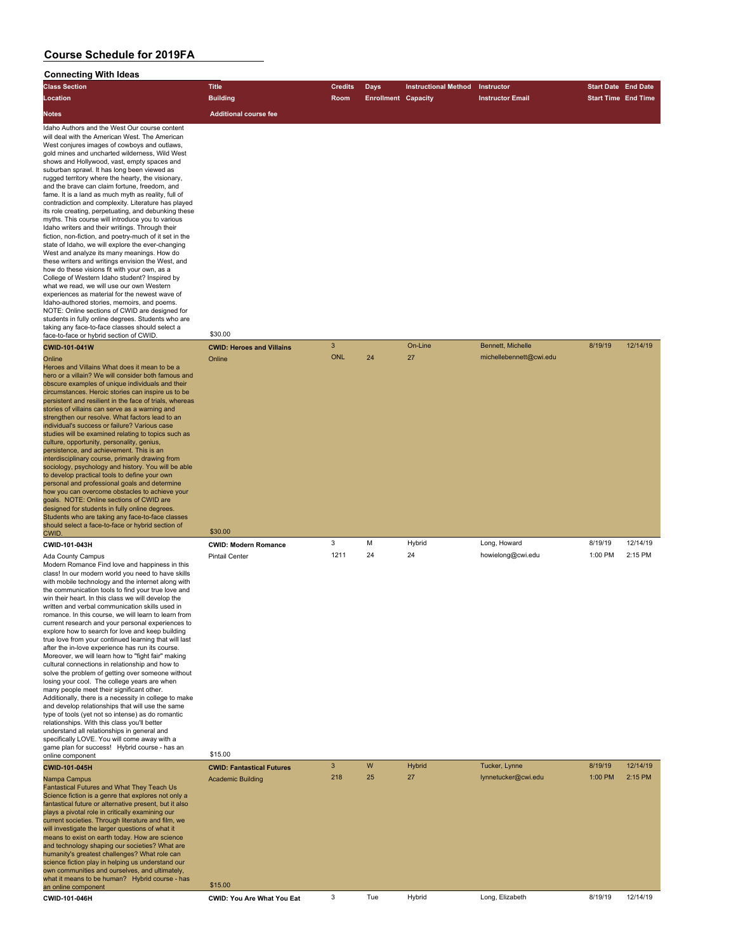| <b>Connecting With Ideas</b>                                                                                                                                                                                                                                                                                                                                                                                                                                                                                                                                                                                                                                                                                                                                                                                                                                                                                                                                                                                                                                                                                                                                                                                                                                                                                   |                                  |                |                            |                             |                         |                            |          |
|----------------------------------------------------------------------------------------------------------------------------------------------------------------------------------------------------------------------------------------------------------------------------------------------------------------------------------------------------------------------------------------------------------------------------------------------------------------------------------------------------------------------------------------------------------------------------------------------------------------------------------------------------------------------------------------------------------------------------------------------------------------------------------------------------------------------------------------------------------------------------------------------------------------------------------------------------------------------------------------------------------------------------------------------------------------------------------------------------------------------------------------------------------------------------------------------------------------------------------------------------------------------------------------------------------------|----------------------------------|----------------|----------------------------|-----------------------------|-------------------------|----------------------------|----------|
| <b>Class Section</b>                                                                                                                                                                                                                                                                                                                                                                                                                                                                                                                                                                                                                                                                                                                                                                                                                                                                                                                                                                                                                                                                                                                                                                                                                                                                                           | <b>Title</b>                     | <b>Credits</b> | <b>Days</b>                | <b>Instructional Method</b> | Instructor              | <b>Start Date End Date</b> |          |
| Location                                                                                                                                                                                                                                                                                                                                                                                                                                                                                                                                                                                                                                                                                                                                                                                                                                                                                                                                                                                                                                                                                                                                                                                                                                                                                                       | <b>Building</b>                  | Room           | <b>Enrollment Capacity</b> |                             | <b>Instructor Email</b> | <b>Start Time End Time</b> |          |
| <b>Notes</b>                                                                                                                                                                                                                                                                                                                                                                                                                                                                                                                                                                                                                                                                                                                                                                                                                                                                                                                                                                                                                                                                                                                                                                                                                                                                                                   | <b>Additional course fee</b>     |                |                            |                             |                         |                            |          |
| Idaho Authors and the West Our course content<br>will deal with the American West. The American<br>West conjures images of cowboys and outlaws,<br>gold mines and uncharted wilderness, Wild West<br>shows and Hollywood, vast, empty spaces and<br>suburban sprawl. It has long been viewed as<br>rugged territory where the hearty, the visionary,<br>and the brave can claim fortune, freedom, and<br>fame. It is a land as much myth as reality, full of<br>contradiction and complexity. Literature has played<br>its role creating, perpetuating, and debunking these<br>myths. This course will introduce you to various<br>Idaho writers and their writings. Through their<br>fiction, non-fiction, and poetry-much of it set in the<br>state of Idaho, we will explore the ever-changing<br>West and analyze its many meanings. How do<br>these writers and writings envision the West, and<br>how do these visions fit with your own, as a<br>College of Western Idaho student? Inspired by<br>what we read, we will use our own Western<br>experiences as material for the newest wave of<br>Idaho-authored stories, memoirs, and poems.<br>NOTE: Online sections of CWID are designed for<br>students in fully online degrees. Students who are<br>taking any face-to-face classes should select a | \$30.00                          |                |                            |                             |                         |                            |          |
| face-to-face or hybrid section of CWID.                                                                                                                                                                                                                                                                                                                                                                                                                                                                                                                                                                                                                                                                                                                                                                                                                                                                                                                                                                                                                                                                                                                                                                                                                                                                        |                                  | 3              |                            | On-Line                     | Bennett, Michelle       | 8/19/19                    | 12/14/19 |
| CWID-101-041W                                                                                                                                                                                                                                                                                                                                                                                                                                                                                                                                                                                                                                                                                                                                                                                                                                                                                                                                                                                                                                                                                                                                                                                                                                                                                                  | <b>CWID: Heroes and Villains</b> | <b>ONL</b>     | 24                         | 27                          | michellebennett@cwi.edu |                            |          |
| Online<br>Heroes and Villains What does it mean to be a<br>hero or a villain? We will consider both famous and<br>obscure examples of unique individuals and their<br>circumstances. Heroic stories can inspire us to be<br>persistent and resilient in the face of trials, whereas<br>stories of villains can serve as a warning and<br>strengthen our resolve. What factors lead to an<br>individual's success or failure? Various case<br>studies will be examined relating to topics such as<br>culture, opportunity, personality, genius,<br>persistence, and achievement. This is an<br>interdisciplinary course, primarily drawing from<br>sociology, psychology and history. You will be able<br>to develop practical tools to define your own<br>personal and professional goals and determine<br>how you can overcome obstacles to achieve your<br>goals. NOTE: Online sections of CWID are<br>designed for students in fully online degrees.<br>Students who are taking any face-to-face classes<br>should select a face-to-face or hybrid section of<br>CWID.                                                                                                                                                                                                                                      | Online<br>\$30.00                |                |                            |                             |                         |                            |          |
| CWID-101-043H                                                                                                                                                                                                                                                                                                                                                                                                                                                                                                                                                                                                                                                                                                                                                                                                                                                                                                                                                                                                                                                                                                                                                                                                                                                                                                  | <b>CWID: Modern Romance</b>      | 3              | M                          | Hybrid                      | Long, Howard            | 8/19/19                    | 12/14/19 |
| Ada County Campus<br>Modern Romance Find love and happiness in this<br>class! In our modern world you need to have skills<br>with mobile technology and the internet along with<br>the communication tools to find your true love and<br>win their heart. In this class we will develop the<br>written and verbal communication skills used in<br>romance. In this course, we will learn to learn from<br>current research and your personal experiences to<br>explore how to search for love and keep building                                                                                                                                                                                                                                                                                                                                                                                                                                                                                                                                                                                                                                                                                                                                                                                                | <b>Pintail Center</b>            | 1211           | 24                         | 24                          | howielong@cwi.edu       | 1:00 PM                    | 2:15 PM  |

and develop relationships that will use the same type of tools (yet not so intense) as do romantic relationships. With this class you'll better understand all relationships in general and specifically LOVE. You will come away with a game plan for success! Hybrid course - has an online component \$15.00 **CWID-101-045H CWID: Fantastical Futures** 3 W Hybrid Tucker, Lynne 8/19/19 12/14/19 Nampa Campus Academic Building 218 25 27 lynnetucker@cwi.edu 1:00 PM 2:15 PM Fantastical Futures and What They Teach Us Science fiction is a genre that explores not only a fantastical future or alternative present, but it also plays a pivotal role in critically examining our current societies. Through literature and film, we will investigate the larger questions of what it means to exist on earth today. How are science and technology shaping our societies? What are humanity's greatest challenges? What role can science fiction play in helping us understand our own communities and ourselves, and ultimately, what it means to be human? Hybrid course - has an online component \$15.00 **CWID-101-046H CWID: You Are What You Eat** 3 Tue Hybrid Long, Elizabeth 8/19/19 12/14/19

true love from your continued learning that will last after the in-love experience has run its course. Moreover, we will learn how to "fight fair" making cultural connections in relationship and how to solve the problem of getting over someone without losing your cool. The college years are when many people meet their significant other. Additionally, there is a necessity in college to make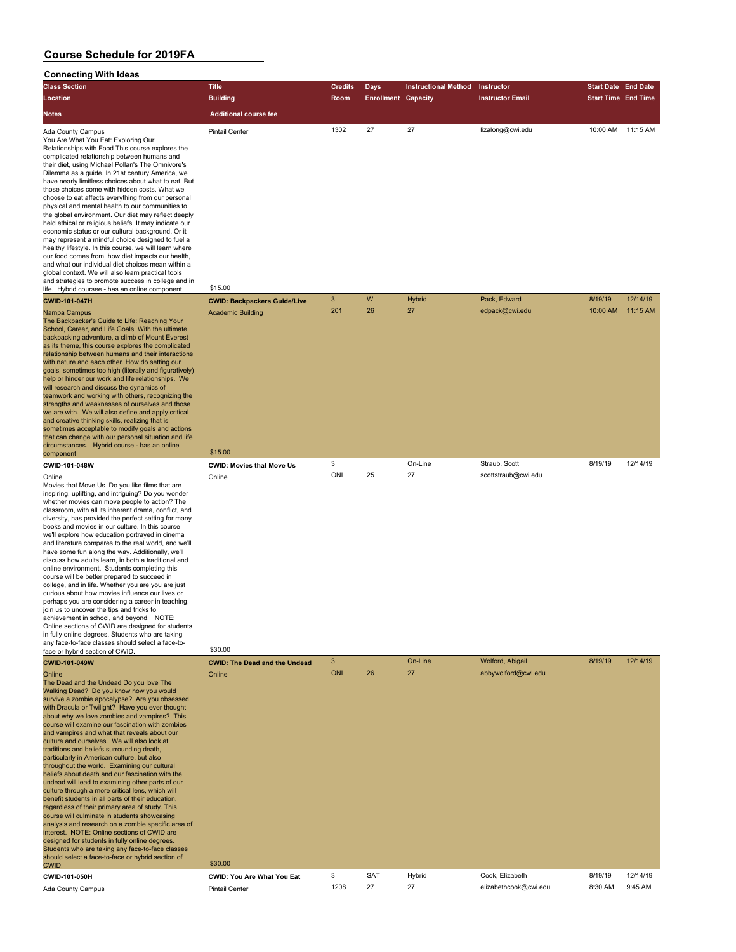# **Connecting With Ideas**

| <b>Connecting With Ideas</b>                                                                                                                                                                                                                                                                                                                                                                                                                                                                                                                                                                                                                                                                                                                                                                                                                                                                                                                                                                                                                                                                                       |                                      |                |                            |                             |                         |                            |          |
|--------------------------------------------------------------------------------------------------------------------------------------------------------------------------------------------------------------------------------------------------------------------------------------------------------------------------------------------------------------------------------------------------------------------------------------------------------------------------------------------------------------------------------------------------------------------------------------------------------------------------------------------------------------------------------------------------------------------------------------------------------------------------------------------------------------------------------------------------------------------------------------------------------------------------------------------------------------------------------------------------------------------------------------------------------------------------------------------------------------------|--------------------------------------|----------------|----------------------------|-----------------------------|-------------------------|----------------------------|----------|
| <b>Class Section</b>                                                                                                                                                                                                                                                                                                                                                                                                                                                                                                                                                                                                                                                                                                                                                                                                                                                                                                                                                                                                                                                                                               | <b>Title</b>                         | Credits        | <b>Days</b>                | <b>Instructional Method</b> | Instructor              | <b>Start Date End Date</b> |          |
| Location                                                                                                                                                                                                                                                                                                                                                                                                                                                                                                                                                                                                                                                                                                                                                                                                                                                                                                                                                                                                                                                                                                           | <b>Building</b>                      | Room           | <b>Enrollment Capacity</b> |                             | <b>Instructor Email</b> | <b>Start Time End Time</b> |          |
| <b>Notes</b>                                                                                                                                                                                                                                                                                                                                                                                                                                                                                                                                                                                                                                                                                                                                                                                                                                                                                                                                                                                                                                                                                                       | <b>Additional course fee</b>         |                |                            |                             |                         |                            |          |
| Ada County Campus<br>You Are What You Eat: Exploring Our<br>Relationships with Food This course explores the<br>complicated relationship between humans and<br>their diet, using Michael Pollan's The Omnivore's<br>Dilemma as a guide. In 21st century America, we<br>have nearly limitless choices about what to eat. But<br>those choices come with hidden costs. What we<br>choose to eat affects everything from our personal<br>physical and mental health to our communities to<br>the global environment. Our diet may reflect deeply<br>held ethical or religious beliefs. It may indicate our<br>economic status or our cultural background. Or it<br>may represent a mindful choice designed to fuel a<br>healthy lifestyle. In this course, we will learn where<br>our food comes from, how diet impacts our health,<br>and what our individual diet choices mean within a<br>global context. We will also learn practical tools<br>and strategies to promote success in college and in                                                                                                                | <b>Pintail Center</b>                | 1302           | 27                         | 27                          | lizalong@cwi.edu        | 10:00 AM                   | 11:15 AM |
| life. Hybrid coursee - has an online component                                                                                                                                                                                                                                                                                                                                                                                                                                                                                                                                                                                                                                                                                                                                                                                                                                                                                                                                                                                                                                                                     | \$15.00                              |                |                            |                             |                         |                            |          |
| CWID-101-047H                                                                                                                                                                                                                                                                                                                                                                                                                                                                                                                                                                                                                                                                                                                                                                                                                                                                                                                                                                                                                                                                                                      | <b>CWID: Backpackers Guide/Live</b>  | $\mathbf{3}$   | W                          | <b>Hybrid</b>               | Pack, Edward            | 8/19/19                    | 12/14/19 |
| Nampa Campus<br>The Backpacker's Guide to Life: Reaching Your<br>School, Career, and Life Goals With the ultimate<br>backpacking adventure, a climb of Mount Everest<br>as its theme, this course explores the complicated<br>relationship between humans and their interactions<br>with nature and each other. How do setting our<br>goals, sometimes too high (literally and figuratively)<br>help or hinder our work and life relationships. We<br>will research and discuss the dynamics of<br>teamwork and working with others, recognizing the<br>strengths and weaknesses of ourselves and those<br>we are with. We will also define and apply critical<br>and creative thinking skills, realizing that is<br>sometimes acceptable to modify goals and actions<br>that can change with our personal situation and life<br>circumstances. Hybrid course - has an online                                                                                                                                                                                                                                      | <b>Academic Building</b>             | 201            | 26                         | 27                          | edpack@cwi.edu          | 10:00 AM                   | 11:15 AM |
| component                                                                                                                                                                                                                                                                                                                                                                                                                                                                                                                                                                                                                                                                                                                                                                                                                                                                                                                                                                                                                                                                                                          | \$15.00                              |                |                            |                             |                         |                            |          |
| CWID-101-048W                                                                                                                                                                                                                                                                                                                                                                                                                                                                                                                                                                                                                                                                                                                                                                                                                                                                                                                                                                                                                                                                                                      | <b>CWID: Movies that Move Us</b>     | 3<br>ONL       |                            | On-Line<br>27               | Straub, Scott           | 8/19/19                    | 12/14/19 |
| Online<br>Movies that Move Us Do you like films that are<br>inspiring, uplifting, and intriguing? Do you wonder<br>whether movies can move people to action? The<br>classroom, with all its inherent drama, conflict, and<br>diversity, has provided the perfect setting for many<br>books and movies in our culture. In this course<br>we'll explore how education portrayed in cinema<br>and literature compares to the real world, and we'll<br>have some fun along the way. Additionally, we'll<br>discuss how adults learn, in both a traditional and<br>online environment. Students completing this<br>course will be better prepared to succeed in<br>college, and in life. Whether you are you are just<br>curious about how movies influence our lives or<br>perhaps you are considering a career in teaching,<br>join us to uncover the tips and tricks to<br>achievement in school, and beyond. NOTE:<br>Online sections of CWID are designed for students<br>in fully online degrees. Students who are taking<br>any face-to-face classes should select a face-to-<br>face or hybrid section of CWID. | Online<br>\$30.00                    |                | 25                         |                             | scottstraub@cwi.edu     |                            |          |
| CWID-101-049W                                                                                                                                                                                                                                                                                                                                                                                                                                                                                                                                                                                                                                                                                                                                                                                                                                                                                                                                                                                                                                                                                                      | <b>CWID: The Dead and the Undead</b> | 3 <sup>2</sup> |                            | On-Line                     | Wolford, Abigail        | 8/19/19                    | 12/14/19 |
| Online<br>The Dead and the Undead Do you love The<br>Walking Dead? Do you know how you would<br>survive a zombie apocalypse? Are you obsessed<br>with Dracula or Twilight? Have you ever thought<br>about why we love zombies and vampires? This<br>course will examine our fascination with zombies<br>and vampires and what that reveals about our<br>culture and ourselves. We will also look at<br>traditions and heliefs surrounding death                                                                                                                                                                                                                                                                                                                                                                                                                                                                                                                                                                                                                                                                    | Online                               | <b>ONL</b>     | 26                         | 27                          | abbywolford@cwi.edu     |                            |          |

Ada County Campus

| <b>CWID-101-049W</b>                                                                                                                                                                                                                                                                                                                                                                                                                                                                                                                                                                                                                                                                                                                                                                                                                                                                                                                                                                                                                                                                                                                        | <b>CWID: The Dead and the Undead</b> | 3    |     | On-Line | Wolford, Abigail      | 8/19/19 | 12/14/19 |
|---------------------------------------------------------------------------------------------------------------------------------------------------------------------------------------------------------------------------------------------------------------------------------------------------------------------------------------------------------------------------------------------------------------------------------------------------------------------------------------------------------------------------------------------------------------------------------------------------------------------------------------------------------------------------------------------------------------------------------------------------------------------------------------------------------------------------------------------------------------------------------------------------------------------------------------------------------------------------------------------------------------------------------------------------------------------------------------------------------------------------------------------|--------------------------------------|------|-----|---------|-----------------------|---------|----------|
| Online<br>The Dead and the Undead Do you love The<br>Walking Dead? Do you know how you would<br>survive a zombie apocalypse? Are you obsessed<br>with Dracula or Twilight? Have you ever thought<br>about why we love zombies and vampires? This<br>course will examine our fascination with zombies<br>and vampires and what that reveals about our<br>culture and ourselves. We will also look at<br>traditions and beliefs surrounding death,<br>particularly in American culture, but also<br>throughout the world. Examining our cultural<br>beliefs about death and our fascination with the<br>undead will lead to examining other parts of our<br>culture through a more critical lens, which will<br>benefit students in all parts of their education,<br>regardless of their primary area of study. This<br>course will culminate in students showcasing<br>analysis and research on a zombie specific area of<br>interest. NOTE: Online sections of CWID are<br>designed for students in fully online degrees.<br>Students who are taking any face-to-face classes<br>should select a face-to-face or hybrid section of<br>CWID. | Online<br>\$30.00                    | ONL  | 26  | 27      | abbywolford@cwi.edu   |         |          |
| CWID-101-050H                                                                                                                                                                                                                                                                                                                                                                                                                                                                                                                                                                                                                                                                                                                                                                                                                                                                                                                                                                                                                                                                                                                               | <b>CWID: You Are What You Eat</b>    | 3    | SAT | Hybrid  | Cook, Elizabeth       | 8/19/19 | 12/14/19 |
| Ada County Campus                                                                                                                                                                                                                                                                                                                                                                                                                                                                                                                                                                                                                                                                                                                                                                                                                                                                                                                                                                                                                                                                                                                           | <b>Pintail Center</b>                | 1208 | 27  | 27      | elizabethcook@cwi.edu | 8:30 AM | 9:45 AM  |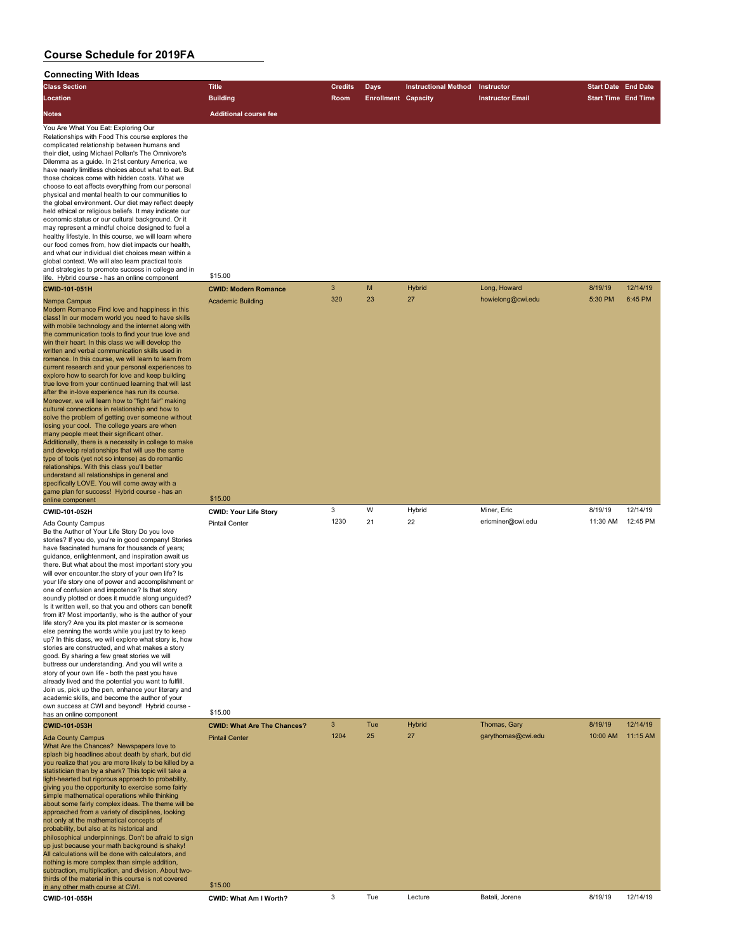| <b>Connecting With Ideas</b>                                                                                                                                                                                                                                                                                                                                                                                                                                                                                                                                                                                                                                                                                                                                                                                                                                                                                                                                                                                                                                                                                                                                                                                                                                                                                                                                                                                                                                                                                                                                                                                                                                                                                                                                                                                                                                                                                                                                                                                                                               |                                                                    |                |                            |                             |                                   |                            |                     |
|------------------------------------------------------------------------------------------------------------------------------------------------------------------------------------------------------------------------------------------------------------------------------------------------------------------------------------------------------------------------------------------------------------------------------------------------------------------------------------------------------------------------------------------------------------------------------------------------------------------------------------------------------------------------------------------------------------------------------------------------------------------------------------------------------------------------------------------------------------------------------------------------------------------------------------------------------------------------------------------------------------------------------------------------------------------------------------------------------------------------------------------------------------------------------------------------------------------------------------------------------------------------------------------------------------------------------------------------------------------------------------------------------------------------------------------------------------------------------------------------------------------------------------------------------------------------------------------------------------------------------------------------------------------------------------------------------------------------------------------------------------------------------------------------------------------------------------------------------------------------------------------------------------------------------------------------------------------------------------------------------------------------------------------------------------|--------------------------------------------------------------------|----------------|----------------------------|-----------------------------|-----------------------------------|----------------------------|---------------------|
| <b>Class Section</b>                                                                                                                                                                                                                                                                                                                                                                                                                                                                                                                                                                                                                                                                                                                                                                                                                                                                                                                                                                                                                                                                                                                                                                                                                                                                                                                                                                                                                                                                                                                                                                                                                                                                                                                                                                                                                                                                                                                                                                                                                                       | <b>Title</b>                                                       | <b>Credits</b> | <b>Days</b>                | <b>Instructional Method</b> | Instructor                        | <b>Start Date End Date</b> |                     |
| Location                                                                                                                                                                                                                                                                                                                                                                                                                                                                                                                                                                                                                                                                                                                                                                                                                                                                                                                                                                                                                                                                                                                                                                                                                                                                                                                                                                                                                                                                                                                                                                                                                                                                                                                                                                                                                                                                                                                                                                                                                                                   | <b>Building</b>                                                    | Room           | <b>Enrollment Capacity</b> |                             | <b>Instructor Email</b>           | <b>Start Time End Time</b> |                     |
| Notes                                                                                                                                                                                                                                                                                                                                                                                                                                                                                                                                                                                                                                                                                                                                                                                                                                                                                                                                                                                                                                                                                                                                                                                                                                                                                                                                                                                                                                                                                                                                                                                                                                                                                                                                                                                                                                                                                                                                                                                                                                                      | <b>Additional course fee</b>                                       |                |                            |                             |                                   |                            |                     |
| You Are What You Eat: Exploring Our<br>Relationships with Food This course explores the<br>complicated relationship between humans and<br>their diet, using Michael Pollan's The Omnivore's<br>Dilemma as a guide. In 21st century America, we<br>have nearly limitless choices about what to eat. But<br>those choices come with hidden costs. What we<br>choose to eat affects everything from our personal<br>physical and mental health to our communities to<br>the global environment. Our diet may reflect deeply<br>held ethical or religious beliefs. It may indicate our<br>economic status or our cultural background. Or it<br>may represent a mindful choice designed to fuel a<br>healthy lifestyle. In this course, we will learn where<br>our food comes from, how diet impacts our health,<br>and what our individual diet choices mean within a<br>global context. We will also learn practical tools<br>and strategies to promote success in college and in<br>life. Hybrid course - has an online component<br><b>CWID-101-051H</b><br>Nampa Campus<br>Modern Romance Find love and happiness in this<br>class! In our modern world you need to have skills<br>with mobile technology and the internet along with<br>the communication tools to find your true love and<br>win their heart. In this class we will develop the<br>written and verbal communication skills used in<br>romance. In this course, we will learn to learn from<br>current research and your personal experiences to<br>explore how to search for love and keep building<br>true love from your continued learning that will last<br>after the in-love experience has run its course.<br>Moreover, we will learn how to "fight fair" making<br>cultural connections in relationship and how to<br>solve the problem of getting over someone without<br>losing your cool. The college years are when<br>many people meet their significant other.<br>Additionally, there is a necessity in college to make<br>and develop relationships that will use the same | \$15.00<br><b>CWID: Modern Romance</b><br><b>Academic Building</b> | 3<br>320       | M<br>23                    | <b>Hybrid</b><br>27         | Long, Howard<br>howielong@cwi.edu | 8/19/19<br>5:30 PM         | 12/14/19<br>6:45 PM |
| type of tools (yet not so intense) as do romantic<br>relationships. With this class you'll better<br>understand all relationships in general and<br>specifically LOVE. You will come away with a<br>game plan for success! Hybrid course - has an                                                                                                                                                                                                                                                                                                                                                                                                                                                                                                                                                                                                                                                                                                                                                                                                                                                                                                                                                                                                                                                                                                                                                                                                                                                                                                                                                                                                                                                                                                                                                                                                                                                                                                                                                                                                          |                                                                    |                |                            |                             |                                   |                            |                     |
| online component                                                                                                                                                                                                                                                                                                                                                                                                                                                                                                                                                                                                                                                                                                                                                                                                                                                                                                                                                                                                                                                                                                                                                                                                                                                                                                                                                                                                                                                                                                                                                                                                                                                                                                                                                                                                                                                                                                                                                                                                                                           | \$15.00                                                            |                |                            |                             |                                   |                            |                     |
| CWID-101-052H                                                                                                                                                                                                                                                                                                                                                                                                                                                                                                                                                                                                                                                                                                                                                                                                                                                                                                                                                                                                                                                                                                                                                                                                                                                                                                                                                                                                                                                                                                                                                                                                                                                                                                                                                                                                                                                                                                                                                                                                                                              | <b>CWID: Your Life Story</b>                                       | 3              | W                          | Hybrid                      | Miner, Eric                       | 8/19/19                    | 12/14/19            |
| Ada County Campus<br>Be the Author of Your Life Story Do you love<br>stories? If you do, you're in good company! Stories<br>have fascinated humans for thousands of years;<br>guidance, enlightenment, and inspiration await us<br>there. But what about the most important story you<br>will ever encounter the story of your own life? Is<br>your life story one of power and accomplishment or<br>one of confusion and impotence? Is that story<br>soundly plotted or does it muddle along unguided?<br>Is it written well, so that you and others can benefit<br>from it? Most importantly, who is the author of your<br>life story? Are you its plot master or is someone<br>else penning the words while you just try to keep<br>up? In this class, we will explore what story is, how<br>stories are constructed, and what makes a story<br>good. By sharing a few great stories we will<br>buttress our understanding. And you will write a<br>story of your own life - both the past you have<br>already lived and the potential you want to fulfill.<br>Join us, pick up the pen, enhance your literary and<br>academic skills, and become the author of your<br>own success at CWI and beyond! Hybrid course -<br>has an online component                                                                                                                                                                                                                                                                                                                                                                                                                                                                                                                                                                                                                                                                                                                                                                                                       | <b>Pintail Center</b><br>\$15.00                                   | 1230           | 21                         | 22                          | ericminer@cwi.edu                 | 11:30 AM                   | 12:45 PM            |
| <b>CWID-101-053H</b>                                                                                                                                                                                                                                                                                                                                                                                                                                                                                                                                                                                                                                                                                                                                                                                                                                                                                                                                                                                                                                                                                                                                                                                                                                                                                                                                                                                                                                                                                                                                                                                                                                                                                                                                                                                                                                                                                                                                                                                                                                       | <b>CWID: What Are The Chances?</b>                                 | 3              | Tue                        | <b>Hybrid</b>               | Thomas, Gary                      | 8/19/19                    | 12/14/19            |
| <b>Ada County Campus</b><br>What Are the Chances? Newspapers love to<br>splash big headlines about death by shark, but did<br>you realize that you are more likely to be killed by a<br>statistician than by a shark? This topic will take a<br>light-hearted but rigorous approach to probability,<br>giving you the opportunity to exercise some fairly<br>simple mathematical operations while thinking<br>about some fairly complex ideas. The theme will be<br>approached from a variety of disciplines, looking<br>not only at the mathematical concepts of<br>probability, but also at its historical and<br>philosophical underpinnings. Don't be afraid to sign<br>up just because your math background is shaky!<br>All calculations will be done with calculators, and<br>nothing is more complex than simple addition,<br>subtraction, multiplication, and division. About two-<br>thirds of the material in this course is not covered                                                                                                                                                                                                                                                                                                                                                                                                                                                                                                                                                                                                                                                                                                                                                                                                                                                                                                                                                                                                                                                                                                        | <b>Pintail Center</b>                                              | 1204           | 25                         | 27                          | garythomas@cwi.edu                | 10:00 AM                   | 11:15 AM            |
| in any other math course at CWI.                                                                                                                                                                                                                                                                                                                                                                                                                                                                                                                                                                                                                                                                                                                                                                                                                                                                                                                                                                                                                                                                                                                                                                                                                                                                                                                                                                                                                                                                                                                                                                                                                                                                                                                                                                                                                                                                                                                                                                                                                           | \$15.00                                                            |                |                            |                             |                                   |                            |                     |
| CWID-101-055H                                                                                                                                                                                                                                                                                                                                                                                                                                                                                                                                                                                                                                                                                                                                                                                                                                                                                                                                                                                                                                                                                                                                                                                                                                                                                                                                                                                                                                                                                                                                                                                                                                                                                                                                                                                                                                                                                                                                                                                                                                              | CWID: What Am I Worth?                                             | 3              | Tue                        | Lecture                     | Batali, Jorene                    | 8/19/19                    | 12/14/19            |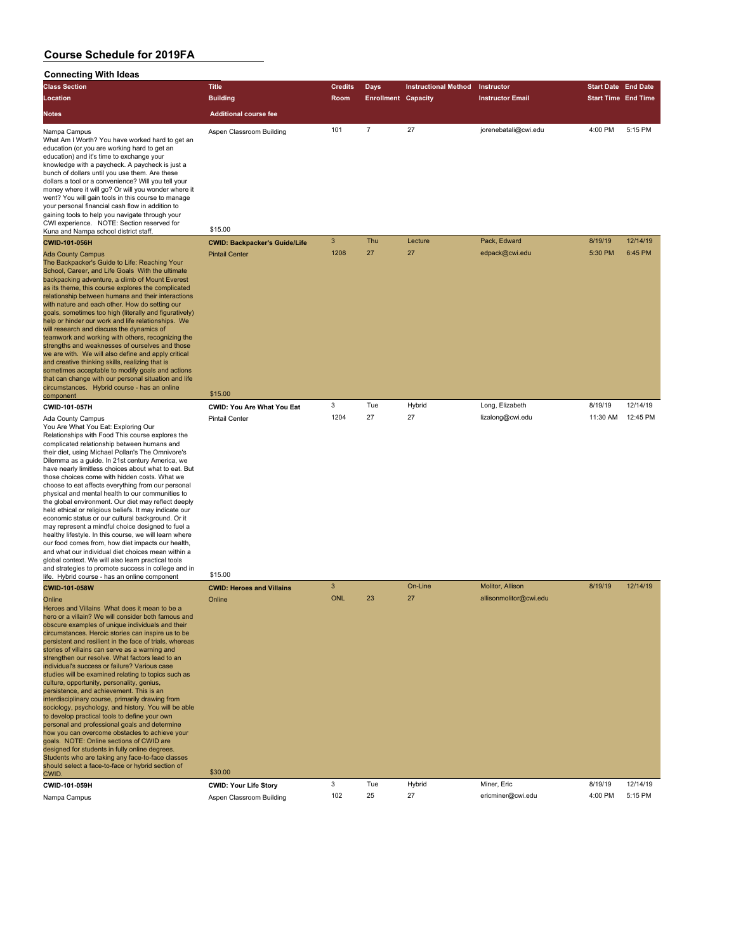| <b>Class Section</b>                                                                                                                                                                                                                                                                                                                                                                                                                                                                                                                                                                                                                                                                                                                                                                                                                                                                                                                                                                                                                                                       | <b>Title</b>                         | <b>Credits</b> | <b>Days</b>                | <b>Instructional Method</b> | Instructor                     | <b>Start Date End Date</b> |                     |
|----------------------------------------------------------------------------------------------------------------------------------------------------------------------------------------------------------------------------------------------------------------------------------------------------------------------------------------------------------------------------------------------------------------------------------------------------------------------------------------------------------------------------------------------------------------------------------------------------------------------------------------------------------------------------------------------------------------------------------------------------------------------------------------------------------------------------------------------------------------------------------------------------------------------------------------------------------------------------------------------------------------------------------------------------------------------------|--------------------------------------|----------------|----------------------------|-----------------------------|--------------------------------|----------------------------|---------------------|
| Location                                                                                                                                                                                                                                                                                                                                                                                                                                                                                                                                                                                                                                                                                                                                                                                                                                                                                                                                                                                                                                                                   | <b>Building</b>                      | Room           | <b>Enrollment Capacity</b> |                             | <b>Instructor Email</b>        | <b>Start Time End Time</b> |                     |
| <b>Notes</b>                                                                                                                                                                                                                                                                                                                                                                                                                                                                                                                                                                                                                                                                                                                                                                                                                                                                                                                                                                                                                                                               | <b>Additional course fee</b>         |                |                            |                             |                                |                            |                     |
| Nampa Campus<br>What Am I Worth? You have worked hard to get an<br>education (or you are working hard to get an<br>education) and it's time to exchange your<br>knowledge with a paycheck. A paycheck is just a<br>bunch of dollars until you use them. Are these<br>dollars a tool or a convenience? Will you tell your<br>money where it will go? Or will you wonder where it<br>went? You will gain tools in this course to manage<br>your personal financial cash flow in addition to<br>gaining tools to help you navigate through your<br>CWI experience. NOTE: Section reserved for<br>Kuna and Nampa school district staff.                                                                                                                                                                                                                                                                                                                                                                                                                                        | Aspen Classroom Building<br>\$15.00  | 101            | $\overline{7}$             | 27                          | jorenebatali@cwi.edu           | 4:00 PM                    | 5:15 PM             |
| <b>CWID-101-056H</b>                                                                                                                                                                                                                                                                                                                                                                                                                                                                                                                                                                                                                                                                                                                                                                                                                                                                                                                                                                                                                                                       | <b>CWID: Backpacker's Guide/Life</b> | 3<br>1208      | Thu<br>27                  | Lecture<br>27               | Pack, Edward<br>edpack@cwi.edu | 8/19/19<br>5:30 PM         | 12/14/19<br>6:45 PM |
| <b>Ada County Campus</b><br>The Backpacker's Guide to Life: Reaching Your<br>School, Career, and Life Goals With the ultimate<br>backpacking adventure, a climb of Mount Everest<br>as its theme, this course explores the complicated<br>relationship between humans and their interactions<br>with nature and each other. How do setting our<br>goals, sometimes too high (literally and figuratively)<br>help or hinder our work and life relationships. We<br>will research and discuss the dynamics of<br>teamwork and working with others, recognizing the<br>strengths and weaknesses of ourselves and those<br>we are with. We will also define and apply critical<br>and creative thinking skills, realizing that is<br>sometimes acceptable to modify goals and actions<br>that can change with our personal situation and life<br>circumstances. Hybrid course - has an online<br>component                                                                                                                                                                     | <b>Pintail Center</b><br>\$15.00     |                |                            |                             |                                |                            |                     |
| CWID-101-057H                                                                                                                                                                                                                                                                                                                                                                                                                                                                                                                                                                                                                                                                                                                                                                                                                                                                                                                                                                                                                                                              | <b>CWID: You Are What You Eat</b>    | 3              | Tue                        | Hybrid                      | Long, Elizabeth                | 8/19/19                    | 12/14/19            |
| Ada County Campus<br>You Are What You Eat: Exploring Our<br>Relationships with Food This course explores the<br>complicated relationship between humans and<br>their diet, using Michael Pollan's The Omnivore's<br>Dilemma as a guide. In 21st century America, we<br>have nearly limitless choices about what to eat. But<br>those choices come with hidden costs. What we<br>choose to eat affects everything from our personal<br>physical and mental health to our communities to<br>the global environment. Our diet may reflect deeply<br>held ethical or religious beliefs. It may indicate our<br>economic status or our cultural background. Or it<br>may represent a mindful choice designed to fuel a<br>healthy lifestyle. In this course, we will learn where<br>our food comes from, how diet impacts our health,<br>and what our individual diet choices mean within a<br>global context. We will also learn practical tools<br>and strategies to promote success in college and in<br>life. Hybrid course - has an online component                       | <b>Pintail Center</b><br>\$15.00     | 1204           | 27                         | 27                          | lizalong@cwi.edu               | 11:30 AM                   | 12:45 PM            |
| <b>CWID-101-058W</b>                                                                                                                                                                                                                                                                                                                                                                                                                                                                                                                                                                                                                                                                                                                                                                                                                                                                                                                                                                                                                                                       | <b>CWID: Heroes and Villains</b>     | 3              |                            | On-Line                     | Molitor, Allison               | 8/19/19                    | 12/14/19            |
| Online<br>Heroes and Villains What does it mean to be a<br>hero or a villain? We will consider both famous and<br>obscure examples of unique individuals and their<br>circumstances. Heroic stories can inspire us to be<br>persistent and resilient in the face of trials, whereas<br>stories of villains can serve as a warning and<br>strengthen our resolve. What factors lead to an<br>individual's success or failure? Various case<br>studies will be examined relating to topics such as<br>culture, opportunity, personality, genius,<br>persistence, and achievement. This is an<br>interdisciplinary course, primarily drawing from<br>sociology, psychology, and history. You will be able<br>to develop practical tools to define your own<br>personal and professional goals and determine<br>how you can overcome obstacles to achieve your<br>goals. NOTE: Online sections of CWID are<br>designed for students in fully online degrees.<br>Students who are taking any face-to-face classes<br>should select a face-to-face or hybrid section of<br>CWID. | Online<br>\$30.00                    | <b>ONL</b>     | 23                         | 27                          | allisonmolitor@cwi.edu         |                            |                     |
| CWID-101-059H                                                                                                                                                                                                                                                                                                                                                                                                                                                                                                                                                                                                                                                                                                                                                                                                                                                                                                                                                                                                                                                              | <b>CWID: Your Life Story</b>         | 3              | Tue                        | Hybrid                      | Miner, Eric                    | 8/19/19                    | 12/14/19            |
| Nampa Campus                                                                                                                                                                                                                                                                                                                                                                                                                                                                                                                                                                                                                                                                                                                                                                                                                                                                                                                                                                                                                                                               | Aspen Classroom Building             | 102            | 25                         | 27                          | ericminer@cwi.edu              | 4:00 PM                    | 5:15 PM             |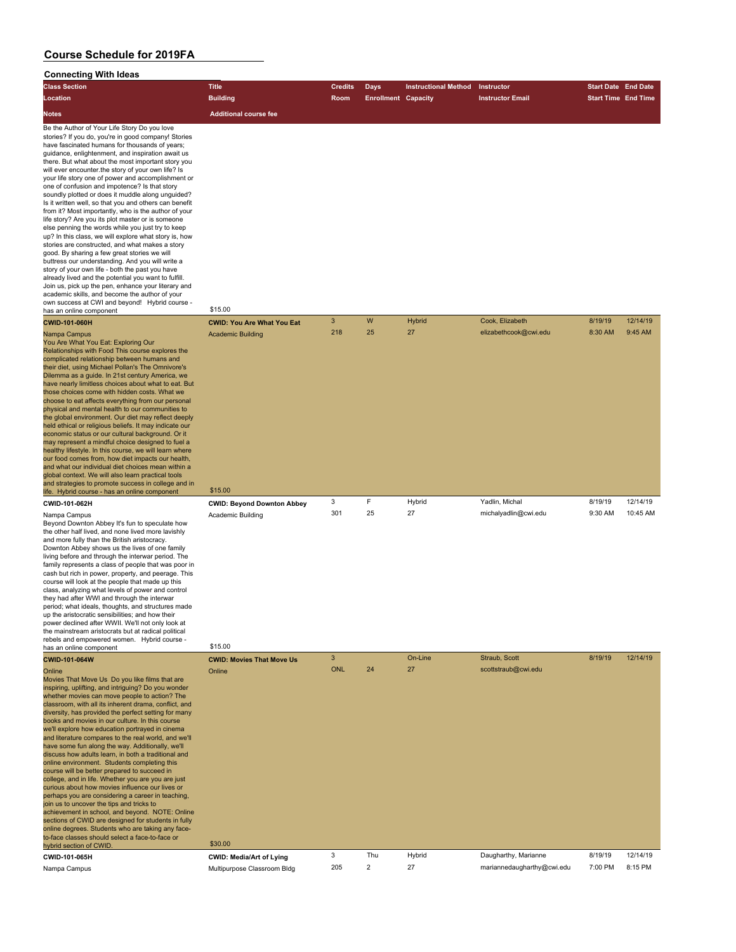| <b>Class Section</b>                                                                                                                                                                                                                                                                                                                                                                                                                                                                                                                                                                                                                                                                                                                                                                                                                                                                                                                                                                                                                                                                                                                                                                                                            | <b>Title</b>                                                      | <b>Credits</b> | <b>Days</b>                | <b>Instructional Method</b> | Instructor                             | <b>Start Date End Date</b> |                      |
|---------------------------------------------------------------------------------------------------------------------------------------------------------------------------------------------------------------------------------------------------------------------------------------------------------------------------------------------------------------------------------------------------------------------------------------------------------------------------------------------------------------------------------------------------------------------------------------------------------------------------------------------------------------------------------------------------------------------------------------------------------------------------------------------------------------------------------------------------------------------------------------------------------------------------------------------------------------------------------------------------------------------------------------------------------------------------------------------------------------------------------------------------------------------------------------------------------------------------------|-------------------------------------------------------------------|----------------|----------------------------|-----------------------------|----------------------------------------|----------------------------|----------------------|
| Location                                                                                                                                                                                                                                                                                                                                                                                                                                                                                                                                                                                                                                                                                                                                                                                                                                                                                                                                                                                                                                                                                                                                                                                                                        | <b>Building</b>                                                   | Room           | <b>Enrollment Capacity</b> |                             | <b>Instructor Email</b>                | <b>Start Time End Time</b> |                      |
| Notes                                                                                                                                                                                                                                                                                                                                                                                                                                                                                                                                                                                                                                                                                                                                                                                                                                                                                                                                                                                                                                                                                                                                                                                                                           | <b>Additional course fee</b>                                      |                |                            |                             |                                        |                            |                      |
| Be the Author of Your Life Story Do you love<br>stories? If you do, you're in good company! Stories<br>have fascinated humans for thousands of years;<br>guidance, enlightenment, and inspiration await us<br>there. But what about the most important story you<br>will ever encounter the story of your own life? Is<br>your life story one of power and accomplishment or<br>one of confusion and impotence? Is that story<br>soundly plotted or does it muddle along unguided?<br>Is it written well, so that you and others can benefit<br>from it? Most importantly, who is the author of your<br>life story? Are you its plot master or is someone<br>else penning the words while you just try to keep<br>up? In this class, we will explore what story is, how<br>stories are constructed, and what makes a story<br>good. By sharing a few great stories we will<br>buttress our understanding. And you will write a<br>story of your own life - both the past you have<br>already lived and the potential you want to fulfill.<br>Join us, pick up the pen, enhance your literary and<br>academic skills, and become the author of your<br>own success at CWI and beyond! Hybrid course -<br>has an online component | \$15.00                                                           |                |                            |                             |                                        |                            |                      |
| CWID-101-060H                                                                                                                                                                                                                                                                                                                                                                                                                                                                                                                                                                                                                                                                                                                                                                                                                                                                                                                                                                                                                                                                                                                                                                                                                   | <b>CWID: You Are What You Eat</b>                                 | $\mathbf{3}$   | W                          | <b>Hybrid</b>               | Cook, Elizabeth                        | 8/19/19                    | 12/14/19             |
| Nampa Campus<br>You Are What You Eat: Exploring Our<br>Relationships with Food This course explores the<br>complicated relationship between humans and<br>their diet, using Michael Pollan's The Omnivore's<br>Dilemma as a guide. In 21st century America, we<br>have nearly limitless choices about what to eat. But<br>those choices come with hidden costs. What we<br>choose to eat affects everything from our personal<br>physical and mental health to our communities to<br>the global environment. Our diet may reflect deeply<br>held ethical or religious beliefs. It may indicate our<br>economic status or our cultural background. Or it<br>may represent a mindful choice designed to fuel a<br>healthy lifestyle. In this course, we will learn where<br>our food comes from, how diet impacts our health,<br>and what our individual diet choices mean within a<br>global context. We will also learn practical tools<br>and strategies to promote success in college and in                                                                                                                                                                                                                                  | <b>Academic Building</b>                                          | 218            | 25                         | 27                          | elizabethcook@cwi.edu                  | 8:30 AM                    | 9:45 AM              |
| life. Hybrid course - has an online component                                                                                                                                                                                                                                                                                                                                                                                                                                                                                                                                                                                                                                                                                                                                                                                                                                                                                                                                                                                                                                                                                                                                                                                   | \$15.00                                                           |                |                            |                             |                                        |                            |                      |
| CWID-101-062H<br>Nampa Campus<br>Beyond Downton Abbey It's fun to speculate how<br>the other half lived, and none lived more lavishly<br>and more fully than the British aristocracy.<br>Downton Abbey shows us the lives of one family<br>living before and through the interwar period. The<br>family represents a class of people that was poor in<br>cash but rich in power, property, and peerage. This<br>course will look at the people that made up this<br>class, analyzing what levels of power and control<br>they had after WWI and through the interwar<br>period; what ideals, thoughts, and structures made<br>up the aristocratic sensibilities; and how their<br>power declined after WWII. We'll not only look at<br>the mainstream aristocrats but at radical political<br>rebels and empowered women. Hybrid course -<br>has an online component                                                                                                                                                                                                                                                                                                                                                            | <b>CWID: Beyond Downton Abbey</b><br>Academic Building<br>\$15.00 | 3<br>301       | F<br>25                    | Hybrid<br>27                | Yadlin, Michal<br>michalyadlin@cwi.edu | 8/19/19<br>9:30 AM         | 12/14/19<br>10:45 AM |
| CWID-101-064W                                                                                                                                                                                                                                                                                                                                                                                                                                                                                                                                                                                                                                                                                                                                                                                                                                                                                                                                                                                                                                                                                                                                                                                                                   | <b>CWID: Movies That Move Us</b>                                  | $\mathbf{3}$   |                            | On-Line                     | Straub, Scott                          | 8/19/19                    | 12/14/19             |
| Online<br>Movies That Move Us Do you like films that are<br>inspiring, uplifting, and intriguing? Do you wonder<br>whether movies can move people to action? The<br>classroom, with all its inherent drama, conflict, and<br>diversity, has provided the perfect setting for many<br>books and movies in our culture. In this course<br>we'll explore how education portrayed in cinema<br>and literature compares to the real world, and we'll<br>have some fun along the way. Additionally, we'll<br>discuss how adults learn, in both a traditional and<br>online environment. Students completing this<br>course will be better prepared to succeed in<br>college, and in life. Whether you are you are just<br>curious about how movies influence our lives or<br>perhaps you are considering a career in teaching,<br>join us to uncover the tips and tricks to<br>achievement in school, and beyond. NOTE: Online<br>sections of CWID are designed for students in fully<br>online degrees. Students who are taking any face-<br>to-face classes should select a face-to-face or<br>hybrid section of CWID.                                                                                                              | Online<br>\$30.00                                                 | <b>ONL</b>     | 24                         | 27                          | scottstraub@cwi.edu                    |                            |                      |
| CWID-101-065H                                                                                                                                                                                                                                                                                                                                                                                                                                                                                                                                                                                                                                                                                                                                                                                                                                                                                                                                                                                                                                                                                                                                                                                                                   | <b>CWID: Media/Art of Lying</b>                                   | 3              | Thu                        | Hybrid                      | Daugharthy, Marianne                   | 8/19/19                    | 12/14/19             |
| Nampa Campus                                                                                                                                                                                                                                                                                                                                                                                                                                                                                                                                                                                                                                                                                                                                                                                                                                                                                                                                                                                                                                                                                                                                                                                                                    | Multipurpose Classroom Bldg                                       | 205            | $\overline{2}$             | 27                          | mariannedaugharthy@cwi.edu             | 7:00 PM                    | 8:15 PM              |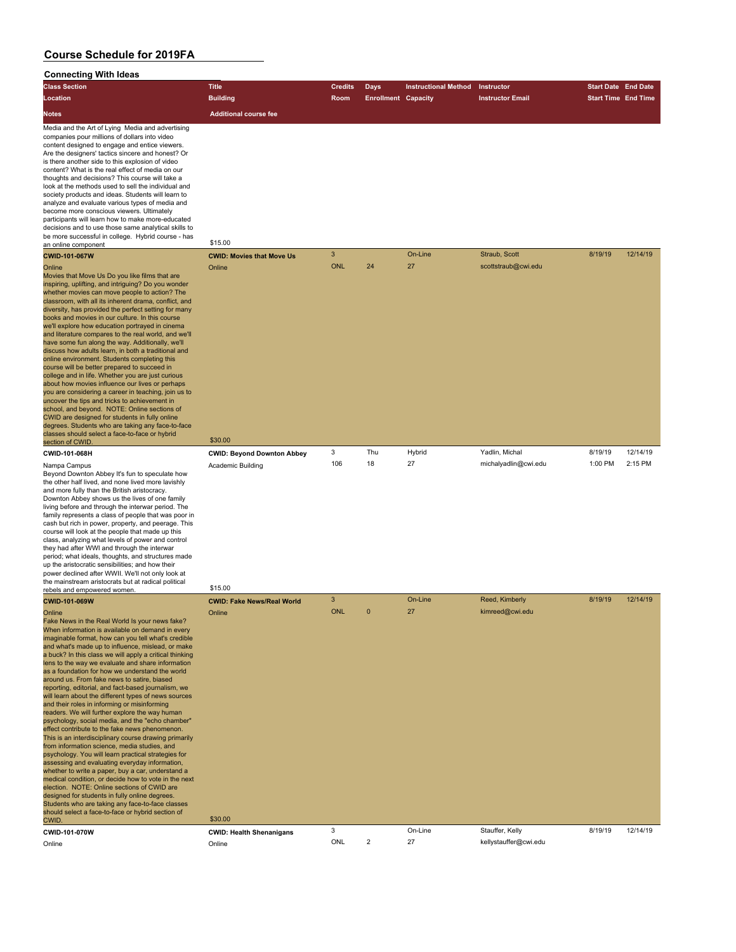| Connecting With Ideas                                                                                                                                                                                                                                                                                                                                                                                                                                                                                                                                                                                                                                                                                                                                                                                                                                                                                                                                                                                                                                                                                                                                                                                                                                                                                                              |                                             |                     |                            |                             |                                   |                            |          |
|------------------------------------------------------------------------------------------------------------------------------------------------------------------------------------------------------------------------------------------------------------------------------------------------------------------------------------------------------------------------------------------------------------------------------------------------------------------------------------------------------------------------------------------------------------------------------------------------------------------------------------------------------------------------------------------------------------------------------------------------------------------------------------------------------------------------------------------------------------------------------------------------------------------------------------------------------------------------------------------------------------------------------------------------------------------------------------------------------------------------------------------------------------------------------------------------------------------------------------------------------------------------------------------------------------------------------------|---------------------------------------------|---------------------|----------------------------|-----------------------------|-----------------------------------|----------------------------|----------|
| <b>Class Section</b>                                                                                                                                                                                                                                                                                                                                                                                                                                                                                                                                                                                                                                                                                                                                                                                                                                                                                                                                                                                                                                                                                                                                                                                                                                                                                                               | <b>Title</b>                                | <b>Credits</b>      | <b>Days</b>                | <b>Instructional Method</b> | Instructor                        | <b>Start Date End Date</b> |          |
| Location                                                                                                                                                                                                                                                                                                                                                                                                                                                                                                                                                                                                                                                                                                                                                                                                                                                                                                                                                                                                                                                                                                                                                                                                                                                                                                                           | <b>Building</b>                             | Room                | <b>Enrollment Capacity</b> |                             | <b>Instructor Email</b>           | <b>Start Time End Time</b> |          |
| Notes                                                                                                                                                                                                                                                                                                                                                                                                                                                                                                                                                                                                                                                                                                                                                                                                                                                                                                                                                                                                                                                                                                                                                                                                                                                                                                                              | <b>Additional course fee</b>                |                     |                            |                             |                                   |                            |          |
| Media and the Art of Lying Media and advertising<br>companies pour millions of dollars into video<br>content designed to engage and entice viewers.<br>Are the designers' tactics sincere and honest? Or<br>is there another side to this explosion of video<br>content? What is the real effect of media on our<br>thoughts and decisions? This course will take a<br>look at the methods used to sell the individual and<br>society products and ideas. Students will learn to<br>analyze and evaluate various types of media and<br>become more conscious viewers. Ultimately<br>participants will learn how to make more-educated<br>decisions and to use those same analytical skills to<br>be more successful in college. Hybrid course - has<br>an online component                                                                                                                                                                                                                                                                                                                                                                                                                                                                                                                                                         | \$15.00                                     |                     |                            |                             |                                   |                            |          |
| <b>CWID-101-067W</b>                                                                                                                                                                                                                                                                                                                                                                                                                                                                                                                                                                                                                                                                                                                                                                                                                                                                                                                                                                                                                                                                                                                                                                                                                                                                                                               | <b>CWID: Movies that Move Us</b>            | $\mathbf{3}$        |                            | On-Line                     | Straub, Scott                     | 8/19/19                    | 12/14/19 |
| Online<br>Movies that Move Us Do you like films that are<br>inspiring, uplifting, and intriguing? Do you wonder<br>whether movies can move people to action? The<br>classroom, with all its inherent drama, conflict, and<br>diversity, has provided the perfect setting for many<br>books and movies in our culture. In this course<br>we'll explore how education portrayed in cinema<br>and literature compares to the real world, and we'll<br>have some fun along the way. Additionally, we'll<br>discuss how adults learn, in both a traditional and<br>online environment. Students completing this<br>course will be better prepared to succeed in<br>college and in life. Whether you are just curious<br>about how movies influence our lives or perhaps<br>you are considering a career in teaching, join us to<br>uncover the tips and tricks to achievement in<br>school, and beyond. NOTE: Online sections of<br>CWID are designed for students in fully online<br>degrees. Students who are taking any face-to-face<br>classes should select a face-to-face or hybrid<br>section of CWID.                                                                                                                                                                                                                           | Online<br>\$30.00                           | <b>ONL</b>          | 24                         | 27                          | scottstraub@cwi.edu               |                            |          |
| CWID-101-068H                                                                                                                                                                                                                                                                                                                                                                                                                                                                                                                                                                                                                                                                                                                                                                                                                                                                                                                                                                                                                                                                                                                                                                                                                                                                                                                      | <b>CWID: Beyond Downton Abbey</b>           | 3                   | Thu                        | Hybrid                      | Yadlin, Michal                    | 8/19/19                    | 12/14/19 |
| Nampa Campus<br>Beyond Downton Abbey It's fun to speculate how<br>the other half lived, and none lived more lavishly<br>and more fully than the British aristocracy.<br>Downton Abbey shows us the lives of one family<br>living before and through the interwar period. The<br>family represents a class of people that was poor in<br>cash but rich in power, property, and peerage. This<br>course will look at the people that made up this<br>class, analyzing what levels of power and control<br>they had after WWI and through the interwar<br>period; what ideals, thoughts, and structures made<br>up the aristocratic sensibilities; and how their<br>power declined after WWII. We'll not only look at<br>the mainstream aristocrats but at radical political                                                                                                                                                                                                                                                                                                                                                                                                                                                                                                                                                          | Academic Building                           | 106                 | 18                         | 27                          | michalyadlin@cwi.edu              | 1:00 PM                    | 2:15 PM  |
| rebels and empowered women.                                                                                                                                                                                                                                                                                                                                                                                                                                                                                                                                                                                                                                                                                                                                                                                                                                                                                                                                                                                                                                                                                                                                                                                                                                                                                                        | \$15.00                                     |                     |                            |                             |                                   |                            |          |
| <b>CWID-101-069W</b><br>Online<br>Fake News in the Real World Is your news fake?<br>When information is available on demand in every<br>imaginable format, how can you tell what's credible<br>and what's made up to influence, mislead, or make<br>a buck? In this class we will apply a critical thinking<br>lens to the way we evaluate and share information<br>as a foundation for how we understand the world<br>around us. From fake news to satire, biased<br>reporting, editorial, and fact-based journalism, we<br>will learn about the different types of news sources<br>and their roles in informing or misinforming<br>readers. We will further explore the way human<br>psychology, social media, and the "echo chamber"<br>effect contribute to the fake news phenomenon.<br>This is an interdisciplinary course drawing primarily<br>from information science, media studies, and<br>psychology. You will learn practical strategies for<br>assessing and evaluating everyday information,<br>whether to write a paper, buy a car, understand a<br>medical condition, or decide how to vote in the next<br>election. NOTE: Online sections of CWID are<br>designed for students in fully online degrees.<br>Students who are taking any face-to-face classes<br>should select a face-to-face or hybrid section of | <b>CWID: Fake News/Real World</b><br>Online | $\mathbf{3}$<br>ONL | $\Omega$                   | On-Line<br>27               | Reed, Kimberly<br>kimreed@cwi.edu | 8/19/19                    | 12/14/19 |
| CWID.                                                                                                                                                                                                                                                                                                                                                                                                                                                                                                                                                                                                                                                                                                                                                                                                                                                                                                                                                                                                                                                                                                                                                                                                                                                                                                                              | \$30.00                                     |                     |                            |                             |                                   |                            |          |
| CWID-101-070W                                                                                                                                                                                                                                                                                                                                                                                                                                                                                                                                                                                                                                                                                                                                                                                                                                                                                                                                                                                                                                                                                                                                                                                                                                                                                                                      | <b>CWID: Health Shenanigans</b>             | 3                   |                            | On-Line                     | Stauffer, Kelly                   | 8/19/19                    | 12/14/19 |

Online **Online** Online Online ONL 2 27 kellystauffer@cwi.edu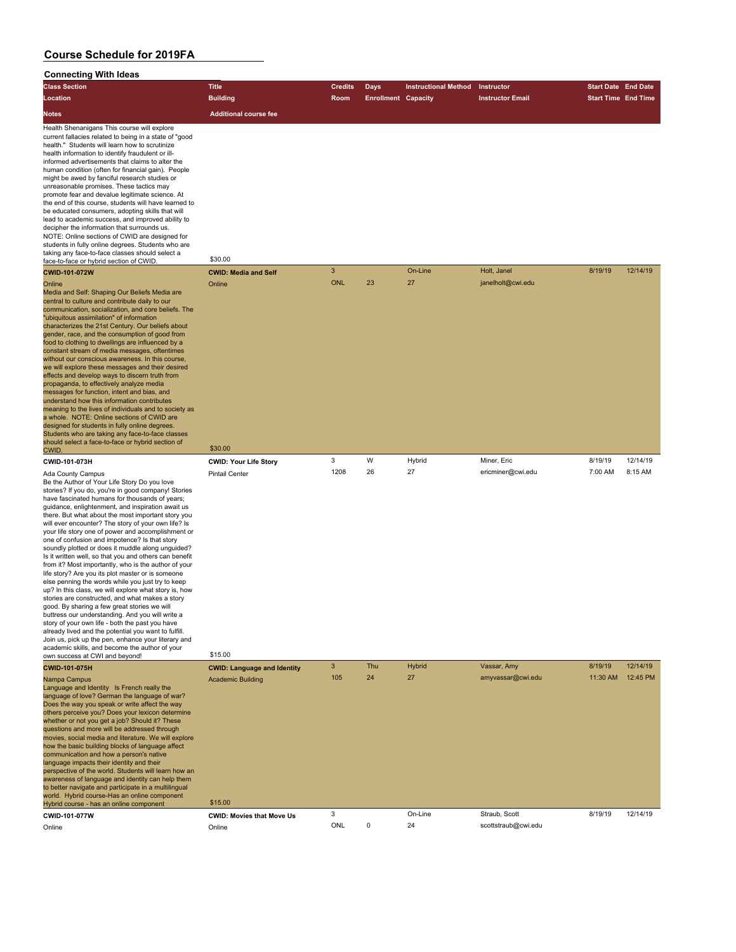#### **Connecting With Ideas**

| <b>Class Section</b>                                                                                                                                                                                                                                                                                                                                                                                                                                                                                                                                                                                                                                                                                                                                                                                                                                                                                                                                                                                                                                                                                                                                                                                       | <b>Title</b>                        | Credits    | Days                       | <b>Instructional Method</b> | Instructor                       | <b>Start Date End Date</b> |                     |
|------------------------------------------------------------------------------------------------------------------------------------------------------------------------------------------------------------------------------------------------------------------------------------------------------------------------------------------------------------------------------------------------------------------------------------------------------------------------------------------------------------------------------------------------------------------------------------------------------------------------------------------------------------------------------------------------------------------------------------------------------------------------------------------------------------------------------------------------------------------------------------------------------------------------------------------------------------------------------------------------------------------------------------------------------------------------------------------------------------------------------------------------------------------------------------------------------------|-------------------------------------|------------|----------------------------|-----------------------------|----------------------------------|----------------------------|---------------------|
| Location                                                                                                                                                                                                                                                                                                                                                                                                                                                                                                                                                                                                                                                                                                                                                                                                                                                                                                                                                                                                                                                                                                                                                                                                   | <b>Building</b>                     | Room       | <b>Enrollment Capacity</b> |                             | <b>Instructor Email</b>          | <b>Start Time End Time</b> |                     |
| Notes                                                                                                                                                                                                                                                                                                                                                                                                                                                                                                                                                                                                                                                                                                                                                                                                                                                                                                                                                                                                                                                                                                                                                                                                      | <b>Additional course fee</b>        |            |                            |                             |                                  |                            |                     |
| Health Shenanigans This course will explore<br>current fallacies related to being in a state of "good<br>health." Students will learn how to scrutinize<br>health information to identify fraudulent or ill-<br>informed advertisements that claims to alter the<br>human condition (often for financial gain). People<br>might be awed by fanciful research studies or<br>unreasonable promises. These tactics may<br>promote fear and devalue legitimate science. At<br>the end of this course, students will have learned to<br>be educated consumers, adopting skills that will<br>lead to academic success, and improved ability to<br>decipher the information that surrounds us.<br>NOTE: Online sections of CWID are designed for<br>students in fully online degrees. Students who are<br>taking any face-to-face classes should select a<br>face-to-face or hybrid section of CWID.                                                                                                                                                                                                                                                                                                              | \$30.00                             |            |                            |                             |                                  |                            |                     |
| CWID-101-072W                                                                                                                                                                                                                                                                                                                                                                                                                                                                                                                                                                                                                                                                                                                                                                                                                                                                                                                                                                                                                                                                                                                                                                                              | <b>CWID: Media and Self</b>         | 3          |                            | On-Line                     | Holt, Janel                      | 8/19/19                    | 12/14/19            |
| Online<br>Media and Self: Shaping Our Beliefs Media are<br>central to culture and contribute daily to our<br>communication, socialization, and core beliefs. The<br>"ubiquitous assimilation" of information<br>characterizes the 21st Century. Our beliefs about<br>gender, race, and the consumption of good from<br>food to clothing to dwellings are influenced by a<br>constant stream of media messages, oftentimes<br>without our conscious awareness. In this course,<br>we will explore these messages and their desired<br>effects and develop ways to discern truth from<br>propaganda, to effectively analyze media<br>messages for function, intent and bias, and<br>understand how this information contributes<br>meaning to the lives of individuals and to society as<br>a whole. NOTE: Online sections of CWID are<br>designed for students in fully online degrees.<br>Students who are taking any face-to-face classes<br>should select a face-to-face or hybrid section of                                                                                                                                                                                                            | Online<br>\$30.00                   | <b>ONL</b> | 23                         | 27                          | janelholt@cwi.edu                |                            |                     |
| CWID.<br>CWID-101-073H                                                                                                                                                                                                                                                                                                                                                                                                                                                                                                                                                                                                                                                                                                                                                                                                                                                                                                                                                                                                                                                                                                                                                                                     | <b>CWID: Your Life Story</b>        | 3          | W                          | Hybrid                      | Miner, Eric                      | 8/19/19                    | 12/14/19            |
| Ada County Campus<br>Be the Author of Your Life Story Do you love<br>stories? If you do, you're in good company! Stories<br>have fascinated humans for thousands of years;<br>guidance, enlightenment, and inspiration await us<br>there. But what about the most important story you<br>will ever encounter? The story of your own life? Is<br>your life story one of power and accomplishment or<br>one of confusion and impotence? Is that story<br>soundly plotted or does it muddle along unguided?<br>Is it written well, so that you and others can benefit<br>from it? Most importantly, who is the author of your<br>life story? Are you its plot master or is someone<br>else penning the words while you just try to keep<br>up? In this class, we will explore what story is, how<br>stories are constructed, and what makes a story<br>good. By sharing a few great stories we will<br>buttress our understanding. And you will write a<br>story of your own life - both the past you have<br>already lived and the potential you want to fulfill.<br>Join us, pick up the pen, enhance your literary and<br>academic skills, and become the author of your<br>own success at CWI and beyond! | <b>Pintail Center</b><br>\$15.00    | 1208<br>3  | 26<br>Thu                  | 27                          | ericminer@cwi.edu                | 7:00 AM                    | 8:15 AM<br>12/14/19 |
| <b>CWID-101-075H</b>                                                                                                                                                                                                                                                                                                                                                                                                                                                                                                                                                                                                                                                                                                                                                                                                                                                                                                                                                                                                                                                                                                                                                                                       | <b>CWID: Language and Identity</b>  | 105        | 24                         | <b>Hybrid</b><br>27         | Vassar, Amy<br>amyvassar@cwi.edu | 8/19/19<br>11:30 AM        | 12:45 PM            |
| Nampa Campus<br>Language and Identity Is French really the<br>language of love? German the language of war?<br>Does the way you speak or write affect the way<br>others perceive you? Does your lexicon determine<br>whether or not you get a job? Should it? These<br>questions and more will be addressed through<br>movies, social media and literature. We will explore<br>how the basic building blocks of language affect<br>communication and how a person's native<br>language impacts their identity and their<br>perspective of the world. Students will learn how an<br>awareness of language and identity can help them<br>to better navigate and participate in a multilingual<br>world. Hybrid course-Has an online component                                                                                                                                                                                                                                                                                                                                                                                                                                                                | <b>Academic Building</b><br>\$15.00 |            |                            |                             |                                  |                            |                     |
| Hybrid course - has an online component<br>CWID-101-077W                                                                                                                                                                                                                                                                                                                                                                                                                                                                                                                                                                                                                                                                                                                                                                                                                                                                                                                                                                                                                                                                                                                                                   | <b>CWID: Movies that Move Us</b>    | 3          |                            | On-Line                     | Straub, Scott                    | 8/19/19                    | 12/14/19            |
| Online                                                                                                                                                                                                                                                                                                                                                                                                                                                                                                                                                                                                                                                                                                                                                                                                                                                                                                                                                                                                                                                                                                                                                                                                     | Online                              | <b>ONL</b> | 0                          | 24                          | scottstraub@cwi.edu              |                            |                     |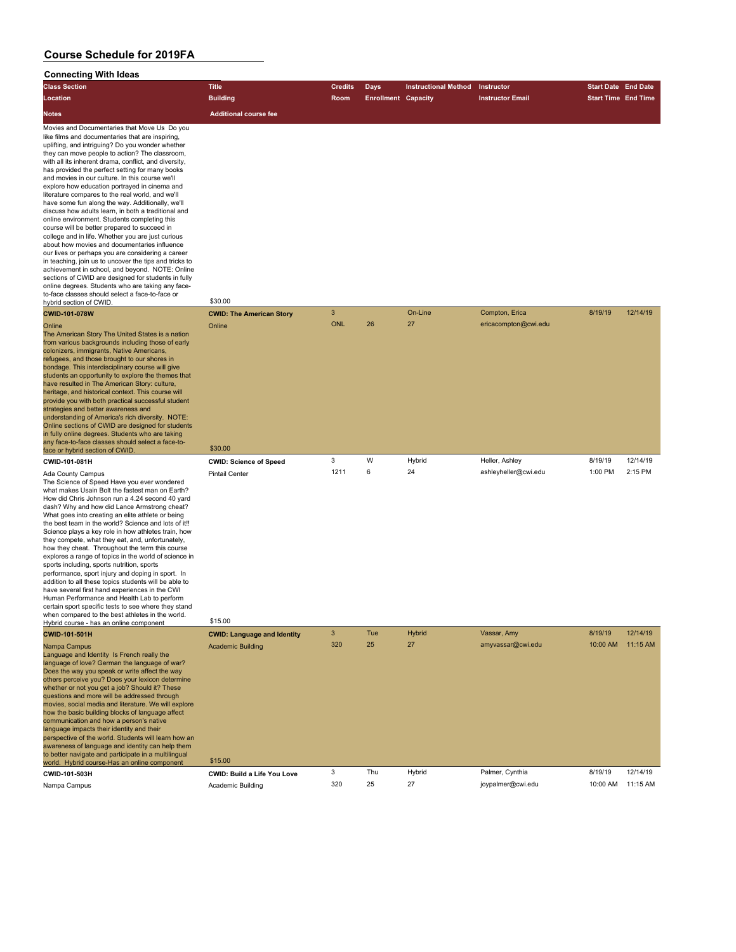#### **Connecting With Ideas**

| Connecting With Ideas                                                                                                                                                                                                                                                                                                                                                                                                                                                                                                                                                                                                                                                                                                                                                                                                                                                                                                                                                                                                                                                                                                                                  |                                    |                |                            |                             |                         |                            |          |
|--------------------------------------------------------------------------------------------------------------------------------------------------------------------------------------------------------------------------------------------------------------------------------------------------------------------------------------------------------------------------------------------------------------------------------------------------------------------------------------------------------------------------------------------------------------------------------------------------------------------------------------------------------------------------------------------------------------------------------------------------------------------------------------------------------------------------------------------------------------------------------------------------------------------------------------------------------------------------------------------------------------------------------------------------------------------------------------------------------------------------------------------------------|------------------------------------|----------------|----------------------------|-----------------------------|-------------------------|----------------------------|----------|
| <b>Class Section</b>                                                                                                                                                                                                                                                                                                                                                                                                                                                                                                                                                                                                                                                                                                                                                                                                                                                                                                                                                                                                                                                                                                                                   | <b>Title</b>                       | <b>Credits</b> | <b>Days</b>                | <b>Instructional Method</b> | Instructor              | <b>Start Date End Date</b> |          |
| Location                                                                                                                                                                                                                                                                                                                                                                                                                                                                                                                                                                                                                                                                                                                                                                                                                                                                                                                                                                                                                                                                                                                                               | <b>Building</b>                    | Room           | <b>Enrollment Capacity</b> |                             | <b>Instructor Email</b> | <b>Start Time End Time</b> |          |
| Notes                                                                                                                                                                                                                                                                                                                                                                                                                                                                                                                                                                                                                                                                                                                                                                                                                                                                                                                                                                                                                                                                                                                                                  | <b>Additional course fee</b>       |                |                            |                             |                         |                            |          |
| Movies and Documentaries that Move Us Do you<br>like films and documentaries that are inspiring,<br>uplifting, and intriguing? Do you wonder whether<br>they can move people to action? The classroom,<br>with all its inherent drama, conflict, and diversity,<br>has provided the perfect setting for many books<br>and movies in our culture. In this course we'll<br>explore how education portrayed in cinema and<br>literature compares to the real world, and we'll<br>have some fun along the way. Additionally, we'll<br>discuss how adults learn, in both a traditional and<br>online environment. Students completing this<br>course will be better prepared to succeed in<br>college and in life. Whether you are just curious<br>about how movies and documentaries influence<br>our lives or perhaps you are considering a career<br>in teaching, join us to uncover the tips and tricks to<br>achievement in school, and beyond. NOTE: Online<br>sections of CWID are designed for students in fully<br>online degrees. Students who are taking any face-<br>to-face classes should select a face-to-face or<br>hybrid section of CWID. | \$30.00                            |                |                            |                             |                         |                            |          |
| <b>CWID-101-078W</b>                                                                                                                                                                                                                                                                                                                                                                                                                                                                                                                                                                                                                                                                                                                                                                                                                                                                                                                                                                                                                                                                                                                                   | <b>CWID: The American Story</b>    | 3              |                            | On-Line                     | Compton, Erica          | 8/19/19                    | 12/14/19 |
| Online<br>The American Story The United States is a nation<br>from various backgrounds including those of early<br>colonizers, immigrants, Native Americans,<br>refugees, and those brought to our shores in<br>bondage. This interdisciplinary course will give<br>students an opportunity to explore the themes that<br>have resulted in The American Story: culture,<br>heritage, and historical context. This course will<br>provide you with both practical successful student<br>strategies and better awareness and<br>understanding of America's rich diversity. NOTE:<br>Online sections of CWID are designed for students<br>in fully online degrees. Students who are taking                                                                                                                                                                                                                                                                                                                                                                                                                                                                | Online                             | <b>ONL</b>     | 26                         | 27                          | ericacompton@cwi.edu    |                            |          |
| any face-to-face classes should select a face-to-<br>face or hybrid section of CWID                                                                                                                                                                                                                                                                                                                                                                                                                                                                                                                                                                                                                                                                                                                                                                                                                                                                                                                                                                                                                                                                    | \$30.00                            |                |                            |                             |                         |                            |          |
| CWID-101-081H                                                                                                                                                                                                                                                                                                                                                                                                                                                                                                                                                                                                                                                                                                                                                                                                                                                                                                                                                                                                                                                                                                                                          | <b>CWID: Science of Speed</b>      | 3              | W                          | Hybrid                      | Heller, Ashley          | 8/19/19                    | 12/14/19 |
| <b>Ada County Campus</b><br>The Science of Speed Have you ever wondered<br>what makes Usain Bolt the fastest man on Earth?<br>How did Chris Johnson run a 4.24 second 40 yard<br>dash? Why and how did Lance Armstrong cheat?<br>What goes into creating an elite athlete or being<br>the best team in the world? Science and lots of it!!<br>Science plays a key role in how athletes train, how<br>they compete, what they eat, and, unfortunately,<br>how they cheat. Throughout the term this course<br>explores a range of topics in the world of science in<br>sports including, sports nutrition, sports<br>performance, sport injury and doping in sport. In<br>addition to all these topics students will be able to<br>have several first hand experiences in the CWI<br>Human Performance and Health Lab to perform<br>certain sport specific tests to see where they stand<br>when compared to the best athletes in the world.<br>Hybrid course - has an online component                                                                                                                                                                  | <b>Pintail Center</b><br>\$15.00   | 1211           | 6                          | 24                          | ashleyheller@cwi.edu    | 1:00 PM                    | 2:15 PM  |
| CWID-101-501H                                                                                                                                                                                                                                                                                                                                                                                                                                                                                                                                                                                                                                                                                                                                                                                                                                                                                                                                                                                                                                                                                                                                          | <b>CWID: Language and Identity</b> | 3              | Tue                        | <b>Hybrid</b>               | Vassar, Amy             | 8/19/19                    | 12/14/19 |
| Nampa Campus<br>Language and Identity Is French really the<br>language of love? German the language of war?<br>Does the way you speak or write affect the way<br>others perceive you? Does your lexicon determine<br>whether or not you get a job? Should it? These<br>questions and more will be addressed through<br>movies, social media and literature. We will explore<br>how the basic building blocks of language affect<br>communication and how a person's native<br>language impacts their identity and their<br>perspective of the world. Students will learn how an<br>awareness of language and identity can help them<br>to better navigate and participate in a multilingual                                                                                                                                                                                                                                                                                                                                                                                                                                                            | <b>Academic Building</b>           | 320            | 25                         | 27                          | amyvassar@cwi.edu       | 10:00 AM                   | 11:15 AM |
| world. Hybrid course-Has an online component                                                                                                                                                                                                                                                                                                                                                                                                                                                                                                                                                                                                                                                                                                                                                                                                                                                                                                                                                                                                                                                                                                           | \$15.00                            |                |                            |                             |                         |                            |          |
| CWID-101-503H                                                                                                                                                                                                                                                                                                                                                                                                                                                                                                                                                                                                                                                                                                                                                                                                                                                                                                                                                                                                                                                                                                                                          | CWID: Build a Life You Love        | 3              | Thu                        | Hybrid                      | Palmer, Cynthia         | 8/19/19                    | 12/14/19 |
| Nampa Campus                                                                                                                                                                                                                                                                                                                                                                                                                                                                                                                                                                                                                                                                                                                                                                                                                                                                                                                                                                                                                                                                                                                                           | Academic Building                  | 320            | 25                         | 27                          | joypalmer@cwi.edu       | 10:00 AM                   | 11:15 AM |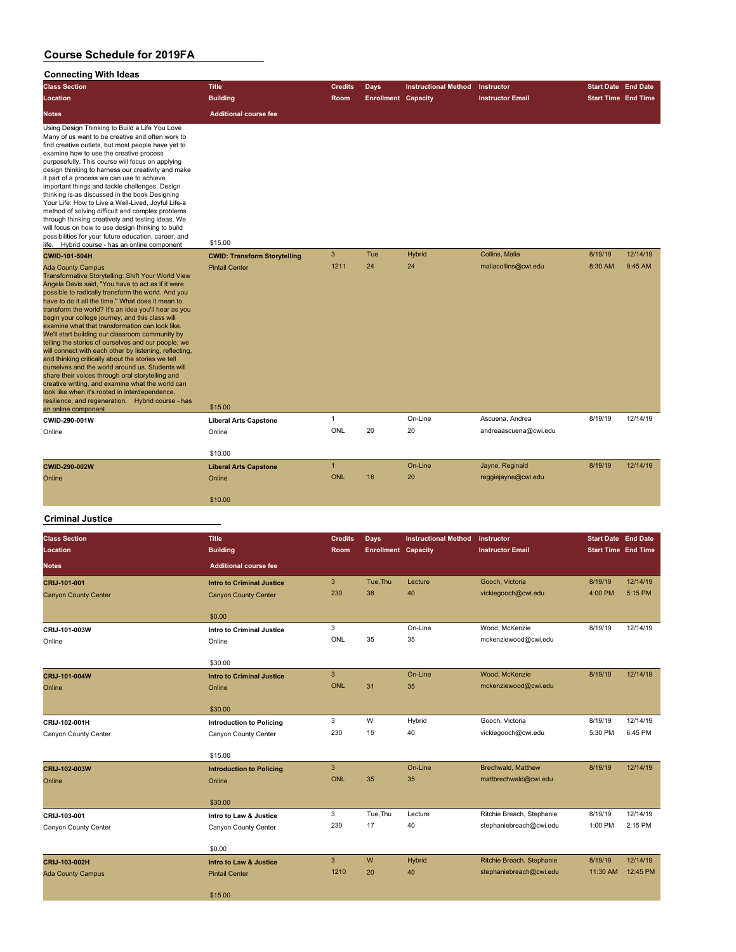#### **Connecting With Ideas**

| <b>Class Section</b>                                                                                                                                                                                                                                                                                                                                                                                                                                                                                                                                                                                                                                                                                                                                                                                                                                                                                                            | <b>Title</b>                        | <b>Credits</b> | Days                       | <b>Instructional Method</b> | Instructor              | <b>Start Date End Date</b> |          |
|---------------------------------------------------------------------------------------------------------------------------------------------------------------------------------------------------------------------------------------------------------------------------------------------------------------------------------------------------------------------------------------------------------------------------------------------------------------------------------------------------------------------------------------------------------------------------------------------------------------------------------------------------------------------------------------------------------------------------------------------------------------------------------------------------------------------------------------------------------------------------------------------------------------------------------|-------------------------------------|----------------|----------------------------|-----------------------------|-------------------------|----------------------------|----------|
| Location                                                                                                                                                                                                                                                                                                                                                                                                                                                                                                                                                                                                                                                                                                                                                                                                                                                                                                                        | <b>Building</b>                     | Room           | <b>Enrollment Capacity</b> |                             | <b>Instructor Email</b> | <b>Start Time End Time</b> |          |
| <b>Notes</b>                                                                                                                                                                                                                                                                                                                                                                                                                                                                                                                                                                                                                                                                                                                                                                                                                                                                                                                    | <b>Additional course fee</b>        |                |                            |                             |                         |                            |          |
| Using Design Thinking to Build a Life You Love<br>Many of us want to be creative and often work to<br>find creative outlets, but most people have yet to<br>examine how to use the creative process<br>purposefully. This course will focus on applying<br>design thinking to harness our creativity and make<br>it part of a process we can use to achieve<br>important things and tackle challenges. Design<br>thinking is-as discussed in the book Designing<br>Your Life: How to Live a Well-Lived, Joyful Life-a<br>method of solving difficult and complex problems<br>through thinking creatively and testing ideas. We<br>will focus on how to use design thinking to build<br>possibilities for your future education, career, and<br>life. Hybrid course - has an online component                                                                                                                                    | \$15.00                             |                |                            |                             |                         |                            |          |
| CWID-101-504H                                                                                                                                                                                                                                                                                                                                                                                                                                                                                                                                                                                                                                                                                                                                                                                                                                                                                                                   | <b>CWID: Transform Storytelling</b> | 3              | Tue                        | <b>Hybrid</b>               | Collins, Malia          | 8/19/19                    | 12/14/19 |
| <b>Ada County Campus</b><br>Transformative Storytelling: Shift Your World View<br>Angela Davis said, "You have to act as if it were<br>possible to radically transform the world. And you<br>have to do it all the time." What does it mean to<br>transform the world? It's an idea you'll hear as you<br>begin your college journey, and this class will<br>examine what that transformation can look like.<br>We'll start building our classroom community by<br>telling the stories of ourselves and our people; we<br>will connect with each other by listening, reflecting,<br>and thinking critically about the stories we tell<br>ourselves and the world around us. Students will<br>share their voices through oral storytelling and<br>creative writing, and examine what the world can<br>look like when it's rooted in interdependence,<br>resilience, and regeneration. Hybrid course - has<br>an online component | <b>Pintail Center</b><br>\$15.00    | 1211           | 24                         | 24                          | maliacollins@cwi.edu    | 8:30 AM                    | 9:45 AM  |
| CWID-290-001W                                                                                                                                                                                                                                                                                                                                                                                                                                                                                                                                                                                                                                                                                                                                                                                                                                                                                                                   | <b>Liberal Arts Capstone</b>        | $\mathbf{1}$   |                            | On-Line                     | Ascuena, Andrea         | 8/19/19                    | 12/14/19 |
| Online                                                                                                                                                                                                                                                                                                                                                                                                                                                                                                                                                                                                                                                                                                                                                                                                                                                                                                                          | Online<br>\$10.00                   | ONL            | 20                         | 20                          | andreaascuena@cwi.edu   |                            |          |
| CWID-290-002W                                                                                                                                                                                                                                                                                                                                                                                                                                                                                                                                                                                                                                                                                                                                                                                                                                                                                                                   | <b>Liberal Arts Capstone</b>        | $\mathbf{1}$   |                            | On-Line                     | Jayne, Reginald         | 8/19/19                    | 12/14/19 |
| Online                                                                                                                                                                                                                                                                                                                                                                                                                                                                                                                                                                                                                                                                                                                                                                                                                                                                                                                          | Online                              | <b>ONL</b>     | 18                         | 20                          | reggiejayne@cwi.edu     |                            |          |
|                                                                                                                                                                                                                                                                                                                                                                                                                                                                                                                                                                                                                                                                                                                                                                                                                                                                                                                                 | \$10.00                             |                |                            |                             |                         |                            |          |
| <b>Criminal Justice</b>                                                                                                                                                                                                                                                                                                                                                                                                                                                                                                                                                                                                                                                                                                                                                                                                                                                                                                         |                                     |                |                            |                             |                         |                            |          |
| <b>Class Section</b>                                                                                                                                                                                                                                                                                                                                                                                                                                                                                                                                                                                                                                                                                                                                                                                                                                                                                                            | <b>Title</b>                        | <b>Credits</b> | <b>Days</b>                | <b>Instructional Method</b> | Instructor              | <b>Start Date End Date</b> |          |
| Location                                                                                                                                                                                                                                                                                                                                                                                                                                                                                                                                                                                                                                                                                                                                                                                                                                                                                                                        | <b>Building</b>                     | Room           | <b>Enrollment Capacity</b> |                             | <b>Instructor Email</b> | <b>Start Time</b> End Time |          |

| Giass dection               | пие                              | <b>U</b> leults | <b>Days</b>                | <b>INSURGIONAL MENTOR INSURGION</b> |                           | <b>Start Date</b> End Date |          |
|-----------------------------|----------------------------------|-----------------|----------------------------|-------------------------------------|---------------------------|----------------------------|----------|
| Location                    | <b>Building</b>                  | Room            | <b>Enrollment Capacity</b> |                                     | <b>Instructor Email</b>   | <b>Start Time End Time</b> |          |
| <b>Notes</b>                | <b>Additional course fee</b>     |                 |                            |                                     |                           |                            |          |
| CRIJ-101-001                | <b>Intro to Criminal Justice</b> | $\mathbf{3}$    | Tue, Thu                   | Lecture                             | Gooch, Victoria           | 8/19/19                    | 12/14/19 |
| <b>Canyon County Center</b> | <b>Canyon County Center</b>      | 230             | 38                         | 40                                  | vickiegooch@cwi.edu       | 4:00 PM                    | 5:15 PM  |
|                             | \$0.00                           |                 |                            |                                     |                           |                            |          |
| CRIJ-101-003W               | <b>Intro to Criminal Justice</b> | 3               |                            | On-Line                             | Wood, McKenzie            | 8/19/19                    | 12/14/19 |
| Online                      | Online                           | ONL             | 35                         | 35                                  | mckenziewood@cwi.edu      |                            |          |
|                             | \$30.00                          |                 |                            |                                     |                           |                            |          |
| CRIJ-101-004W               | <b>Intro to Criminal Justice</b> | $\mathbf{3}$    |                            | On-Line                             | Wood, McKenzie            | 8/19/19                    | 12/14/19 |
| Online                      | Online                           | <b>ONL</b>      | 31                         | 35                                  | mckenziewood@cwi.edu      |                            |          |
|                             | \$30.00                          |                 |                            |                                     |                           |                            |          |
| CRIJ-102-001H               | <b>Introduction to Policing</b>  | 3               | W                          | Hybrid                              | Gooch, Victoria           | 8/19/19                    | 12/14/19 |
| Canyon County Center        | Canyon County Center             | 230             | 15                         | 40                                  | vickiegooch@cwi.edu       | 5:30 PM                    | 6:45 PM  |
|                             | \$15.00                          |                 |                            |                                     |                           |                            |          |
| CRIJ-102-003W               | <b>Introduction to Policing</b>  | 3               |                            | On-Line                             | <b>Brechwald, Matthew</b> | 8/19/19                    | 12/14/19 |
| Online                      | Online                           | <b>ONL</b>      | 35                         | 35                                  | mattbrechwald@cwi.edu     |                            |          |
|                             | \$30.00                          |                 |                            |                                     |                           |                            |          |
| CRIJ-103-001                | Intro to Law & Justice           | 3               | Tue, Thu                   | Lecture                             | Ritchie Breach, Stephanie | 8/19/19                    | 12/14/19 |
| Canyon County Center        | Canyon County Center             | 230             | 17                         | 40                                  | stephaniebreach@cwi.edu   | 1:00 PM                    | 2:15 PM  |
|                             | \$0.00                           |                 |                            |                                     |                           |                            |          |
| CRIJ-103-002H               | Intro to Law & Justice           | 3               | ${\sf W}$                  | Hybrid                              | Ritchie Breach, Stephanie | 8/19/19                    | 12/14/19 |
| <b>Ada County Campus</b>    | <b>Pintail Center</b>            | 1210            | 20                         | 40                                  | stephaniebreach@cwi.edu   | 11:30 AM                   | 12:45 PM |
|                             | \$15.00                          |                 |                            |                                     |                           |                            |          |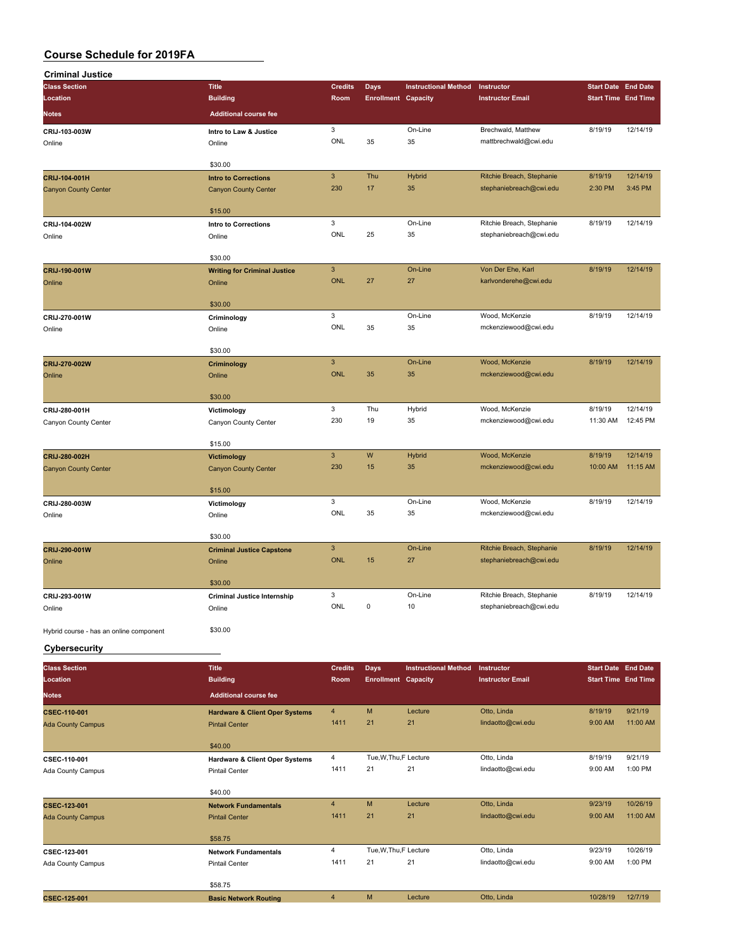| <b>Criminal Justice</b>                 |                                           |                           |                            |                             |                                                      |                            |                     |
|-----------------------------------------|-------------------------------------------|---------------------------|----------------------------|-----------------------------|------------------------------------------------------|----------------------------|---------------------|
| <b>Class Section</b>                    | <b>Title</b>                              | <b>Credits</b>            | <b>Days</b>                | <b>Instructional Method</b> | Instructor                                           | <b>Start Date</b>          | <b>End Date</b>     |
| Location                                | <b>Building</b>                           | Room                      | <b>Enrollment Capacity</b> |                             | <b>Instructor Email</b>                              | <b>Start Time End Time</b> |                     |
| <b>Notes</b>                            | <b>Additional course fee</b>              |                           |                            |                             |                                                      |                            |                     |
| CRIJ-103-003W                           | Intro to Law & Justice                    | 3                         |                            | On-Line                     | Brechwald, Matthew                                   | 8/19/19                    | 12/14/19            |
| Online                                  | Online                                    | ONL                       | 35                         | 35                          | mattbrechwald@cwi.edu                                |                            |                     |
|                                         |                                           |                           |                            |                             |                                                      |                            |                     |
|                                         | \$30.00                                   |                           |                            |                             |                                                      |                            |                     |
| CRIJ-104-001H                           | <b>Intro to Corrections</b>               | $\mathbf{3}$              | Thu                        | Hybrid                      | Ritchie Breach, Stephanie                            | 8/19/19                    | 12/14/19            |
| <b>Canyon County Center</b>             | <b>Canyon County Center</b>               | 230                       | 17                         | 35                          | stephaniebreach@cwi.edu                              | 2:30 PM                    | 3:45 PM             |
|                                         |                                           |                           |                            |                             |                                                      |                            |                     |
|                                         | \$15.00                                   |                           |                            | On-Line                     |                                                      |                            |                     |
| CRIJ-104-002W                           | <b>Intro to Corrections</b>               | 3<br>ONL                  | 25                         | 35                          | Ritchie Breach, Stephanie<br>stephaniebreach@cwi.edu | 8/19/19                    | 12/14/19            |
| Online                                  | Online                                    |                           |                            |                             |                                                      |                            |                     |
|                                         | \$30.00                                   |                           |                            |                             |                                                      |                            |                     |
| CRIJ-190-001W                           | <b>Writing for Criminal Justice</b>       | $\ensuremath{\mathsf{3}}$ |                            | On-Line                     | Von Der Ehe, Karl                                    | 8/19/19                    | 12/14/19            |
| Online                                  | Online                                    | <b>ONL</b>                | 27                         | 27                          | karlvonderehe@cwi.edu                                |                            |                     |
|                                         |                                           |                           |                            |                             |                                                      |                            |                     |
|                                         | \$30.00                                   |                           |                            |                             |                                                      |                            |                     |
| CRIJ-270-001W                           | Criminology                               | 3                         |                            | On-Line                     | Wood, McKenzie                                       | 8/19/19                    | 12/14/19            |
| Online                                  | Online                                    | ONL                       | 35                         | 35                          | mckenziewood@cwi.edu                                 |                            |                     |
|                                         |                                           |                           |                            |                             |                                                      |                            |                     |
|                                         | \$30.00                                   | $\ensuremath{\mathsf{3}}$ |                            | On-Line                     | Wood, McKenzie                                       | 8/19/19                    | 12/14/19            |
| CRIJ-270-002W<br>Online                 | Criminology<br>Online                     | <b>ONL</b>                | 35                         | 35                          | mckenziewood@cwi.edu                                 |                            |                     |
|                                         |                                           |                           |                            |                             |                                                      |                            |                     |
|                                         | \$30.00                                   |                           |                            |                             |                                                      |                            |                     |
| CRIJ-280-001H                           | Victimology                               | 3                         | Thu                        | Hybrid                      | Wood, McKenzie                                       | 8/19/19                    | 12/14/19            |
| Canyon County Center                    | Canyon County Center                      | 230                       | 19                         | 35                          | mckenziewood@cwi.edu                                 | 11:30 AM                   | 12:45 PM            |
|                                         |                                           |                           |                            |                             |                                                      |                            |                     |
|                                         | \$15.00                                   |                           |                            |                             |                                                      |                            |                     |
| CRIJ-280-002H                           | Victimology                               | 3                         | ${\sf W}$                  | <b>Hybrid</b>               | Wood, McKenzie                                       | 8/19/19                    | 12/14/19            |
| <b>Canyon County Center</b>             | <b>Canyon County Center</b>               | 230                       | 15                         | 35                          | mckenziewood@cwi.edu                                 | 10:00 AM                   | 11:15 AM            |
|                                         | \$15.00                                   |                           |                            |                             |                                                      |                            |                     |
|                                         |                                           | 3                         |                            | On-Line                     | Wood, McKenzie                                       | 8/19/19                    | 12/14/19            |
| CRIJ-280-003W<br>Online                 | Victimology<br>Online                     | ONL                       | 35                         | 35                          | mckenziewood@cwi.edu                                 |                            |                     |
|                                         |                                           |                           |                            |                             |                                                      |                            |                     |
|                                         | \$30.00                                   |                           |                            |                             |                                                      |                            |                     |
| CRIJ-290-001W                           | <b>Criminal Justice Capstone</b>          | $\mathbf{3}$              |                            | On-Line                     | Ritchie Breach, Stephanie                            | 8/19/19                    | 12/14/19            |
| Online                                  | Online                                    | <b>ONL</b>                | 15                         | 27                          | stephaniebreach@cwi.edu                              |                            |                     |
|                                         |                                           |                           |                            |                             |                                                      |                            |                     |
|                                         | \$30.00                                   |                           |                            |                             |                                                      |                            |                     |
| CRIJ-293-001W                           | <b>Criminal Justice Internship</b>        | 3<br>ONL                  | 0                          | On-Line<br>10               | Ritchie Breach, Stephanie                            | 8/19/19                    | 12/14/19            |
| Online                                  | Online                                    |                           |                            |                             | stephaniebreach@cwi.edu                              |                            |                     |
| Hybrid course - has an online component | \$30.00                                   |                           |                            |                             |                                                      |                            |                     |
|                                         |                                           |                           |                            |                             |                                                      |                            |                     |
| Cybersecurity                           |                                           |                           |                            |                             |                                                      |                            |                     |
| <b>Class Section</b>                    | <b>Title</b>                              | <b>Credits</b>            | <b>Days</b>                | <b>Instructional Method</b> | Instructor                                           | <b>Start Date End Date</b> |                     |
| Location                                | <b>Building</b>                           | Room                      | <b>Enrollment Capacity</b> |                             | <b>Instructor Email</b>                              | <b>Start Time End Time</b> |                     |
| <b>Notes</b>                            | <b>Additional course fee</b>              |                           |                            |                             |                                                      |                            |                     |
|                                         |                                           |                           |                            |                             |                                                      |                            |                     |
| CSEC-110-001                            | <b>Hardware &amp; Client Oper Systems</b> | 4<br>1411                 | M<br>21                    | Lecture<br>21               | Otto, Linda<br>lindaotto@cwi.edu                     | 8/19/19<br>9:00 AM         | 9/21/19<br>11:00 AM |
| <b>Ada County Campus</b>                | <b>Pintail Center</b>                     |                           |                            |                             |                                                      |                            |                     |
|                                         | \$40.00                                   |                           |                            |                             |                                                      |                            |                     |
| CSEC-110-001                            | <b>Hardware &amp; Client Oper Systems</b> | 4                         | Tue, W, Thu, F Lecture     |                             | Otto, Linda                                          | 8/19/19                    | 9/21/19             |
| Ada County Campus                       | <b>Pintail Center</b>                     | 1411                      | 21                         | 21                          | lindaotto@cwi.edu                                    | 9:00 AM                    | 1:00 PM             |
|                                         |                                           |                           |                            |                             |                                                      |                            |                     |
|                                         | \$40.00                                   |                           |                            |                             |                                                      |                            |                     |
| CSEC-123-001                            | <b>Network Fundamentals</b>               | $\overline{4}$            | M                          | Lecture                     | Otto, Linda                                          | 9/23/19                    | 10/26/19            |
| <b>Ada County Campus</b>                | <b>Pintail Center</b>                     | 1411                      | 21                         | 21                          | lindaotto@cwi.edu                                    | 9:00 AM                    | 11:00 AM            |
|                                         |                                           |                           |                            |                             |                                                      |                            |                     |
|                                         | \$58.75                                   | 4                         | Tue, W, Thu, F Lecture     |                             | Otto, Linda                                          | 9/23/19                    | 10/26/19            |
| CSEC-123-001                            | <b>Network Fundamentals</b>               | 1411                      | 21                         | 21                          | lindaotto@cwi.edu                                    | 9:00 AM                    | 1:00 PM             |
| Ada County Campus                       | <b>Pintail Center</b>                     |                           |                            |                             |                                                      |                            |                     |
|                                         | \$58.75                                   |                           |                            |                             |                                                      |                            |                     |
| CSEC-125-001                            | <b>Basic Network Routing</b>              | $\overline{\mathbf{4}}$   | M                          | Lecture                     | Otto, Linda                                          | 10/28/19                   | 12/7/19             |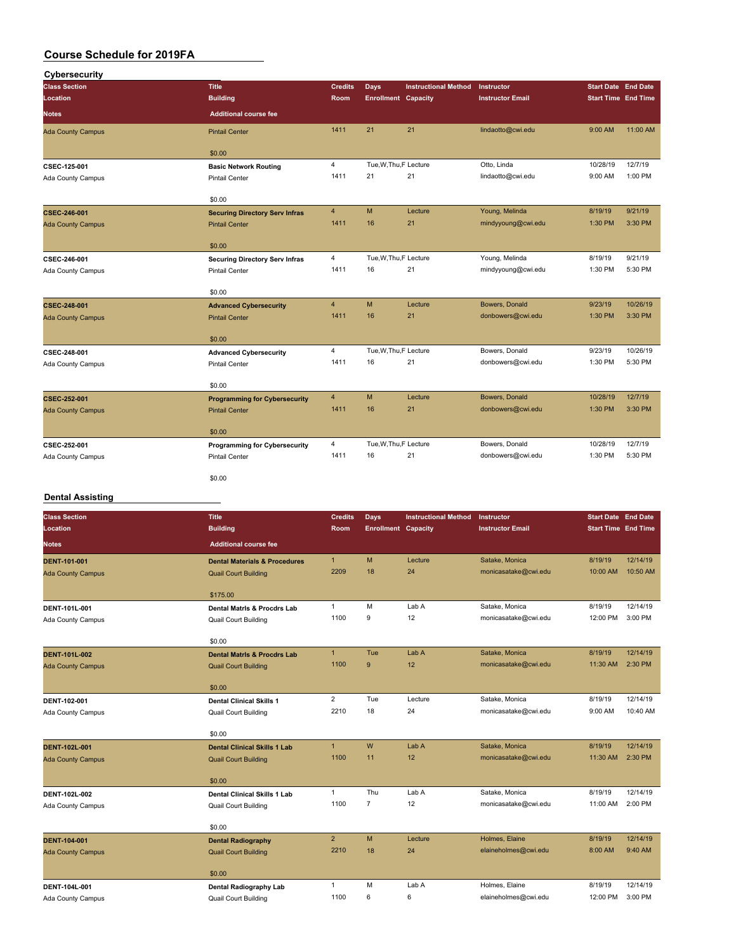| Cybersecurity            |                                       |                |                            |                             |                         |                                                                                                |          |
|--------------------------|---------------------------------------|----------------|----------------------------|-----------------------------|-------------------------|------------------------------------------------------------------------------------------------|----------|
| <b>Class Section</b>     | <b>Title</b>                          | <b>Credits</b> | Days                       | <b>Instructional Method</b> | <b>Instructor</b>       | <b>Start Date End Date</b>                                                                     |          |
| Location                 | <b>Building</b>                       | Room           | <b>Enrollment Capacity</b> |                             | <b>Instructor Email</b> |                                                                                                |          |
| Notes                    | <b>Additional course fee</b>          |                |                            |                             |                         |                                                                                                |          |
| <b>Ada County Campus</b> | <b>Pintail Center</b>                 | 1411           | 21                         | 21                          | lindaotto@cwi.edu       | 9:00 AM                                                                                        | 11:00 AM |
|                          | \$0.00                                |                |                            |                             |                         |                                                                                                |          |
| CSEC-125-001             | <b>Basic Network Routing</b>          | $\overline{4}$ | Tue, W, Thu, F Lecture     |                             | Otto, Linda             | 10/28/19                                                                                       | 12/7/19  |
| Ada County Campus        | <b>Pintail Center</b>                 | 1411           | 21                         | 21                          | lindaotto@cwi.edu       | 9:00 AM                                                                                        | 1:00 PM  |
|                          | \$0.00                                |                |                            |                             |                         |                                                                                                |          |
| CSEC-246-001             | <b>Securing Directory Serv Infras</b> | $\overline{4}$ | M                          | Lecture                     | Young, Melinda          | 8/19/19                                                                                        | 9/21/19  |
| <b>Ada County Campus</b> | <b>Pintail Center</b>                 | 1411           | 16                         | 21                          | mindyyoung@cwi.edu      | 1:30 PM                                                                                        | 3:30 PM  |
|                          | \$0.00                                |                |                            |                             |                         |                                                                                                |          |
| CSEC-246-001             | <b>Securing Directory Serv Infras</b> | $\overline{4}$ | Tue, W, Thu, F Lecture     |                             | Young, Melinda          | 8/19/19                                                                                        | 9/21/19  |
| Ada County Campus        | <b>Pintail Center</b>                 | 1411           | 16                         | 21                          | mindyyoung@cwi.edu      | 1:30 PM                                                                                        | 5:30 PM  |
|                          | \$0.00                                |                |                            |                             |                         |                                                                                                |          |
| <b>CSEC-248-001</b>      | <b>Advanced Cybersecurity</b>         | $\overline{4}$ | M                          | Lecture                     | Bowers, Donald          | 9/23/19                                                                                        | 10/26/19 |
| <b>Ada County Campus</b> | <b>Pintail Center</b>                 | 1411           | 16                         | 21                          | donbowers@cwi.edu       | 1:30 PM                                                                                        | 3:30 PM  |
|                          | \$0.00                                |                |                            |                             |                         | <b>Start Time End Time</b><br>9/23/19<br>1:30 PM<br>10/28/19<br>1:30 PM<br>10/28/19<br>1:30 PM |          |
| CSEC-248-001             | <b>Advanced Cybersecurity</b>         | $\overline{4}$ | Tue, W, Thu, F Lecture     |                             | Bowers, Donald          |                                                                                                | 10/26/19 |
| Ada County Campus        | Pintail Center                        | 1411           | 16                         | 21                          | donbowers@cwi.edu       |                                                                                                | 5:30 PM  |
|                          | \$0.00                                |                |                            |                             |                         |                                                                                                |          |
| <b>CSEC-252-001</b>      | <b>Programming for Cybersecurity</b>  | $\overline{4}$ | M                          | Lecture                     | Bowers, Donald          |                                                                                                | 12/7/19  |
| <b>Ada County Campus</b> | <b>Pintail Center</b>                 | 1411           | 16                         | 21                          | donbowers@cwi.edu       |                                                                                                | 3:30 PM  |
|                          | \$0.00                                |                |                            |                             |                         |                                                                                                |          |
| CSEC-252-001             | <b>Programming for Cybersecurity</b>  | $\overline{4}$ | Tue, W, Thu, F Lecture     |                             | Bowers, Donald          |                                                                                                | 12/7/19  |
| Ada County Campus        | <b>Pintail Center</b>                 | 1411           | 16                         | 21                          | donbowers@cwi.edu       |                                                                                                | 5:30 PM  |
|                          | \$0.00                                |                |                            |                             |                         |                                                                                                |          |

### **Dental Assisting**

| <b>Class Section</b>     | <b>Title</b>                             | <b>Credits</b> | Days                       | <b>Instructional Method</b> | Instructor              | <b>Start Date End Date</b> |          |
|--------------------------|------------------------------------------|----------------|----------------------------|-----------------------------|-------------------------|----------------------------|----------|
| Location                 | <b>Building</b>                          | Room           | <b>Enrollment Capacity</b> |                             | <b>Instructor Email</b> | <b>Start Time End Time</b> |          |
| <b>Notes</b>             | <b>Additional course fee</b>             |                |                            |                             |                         |                            |          |
| <b>DENT-101-001</b>      | <b>Dental Materials &amp; Procedures</b> | $\mathbf{1}$   | M                          | Lecture                     | Satake, Monica          | 8/19/19                    | 12/14/19 |
| <b>Ada County Campus</b> | <b>Quail Court Building</b>              | 2209           | 18                         | 24                          | monicasatake@cwi.edu    | 10:00 AM                   | 10:50 AM |
|                          | \$175.00                                 |                |                            |                             |                         |                            |          |
| DENT-101L-001            | <b>Dental Matris &amp; Procdrs Lab</b>   | $\mathbf{1}$   | M                          | Lab A                       | Satake, Monica          | 8/19/19                    | 12/14/19 |
| Ada County Campus        | <b>Quail Court Building</b>              | 1100           | 9                          | 12                          | monicasatake@cwi.edu    | 12:00 PM                   | 3:00 PM  |
|                          | \$0.00                                   |                |                            |                             |                         |                            |          |
| <b>DENT-101L-002</b>     | <b>Dental Matris &amp; Procdrs Lab</b>   | $\mathbf{1}$   | Tue                        | Lab A                       | Satake, Monica          | 8/19/19                    | 12/14/19 |
| <b>Ada County Campus</b> | <b>Quail Court Building</b>              | 1100           | 9                          | 12                          | monicasatake@cwi.edu    | 11:30 AM                   | 2:30 PM  |
|                          | \$0.00                                   |                |                            |                             |                         |                            |          |
| DENT-102-001             | <b>Dental Clinical Skills 1</b>          | $\overline{2}$ | Tue                        | Lecture                     | Satake, Monica          | 8/19/19                    | 12/14/19 |
| Ada County Campus        | <b>Quail Court Building</b>              | 2210           | 18                         | 24                          | monicasatake@cwi.edu    | 9:00 AM                    | 10:40 AM |
|                          | \$0.00                                   |                |                            |                             |                         |                            |          |
| <b>DENT-102L-001</b>     | <b>Dental Clinical Skills 1 Lab</b>      | $\overline{1}$ | W                          | Lab A                       | Satake, Monica          | 8/19/19                    | 12/14/19 |
| <b>Ada County Campus</b> | <b>Quail Court Building</b>              | 1100           | 11                         | 12                          | monicasatake@cwi.edu    | 11:30 AM                   | 2:30 PM  |
|                          | \$0.00                                   |                |                            |                             |                         |                            |          |
| DENT-102L-002            | <b>Dental Clinical Skills 1 Lab</b>      | $\mathbf{1}$   | Thu                        | Lab A                       | Satake, Monica          | 8/19/19                    | 12/14/19 |
| Ada County Campus        | <b>Quail Court Building</b>              | 1100           | $\overline{7}$             | 12                          | monicasatake@cwi.edu    | 11:00 AM                   | 2:00 PM  |
|                          | \$0.00                                   |                |                            |                             |                         |                            |          |
| <b>DENT-104-001</b>      | <b>Dental Radiography</b>                | 2 <sup>2</sup> | M                          | Lecture                     | Holmes, Elaine          | 8/19/19                    | 12/14/19 |
| <b>Ada County Campus</b> | <b>Quail Court Building</b>              | 2210           | 18                         | 24                          | elaineholmes@cwi.edu    | 8:00 AM                    | 9:40 AM  |
|                          | \$0.00                                   |                |                            |                             |                         |                            |          |
| DENT-104L-001            | <b>Dental Radiography Lab</b>            | $\mathbf{1}$   | M                          | Lab A                       | Holmes, Elaine          | 8/19/19                    | 12/14/19 |
| <b>Ada County Campus</b> | <b>Quail Court Building</b>              | 1100           | 6                          | 6                           | elaineholmes@cwi.edu    | 12:00 PM                   | 3:00 PM  |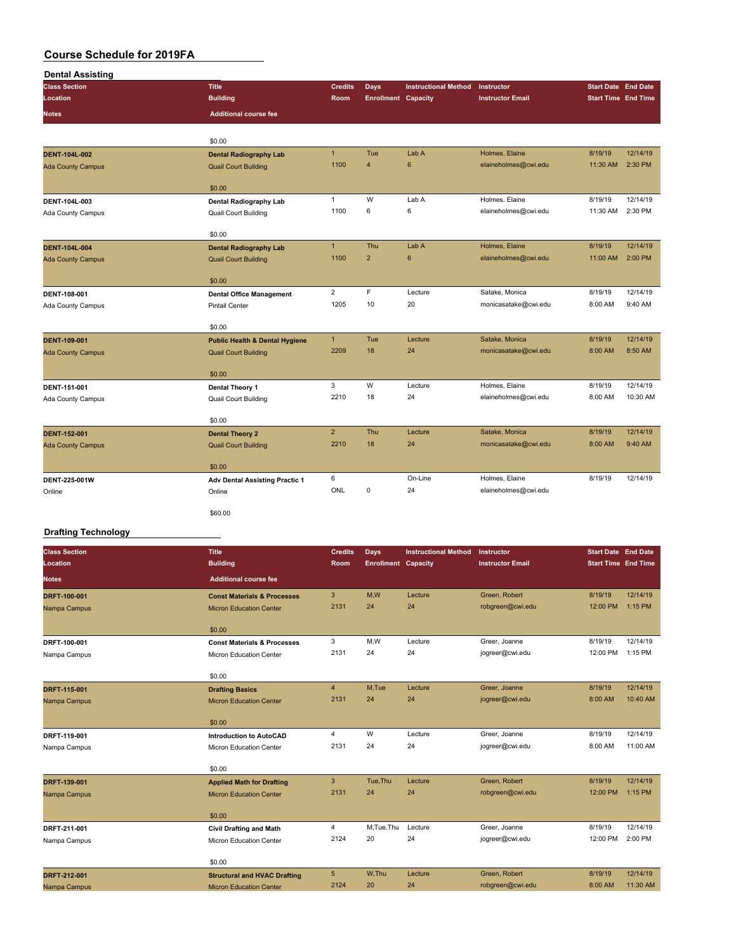| <b>Class Section</b>     | <b>Title</b>                              | <b>Credits</b> | <b>Days</b>                | <b>Instructional Method</b> | Instructor              | <b>Start Date End Date</b> |          |
|--------------------------|-------------------------------------------|----------------|----------------------------|-----------------------------|-------------------------|----------------------------|----------|
| Location                 | <b>Building</b>                           | Room           | <b>Enrollment Capacity</b> |                             | <b>Instructor Email</b> | <b>Start Time End Time</b> |          |
| <b>Notes</b>             | <b>Additional course fee</b>              |                |                            |                             |                         |                            |          |
|                          |                                           |                |                            |                             |                         |                            |          |
|                          | \$0.00                                    |                |                            |                             |                         |                            |          |
| <b>DENT-104L-002</b>     | <b>Dental Radiography Lab</b>             | $\mathbf{1}$   | Tue                        | Lab A                       | Holmes, Elaine          | 8/19/19                    | 12/14/19 |
| <b>Ada County Campus</b> | <b>Quail Court Building</b>               | 1100           | $\overline{4}$             | $6\phantom{1}6$             | elaineholmes@cwi.edu    | 11:30 AM                   | 2:30 PM  |
|                          | \$0.00                                    |                |                            |                             |                         |                            |          |
| DENT-104L-003            | Dental Radiography Lab                    | $\mathbf{1}$   | W                          | Lab A                       | Holmes, Elaine          | 8/19/19                    | 12/14/19 |
| Ada County Campus        | <b>Quail Court Building</b>               | 1100           | 6                          | 6                           | elaineholmes@cwi.edu    | 11:30 AM                   | 2:30 PM  |
|                          | \$0.00                                    |                |                            |                             |                         |                            |          |
| <b>DENT-104L-004</b>     | <b>Dental Radiography Lab</b>             | $\mathbf{1}$   | Thu                        | Lab A                       | Holmes, Elaine          | 8/19/19                    | 12/14/19 |
| <b>Ada County Campus</b> | <b>Quail Court Building</b>               | 1100           | $\overline{2}$             | 6                           | elaineholmes@cwi.edu    | 11:00 AM                   | 2:00 PM  |
|                          | \$0.00                                    |                |                            |                             |                         |                            |          |
| DENT-108-001             | <b>Dental Office Management</b>           | $\overline{2}$ | F                          | Lecture                     | Satake, Monica          | 8/19/19                    | 12/14/19 |
| <b>Ada County Campus</b> | <b>Pintail Center</b>                     | 1205           | 10                         | 20                          | monicasatake@cwi.edu    | 8:00 AM                    | 9:40 AM  |
|                          | \$0.00                                    |                |                            |                             |                         |                            |          |
| <b>DENT-109-001</b>      | <b>Public Health &amp; Dental Hygiene</b> | $\mathbf{1}$   | Tue                        | Lecture                     | Satake, Monica          | 8/19/19                    | 12/14/19 |
| <b>Ada County Campus</b> | <b>Quail Court Building</b>               | 2209           | 18                         | 24                          | monicasatake@cwi.edu    | 8:00 AM                    | 8:50 AM  |
|                          | \$0.00                                    |                |                            |                             |                         |                            |          |
| DENT-151-001             | Dental Theory 1                           | 3              | W                          | Lecture                     | Holmes, Elaine          | 8/19/19                    | 12/14/19 |
| Ada County Campus        | <b>Quail Court Building</b>               | 2210           | 18                         | 24                          | elaineholmes@cwi.edu    | 8:00 AM                    | 10:30 AM |
|                          | \$0.00                                    |                |                            |                             |                         |                            |          |
| <b>DENT-152-001</b>      | <b>Dental Theory 2</b>                    | $\overline{2}$ | Thu                        | Lecture                     | Satake, Monica          | 8/19/19                    | 12/14/19 |
| <b>Ada County Campus</b> | <b>Quail Court Building</b>               | 2210           | 18                         | 24                          | monicasatake@cwi.edu    | 8:00 AM                    | 9:40 AM  |
|                          | \$0.00                                    |                |                            |                             |                         |                            |          |
| DENT-225-001W            | <b>Adv Dental Assisting Practic 1</b>     | 6              |                            | On-Line                     | Holmes, Elaine          | 8/19/19                    | 12/14/19 |
| Online                   | Online                                    | ONL            | 0                          | 24                          | elaineholmes@cwi.edu    |                            |          |
|                          | \$60.00                                   |                |                            |                             |                         |                            |          |
| Drafting Technology      |                                           |                |                            |                             |                         |                            |          |

#### **Drafting Technology**

| <b>Class Section</b> | <b>Title</b>                           | <b>Credits</b> | Days                       | <b>Instructional Method</b> | Instructor              | <b>Start Date End Date</b> |          |
|----------------------|----------------------------------------|----------------|----------------------------|-----------------------------|-------------------------|----------------------------|----------|
| Location             | <b>Building</b>                        | Room           | <b>Enrollment Capacity</b> |                             | <b>Instructor Email</b> | <b>Start Time End Time</b> |          |
| <b>Notes</b>         | <b>Additional course fee</b>           |                |                            |                             |                         |                            |          |
| DRFT-100-001         | <b>Const Materials &amp; Processes</b> | 3              | M.W                        | Lecture                     | Green, Robert           | 8/19/19                    | 12/14/19 |
| Nampa Campus         | <b>Micron Education Center</b>         | 2131           | 24                         | 24                          | robgreen@cwi.edu        | 12:00 PM                   | 1:15 PM  |
|                      | \$0.00                                 |                |                            |                             |                         |                            |          |
| DRFT-100-001         | <b>Const Materials &amp; Processes</b> | 3              | M,W                        | Lecture                     | Greer, Joanne           | 8/19/19                    | 12/14/19 |
| Nampa Campus         | Micron Education Center                | 2131           | 24                         | 24                          | jogreer@cwi.edu         | 12:00 PM                   | 1:15 PM  |
|                      | \$0.00                                 |                |                            |                             |                         |                            |          |
| DRFT-115-001         | <b>Drafting Basics</b>                 | $\overline{4}$ | M.Tue                      | Lecture                     | Greer, Joanne           | 8/19/19                    | 12/14/19 |
| Nampa Campus         | <b>Micron Education Center</b>         | 2131           | 24                         | 24                          | jogreer@cwi.edu         | 8:00 AM                    | 10:40 AM |
|                      | \$0.00                                 |                |                            |                             |                         |                            |          |
| DRFT-119-001         | <b>Introduction to AutoCAD</b>         | $\overline{4}$ | W                          | Lecture                     | Greer, Joanne           | 8/19/19                    | 12/14/19 |
| Nampa Campus         | Micron Education Center                | 2131           | 24                         | 24                          | jogreer@cwi.edu         | 8:00 AM                    | 11:00 AM |
|                      | \$0.00                                 |                |                            |                             |                         |                            |          |
| DRFT-139-001         | <b>Applied Math for Drafting</b>       | 3              | Tue.Thu                    | Lecture                     | Green, Robert           | 8/19/19                    | 12/14/19 |
| Nampa Campus         | <b>Micron Education Center</b>         | 2131           | 24                         | 24                          | robgreen@cwi.edu        | 12:00 PM                   | 1:15 PM  |
|                      | \$0.00                                 |                |                            |                             |                         |                            |          |
| DRFT-211-001         | <b>Civil Drafting and Math</b>         | $\overline{4}$ | M,Tue,Thu                  | Lecture                     | Greer, Joanne           | 8/19/19                    | 12/14/19 |
| Nampa Campus         | Micron Education Center                | 2124           | 20                         | 24                          | jogreer@cwi.edu         | 12:00 PM                   | 2:00 PM  |
|                      | \$0.00                                 |                |                            |                             |                         |                            |          |
| DRFT-212-001         | <b>Structural and HVAC Drafting</b>    | 5              | W.Thu                      | Lecture                     | Green, Robert           | 8/19/19                    | 12/14/19 |
| Nampa Campus         | <b>Micron Education Center</b>         | 2124           | 20                         | 24                          | robgreen@cwi.edu        | 8:00 AM                    | 11:30 AM |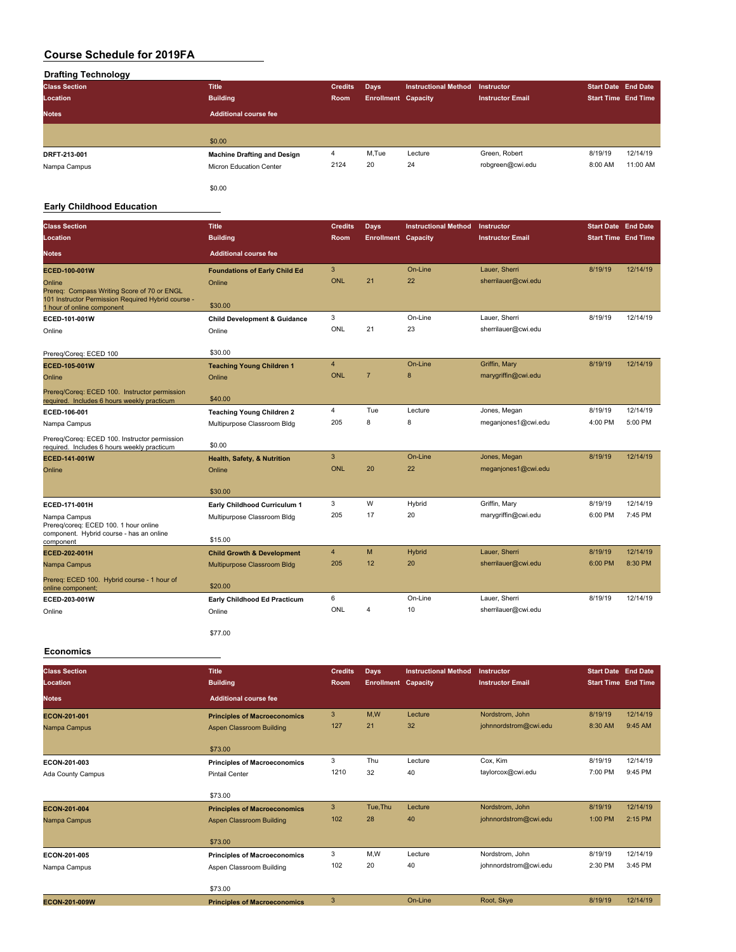## **Drafting Technology**

| --<br><b>Class Section</b><br>Location | <b>Title</b><br><b>Building</b>    | <b>Credits</b><br>Room | Days<br><b>Enrollment Capacity</b> | <b>Instructional Method</b> | <b>Instructor</b><br><b>Instructor Email</b> | <b>Start Date End Date</b><br><b>Start Time End Time</b> |          |
|----------------------------------------|------------------------------------|------------------------|------------------------------------|-----------------------------|----------------------------------------------|----------------------------------------------------------|----------|
| <b>Notes</b>                           | Additional course fee              |                        |                                    |                             |                                              |                                                          |          |
|                                        | \$0.00                             |                        |                                    |                             |                                              |                                                          |          |
| DRFT-213-001                           | <b>Machine Drafting and Design</b> | 4                      | M,Tue                              | Lecture                     | Green, Robert                                | 8/19/19                                                  | 12/14/19 |
| Nampa Campus                           | Micron Education Center            | 2124                   | 20                                 | 24                          | robgreen@cwi.edu                             | 8:00 AM                                                  | 11:00 AM |
|                                        | \$0.00                             |                        |                                    |                             |                                              |                                                          |          |

#### **Early Childhood Education**

| <b>Class Section</b>                                                                                                            | <b>Title</b>                               | <b>Credits</b> | <b>Days</b>                | <b>Instructional Method</b> | Instructor              | <b>Start Date End Date</b> |          |
|---------------------------------------------------------------------------------------------------------------------------------|--------------------------------------------|----------------|----------------------------|-----------------------------|-------------------------|----------------------------|----------|
| Location                                                                                                                        | <b>Building</b>                            | Room           | <b>Enrollment Capacity</b> |                             | <b>Instructor Email</b> | <b>Start Time End Time</b> |          |
| <b>Notes</b>                                                                                                                    | <b>Additional course fee</b>               |                |                            |                             |                         |                            |          |
| ECED-100-001W                                                                                                                   | <b>Foundations of Early Child Ed</b>       | 3              |                            | On-Line                     | Lauer, Sherri           | 8/19/19                    | 12/14/19 |
| Online                                                                                                                          | Online                                     | <b>ONL</b>     | 21                         | 22                          | sherrilauer@cwi.edu     |                            |          |
| Prereg: Compass Writing Score of 70 or ENGL<br>101 Instructor Permission Required Hybrid course -<br>1 hour of online component | \$30.00                                    |                |                            |                             |                         |                            |          |
| ECED-101-001W                                                                                                                   | <b>Child Development &amp; Guidance</b>    | 3              |                            | On-Line                     | Lauer, Sherri           | 8/19/19                    | 12/14/19 |
| Online                                                                                                                          | Online                                     | ONL            | 21                         | 23                          | sherrilauer@cwi.edu     |                            |          |
|                                                                                                                                 |                                            |                |                            |                             |                         |                            |          |
| Prereq/Coreq: ECED 100                                                                                                          | \$30.00                                    | $\overline{4}$ |                            | On-Line                     | Griffin, Mary           | 8/19/19                    | 12/14/19 |
| ECED-105-001W<br>Online                                                                                                         | <b>Teaching Young Children 1</b><br>Online | <b>ONL</b>     | $\overline{7}$             | 8                           | marygriffin@cwi.edu     |                            |          |
|                                                                                                                                 |                                            |                |                            |                             |                         |                            |          |
| Prereq/Coreq: ECED 100. Instructor permission<br>required. Includes 6 hours weekly practicum                                    | \$40.00                                    |                |                            |                             |                         |                            |          |
| ECED-106-001                                                                                                                    | <b>Teaching Young Children 2</b>           | 4              | Tue                        | Lecture                     | Jones, Megan            | 8/19/19                    | 12/14/19 |
| Nampa Campus                                                                                                                    | Multipurpose Classroom Bldg                | 205            | 8                          | 8                           | meganjones1@cwi.edu     | 4:00 PM                    | 5:00 PM  |
| Prereg/Coreg: ECED 100. Instructor permission<br>required. Includes 6 hours weekly practicum                                    | \$0.00                                     |                |                            |                             |                         |                            |          |
| ECED-141-001W                                                                                                                   | Health, Safety, & Nutrition                | 3              |                            | On-Line                     | Jones, Megan            | 8/19/19                    | 12/14/19 |
| Online                                                                                                                          | Online                                     | <b>ONL</b>     | 20                         | 22                          | meganjones1@cwi.edu     |                            |          |
|                                                                                                                                 | \$30.00                                    |                |                            |                             |                         |                            |          |
| ECED-171-001H                                                                                                                   | Early Childhood Curriculum 1               | 3              | W                          | Hybrid                      | Griffin, Mary           | 8/19/19                    | 12/14/19 |
| Nampa Campus                                                                                                                    | Multipurpose Classroom Bldg                | 205            | 17                         | 20                          | marygriffin@cwi.edu     | 6:00 PM                    | 7:45 PM  |
| Prereg/coreg: ECED 100. 1 hour online<br>component. Hybrid course - has an online                                               |                                            |                |                            |                             |                         |                            |          |
| component                                                                                                                       | \$15.00                                    |                |                            |                             |                         |                            |          |
| ECED-202-001H                                                                                                                   | <b>Child Growth &amp; Development</b>      | 4              | M                          | Hybrid                      | Lauer, Sherri           | 8/19/19                    | 12/14/19 |
| Nampa Campus                                                                                                                    | Multipurpose Classroom Bldg                | 205            | 12                         | 20                          | sherrilauer@cwi.edu     | 6:00 PM                    | 8:30 PM  |
| Prereq: ECED 100. Hybrid course - 1 hour of<br>online component;                                                                | \$20.00                                    |                |                            |                             |                         |                            |          |
| ECED-203-001W                                                                                                                   | Early Childhood Ed Practicum               | 6              |                            | On-Line                     | Lauer, Sherri           | 8/19/19                    | 12/14/19 |
| Online                                                                                                                          | Online                                     | ONL            | 4                          | 10                          | sherrilauer@cwi.edu     |                            |          |
|                                                                                                                                 | \$77.00                                    |                |                            |                             |                         |                            |          |

#### **Economics**

| <b>Class Section</b> | <b>Title</b>                        | <b>Credits</b> | <b>Days</b>                | <b>Instructional Method</b> | <b>Instructor</b>       | <b>Start Date End Date</b> |          |
|----------------------|-------------------------------------|----------------|----------------------------|-----------------------------|-------------------------|----------------------------|----------|
| Location             | <b>Building</b>                     | Room           | <b>Enrollment Capacity</b> |                             | <b>Instructor Email</b> | <b>Start Time End Time</b> |          |
| <b>Notes</b>         | <b>Additional course fee</b>        |                |                            |                             |                         |                            |          |
| ECON-201-001         | <b>Principles of Macroeconomics</b> | 3              | M,W                        | Lecture                     | Nordstrom, John         | 8/19/19                    | 12/14/19 |
| Nampa Campus         | Aspen Classroom Building            | 127            | 21                         | 32                          | johnnordstrom@cwi.edu   | 8:30 AM                    | 9:45 AM  |
|                      | \$73.00                             |                |                            |                             |                         |                            |          |
| ECON-201-003         | <b>Principles of Macroeconomics</b> | 3              | Thu                        | Lecture                     | Cox, Kim                | 8/19/19                    | 12/14/19 |
| Ada County Campus    | <b>Pintail Center</b>               | 1210           | 32                         | 40                          | taylorcox@cwi.edu       | 7:00 PM                    | 9:45 PM  |
|                      | \$73.00                             |                |                            |                             |                         |                            |          |
| ECON-201-004         | <b>Principles of Macroeconomics</b> | 3              | Tue, Thu                   | Lecture                     | Nordstrom, John         | 8/19/19                    | 12/14/19 |
| Nampa Campus         | Aspen Classroom Building            | 102            | 28                         | 40                          | johnnordstrom@cwi.edu   | 1:00 PM                    | 2:15 PM  |
|                      | \$73.00                             |                |                            |                             |                         |                            |          |
| ECON-201-005         | <b>Principles of Macroeconomics</b> | 3              | M,W                        | Lecture                     | Nordstrom, John         | 8/19/19                    | 12/14/19 |
| Nampa Campus         | Aspen Classroom Building            | 102            | 20                         | 40                          | johnnordstrom@cwi.edu   | 2:30 PM                    | 3:45 PM  |
|                      | \$73.00                             |                |                            |                             |                         |                            |          |
| ECON-201-009W        | <b>Principles of Macroeconomics</b> | 3              |                            | On-Line                     | Root, Skye              | 8/19/19                    | 12/14/19 |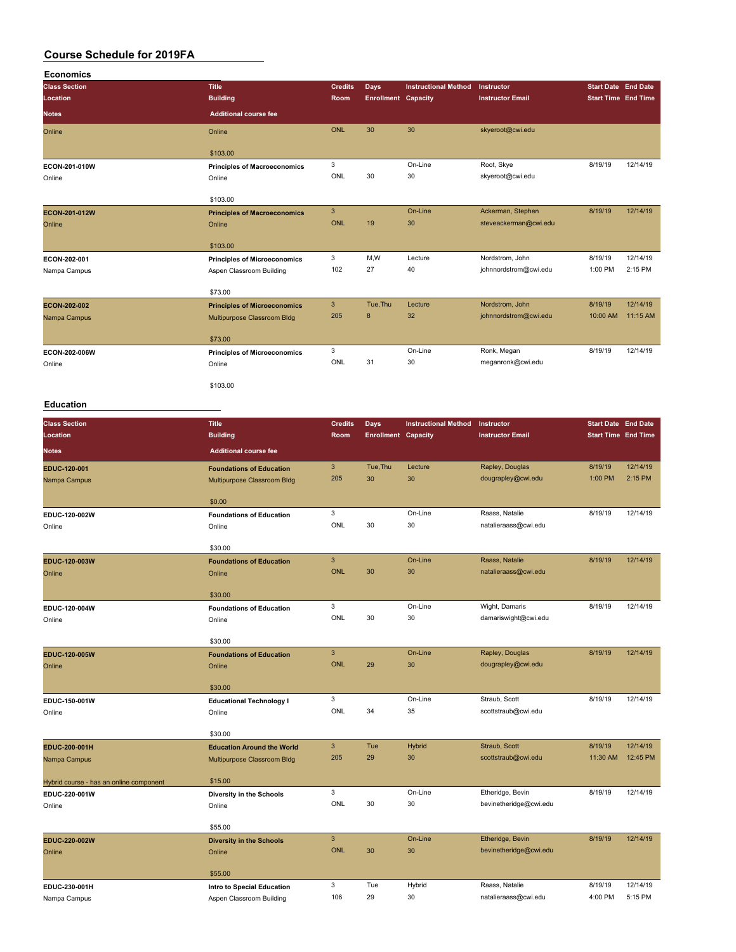| <b>Economics</b>     |                                     |                |                            |                             |                         |                            |          |
|----------------------|-------------------------------------|----------------|----------------------------|-----------------------------|-------------------------|----------------------------|----------|
| <b>Class Section</b> | <b>Title</b>                        | <b>Credits</b> | <b>Days</b>                | <b>Instructional Method</b> | Instructor              | <b>Start Date End Date</b> |          |
| Location             | <b>Building</b>                     | <b>Room</b>    | <b>Enrollment Capacity</b> |                             | <b>Instructor Email</b> | <b>Start Time End Time</b> |          |
| <b>Notes</b>         | <b>Additional course fee</b>        |                |                            |                             |                         |                            |          |
| Online               | Online                              | <b>ONL</b>     | 30                         | 30                          | skyeroot@cwi.edu        |                            |          |
|                      | \$103.00                            |                |                            |                             |                         |                            |          |
| ECON-201-010W        | <b>Principles of Macroeconomics</b> | 3              |                            | On-Line                     | Root, Skye              | 8/19/19                    | 12/14/19 |
| Online               | Online                              | ONL            | 30                         | 30                          | skyeroot@cwi.edu        |                            |          |
|                      | \$103.00                            |                |                            |                             |                         |                            |          |
| ECON-201-012W        | <b>Principles of Macroeconomics</b> | $\mathbf{3}$   |                            | On-Line                     | Ackerman, Stephen       | 8/19/19                    | 12/14/19 |
| Online               | Online                              | <b>ONL</b>     | 19                         | 30                          | steveackerman@cwi.edu   |                            |          |
|                      | \$103.00                            |                |                            |                             |                         |                            |          |
| ECON-202-001         | <b>Principles of Microeconomics</b> | 3              | M,W                        | Lecture                     | Nordstrom, John         | 8/19/19                    | 12/14/19 |
| Nampa Campus         | Aspen Classroom Building            | 102            | 27                         | 40                          | johnnordstrom@cwi.edu   | 1:00 PM                    | 2:15 PM  |
|                      | \$73.00                             |                |                            |                             |                         |                            |          |
| ECON-202-002         | <b>Principles of Microeconomics</b> | $\mathbf{3}$   | Tue, Thu                   | Lecture                     | Nordstrom, John         | 8/19/19                    | 12/14/19 |
| Nampa Campus         | Multipurpose Classroom Bldg         | 205            | 8                          | 32                          | johnnordstrom@cwi.edu   | 10:00 AM                   | 11:15 AM |
|                      | \$73.00                             |                |                            |                             |                         |                            |          |
| ECON-202-006W        | <b>Principles of Microeconomics</b> | 3              |                            | On-Line                     | Ronk, Megan             | 8/19/19                    | 12/14/19 |
| Online               | Online                              | ONL            | 31                         | 30                          | meganronk@cwi.edu       |                            |          |
|                      | \$103.00                            |                |                            |                             |                         |                            |          |

#### **Education**

| <b>Class Section</b>                    | <b>Title</b>                      | <b>Credits</b> | <b>Days</b>                | <b>Instructional Method</b> | Instructor              | <b>Start Date End Date</b> |          |
|-----------------------------------------|-----------------------------------|----------------|----------------------------|-----------------------------|-------------------------|----------------------------|----------|
| Location                                | <b>Building</b>                   | Room           | <b>Enrollment Capacity</b> |                             | <b>Instructor Email</b> | <b>Start Time End Time</b> |          |
| <b>Notes</b>                            | <b>Additional course fee</b>      |                |                            |                             |                         |                            |          |
| EDUC-120-001                            | <b>Foundations of Education</b>   | 3              | Tue, Thu                   | Lecture                     | Rapley, Douglas         | 8/19/19                    | 12/14/19 |
| Nampa Campus                            | Multipurpose Classroom Bldg       | 205            | 30                         | 30                          | dougrapley@cwi.edu      | 1:00 PM                    | 2:15 PM  |
|                                         | \$0.00                            |                |                            |                             |                         |                            |          |
| EDUC-120-002W                           | <b>Foundations of Education</b>   | 3              |                            | On-Line                     | Raass, Natalie          | 8/19/19                    | 12/14/19 |
| Online                                  | Online                            | ONL            | 30                         | 30                          | natalieraass@cwi.edu    |                            |          |
|                                         | \$30.00                           |                |                            |                             |                         |                            |          |
| EDUC-120-003W                           | <b>Foundations of Education</b>   | $\mathbf{3}$   |                            | On-Line                     | Raass, Natalie          | 8/19/19                    | 12/14/19 |
| Online                                  | Online                            | <b>ONL</b>     | 30                         | 30                          | natalieraass@cwi.edu    |                            |          |
|                                         | \$30.00                           |                |                            |                             |                         |                            |          |
| EDUC-120-004W                           | <b>Foundations of Education</b>   | 3              |                            | On-Line                     | Wight, Damaris          | 8/19/19                    | 12/14/19 |
| Online                                  | Online                            | ONL            | 30                         | 30                          | damariswight@cwi.edu    |                            |          |
|                                         | \$30.00                           |                |                            |                             |                         |                            |          |
| EDUC-120-005W                           | <b>Foundations of Education</b>   | 3              |                            | On-Line                     | Rapley, Douglas         | 8/19/19                    | 12/14/19 |
| Online                                  | Online                            | <b>ONL</b>     | 29                         | 30                          | dougrapley@cwi.edu      |                            |          |
|                                         | \$30.00                           |                |                            |                             |                         |                            |          |
| EDUC-150-001W                           | <b>Educational Technology I</b>   | 3              |                            | On-Line                     | Straub, Scott           | 8/19/19                    | 12/14/19 |
| Online                                  | Online                            | ONL            | 34                         | 35                          | scottstraub@cwi.edu     |                            |          |
|                                         |                                   |                |                            |                             |                         |                            |          |
|                                         | \$30.00                           |                |                            |                             |                         |                            |          |
| EDUC-200-001H                           | <b>Education Around the World</b> | $\mathbf{3}$   | Tue                        | <b>Hybrid</b>               | Straub, Scott           | 8/19/19                    | 12/14/19 |
| Nampa Campus                            | Multipurpose Classroom Bldg       | 205            | 29                         | 30                          | scottstraub@cwi.edu     | 11:30 AM                   | 12:45 PM |
| Hybrid course - has an online component | \$15.00                           |                |                            |                             |                         |                            |          |
| EDUC-220-001W                           | Diversity in the Schools          | 3              |                            | On-Line                     | Etheridge, Bevin        | 8/19/19                    | 12/14/19 |
| Online                                  | Online                            | ONL            | 30                         | 30                          | bevinetheridge@cwi.edu  |                            |          |
|                                         | \$55.00                           |                |                            |                             |                         |                            |          |
| EDUC-220-002W                           | <b>Diversity in the Schools</b>   | 3              |                            | On-Line                     | Etheridge, Bevin        | 8/19/19                    | 12/14/19 |
| Online                                  | Online                            | <b>ONL</b>     | 30                         | 30                          | bevinetheridge@cwi.edu  |                            |          |
|                                         |                                   |                |                            |                             |                         |                            |          |
|                                         | \$55.00                           |                |                            |                             |                         |                            |          |
| EDUC-230-001H                           | Intro to Special Education        | 3              | Tue                        | Hybrid                      | Raass, Natalie          | 8/19/19                    | 12/14/19 |
| Nampa Campus                            | Aspen Classroom Building          | 106            | 29                         | 30                          | natalieraass@cwi.edu    | 4:00 PM                    | 5:15 PM  |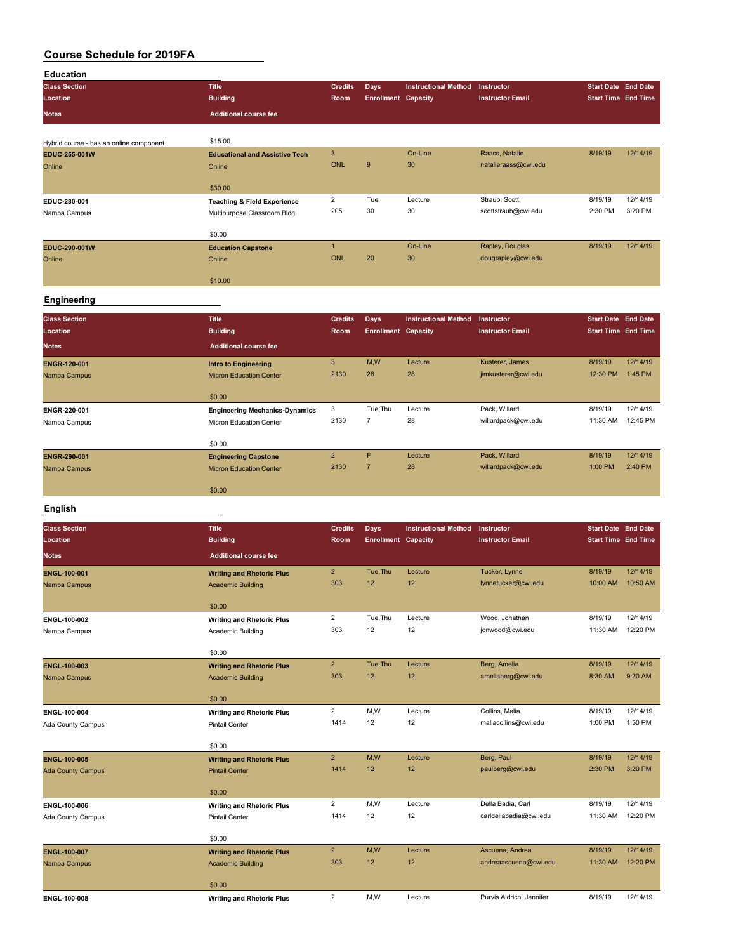| <b>Education</b>                        |                                        |                |                            |                             |                         |                            |          |
|-----------------------------------------|----------------------------------------|----------------|----------------------------|-----------------------------|-------------------------|----------------------------|----------|
| <b>Class Section</b>                    | <b>Title</b>                           | <b>Credits</b> | Days                       | <b>Instructional Method</b> | Instructor              | <b>Start Date End Date</b> |          |
| Location                                | <b>Building</b>                        | Room           | <b>Enrollment Capacity</b> |                             | <b>Instructor Email</b> | <b>Start Time End Time</b> |          |
| Notes                                   | <b>Additional course fee</b>           |                |                            |                             |                         |                            |          |
|                                         |                                        |                |                            |                             |                         |                            |          |
| Hybrid course - has an online component | \$15.00                                |                |                            |                             |                         |                            |          |
| EDUC-255-001W                           | <b>Educational and Assistive Tech</b>  | 3              |                            | On-Line                     | Raass, Natalie          | 8/19/19                    | 12/14/19 |
| Online                                  | Online                                 | <b>ONL</b>     | 9                          | 30                          | natalieraass@cwi.edu    |                            |          |
|                                         | \$30.00                                |                |                            |                             |                         |                            |          |
| EDUC-280-001                            | <b>Teaching &amp; Field Experience</b> | $\overline{2}$ | Tue                        | Lecture                     | Straub, Scott           | 8/19/19                    | 12/14/19 |
| Nampa Campus                            | Multipurpose Classroom Bldg            | 205            | 30                         | 30                          | scottstraub@cwi.edu     | 2:30 PM                    | 3:20 PM  |
|                                         | \$0.00                                 |                |                            |                             |                         |                            |          |
| EDUC-290-001W                           | <b>Education Capstone</b>              | $\overline{1}$ |                            | On-Line                     | Rapley, Douglas         | 8/19/19                    | 12/14/19 |
| Online                                  | Online                                 | <b>ONL</b>     | 20                         | 30                          | dougrapley@cwi.edu      |                            |          |
|                                         | \$10.00                                |                |                            |                             |                         |                            |          |
| <b>Engineering</b>                      |                                        |                |                            |                             |                         |                            |          |
| <b>Class Section</b>                    | <b>Title</b>                           | <b>Credits</b> | Days                       | <b>Instructional Method</b> | Instructor              | <b>Start Date End Date</b> |          |
| Location                                | <b>Building</b>                        | Room           | <b>Enrollment Capacity</b> |                             | <b>Instructor Email</b> | <b>Start Time End Time</b> |          |
| <b>Notes</b>                            | <b>Additional course fee</b>           |                |                            |                             |                         |                            |          |
| <b>ENGR-120-001</b>                     | <b>Intro to Engineering</b>            | $\mathbf{3}$   | M,W                        | Lecture                     | Kusterer, James         | 8/19/19                    | 12/14/19 |
| Nampa Campus                            | <b>Micron Education Center</b>         | 2130           | 28                         | 28                          | jimkusterer@cwi.edu     | 12:30 PM                   | 1:45 PM  |
|                                         | \$0.00                                 |                |                            |                             |                         |                            |          |
| ENGR-220-001                            | <b>Engineering Mechanics-Dynamics</b>  | 3              | Tue, Thu                   | Lecture                     | Pack, Willard           | 8/19/19                    | 12/14/19 |
| Nampa Campus                            | Micron Education Center                | 2130           | $\overline{7}$             | 28                          | willardpack@cwi.edu     | 11:30 AM                   | 12:45 PM |
|                                         | \$0.00                                 |                |                            |                             |                         |                            |          |
| ENGR-290-001                            | <b>Engineering Capstone</b>            | $\overline{2}$ | F                          | Lecture                     | Pack, Willard           | 8/19/19                    | 12/14/19 |
| Nampa Campus                            | <b>Micron Education Center</b>         | 2130           | $\overline{7}$             | 28                          | willardpack@cwi.edu     | 1:00 PM                    | 2:40 PM  |
|                                         | \$0.00                                 |                |                            |                             |                         |                            |          |

#### **English**

| <b>Class Section</b>     | <b>Title</b>                     | <b>Credits</b> | Days                       | <b>Instructional Method</b> | Instructor               | <b>Start Date End Date</b> |          |
|--------------------------|----------------------------------|----------------|----------------------------|-----------------------------|--------------------------|----------------------------|----------|
| Location                 | <b>Building</b>                  | Room           | <b>Enrollment Capacity</b> |                             | <b>Instructor Email</b>  | <b>Start Time End Time</b> |          |
| <b>Notes</b>             | <b>Additional course fee</b>     |                |                            |                             |                          |                            |          |
| <b>ENGL-100-001</b>      | <b>Writing and Rhetoric Plus</b> | $\overline{2}$ | Tue, Thu                   | Lecture                     | Tucker, Lynne            | 8/19/19                    | 12/14/19 |
| Nampa Campus             | <b>Academic Building</b>         | 303            | 12                         | 12                          | lynnetucker@cwi.edu      | 10:00 AM                   | 10:50 AM |
|                          | \$0.00                           |                |                            |                             |                          |                            |          |
| ENGL-100-002             | <b>Writing and Rhetoric Plus</b> | $\overline{2}$ | Tue, Thu                   | Lecture                     | Wood, Jonathan           | 8/19/19                    | 12/14/19 |
| Nampa Campus             | Academic Building                | 303            | 12                         | 12                          | jonwood@cwi.edu          | 11:30 AM                   | 12:20 PM |
|                          | \$0.00                           |                |                            |                             |                          |                            |          |
| <b>ENGL-100-003</b>      | <b>Writing and Rhetoric Plus</b> | $\overline{2}$ | Tue, Thu                   | Lecture                     | Berg, Amelia             | 8/19/19                    | 12/14/19 |
| Nampa Campus             | <b>Academic Building</b>         | 303            | 12                         | 12                          | ameliaberg@cwi.edu       | 8:30 AM                    | 9:20 AM  |
|                          | \$0.00                           |                |                            |                             |                          |                            |          |
| ENGL-100-004             | <b>Writing and Rhetoric Plus</b> | $\overline{2}$ | M,W                        | Lecture                     | Collins, Malia           | 8/19/19                    | 12/14/19 |
| Ada County Campus        | <b>Pintail Center</b>            | 1414           | 12                         | 12                          | maliacollins@cwi.edu     | 1:00 PM                    | 1:50 PM  |
|                          | \$0.00                           |                |                            |                             |                          |                            |          |
| <b>ENGL-100-005</b>      | <b>Writing and Rhetoric Plus</b> | $\overline{2}$ | M,W                        | Lecture                     | Berg, Paul               | 8/19/19                    | 12/14/19 |
| <b>Ada County Campus</b> | <b>Pintail Center</b>            | 1414           | 12                         | 12                          | paulberg@cwi.edu         | 2:30 PM                    | 3:20 PM  |
|                          | \$0.00                           |                |                            |                             |                          |                            |          |
| ENGL-100-006             | <b>Writing and Rhetoric Plus</b> | $\overline{2}$ | M,W                        | Lecture                     | Della Badia, Carl        | 8/19/19                    | 12/14/19 |
| Ada County Campus        | <b>Pintail Center</b>            | 1414           | 12                         | 12                          | carldellabadia@cwi.edu   | 11:30 AM                   | 12:20 PM |
|                          | \$0.00                           |                |                            |                             |                          |                            |          |
| <b>ENGL-100-007</b>      | <b>Writing and Rhetoric Plus</b> | $\overline{2}$ | M,W                        | Lecture                     | Ascuena, Andrea          | 8/19/19                    | 12/14/19 |
| Nampa Campus             | <b>Academic Building</b>         | 303            | 12                         | 12                          | andreaascuena@cwi.edu    | 11:30 AM                   | 12:20 PM |
|                          | \$0.00                           |                |                            |                             |                          |                            |          |
| ENGL-100-008             | <b>Writing and Rhetoric Plus</b> | $\overline{2}$ | M,W                        | Lecture                     | Purvis Aldrich, Jennifer | 8/19/19                    | 12/14/19 |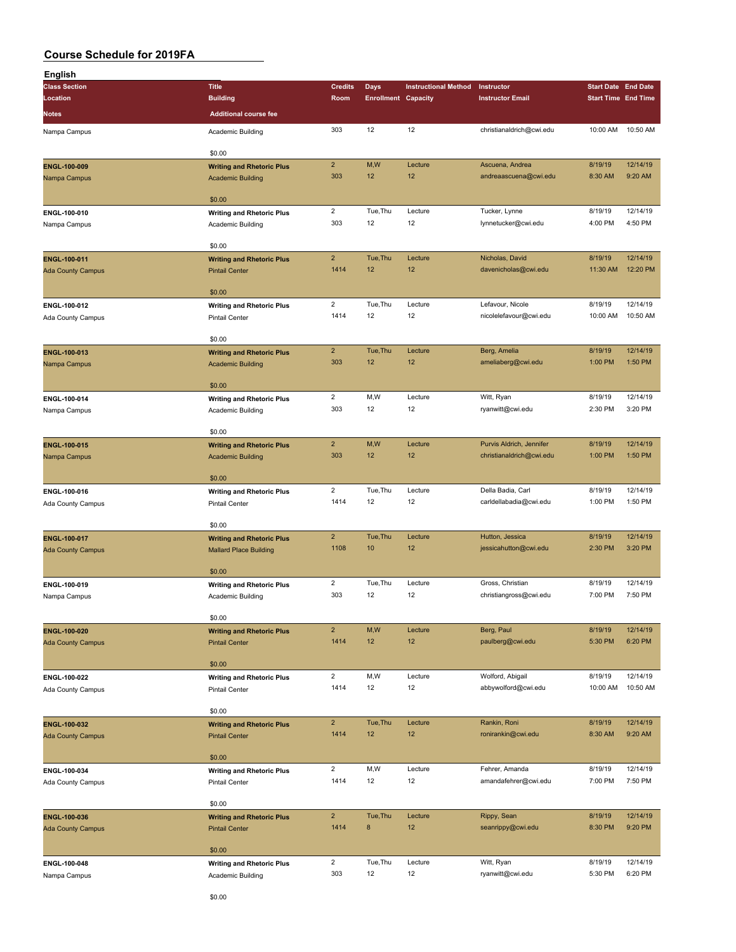| English                  |                                  |                         |                            |                             |                          |                            |          |
|--------------------------|----------------------------------|-------------------------|----------------------------|-----------------------------|--------------------------|----------------------------|----------|
| <b>Class Section</b>     | <b>Title</b>                     | <b>Credits</b>          | Days                       | <b>Instructional Method</b> | Instructor               | <b>Start Date End Date</b> |          |
| Location                 | <b>Building</b>                  | Room                    | <b>Enrollment Capacity</b> |                             | <b>Instructor Email</b>  | <b>Start Time End Time</b> |          |
| Notes                    | <b>Additional course fee</b>     |                         |                            |                             |                          |                            |          |
| Nampa Campus             | Academic Building                | 303                     | 12                         | 12                          | christianaldrich@cwi.edu | 10:00 AM                   | 10:50 AM |
|                          |                                  |                         |                            |                             |                          |                            |          |
|                          | \$0.00                           |                         |                            |                             |                          |                            |          |
| ENGL-100-009             | <b>Writing and Rhetoric Plus</b> | $\overline{2}$          | M,W                        | Lecture                     | Ascuena, Andrea          | 8/19/19                    | 12/14/19 |
| Nampa Campus             | <b>Academic Building</b>         | 303                     | 12                         | 12                          | andreaascuena@cwi.edu    | 8:30 AM                    | 9:20 AM  |
|                          |                                  |                         |                            |                             |                          |                            |          |
|                          | \$0.00                           |                         |                            |                             |                          |                            |          |
| ENGL-100-010             | <b>Writing and Rhetoric Plus</b> | $\overline{\mathbf{c}}$ | Tue, Thu                   | Lecture                     | Tucker, Lynne            | 8/19/19                    | 12/14/19 |
| Nampa Campus             | Academic Building                | 303                     | 12                         | 12                          | lynnetucker@cwi.edu      | 4:00 PM                    | 4:50 PM  |
|                          |                                  |                         |                            |                             |                          |                            |          |
|                          | \$0.00                           |                         |                            |                             |                          |                            |          |
| ENGL-100-011             | <b>Writing and Rhetoric Plus</b> | $\overline{2}$          | Tue, Thu                   | Lecture                     | Nicholas, David          | 8/19/19                    | 12/14/19 |
| <b>Ada County Campus</b> | <b>Pintail Center</b>            | 1414                    | 12                         | 12                          | davenicholas@cwi.edu     | 11:30 AM                   | 12:20 PM |
|                          |                                  |                         |                            |                             |                          |                            |          |
|                          | \$0.00                           |                         |                            |                             |                          |                            |          |
| ENGL-100-012             | <b>Writing and Rhetoric Plus</b> | $\overline{2}$          | Tue, Thu                   | Lecture                     | Lefavour, Nicole         | 8/19/19                    | 12/14/19 |
| Ada County Campus        | <b>Pintail Center</b>            | 1414                    | 12                         | 12                          | nicolelefavour@cwi.edu   | 10:00 AM                   | 10:50 AM |
|                          |                                  |                         |                            |                             |                          |                            |          |
|                          | \$0.00                           |                         |                            |                             |                          |                            |          |
| ENGL-100-013             | <b>Writing and Rhetoric Plus</b> | $\overline{2}$          | Tue, Thu                   | Lecture                     | Berg, Amelia             | 8/19/19                    | 12/14/19 |
| Nampa Campus             | <b>Academic Building</b>         | 303                     | 12                         | 12                          | ameliaberg@cwi.edu       | 1:00 PM                    | 1:50 PM  |
|                          | \$0.00                           |                         |                            |                             |                          |                            |          |
|                          |                                  | $\overline{2}$          | M,W                        | Lecture                     | Witt, Ryan               | 8/19/19                    | 12/14/19 |
| ENGL-100-014             | <b>Writing and Rhetoric Plus</b> | 303                     | 12                         | 12                          | ryanwitt@cwi.edu         | 2:30 PM                    | 3:20 PM  |
| Nampa Campus             | Academic Building                |                         |                            |                             |                          |                            |          |
|                          | \$0.00                           |                         |                            |                             |                          |                            |          |
| ENGL-100-015             | <b>Writing and Rhetoric Plus</b> | $\overline{2}$          | M,W                        | Lecture                     | Purvis Aldrich, Jennifer | 8/19/19                    | 12/14/19 |
| Nampa Campus             | <b>Academic Building</b>         | 303                     | 12                         | 12                          | christianaldrich@cwi.edu | 1:00 PM                    | 1:50 PM  |
|                          |                                  |                         |                            |                             |                          |                            |          |
|                          | \$0.00                           |                         |                            |                             |                          |                            |          |
| ENGL-100-016             | <b>Writing and Rhetoric Plus</b> | $\overline{2}$          | Tue, Thu                   | Lecture                     | Della Badia, Carl        | 8/19/19                    | 12/14/19 |
| Ada County Campus        | <b>Pintail Center</b>            | 1414                    | 12                         | 12                          | carldellabadia@cwi.edu   | 1:00 PM                    | 1:50 PM  |
|                          |                                  |                         |                            |                             |                          |                            |          |
|                          | \$0.00                           |                         |                            |                             |                          |                            |          |
| <b>ENGL-100-017</b>      | <b>Writing and Rhetoric Plus</b> | $\overline{2}$          | Tue, Thu                   | Lecture                     | Hutton, Jessica          | 8/19/19                    | 12/14/19 |
| <b>Ada County Campus</b> | <b>Mallard Place Building</b>    | 1108                    | 10                         | 12                          | jessicahutton@cwi.edu    | 2:30 PM                    | 3:20 PM  |
|                          |                                  |                         |                            |                             |                          |                            |          |
|                          | \$0.00                           |                         |                            |                             |                          |                            |          |
| ENGL-100-019             | <b>Writing and Rhetoric Plus</b> | $\overline{2}$          | Tue, Thu                   | Lecture                     | Gross, Christian         | 8/19/19                    | 12/14/19 |
| Nampa Campus             | Academic Building                | 303                     | 12                         | 12                          | christiangross@cwi.edu   | 7:00 PM                    | 7:50 PM  |
|                          |                                  |                         |                            |                             |                          |                            |          |
|                          | \$0.00                           |                         |                            |                             |                          |                            |          |
| ENGL-100-020             | <b>Writing and Rhetoric Plus</b> | $\overline{2}$          | M,W                        | Lecture                     | Berg, Paul               | 8/19/19                    | 12/14/19 |
| <b>Ada County Campus</b> | <b>Pintail Center</b>            | 1414                    | 12                         | 12                          | paulberg@cwi.edu         | 5:30 PM                    | 6:20 PM  |
|                          |                                  |                         |                            |                             |                          |                            |          |
|                          | \$0.00                           | $\overline{2}$          | M, W                       | Lecture                     | Wolford, Abigail         | 8/19/19                    | 12/14/19 |
| ENGL-100-022             | <b>Writing and Rhetoric Plus</b> | 1414                    | 12                         | 12                          | abbywolford@cwi.edu      | 10:00 AM                   | 10:50 AM |
| Ada County Campus        | <b>Pintail Center</b>            |                         |                            |                             |                          |                            |          |
|                          | \$0.00                           |                         |                            |                             |                          |                            |          |
| ENGL-100-032             | <b>Writing and Rhetoric Plus</b> | $\overline{2}$          | Tue, Thu                   | Lecture                     | Rankin, Roni             | 8/19/19                    | 12/14/19 |
| <b>Ada County Campus</b> | <b>Pintail Center</b>            | 1414                    | 12                         | 12                          | ronirankin@cwi.edu       | 8:30 AM                    | 9:20 AM  |
|                          |                                  |                         |                            |                             |                          |                            |          |
|                          | \$0.00                           |                         |                            |                             |                          |                            |          |
| ENGL-100-034             | <b>Writing and Rhetoric Plus</b> | $\overline{2}$          | M,W                        | Lecture                     | Fehrer, Amanda           | 8/19/19                    | 12/14/19 |
| Ada County Campus        | Pintail Center                   | 1414                    | 12                         | 12                          | amandafehrer@cwi.edu     | 7:00 PM                    | 7:50 PM  |
|                          |                                  |                         |                            |                             |                          |                            |          |
|                          | \$0.00                           |                         |                            |                             |                          |                            |          |
| ENGL-100-036             | <b>Writing and Rhetoric Plus</b> | $\overline{2}$          | Tue, Thu                   | Lecture                     | Rippy, Sean              | 8/19/19                    | 12/14/19 |
| <b>Ada County Campus</b> | <b>Pintail Center</b>            | 1414                    | 8                          | 12                          | seanrippy@cwi.edu        | 8:30 PM                    | 9:20 PM  |
|                          |                                  |                         |                            |                             |                          |                            |          |
|                          | \$0.00                           |                         |                            |                             |                          |                            |          |
| ENGL-100-048             | <b>Writing and Rhetoric Plus</b> | $\overline{2}$          | Tue, Thu                   | Lecture                     | Witt, Ryan               | 8/19/19                    | 12/14/19 |
| Nampa Campus             | Academic Building                | 303                     | 12                         | 12                          | ryanwitt@cwi.edu         | 5:30 PM                    | 6:20 PM  |
|                          |                                  |                         |                            |                             |                          |                            |          |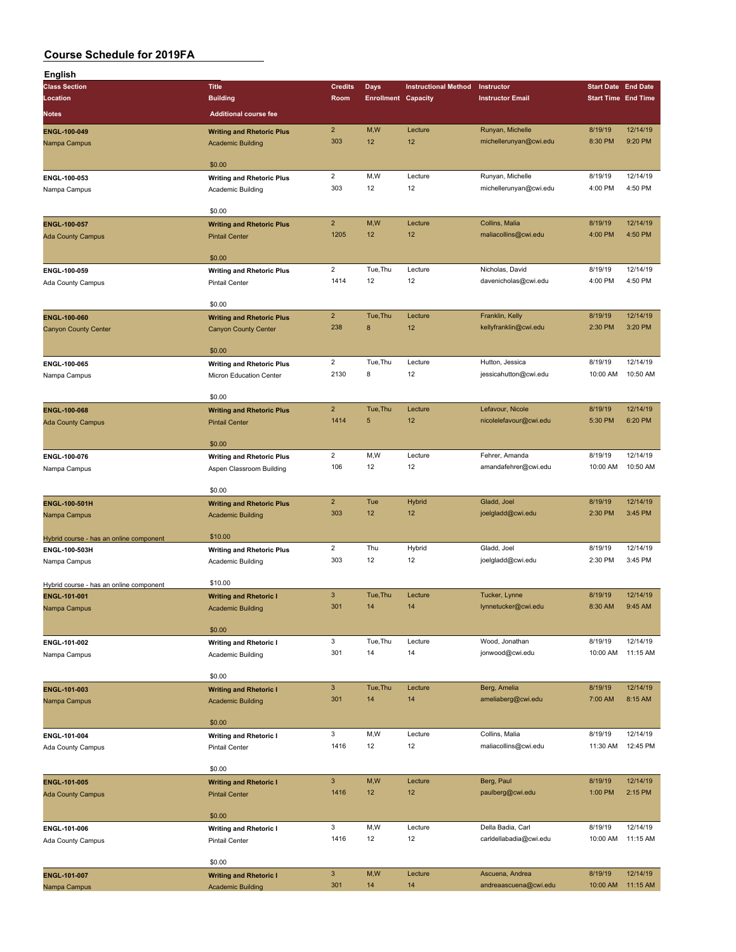| English                                 |                                                             |                       |                            |                             |                                            |                            |                     |
|-----------------------------------------|-------------------------------------------------------------|-----------------------|----------------------------|-----------------------------|--------------------------------------------|----------------------------|---------------------|
| <b>Class Section</b>                    | <b>Title</b>                                                | <b>Credits</b>        | <b>Days</b>                | <b>Instructional Method</b> | Instructor                                 | <b>Start Date End Date</b> |                     |
| Location                                | <b>Building</b>                                             | Room                  | <b>Enrollment Capacity</b> |                             | <b>Instructor Email</b>                    | <b>Start Time End Time</b> |                     |
| <b>Notes</b>                            | <b>Additional course fee</b>                                |                       |                            |                             |                                            |                            |                     |
|                                         |                                                             | $\overline{2}$        | M,W                        | Lecture                     |                                            | 8/19/19                    | 12/14/19            |
| ENGL-100-049                            | <b>Writing and Rhetoric Plus</b>                            | 303                   | 12                         | 12                          | Runyan, Michelle<br>michellerunyan@cwi.edu | 8:30 PM                    | 9:20 PM             |
| Nampa Campus                            | <b>Academic Building</b>                                    |                       |                            |                             |                                            |                            |                     |
|                                         | \$0.00                                                      |                       |                            |                             |                                            |                            |                     |
| ENGL-100-053                            | <b>Writing and Rhetoric Plus</b>                            | $\overline{2}$        | M,W                        | Lecture                     | Runyan, Michelle                           | 8/19/19                    | 12/14/19            |
| Nampa Campus                            | Academic Building                                           | 303                   | 12                         | 12                          | michellerunyan@cwi.edu                     | 4:00 PM                    | 4:50 PM             |
|                                         |                                                             |                       |                            |                             |                                            |                            |                     |
|                                         | \$0.00                                                      |                       |                            |                             |                                            |                            |                     |
| <b>ENGL-100-057</b>                     | <b>Writing and Rhetoric Plus</b>                            | $\overline{2}$        | M,W                        | Lecture                     | Collins, Malia                             | 8/19/19                    | 12/14/19            |
| <b>Ada County Campus</b>                | <b>Pintail Center</b>                                       | 1205                  | 12                         | 12                          | maliacollins@cwi.edu                       | 4:00 PM                    | 4:50 PM             |
|                                         |                                                             |                       |                            |                             |                                            |                            |                     |
|                                         | \$0.00                                                      |                       |                            |                             |                                            |                            |                     |
| ENGL-100-059                            | <b>Writing and Rhetoric Plus</b>                            | $\overline{2}$        | Tue, Thu                   | Lecture                     | Nicholas, David                            | 8/19/19                    | 12/14/19            |
| Ada County Campus                       | <b>Pintail Center</b>                                       | 1414                  | 12                         | 12                          | davenicholas@cwi.edu                       | 4:00 PM                    | 4:50 PM             |
|                                         |                                                             |                       |                            |                             |                                            |                            |                     |
|                                         | \$0.00                                                      |                       |                            |                             |                                            |                            |                     |
| ENGL-100-060                            | <b>Writing and Rhetoric Plus</b>                            | $\overline{2}$<br>238 | Tue, Thu<br>8              | Lecture<br>12               | Franklin, Kelly                            | 8/19/19<br>2:30 PM         | 12/14/19<br>3:20 PM |
| <b>Canyon County Center</b>             | <b>Canyon County Center</b>                                 |                       |                            |                             | kellyfranklin@cwi.edu                      |                            |                     |
|                                         | \$0.00                                                      |                       |                            |                             |                                            |                            |                     |
| ENGL-100-065                            |                                                             | $\overline{2}$        | Tue, Thu                   | Lecture                     | Hutton, Jessica                            | 8/19/19                    | 12/14/19            |
| Nampa Campus                            | <b>Writing and Rhetoric Plus</b><br>Micron Education Center | 2130                  | 8                          | 12                          | jessicahutton@cwi.edu                      | 10:00 AM                   | 10:50 AM            |
|                                         |                                                             |                       |                            |                             |                                            |                            |                     |
|                                         | \$0.00                                                      |                       |                            |                             |                                            |                            |                     |
| <b>ENGL-100-068</b>                     | <b>Writing and Rhetoric Plus</b>                            | $\overline{2}$        | Tue, Thu                   | Lecture                     | Lefavour, Nicole                           | 8/19/19                    | 12/14/19            |
| <b>Ada County Campus</b>                | <b>Pintail Center</b>                                       | 1414                  | $\sqrt{5}$                 | 12                          | nicolelefavour@cwi.edu                     | 5:30 PM                    | 6:20 PM             |
|                                         |                                                             |                       |                            |                             |                                            |                            |                     |
|                                         | \$0.00                                                      |                       |                            |                             |                                            |                            |                     |
| ENGL-100-076                            | <b>Writing and Rhetoric Plus</b>                            | $\overline{c}$        | M,W                        | Lecture                     | Fehrer, Amanda                             | 8/19/19                    | 12/14/19            |
| Nampa Campus                            | Aspen Classroom Building                                    | 106                   | 12                         | 12                          | amandafehrer@cwi.edu                       | 10:00 AM                   | 10:50 AM            |
|                                         |                                                             |                       |                            |                             |                                            |                            |                     |
|                                         | \$0.00                                                      |                       |                            |                             |                                            |                            |                     |
| ENGL-100-501H                           | <b>Writing and Rhetoric Plus</b>                            | $\overline{2}$        | Tue                        | Hybrid                      | Gladd, Joel                                | 8/19/19                    | 12/14/19            |
| Nampa Campus                            | <b>Academic Building</b>                                    | 303                   | 12                         | 12                          | joelgladd@cwi.edu                          | 2:30 PM                    | 3:45 PM             |
|                                         | \$10.00                                                     |                       |                            |                             |                                            |                            |                     |
| Hybrid course - has an online component |                                                             | $\overline{2}$        | Thu                        | Hybrid                      | Gladd, Joel                                | 8/19/19                    | 12/14/19            |
| ENGL-100-503H<br>Nampa Campus           | <b>Writing and Rhetoric Plus</b>                            | 303                   | 12                         | 12                          | joelgladd@cwi.edu                          | 2:30 PM                    | 3:45 PM             |
|                                         | Academic Building                                           |                       |                            |                             |                                            |                            |                     |
| Hybrid course - has an online component | \$10.00                                                     |                       |                            |                             |                                            |                            |                     |
| <b>ENGL-101-001</b>                     | <b>Writing and Rhetoric I</b>                               | $\mathbf{3}$          | Tue, Thu                   | Lecture                     | Tucker, Lynne                              | 8/19/19                    | 12/14/19            |
| Nampa Campus                            | <b>Academic Building</b>                                    | 301                   | 14                         | 14                          | lynnetucker@cwi.edu                        | 8:30 AM                    | 9:45 AM             |
|                                         |                                                             |                       |                            |                             |                                            |                            |                     |
|                                         | \$0.00                                                      |                       |                            |                             |                                            |                            |                     |
| ENGL-101-002                            | <b>Writing and Rhetoric I</b>                               | 3                     | Tue, Thu                   | Lecture                     | Wood, Jonathan                             | 8/19/19                    | 12/14/19            |
| Nampa Campus                            | Academic Building                                           | 301                   | 14                         | 14                          | jonwood@cwi.edu                            | 10:00 AM                   | 11:15 AM            |
|                                         |                                                             |                       |                            |                             |                                            |                            |                     |
|                                         | \$0.00                                                      |                       |                            |                             |                                            |                            |                     |
| <b>ENGL-101-003</b>                     | <b>Writing and Rhetoric I</b>                               | $\mathbf{3}$          | Tue, Thu                   | Lecture                     | Berg, Amelia                               | 8/19/19                    | 12/14/19            |
| Nampa Campus                            | <b>Academic Building</b>                                    | 301                   | 14                         | 14                          | ameliaberg@cwi.edu                         | 7:00 AM                    | 8:15 AM             |
|                                         |                                                             |                       |                            |                             |                                            |                            |                     |
|                                         | \$0.00                                                      |                       |                            |                             |                                            |                            | 12/14/19            |
| ENGL-101-004                            | <b>Writing and Rhetoric I</b>                               | 3<br>1416             | M,W<br>12                  | Lecture<br>12               | Collins, Malia<br>maliacollins@cwi.edu     | 8/19/19<br>11:30 AM        | 12:45 PM            |
| Ada County Campus                       | <b>Pintail Center</b>                                       |                       |                            |                             |                                            |                            |                     |
|                                         | \$0.00                                                      |                       |                            |                             |                                            |                            |                     |
| ENGL-101-005                            |                                                             | $\mathbf{3}$          | M,W                        | Lecture                     | Berg, Paul                                 | 8/19/19                    | 12/14/19            |
| <b>Ada County Campus</b>                | <b>Writing and Rhetoric I</b><br><b>Pintail Center</b>      | 1416                  | 12                         | 12                          | paulberg@cwi.edu                           | 1:00 PM                    | 2:15 PM             |
|                                         |                                                             |                       |                            |                             |                                            |                            |                     |
|                                         | \$0.00                                                      |                       |                            |                             |                                            |                            |                     |
| ENGL-101-006                            | <b>Writing and Rhetoric I</b>                               | 3                     | M,W                        | Lecture                     | Della Badia, Carl                          | 8/19/19                    | 12/14/19            |
| Ada County Campus                       | <b>Pintail Center</b>                                       | 1416                  | 12                         | 12                          | carldellabadia@cwi.edu                     | 10:00 AM                   | 11:15 AM            |
|                                         |                                                             |                       |                            |                             |                                            |                            |                     |
|                                         | \$0.00                                                      |                       |                            |                             |                                            |                            |                     |
| ENGL-101-007                            | <b>Writing and Rhetoric I</b>                               | $\mathbf{3}$          | M,W                        | Lecture                     | Ascuena, Andrea                            | 8/19/19                    | 12/14/19            |
| Nampa Campus                            | <b>Academic Building</b>                                    | 301                   | 14                         | 14                          | andreaascuena@cwi.edu                      | 10:00 AM                   | 11:15 AM            |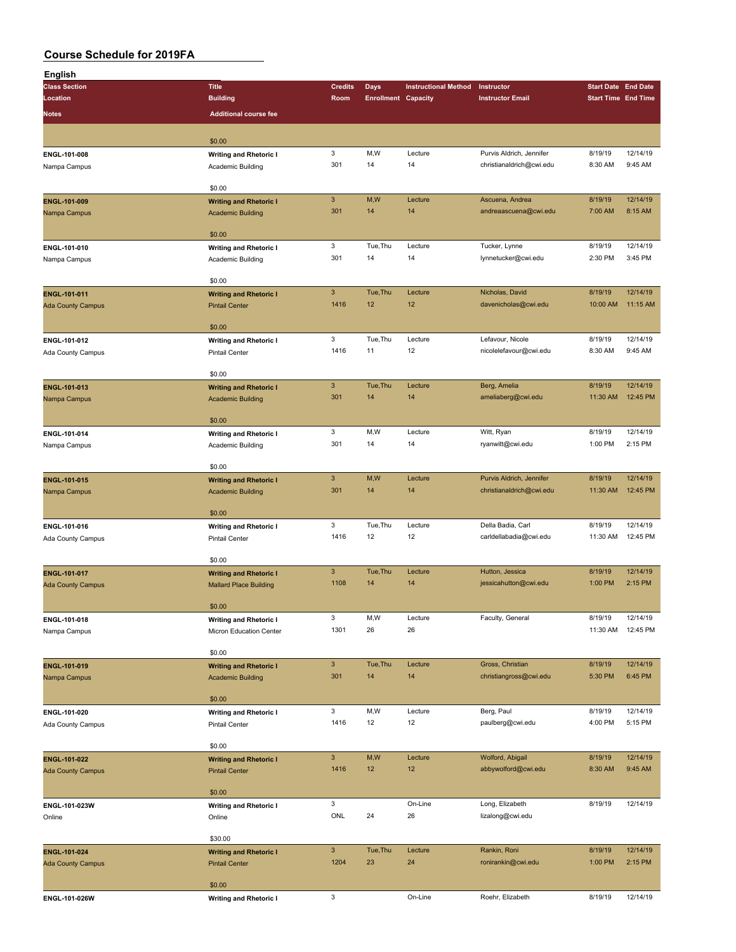| <b>English</b>           |                               |                           |                            |                             |                                     |                            |                      |
|--------------------------|-------------------------------|---------------------------|----------------------------|-----------------------------|-------------------------------------|----------------------------|----------------------|
| <b>Class Section</b>     | <b>Title</b>                  | <b>Credits</b>            | <b>Days</b>                | <b>Instructional Method</b> | Instructor                          | <b>Start Date End Date</b> |                      |
| Location                 | <b>Building</b>               | Room                      | <b>Enrollment Capacity</b> |                             | <b>Instructor Email</b>             | <b>Start Time End Time</b> |                      |
| <b>Notes</b>             | <b>Additional course fee</b>  |                           |                            |                             |                                     |                            |                      |
|                          |                               |                           |                            |                             |                                     |                            |                      |
|                          | \$0.00                        |                           |                            |                             |                                     |                            |                      |
| ENGL-101-008             | <b>Writing and Rhetoric I</b> | $\mathbf 3$               | M,W                        | Lecture                     | Purvis Aldrich, Jennifer            | 8/19/19                    | 12/14/19             |
| Nampa Campus             | Academic Building             | 301                       | 14                         | 14                          | christianaldrich@cwi.edu            | 8:30 AM                    | 9:45 AM              |
|                          | \$0.00                        |                           |                            |                             |                                     |                            |                      |
| ENGL-101-009             | <b>Writing and Rhetoric I</b> | $\ensuremath{\mathsf{3}}$ | M,W                        | Lecture                     | Ascuena, Andrea                     | 8/19/19                    | 12/14/19             |
| Nampa Campus             | <b>Academic Building</b>      | 301                       | 14                         | 14                          | andreaascuena@cwi.edu               | 7:00 AM                    | 8:15 AM              |
|                          |                               |                           |                            |                             |                                     |                            |                      |
|                          | \$0.00                        |                           |                            |                             |                                     |                            |                      |
| ENGL-101-010             | <b>Writing and Rhetoric I</b> | 3                         | Tue, Thu                   | Lecture                     | Tucker, Lynne                       | 8/19/19                    | 12/14/19             |
| Nampa Campus             | Academic Building             | 301                       | 14                         | 14                          | lynnetucker@cwi.edu                 | 2:30 PM                    | 3:45 PM              |
|                          | \$0.00                        |                           |                            |                             |                                     |                            |                      |
| ENGL-101-011             | <b>Writing and Rhetoric I</b> | $\mathbf{3}$              | Tue, Thu                   | Lecture                     | Nicholas, David                     | 8/19/19                    | 12/14/19             |
| <b>Ada County Campus</b> | <b>Pintail Center</b>         | 1416                      | 12                         | 12                          | davenicholas@cwi.edu                | 10:00 AM                   | 11:15 AM             |
|                          |                               |                           |                            |                             |                                     |                            |                      |
|                          | \$0.00                        |                           |                            |                             |                                     |                            |                      |
| ENGL-101-012             | <b>Writing and Rhetoric I</b> | 3                         | Tue, Thu                   | Lecture                     | Lefavour, Nicole                    | 8/19/19                    | 12/14/19             |
| Ada County Campus        | <b>Pintail Center</b>         | 1416                      | 11                         | 12                          | nicolelefavour@cwi.edu              | 8:30 AM                    | 9:45 AM              |
|                          | \$0.00                        |                           |                            |                             |                                     |                            |                      |
| ENGL-101-013             | <b>Writing and Rhetoric I</b> | $\ensuremath{\mathsf{3}}$ | Tue, Thu                   | Lecture                     | Berg, Amelia                        | 8/19/19                    | 12/14/19             |
| Nampa Campus             | <b>Academic Building</b>      | 301                       | 14                         | 14                          | ameliaberg@cwi.edu                  | 11:30 AM                   | 12:45 PM             |
|                          |                               |                           |                            |                             |                                     |                            |                      |
|                          | \$0.00                        |                           |                            |                             |                                     |                            |                      |
| ENGL-101-014             | <b>Writing and Rhetoric I</b> | 3                         | M,W                        | Lecture                     | Witt, Ryan                          | 8/19/19                    | 12/14/19             |
| Nampa Campus             | Academic Building             | 301                       | 14                         | 14                          | ryanwitt@cwi.edu                    | 1:00 PM                    | 2:15 PM              |
|                          | \$0.00                        |                           |                            |                             |                                     |                            |                      |
| ENGL-101-015             | <b>Writing and Rhetoric I</b> | $\ensuremath{\mathsf{3}}$ | M,W                        | Lecture                     | Purvis Aldrich, Jennifer            | 8/19/19                    | 12/14/19             |
| Nampa Campus             | <b>Academic Building</b>      | 301                       | 14                         | 14                          | christianaldrich@cwi.edu            | 11:30 AM                   | 12:45 PM             |
|                          |                               |                           |                            |                             |                                     |                            |                      |
|                          | \$0.00                        |                           |                            |                             |                                     |                            |                      |
| ENGL-101-016             | <b>Writing and Rhetoric I</b> | 3                         | Tue, Thu                   | Lecture                     | Della Badia, Carl                   | 8/19/19                    | 12/14/19             |
| Ada County Campus        | <b>Pintail Center</b>         | 1416                      | 12                         | 12                          | carldellabadia@cwi.edu              | 11:30 AM                   | 12:45 PM             |
|                          | \$0.00                        |                           |                            |                             |                                     |                            |                      |
| <b>ENGL-101-017</b>      | <b>Writing and Rhetoric I</b> | $\mathbf{3}$              | Tue, Thu                   | Lecture                     | Hutton, Jessica                     | 8/19/19                    | 12/14/19             |
| <b>Ada County Campus</b> | <b>Mallard Place Building</b> | 1108                      | 14                         | 14                          | jessicahutton@cwi.edu               | 1:00 PM                    | 2:15 PM              |
|                          |                               |                           |                            |                             |                                     |                            |                      |
|                          | \$0.00                        |                           |                            |                             |                                     |                            |                      |
| ENGL-101-018             | <b>Writing and Rhetoric I</b> | 3<br>1301                 | M, W<br>26                 | Lecture<br>26               | Faculty, General                    | 8/19/19<br>11:30 AM        | 12/14/19<br>12:45 PM |
| Nampa Campus             | Micron Education Center       |                           |                            |                             |                                     |                            |                      |
|                          | \$0.00                        |                           |                            |                             |                                     |                            |                      |
| ENGL-101-019             | <b>Writing and Rhetoric I</b> | $\mathbf{3}$              | Tue, Thu                   | Lecture                     | Gross, Christian                    | 8/19/19                    | 12/14/19             |
| Nampa Campus             | <b>Academic Building</b>      | 301                       | 14                         | 14                          | christiangross@cwi.edu              | 5:30 PM                    | 6:45 PM              |
|                          |                               |                           |                            |                             |                                     |                            |                      |
|                          | \$0.00                        |                           |                            |                             |                                     |                            |                      |
| ENGL-101-020             | <b>Writing and Rhetoric I</b> | $\mathbf 3$<br>1416       | M,W<br>12                  | Lecture<br>12               | Berg, Paul<br>paulberg@cwi.edu      | 8/19/19<br>4:00 PM         | 12/14/19<br>5:15 PM  |
| Ada County Campus        | <b>Pintail Center</b>         |                           |                            |                             |                                     |                            |                      |
|                          | \$0.00                        |                           |                            |                             |                                     |                            |                      |
| ENGL-101-022             | <b>Writing and Rhetoric I</b> | $\mathbf{3}$              | M,W                        | Lecture                     | Wolford, Abigail                    | 8/19/19                    | 12/14/19             |
| <b>Ada County Campus</b> | <b>Pintail Center</b>         | 1416                      | 12                         | 12                          | abbywolford@cwi.edu                 | 8:30 AM                    | 9:45 AM              |
|                          |                               |                           |                            |                             |                                     |                            |                      |
|                          | \$0.00                        | 3                         |                            |                             |                                     |                            | 12/14/19             |
| ENGL-101-023W            | <b>Writing and Rhetoric I</b> | ONL                       | 24                         | On-Line<br>26               | Long, Elizabeth<br>lizalong@cwi.edu | 8/19/19                    |                      |
| Online                   | Online                        |                           |                            |                             |                                     |                            |                      |
|                          | \$30.00                       |                           |                            |                             |                                     |                            |                      |
| ENGL-101-024             | <b>Writing and Rhetoric I</b> | $\mathbf{3}$              | Tue, Thu                   | Lecture                     | Rankin, Roni                        | 8/19/19                    | 12/14/19             |
| <b>Ada County Campus</b> | <b>Pintail Center</b>         | 1204                      | 23                         | 24                          | ronirankin@cwi.edu                  | 1:00 PM                    | 2:15 PM              |
|                          |                               |                           |                            |                             |                                     |                            |                      |
|                          | \$0.00                        | 3                         |                            | On-Line                     | Roehr, Elizabeth                    | 8/19/19                    | 12/14/19             |
| ENGL-101-026W            | <b>Writing and Rhetoric I</b> |                           |                            |                             |                                     |                            |                      |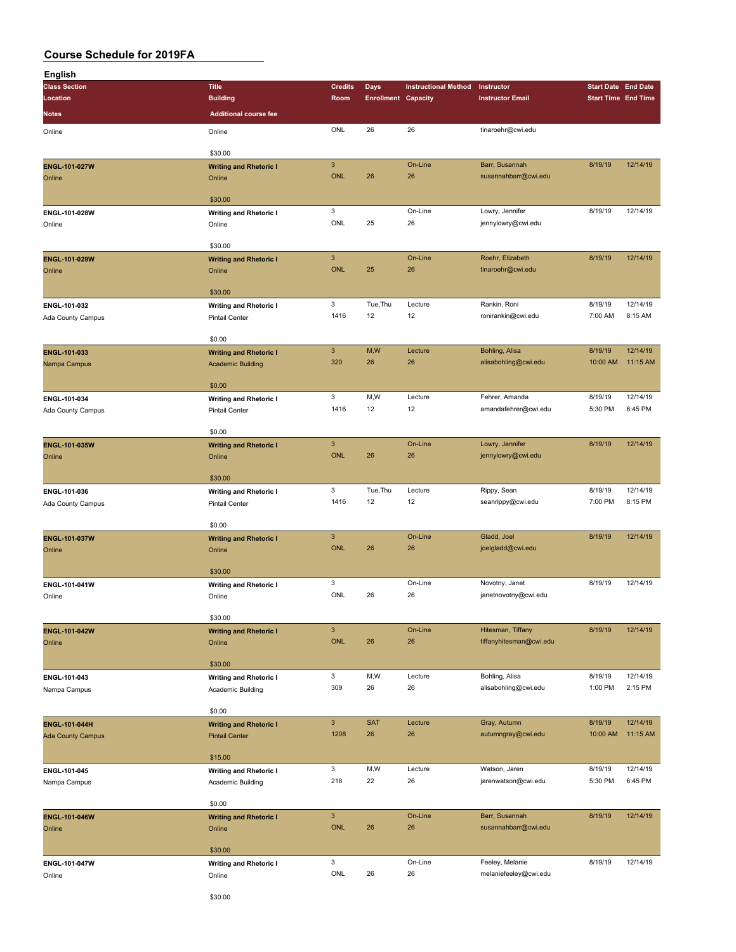| English                  |                                         |                           |                            |                             |                         |                            |          |
|--------------------------|-----------------------------------------|---------------------------|----------------------------|-----------------------------|-------------------------|----------------------------|----------|
| <b>Class Section</b>     | <b>Title</b>                            | <b>Credits</b>            | <b>Days</b>                | <b>Instructional Method</b> | Instructor              | <b>Start Date End Date</b> |          |
| Location                 | <b>Building</b>                         | Room                      | <b>Enrollment Capacity</b> |                             | <b>Instructor Email</b> | <b>Start Time End Time</b> |          |
| Notes                    | <b>Additional course fee</b>            |                           |                            |                             |                         |                            |          |
| Online                   | Online                                  | ONL                       | 26                         | 26                          | tinaroehr@cwi.edu       |                            |          |
|                          |                                         |                           |                            |                             |                         |                            |          |
|                          | \$30.00                                 |                           |                            |                             |                         |                            |          |
| ENGL-101-027W            | <b>Writing and Rhetoric I</b>           | $\mathbf{3}$              |                            | On-Line                     | Barr, Susannah          | 8/19/19                    | 12/14/19 |
| Online                   | Online                                  | <b>ONL</b>                | 26                         | 26                          | susannahbarr@cwi.edu    |                            |          |
|                          |                                         |                           |                            |                             |                         |                            |          |
|                          | \$30.00                                 |                           |                            |                             |                         |                            |          |
| ENGL-101-028W            | <b>Writing and Rhetoric I</b>           | $\mathbf 3$               |                            | On-Line                     | Lowry, Jennifer         | 8/19/19                    | 12/14/19 |
| Online                   | Online                                  | ONL                       | 25                         | 26                          | jennylowry@cwi.edu      |                            |          |
|                          |                                         |                           |                            |                             |                         |                            |          |
|                          | \$30.00                                 |                           |                            |                             |                         |                            |          |
| ENGL-101-029W            | <b>Writing and Rhetoric I</b>           | $\mathbf{3}$              |                            | On-Line                     | Roehr, Elizabeth        | 8/19/19                    | 12/14/19 |
| Online                   | Online                                  | ONL                       | 25                         | 26                          | tinaroehr@cwi.edu       |                            |          |
|                          |                                         |                           |                            |                             |                         |                            |          |
|                          | \$30.00                                 |                           |                            |                             |                         |                            |          |
| ENGL-101-032             | <b>Writing and Rhetoric I</b>           | 3                         | Tue, Thu                   | Lecture                     | Rankin, Roni            | 8/19/19                    | 12/14/19 |
| Ada County Campus        | <b>Pintail Center</b>                   | 1416                      | 12                         | 12                          | ronirankin@cwi.edu      | 7:00 AM                    | 8:15 AM  |
|                          |                                         |                           |                            |                             |                         |                            |          |
|                          | \$0.00                                  |                           |                            |                             |                         |                            |          |
| ENGL-101-033             | <b>Writing and Rhetoric I</b>           | $\mathbf{3}$              | M,W                        | Lecture                     | Bohling, Alisa          | 8/19/19                    | 12/14/19 |
| Nampa Campus             | <b>Academic Building</b>                | 320                       | 26                         | 26                          | alisabohling@cwi.edu    | 10:00 AM                   | 11:15 AM |
|                          | \$0.00                                  |                           |                            |                             |                         |                            |          |
|                          |                                         | $\mathbf 3$               | M,W                        | Lecture                     | Fehrer, Amanda          | 8/19/19                    | 12/14/19 |
| ENGL-101-034             | <b>Writing and Rhetoric I</b>           |                           |                            |                             |                         |                            |          |
| Ada County Campus        | Pintail Center                          | 1416                      | 12                         | 12                          | amandafehrer@cwi.edu    | 5:30 PM                    | 6:45 PM  |
|                          | \$0.00                                  |                           |                            |                             |                         |                            |          |
|                          |                                         | $\mathbf{3}$              |                            | On-Line                     | Lowry, Jennifer         | 8/19/19                    | 12/14/19 |
| ENGL-101-035W<br>Online  | <b>Writing and Rhetoric I</b><br>Online | <b>ONL</b>                | 26                         | 26                          | jennylowry@cwi.edu      |                            |          |
|                          |                                         |                           |                            |                             |                         |                            |          |
|                          | \$30.00                                 |                           |                            |                             |                         |                            |          |
| ENGL-101-036             | <b>Writing and Rhetoric I</b>           | 3                         | Tue, Thu                   | Lecture                     | Rippy, Sean             | 8/19/19                    | 12/14/19 |
| Ada County Campus        | <b>Pintail Center</b>                   | 1416                      | 12                         | 12                          | seanrippy@cwi.edu       | 7:00 PM                    | 8:15 PM  |
|                          |                                         |                           |                            |                             |                         |                            |          |
|                          | \$0.00                                  |                           |                            |                             |                         |                            |          |
| ENGL-101-037W            | <b>Writing and Rhetoric I</b>           | $\ensuremath{\mathsf{3}}$ |                            | On-Line                     | Gladd, Joel             | 8/19/19                    | 12/14/19 |
| Online                   | Online                                  | <b>ONL</b>                | 26                         | 26                          | joelgladd@cwi.edu       |                            |          |
|                          |                                         |                           |                            |                             |                         |                            |          |
|                          | \$30.00                                 |                           |                            |                             |                         |                            |          |
| ENGL-101-041W            | <b>Writing and Rhetoric I</b>           | 3                         |                            | On-Line                     | Novotny, Janet          | 8/19/19                    | 12/14/19 |
| Online                   | Online                                  | ONL                       | 26                         | 26                          | janetnovotny@cwi.edu    |                            |          |
|                          |                                         |                           |                            |                             |                         |                            |          |
|                          | \$30.00                                 |                           |                            |                             |                         |                            |          |
| ENGL-101-042W            | <b>Writing and Rhetoric I</b>           | $\mathbf 3$               |                            | On-Line                     | Hitesman, Tiffany       | 8/19/19                    | 12/14/19 |
| Online                   | Online                                  | ONL                       | 26                         | 26                          | tiffanyhitesman@cwi.edu |                            |          |
|                          |                                         |                           |                            |                             |                         |                            |          |
|                          | \$30.00                                 |                           |                            |                             |                         |                            |          |
| ENGL-101-043             | <b>Writing and Rhetoric I</b>           | $\ensuremath{\mathsf{3}}$ | M,W                        | Lecture                     | Bohling, Alisa          | 8/19/19                    | 12/14/19 |
| Nampa Campus             | Academic Building                       | 309                       | 26                         | 26                          | alisabohling@cwi.edu    | 1:00 PM                    | 2:15 PM  |
|                          |                                         |                           |                            |                             |                         |                            |          |
|                          | \$0.00                                  |                           |                            |                             |                         |                            |          |
| ENGL-101-044H            | <b>Writing and Rhetoric I</b>           | $\mathbf{3}$              | <b>SAT</b>                 | Lecture                     | Gray, Autumn            | 8/19/19                    | 12/14/19 |
| <b>Ada County Campus</b> | <b>Pintail Center</b>                   | 1208                      | 26                         | 26                          | autumngray@cwi.edu      | 10:00 AM                   | 11:15 AM |
|                          |                                         |                           |                            |                             |                         |                            |          |
|                          | \$15.00                                 |                           |                            |                             |                         |                            |          |
| ENGL-101-045             | <b>Writing and Rhetoric I</b>           | 3                         | M,W                        | Lecture                     | Watson, Jaren           | 8/19/19                    | 12/14/19 |
| Nampa Campus             | Academic Building                       | 218                       | 22                         | 26                          | jarenwatson@cwi.edu     | 5:30 PM                    | 6:45 PM  |
|                          |                                         |                           |                            |                             |                         |                            |          |
|                          | \$0.00                                  |                           |                            |                             |                         |                            |          |
| ENGL-101-046W            | <b>Writing and Rhetoric I</b>           | $\mathbf{3}$              |                            | On-Line                     | Barr, Susannah          | 8/19/19                    | 12/14/19 |
| Online                   | Online                                  | ONL                       | 26                         | 26                          | susannahbarr@cwi.edu    |                            |          |
|                          |                                         |                           |                            |                             |                         |                            |          |
|                          | \$30.00                                 |                           |                            |                             |                         |                            |          |
| ENGL-101-047W            | <b>Writing and Rhetoric I</b>           | $\mathsf 3$               |                            | On-Line                     | Feeley, Melanie         | 8/19/19                    | 12/14/19 |
| Online                   | Online                                  | ONL                       | 26                         | 26                          | melaniefeeley@cwi.edu   |                            |          |
|                          | <b>C30 OD</b>                           |                           |                            |                             |                         |                            |          |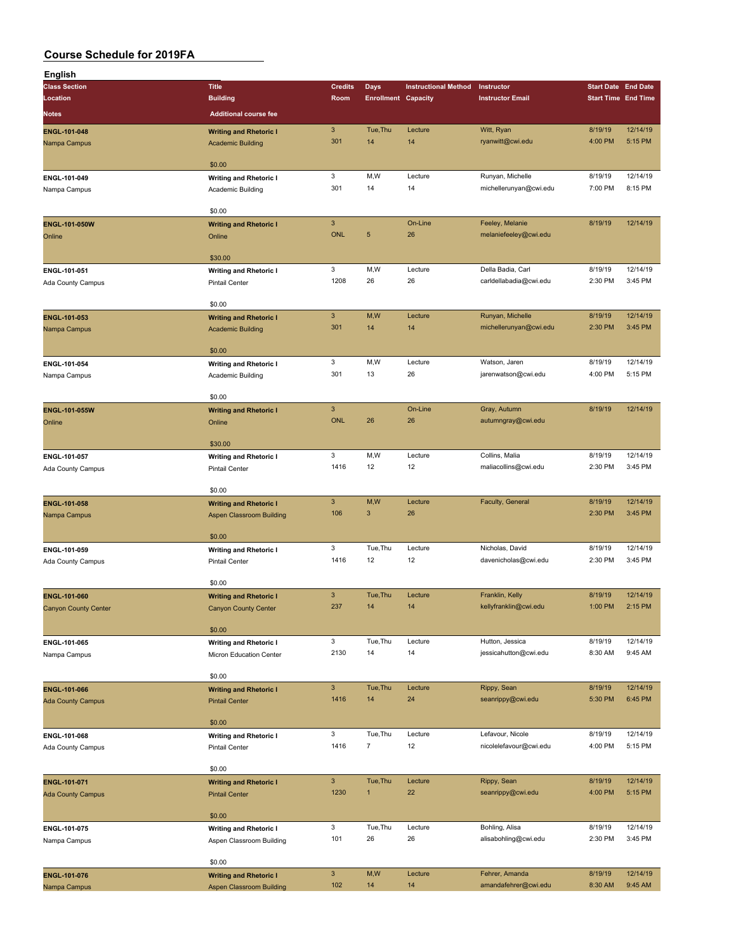| English                     |                               |                           |                            |                             |                                          |                    |                            |
|-----------------------------|-------------------------------|---------------------------|----------------------------|-----------------------------|------------------------------------------|--------------------|----------------------------|
| <b>Class Section</b>        | <b>Title</b>                  | <b>Credits</b>            | Days                       | <b>Instructional Method</b> | Instructor                               |                    | <b>Start Date End Date</b> |
| Location                    | <b>Building</b>               | Room                      | <b>Enrollment Capacity</b> |                             | <b>Instructor Email</b>                  |                    | <b>Start Time End Time</b> |
| <b>Notes</b>                | <b>Additional course fee</b>  |                           |                            |                             |                                          |                    |                            |
| ENGL-101-048                | <b>Writing and Rhetoric I</b> | $\ensuremath{\mathsf{3}}$ | Tue, Thu                   | Lecture                     | Witt, Ryan                               | 8/19/19            | 12/14/19                   |
| Nampa Campus                | <b>Academic Building</b>      | 301                       | 14                         | 14                          | ryanwitt@cwi.edu                         | 4:00 PM            | 5:15 PM                    |
|                             |                               |                           |                            |                             |                                          |                    |                            |
|                             | \$0.00                        |                           |                            |                             |                                          |                    |                            |
| ENGL-101-049                | <b>Writing and Rhetoric I</b> | 3                         | M,W                        | Lecture                     | Runyan, Michelle                         | 8/19/19            | 12/14/19                   |
| Nampa Campus                | Academic Building             | 301                       | 14                         | 14                          | michellerunyan@cwi.edu                   | 7:00 PM            | 8:15 PM                    |
|                             |                               |                           |                            |                             |                                          |                    |                            |
|                             | \$0.00                        |                           |                            |                             |                                          |                    |                            |
| ENGL-101-050W               | <b>Writing and Rhetoric I</b> | $\mathsf 3$               |                            | On-Line                     | Feeley, Melanie                          | 8/19/19            | 12/14/19                   |
| Online                      | Online                        | <b>ONL</b>                | $\sqrt{5}$                 | 26                          | melaniefeeley@cwi.edu                    |                    |                            |
|                             |                               |                           |                            |                             |                                          |                    |                            |
|                             | \$30.00                       |                           |                            |                             |                                          |                    |                            |
| ENGL-101-051                | <b>Writing and Rhetoric I</b> | 3<br>1208                 | M, W<br>26                 | Lecture<br>26               | Della Badia, Carl                        | 8/19/19<br>2:30 PM | 12/14/19<br>3:45 PM        |
| Ada County Campus           | <b>Pintail Center</b>         |                           |                            |                             | carldellabadia@cwi.edu                   |                    |                            |
|                             | \$0.00                        |                           |                            |                             |                                          |                    |                            |
| ENGL-101-053                | <b>Writing and Rhetoric I</b> | $\ensuremath{\mathsf{3}}$ | M, W                       | Lecture                     | Runyan, Michelle                         | 8/19/19            | 12/14/19                   |
| Nampa Campus                | <b>Academic Building</b>      | 301                       | 14                         | 14                          | michellerunyan@cwi.edu                   | 2:30 PM            | 3:45 PM                    |
|                             |                               |                           |                            |                             |                                          |                    |                            |
|                             | \$0.00                        |                           |                            |                             |                                          |                    |                            |
| ENGL-101-054                | <b>Writing and Rhetoric I</b> | 3                         | M,W                        | Lecture                     | Watson, Jaren                            | 8/19/19            | 12/14/19                   |
| Nampa Campus                | Academic Building             | 301                       | 13                         | 26                          | jarenwatson@cwi.edu                      | 4:00 PM            | 5:15 PM                    |
|                             |                               |                           |                            |                             |                                          |                    |                            |
|                             | \$0.00                        |                           |                            |                             |                                          |                    |                            |
| <b>ENGL-101-055W</b>        | <b>Writing and Rhetoric I</b> | $\mathbf{3}$              |                            | On-Line                     | Gray, Autumn                             | 8/19/19            | 12/14/19                   |
| Online                      | Online                        | <b>ONL</b>                | 26                         | 26                          | autumngray@cwi.edu                       |                    |                            |
|                             |                               |                           |                            |                             |                                          |                    |                            |
|                             | \$30.00                       |                           |                            |                             |                                          |                    |                            |
| ENGL-101-057                | <b>Writing and Rhetoric I</b> | 3                         | M,W                        | Lecture                     | Collins, Malia                           | 8/19/19            | 12/14/19                   |
| Ada County Campus           | Pintail Center                | 1416                      | 12                         | 12                          | maliacollins@cwi.edu                     | 2:30 PM            | 3:45 PM                    |
|                             | \$0.00                        |                           |                            |                             |                                          |                    |                            |
| ENGL-101-058                | <b>Writing and Rhetoric I</b> | $\mathsf 3$               | M,W                        | Lecture                     | Faculty, General                         | 8/19/19            | 12/14/19                   |
| Nampa Campus                | Aspen Classroom Building      | 106                       | $\mathbf{3}$               | 26                          |                                          | 2:30 PM            | 3:45 PM                    |
|                             |                               |                           |                            |                             |                                          |                    |                            |
|                             | \$0.00                        |                           |                            |                             |                                          |                    |                            |
| ENGL-101-059                | <b>Writing and Rhetoric I</b> | 3                         | Tue, Thu                   | Lecture                     | Nicholas, David                          | 8/19/19            | 12/14/19                   |
| Ada County Campus           | <b>Pintail Center</b>         | 1416                      | 12                         | 12                          | davenicholas@cwi.edu                     | 2:30 PM            | 3:45 PM                    |
|                             |                               |                           |                            |                             |                                          |                    |                            |
|                             | \$0.00                        |                           |                            |                             |                                          |                    |                            |
| ENGL-101-060                | <b>Writing and Rhetoric I</b> | $\mathbf{3}$              | Tue, Thu                   | Lecture                     | Franklin, Kelly                          | 8/19/19            | 12/14/19                   |
| <b>Canyon County Center</b> | <b>Canyon County Center</b>   | 237                       | 14                         | 14                          | kellyfranklin@cwi.edu                    | 1:00 PM            | 2:15 PM                    |
|                             |                               |                           |                            |                             |                                          |                    |                            |
|                             | \$0.00                        | 3                         |                            |                             |                                          |                    | 12/14/19                   |
| ENGL-101-065                | <b>Writing and Rhetoric I</b> | 2130                      | Tue, Thu<br>14             | Lecture<br>14               | Hutton, Jessica<br>jessicahutton@cwi.edu | 8/19/19<br>8:30 AM | 9:45 AM                    |
| Nampa Campus                | Micron Education Center       |                           |                            |                             |                                          |                    |                            |
|                             | \$0.00                        |                           |                            |                             |                                          |                    |                            |
| ENGL-101-066                | <b>Writing and Rhetoric I</b> | $\mathbf{3}$              | Tue, Thu                   | Lecture                     | Rippy, Sean                              | 8/19/19            | 12/14/19                   |
| <b>Ada County Campus</b>    | <b>Pintail Center</b>         | 1416                      | 14                         | 24                          | seanrippy@cwi.edu                        | 5:30 PM            | 6:45 PM                    |
|                             |                               |                           |                            |                             |                                          |                    |                            |
|                             | \$0.00                        |                           |                            |                             |                                          |                    |                            |
| ENGL-101-068                | <b>Writing and Rhetoric I</b> | 3                         | Tue, Thu                   | Lecture                     | Lefavour, Nicole                         | 8/19/19            | 12/14/19                   |
| Ada County Campus           | <b>Pintail Center</b>         | 1416                      | $\overline{7}$             | 12                          | nicolelefavour@cwi.edu                   | 4:00 PM            | 5:15 PM                    |
|                             |                               |                           |                            |                             |                                          |                    |                            |
|                             | \$0.00                        |                           |                            |                             |                                          |                    |                            |
| ENGL-101-071                | <b>Writing and Rhetoric I</b> | $\mathbf{3}$              | Tue, Thu                   | Lecture                     | Rippy, Sean                              | 8/19/19            | 12/14/19                   |
| <b>Ada County Campus</b>    | <b>Pintail Center</b>         | 1230                      | $\overline{1}$             | 22                          | seanrippy@cwi.edu                        | 4:00 PM            | 5:15 PM                    |
|                             |                               |                           |                            |                             |                                          |                    |                            |
|                             | \$0.00                        |                           |                            |                             |                                          |                    |                            |
| ENGL-101-075                | <b>Writing and Rhetoric I</b> | 3<br>101                  | Tue, Thu<br>26             | Lecture<br>26               | Bohling, Alisa<br>alisabohling@cwi.edu   | 8/19/19<br>2:30 PM | 12/14/19<br>3:45 PM        |
| Nampa Campus                | Aspen Classroom Building      |                           |                            |                             |                                          |                    |                            |
|                             | \$0.00                        |                           |                            |                             |                                          |                    |                            |
| ENGL-101-076                | <b>Writing and Rhetoric I</b> | $\mathbf{3}$              | M,W                        | Lecture                     | Fehrer, Amanda                           | 8/19/19            | 12/14/19                   |
| Nampa Campus                | Aspen Classroom Building      | 102                       | 14                         | 14                          | amandafehrer@cwi.edu                     | 8:30 AM            | 9:45 AM                    |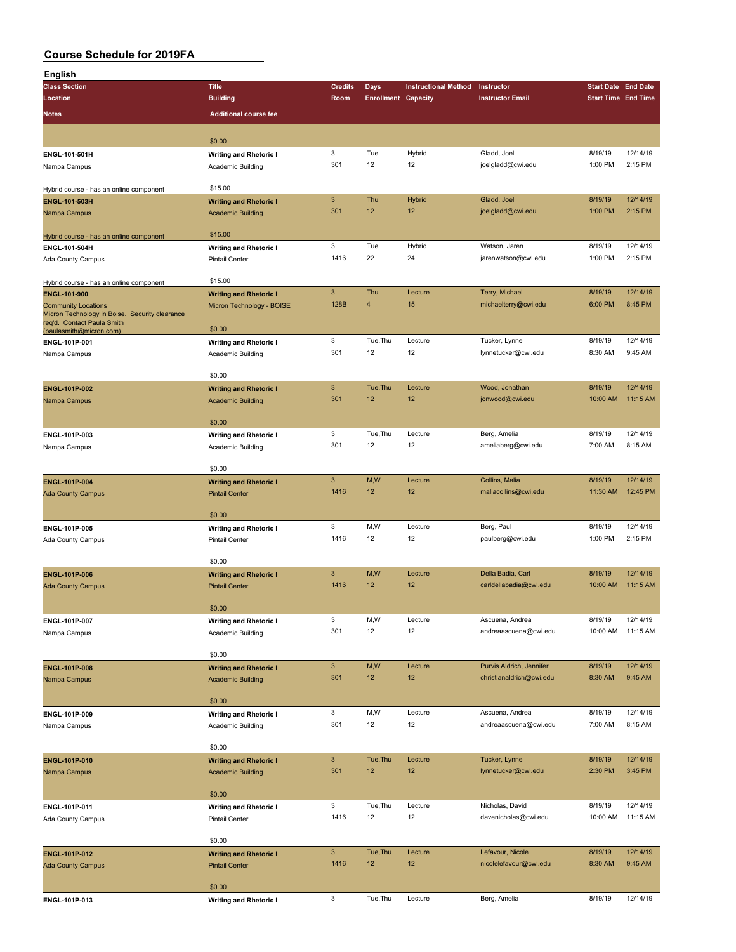| English                                                                      |                               |                           |                            |                             |                          |                                                                                                                                                                                                                                                                                                                                                                       |                      |
|------------------------------------------------------------------------------|-------------------------------|---------------------------|----------------------------|-----------------------------|--------------------------|-----------------------------------------------------------------------------------------------------------------------------------------------------------------------------------------------------------------------------------------------------------------------------------------------------------------------------------------------------------------------|----------------------|
| <b>Class Section</b>                                                         | <b>Title</b>                  | <b>Credits</b>            | Days                       | <b>Instructional Method</b> | Instructor               |                                                                                                                                                                                                                                                                                                                                                                       |                      |
| Location                                                                     | <b>Building</b>               | Room                      | <b>Enrollment Capacity</b> |                             | <b>Instructor Email</b>  |                                                                                                                                                                                                                                                                                                                                                                       |                      |
| <b>Notes</b>                                                                 | <b>Additional course fee</b>  |                           |                            |                             |                          |                                                                                                                                                                                                                                                                                                                                                                       |                      |
|                                                                              |                               |                           |                            |                             |                          |                                                                                                                                                                                                                                                                                                                                                                       |                      |
|                                                                              | \$0.00                        |                           |                            |                             |                          |                                                                                                                                                                                                                                                                                                                                                                       |                      |
| ENGL-101-501H                                                                | <b>Writing and Rhetoric I</b> | 3                         | Tue                        | Hybrid                      | Gladd, Joel              | 8/19/19                                                                                                                                                                                                                                                                                                                                                               | 12/14/19             |
| Nampa Campus                                                                 | Academic Building             | 301                       | 12                         | 12                          | joelgladd@cwi.edu        | 1:00 PM                                                                                                                                                                                                                                                                                                                                                               | 2:15 PM              |
|                                                                              |                               |                           |                            |                             |                          |                                                                                                                                                                                                                                                                                                                                                                       |                      |
| Hybrid course - has an online component                                      | \$15.00                       |                           |                            |                             |                          |                                                                                                                                                                                                                                                                                                                                                                       |                      |
| ENGL-101-503H                                                                | <b>Writing and Rhetoric I</b> | $\mathbf{3}$              | Thu                        | Hybrid                      | Gladd, Joel              | 8/19/19                                                                                                                                                                                                                                                                                                                                                               | 12/14/19             |
| Nampa Campus                                                                 | <b>Academic Building</b>      | 301                       | 12                         | 12                          | joelgladd@cwi.edu        | 1:00 PM                                                                                                                                                                                                                                                                                                                                                               | 2:15 PM              |
|                                                                              |                               |                           |                            |                             |                          |                                                                                                                                                                                                                                                                                                                                                                       |                      |
| Hybrid course - has an online component                                      | \$15.00                       |                           |                            |                             |                          |                                                                                                                                                                                                                                                                                                                                                                       |                      |
| ENGL-101-504H                                                                | <b>Writing and Rhetoric I</b> | $\mathbf 3$               | Tue                        | Hybrid                      | Watson, Jaren            |                                                                                                                                                                                                                                                                                                                                                                       | 12/14/19             |
| Ada County Campus                                                            | <b>Pintail Center</b>         | 1416                      | 22                         | 24                          | jarenwatson@cwi.edu      |                                                                                                                                                                                                                                                                                                                                                                       | 2:15 PM              |
|                                                                              | \$15.00                       |                           |                            |                             |                          |                                                                                                                                                                                                                                                                                                                                                                       |                      |
| Hybrid course - has an online component                                      |                               | $\ensuremath{\mathsf{3}}$ | Thu                        | Lecture                     | Terry, Michael           |                                                                                                                                                                                                                                                                                                                                                                       | 12/14/19             |
| ENGL-101-900                                                                 | <b>Writing and Rhetoric I</b> | 128B                      | 4                          | 15                          | michaelterry@cwi.edu     |                                                                                                                                                                                                                                                                                                                                                                       | 8:45 PM              |
| <b>Community Locations</b><br>Micron Technology in Boise. Security clearance | Micron Technology - BOISE     |                           |                            |                             |                          |                                                                                                                                                                                                                                                                                                                                                                       |                      |
| req'd. Contact Paula Smith                                                   | \$0.00                        |                           |                            |                             |                          |                                                                                                                                                                                                                                                                                                                                                                       |                      |
| (paulasmith@micron.com)<br>ENGL-101P-001                                     | <b>Writing and Rhetoric I</b> | 3                         | Tue, Thu                   | Lecture                     | Tucker, Lynne            |                                                                                                                                                                                                                                                                                                                                                                       | 12/14/19             |
| Nampa Campus                                                                 | Academic Building             | 301                       | 12                         | 12                          | lynnetucker@cwi.edu      |                                                                                                                                                                                                                                                                                                                                                                       | 9:45 AM              |
|                                                                              |                               |                           |                            |                             |                          |                                                                                                                                                                                                                                                                                                                                                                       |                      |
|                                                                              | \$0.00                        |                           |                            |                             |                          |                                                                                                                                                                                                                                                                                                                                                                       |                      |
| ENGL-101P-002                                                                | <b>Writing and Rhetoric I</b> | $\mathbf{3}$              | Tue, Thu                   | Lecture                     | Wood, Jonathan           | 8/19/19                                                                                                                                                                                                                                                                                                                                                               | 12/14/19             |
| Nampa Campus                                                                 | <b>Academic Building</b>      | 301                       | 12                         | 12                          | jonwood@cwi.edu          | 10:00 AM                                                                                                                                                                                                                                                                                                                                                              | 11:15 AM             |
|                                                                              |                               |                           |                            |                             |                          |                                                                                                                                                                                                                                                                                                                                                                       |                      |
|                                                                              | \$0.00                        |                           |                            |                             |                          | <b>Start Date End Date</b><br><b>Start Time End Time</b><br>8/19/19<br>1:00 PM<br>8/19/19<br>6:00 PM<br>8/19/19<br>8:30 AM<br>8/19/19<br>7:00 AM<br>8/19/19<br>11:30 AM<br>8/19/19<br>1:00 PM<br>8/19/19<br>10:00 AM<br>8/19/19<br>10:00 AM<br>8/19/19<br>8:30 AM<br>8/19/19<br>7:00 AM<br>8/19/19<br>2:30 PM<br>8/19/19<br>10:00 AM<br>8/19/19<br>8:30 AM<br>8/19/19 |                      |
| ENGL-101P-003                                                                | <b>Writing and Rhetoric I</b> | $\mathbf 3$               | Tue, Thu                   | Lecture                     | Berg, Amelia             |                                                                                                                                                                                                                                                                                                                                                                       | 12/14/19             |
| Nampa Campus                                                                 | Academic Building             | 301                       | 12                         | 12                          | ameliaberg@cwi.edu       |                                                                                                                                                                                                                                                                                                                                                                       | 8:15 AM              |
|                                                                              |                               |                           |                            |                             |                          |                                                                                                                                                                                                                                                                                                                                                                       |                      |
|                                                                              | \$0.00                        |                           |                            |                             |                          |                                                                                                                                                                                                                                                                                                                                                                       |                      |
| ENGL-101P-004                                                                | <b>Writing and Rhetoric I</b> | $\mathbf{3}$<br>1416      | M,W<br>12                  | Lecture<br>12               | Collins, Malia           |                                                                                                                                                                                                                                                                                                                                                                       | 12/14/19<br>12:45 PM |
| <b>Ada County Campus</b>                                                     | <b>Pintail Center</b>         |                           |                            |                             | maliacollins@cwi.edu     |                                                                                                                                                                                                                                                                                                                                                                       |                      |
|                                                                              | \$0.00                        |                           |                            |                             |                          |                                                                                                                                                                                                                                                                                                                                                                       |                      |
| ENGL-101P-005                                                                | <b>Writing and Rhetoric I</b> | 3                         | M,W                        | Lecture                     | Berg, Paul               |                                                                                                                                                                                                                                                                                                                                                                       | 12/14/19             |
| Ada County Campus                                                            | <b>Pintail Center</b>         | 1416                      | 12                         | 12                          | paulberg@cwi.edu         |                                                                                                                                                                                                                                                                                                                                                                       | 2:15 PM              |
|                                                                              |                               |                           |                            |                             |                          |                                                                                                                                                                                                                                                                                                                                                                       |                      |
|                                                                              | \$0.00                        |                           |                            |                             |                          |                                                                                                                                                                                                                                                                                                                                                                       |                      |
| <b>ENGL-101P-006</b>                                                         | <b>Writing and Rhetoric I</b> | $\mathbf{3}$              | M,W                        | Lecture                     | Della Badia, Carl        |                                                                                                                                                                                                                                                                                                                                                                       | 12/14/19             |
| <b>Ada County Campus</b>                                                     | <b>Pintail Center</b>         | 1416                      | 12                         | 12                          | carldellabadia@cwi.edu   |                                                                                                                                                                                                                                                                                                                                                                       | 11:15 AM             |
|                                                                              |                               |                           |                            |                             |                          |                                                                                                                                                                                                                                                                                                                                                                       |                      |
|                                                                              | \$0.00                        |                           |                            |                             |                          |                                                                                                                                                                                                                                                                                                                                                                       |                      |
| ENGL-101P-007                                                                | <b>Writing and Rhetoric I</b> | 3                         | M,W                        | Lecture                     | Ascuena, Andrea          |                                                                                                                                                                                                                                                                                                                                                                       | 12/14/19             |
| Nampa Campus                                                                 | Academic Building             | 301                       | 12                         | 12                          | andreaascuena@cwi.edu    |                                                                                                                                                                                                                                                                                                                                                                       | 11:15 AM             |
|                                                                              |                               |                           |                            |                             |                          |                                                                                                                                                                                                                                                                                                                                                                       |                      |
|                                                                              | \$0.00                        |                           |                            |                             |                          |                                                                                                                                                                                                                                                                                                                                                                       |                      |
| <b>ENGL-101P-008</b>                                                         | <b>Writing and Rhetoric I</b> | $\mathbf{3}$              | M,W                        | Lecture                     | Purvis Aldrich, Jennifer |                                                                                                                                                                                                                                                                                                                                                                       | 12/14/19             |
| Nampa Campus                                                                 | <b>Academic Building</b>      | 301                       | 12                         | 12                          | christianaldrich@cwi.edu |                                                                                                                                                                                                                                                                                                                                                                       | 9:45 AM              |
|                                                                              | \$0.00                        |                           |                            |                             |                          |                                                                                                                                                                                                                                                                                                                                                                       |                      |
|                                                                              | <b>Writing and Rhetoric I</b> | 3                         | M,W                        | Lecture                     | Ascuena, Andrea          |                                                                                                                                                                                                                                                                                                                                                                       | 12/14/19             |
| ENGL-101P-009<br>Nampa Campus                                                | Academic Building             | 301                       | 12                         | 12                          | andreaascuena@cwi.edu    |                                                                                                                                                                                                                                                                                                                                                                       | 8:15 AM              |
|                                                                              |                               |                           |                            |                             |                          |                                                                                                                                                                                                                                                                                                                                                                       |                      |
|                                                                              | \$0.00                        |                           |                            |                             |                          |                                                                                                                                                                                                                                                                                                                                                                       |                      |
| ENGL-101P-010                                                                | <b>Writing and Rhetoric I</b> | $\ensuremath{\mathsf{3}}$ | Tue, Thu                   | Lecture                     | Tucker, Lynne            |                                                                                                                                                                                                                                                                                                                                                                       | 12/14/19             |
| Nampa Campus                                                                 | <b>Academic Building</b>      | 301                       | 12                         | 12                          | lynnetucker@cwi.edu      |                                                                                                                                                                                                                                                                                                                                                                       | 3:45 PM              |
|                                                                              |                               |                           |                            |                             |                          |                                                                                                                                                                                                                                                                                                                                                                       |                      |
|                                                                              | \$0.00                        |                           |                            |                             |                          |                                                                                                                                                                                                                                                                                                                                                                       |                      |
| ENGL-101P-011                                                                | <b>Writing and Rhetoric I</b> | 3                         | Tue, Thu                   | Lecture                     | Nicholas, David          |                                                                                                                                                                                                                                                                                                                                                                       | 12/14/19             |
| Ada County Campus                                                            | <b>Pintail Center</b>         | 1416                      | 12                         | 12                          | davenicholas@cwi.edu     |                                                                                                                                                                                                                                                                                                                                                                       | 11:15 AM             |
|                                                                              |                               |                           |                            |                             |                          |                                                                                                                                                                                                                                                                                                                                                                       |                      |
|                                                                              | \$0.00                        |                           |                            |                             |                          |                                                                                                                                                                                                                                                                                                                                                                       |                      |
| ENGL-101P-012                                                                | <b>Writing and Rhetoric I</b> | $\mathbf{3}$              | Tue, Thu                   | Lecture                     | Lefavour, Nicole         |                                                                                                                                                                                                                                                                                                                                                                       | 12/14/19             |
| <b>Ada County Campus</b>                                                     | <b>Pintail Center</b>         | 1416                      | 12                         | 12                          | nicolelefavour@cwi.edu   |                                                                                                                                                                                                                                                                                                                                                                       | 9:45 AM              |
|                                                                              |                               |                           |                            |                             |                          |                                                                                                                                                                                                                                                                                                                                                                       |                      |
|                                                                              | \$0.00                        | 3                         |                            |                             |                          |                                                                                                                                                                                                                                                                                                                                                                       | 12/14/19             |
| ENGL-101P-013                                                                | <b>Writing and Rhetoric I</b> |                           | Tue, Thu                   | Lecture                     | Berg, Amelia             |                                                                                                                                                                                                                                                                                                                                                                       |                      |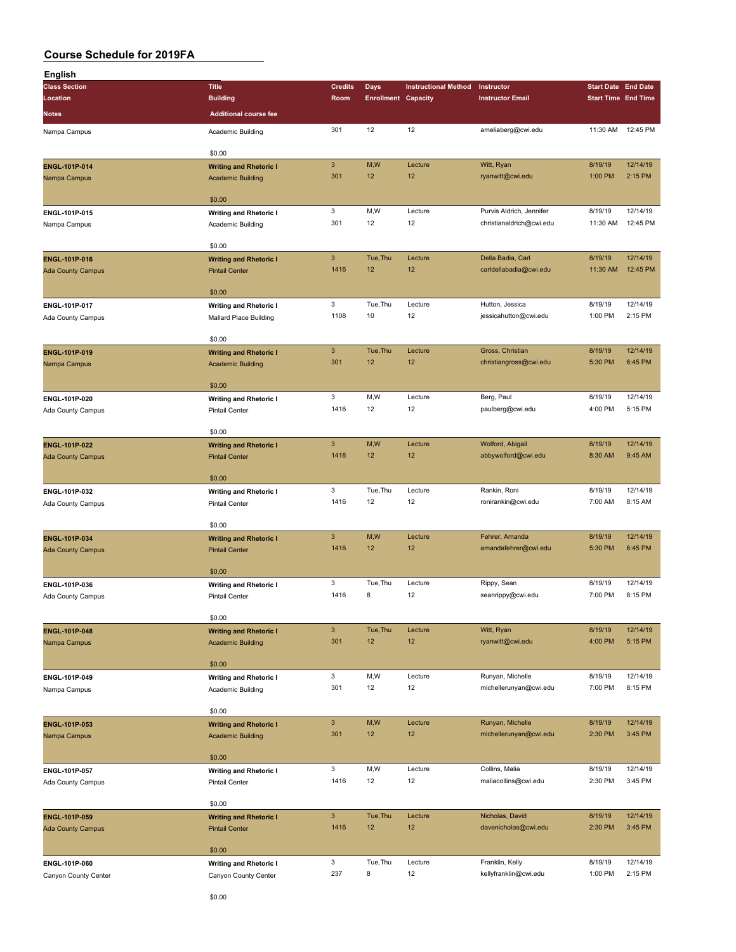| English                  |                               |                |                            |                             |                          |                                                                                                                                                                                                                                                                                                                  |          |
|--------------------------|-------------------------------|----------------|----------------------------|-----------------------------|--------------------------|------------------------------------------------------------------------------------------------------------------------------------------------------------------------------------------------------------------------------------------------------------------------------------------------------------------|----------|
| <b>Class Section</b>     | <b>Title</b>                  | <b>Credits</b> | <b>Days</b>                | <b>Instructional Method</b> | Instructor               | <b>Start Date End Date</b>                                                                                                                                                                                                                                                                                       |          |
| Location                 | <b>Building</b>               | Room           | <b>Enrollment Capacity</b> |                             | <b>Instructor Email</b>  |                                                                                                                                                                                                                                                                                                                  |          |
| <b>Notes</b>             | <b>Additional course fee</b>  |                |                            |                             |                          |                                                                                                                                                                                                                                                                                                                  |          |
|                          |                               |                |                            |                             |                          |                                                                                                                                                                                                                                                                                                                  |          |
| Nampa Campus             | Academic Building             | 301            | 12                         | 12                          | ameliaberg@cwi.edu       |                                                                                                                                                                                                                                                                                                                  | 12:45 PM |
|                          |                               |                |                            |                             |                          |                                                                                                                                                                                                                                                                                                                  |          |
|                          | \$0.00                        | $\mathbf{3}$   | M,W                        | Lecture                     |                          |                                                                                                                                                                                                                                                                                                                  | 12/14/19 |
| ENGL-101P-014            | <b>Writing and Rhetoric I</b> | 301            | 12                         | 12                          | Witt, Ryan               |                                                                                                                                                                                                                                                                                                                  | 2:15 PM  |
| Nampa Campus             | <b>Academic Building</b>      |                |                            |                             | ryanwitt@cwi.edu         |                                                                                                                                                                                                                                                                                                                  |          |
|                          | \$0.00                        |                |                            |                             |                          |                                                                                                                                                                                                                                                                                                                  |          |
|                          |                               | 3              | M,W                        | Lecture                     | Purvis Aldrich, Jennifer |                                                                                                                                                                                                                                                                                                                  | 12/14/19 |
| ENGL-101P-015            | <b>Writing and Rhetoric I</b> | 301            | 12                         | 12                          | christianaldrich@cwi.edu |                                                                                                                                                                                                                                                                                                                  | 12:45 PM |
| Nampa Campus             | Academic Building             |                |                            |                             |                          |                                                                                                                                                                                                                                                                                                                  |          |
|                          | \$0.00                        |                |                            |                             |                          |                                                                                                                                                                                                                                                                                                                  |          |
| ENGL-101P-016            |                               | $\mathbf{3}$   | Tue, Thu                   | Lecture                     | Della Badia, Carl        |                                                                                                                                                                                                                                                                                                                  | 12/14/19 |
|                          | <b>Writing and Rhetoric I</b> | 1416           | 12                         | 12                          | carldellabadia@cwi.edu   |                                                                                                                                                                                                                                                                                                                  | 12:45 PM |
| <b>Ada County Campus</b> | <b>Pintail Center</b>         |                |                            |                             |                          |                                                                                                                                                                                                                                                                                                                  |          |
|                          | \$0.00                        |                |                            |                             |                          |                                                                                                                                                                                                                                                                                                                  |          |
| ENGL-101P-017            | <b>Writing and Rhetoric I</b> | 3              | Tue, Thu                   | Lecture                     | Hutton, Jessica          |                                                                                                                                                                                                                                                                                                                  | 12/14/19 |
| Ada County Campus        | Mallard Place Building        | 1108           | 10                         | 12                          | jessicahutton@cwi.edu    |                                                                                                                                                                                                                                                                                                                  | 2:15 PM  |
|                          |                               |                |                            |                             |                          |                                                                                                                                                                                                                                                                                                                  |          |
|                          | \$0.00                        |                |                            |                             |                          |                                                                                                                                                                                                                                                                                                                  |          |
| ENGL-101P-019            | <b>Writing and Rhetoric I</b> | $\mathbf{3}$   | Tue, Thu                   | Lecture                     | Gross, Christian         |                                                                                                                                                                                                                                                                                                                  | 12/14/19 |
| Nampa Campus             | <b>Academic Building</b>      | 301            | 12                         | 12                          | christiangross@cwi.edu   | 5:30 PM                                                                                                                                                                                                                                                                                                          | 6:45 PM  |
|                          |                               |                |                            |                             |                          |                                                                                                                                                                                                                                                                                                                  |          |
|                          | \$0.00                        |                |                            |                             |                          |                                                                                                                                                                                                                                                                                                                  |          |
| ENGL-101P-020            | <b>Writing and Rhetoric I</b> | 3              | M, W                       | Lecture                     | Berg, Paul               | 8/19/19                                                                                                                                                                                                                                                                                                          | 12/14/19 |
| Ada County Campus        | <b>Pintail Center</b>         | 1416           | 12                         | 12                          | paulberg@cwi.edu         | 4:00 PM                                                                                                                                                                                                                                                                                                          | 5:15 PM  |
|                          |                               |                |                            |                             |                          |                                                                                                                                                                                                                                                                                                                  |          |
|                          | \$0.00                        |                |                            |                             |                          |                                                                                                                                                                                                                                                                                                                  |          |
| ENGL-101P-022            | <b>Writing and Rhetoric I</b> | $\mathbf{3}$   | M,W                        | Lecture                     | Wolford, Abigail         | 8/19/19                                                                                                                                                                                                                                                                                                          | 12/14/19 |
| <b>Ada County Campus</b> | <b>Pintail Center</b>         | 1416           | 12                         | 12                          | abbywolford@cwi.edu      | 8:30 AM                                                                                                                                                                                                                                                                                                          | 9:45 AM  |
|                          |                               |                |                            |                             |                          |                                                                                                                                                                                                                                                                                                                  |          |
|                          | \$0.00                        |                |                            |                             |                          |                                                                                                                                                                                                                                                                                                                  |          |
| ENGL-101P-032            | <b>Writing and Rhetoric I</b> | 3              | Tue, Thu                   | Lecture                     | Rankin, Roni             | 8/19/19                                                                                                                                                                                                                                                                                                          | 12/14/19 |
| Ada County Campus        | <b>Pintail Center</b>         | 1416           | 12                         | 12                          | ronirankin@cwi.edu       | 7:00 AM                                                                                                                                                                                                                                                                                                          | 8:15 AM  |
|                          |                               |                |                            |                             |                          |                                                                                                                                                                                                                                                                                                                  |          |
|                          | \$0.00                        |                |                            |                             |                          |                                                                                                                                                                                                                                                                                                                  |          |
| ENGL-101P-034            | <b>Writing and Rhetoric I</b> | $\mathbf{3}$   | M,W                        | Lecture                     | Fehrer, Amanda           | 8/19/19                                                                                                                                                                                                                                                                                                          | 12/14/19 |
| <b>Ada County Campus</b> | <b>Pintail Center</b>         | 1416           | 12                         | 12                          | amandafehrer@cwi.edu     | <b>Start Time End Time</b><br>11:30 AM<br>8/19/19<br>1:00 PM<br>8/19/19<br>11:30 AM<br>8/19/19<br>11:30 AM<br>8/19/19<br>1:00 PM<br>8/19/19<br>5:30 PM<br>8/19/19<br>7:00 PM<br>8/19/19<br>4:00 PM<br>8/19/19<br>7:00 PM<br>8/19/19<br>2:30 PM<br>8/19/19<br>2:30 PM<br>8/19/19<br>2:30 PM<br>8/19/19<br>1:00 PM | 6:45 PM  |
|                          |                               |                |                            |                             |                          |                                                                                                                                                                                                                                                                                                                  |          |
|                          | \$0.00                        |                |                            |                             |                          |                                                                                                                                                                                                                                                                                                                  |          |
| ENGL-101P-036            | <b>Writing and Rhetoric I</b> | 3              | Tue, Thu                   | Lecture                     | Rippy, Sean              |                                                                                                                                                                                                                                                                                                                  | 12/14/19 |
| Ada County Campus        | <b>Pintail Center</b>         | 1416           | 8                          | 12                          | seanrippy@cwi.edu        |                                                                                                                                                                                                                                                                                                                  | 8:15 PM  |
|                          |                               |                |                            |                             |                          |                                                                                                                                                                                                                                                                                                                  |          |
|                          | \$0.00                        |                |                            |                             |                          |                                                                                                                                                                                                                                                                                                                  |          |
| ENGL-101P-048            | <b>Writing and Rhetoric I</b> | $\mathbf{3}$   | Tue, Thu                   | Lecture                     | Witt, Ryan               |                                                                                                                                                                                                                                                                                                                  | 12/14/19 |
| Nampa Campus             | <b>Academic Building</b>      | 301            | 12                         | 12                          | ryanwitt@cwi.edu         |                                                                                                                                                                                                                                                                                                                  | 5:15 PM  |
|                          |                               |                |                            |                             |                          |                                                                                                                                                                                                                                                                                                                  |          |
|                          | \$0.00                        |                |                            |                             |                          |                                                                                                                                                                                                                                                                                                                  |          |
| ENGL-101P-049            | <b>Writing and Rhetoric I</b> | 3              | M, W                       | Lecture                     | Runyan, Michelle         |                                                                                                                                                                                                                                                                                                                  | 12/14/19 |
| Nampa Campus             | Academic Building             | 301            | 12                         | 12                          | michellerunyan@cwi.edu   |                                                                                                                                                                                                                                                                                                                  | 8:15 PM  |
|                          | \$0.00                        |                |                            |                             |                          |                                                                                                                                                                                                                                                                                                                  |          |
|                          |                               | $\mathsf 3$    | M,W                        | Lecture                     | Runyan, Michelle         |                                                                                                                                                                                                                                                                                                                  | 12/14/19 |
| ENGL-101P-053            | <b>Writing and Rhetoric I</b> | 301            | 12                         | 12                          | michellerunyan@cwi.edu   |                                                                                                                                                                                                                                                                                                                  | 3:45 PM  |
| Nampa Campus             | <b>Academic Building</b>      |                |                            |                             |                          |                                                                                                                                                                                                                                                                                                                  |          |
|                          | \$0.00                        |                |                            |                             |                          |                                                                                                                                                                                                                                                                                                                  |          |
| ENGL-101P-057            |                               | 3              | M,W                        | Lecture                     | Collins, Malia           |                                                                                                                                                                                                                                                                                                                  | 12/14/19 |
|                          | <b>Writing and Rhetoric I</b> | 1416           | 12                         | 12                          | maliacollins@cwi.edu     |                                                                                                                                                                                                                                                                                                                  | 3:45 PM  |
| Ada County Campus        | <b>Pintail Center</b>         |                |                            |                             |                          |                                                                                                                                                                                                                                                                                                                  |          |
|                          | \$0.00                        |                |                            |                             |                          |                                                                                                                                                                                                                                                                                                                  |          |
| ENGL-101P-059            | <b>Writing and Rhetoric I</b> | $\mathbf{3}$   | Tue, Thu                   | Lecture                     | Nicholas, David          |                                                                                                                                                                                                                                                                                                                  | 12/14/19 |
| <b>Ada County Campus</b> | <b>Pintail Center</b>         | 1416           | 12                         | 12                          | davenicholas@cwi.edu     |                                                                                                                                                                                                                                                                                                                  | 3:45 PM  |
|                          |                               |                |                            |                             |                          |                                                                                                                                                                                                                                                                                                                  |          |
|                          | \$0.00                        |                |                            |                             |                          |                                                                                                                                                                                                                                                                                                                  |          |
| ENGL-101P-060            | <b>Writing and Rhetoric I</b> | 3              | Tue, Thu                   | Lecture                     | Franklin, Kelly          |                                                                                                                                                                                                                                                                                                                  | 12/14/19 |
| Canyon County Center     | Canyon County Center          | 237            | 8                          | 12                          | kellyfranklin@cwi.edu    |                                                                                                                                                                                                                                                                                                                  | 2:15 PM  |
|                          |                               |                |                            |                             |                          |                                                                                                                                                                                                                                                                                                                  |          |
|                          |                               |                |                            |                             |                          |                                                                                                                                                                                                                                                                                                                  |          |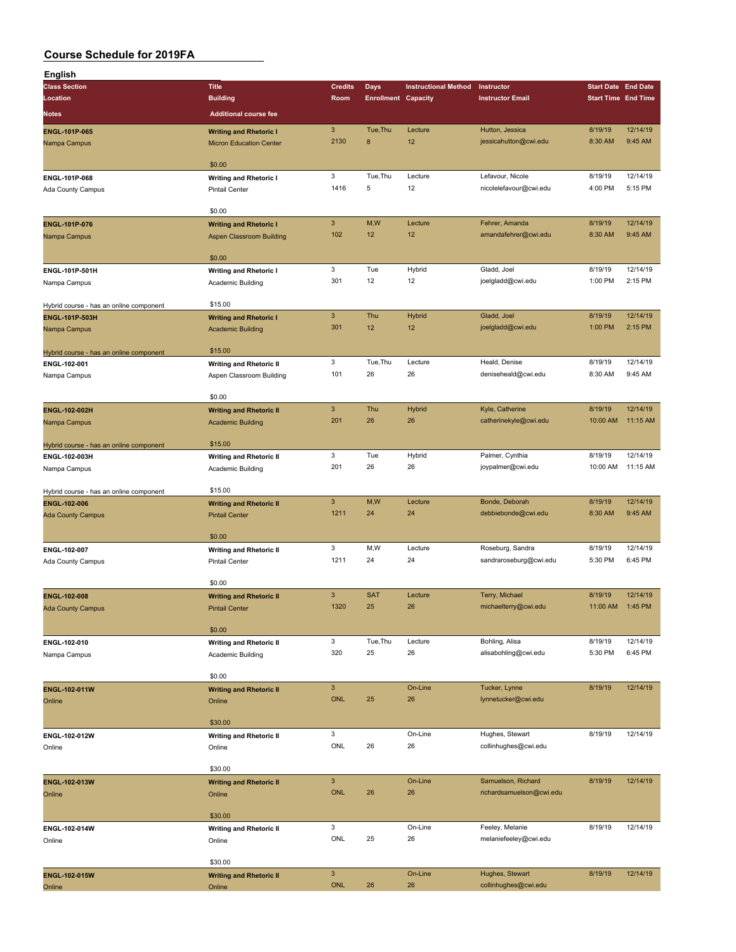| English                                 |                                 |                           |                            |                             |                          |                            |          |
|-----------------------------------------|---------------------------------|---------------------------|----------------------------|-----------------------------|--------------------------|----------------------------|----------|
| <b>Class Section</b>                    | <b>Title</b>                    | <b>Credits</b>            | Days                       | <b>Instructional Method</b> | Instructor               | <b>Start Date End Date</b> |          |
| Location                                | <b>Building</b>                 | Room                      | <b>Enrollment Capacity</b> |                             | <b>Instructor Email</b>  | <b>Start Time End Time</b> |          |
|                                         |                                 |                           |                            |                             |                          |                            |          |
| Notes                                   | <b>Additional course fee</b>    |                           |                            |                             |                          |                            |          |
| ENGL-101P-065                           | <b>Writing and Rhetoric I</b>   | $\ensuremath{\mathsf{3}}$ | Tue, Thu                   | Lecture                     | Hutton, Jessica          | 8/19/19                    | 12/14/19 |
| Nampa Campus                            | <b>Micron Education Center</b>  | 2130                      | 8                          | 12                          | jessicahutton@cwi.edu    | 8:30 AM                    | 9:45 AM  |
|                                         |                                 |                           |                            |                             |                          |                            |          |
|                                         | \$0.00                          |                           |                            |                             |                          |                            |          |
|                                         |                                 | 3                         | Tue, Thu                   | Lecture                     | Lefavour, Nicole         | 8/19/19                    | 12/14/19 |
| ENGL-101P-068                           | <b>Writing and Rhetoric I</b>   | 1416                      | 5                          | 12                          | nicolelefavour@cwi.edu   | 4:00 PM                    | 5:15 PM  |
| Ada County Campus                       | <b>Pintail Center</b>           |                           |                            |                             |                          |                            |          |
|                                         |                                 |                           |                            |                             |                          |                            |          |
|                                         | \$0.00                          |                           |                            |                             |                          |                            |          |
| <b>ENGL-101P-076</b>                    | <b>Writing and Rhetoric I</b>   | $\mathbf{3}$              | M,W                        | Lecture                     | Fehrer, Amanda           | 8/19/19                    | 12/14/19 |
| Nampa Campus                            | <b>Aspen Classroom Building</b> | 102                       | 12                         | 12                          | amandafehrer@cwi.edu     | 8:30 AM                    | 9:45 AM  |
|                                         |                                 |                           |                            |                             |                          |                            |          |
|                                         | \$0.00                          |                           |                            |                             |                          |                            |          |
| ENGL-101P-501H                          | <b>Writing and Rhetoric I</b>   | 3                         | Tue                        | Hybrid                      | Gladd, Joel              | 8/19/19                    | 12/14/19 |
| Nampa Campus                            | Academic Building               | 301                       | 12                         | 12                          | joelgladd@cwi.edu        | 1:00 PM                    | 2:15 PM  |
|                                         |                                 |                           |                            |                             |                          |                            |          |
| Hybrid course - has an online component | \$15.00                         |                           |                            |                             |                          |                            |          |
| ENGL-101P-503H                          | <b>Writing and Rhetoric I</b>   | $\ensuremath{\mathsf{3}}$ | Thu                        | <b>Hybrid</b>               | Gladd, Joel              | 8/19/19                    | 12/14/19 |
|                                         |                                 | 301                       | 12                         | 12                          | joelgladd@cwi.edu        | 1:00 PM                    | 2:15 PM  |
| Nampa Campus                            | <b>Academic Building</b>        |                           |                            |                             |                          |                            |          |
|                                         |                                 |                           |                            |                             |                          |                            |          |
| Hybrid course - has an online component | \$15.00                         |                           |                            |                             |                          |                            |          |
| ENGL-102-001                            | <b>Writing and Rhetoric II</b>  | 3                         | Tue, Thu                   | Lecture                     | Heald, Denise            | 8/19/19                    | 12/14/19 |
| Nampa Campus                            | Aspen Classroom Building        | 101                       | 26                         | 26                          | deniseheald@cwi.edu      | 8:30 AM                    | 9:45 AM  |
|                                         |                                 |                           |                            |                             |                          |                            |          |
|                                         | \$0.00                          |                           |                            |                             |                          |                            |          |
| ENGL-102-002H                           | <b>Writing and Rhetoric II</b>  | $\mathbf{3}$              | Thu                        | Hybrid                      | Kyle, Catherine          | 8/19/19                    | 12/14/19 |
| Nampa Campus                            | <b>Academic Building</b>        | 201                       | 26                         | 26                          | catherinekyle@cwi.edu    | 10:00 AM                   | 11:15 AM |
|                                         |                                 |                           |                            |                             |                          |                            |          |
| Hybrid course - has an online component | \$15.00                         |                           |                            |                             |                          |                            |          |
|                                         |                                 | 3                         | Tue                        | Hybrid                      | Palmer, Cynthia          | 8/19/19                    | 12/14/19 |
| ENGL-102-003H                           | <b>Writing and Rhetoric II</b>  | 201                       | 26                         | 26                          |                          | 10:00 AM                   | 11:15 AM |
| Nampa Campus                            | Academic Building               |                           |                            |                             | joypalmer@cwi.edu        |                            |          |
|                                         |                                 |                           |                            |                             |                          |                            |          |
| Hybrid course - has an online component | \$15.00                         |                           |                            |                             |                          |                            |          |
| ENGL-102-006                            | <b>Writing and Rhetoric II</b>  | $\overline{3}$            | M,W                        | Lecture                     | Bonde, Deborah           | 8/19/19                    | 12/14/19 |
| <b>Ada County Campus</b>                | <b>Pintail Center</b>           | 1211                      | 24                         | 24                          | debbiebonde@cwi.edu      | 8:30 AM                    | 9:45 AM  |
|                                         |                                 |                           |                            |                             |                          |                            |          |
|                                         | \$0.00                          |                           |                            |                             |                          |                            |          |
| ENGL-102-007                            | <b>Writing and Rhetoric II</b>  | 3                         | M,W                        | Lecture                     | Roseburg, Sandra         | 8/19/19                    | 12/14/19 |
| Ada County Campus                       | <b>Pintail Center</b>           | 1211                      | 24                         | 24                          | sandraroseburg@cwi.edu   | 5:30 PM                    | 6:45 PM  |
|                                         |                                 |                           |                            |                             |                          |                            |          |
|                                         | \$0.00                          |                           |                            |                             |                          |                            |          |
| <b>ENGL-102-008</b>                     |                                 | 3                         | <b>SAT</b>                 | Lecture                     | Terry, Michael           | 8/19/19                    | 12/14/19 |
|                                         | <b>Writing and Rhetoric II</b>  | 1320                      | 25                         | 26                          | michaelterry@cwi.edu     | 11:00 AM                   | 1:45 PM  |
| <b>Ada County Campus</b>                | <b>Pintail Center</b>           |                           |                            |                             |                          |                            |          |
|                                         |                                 |                           |                            |                             |                          |                            |          |
|                                         | \$0.00                          |                           |                            |                             |                          |                            |          |
| ENGL-102-010                            | <b>Writing and Rhetoric II</b>  | 3                         | Tue, Thu                   | Lecture                     | Bohling, Alisa           | 8/19/19                    | 12/14/19 |
| Nampa Campus                            | Academic Building               | 320                       | 25                         | 26                          | alisabohling@cwi.edu     | 5:30 PM                    | 6:45 PM  |
|                                         |                                 |                           |                            |                             |                          |                            |          |
|                                         | \$0.00                          |                           |                            |                             |                          |                            |          |
| ENGL-102-011W                           | <b>Writing and Rhetoric II</b>  | $\mathbf{3}$              |                            | On-Line                     | Tucker, Lynne            | 8/19/19                    | 12/14/19 |
| Online                                  | Online                          | ONL                       | 25                         | 26                          | lynnetucker@cwi.edu      |                            |          |
|                                         |                                 |                           |                            |                             |                          |                            |          |
|                                         | \$30.00                         |                           |                            |                             |                          |                            |          |
|                                         |                                 | 3                         |                            | On-Line                     | Hughes, Stewart          | 8/19/19                    | 12/14/19 |
| ENGL-102-012W                           | <b>Writing and Rhetoric II</b>  |                           |                            |                             |                          |                            |          |
| Online                                  | Online                          | ONL                       | 26                         | 26                          | collinhughes@cwi.edu     |                            |          |
|                                         |                                 |                           |                            |                             |                          |                            |          |
|                                         | \$30.00                         |                           |                            |                             |                          |                            |          |
| ENGL-102-013W                           | <b>Writing and Rhetoric II</b>  | $\mathbf{3}$              |                            | On-Line                     | Samuelson, Richard       | 8/19/19                    | 12/14/19 |
| Online                                  | Online                          | ONL                       | 26                         | 26                          | richardsamuelson@cwi.edu |                            |          |
|                                         |                                 |                           |                            |                             |                          |                            |          |
|                                         | \$30.00                         |                           |                            |                             |                          |                            |          |
| ENGL-102-014W                           | <b>Writing and Rhetoric II</b>  | 3                         |                            | On-Line                     | Feeley, Melanie          | 8/19/19                    | 12/14/19 |
| Online                                  | Online                          | ONL                       | 25                         | 26                          | melaniefeeley@cwi.edu    |                            |          |
|                                         |                                 |                           |                            |                             |                          |                            |          |
|                                         | \$30.00                         |                           |                            |                             |                          |                            |          |
|                                         |                                 | $\mathbf{3}$              |                            |                             |                          | 8/19/19                    | 12/14/19 |
| <b>ENGL-102-015W</b>                    | <b>Writing and Rhetoric II</b>  |                           |                            | On-Line                     | Hughes, Stewart          |                            |          |
| Online                                  | Online                          | <b>ONL</b>                | 26                         | 26                          | collinhughes@cwi.edu     |                            |          |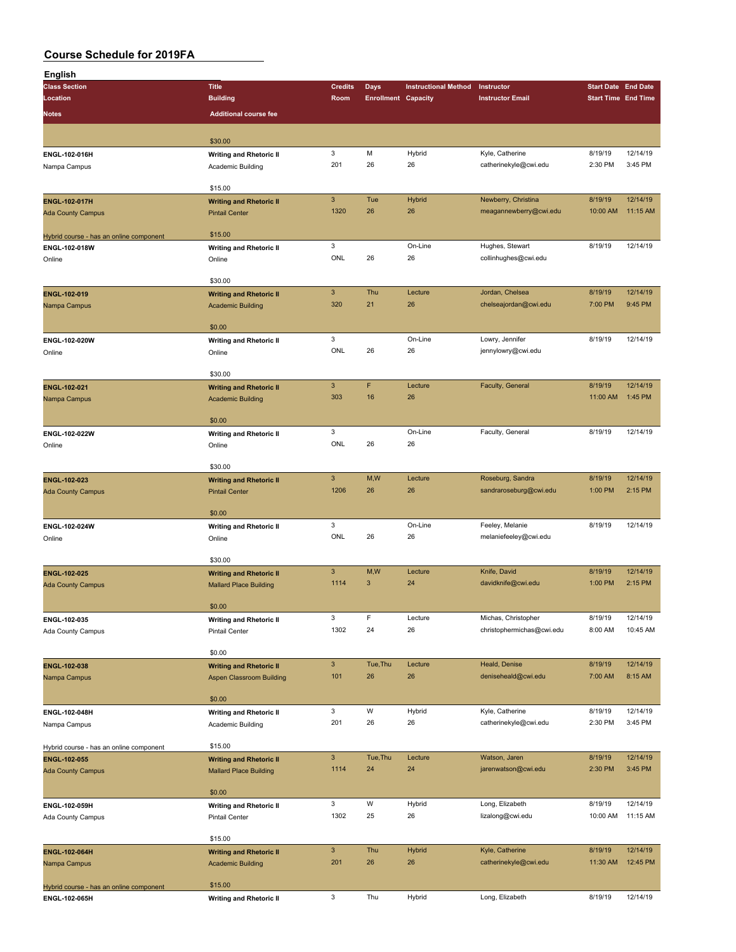| English                                 |                                          |                           |                            |                             |                           |                            |                     |
|-----------------------------------------|------------------------------------------|---------------------------|----------------------------|-----------------------------|---------------------------|----------------------------|---------------------|
| <b>Class Section</b>                    | <b>Title</b>                             | <b>Credits</b>            | <b>Days</b>                | <b>Instructional Method</b> | Instructor                | <b>Start Date End Date</b> |                     |
| Location                                | <b>Building</b>                          | Room                      | <b>Enrollment Capacity</b> |                             | <b>Instructor Email</b>   | <b>Start Time End Time</b> |                     |
| <b>Notes</b>                            | <b>Additional course fee</b>             |                           |                            |                             |                           |                            |                     |
|                                         |                                          |                           |                            |                             |                           |                            |                     |
|                                         | \$30.00                                  |                           |                            |                             |                           |                            |                     |
| ENGL-102-016H                           | <b>Writing and Rhetoric II</b>           | $\mathbf 3$               | M                          | Hybrid                      | Kyle, Catherine           | 8/19/19                    | 12/14/19            |
| Nampa Campus                            | Academic Building                        | 201                       | 26                         | 26                          | catherinekyle@cwi.edu     | 2:30 PM                    | 3:45 PM             |
|                                         |                                          |                           |                            |                             |                           |                            |                     |
|                                         | \$15.00                                  |                           |                            |                             |                           |                            |                     |
| ENGL-102-017H                           | <b>Writing and Rhetoric II</b>           | $\mathbf{3}$              | Tue                        | Hybrid                      | Newberry, Christina       | 8/19/19                    | 12/14/19            |
| <b>Ada County Campus</b>                | <b>Pintail Center</b>                    | 1320                      | 26                         | 26                          | meagannewberry@cwi.edu    | 10:00 AM                   | 11:15 AM            |
|                                         |                                          |                           |                            |                             |                           |                            |                     |
| Hybrid course - has an online component | \$15.00                                  | $\mathbf 3$               |                            | On-Line                     | Hughes, Stewart           | 8/19/19                    | 12/14/19            |
| ENGL-102-018W                           | <b>Writing and Rhetoric II</b>           | ONL                       | 26                         | 26                          | collinhughes@cwi.edu      |                            |                     |
| Online                                  | Online                                   |                           |                            |                             |                           |                            |                     |
|                                         | \$30.00                                  |                           |                            |                             |                           |                            |                     |
| ENGL-102-019                            | <b>Writing and Rhetoric II</b>           | $\ensuremath{\mathsf{3}}$ | Thu                        | Lecture                     | Jordan, Chelsea           | 8/19/19                    | 12/14/19            |
| Nampa Campus                            | <b>Academic Building</b>                 | 320                       | 21                         | 26                          | chelseajordan@cwi.edu     | 7:00 PM                    | 9:45 PM             |
|                                         |                                          |                           |                            |                             |                           |                            |                     |
|                                         | \$0.00                                   |                           |                            |                             |                           |                            |                     |
| ENGL-102-020W                           | <b>Writing and Rhetoric II</b>           | 3                         |                            | On-Line                     | Lowry, Jennifer           | 8/19/19                    | 12/14/19            |
| Online                                  | Online                                   | ONL                       | 26                         | 26                          | jennylowry@cwi.edu        |                            |                     |
|                                         |                                          |                           |                            |                             |                           |                            |                     |
|                                         | \$30.00                                  |                           |                            |                             |                           |                            |                     |
| <b>ENGL-102-021</b>                     | <b>Writing and Rhetoric II</b>           | $\mathbf{3}$              | F                          | Lecture                     | Faculty, General          | 8/19/19                    | 12/14/19            |
| Nampa Campus                            | <b>Academic Building</b>                 | 303                       | 16                         | 26                          |                           | 11:00 AM                   | 1:45 PM             |
|                                         | \$0.00                                   |                           |                            |                             |                           |                            |                     |
| ENGL-102-022W                           |                                          | 3                         |                            | On-Line                     | Faculty, General          | 8/19/19                    | 12/14/19            |
| Online                                  | <b>Writing and Rhetoric II</b><br>Online | ONL                       | 26                         | 26                          |                           |                            |                     |
|                                         |                                          |                           |                            |                             |                           |                            |                     |
|                                         | \$30.00                                  |                           |                            |                             |                           |                            |                     |
| ENGL-102-023                            | <b>Writing and Rhetoric II</b>           | $\ensuremath{\mathsf{3}}$ | M,W                        | Lecture                     | Roseburg, Sandra          | 8/19/19                    | 12/14/19            |
| <b>Ada County Campus</b>                | <b>Pintail Center</b>                    | 1206                      | 26                         | 26                          | sandraroseburg@cwi.edu    | 1:00 PM                    | 2:15 PM             |
|                                         |                                          |                           |                            |                             |                           |                            |                     |
|                                         | \$0.00                                   |                           |                            |                             |                           |                            |                     |
| ENGL-102-024W                           | <b>Writing and Rhetoric II</b>           | $\mathbf 3$               |                            | On-Line                     | Feeley, Melanie           | 8/19/19                    | 12/14/19            |
| Online                                  | Online                                   | ONL                       | 26                         | 26                          | melaniefeeley@cwi.edu     |                            |                     |
|                                         |                                          |                           |                            |                             |                           |                            |                     |
|                                         | \$30.00                                  |                           |                            |                             |                           |                            |                     |
| ENGL-102-025                            | <b>Writing and Rhetoric II</b>           | $\ensuremath{\mathsf{3}}$ | M,W                        | Lecture                     | Knife, David              | 8/19/19                    | 12/14/19            |
| <b>Ada County Campus</b>                | <b>Mallard Place Building</b>            | 1114                      | 3                          | 24                          | davidknife@cwi.edu        | 1:00 PM                    | 2:15 PM             |
|                                         | \$0.00                                   |                           |                            |                             |                           |                            |                     |
| ENGL-102-035                            | <b>Writing and Rhetoric II</b>           | $\ensuremath{\mathsf{3}}$ | F                          | Lecture                     | Michas, Christopher       | 8/19/19                    | 12/14/19            |
| Ada County Campus                       | <b>Pintail Center</b>                    | 1302                      | 24                         | 26                          | christophermichas@cwi.edu | 8:00 AM                    | 10:45 AM            |
|                                         |                                          |                           |                            |                             |                           |                            |                     |
|                                         | \$0.00                                   |                           |                            |                             |                           |                            |                     |
| ENGL-102-038                            | <b>Writing and Rhetoric II</b>           | $\mathbf{3}$              | Tue, Thu                   | Lecture                     | Heald, Denise             | 8/19/19                    | 12/14/19            |
| Nampa Campus                            | <b>Aspen Classroom Building</b>          | 101                       | 26                         | 26                          | deniseheald@cwi.edu       | 7:00 AM                    | 8:15 AM             |
|                                         |                                          |                           |                            |                             |                           |                            |                     |
|                                         | \$0.00                                   |                           |                            |                             |                           |                            |                     |
| ENGL-102-048H                           | <b>Writing and Rhetoric II</b>           | $\mathbf 3$               | W                          | Hybrid                      | Kyle, Catherine           | 8/19/19                    | 12/14/19            |
| Nampa Campus                            | Academic Building                        | 201                       | 26                         | 26                          | catherinekyle@cwi.edu     | 2:30 PM                    | 3:45 PM             |
|                                         |                                          |                           |                            |                             |                           |                            |                     |
| Hybrid course - has an online component | \$15.00                                  | $\mathbf{3}$              |                            |                             | Watson, Jaren             |                            |                     |
| ENGL-102-055                            | <b>Writing and Rhetoric II</b>           | 1114                      | Tue, Thu<br>24             | Lecture<br>24               |                           | 8/19/19<br>2:30 PM         | 12/14/19<br>3:45 PM |
| <b>Ada County Campus</b>                | <b>Mallard Place Building</b>            |                           |                            |                             | jarenwatson@cwi.edu       |                            |                     |
|                                         | \$0.00                                   |                           |                            |                             |                           |                            |                     |
| ENGL-102-059H                           | <b>Writing and Rhetoric II</b>           | 3                         | W                          | Hybrid                      | Long, Elizabeth           | 8/19/19                    | 12/14/19            |
| Ada County Campus                       | Pintail Center                           | 1302                      | 25                         | 26                          | lizalong@cwi.edu          | 10:00 AM                   | 11:15 AM            |
|                                         |                                          |                           |                            |                             |                           |                            |                     |
|                                         | \$15.00                                  |                           |                            |                             |                           |                            |                     |
| ENGL-102-064H                           | <b>Writing and Rhetoric II</b>           | $\mathbf{3}$              | Thu                        | <b>Hybrid</b>               | Kyle, Catherine           | 8/19/19                    | 12/14/19            |
| Nampa Campus                            | <b>Academic Building</b>                 | 201                       | 26                         | 26                          | catherinekyle@cwi.edu     | 11:30 AM                   | 12:45 PM            |
|                                         |                                          |                           |                            |                             |                           |                            |                     |
| Hybrid course - has an online component | \$15.00                                  |                           |                            |                             |                           |                            |                     |
| ENGL-102-065H                           | <b>Writing and Rhetoric II</b>           | 3                         | Thu                        | Hybrid                      | Long, Elizabeth           | 8/19/19                    | 12/14/19            |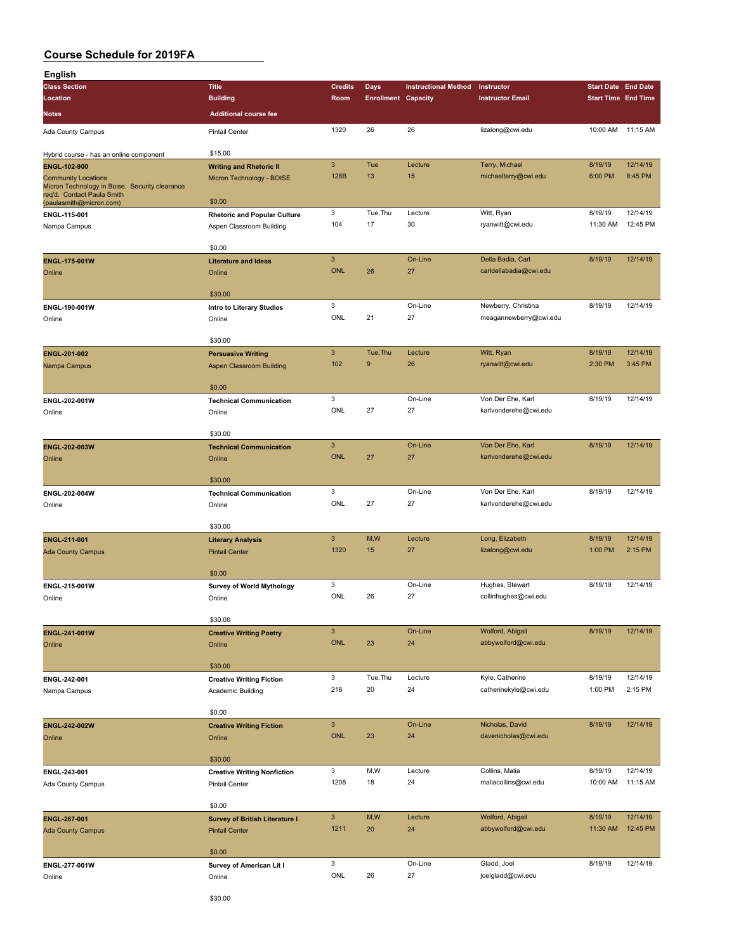| <b>Class Section</b>                                                         |                                       |                           |                            |                             |                         |                            |          |
|------------------------------------------------------------------------------|---------------------------------------|---------------------------|----------------------------|-----------------------------|-------------------------|----------------------------|----------|
|                                                                              | <b>Title</b>                          | <b>Credits</b>            | <b>Days</b>                | <b>Instructional Method</b> | Instructor              | <b>Start Date End Date</b> |          |
| Location                                                                     | <b>Building</b>                       | Room                      | <b>Enrollment Capacity</b> |                             | <b>Instructor Email</b> | <b>Start Time End Time</b> |          |
| Notes                                                                        | <b>Additional course fee</b>          |                           |                            |                             |                         |                            |          |
|                                                                              |                                       |                           |                            |                             |                         |                            |          |
| Ada County Campus                                                            | <b>Pintail Center</b>                 | 1320                      | 26                         | 26                          | lizalong@cwi.edu        | 10:00 AM 11:15 AM          |          |
|                                                                              | \$15.00                               |                           |                            |                             |                         |                            |          |
| Hybrid course - has an online component                                      |                                       | $\ensuremath{\mathsf{3}}$ | Tue                        | Lecture                     | Terry, Michael          | 8/19/19                    | 12/14/19 |
| <b>ENGL-102-900</b>                                                          | <b>Writing and Rhetoric II</b>        | 128B                      | 13                         | 15                          | michaelterry@cwi.edu    | 6:00 PM                    | 8:45 PM  |
| <b>Community Locations</b><br>Micron Technology in Boise. Security clearance | Micron Technology - BOISE             |                           |                            |                             |                         |                            |          |
| req'd. Contact Paula Smith                                                   |                                       |                           |                            |                             |                         |                            |          |
| (paulasmith@micron.com)                                                      | \$0.00                                |                           |                            |                             |                         |                            |          |
| ENGL-115-001                                                                 | <b>Rhetoric and Popular Culture</b>   | 3                         | Tue, Thu                   | Lecture                     | Witt, Ryan              | 8/19/19                    | 12/14/19 |
| Nampa Campus                                                                 | Aspen Classroom Building              | 104                       | 17                         | 30                          | ryanwitt@cwi.edu        | 11:30 AM                   | 12:45 PM |
|                                                                              |                                       |                           |                            |                             |                         |                            |          |
|                                                                              | \$0.00                                |                           |                            |                             |                         |                            |          |
| <b>ENGL-175-001W</b>                                                         | <b>Literature and Ideas</b>           | $\mathbf{3}$              |                            | On-Line                     | Della Badia, Carl       | 8/19/19                    | 12/14/19 |
| Online                                                                       | Online                                | <b>ONL</b>                | 26                         | 27                          | carldellabadia@cwi.edu  |                            |          |
|                                                                              |                                       |                           |                            |                             |                         |                            |          |
|                                                                              | \$30.00                               |                           |                            |                             |                         |                            |          |
| ENGL-190-001W                                                                | Intro to Literary Studies             | $\mathbf 3$               |                            | On-Line                     | Newberry, Christina     | 8/19/19                    | 12/14/19 |
| Online                                                                       | Online                                | ONL                       | 21                         | 27                          | meagannewberry@cwi.edu  |                            |          |
|                                                                              |                                       |                           |                            |                             |                         |                            |          |
|                                                                              | \$30.00                               |                           |                            |                             |                         |                            |          |
| ENGL-201-002                                                                 | <b>Persuasive Writing</b>             | $\ensuremath{\mathsf{3}}$ | Tue, Thu                   | Lecture                     | Witt, Ryan              | 8/19/19                    | 12/14/19 |
| Nampa Campus                                                                 | <b>Aspen Classroom Building</b>       | 102                       | 9                          | 26                          | ryanwitt@cwi.edu        | 2:30 PM                    | 3:45 PM  |
|                                                                              |                                       |                           |                            |                             |                         |                            |          |
|                                                                              | \$0.00                                |                           |                            |                             |                         |                            |          |
| ENGL-202-001W                                                                | <b>Technical Communication</b>        | 3                         |                            | On-Line                     | Von Der Ehe, Karl       | 8/19/19                    | 12/14/19 |
| Online                                                                       | Online                                | ONL                       | 27                         | 27                          | karlvonderehe@cwi.edu   |                            |          |
|                                                                              |                                       |                           |                            |                             |                         |                            |          |
|                                                                              | \$30.00                               |                           |                            |                             |                         |                            |          |
| ENGL-202-003W                                                                | <b>Technical Communication</b>        | $\mathbf{3}$              |                            | On-Line                     | Von Der Ehe, Karl       | 8/19/19                    | 12/14/19 |
| Online                                                                       | Online                                | <b>ONL</b>                | 27                         | 27                          | karlvonderehe@cwi.edu   |                            |          |
|                                                                              |                                       |                           |                            |                             |                         |                            |          |
|                                                                              | \$30.00                               |                           |                            |                             |                         |                            |          |
|                                                                              |                                       |                           |                            |                             |                         |                            |          |
| ENGL-202-004W                                                                | <b>Technical Communication</b>        | 3                         |                            | On-Line                     | Von Der Ehe, Karl       | 8/19/19                    | 12/14/19 |
| Online                                                                       | Online                                | ONL                       | 27                         | 27                          | karlvonderehe@cwi.edu   |                            |          |
|                                                                              |                                       |                           |                            |                             |                         |                            |          |
|                                                                              | \$30.00                               |                           |                            |                             |                         |                            |          |
| ENGL-211-001                                                                 | <b>Literary Analysis</b>              | $\mathbf{3}$              | M,W                        | Lecture                     | Long, Elizabeth         | 8/19/19                    | 12/14/19 |
| <b>Ada County Campus</b>                                                     | <b>Pintail Center</b>                 | 1320                      | 15                         | 27                          | lizalong@cwi.edu        | 1:00 PM                    | 2:15 PM  |
|                                                                              |                                       |                           |                            |                             |                         |                            |          |
|                                                                              | \$0.00                                |                           |                            |                             |                         |                            |          |
| ENGL-215-001W                                                                | Survey of World Mythology             | 3                         |                            | On-Line                     | Hughes, Stewart         | 8/19/19                    | 12/14/19 |
| Online                                                                       | Online                                | ONL                       | 26                         | 27                          | collinhughes@cwi.edu    |                            |          |
|                                                                              |                                       |                           |                            |                             |                         |                            |          |
|                                                                              | \$30.00                               |                           |                            |                             |                         |                            |          |
| ENGL-241-001W                                                                | <b>Creative Writing Poetry</b>        | $\ensuremath{\mathsf{3}}$ |                            | On-Line                     | Wolford, Abigail        | 8/19/19                    | 12/14/19 |
| Online                                                                       | Online                                | <b>ONL</b>                | 23                         | 24                          | abbywolford@cwi.edu     |                            |          |
|                                                                              |                                       |                           |                            |                             |                         |                            |          |
|                                                                              | \$30.00                               |                           |                            |                             |                         |                            |          |
| ENGL-242-001                                                                 | <b>Creative Writing Fiction</b>       | $\mathsf 3$               | Tue, Thu                   | Lecture                     | Kyle, Catherine         | 8/19/19                    | 12/14/19 |
| Nampa Campus                                                                 | Academic Building                     | 218                       | 20                         | 24                          | catherinekyle@cwi.edu   | 1:00 PM                    | 2:15 PM  |
|                                                                              |                                       |                           |                            |                             |                         |                            |          |
|                                                                              | \$0.00                                |                           |                            |                             |                         |                            |          |
| ENGL-242-002W                                                                | <b>Creative Writing Fiction</b>       | $\mathbf{3}$              |                            | On-Line                     | Nicholas, David         | 8/19/19                    | 12/14/19 |
| Online                                                                       | Online                                | <b>ONL</b>                | 23                         | 24                          | davenicholas@cwi.edu    |                            |          |
|                                                                              |                                       |                           |                            |                             |                         |                            |          |
|                                                                              | \$30.00                               |                           |                            |                             |                         |                            |          |
| ENGL-243-001                                                                 | <b>Creative Writing Nonfiction</b>    | 3                         | M, W                       | Lecture                     | Collins, Malia          | 8/19/19                    | 12/14/19 |
| Ada County Campus                                                            | Pintail Center                        | 1208                      | 18                         | 24                          | maliacollins@cwi.edu    | 10:00 AM                   | 11:15 AM |
|                                                                              |                                       |                           |                            |                             |                         |                            |          |
|                                                                              | \$0.00                                |                           |                            |                             |                         |                            |          |
| <b>ENGL-267-001</b>                                                          | <b>Survey of British Literature I</b> | $\mathbf{3}$              | M,W                        | Lecture                     | Wolford, Abigail        | 8/19/19                    | 12/14/19 |
| <b>Ada County Campus</b>                                                     | <b>Pintail Center</b>                 | 1211                      | 20                         | 24                          | abbywolford@cwi.edu     | 11:30 AM                   | 12:45 PM |
|                                                                              |                                       |                           |                            |                             |                         |                            |          |
|                                                                              | \$0.00                                |                           |                            |                             |                         |                            |          |
|                                                                              |                                       | $\mathbf 3$               |                            | On-Line                     | Gladd, Joel             | 8/19/19                    | 12/14/19 |
| ENGL-277-001W<br>Online                                                      | Survey of American Lit I<br>Online    | ONL                       | 26                         | 27                          | joelgladd@cwi.edu       |                            |          |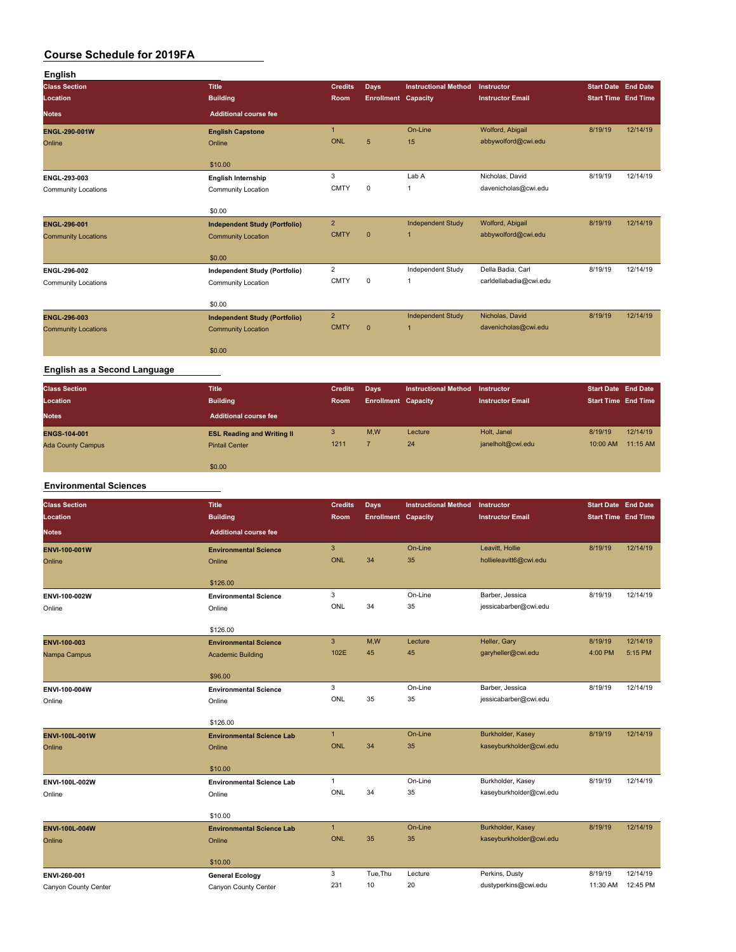| English                    |                                      |                |                            |                             |                         |                            |          |
|----------------------------|--------------------------------------|----------------|----------------------------|-----------------------------|-------------------------|----------------------------|----------|
| <b>Class Section</b>       | <b>Title</b>                         | <b>Credits</b> | <b>Days</b>                | <b>Instructional Method</b> | Instructor              | <b>Start Date End Date</b> |          |
| Location                   | <b>Building</b>                      | <b>Room</b>    | <b>Enrollment Capacity</b> |                             | <b>Instructor Email</b> | <b>Start Time End Time</b> |          |
| <b>Notes</b>               | <b>Additional course fee</b>         |                |                            |                             |                         |                            |          |
| ENGL-290-001W              | <b>English Capstone</b>              | $\mathbf{1}$   |                            | On-Line                     | Wolford, Abigail        | 8/19/19                    | 12/14/19 |
| Online                     | Online                               | ONL            | 5                          | 15                          | abbywolford@cwi.edu     |                            |          |
|                            | \$10.00                              |                |                            |                             |                         |                            |          |
| ENGL-293-003               | <b>English Internship</b>            | 3              |                            | Lab A                       | Nicholas, David         | 8/19/19                    | 12/14/19 |
| <b>Community Locations</b> | <b>Community Location</b>            | <b>CMTY</b>    | $\mathbf 0$                | 1                           | davenicholas@cwi.edu    |                            |          |
|                            | \$0.00                               |                |                            |                             |                         |                            |          |
| ENGL-296-001               | <b>Independent Study (Portfolio)</b> | $\overline{2}$ |                            | <b>Independent Study</b>    | Wolford, Abigail        | 8/19/19                    | 12/14/19 |
| <b>Community Locations</b> | <b>Community Location</b>            | <b>CMTY</b>    | $\mathbf{0}$               | 1                           | abbywolford@cwi.edu     |                            |          |
|                            | \$0.00                               |                |                            |                             |                         |                            |          |
| ENGL-296-002               | <b>Independent Study (Portfolio)</b> | $\overline{2}$ |                            | Independent Study           | Della Badia, Carl       | 8/19/19                    | 12/14/19 |
| <b>Community Locations</b> | Community Location                   | <b>CMTY</b>    | $\mathbf 0$                | 1                           | carldellabadia@cwi.edu  |                            |          |
|                            | \$0.00                               |                |                            |                             |                         |                            |          |
| ENGL-296-003               | <b>Independent Study (Portfolio)</b> | $\overline{2}$ |                            | <b>Independent Study</b>    | Nicholas, David         | 8/19/19                    | 12/14/19 |
| <b>Community Locations</b> | <b>Community Location</b>            | <b>CMTY</b>    | $\mathbf{0}$               | 1                           | davenicholas@cwi.edu    |                            |          |
|                            | \$0.00                               |                |                            |                             |                         |                            |          |
|                            |                                      |                |                            |                             |                         |                            |          |

#### **English as a Second Language**

| <b>Class Section</b><br>Location | <b>Title</b><br><b>Building</b>   | <b>Credits</b><br><b>Room</b> | Days<br><b>Enrollment Capacity</b> | Instructional Method | Instructor<br><b>Instructor Email</b> | <b>Start Date End Date</b><br><b>Start Time End Time</b> |          |
|----------------------------------|-----------------------------------|-------------------------------|------------------------------------|----------------------|---------------------------------------|----------------------------------------------------------|----------|
| <b>Notes</b>                     | <b>Additional course fee</b>      |                               |                                    |                      |                                       |                                                          |          |
| <b>ENGS-104-001</b>              | <b>ESL Reading and Writing II</b> | 3                             | M,W                                | Lecture              | Holt, Janel                           | 8/19/19                                                  | 12/14/19 |
| <b>Ada County Campus</b>         | <b>Pintail Center</b>             | 1211                          |                                    | 24                   | janelholt@cwi.edu                     | 10:00 AM                                                 | 11:15 AM |
|                                  |                                   |                               |                                    |                      |                                       |                                                          |          |
|                                  | \$0.00                            |                               |                                    |                      |                                       |                                                          |          |

#### **Environmental Sciences**

| <b>Class Section</b>  | <b>Title</b>                     | <b>Credits</b> | <b>Days</b>                | <b>Instructional Method</b> | Instructor              | <b>Start Date End Date</b> |          |
|-----------------------|----------------------------------|----------------|----------------------------|-----------------------------|-------------------------|----------------------------|----------|
| Location              | <b>Building</b>                  | Room           | <b>Enrollment Capacity</b> |                             | <b>Instructor Email</b> | <b>Start Time End Time</b> |          |
| <b>Notes</b>          | <b>Additional course fee</b>     |                |                            |                             |                         |                            |          |
| <b>ENVI-100-001W</b>  | <b>Environmental Science</b>     | $\mathbf{3}$   |                            | On-Line                     | Leavitt, Hollie         | 8/19/19                    | 12/14/19 |
| Online                | Online                           | ONL            | 34                         | 35                          | hollieleavitt6@cwi.edu  |                            |          |
|                       | \$126.00                         |                |                            |                             |                         |                            |          |
| ENVI-100-002W         | <b>Environmental Science</b>     | 3              |                            | On-Line                     | Barber, Jessica         | 8/19/19                    | 12/14/19 |
| Online                | Online                           | ONL            | 34                         | 35                          | jessicabarber@cwi.edu   |                            |          |
|                       | \$126.00                         |                |                            |                             |                         |                            |          |
| ENVI-100-003          | <b>Environmental Science</b>     | $\overline{3}$ | M,W                        | Lecture                     | Heller, Gary            | 8/19/19                    | 12/14/19 |
| Nampa Campus          | <b>Academic Building</b>         | 102E           | 45                         | 45                          | garyheller@cwi.edu      | 4:00 PM                    | 5:15 PM  |
|                       | \$96.00                          |                |                            |                             |                         |                            |          |
| ENVI-100-004W         | <b>Environmental Science</b>     | 3              |                            | On-Line                     | Barber, Jessica         | 8/19/19                    | 12/14/19 |
| Online                | Online                           | ONL            | 35                         | 35                          | jessicabarber@cwi.edu   |                            |          |
|                       | \$126.00                         |                |                            |                             |                         |                            |          |
| ENVI-100L-001W        | <b>Environmental Science Lab</b> | $\mathbf{1}$   |                            | On-Line                     | Burkholder, Kasey       | 8/19/19                    | 12/14/19 |
| Online                | Online                           | <b>ONL</b>     | 34                         | 35                          | kaseyburkholder@cwi.edu |                            |          |
|                       |                                  |                |                            |                             |                         |                            |          |
|                       | \$10.00                          |                |                            |                             |                         |                            |          |
| ENVI-100L-002W        | <b>Environmental Science Lab</b> | $\mathbf{1}$   |                            | On-Line                     | Burkholder, Kasey       | 8/19/19                    | 12/14/19 |
| Online                | Online                           | ONL            | 34                         | 35                          | kaseyburkholder@cwi.edu |                            |          |
|                       | \$10.00                          |                |                            |                             |                         |                            |          |
| <b>ENVI-100L-004W</b> | <b>Environmental Science Lab</b> | $\mathbf{1}$   |                            | On-Line                     | Burkholder, Kasey       | 8/19/19                    | 12/14/19 |
| Online                | Online                           | <b>ONL</b>     | 35                         | 35                          | kaseyburkholder@cwi.edu |                            |          |
|                       |                                  |                |                            |                             |                         |                            |          |
|                       | \$10.00                          |                |                            |                             |                         |                            |          |
| ENVI-260-001          | <b>General Ecology</b>           | 3              | Tue, Thu                   | Lecture                     | Perkins, Dusty          | 8/19/19                    | 12/14/19 |
| Canyon County Center  | Canyon County Center             | 231            | 10                         | 20                          | dustyperkins@cwi.edu    | 11:30 AM                   | 12:45 PM |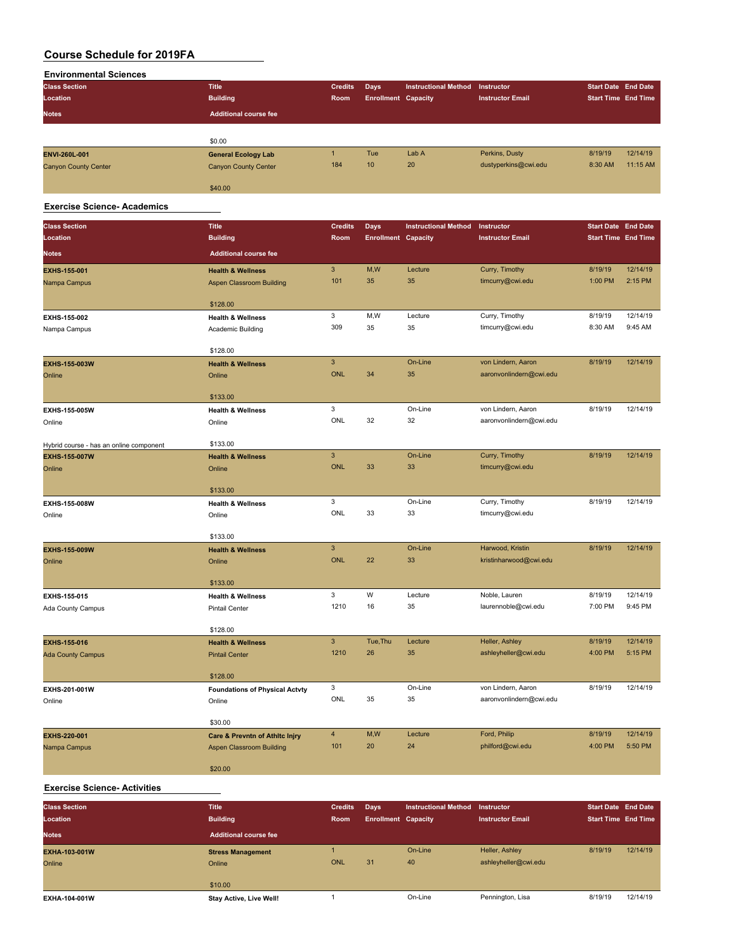| <b>Environmental Sciences</b> |                              |                |                            |                             |                         |                            |                            |
|-------------------------------|------------------------------|----------------|----------------------------|-----------------------------|-------------------------|----------------------------|----------------------------|
| <b>Class Section</b>          | <b>Title</b>                 | <b>Credits</b> | Days                       | <b>Instructional Method</b> | Instructor              | <b>Start Date End Date</b> |                            |
| Location                      | <b>Building</b>              | Room           | <b>Enrollment Capacity</b> |                             | <b>Instructor Email</b> |                            | <b>Start Time End Time</b> |
| <b>Notes</b>                  | <b>Additional course fee</b> |                |                            |                             |                         |                            |                            |
|                               |                              |                |                            |                             |                         |                            |                            |
|                               | \$0.00                       |                |                            |                             |                         |                            |                            |
| ENVI-260L-001                 | <b>General Ecology Lab</b>   |                | <b>Tue</b>                 | Lab A                       | Perkins, Dusty          | 8/19/19                    | 12/14/19                   |
| <b>Canyon County Center</b>   | <b>Canyon County Center</b>  | 184            | 10                         | 20                          | dustyperkins@cwi.edu    | 8:30 AM                    | 11:15 AM                   |
|                               | \$40.00                      |                |                            |                             |                         |                            |                            |

#### **Exercise Science- Academics**

| <b>Class Section</b>                    | <b>Title</b>                              | <b>Credits</b>        | Days                       | <b>Instructional Method</b> | Instructor              | <b>Start Date End Date</b> |                     |
|-----------------------------------------|-------------------------------------------|-----------------------|----------------------------|-----------------------------|-------------------------|----------------------------|---------------------|
| Location                                | <b>Building</b>                           | Room                  | <b>Enrollment Capacity</b> |                             | <b>Instructor Email</b> | <b>Start Time End Time</b> |                     |
| <b>Notes</b>                            | <b>Additional course fee</b>              |                       |                            |                             |                         |                            |                     |
| <b>EXHS-155-001</b>                     | <b>Health &amp; Wellness</b>              | 3                     | M,W                        | Lecture                     | Curry, Timothy          | 8/19/19                    | 12/14/19            |
| Nampa Campus                            | <b>Aspen Classroom Building</b>           | 101                   | 35                         | 35                          | timcurry@cwi.edu        | 1:00 PM                    | 2:15 PM             |
|                                         |                                           |                       |                            |                             |                         |                            |                     |
|                                         | \$128.00                                  |                       |                            |                             |                         |                            |                     |
| EXHS-155-002                            | <b>Health &amp; Wellness</b>              | 3                     | M,W                        | Lecture                     | Curry, Timothy          | 8/19/19                    | 12/14/19            |
| Nampa Campus                            | Academic Building                         | 309                   | 35                         | 35                          | timcurry@cwi.edu        | 8:30 AM                    | 9:45 AM             |
|                                         | \$128.00                                  |                       |                            |                             |                         |                            |                     |
| EXHS-155-003W                           | <b>Health &amp; Wellness</b>              | 3                     |                            | On-Line                     | von Lindern, Aaron      | 8/19/19                    | 12/14/19            |
| Online                                  | Online                                    | <b>ONL</b>            | 34                         | 35                          | aaronvonlindern@cwi.edu |                            |                     |
|                                         |                                           |                       |                            |                             |                         |                            |                     |
|                                         | \$133.00                                  |                       |                            |                             |                         |                            |                     |
| EXHS-155-005W                           | <b>Health &amp; Wellness</b>              | 3                     |                            | On-Line                     | von Lindern, Aaron      | 8/19/19                    | 12/14/19            |
| Online                                  | Online                                    | ONL                   | 32                         | 32                          | aaronvonlindern@cwi.edu |                            |                     |
|                                         |                                           |                       |                            |                             |                         |                            |                     |
| Hybrid course - has an online component | \$133.00                                  |                       |                            |                             |                         |                            |                     |
| <b>EXHS-155-007W</b>                    | <b>Health &amp; Wellness</b>              | 3                     |                            | On-Line                     | Curry, Timothy          | 8/19/19                    | 12/14/19            |
| Online                                  | Online                                    | <b>ONL</b>            | 33                         | 33                          | timcurry@cwi.edu        |                            |                     |
|                                         | \$133.00                                  |                       |                            |                             |                         |                            |                     |
| EXHS-155-008W                           | <b>Health &amp; Wellness</b>              | 3                     |                            | On-Line                     | Curry, Timothy          | 8/19/19                    | 12/14/19            |
| Online                                  | Online                                    | <b>ONL</b>            | 33                         | 33                          | timcurry@cwi.edu        |                            |                     |
|                                         |                                           |                       |                            |                             |                         |                            |                     |
|                                         | \$133.00                                  |                       |                            |                             |                         |                            |                     |
| EXHS-155-009W                           | <b>Health &amp; Wellness</b>              | 3                     |                            | On-Line                     | Harwood, Kristin        | 8/19/19                    | 12/14/19            |
| Online                                  | Online                                    | <b>ONL</b>            | 22                         | 33                          | kristinharwood@cwi.edu  |                            |                     |
|                                         |                                           |                       |                            |                             |                         |                            |                     |
|                                         | \$133.00                                  | 3                     | W                          | Lecture                     | Noble, Lauren           | 8/19/19                    | 12/14/19            |
| EXHS-155-015                            | <b>Health &amp; Wellness</b>              | 1210                  | 16                         | 35                          | laurennoble@cwi.edu     | 7:00 PM                    | 9:45 PM             |
| Ada County Campus                       | <b>Pintail Center</b>                     |                       |                            |                             |                         |                            |                     |
|                                         | \$128.00                                  |                       |                            |                             |                         |                            |                     |
| <b>EXHS-155-016</b>                     | <b>Health &amp; Wellness</b>              | $\overline{3}$        | Tue, Thu                   | Lecture                     | Heller, Ashley          | 8/19/19                    | 12/14/19            |
| <b>Ada County Campus</b>                | <b>Pintail Center</b>                     | 1210                  | 26                         | 35                          | ashleyheller@cwi.edu    | 4:00 PM                    | 5:15 PM             |
|                                         |                                           |                       |                            |                             |                         |                            |                     |
|                                         | \$128.00                                  |                       |                            |                             |                         |                            |                     |
| EXHS-201-001W                           | <b>Foundations of Physical Actvty</b>     | 3                     |                            | On-Line                     | von Lindern, Aaron      | 8/19/19                    | 12/14/19            |
| Online                                  | Online                                    | ONL                   | 35                         | 35                          | aaronvonlindern@cwi.edu |                            |                     |
|                                         |                                           |                       |                            |                             |                         |                            |                     |
|                                         | \$30.00                                   |                       |                            |                             |                         |                            |                     |
| EXHS-220-001                            | <b>Care &amp; Prevntn of Athltc Injry</b> | $\overline{4}$<br>101 | M,W                        | Lecture                     | Ford, Philip            | 8/19/19<br>4:00 PM         | 12/14/19<br>5:50 PM |
| Nampa Campus                            | Aspen Classroom Building                  |                       | 20                         | 24                          | philford@cwi.edu        |                            |                     |
|                                         | \$20.00                                   |                       |                            |                             |                         |                            |                     |

#### **Exercise Science- Activities**

| <b>Class Section</b><br>Location | <b>Title</b><br><b>Building</b>    | <b>Credits</b><br>Room | Days<br><b>Enrollment Capacity</b> | <b>Instructional Method</b> | Instructor<br><b>Instructor Email</b>  | <b>Start Date End Date</b><br><b>Start Time End Time</b> |          |
|----------------------------------|------------------------------------|------------------------|------------------------------------|-----------------------------|----------------------------------------|----------------------------------------------------------|----------|
| <b>Notes</b>                     | <b>Additional course fee</b>       |                        |                                    |                             |                                        |                                                          |          |
| EXHA-103-001W<br>Online          | <b>Stress Management</b><br>Online | ONL                    | 31                                 | On-Line<br>40               | Heller, Ashley<br>ashleyheller@cwi.edu | 8/19/19                                                  | 12/14/19 |
| EXHA-104-001W                    | \$10.00<br>Stay Active, Live Well! |                        |                                    | On-Line                     | Pennington, Lisa                       | 8/19/19                                                  | 12/14/19 |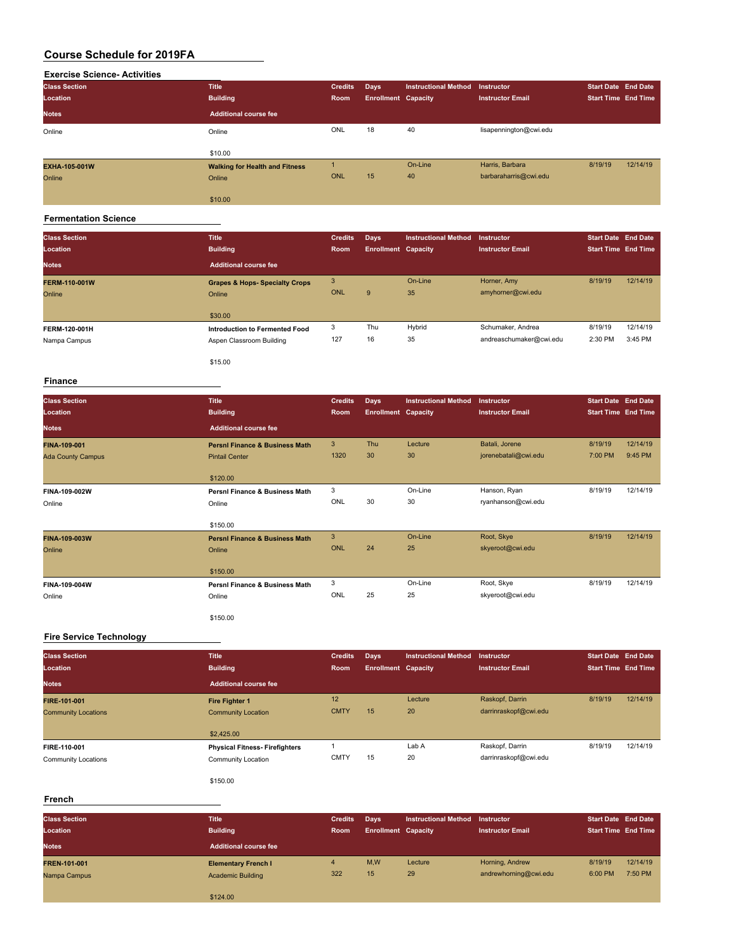| <b>Exercise Science- Activities</b> |                                       |                |                            |                             |                         |                            |          |
|-------------------------------------|---------------------------------------|----------------|----------------------------|-----------------------------|-------------------------|----------------------------|----------|
| <b>Class Section</b>                | <b>Title</b>                          | <b>Credits</b> | Days                       | <b>Instructional Method</b> | Instructor              | <b>Start Date End Date</b> |          |
| Location                            | <b>Building</b>                       | Room           | <b>Enrollment Capacity</b> |                             | <b>Instructor Email</b> | <b>Start Time End Time</b> |          |
| <b>Notes</b>                        | <b>Additional course fee</b>          |                |                            |                             |                         |                            |          |
| Online                              | Online                                | ONL            | 18                         | 40                          | lisapennington@cwi.edu  |                            |          |
|                                     | \$10.00                               |                |                            |                             |                         |                            |          |
| EXHA-105-001W                       | <b>Walking for Health and Fitness</b> |                |                            | On-Line                     | Harris, Barbara         | 8/19/19                    | 12/14/19 |
| Online                              | Online                                | ONL            | 15                         | 40                          | barbaraharris@cwi.edu   |                            |          |
|                                     | \$10.00                               |                |                            |                             |                         |                            |          |

#### **Fermentation Science**

| <b>Class Section</b><br>Location | <b>Title</b><br><b>Building</b>                            | <b>Credits</b><br>Room | Days<br><b>Enrollment Capacity</b> | <b>Instructional Method</b> | <b>Instructor</b><br><b>Instructor Email</b> | <b>Start Date End Date</b><br><b>Start Time End Time</b> |                     |
|----------------------------------|------------------------------------------------------------|------------------------|------------------------------------|-----------------------------|----------------------------------------------|----------------------------------------------------------|---------------------|
| <b>Notes</b>                     | Additional course fee                                      |                        |                                    |                             |                                              |                                                          |                     |
| <b>FERM-110-001W</b><br>Online   | <b>Grapes &amp; Hops- Specialty Crops</b><br>Online        | 3<br>ONL               | 9                                  | On-Line<br>35               | Horner, Amy<br>amyhorner@cwi.edu             | 8/19/19                                                  | 12/14/19            |
|                                  | \$30.00                                                    |                        |                                    |                             |                                              |                                                          |                     |
| FERM-120-001H<br>Nampa Campus    | Introduction to Fermented Food<br>Aspen Classroom Building | 3<br>127               | Thu<br>16                          | Hybrid<br>35                | Schumaker, Andrea<br>andreaschumaker@cwi.edu | 8/19/19<br>2:30 PM                                       | 12/14/19<br>3:45 PM |
|                                  | \$15.00                                                    |                        |                                    |                             |                                              |                                                          |                     |

#### **Finance**

| <b>Class Section</b><br>Location | <b>Title</b><br><b>Building</b>           | <b>Credits</b><br>Room | <b>Days</b><br><b>Enrollment Capacity</b> | <b>Instructional Method</b> | Instructor<br><b>Instructor Email</b> | <b>Start Date End Date</b><br><b>Start Time End Time</b> |          |
|----------------------------------|-------------------------------------------|------------------------|-------------------------------------------|-----------------------------|---------------------------------------|----------------------------------------------------------|----------|
| <b>Notes</b>                     | <b>Additional course fee</b>              |                        |                                           |                             |                                       |                                                          |          |
| FINA-109-001                     | <b>Persni Finance &amp; Business Math</b> | 3                      | Thu                                       | Lecture                     | Batali, Jorene                        | 8/19/19                                                  | 12/14/19 |
| <b>Ada County Campus</b>         | <b>Pintail Center</b>                     | 1320                   | 30                                        | 30                          | jorenebatali@cwi.edu                  | 7:00 PM                                                  | 9:45 PM  |
|                                  | \$120.00                                  |                        |                                           |                             |                                       |                                                          |          |
| FINA-109-002W                    | <b>Persni Finance &amp; Business Math</b> | 3                      |                                           | On-Line                     | Hanson, Ryan                          | 8/19/19                                                  | 12/14/19 |
| Online                           | Online                                    | ONL                    | 30                                        | 30                          | ryanhanson@cwi.edu                    |                                                          |          |
|                                  | \$150.00                                  |                        |                                           |                             |                                       |                                                          |          |
| FINA-109-003W                    | <b>Persni Finance &amp; Business Math</b> | 3                      |                                           | On-Line                     | Root, Skye                            | 8/19/19                                                  | 12/14/19 |
| Online                           | Online                                    | <b>ONL</b>             | 24                                        | 25                          | skyeroot@cwi.edu                      |                                                          |          |
|                                  | \$150.00                                  |                        |                                           |                             |                                       |                                                          |          |
| FINA-109-004W                    | <b>Persni Finance &amp; Business Math</b> | 3                      |                                           | On-Line                     | Root, Skye                            | 8/19/19                                                  | 12/14/19 |
| Online                           | Online                                    | ONL                    | 25                                        | 25                          | skyeroot@cwi.edu                      |                                                          |          |
|                                  |                                           |                        |                                           |                             |                                       |                                                          |          |

\$150.00

#### **Fire Service Technology**

| <b>Class Section</b>       | <b>Title</b>                          | <b>Credits</b> | Days                       | <b>Instructional Method</b> | <b>Instructor</b>       | <b>Start Date End Date</b> |          |
|----------------------------|---------------------------------------|----------------|----------------------------|-----------------------------|-------------------------|----------------------------|----------|
| Location                   | <b>Building</b>                       | Room           | <b>Enrollment Capacity</b> |                             | <b>Instructor Email</b> | <b>Start Time End Time</b> |          |
| <b>Notes</b>               | <b>Additional course fee</b>          |                |                            |                             |                         |                            |          |
| FIRE-101-001               | Fire Fighter 1                        | 12             |                            | Lecture                     | Raskopf, Darrin         | 8/19/19                    | 12/14/19 |
| <b>Community Locations</b> | <b>Community Location</b>             | <b>CMTY</b>    | 15                         | 20                          | darrinraskopf@cwi.edu   |                            |          |
|                            | \$2,425.00                            |                |                            |                             |                         |                            |          |
| FIRE-110-001               | <b>Physical Fitness- Firefighters</b> |                |                            | Lab A                       | Raskopf, Darrin         | 8/19/19                    | 12/14/19 |
| <b>Community Locations</b> | Community Location                    | <b>CMTY</b>    | 15                         | 20                          | darrinraskopf@cwi.edu   |                            |          |

\$150.00

#### **French**

| <b>Class Section</b><br>Location<br><b>Notes</b> | <b>Title</b><br><b>Building</b><br><b>Additional course fee</b> | <b>Credits</b><br>Room | Days<br><b>Enrollment Capacity</b> | Instructional Method | Instructor<br><b>Instructor Email</b>    | <b>Start Date End Date</b><br><b>Start Time End Time</b> |                     |
|--------------------------------------------------|-----------------------------------------------------------------|------------------------|------------------------------------|----------------------|------------------------------------------|----------------------------------------------------------|---------------------|
| FREN-101-001<br>Nampa Campus                     | <b>Elementary French I</b><br><b>Academic Building</b>          | 4<br>322               | M,W<br>15                          | Lecture<br>29        | Horning, Andrew<br>andrewhorning@cwi.edu | 8/19/19<br>6:00 PM                                       | 12/14/19<br>7:50 PM |
|                                                  | \$124.00                                                        |                        |                                    |                      |                                          |                                                          |                     |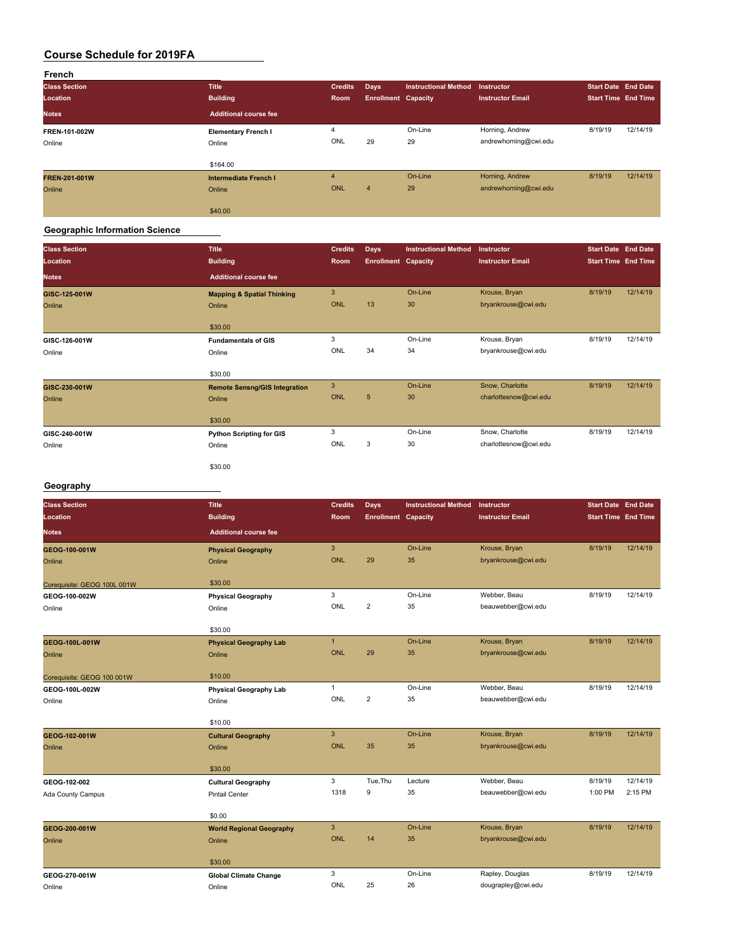| French               |                              |                |                            |                             |                         |                            |          |
|----------------------|------------------------------|----------------|----------------------------|-----------------------------|-------------------------|----------------------------|----------|
| <b>Class Section</b> | <b>Title</b>                 | <b>Credits</b> | Days                       | <b>Instructional Method</b> | Instructor              | <b>Start Date End Date</b> |          |
| Location             | <b>Building</b>              | Room           | <b>Enrollment Capacity</b> |                             | <b>Instructor Email</b> | <b>Start Time End Time</b> |          |
| <b>Notes</b>         | <b>Additional course fee</b> |                |                            |                             |                         |                            |          |
| FREN-101-002W        | <b>Elementary French I</b>   | 4              |                            | On-Line                     | Horning, Andrew         | 8/19/19                    | 12/14/19 |
| Online               | Online                       | ONL            | 29                         | 29                          | andrewhorning@cwi.edu   |                            |          |
|                      |                              |                |                            |                             |                         |                            |          |
|                      | \$164.00                     |                |                            |                             |                         |                            |          |
| <b>FREN-201-001W</b> | <b>Intermediate French I</b> | $\overline{4}$ |                            | On-Line                     | Horning, Andrew         | 8/19/19                    | 12/14/19 |
| Online               | Online                       | ONL            | $\overline{4}$             | 29                          | andrewhorning@cwi.edu   |                            |          |
|                      |                              |                |                            |                             |                         |                            |          |
|                      | \$40.00                      |                |                            |                             |                         |                            |          |

#### **Geographic Information Science**

| <b>Class Section</b> | <b>Title</b>                          | <b>Credits</b> | <b>Days</b>                | <b>Instructional Method</b> | Instructor              | <b>Start Date End Date</b> |          |
|----------------------|---------------------------------------|----------------|----------------------------|-----------------------------|-------------------------|----------------------------|----------|
| Location             | <b>Building</b>                       | Room           | <b>Enrollment Capacity</b> |                             | <b>Instructor Email</b> | Start Time End Time        |          |
| <b>Notes</b>         | <b>Additional course fee</b>          |                |                            |                             |                         |                            |          |
| GISC-125-001W        | <b>Mapping &amp; Spatial Thinking</b> | $\mathbf{3}$   |                            | On-Line                     | Krouse, Bryan           | 8/19/19                    | 12/14/19 |
| Online               | Online                                | <b>ONL</b>     | 13                         | 30                          | bryankrouse@cwi.edu     |                            |          |
|                      | \$30.00                               |                |                            |                             |                         |                            |          |
| GISC-126-001W        | <b>Fundamentals of GIS</b>            | 3              |                            | On-Line                     | Krouse, Bryan           | 8/19/19                    | 12/14/19 |
| Online               | Online                                | ONL            | 34                         | 34                          | bryankrouse@cwi.edu     |                            |          |
|                      | \$30.00                               |                |                            |                             |                         |                            |          |
| GISC-230-001W        | <b>Remote Sensng/GIS Integration</b>  | $\mathbf{3}$   |                            | On-Line                     | Snow, Charlotte         | 8/19/19                    | 12/14/19 |
| Online               | Online                                | <b>ONL</b>     | 5                          | 30                          | charlottesnow@cwi.edu   |                            |          |
|                      | \$30.00                               |                |                            |                             |                         |                            |          |
| GISC-240-001W        | <b>Python Scripting for GIS</b>       | 3              |                            | On-Line                     | Snow, Charlotte         | 8/19/19                    | 12/14/19 |
| Online               | Online                                | ONL            | 3                          | 30                          | charlottesnow@cwi.edu   |                            |          |
|                      | \$30.00                               |                |                            |                             |                         |                            |          |

#### **Geography**

| <b>Building</b><br>Location<br><b>Room</b><br><b>Enrollment Capacity</b><br><b>Start Time End Time</b><br><b>Instructor Email</b><br><b>Additional course fee</b><br><b>Notes</b><br>3<br>On-Line<br>Krouse, Bryan<br>8/19/19<br>GEOG-100-001W<br><b>Physical Geography</b><br><b>ONL</b><br>29<br>35<br>bryankrouse@cwi.edu<br>Online<br>Online<br>\$30.00<br>Corequisite: GEOG 100L 001W<br>3<br>On-Line<br>Webber, Beau<br>8/19/19<br>12/14/19<br>GEOG-100-002W<br><b>Physical Geography</b><br>ONL<br>$\overline{2}$<br>35<br>beauwebber@cwi.edu<br>Online<br>Online<br>\$30.00<br>On-Line<br>8/19/19<br>$\mathbf{1}$<br>Krouse, Bryan<br>GEOG-100L-001W<br><b>Physical Geography Lab</b><br>29<br><b>ONL</b><br>35<br>bryankrouse@cwi.edu<br>Online<br>Online | <b>Class Section</b> | <b>Title</b> | <b>Credits</b> | <b>Days</b> | <b>Instructional Method</b> | Instructor | <b>Start Date End Date</b> |          |
|--------------------------------------------------------------------------------------------------------------------------------------------------------------------------------------------------------------------------------------------------------------------------------------------------------------------------------------------------------------------------------------------------------------------------------------------------------------------------------------------------------------------------------------------------------------------------------------------------------------------------------------------------------------------------------------------------------------------------------------------------------------------|----------------------|--------------|----------------|-------------|-----------------------------|------------|----------------------------|----------|
|                                                                                                                                                                                                                                                                                                                                                                                                                                                                                                                                                                                                                                                                                                                                                                    |                      |              |                |             |                             |            |                            |          |
|                                                                                                                                                                                                                                                                                                                                                                                                                                                                                                                                                                                                                                                                                                                                                                    |                      |              |                |             |                             |            |                            |          |
|                                                                                                                                                                                                                                                                                                                                                                                                                                                                                                                                                                                                                                                                                                                                                                    |                      |              |                |             |                             |            |                            | 12/14/19 |
|                                                                                                                                                                                                                                                                                                                                                                                                                                                                                                                                                                                                                                                                                                                                                                    |                      |              |                |             |                             |            |                            |          |
|                                                                                                                                                                                                                                                                                                                                                                                                                                                                                                                                                                                                                                                                                                                                                                    |                      |              |                |             |                             |            |                            |          |
|                                                                                                                                                                                                                                                                                                                                                                                                                                                                                                                                                                                                                                                                                                                                                                    |                      |              |                |             |                             |            |                            |          |
|                                                                                                                                                                                                                                                                                                                                                                                                                                                                                                                                                                                                                                                                                                                                                                    |                      |              |                |             |                             |            |                            |          |
|                                                                                                                                                                                                                                                                                                                                                                                                                                                                                                                                                                                                                                                                                                                                                                    |                      |              |                |             |                             |            |                            |          |
|                                                                                                                                                                                                                                                                                                                                                                                                                                                                                                                                                                                                                                                                                                                                                                    |                      |              |                |             |                             |            |                            |          |
|                                                                                                                                                                                                                                                                                                                                                                                                                                                                                                                                                                                                                                                                                                                                                                    |                      |              |                |             |                             |            |                            | 12/14/19 |
|                                                                                                                                                                                                                                                                                                                                                                                                                                                                                                                                                                                                                                                                                                                                                                    |                      |              |                |             |                             |            |                            |          |
|                                                                                                                                                                                                                                                                                                                                                                                                                                                                                                                                                                                                                                                                                                                                                                    |                      |              |                |             |                             |            |                            |          |
| \$10.00<br>Corequisite: GEOG 100 001W                                                                                                                                                                                                                                                                                                                                                                                                                                                                                                                                                                                                                                                                                                                              |                      |              |                |             |                             |            |                            |          |
| On-Line<br>Webber, Beau<br>$\mathbf{1}$<br>8/19/19<br><b>Physical Geography Lab</b><br>GEOG-100L-002W                                                                                                                                                                                                                                                                                                                                                                                                                                                                                                                                                                                                                                                              |                      |              |                |             |                             |            |                            | 12/14/19 |
| ONL<br>$\overline{2}$<br>beauwebber@cwi.edu<br>35<br>Online<br>Online                                                                                                                                                                                                                                                                                                                                                                                                                                                                                                                                                                                                                                                                                              |                      |              |                |             |                             |            |                            |          |
| \$10.00                                                                                                                                                                                                                                                                                                                                                                                                                                                                                                                                                                                                                                                                                                                                                            |                      |              |                |             |                             |            |                            |          |
| $\overline{3}$<br>On-Line<br>Krouse, Bryan<br>8/19/19<br>GEOG-102-001W<br><b>Cultural Geography</b>                                                                                                                                                                                                                                                                                                                                                                                                                                                                                                                                                                                                                                                                |                      |              |                |             |                             |            |                            | 12/14/19 |
| <b>ONL</b><br>35<br>bryankrouse@cwi.edu<br>35<br>Online<br>Online                                                                                                                                                                                                                                                                                                                                                                                                                                                                                                                                                                                                                                                                                                  |                      |              |                |             |                             |            |                            |          |
|                                                                                                                                                                                                                                                                                                                                                                                                                                                                                                                                                                                                                                                                                                                                                                    |                      |              |                |             |                             |            |                            |          |
| \$30.00                                                                                                                                                                                                                                                                                                                                                                                                                                                                                                                                                                                                                                                                                                                                                            |                      |              |                |             |                             |            |                            |          |
| 3<br>Tue, Thu<br>Webber, Beau<br>8/19/19<br>Lecture<br>GEOG-102-002<br><b>Cultural Geography</b>                                                                                                                                                                                                                                                                                                                                                                                                                                                                                                                                                                                                                                                                   |                      |              |                |             |                             |            |                            | 12/14/19 |
| 1318<br>9<br>35<br>2:15 PM<br>beauwebber@cwi.edu<br>1:00 PM<br><b>Pintail Center</b><br>Ada County Campus                                                                                                                                                                                                                                                                                                                                                                                                                                                                                                                                                                                                                                                          |                      |              |                |             |                             |            |                            |          |
|                                                                                                                                                                                                                                                                                                                                                                                                                                                                                                                                                                                                                                                                                                                                                                    |                      |              |                |             |                             |            |                            |          |
| \$0.00                                                                                                                                                                                                                                                                                                                                                                                                                                                                                                                                                                                                                                                                                                                                                             |                      |              |                |             |                             |            |                            |          |
| $\mathbf{3}$<br>On-Line<br>8/19/19<br>Krouse, Bryan<br>GEOG-200-001W<br><b>World Regional Geography</b>                                                                                                                                                                                                                                                                                                                                                                                                                                                                                                                                                                                                                                                            |                      |              |                |             |                             |            |                            | 12/14/19 |
| <b>ONL</b><br>14<br>35<br>bryankrouse@cwi.edu<br>Online<br>Online                                                                                                                                                                                                                                                                                                                                                                                                                                                                                                                                                                                                                                                                                                  |                      |              |                |             |                             |            |                            |          |
| \$30.00                                                                                                                                                                                                                                                                                                                                                                                                                                                                                                                                                                                                                                                                                                                                                            |                      |              |                |             |                             |            |                            |          |
| 3<br>On-Line<br>Rapley, Douglas<br>8/19/19<br>GEOG-270-001W<br><b>Global Climate Change</b>                                                                                                                                                                                                                                                                                                                                                                                                                                                                                                                                                                                                                                                                        |                      |              |                |             |                             |            |                            | 12/14/19 |
| ONL<br>25<br>26<br>dougrapley@cwi.edu<br>Online<br>Online                                                                                                                                                                                                                                                                                                                                                                                                                                                                                                                                                                                                                                                                                                          |                      |              |                |             |                             |            |                            |          |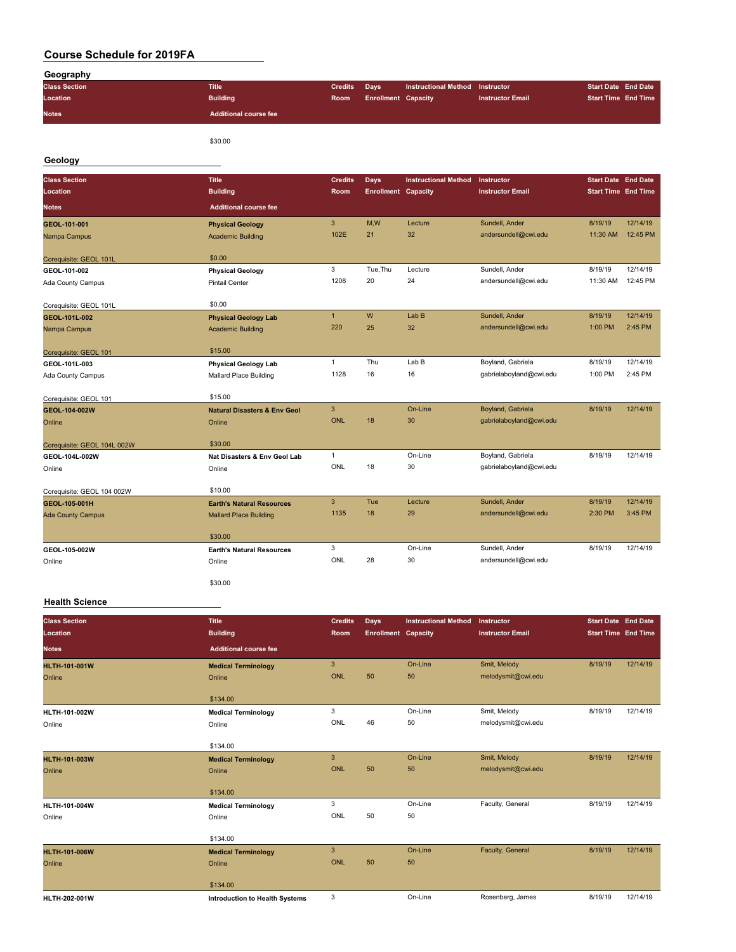| Geography                   |                                         |                |                            |                             |                         |                            |          |
|-----------------------------|-----------------------------------------|----------------|----------------------------|-----------------------------|-------------------------|----------------------------|----------|
| <b>Class Section</b>        | <b>Title</b>                            | <b>Credits</b> | <b>Days</b>                | <b>Instructional Method</b> | Instructor              | <b>Start Date End Date</b> |          |
| Location                    | <b>Building</b>                         | Room           | <b>Enrollment Capacity</b> |                             | <b>Instructor Email</b> | <b>Start Time End Time</b> |          |
| <b>Notes</b>                | <b>Additional course fee</b>            |                |                            |                             |                         |                            |          |
|                             | \$30.00                                 |                |                            |                             |                         |                            |          |
| Geology                     |                                         |                |                            |                             |                         |                            |          |
|                             |                                         |                |                            |                             |                         |                            |          |
| <b>Class Section</b>        | <b>Title</b>                            | <b>Credits</b> | <b>Days</b>                | <b>Instructional Method</b> | Instructor              | <b>Start Date End Date</b> |          |
| Location                    | <b>Building</b>                         | Room           | <b>Enrollment Capacity</b> |                             | <b>Instructor Email</b> | <b>Start Time End Time</b> |          |
| <b>Notes</b>                | <b>Additional course fee</b>            |                |                            |                             |                         |                            |          |
| GEOL-101-001                | <b>Physical Geology</b>                 | $\mathbf{3}$   | M,W                        | Lecture                     | Sundell, Ander          | 8/19/19                    | 12/14/19 |
| Nampa Campus                | <b>Academic Building</b>                | 102E           | 21                         | 32                          | andersundell@cwi.edu    | 11:30 AM                   | 12:45 PM |
| Corequisite: GEOL 101L      | \$0.00                                  |                |                            |                             |                         |                            |          |
| GEOL-101-002                | <b>Physical Geology</b>                 | 3              | Tue, Thu                   | Lecture                     | Sundell, Ander          | 8/19/19                    | 12/14/19 |
| Ada County Campus           | <b>Pintail Center</b>                   | 1208           | 20                         | 24                          | andersundell@cwi.edu    | 11:30 AM                   | 12:45 PM |
|                             |                                         |                |                            |                             |                         |                            |          |
| Corequisite: GEOL 101L      | \$0.00                                  |                |                            |                             |                         |                            |          |
| GEOL-101L-002               | <b>Physical Geology Lab</b>             | $\mathbf{1}$   | W                          | Lab B                       | Sundell, Ander          | 8/19/19                    | 12/14/19 |
| Nampa Campus                | <b>Academic Building</b>                | 220            | 25                         | 32                          | andersundell@cwi.edu    | 1:00 PM                    | 2:45 PM  |
| Corequisite: GEOL 101       | \$15.00                                 |                |                            |                             |                         |                            |          |
| GEOL-101L-003               | <b>Physical Geology Lab</b>             | $\mathbf{1}$   | Thu                        | Lab B                       | Boyland, Gabriela       | 8/19/19                    | 12/14/19 |
| Ada County Campus           | Mallard Place Building                  | 1128           | 16                         | 16                          | gabrielaboyland@cwi.edu | 1:00 PM                    | 2:45 PM  |
|                             |                                         |                |                            |                             |                         |                            |          |
| Corequisite: GEOL 101       | \$15.00                                 |                |                            |                             |                         |                            |          |
| GEOL-104-002W               | <b>Natural Disasters &amp; Env Geol</b> | 3              |                            | On-Line                     | Boyland, Gabriela       | 8/19/19                    | 12/14/19 |
| Online                      | Online                                  | <b>ONL</b>     | 18                         | 30                          | gabrielaboyland@cwi.edu |                            |          |
| Corequisite: GEOL 104L 002W | \$30.00                                 |                |                            |                             |                         |                            |          |
| GEOL-104L-002W              | Nat Disasters & Env Geol Lab            | $\mathbf{1}$   |                            | On-Line                     | Boyland, Gabriela       | 8/19/19                    | 12/14/19 |
| Online                      | Online                                  | ONL            | 18                         | 30                          | gabrielaboyland@cwi.edu |                            |          |
|                             |                                         |                |                            |                             |                         |                            |          |
| Corequisite: GEOL 104 002W  | \$10.00                                 |                |                            |                             |                         |                            |          |
| GEOL-105-001H               | <b>Earth's Natural Resources</b>        | 3              | Tue                        | Lecture                     | Sundell, Ander          | 8/19/19                    | 12/14/19 |
| <b>Ada County Campus</b>    | <b>Mallard Place Building</b>           | 1135           | 18                         | 29                          | andersundell@cwi.edu    | 2:30 PM                    | 3:45 PM  |
|                             | \$30.00                                 |                |                            |                             |                         |                            |          |
| GEOL-105-002W               | <b>Earth's Natural Resources</b>        | 3              |                            | On-Line                     | Sundell, Ander          | 8/19/19                    | 12/14/19 |
| Online                      | Online                                  | ONL            | 28                         | 30                          | andersundell@cwi.edu    |                            |          |
|                             |                                         |                |                            |                             |                         |                            |          |
|                             | \$30.00                                 |                |                            |                             |                         |                            |          |
| $11 - 145 - 0 - 1$          |                                         |                |                            |                             |                         |                            |          |

#### **Health Science**

| <b>Class Section</b><br>Location | <b>Title</b><br><b>Building</b>       | <b>Credits</b><br><b>Room</b> | <b>Days</b><br><b>Enrollment Capacity</b> | <b>Instructional Method</b> | Instructor<br><b>Instructor Email</b> | Start Date End Date<br><b>Start Time End Time</b> |          |
|----------------------------------|---------------------------------------|-------------------------------|-------------------------------------------|-----------------------------|---------------------------------------|---------------------------------------------------|----------|
| <b>Notes</b>                     | <b>Additional course fee</b>          |                               |                                           |                             |                                       |                                                   |          |
| <b>HLTH-101-001W</b>             | <b>Medical Terminology</b>            | 3                             |                                           | On-Line                     | Smit, Melody                          | 8/19/19                                           | 12/14/19 |
| Online                           | Online                                | <b>ONL</b>                    | 50                                        | 50                          | melodysmit@cwi.edu                    |                                                   |          |
|                                  | \$134.00                              |                               |                                           |                             |                                       |                                                   |          |
| HLTH-101-002W                    | <b>Medical Terminology</b>            | 3                             |                                           | On-Line                     | Smit, Melody                          | 8/19/19                                           | 12/14/19 |
| Online                           | Online                                | ONL                           | 46                                        | 50                          | melodysmit@cwi.edu                    |                                                   |          |
|                                  | \$134.00                              |                               |                                           |                             |                                       |                                                   |          |
| <b>HLTH-101-003W</b>             | <b>Medical Terminology</b>            | 3                             |                                           | On-Line                     | Smit, Melody                          | 8/19/19                                           | 12/14/19 |
| Online                           | Online                                | <b>ONL</b>                    | 50                                        | 50                          | melodysmit@cwi.edu                    |                                                   |          |
|                                  | \$134.00                              |                               |                                           |                             |                                       |                                                   |          |
| HLTH-101-004W                    | <b>Medical Terminology</b>            | 3                             |                                           | On-Line                     | Faculty, General                      | 8/19/19                                           | 12/14/19 |
| Online                           | Online                                | ONL                           | 50                                        | 50                          |                                       |                                                   |          |
|                                  | \$134.00                              |                               |                                           |                             |                                       |                                                   |          |
| <b>HLTH-101-006W</b>             | <b>Medical Terminology</b>            | 3                             |                                           | On-Line                     | Faculty, General                      | 8/19/19                                           | 12/14/19 |
| Online                           | Online                                | <b>ONL</b>                    | 50                                        | 50                          |                                       |                                                   |          |
|                                  | \$134.00                              |                               |                                           |                             |                                       |                                                   |          |
| HLTH-202-001W                    | <b>Introduction to Health Systems</b> | 3                             |                                           | On-Line                     | Rosenberg, James                      | 8/19/19                                           | 12/14/19 |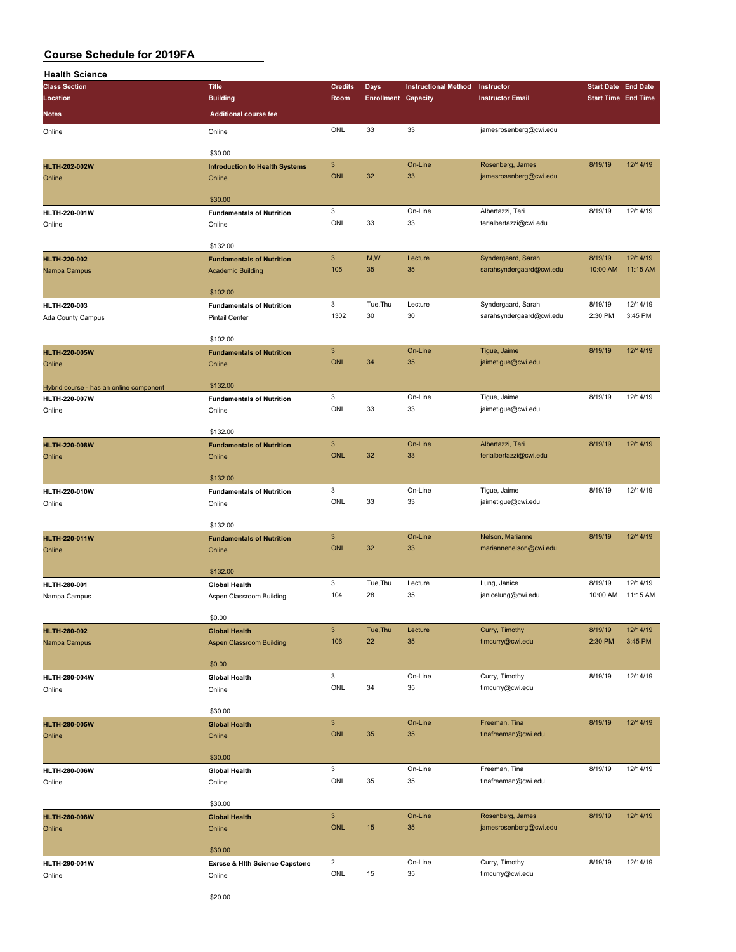| <b>Health Science</b>                   |                                       |                           |                            |                             |                          |                            |          |
|-----------------------------------------|---------------------------------------|---------------------------|----------------------------|-----------------------------|--------------------------|----------------------------|----------|
| <b>Class Section</b>                    | <b>Title</b>                          | <b>Credits</b>            | Days                       | <b>Instructional Method</b> | Instructor               | <b>Start Date End Date</b> |          |
| Location                                | <b>Building</b>                       | Room                      | <b>Enrollment Capacity</b> |                             | <b>Instructor Email</b>  | <b>Start Time End Time</b> |          |
| Notes                                   | <b>Additional course fee</b>          |                           |                            |                             |                          |                            |          |
|                                         |                                       |                           |                            |                             |                          |                            |          |
| Online                                  | Online                                | ONL                       | 33                         | 33                          | jamesrosenberg@cwi.edu   |                            |          |
|                                         |                                       |                           |                            |                             |                          |                            |          |
|                                         | \$30.00                               |                           |                            |                             |                          |                            |          |
| <b>HLTH-202-002W</b>                    | <b>Introduction to Health Systems</b> | $\ensuremath{\mathsf{3}}$ |                            | On-Line                     | Rosenberg, James         | 8/19/19                    | 12/14/19 |
| Online                                  | Online                                | <b>ONL</b>                | 32                         | 33                          | jamesrosenberg@cwi.edu   |                            |          |
|                                         |                                       |                           |                            |                             |                          |                            |          |
|                                         | \$30.00                               |                           |                            |                             |                          |                            |          |
| HLTH-220-001W                           | <b>Fundamentals of Nutrition</b>      | $\mathbf 3$               |                            | On-Line                     | Albertazzi, Teri         | 8/19/19                    | 12/14/19 |
| Online                                  | Online                                | ONL                       | 33                         | 33                          | terialbertazzi@cwi.edu   |                            |          |
|                                         |                                       |                           |                            |                             |                          |                            |          |
|                                         | \$132.00                              |                           |                            |                             |                          |                            |          |
| <b>HLTH-220-002</b>                     | <b>Fundamentals of Nutrition</b>      | $\ensuremath{\mathsf{3}}$ | M,W                        | Lecture                     | Syndergaard, Sarah       | 8/19/19                    | 12/14/19 |
| Nampa Campus                            | <b>Academic Building</b>              | 105                       | 35                         | 35                          | sarahsyndergaard@cwi.edu | 10:00 AM                   | 11:15 AM |
|                                         |                                       |                           |                            |                             |                          |                            |          |
|                                         | \$102.00                              |                           |                            |                             |                          |                            |          |
| HLTH-220-003                            | <b>Fundamentals of Nutrition</b>      | $\mathbf 3$               | Tue, Thu                   | Lecture                     | Syndergaard, Sarah       | 8/19/19                    | 12/14/19 |
| Ada County Campus                       | <b>Pintail Center</b>                 | 1302                      | 30                         | 30                          | sarahsyndergaard@cwi.edu | 2:30 PM                    | 3:45 PM  |
|                                         |                                       |                           |                            |                             |                          |                            |          |
|                                         | \$102.00                              |                           |                            |                             |                          |                            |          |
| <b>HLTH-220-005W</b>                    | <b>Fundamentals of Nutrition</b>      | $\mathbf{3}$              |                            | On-Line                     | Tigue, Jaime             | 8/19/19                    | 12/14/19 |
| Online                                  | Online                                | <b>ONL</b>                | 34                         | 35                          | jaimetigue@cwi.edu       |                            |          |
|                                         |                                       |                           |                            |                             |                          |                            |          |
| Hybrid course - has an online component | \$132.00                              |                           |                            |                             |                          |                            |          |
| HLTH-220-007W                           | <b>Fundamentals of Nutrition</b>      | 3                         |                            | On-Line                     | Tigue, Jaime             | 8/19/19                    | 12/14/19 |
| Online                                  | Online                                | ONL                       | 33                         | 33                          | jaimetigue@cwi.edu       |                            |          |
|                                         |                                       |                           |                            |                             |                          |                            |          |
|                                         | \$132.00                              |                           |                            |                             |                          |                            |          |
| <b>HLTH-220-008W</b>                    | <b>Fundamentals of Nutrition</b>      | $\mathbf{3}$              |                            | On-Line                     | Albertazzi, Teri         | 8/19/19                    | 12/14/19 |
| Online                                  | Online                                | <b>ONL</b>                | 32                         | 33                          | terialbertazzi@cwi.edu   |                            |          |
|                                         |                                       |                           |                            |                             |                          |                            |          |
|                                         | \$132.00                              |                           |                            |                             |                          |                            |          |
| HLTH-220-010W                           | <b>Fundamentals of Nutrition</b>      | $\mathbf 3$               |                            | On-Line                     | Tigue, Jaime             | 8/19/19                    | 12/14/19 |
| Online                                  | Online                                | ONL                       | 33                         | 33                          | jaimetigue@cwi.edu       |                            |          |
|                                         |                                       |                           |                            |                             |                          |                            |          |
|                                         | \$132.00                              |                           |                            |                             |                          |                            |          |
| <b>HLTH-220-011W</b>                    | <b>Fundamentals of Nutrition</b>      | $\mathbf{3}$              |                            | On-Line                     | Nelson, Marianne         | 8/19/19                    | 12/14/19 |
| Online                                  | Online                                | <b>ONL</b>                | 32                         | 33                          | mariannenelson@cwi.edu   |                            |          |
|                                         |                                       |                           |                            |                             |                          |                            |          |
|                                         | \$132.00                              |                           |                            |                             |                          |                            |          |
|                                         |                                       | 3                         | Tue, Thu                   | Lecture                     | Lung, Janice             | 8/19/19                    | 12/14/19 |
| HLTH-280-001                            | <b>Global Health</b>                  | 104                       | 28                         | 35                          | janicelung@cwi.edu       | 10:00 AM                   | 11:15 AM |
| Nampa Campus                            | Aspen Classroom Building              |                           |                            |                             |                          |                            |          |
|                                         | \$0.00                                |                           |                            |                             |                          |                            |          |
|                                         |                                       | $\mathbf{3}$              | Tue, Thu                   | Lecture                     | Curry, Timothy           | 8/19/19                    | 12/14/19 |
| <b>HLTH-280-002</b>                     | <b>Global Health</b>                  | 106                       | 22                         | 35                          | timcurry@cwi.edu         | 2:30 PM                    | 3:45 PM  |
| Nampa Campus                            | <b>Aspen Classroom Building</b>       |                           |                            |                             |                          |                            |          |
|                                         |                                       |                           |                            |                             |                          |                            |          |
|                                         | \$0.00                                |                           |                            |                             |                          |                            |          |
| HLTH-280-004W                           | <b>Global Health</b>                  | 3                         |                            | On-Line                     | Curry, Timothy           | 8/19/19                    | 12/14/19 |
| Online                                  | Online                                | ONL                       | 34                         | 35                          | timcurry@cwi.edu         |                            |          |
|                                         |                                       |                           |                            |                             |                          |                            |          |
|                                         | \$30.00                               |                           |                            |                             |                          |                            |          |
| <b>HLTH-280-005W</b>                    | <b>Global Health</b>                  | $\mathbf 3$               |                            | On-Line                     | Freeman, Tina            | 8/19/19                    | 12/14/19 |
| Online                                  | Online                                | ONL                       | 35                         | 35                          | tinafreeman@cwi.edu      |                            |          |
|                                         |                                       |                           |                            |                             |                          |                            |          |
|                                         | \$30.00                               |                           |                            |                             |                          |                            |          |
| HLTH-280-006W                           | <b>Global Health</b>                  | 3                         |                            | On-Line                     | Freeman, Tina            | 8/19/19                    | 12/14/19 |
| Online                                  | Online                                | ONL                       | 35                         | 35                          | tinafreeman@cwi.edu      |                            |          |
|                                         |                                       |                           |                            |                             |                          |                            |          |
|                                         | \$30.00                               |                           |                            |                             |                          |                            |          |
| <b>HLTH-280-008W</b>                    | <b>Global Health</b>                  | $\mathbf 3$               |                            | On-Line                     | Rosenberg, James         | 8/19/19                    | 12/14/19 |
| Online                                  | Online                                | ONL                       | 15                         | 35                          | jamesrosenberg@cwi.edu   |                            |          |
|                                         |                                       |                           |                            |                             |                          |                            |          |
|                                         | \$30.00                               |                           |                            |                             |                          |                            |          |
| HLTH-290-001W                           | Exrcse & Hith Science Capstone        | $\overline{2}$            |                            | On-Line                     | Curry, Timothy           | 8/19/19                    | 12/14/19 |
| Online                                  | Online                                | ONL                       | 15                         | 35                          | timcurry@cwi.edu         |                            |          |
|                                         |                                       |                           |                            |                             |                          |                            |          |
|                                         | \$20.00                               |                           |                            |                             |                          |                            |          |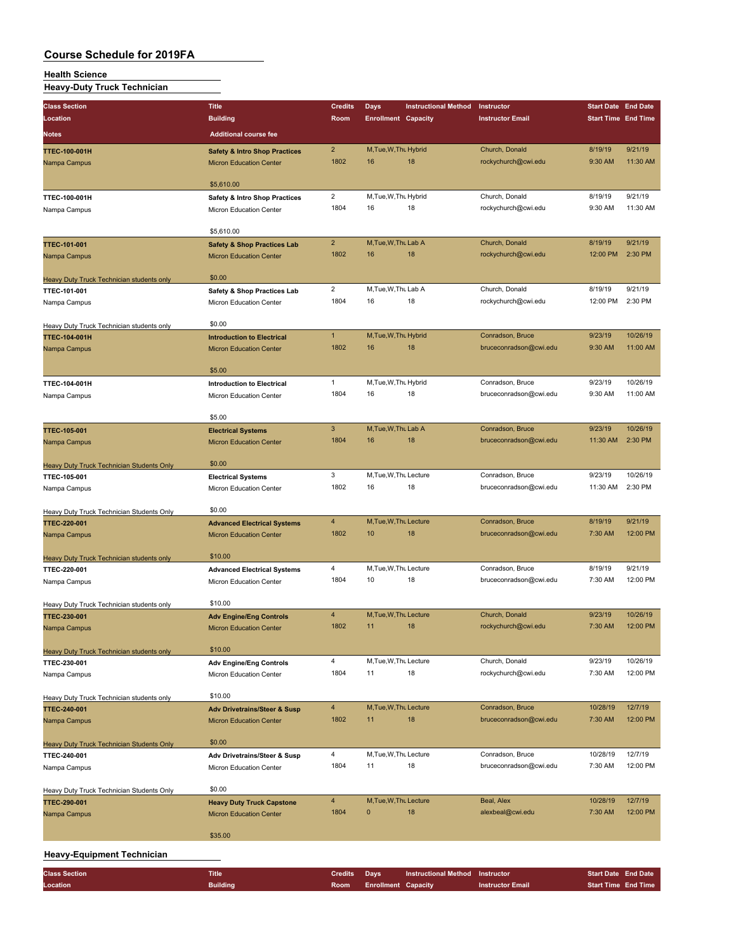#### **Health Science**

**Heavy-Duty Truck Technician**

| <b>Class Section</b>                             | <b>Title</b>                             | <b>Credits</b>       | <b>Days</b>                  | <b>Instructional Method</b> | Instructor                                 | <b>Start Date End Date</b> |                            |
|--------------------------------------------------|------------------------------------------|----------------------|------------------------------|-----------------------------|--------------------------------------------|----------------------------|----------------------------|
| Location                                         | <b>Building</b>                          | Room                 | <b>Enrollment Capacity</b>   |                             | <b>Instructor Email</b>                    | <b>Start Time End Time</b> |                            |
| Notes                                            | <b>Additional course fee</b>             |                      |                              |                             |                                            |                            |                            |
|                                                  |                                          |                      |                              |                             |                                            |                            |                            |
| <b>TTEC-100-001H</b>                             | <b>Safety &amp; Intro Shop Practices</b> | $\overline{2}$       | M, Tue, W, Thu Hybrid        |                             | Church, Donald                             | 8/19/19                    | 9/21/19                    |
| Nampa Campus                                     | <b>Micron Education Center</b>           | 1802                 | 16                           | 18                          | rockychurch@cwi.edu                        | 9:30 AM                    | 11:30 AM                   |
|                                                  | \$5,610.00                               |                      |                              |                             |                                            |                            |                            |
| TTEC-100-001H                                    | <b>Safety &amp; Intro Shop Practices</b> | 2                    | M, Tue, W, Thu Hybrid        |                             | Church, Donald                             | 8/19/19                    | 9/21/19                    |
| Nampa Campus                                     | Micron Education Center                  | 1804                 | 16                           | 18                          | rockychurch@cwi.edu                        | 9:30 AM                    | 11:30 AM                   |
|                                                  |                                          |                      |                              |                             |                                            |                            |                            |
|                                                  | \$5,610.00                               |                      |                              |                             |                                            |                            |                            |
| <b>TTEC-101-001</b>                              | <b>Safety &amp; Shop Practices Lab</b>   | $\overline{2}$       | M, Tue, W, Thu Lab A         |                             | Church, Donald                             | 8/19/19                    | 9/21/19                    |
| Nampa Campus                                     | <b>Micron Education Center</b>           | 1802                 | 16                           | 18                          | rockychurch@cwi.edu                        | 12:00 PM                   | 2:30 PM                    |
|                                                  |                                          |                      |                              |                             |                                            |                            |                            |
| Heavy Duty Truck Technician students only        | \$0.00                                   |                      |                              |                             |                                            |                            |                            |
| TTEC-101-001                                     | Safety & Shop Practices Lab              | $\overline{2}$       | M, Tue, W, Thu Lab A         |                             | Church, Donald                             | 8/19/19                    | 9/21/19                    |
| Nampa Campus                                     | Micron Education Center                  | 1804                 | 16                           | 18                          | rockychurch@cwi.edu                        | 12:00 PM                   | 2:30 PM                    |
|                                                  |                                          |                      |                              |                             |                                            |                            |                            |
| Heavy Duty Truck Technician students only        | \$0.00                                   |                      |                              |                             |                                            |                            |                            |
| <b>TTEC-104-001H</b>                             | <b>Introduction to Electrical</b>        | $\mathbf{1}$<br>1802 | M, Tue, W, Thu Hybrid<br>16  | 18                          | Conradson, Bruce                           | 9/23/19<br>9:30 AM         | 10/26/19<br>11:00 AM       |
| Nampa Campus                                     | <b>Micron Education Center</b>           |                      |                              |                             | bruceconradson@cwi.edu                     |                            |                            |
|                                                  | \$5.00                                   |                      |                              |                             |                                            |                            |                            |
| TTEC-104-001H                                    | <b>Introduction to Electrical</b>        | $\mathbf{1}$         | M, Tue, W, Thu Hybrid        |                             | Conradson, Bruce                           | 9/23/19                    | 10/26/19                   |
| Nampa Campus                                     | Micron Education Center                  | 1804                 | 16                           | 18                          | bruceconradson@cwi.edu                     | 9:30 AM                    | 11:00 AM                   |
|                                                  |                                          |                      |                              |                             |                                            |                            |                            |
|                                                  | \$5.00                                   |                      |                              |                             |                                            |                            |                            |
| <b>TTEC-105-001</b>                              | <b>Electrical Systems</b>                | 3                    | M.Tue.W.Thu Lab A            |                             | Conradson, Bruce                           | 9/23/19                    | 10/26/19                   |
| Nampa Campus                                     | <b>Micron Education Center</b>           | 1804                 | 16                           | 18                          | bruceconradson@cwi.edu                     | 11:30 AM                   | 2:30 PM                    |
|                                                  |                                          |                      |                              |                             |                                            |                            |                            |
| Heavy Duty Truck Technician Students Only        | \$0.00                                   |                      |                              |                             |                                            |                            |                            |
| TTEC-105-001                                     | <b>Electrical Systems</b>                | 3                    | M, Tue, W, Thu Lecture       |                             | Conradson, Bruce                           | 9/23/19                    | 10/26/19                   |
| Nampa Campus                                     | Micron Education Center                  | 1802                 | 16                           | 18                          | bruceconradson@cwi.edu                     | 11:30 AM                   | 2:30 PM                    |
|                                                  |                                          |                      |                              |                             |                                            |                            |                            |
| Heavy Duty Truck Technician Students Only        | \$0.00                                   | $\overline{4}$       |                              |                             |                                            |                            | 9/21/19                    |
| TTEC-220-001                                     | <b>Advanced Electrical Systems</b>       | 1802                 | M, Tue, W, Thu Lecture<br>10 | 18                          | Conradson, Bruce<br>bruceconradson@cwi.edu | 8/19/19<br>7:30 AM         | 12:00 PM                   |
| Nampa Campus                                     | <b>Micron Education Center</b>           |                      |                              |                             |                                            |                            |                            |
| Heavy Duty Truck Technician students only        | \$10.00                                  |                      |                              |                             |                                            |                            |                            |
| TTEC-220-001                                     | <b>Advanced Electrical Systems</b>       | 4                    | M, Tue, W, Thu Lecture       |                             | Conradson, Bruce                           | 8/19/19                    | 9/21/19                    |
| Nampa Campus                                     | Micron Education Center                  | 1804                 | 10                           | 18                          | bruceconradson@cwi.edu                     | 7:30 AM                    | 12:00 PM                   |
|                                                  |                                          |                      |                              |                             |                                            |                            |                            |
| Heavy Duty Truck Technician students only        | \$10.00                                  |                      |                              |                             |                                            |                            |                            |
| <b>TTEC-230-001</b>                              | <b>Adv Engine/Eng Controls</b>           | $\overline{4}$       | M, Tue, W, Thu Lecture       |                             | Church, Donald                             | 9/23/19                    | 10/26/19                   |
| Nampa Campus                                     | <b>Micron Education Center</b>           | 1802                 | 11                           | 18                          | rockychurch@cwi.edu                        | 7:30 AM                    | 12:00 PM                   |
|                                                  |                                          |                      |                              |                             |                                            |                            |                            |
| Heavy Duty Truck Technician students only        | \$10.00                                  |                      |                              |                             |                                            |                            |                            |
| TTEC-230-001                                     | <b>Adv Engine/Eng Controls</b>           | 4                    | M, Tue, W, Thu Lecture       |                             | Church, Donald                             | 9/23/19                    | 10/26/19                   |
| Nampa Campus                                     | Micron Education Center                  | 1804                 | 11                           | 18                          | rockychurch@cwi.edu                        | 7:30 AM                    | 12:00 PM                   |
|                                                  |                                          |                      |                              |                             |                                            |                            |                            |
| Heavy Duty Truck Technician students only        | \$10.00                                  |                      |                              |                             |                                            |                            |                            |
| TTEC-240-001                                     | <b>Adv Drivetrains/Steer &amp; Susp</b>  | 4<br>1802            | M, Tue, W, Thu Lecture<br>11 | 18                          | Conradson, Bruce                           | 10/28/19<br>7:30 AM        | 12/7/19<br>12:00 PM        |
| Nampa Campus                                     | <b>Micron Education Center</b>           |                      |                              |                             | bruceconradson@cwi.edu                     |                            |                            |
| <b>Heavy Duty Truck Technician Students Only</b> | \$0.00                                   |                      |                              |                             |                                            |                            |                            |
| TTEC-240-001                                     | Adv Drivetrains/Steer & Susp             | 4                    | M, Tue, W, Thu Lecture       |                             | Conradson, Bruce                           | 10/28/19                   | 12/7/19                    |
| Nampa Campus                                     | Micron Education Center                  | 1804                 | 11                           | 18                          | bruceconradson@cwi.edu                     | 7:30 AM                    | 12:00 PM                   |
|                                                  |                                          |                      |                              |                             |                                            |                            |                            |
| <b>Heavy Duty Truck Technician Students Only</b> | \$0.00                                   |                      |                              |                             |                                            |                            |                            |
| <b>TTEC-290-001</b>                              | <b>Heavy Duty Truck Capstone</b>         | 4                    | M, Tue, W, Thu Lecture       |                             | Beal, Alex                                 | 10/28/19                   | 12/7/19                    |
| Nampa Campus                                     | <b>Micron Education Center</b>           | 1804                 | $\bf{0}$                     | 18                          | alexbeal@cwi.edu                           | 7:30 AM                    | 12:00 PM                   |
|                                                  |                                          |                      |                              |                             |                                            |                            |                            |
|                                                  | \$35.00                                  |                      |                              |                             |                                            |                            |                            |
| <b>Heavy-Equipment Technician</b>                |                                          |                      |                              |                             |                                            |                            |                            |
|                                                  |                                          |                      |                              |                             |                                            |                            |                            |
| <b>Class Section</b>                             | <b>Title</b>                             | <b>Credits</b>       | Days                         | <b>Instructional Method</b> | Instructor                                 | <b>Start Date End Date</b> |                            |
| Location                                         | <b>Building</b>                          | Room                 | <b>Enrollment Capacity</b>   |                             | <b>Instructor Email</b>                    |                            | <b>Start Time End Time</b> |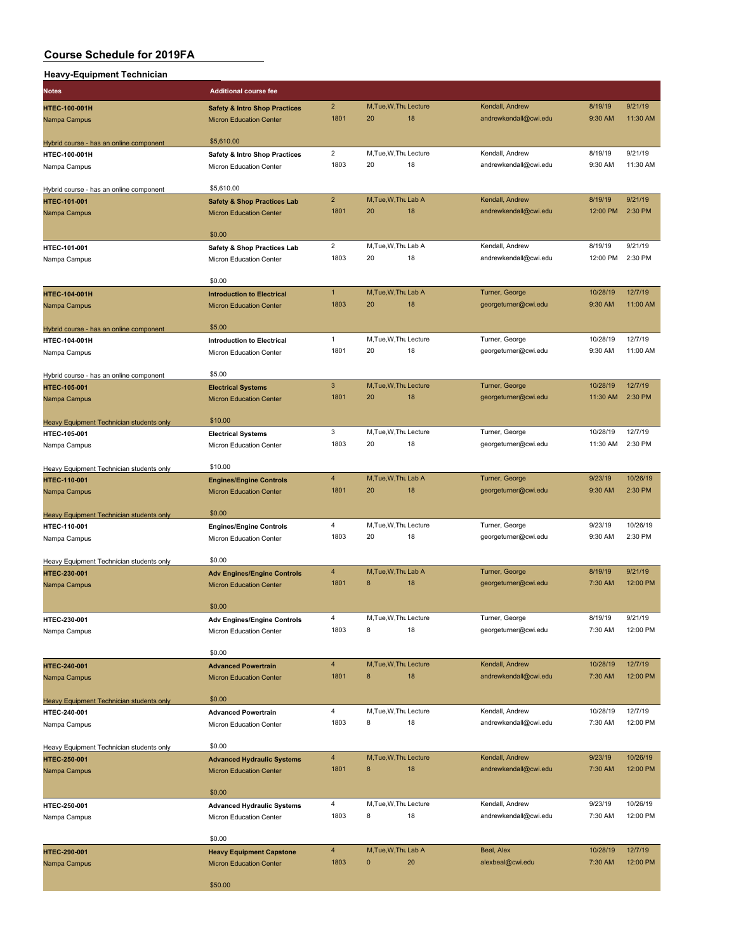| <b>Additional course fee</b>             |                |    |    |                       |         |          |
|------------------------------------------|----------------|----|----|-----------------------|---------|----------|
| <b>Safety &amp; Intro Shop Practices</b> | $\overline{2}$ |    |    | Kendall, Andrew       | 8/19/19 | 9/21/19  |
| <b>Micron Education Center</b>           | 1801           | 20 | 18 | andrewkendall@cwi.edu | 9:30 AM | 11:30 AM |
|                                          |                |    |    | M.Tue.W.Thu Lecture   |         |          |

|                                                          | \$5,610.00                                                           |                        |          |                              |                                          |                     |                      |
|----------------------------------------------------------|----------------------------------------------------------------------|------------------------|----------|------------------------------|------------------------------------------|---------------------|----------------------|
| Hybrid course - has an online component<br>HTEC-100-001H | Safety & Intro Shop Practices                                        | $\overline{2}$         |          | M, Tue, W, Thu Lecture       | Kendall, Andrew                          | 8/19/19             | 9/21/19              |
| Nampa Campus                                             | Micron Education Center                                              | 1803                   | 20       | 18                           | andrewkendall@cwi.edu                    | 9:30 AM             | 11:30 AM             |
|                                                          |                                                                      |                        |          |                              |                                          |                     |                      |
| Hybrid course - has an online component                  | \$5,610.00                                                           |                        |          |                              |                                          |                     |                      |
| <b>HTEC-101-001</b>                                      | <b>Safety &amp; Shop Practices Lab</b>                               | $\overline{2}$         |          | M, Tue, W, Thu Lab A         | Kendall, Andrew                          | 8/19/19             | 9/21/19              |
| Nampa Campus                                             | <b>Micron Education Center</b>                                       | 1801                   | 20       | 18                           | andrewkendall@cwi.edu                    | 12:00 PM            | 2:30 PM              |
|                                                          |                                                                      |                        |          |                              |                                          |                     |                      |
|                                                          | \$0.00                                                               |                        |          |                              |                                          |                     |                      |
| HTEC-101-001                                             | Safety & Shop Practices Lab                                          | $\overline{2}$         |          | M, Tue, W, Thu Lab A         | Kendall, Andrew                          | 8/19/19             | 9/21/19              |
| Nampa Campus                                             | Micron Education Center                                              | 1803                   | 20       | 18                           | andrewkendall@cwi.edu                    | 12:00 PM            | 2:30 PM              |
|                                                          |                                                                      |                        |          |                              |                                          |                     |                      |
|                                                          | \$0.00                                                               |                        |          |                              |                                          |                     |                      |
| <b>HTEC-104-001H</b>                                     | <b>Introduction to Electrical</b>                                    | $\mathbf{1}$           |          | M, Tue, W, Thu Lab A         | Turner, George                           | 10/28/19            | 12/7/19              |
| Nampa Campus                                             | <b>Micron Education Center</b>                                       | 1803                   | 20       | 18                           | georgeturner@cwi.edu                     | 9:30 AM             | 11:00 AM             |
|                                                          |                                                                      |                        |          |                              |                                          |                     |                      |
| Hybrid course - has an online component                  | \$5.00                                                               | $\mathbf{1}$           |          |                              |                                          |                     | 12/7/19              |
| HTEC-104-001H                                            | <b>Introduction to Electrical</b>                                    | 1801                   | 20       | M, Tue, W, Thu Lecture<br>18 | Turner, George<br>georgeturner@cwi.edu   | 10/28/19<br>9:30 AM | 11:00 AM             |
| Nampa Campus                                             | Micron Education Center                                              |                        |          |                              |                                          |                     |                      |
| Hybrid course - has an online component                  | \$5.00                                                               |                        |          |                              |                                          |                     |                      |
| <b>HTEC-105-001</b>                                      | <b>Electrical Systems</b>                                            | 3                      |          | M, Tue, W, Thu Lecture       | Turner, George                           | 10/28/19            | 12/7/19              |
| Nampa Campus                                             | <b>Micron Education Center</b>                                       | 1801                   | 20       | 18                           | georgeturner@cwi.edu                     | 11:30 AM            | 2:30 PM              |
|                                                          |                                                                      |                        |          |                              |                                          |                     |                      |
| Heavy Equipment Technician students only                 | \$10.00                                                              |                        |          |                              |                                          |                     |                      |
| HTEC-105-001                                             | <b>Electrical Systems</b>                                            | 3                      |          | M.Tue, W.Thu Lecture         | Turner, George                           | 10/28/19            | 12/7/19              |
| Nampa Campus                                             | Micron Education Center                                              | 1803                   | 20       | 18                           | georgeturner@cwi.edu                     | 11:30 AM            | 2:30 PM              |
|                                                          |                                                                      |                        |          |                              |                                          |                     |                      |
| Heavy Equipment Technician students only                 | \$10.00                                                              |                        |          |                              |                                          |                     |                      |
| <b>HTEC-110-001</b>                                      | <b>Engines/Engine Controls</b>                                       | $\overline{4}$         |          | M, Tue, W, Thu Lab A         | Turner, George                           | 9/23/19             | 10/26/19             |
| Nampa Campus                                             | <b>Micron Education Center</b>                                       | 1801                   | 20       | 18                           | georgeturner@cwi.edu                     | 9:30 AM             | 2:30 PM              |
|                                                          |                                                                      |                        |          |                              |                                          |                     |                      |
| Heavy Equipment Technician students only                 | \$0.00                                                               |                        |          |                              |                                          |                     |                      |
| HTEC-110-001                                             | <b>Engines/Engine Controls</b>                                       | $\overline{4}$         |          | M, Tue, W, Thu Lecture       | Turner, George                           | 9/23/19             | 10/26/19             |
| Nampa Campus                                             | Micron Education Center                                              | 1803                   | 20       | 18                           | georgeturner@cwi.edu                     | 9:30 AM             | 2:30 PM              |
|                                                          | \$0.00                                                               |                        |          |                              |                                          |                     |                      |
| <b>Heavy Equipment Technician students only</b>          |                                                                      | $\overline{4}$         |          | M, Tue, W, Thu Lab A         | Turner, George                           | 8/19/19             | 9/21/19              |
| <b>HTEC-230-001</b><br>Nampa Campus                      | <b>Adv Engines/Engine Controls</b><br><b>Micron Education Center</b> | 1801                   | 8        | 18                           | georgeturner@cwi.edu                     | 7:30 AM             | 12:00 PM             |
|                                                          |                                                                      |                        |          |                              |                                          |                     |                      |
|                                                          | \$0.00                                                               |                        |          |                              |                                          |                     |                      |
| HTEC-230-001                                             | <b>Adv Engines/Engine Controls</b>                                   | 4                      |          | M, Tue, W, Thu Lecture       | Turner, George                           | 8/19/19             | 9/21/19              |
| Nampa Campus                                             | <b>Micron Education Center</b>                                       | 1803                   | 8        | 18                           | georgeturner@cwi.edu                     | 7:30 AM             | 12:00 PM             |
|                                                          |                                                                      |                        |          |                              |                                          |                     |                      |
|                                                          | \$0.00                                                               |                        |          |                              |                                          |                     |                      |
| HTEC-240-001                                             | <b>Advanced Powertrain</b>                                           | $\overline{4}$         |          | M, Tue, W, Thu Lecture       | Kendall, Andrew                          | 10/28/19            | 12/7/19              |
| Nampa Campus                                             | <b>Micron Education Center</b>                                       | 1801                   | 8        | 18                           | andrewkendall@cwi.edu                    | 7:30 AM             | 12:00 PM             |
|                                                          |                                                                      |                        |          |                              |                                          |                     |                      |
| Heavy Equipment Technician students only                 | \$0.00                                                               |                        |          |                              |                                          |                     |                      |
| HTEC-240-001                                             | <b>Advanced Powertrain</b>                                           | $\overline{4}$         |          | M, Tue, W, Thu Lecture       | Kendall, Andrew                          | 10/28/19            | 12/7/19              |
| Nampa Campus                                             | Micron Education Center                                              | 1803                   | 8        | 18                           | andrewkendall@cwi.edu                    | 7:30 AM             | 12:00 PM             |
|                                                          |                                                                      |                        |          |                              |                                          |                     |                      |
| Heavy Equipment Technician students only                 | \$0.00                                                               |                        |          |                              |                                          |                     |                      |
| <b>HTEC-250-001</b>                                      | <b>Advanced Hydraulic Systems</b>                                    | $\overline{4}$<br>1801 | $\bf8$   | M, Tue, W, Thu Lecture<br>18 | Kendall, Andrew<br>andrewkendall@cwi.edu | 9/23/19<br>7:30 AM  | 10/26/19<br>12:00 PM |
| Nampa Campus                                             | <b>Micron Education Center</b>                                       |                        |          |                              |                                          |                     |                      |
|                                                          | \$0.00                                                               |                        |          |                              |                                          |                     |                      |
| HTEC-250-001                                             | <b>Advanced Hydraulic Systems</b>                                    | $\overline{4}$         |          | M, Tue, W, Thu Lecture       | Kendall, Andrew                          | 9/23/19             | 10/26/19             |
| Nampa Campus                                             | Micron Education Center                                              | 1803                   | 8        | 18                           | andrewkendall@cwi.edu                    | 7:30 AM             | 12:00 PM             |
|                                                          |                                                                      |                        |          |                              |                                          |                     |                      |
|                                                          | \$0.00                                                               |                        |          |                              |                                          |                     |                      |
| HTEC-290-001                                             | <b>Heavy Equipment Capstone</b>                                      | $\overline{4}$         |          | M, Tue, W, Thu Lab A         | Beal, Alex                               | 10/28/19            | 12/7/19              |
| Nampa Campus                                             | <b>Micron Education Center</b>                                       | 1803                   | $\bf{0}$ | 20                           | alexbeal@cwi.edu                         | 7:30 AM             | 12:00 PM             |
|                                                          |                                                                      |                        |          |                              |                                          |                     |                      |
|                                                          | \$50.00                                                              |                        |          |                              |                                          |                     |                      |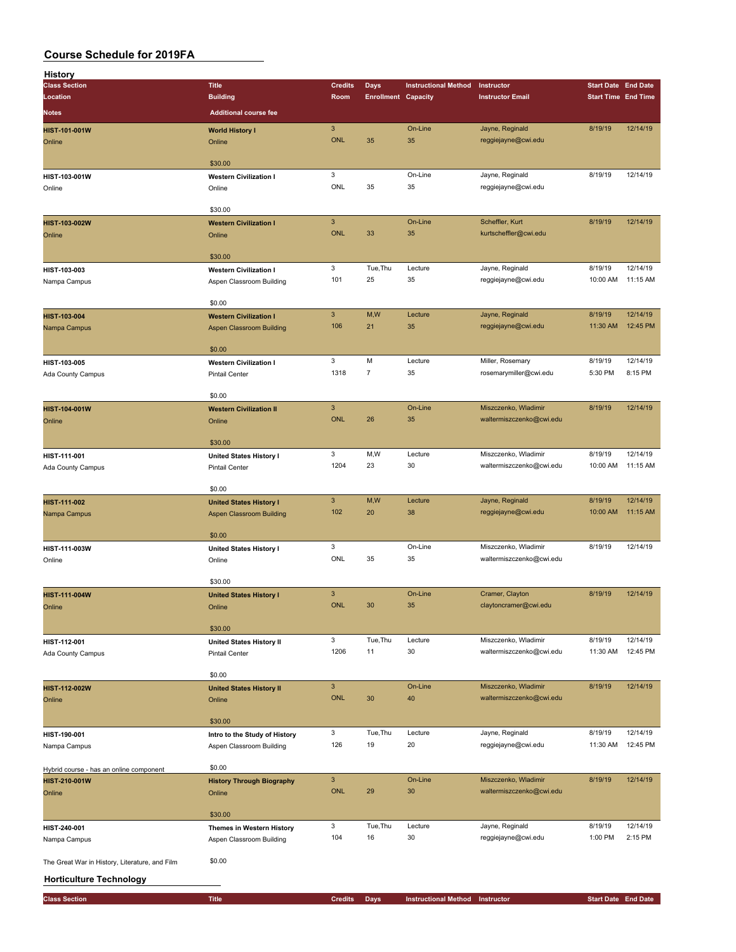| History                                        |                                  |                |                            |                             |                          |                            |          |
|------------------------------------------------|----------------------------------|----------------|----------------------------|-----------------------------|--------------------------|----------------------------|----------|
| <b>Class Section</b>                           | <b>Title</b>                     | <b>Credits</b> | <b>Days</b>                | <b>Instructional Method</b> | Instructor               | <b>Start Date End Date</b> |          |
| Location                                       | <b>Building</b>                  | Room           | <b>Enrollment Capacity</b> |                             | <b>Instructor Email</b>  | <b>Start Time End Time</b> |          |
| <b>Notes</b>                                   | <b>Additional course fee</b>     |                |                            |                             |                          |                            |          |
|                                                |                                  |                |                            |                             |                          |                            |          |
| HIST-101-001W                                  | <b>World History I</b>           | $\mathbf{3}$   |                            | On-Line                     | Jayne, Reginald          | 8/19/19                    | 12/14/19 |
| Online                                         | Online                           | <b>ONL</b>     | 35                         | 35                          | reggiejayne@cwi.edu      |                            |          |
|                                                |                                  |                |                            |                             |                          |                            |          |
|                                                | \$30.00                          |                |                            |                             |                          |                            |          |
| HIST-103-001W                                  | <b>Western Civilization I</b>    | 3              |                            | On-Line                     | Jayne, Reginald          | 8/19/19                    | 12/14/19 |
| Online                                         | Online                           | ONL            | 35                         | 35                          | reggiejayne@cwi.edu      |                            |          |
|                                                |                                  |                |                            |                             |                          |                            |          |
|                                                | \$30.00                          |                |                            |                             |                          |                            |          |
|                                                |                                  |                |                            |                             |                          |                            |          |
| HIST-103-002W                                  | <b>Western Civilization I</b>    | $\mathbf{3}$   |                            | On-Line                     | Scheffler, Kurt          | 8/19/19                    | 12/14/19 |
| Online                                         | Online                           | <b>ONL</b>     | 33                         | 35                          | kurtscheffler@cwi.edu    |                            |          |
|                                                |                                  |                |                            |                             |                          |                            |          |
|                                                | \$30.00                          |                |                            |                             |                          |                            |          |
| HIST-103-003                                   | <b>Western Civilization I</b>    | 3              | Tue, Thu                   | Lecture                     | Jayne, Reginald          | 8/19/19                    | 12/14/19 |
| Nampa Campus                                   | Aspen Classroom Building         | 101            | 25                         | 35                          | reggiejayne@cwi.edu      | 10:00 AM                   | 11:15 AM |
|                                                |                                  |                |                            |                             |                          |                            |          |
|                                                | \$0.00                           |                |                            |                             |                          |                            |          |
|                                                | <b>Western Civilization I</b>    | $\overline{3}$ | M,W                        | Lecture                     | Jayne, Reginald          | 8/19/19                    | 12/14/19 |
| HIST-103-004                                   |                                  | 106            | 21                         | 35                          |                          |                            | 12:45 PM |
| Nampa Campus                                   | <b>Aspen Classroom Building</b>  |                |                            |                             | reggiejayne@cwi.edu      | 11:30 AM                   |          |
|                                                |                                  |                |                            |                             |                          |                            |          |
|                                                | \$0.00                           |                |                            |                             |                          |                            |          |
| HIST-103-005                                   | <b>Western Civilization I</b>    | 3              | M                          | Lecture                     | Miller, Rosemary         | 8/19/19                    | 12/14/19 |
| Ada County Campus                              | <b>Pintail Center</b>            | 1318           | $\overline{7}$             | 35                          | rosemarymiller@cwi.edu   | 5:30 PM                    | 8:15 PM  |
|                                                |                                  |                |                            |                             |                          |                            |          |
|                                                | \$0.00                           |                |                            |                             |                          |                            |          |
| HIST-104-001W                                  | <b>Western Civilization II</b>   | $\mathbf{3}$   |                            | On-Line                     | Miszczenko, Wladimir     | 8/19/19                    | 12/14/19 |
| Online                                         | Online                           | <b>ONL</b>     | 26                         | 35                          | waltermiszczenko@cwi.edu |                            |          |
|                                                |                                  |                |                            |                             |                          |                            |          |
|                                                |                                  |                |                            |                             |                          |                            |          |
|                                                | \$30.00                          |                |                            |                             |                          |                            |          |
| HIST-111-001                                   | <b>United States History I</b>   | 3              | M,W                        | Lecture                     | Miszczenko, Wladimir     | 8/19/19                    | 12/14/19 |
| Ada County Campus                              | <b>Pintail Center</b>            | 1204           | 23                         | 30                          | waltermiszczenko@cwi.edu | 10:00 AM                   | 11:15 AM |
|                                                |                                  |                |                            |                             |                          |                            |          |
|                                                | \$0.00                           |                |                            |                             |                          |                            |          |
| HIST-111-002                                   | <b>United States History I</b>   | $\mathbf{3}$   | M,W                        | Lecture                     | Jayne, Reginald          | 8/19/19                    | 12/14/19 |
| Nampa Campus                                   | <b>Aspen Classroom Building</b>  | 102            | 20                         | 38                          | reggiejayne@cwi.edu      | 10:00 AM                   | 11:15 AM |
|                                                |                                  |                |                            |                             |                          |                            |          |
|                                                | \$0.00                           |                |                            |                             |                          |                            |          |
|                                                |                                  | 3              |                            | On-Line                     | Miszczenko, Wladimir     | 8/19/19                    | 12/14/19 |
| HIST-111-003W                                  | <b>United States History I</b>   | ONL            | 35                         | 35                          | waltermiszczenko@cwi.edu |                            |          |
| Online                                         | Online                           |                |                            |                             |                          |                            |          |
|                                                |                                  |                |                            |                             |                          |                            |          |
|                                                | \$30.00                          |                |                            |                             |                          |                            |          |
| HIST-111-004W                                  | <b>United States History I</b>   | $\mathbf{3}$   |                            | On-Line                     | Cramer, Clayton          | 8/19/19                    | 12/14/19 |
| Online                                         | Online                           | <b>ONL</b>     | 30                         | 35                          | claytoncramer@cwi.edu    |                            |          |
|                                                |                                  |                |                            |                             |                          |                            |          |
|                                                | \$30.00                          |                |                            |                             |                          |                            |          |
| HIST-112-001                                   | <b>United States History II</b>  | 3              | Tue, Thu                   | Lecture                     | Miszczenko, Wladimir     | 8/19/19                    | 12/14/19 |
| Ada County Campus                              | <b>Pintail Center</b>            | 1206           | 11                         | 30                          | waltermiszczenko@cwi.edu | 11:30 AM                   | 12:45 PM |
|                                                |                                  |                |                            |                             |                          |                            |          |
|                                                | \$0.00                           |                |                            |                             |                          |                            |          |
|                                                |                                  |                |                            |                             |                          |                            |          |
| HIST-112-002W                                  | <b>United States History II</b>  | $\mathsf 3$    |                            | On-Line                     | Miszczenko, Wladimir     | 8/19/19                    | 12/14/19 |
| Online                                         | Online                           | <b>ONL</b>     | 30                         | 40                          | waltermiszczenko@cwi.edu |                            |          |
|                                                |                                  |                |                            |                             |                          |                            |          |
|                                                | \$30.00                          |                |                            |                             |                          |                            |          |
| HIST-190-001                                   | Intro to the Study of History    | 3              | Tue, Thu                   | Lecture                     | Jayne, Reginald          | 8/19/19                    | 12/14/19 |
| Nampa Campus                                   | Aspen Classroom Building         | 126            | 19                         | 20                          | reggiejayne@cwi.edu      | 11:30 AM                   | 12:45 PM |
|                                                |                                  |                |                            |                             |                          |                            |          |
|                                                | \$0.00                           |                |                            |                             |                          |                            |          |
| Hybrid course - has an online component        |                                  | $\mathbf{3}$   |                            | On-Line                     | Miszczenko, Wladimir     | 8/19/19                    | 12/14/19 |
| HIST-210-001W                                  | <b>History Through Biography</b> |                |                            |                             |                          |                            |          |
| Online                                         | Online                           | <b>ONL</b>     | 29                         | 30                          | waltermiszczenko@cwi.edu |                            |          |
|                                                |                                  |                |                            |                             |                          |                            |          |
|                                                | \$30.00                          |                |                            |                             |                          |                            |          |
| HIST-240-001                                   | Themes in Western History        | 3              | Tue, Thu                   | Lecture                     | Jayne, Reginald          | 8/19/19                    | 12/14/19 |
| Nampa Campus                                   | Aspen Classroom Building         | 104            | 16                         | 30                          | reggiejayne@cwi.edu      | 1:00 PM                    | 2:15 PM  |
|                                                |                                  |                |                            |                             |                          |                            |          |
| The Great War in History, Literature, and Film | \$0.00                           |                |                            |                             |                          |                            |          |
|                                                |                                  |                |                            |                             |                          |                            |          |
| <b>Horticulture Technology</b>                 |                                  |                |                            |                             |                          |                            |          |
|                                                |                                  |                |                            |                             |                          |                            |          |
| <b>Class Section</b>                           | <b>Title</b>                     | <b>Credits</b> | <b>Days</b>                | <b>Instructional Method</b> | Instructor               | <b>Start Date End Date</b> |          |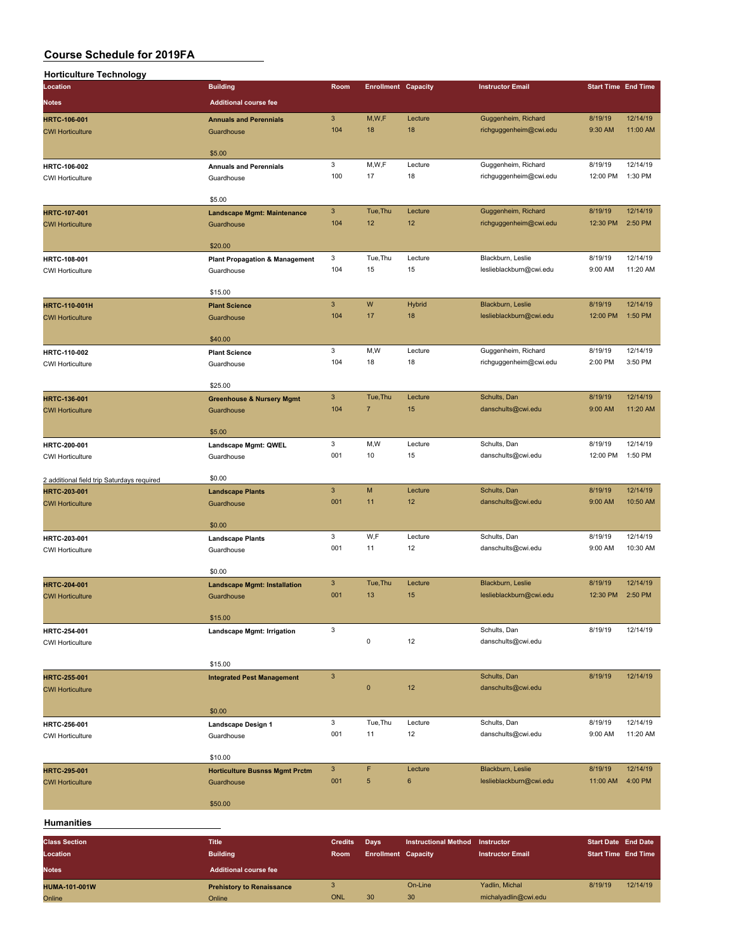| <b>Horticulture Technology</b>                                                                                                                                                                                                    |                                               |                |                            |                             |                         |                                                                                                                                                                                                                                                                                                             |          |
|-----------------------------------------------------------------------------------------------------------------------------------------------------------------------------------------------------------------------------------|-----------------------------------------------|----------------|----------------------------|-----------------------------|-------------------------|-------------------------------------------------------------------------------------------------------------------------------------------------------------------------------------------------------------------------------------------------------------------------------------------------------------|----------|
| Location                                                                                                                                                                                                                          | <b>Building</b>                               | Room           | <b>Enrollment Capacity</b> |                             | <b>Instructor Email</b> |                                                                                                                                                                                                                                                                                                             |          |
| <b>Notes</b>                                                                                                                                                                                                                      | <b>Additional course fee</b>                  |                |                            |                             |                         |                                                                                                                                                                                                                                                                                                             |          |
| <b>HRTC-106-001</b>                                                                                                                                                                                                               | <b>Annuals and Perennials</b>                 | 3              | M,W,F                      | Lecture                     | Guggenheim, Richard     | 8/19/19                                                                                                                                                                                                                                                                                                     | 12/14/19 |
| <b>CWI Horticulture</b>                                                                                                                                                                                                           | Guardhouse                                    | 104            | 18                         | 18                          | richguggenheim@cwi.edu  | 9:30 AM                                                                                                                                                                                                                                                                                                     | 11:00 AM |
|                                                                                                                                                                                                                                   |                                               |                |                            |                             |                         | 8/19/19<br>12:00 PM<br>8/19/19<br>12:30 PM<br>8/19/19<br>9:00 AM<br>8/19/19<br>12:00 PM<br>8/19/19<br>2:00 PM<br>8/19/19<br>9:00 AM<br>8/19/19<br>12:00 PM<br>8/19/19<br>9:00 AM<br>8/19/19<br>9:00 AM<br>8/19/19<br>12:30 PM<br>8/19/19<br>8/19/19<br>8/19/19<br>9:00 AM<br>8/19/19<br>11:00 AM<br>8/19/19 |          |
|                                                                                                                                                                                                                                   | \$5.00                                        | 3              | M,W,F                      | Lecture                     | Guggenheim, Richard     |                                                                                                                                                                                                                                                                                                             | 12/14/19 |
| HRTC-106-002<br><b>CWI Horticulture</b>                                                                                                                                                                                           | <b>Annuals and Perennials</b><br>Guardhouse   | 100            | 17                         | 18                          | richguggenheim@cwi.edu  |                                                                                                                                                                                                                                                                                                             | 1:30 PM  |
|                                                                                                                                                                                                                                   |                                               |                |                            |                             |                         |                                                                                                                                                                                                                                                                                                             |          |
|                                                                                                                                                                                                                                   | \$5.00                                        |                |                            |                             |                         |                                                                                                                                                                                                                                                                                                             |          |
| HRTC-107-001                                                                                                                                                                                                                      | <b>Landscape Mgmt: Maintenance</b>            | $\mathbf{3}$   | Tue, Thu                   | Lecture                     | Guggenheim, Richard     |                                                                                                                                                                                                                                                                                                             | 12/14/19 |
| <b>CWI Horticulture</b>                                                                                                                                                                                                           | Guardhouse                                    | 104            | 12                         | 12                          | richguggenheim@cwi.edu  |                                                                                                                                                                                                                                                                                                             | 2:50 PM  |
|                                                                                                                                                                                                                                   | \$20.00                                       |                |                            |                             |                         |                                                                                                                                                                                                                                                                                                             |          |
| HRTC-108-001                                                                                                                                                                                                                      | <b>Plant Propagation &amp; Management</b>     | 3              | Tue, Thu                   | Lecture                     | Blackburn, Leslie       |                                                                                                                                                                                                                                                                                                             | 12/14/19 |
| <b>CWI Horticulture</b>                                                                                                                                                                                                           | Guardhouse                                    | 104            | 15                         | 15                          | leslieblackburn@cwi.edu |                                                                                                                                                                                                                                                                                                             | 11:20 AM |
|                                                                                                                                                                                                                                   |                                               |                |                            |                             |                         |                                                                                                                                                                                                                                                                                                             |          |
|                                                                                                                                                                                                                                   | \$15.00<br><b>Plant Science</b>               | 3              | W                          | Hybrid                      | Blackburn, Leslie       |                                                                                                                                                                                                                                                                                                             | 12/14/19 |
|                                                                                                                                                                                                                                   | Guardhouse                                    | 104            | 17                         | 18                          | leslieblackburn@cwi.edu |                                                                                                                                                                                                                                                                                                             | 1:50 PM  |
|                                                                                                                                                                                                                                   |                                               |                |                            |                             |                         |                                                                                                                                                                                                                                                                                                             |          |
|                                                                                                                                                                                                                                   | \$40.00                                       |                |                            |                             |                         |                                                                                                                                                                                                                                                                                                             |          |
| HRTC-110-002                                                                                                                                                                                                                      | <b>Plant Science</b>                          | 3              | M,W                        | Lecture                     | Guggenheim, Richard     |                                                                                                                                                                                                                                                                                                             | 12/14/19 |
| <b>CWI Horticulture</b>                                                                                                                                                                                                           | Guardhouse                                    | 104            | 18                         | 18                          | richguggenheim@cwi.edu  |                                                                                                                                                                                                                                                                                                             | 3:50 PM  |
|                                                                                                                                                                                                                                   | \$25.00                                       |                |                            |                             |                         |                                                                                                                                                                                                                                                                                                             |          |
| <b>HRTC-136-001</b>                                                                                                                                                                                                               | <b>Greenhouse &amp; Nursery Mgmt</b>          | $\mathbf{3}$   | Tue, Thu                   | Lecture                     | Schults, Dan            |                                                                                                                                                                                                                                                                                                             | 12/14/19 |
| <b>CWI Horticulture</b><br><b>CWI Horticulture</b><br>HRTC-200-001<br><b>CWI Horticulture</b><br>2 additional field trip Saturdays required<br>HRTC-203-001<br><b>CWI Horticulture</b><br>HRTC-203-001<br><b>CWI Horticulture</b> | Guardhouse                                    | 104            | $\overline{7}$             | 15                          | danschults@cwi.edu      |                                                                                                                                                                                                                                                                                                             | 11:20 AM |
|                                                                                                                                                                                                                                   |                                               |                |                            |                             |                         |                                                                                                                                                                                                                                                                                                             |          |
|                                                                                                                                                                                                                                   | \$5.00                                        | 3              | M,W                        | Lecture                     | Schults, Dan            |                                                                                                                                                                                                                                                                                                             | 12/14/19 |
|                                                                                                                                                                                                                                   | Landscape Mgmt: QWEL<br>Guardhouse            | 001            | 10                         | 15                          | danschults@cwi.edu      |                                                                                                                                                                                                                                                                                                             | 1:50 PM  |
|                                                                                                                                                                                                                                   |                                               |                |                            |                             |                         |                                                                                                                                                                                                                                                                                                             |          |
|                                                                                                                                                                                                                                   | \$0.00                                        |                |                            |                             |                         |                                                                                                                                                                                                                                                                                                             |          |
|                                                                                                                                                                                                                                   | <b>Landscape Plants</b>                       | 3              | M                          | Lecture                     | Schults, Dan            |                                                                                                                                                                                                                                                                                                             | 12/14/19 |
|                                                                                                                                                                                                                                   | Guardhouse                                    | 001            | 11                         | 12                          | danschults@cwi.edu      |                                                                                                                                                                                                                                                                                                             | 10:50 AM |
|                                                                                                                                                                                                                                   | \$0.00                                        |                |                            |                             |                         |                                                                                                                                                                                                                                                                                                             |          |
|                                                                                                                                                                                                                                   | <b>Landscape Plants</b>                       | 3              | W,F                        | Lecture                     | Schults, Dan            |                                                                                                                                                                                                                                                                                                             | 12/14/19 |
| <b>HRTC-110-001H</b><br><b>HRTC-204-001</b><br><b>CWI Horticulture</b><br>HRTC-254-001<br><b>CWI Horticulture</b><br>HRTC-255-001<br><b>CWI Horticulture</b>                                                                      | Guardhouse                                    | 001            | 11                         | 12                          | danschults@cwi.edu      |                                                                                                                                                                                                                                                                                                             | 10:30 AM |
|                                                                                                                                                                                                                                   |                                               |                |                            |                             |                         |                                                                                                                                                                                                                                                                                                             |          |
|                                                                                                                                                                                                                                   | \$0.00<br><b>Landscape Mgmt: Installation</b> | 3              | Tue, Thu                   | Lecture                     | Blackburn, Leslie       |                                                                                                                                                                                                                                                                                                             | 12/14/19 |
|                                                                                                                                                                                                                                   | Guardhouse                                    | 001            | 13                         | 15                          | leslieblackburn@cwi.edu |                                                                                                                                                                                                                                                                                                             | 2:50 PM  |
|                                                                                                                                                                                                                                   |                                               |                |                            |                             |                         |                                                                                                                                                                                                                                                                                                             |          |
|                                                                                                                                                                                                                                   | \$15.00                                       |                |                            |                             |                         |                                                                                                                                                                                                                                                                                                             |          |
|                                                                                                                                                                                                                                   | Landscape Mgmt: Irrigation                    | 3              |                            |                             | Schults, Dan            |                                                                                                                                                                                                                                                                                                             | 12/14/19 |
|                                                                                                                                                                                                                                   |                                               |                | 0                          | 12                          | danschults@cwi.edu      | <b>Start Time End Time</b><br><b>Start Date End Date</b><br><b>Start Time End Time</b>                                                                                                                                                                                                                      |          |
|                                                                                                                                                                                                                                   | \$15.00                                       |                |                            |                             |                         |                                                                                                                                                                                                                                                                                                             |          |
|                                                                                                                                                                                                                                   | <b>Integrated Pest Management</b>             | $\mathbf{3}$   |                            |                             | Schults, Dan            |                                                                                                                                                                                                                                                                                                             | 12/14/19 |
|                                                                                                                                                                                                                                   |                                               |                | $\mathbf{0}$               | 12                          | danschults@cwi.edu      |                                                                                                                                                                                                                                                                                                             |          |
|                                                                                                                                                                                                                                   | \$0.00                                        |                |                            |                             |                         |                                                                                                                                                                                                                                                                                                             |          |
| HRTC-256-001                                                                                                                                                                                                                      | Landscape Design 1                            | 3              | Tue, Thu                   | Lecture                     | Schults, Dan            |                                                                                                                                                                                                                                                                                                             | 12/14/19 |
| <b>CWI Horticulture</b>                                                                                                                                                                                                           | Guardhouse                                    | 001            | 11                         | 12                          | danschults@cwi.edu      |                                                                                                                                                                                                                                                                                                             | 11:20 AM |
|                                                                                                                                                                                                                                   |                                               |                |                            |                             |                         |                                                                                                                                                                                                                                                                                                             |          |
|                                                                                                                                                                                                                                   | \$10.00                                       |                |                            |                             |                         |                                                                                                                                                                                                                                                                                                             |          |
| <b>HRTC-295-001</b>                                                                                                                                                                                                               | <b>Horticulture Busnss Mgmt Prctm</b>         | $\mathbf{3}$   | F                          | Lecture                     | Blackburn, Leslie       |                                                                                                                                                                                                                                                                                                             | 12/14/19 |
| <b>CWI Horticulture</b>                                                                                                                                                                                                           | Guardhouse                                    | 001            | $\sqrt{5}$                 | 6                           | leslieblackburn@cwi.edu |                                                                                                                                                                                                                                                                                                             | 4:00 PM  |
|                                                                                                                                                                                                                                   | \$50.00                                       |                |                            |                             |                         |                                                                                                                                                                                                                                                                                                             |          |
| <b>Humanities</b>                                                                                                                                                                                                                 |                                               |                |                            |                             |                         |                                                                                                                                                                                                                                                                                                             |          |
|                                                                                                                                                                                                                                   |                                               |                |                            |                             |                         |                                                                                                                                                                                                                                                                                                             |          |
| <b>Class Section</b>                                                                                                                                                                                                              | <b>Title</b>                                  | <b>Credits</b> | <b>Days</b>                | <b>Instructional Method</b> | Instructor              |                                                                                                                                                                                                                                                                                                             |          |
| Location                                                                                                                                                                                                                          | <b>Building</b>                               | Room           | <b>Enrollment Capacity</b> |                             | <b>Instructor Email</b> |                                                                                                                                                                                                                                                                                                             |          |
| <b>Notes</b>                                                                                                                                                                                                                      | <b>Additional course fee</b>                  |                |                            |                             |                         |                                                                                                                                                                                                                                                                                                             |          |
| HUMA-101-001W                                                                                                                                                                                                                     | <b>Prehistory to Renaissance</b>              | $\mathsf 3$    |                            | On-Line                     | Yadlin, Michal          |                                                                                                                                                                                                                                                                                                             | 12/14/19 |
| Online                                                                                                                                                                                                                            | Online                                        | <b>ONL</b>     | 30                         | 30                          | michalyadlin@cwi.edu    |                                                                                                                                                                                                                                                                                                             |          |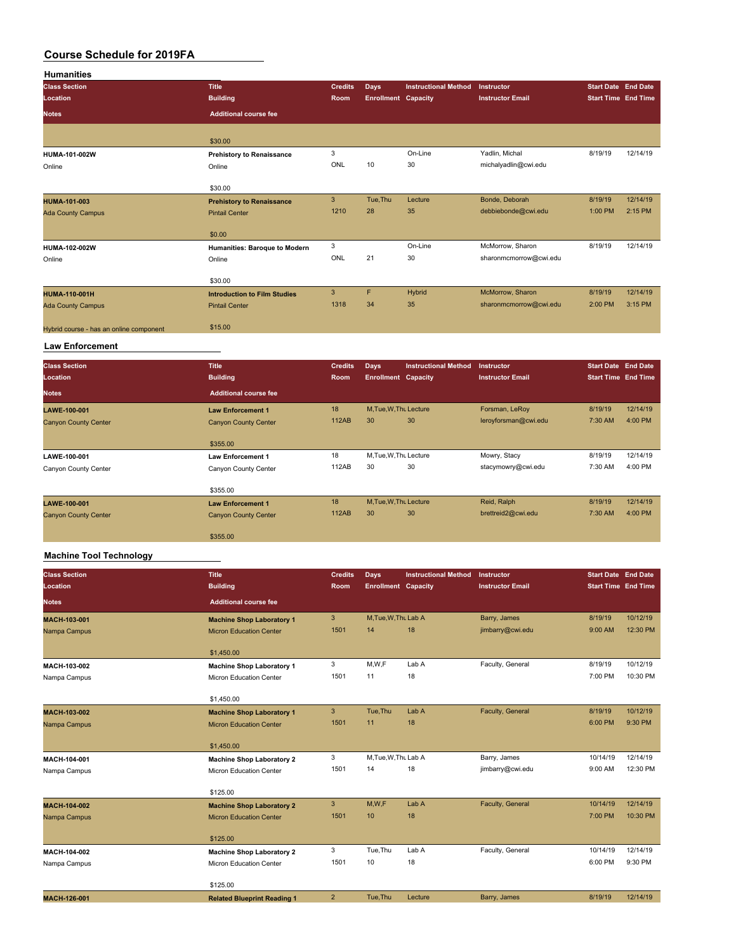| <b>Humanities</b>                       |                                     |                |                            |                             |                                        |                            |          |
|-----------------------------------------|-------------------------------------|----------------|----------------------------|-----------------------------|----------------------------------------|----------------------------|----------|
| <b>Class Section</b>                    | <b>Title</b>                        | <b>Credits</b> | Days                       | <b>Instructional Method</b> | Instructor                             | <b>Start Date End Date</b> |          |
| Location                                | <b>Building</b>                     | Room           | <b>Enrollment Capacity</b> |                             | <b>Instructor Email</b>                | <b>Start Time End Time</b> |          |
| <b>Notes</b>                            | <b>Additional course fee</b>        |                |                            |                             |                                        |                            |          |
|                                         |                                     |                |                            |                             |                                        |                            |          |
|                                         | \$30.00                             | 3              |                            |                             |                                        |                            |          |
| HUMA-101-002W                           | <b>Prehistory to Renaissance</b>    | ONL            | 10                         | On-Line<br>30               | Yadlin, Michal<br>michalyadlin@cwi.edu | 8/19/19                    | 12/14/19 |
| Online                                  | Online                              |                |                            |                             |                                        |                            |          |
|                                         | \$30.00                             |                |                            |                             |                                        |                            |          |
| HUMA-101-003                            | <b>Prehistory to Renaissance</b>    | $\mathsf 3$    | Tue, Thu                   | Lecture                     | Bonde, Deborah                         | 8/19/19                    | 12/14/19 |
| <b>Ada County Campus</b>                | <b>Pintail Center</b>               | 1210           | 28                         | 35                          | debbiebonde@cwi.edu                    | 1:00 PM                    | 2:15 PM  |
|                                         | \$0.00                              |                |                            |                             |                                        |                            |          |
| HUMA-102-002W                           | Humanities: Baroque to Modern       | 3              |                            | On-Line                     | McMorrow, Sharon                       | 8/19/19                    | 12/14/19 |
| Online                                  | Online                              | ONL            | 21                         | 30                          | sharonmcmorrow@cwi.edu                 |                            |          |
|                                         | \$30.00                             |                |                            |                             |                                        |                            |          |
| HUMA-110-001H                           | <b>Introduction to Film Studies</b> | $\overline{3}$ | F                          | <b>Hybrid</b>               | McMorrow, Sharon                       | 8/19/19                    | 12/14/19 |
| <b>Ada County Campus</b>                | <b>Pintail Center</b>               | 1318           | 34                         | 35                          | sharonmcmorrow@cwi.edu                 | 2:00 PM                    | 3:15 PM  |
| Hybrid course - has an online component | \$15.00                             |                |                            |                             |                                        |                            |          |
| <b>Law Enforcement</b>                  |                                     |                |                            |                             |                                        |                            |          |
| <b>Class Section</b>                    | <b>Title</b>                        | <b>Credits</b> | Days                       | <b>Instructional Method</b> | Instructor                             | <b>Start Date End Date</b> |          |
| Location                                | <b>Building</b>                     | Room           | <b>Enrollment Capacity</b> |                             | <b>Instructor Email</b>                | <b>Start Time End Time</b> |          |
| Notes                                   | <b>Additional course fee</b>        |                |                            |                             |                                        |                            |          |
|                                         |                                     | 18             | M, Tue, W, Thu Lecture     |                             | Forsman, LeRoy                         | 8/19/19                    | 12/14/19 |
| LAWE-100-001                            | <b>Law Enforcement 1</b>            | <b>112AB</b>   | 30                         | 30                          | leroyforsman@cwi.edu                   | 7:30 AM                    | 4:00 PM  |
| <b>Canyon County Center</b>             | <b>Canyon County Center</b>         |                |                            |                             |                                        |                            |          |
|                                         | \$355.00                            |                |                            |                             |                                        |                            |          |
| LAWE-100-001                            | <b>Law Enforcement 1</b>            | 18             | M, Tue, W, Thu Lecture     |                             | Mowry, Stacy                           | 8/19/19                    | 12/14/19 |
| Canyon County Center                    | Canyon County Center                | 112AB          | 30                         | 30                          | stacymowry@cwi.edu                     | 7:30 AM                    | 4:00 PM  |
|                                         | \$355.00                            |                |                            |                             |                                        |                            |          |
| LAWE-100-001                            | <b>Law Enforcement 1</b>            | 18             | M, Tue, W, Thu Lecture     |                             | Reid, Ralph                            | 8/19/19                    | 12/14/19 |
| <b>Canyon County Center</b>             | <b>Canyon County Center</b>         | <b>112AB</b>   | 30                         | 30                          | brettreid2@cwi.edu                     | 7:30 AM                    | 4:00 PM  |
|                                         | \$355.00                            |                |                            |                             |                                        |                            |          |
| <b>Machine Tool Technology</b>          |                                     |                |                            |                             |                                        |                            |          |
| <b>Class Section</b>                    | <b>Title</b>                        | <b>Credits</b> | <b>Days</b>                | <b>Instructional Method</b> | Instructor                             | <b>Start Date End Date</b> |          |
| Location                                | <b>Building</b>                     | Room           | <b>Enrollment Capacity</b> |                             | <b>Instructor Email</b>                | <b>Start Time End Time</b> |          |
| Notes                                   | <b>Additional course fee</b>        |                |                            |                             |                                        |                            |          |
| MACH-103-001                            | <b>Machine Shop Laboratory 1</b>    | $\mathbf{3}$   | M, Tue, W, Thu Lab A       |                             | Barry, James                           | 8/19/19                    | 10/12/19 |
| Nampa Campus                            | <b>Micron Education Center</b>      | 1501           | 14                         | 18                          | jimbarry@cwi.edu                       | 9:00 AM                    | 12:30 PM |
|                                         | \$1,450.00                          |                |                            |                             |                                        |                            |          |
| MACH-103-002                            | <b>Machine Shop Laboratory 1</b>    | 3              | M, W, F                    | Lab A                       | Faculty, General                       | 8/19/19                    | 10/12/19 |
| Nampa Campus                            | Micron Education Center             | 1501           | 11                         | 18                          |                                        | 7:00 PM                    | 10:30 PM |
|                                         |                                     |                |                            |                             |                                        |                            |          |

|                     | \$1,450.00                         |                |                      |         |                  |          |          |
|---------------------|------------------------------------|----------------|----------------------|---------|------------------|----------|----------|
| MACH-103-002        | <b>Machine Shop Laboratory 1</b>   | 3              | Tue, Thu             | Lab A   | Faculty, General | 8/19/19  | 10/12/19 |
| Nampa Campus        | <b>Micron Education Center</b>     | 1501           | 11                   | 18      |                  | 6:00 PM  | 9:30 PM  |
|                     | \$1,450.00                         |                |                      |         |                  |          |          |
| MACH-104-001        | <b>Machine Shop Laboratory 2</b>   | 3              | M, Tue, W, Thu Lab A |         | Barry, James     | 10/14/19 | 12/14/19 |
| Nampa Campus        | Micron Education Center            | 1501           | 14                   | 18      | jimbarry@cwi.edu | 9:00 AM  | 12:30 PM |
|                     | \$125.00                           |                |                      |         |                  |          |          |
| <b>MACH-104-002</b> | <b>Machine Shop Laboratory 2</b>   | 3              | M, W, F              | Lab A   | Faculty, General | 10/14/19 | 12/14/19 |
| Nampa Campus        | <b>Micron Education Center</b>     | 1501           | 10                   | 18      |                  | 7:00 PM  | 10:30 PM |
|                     | \$125.00                           |                |                      |         |                  |          |          |
| MACH-104-002        | <b>Machine Shop Laboratory 2</b>   | 3              | Tue, Thu             | Lab A   | Faculty, General | 10/14/19 | 12/14/19 |
| Nampa Campus        | Micron Education Center            | 1501           | 10                   | 18      |                  | 6:00 PM  | 9:30 PM  |
|                     | \$125.00                           |                |                      |         |                  |          |          |
| <b>MACH-126-001</b> | <b>Related Blueprint Reading 1</b> | $\overline{2}$ | Tue, Thu             | Lecture | Barry, James     | 8/19/19  | 12/14/19 |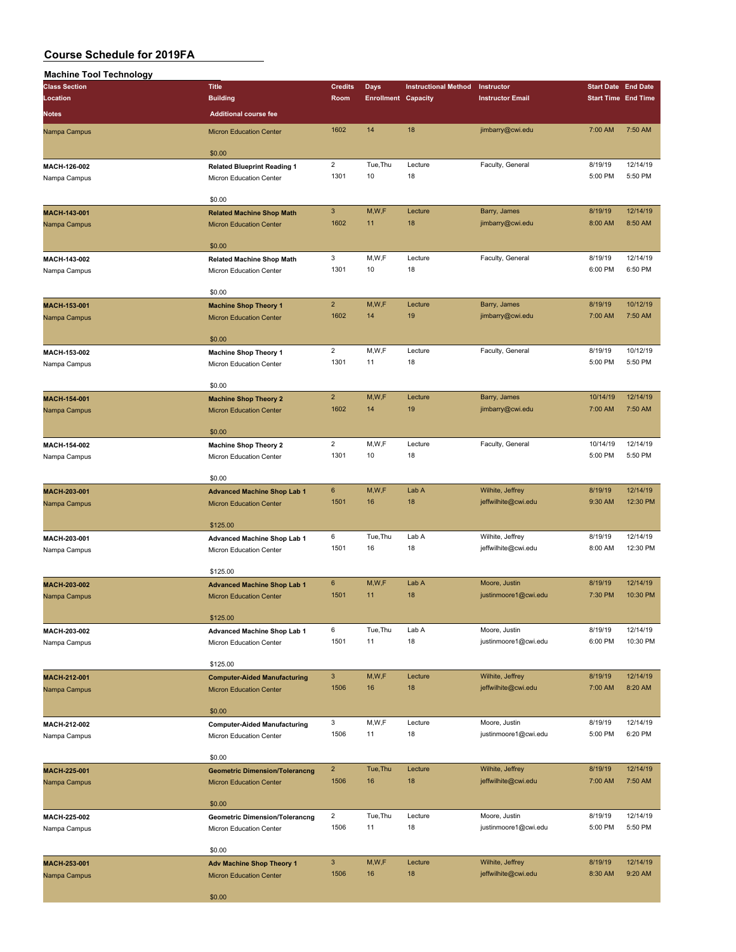| <b>Machine Tool Technology</b> |                                                                         |                          |                            |                             |                                         |                            |                      |
|--------------------------------|-------------------------------------------------------------------------|--------------------------|----------------------------|-----------------------------|-----------------------------------------|----------------------------|----------------------|
| <b>Class Section</b>           | <b>Title</b>                                                            | <b>Credits</b>           | <b>Days</b>                | <b>Instructional Method</b> | Instructor                              | <b>Start Date End Date</b> |                      |
| Location                       | <b>Building</b>                                                         | Room                     | <b>Enrollment Capacity</b> |                             | <b>Instructor Email</b>                 | <b>Start Time End Time</b> |                      |
| <b>Notes</b>                   | <b>Additional course fee</b>                                            |                          |                            |                             |                                         |                            |                      |
| Nampa Campus                   | <b>Micron Education Center</b>                                          | 1602                     | 14                         | 18                          | jimbarry@cwi.edu                        | 7:00 AM                    | 7:50 AM              |
|                                | \$0.00                                                                  |                          |                            |                             |                                         |                            |                      |
| MACH-126-002<br>Nampa Campus   | <b>Related Blueprint Reading 1</b><br>Micron Education Center           | $\overline{2}$<br>1301   | Tue, Thu<br>10             | Lecture<br>18               | Faculty, General                        | 8/19/19<br>5:00 PM         | 12/14/19<br>5:50 PM  |
|                                | \$0.00                                                                  |                          |                            |                             |                                         |                            |                      |
| MACH-143-001<br>Nampa Campus   | <b>Related Machine Shop Math</b><br><b>Micron Education Center</b>      | $\mathbf{3}$<br>1602     | M,W,F<br>11                | Lecture<br>18               | Barry, James<br>jimbarry@cwi.edu        | 8/19/19<br>8:00 AM         | 12/14/19<br>8:50 AM  |
|                                | \$0.00                                                                  |                          |                            |                             |                                         |                            |                      |
| MACH-143-002<br>Nampa Campus   | <b>Related Machine Shop Math</b><br>Micron Education Center             | 3<br>1301                | M,W,F<br>10                | Lecture<br>18               | Faculty, General                        | 8/19/19<br>6:00 PM         | 12/14/19<br>6:50 PM  |
|                                | \$0.00                                                                  |                          |                            |                             |                                         |                            |                      |
| MACH-153-001                   | <b>Machine Shop Theory 1</b>                                            | $\overline{2}$           | M,W,F                      | Lecture                     | Barry, James                            | 8/19/19                    | 10/12/19             |
| Nampa Campus                   | <b>Micron Education Center</b><br>\$0.00                                | 1602                     | 14                         | 19                          | jimbarry@cwi.edu                        | 7:00 AM                    | 7:50 AM              |
| MACH-153-002                   | <b>Machine Shop Theory 1</b>                                            | $\overline{2}$           | M,W,F                      | Lecture                     | Faculty, General                        | 8/19/19                    | 10/12/19             |
| Nampa Campus                   | Micron Education Center                                                 | 1301                     | 11                         | 18                          |                                         | 5:00 PM                    | 5:50 PM              |
| MACH-154-001                   | \$0.00<br><b>Machine Shop Theory 2</b>                                  | $\overline{2}$           | M,W,F                      | Lecture                     | Barry, James                            | 10/14/19                   | 12/14/19             |
| Nampa Campus                   | <b>Micron Education Center</b>                                          | 1602                     | 14                         | 19                          | jimbarry@cwi.edu                        | 7:00 AM                    | 7:50 AM              |
| MACH-154-002                   | \$0.00<br><b>Machine Shop Theory 2</b>                                  | $\overline{2}$           | M,W,F                      | Lecture                     | Faculty, General                        | 10/14/19                   | 12/14/19             |
| Nampa Campus                   | Micron Education Center                                                 | 1301                     | 10                         | 18                          |                                         | 5:00 PM                    | 5:50 PM              |
|                                | \$0.00                                                                  |                          |                            |                             |                                         |                            |                      |
| MACH-203-001                   | <b>Advanced Machine Shop Lab 1</b>                                      | $\bf 6$                  | M,W,F                      | Lab A                       | Wilhite, Jeffrey                        | 8/19/19                    | 12/14/19             |
| Nampa Campus                   | <b>Micron Education Center</b>                                          | 1501                     | 16                         | 18                          | jeffwilhite@cwi.edu                     | 9:30 AM                    | 12:30 PM             |
|                                | \$125.00                                                                | 6                        | Tue, Thu                   | Lab A                       | Wilhite, Jeffrey                        | 8/19/19                    | 12/14/19             |
| MACH-203-001<br>Nampa Campus   | <b>Advanced Machine Shop Lab 1</b><br>Micron Education Center           | 1501                     | 16                         | 18                          | jeffwilhite@cwi.edu                     | 8:00 AM                    | 12:30 PM             |
|                                | \$125.00                                                                |                          |                            |                             |                                         |                            |                      |
| MACH-203-002<br>Nampa Campus   | <b>Advanced Machine Shop Lab 1</b><br><b>Micron Education Center</b>    | $\boldsymbol{6}$<br>1501 | M,W,F<br>11                | Lab A<br>18                 | Moore, Justin<br>justinmoore1@cwi.edu   | 8/19/19<br>7:30 PM         | 12/14/19<br>10:30 PM |
|                                | \$125.00                                                                |                          |                            |                             |                                         |                            |                      |
| MACH-203-002<br>Nampa Campus   | Advanced Machine Shop Lab 1<br>Micron Education Center                  | 6<br>1501                | Tue, Thu<br>11             | Lab A<br>18                 | Moore, Justin<br>justinmoore1@cwi.edu   | 8/19/19<br>6:00 PM         | 12/14/19<br>10:30 PM |
|                                | \$125.00                                                                |                          |                            |                             |                                         |                            |                      |
| MACH-212-001<br>Nampa Campus   | <b>Computer-Aided Manufacturing</b><br><b>Micron Education Center</b>   | $\mathbf{3}$<br>1506     | M,W,F<br>16                | Lecture<br>18               | Wilhite, Jeffrey<br>jeffwilhite@cwi.edu | 8/19/19<br>7:00 AM         | 12/14/19<br>8:20 AM  |
|                                | \$0.00                                                                  |                          |                            |                             |                                         |                            |                      |
| MACH-212-002<br>Nampa Campus   | <b>Computer-Aided Manufacturing</b><br><b>Micron Education Center</b>   | 3<br>1506                | M,W,F<br>11                | Lecture<br>18               | Moore, Justin<br>justinmoore1@cwi.edu   | 8/19/19<br>5:00 PM         | 12/14/19<br>6:20 PM  |
|                                | \$0.00                                                                  |                          |                            |                             |                                         |                            |                      |
| MACH-225-001<br>Nampa Campus   | <b>Geometric Dimension/Tolerancng</b><br><b>Micron Education Center</b> | $\overline{2}$<br>1506   | Tue, Thu<br>16             | Lecture<br>18               | Wilhite, Jeffrey<br>jeffwilhite@cwi.edu | 8/19/19<br>7:00 AM         | 12/14/19<br>7:50 AM  |
|                                | \$0.00                                                                  |                          |                            |                             |                                         |                            |                      |
| MACH-225-002<br>Nampa Campus   | <b>Geometric Dimension/Tolerancng</b><br>Micron Education Center        | $\overline{2}$<br>1506   | Tue, Thu<br>11             | Lecture<br>18               | Moore, Justin<br>justinmoore1@cwi.edu   | 8/19/19<br>5:00 PM         | 12/14/19<br>5:50 PM  |
|                                | \$0.00                                                                  |                          |                            |                             |                                         |                            |                      |
| MACH-253-001<br>Nampa Campus   | <b>Adv Machine Shop Theory 1</b><br><b>Micron Education Center</b>      | $\mathbf{3}$<br>1506     | M,W,F<br>16                | Lecture<br>18               | Wilhite, Jeffrey<br>jeffwilhite@cwi.edu | 8/19/19<br>8:30 AM         | 12/14/19<br>9:20 AM  |
|                                | \$0.00                                                                  |                          |                            |                             |                                         |                            |                      |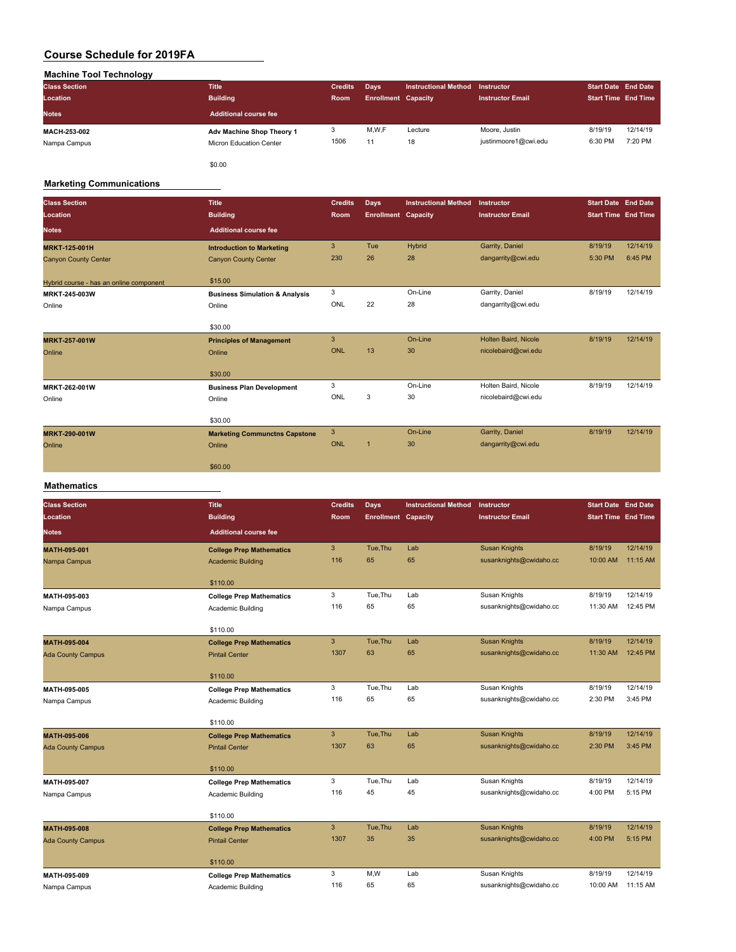| <b>Machine Tool Technology</b> |                           |                |                            |                             |                         |                                                                                |          |
|--------------------------------|---------------------------|----------------|----------------------------|-----------------------------|-------------------------|--------------------------------------------------------------------------------|----------|
| <b>Class Section</b>           | <b>Title</b>              | <b>Credits</b> | Days                       | <b>Instructional Method</b> | <b>Instructor</b>       | <b>Start Date End Date</b><br><b>Start Time End Time</b><br>8/19/19<br>6:30 PM |          |
| Location                       | <b>Building</b>           | <b>Room</b>    | <b>Enrollment Capacity</b> |                             | <b>Instructor Email</b> |                                                                                |          |
| <b>Notes</b>                   | Additional course fee     |                |                            |                             |                         |                                                                                |          |
| <b>MACH-253-002</b>            | Adv Machine Shop Theory 1 | 3              | M,W,F                      | Lecture                     | Moore, Justin           |                                                                                | 12/14/19 |
| Nampa Campus                   | Micron Education Center   | 1506           | 11                         | 18                          | justinmoore1@cwi.edu    |                                                                                | 7:20 PM  |
|                                | \$0.00                    |                |                            |                             |                         |                                                                                |          |

#### **Marketing Communications**

 $\overline{\phantom{a}}$ 

| <b>Class Section</b><br>Location        | <b>Title</b><br><b>Building</b>           | <b>Credits</b><br>Room | Days<br><b>Enrollment Capacity</b> | <b>Instructional Method</b> | Instructor<br><b>Instructor Email</b> | <b>Start Date End Date</b><br><b>Start Time</b> End Time |          |
|-----------------------------------------|-------------------------------------------|------------------------|------------------------------------|-----------------------------|---------------------------------------|----------------------------------------------------------|----------|
| <b>Notes</b>                            | <b>Additional course fee</b>              |                        |                                    |                             |                                       |                                                          |          |
| <b>MRKT-125-001H</b>                    | <b>Introduction to Marketing</b>          | 3                      | Tue                                | Hybrid                      | Garrity, Daniel                       | 8/19/19                                                  | 12/14/19 |
| <b>Canyon County Center</b>             | <b>Canyon County Center</b>               | 230                    | 26                                 | 28                          | dangarrity@cwi.edu                    | 5:30 PM                                                  | 6:45 PM  |
| Hybrid course - has an online component | \$15,00                                   |                        |                                    |                             |                                       |                                                          |          |
| MRKT-245-003W                           | <b>Business Simulation &amp; Analysis</b> | 3                      |                                    | On-Line                     | Garrity, Daniel                       | 8/19/19                                                  | 12/14/19 |
| Online                                  | Online                                    | ONL                    | 22                                 | 28                          | dangarrity@cwi.edu                    |                                                          |          |
|                                         | \$30.00                                   |                        |                                    |                             |                                       |                                                          |          |
| <b>MRKT-257-001W</b>                    | <b>Principles of Management</b>           | 3                      |                                    | On-Line                     | Holten Baird, Nicole                  | 8/19/19                                                  | 12/14/19 |
| Online                                  | Online                                    | <b>ONL</b>             | 13                                 | 30                          | nicolebaird@cwi.edu                   |                                                          |          |
|                                         | \$30.00                                   |                        |                                    |                             |                                       |                                                          |          |
| MRKT-262-001W                           | <b>Business Plan Development</b>          | 3                      |                                    | On-Line                     | Holten Baird, Nicole                  | 8/19/19                                                  | 12/14/19 |
| Online                                  | Online                                    | ONL                    | 3                                  | 30                          | nicolebaird@cwi.edu                   |                                                          |          |
|                                         | \$30.00                                   |                        |                                    |                             |                                       |                                                          |          |
| MRKT-290-001W                           | <b>Marketing Communctns Capstone</b>      | 3                      |                                    | On-Line                     | Garrity, Daniel                       | 8/19/19                                                  | 12/14/19 |
| Online                                  | Online                                    | <b>ONL</b>             | $\overline{1}$                     | 30                          | dangarrity@cwi.edu                    |                                                          |          |
|                                         | \$60.00                                   |                        |                                    |                             |                                       |                                                          |          |

#### **Mathematics**

| <b>Class Section</b>     | <b>Title</b>                    | <b>Credits</b> | <b>Days</b>                | <b>Instructional Method</b> | Instructor              |                                                                                                              |          |
|--------------------------|---------------------------------|----------------|----------------------------|-----------------------------|-------------------------|--------------------------------------------------------------------------------------------------------------|----------|
| Location                 | <b>Building</b>                 | <b>Room</b>    | <b>Enrollment Capacity</b> |                             | <b>Instructor Email</b> |                                                                                                              |          |
| <b>Notes</b>             | <b>Additional course fee</b>    |                |                            |                             |                         |                                                                                                              |          |
| <b>MATH-095-001</b>      | <b>College Prep Mathematics</b> | $\mathbf{3}$   | Tue, Thu                   | Lab                         | <b>Susan Knights</b>    | 8/19/19                                                                                                      | 12/14/19 |
| Nampa Campus             | <b>Academic Building</b>        | 116            | 65                         | 65                          | susanknights@cwidaho.cc | 10:00 AM                                                                                                     | 11:15 AM |
|                          |                                 |                |                            |                             |                         |                                                                                                              |          |
|                          | \$110.00                        |                |                            |                             |                         |                                                                                                              |          |
| MATH-095-003             | <b>College Prep Mathematics</b> | 3              | Tue, Thu                   | Lab                         | Susan Knights           |                                                                                                              | 12/14/19 |
| Nampa Campus             | Academic Building               | 116            | 65                         | 65                          | susanknights@cwidaho.cc |                                                                                                              | 12:45 PM |
|                          | \$110.00                        |                |                            |                             |                         |                                                                                                              |          |
| MATH-095-004             | <b>College Prep Mathematics</b> | $\mathbf{3}$   | Tue, Thu                   | Lab                         | <b>Susan Knights</b>    | 8/19/19                                                                                                      | 12/14/19 |
| <b>Ada County Campus</b> | <b>Pintail Center</b>           | 1307           | 63                         | 65                          | susanknights@cwidaho.cc | 11:30 AM                                                                                                     | 12:45 PM |
|                          |                                 |                |                            |                             |                         |                                                                                                              |          |
|                          | \$110.00                        |                |                            |                             |                         |                                                                                                              |          |
| MATH-095-005             | <b>College Prep Mathematics</b> | 3              | Tue, Thu                   | Lab                         | Susan Knights           | 8/19/19                                                                                                      | 12/14/19 |
| Nampa Campus             | Academic Building               | 116            | 65                         | 65                          | susanknights@cwidaho.cc | 2:30 PM                                                                                                      | 3:45 PM  |
|                          |                                 |                |                            |                             |                         |                                                                                                              |          |
|                          | \$110.00                        |                |                            |                             |                         |                                                                                                              |          |
| <b>MATH-095-006</b>      | <b>College Prep Mathematics</b> | $\mathbf{3}$   | Tue, Thu                   | Lab                         | <b>Susan Knights</b>    |                                                                                                              | 12/14/19 |
| <b>Ada County Campus</b> | <b>Pintail Center</b>           | 1307           | 63                         | 65                          | susanknights@cwidaho.cc | 8/19/19<br>11:30 AM<br>8/19/19<br>2:30 PM<br>8/19/19<br>4:00 PM<br>8/19/19<br>4:00 PM<br>8/19/19<br>10:00 AM | 3:45 PM  |
|                          | \$110.00                        |                |                            |                             |                         |                                                                                                              |          |
| MATH-095-007             | <b>College Prep Mathematics</b> | 3              | Tue.Thu                    | Lab                         | Susan Knights           |                                                                                                              | 12/14/19 |
| Nampa Campus             | Academic Building               | 116            | 45                         | 45                          | susanknights@cwidaho.cc | <b>Start Date End Date</b><br><b>Start Time End Time</b>                                                     | 5:15 PM  |
|                          |                                 |                |                            |                             |                         |                                                                                                              |          |
|                          | \$110.00                        |                |                            |                             |                         |                                                                                                              |          |
| <b>MATH-095-008</b>      | <b>College Prep Mathematics</b> | $\mathbf{3}$   | Tue, Thu                   | Lab                         | <b>Susan Knights</b>    |                                                                                                              | 12/14/19 |
| <b>Ada County Campus</b> | <b>Pintail Center</b>           | 1307           | 35                         | 35                          | susanknights@cwidaho.cc |                                                                                                              | 5:15 PM  |
|                          |                                 |                |                            |                             |                         |                                                                                                              |          |
|                          | \$110.00                        | 3              | M,W                        | Lab                         | Susan Knights           |                                                                                                              | 12/14/19 |
| MATH-095-009             | <b>College Prep Mathematics</b> | 116            | 65                         | 65                          | susanknights@cwidaho.cc |                                                                                                              | 11:15 AM |
| Nampa Campus             | Academic Building               |                |                            |                             |                         |                                                                                                              |          |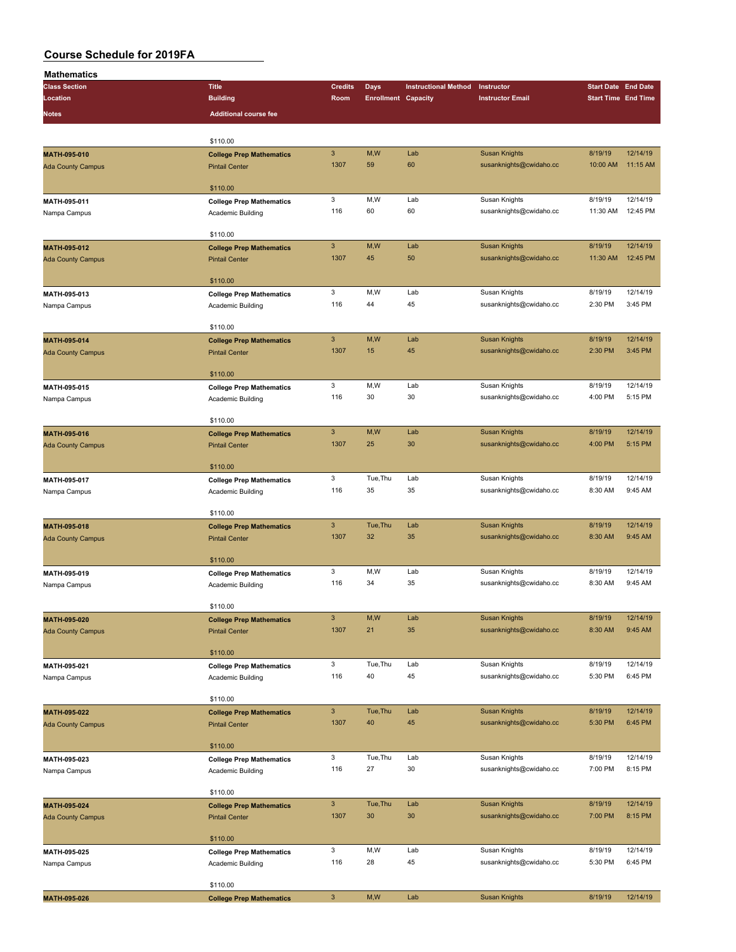| <b>Mathematics</b>                                                                                                                                                                                                                                                                           |                                                          |                           |                            |                             |                                                                                                                                                                                                                                                                                                                                                                                                                                                                                                                                                                                                 |                                                                                                                                                                                                                                                            |                            |
|----------------------------------------------------------------------------------------------------------------------------------------------------------------------------------------------------------------------------------------------------------------------------------------------|----------------------------------------------------------|---------------------------|----------------------------|-----------------------------|-------------------------------------------------------------------------------------------------------------------------------------------------------------------------------------------------------------------------------------------------------------------------------------------------------------------------------------------------------------------------------------------------------------------------------------------------------------------------------------------------------------------------------------------------------------------------------------------------|------------------------------------------------------------------------------------------------------------------------------------------------------------------------------------------------------------------------------------------------------------|----------------------------|
| <b>Class Section</b>                                                                                                                                                                                                                                                                         | <b>Title</b>                                             | <b>Credits</b>            | Days                       | <b>Instructional Method</b> | Instructor                                                                                                                                                                                                                                                                                                                                                                                                                                                                                                                                                                                      | <b>Start Date End Date</b>                                                                                                                                                                                                                                 |                            |
| Location                                                                                                                                                                                                                                                                                     | <b>Building</b>                                          | Room                      | <b>Enrollment Capacity</b> |                             | <b>Instructor Email</b>                                                                                                                                                                                                                                                                                                                                                                                                                                                                                                                                                                         |                                                                                                                                                                                                                                                            | <b>Start Time End Time</b> |
| Notes                                                                                                                                                                                                                                                                                        | <b>Additional course fee</b>                             |                           |                            |                             |                                                                                                                                                                                                                                                                                                                                                                                                                                                                                                                                                                                                 |                                                                                                                                                                                                                                                            |                            |
|                                                                                                                                                                                                                                                                                              |                                                          |                           |                            |                             |                                                                                                                                                                                                                                                                                                                                                                                                                                                                                                                                                                                                 |                                                                                                                                                                                                                                                            |                            |
|                                                                                                                                                                                                                                                                                              | \$110.00                                                 |                           |                            |                             |                                                                                                                                                                                                                                                                                                                                                                                                                                                                                                                                                                                                 |                                                                                                                                                                                                                                                            |                            |
|                                                                                                                                                                                                                                                                                              | <b>College Prep Mathematics</b>                          | $\ensuremath{\mathsf{3}}$ | M,W                        | Lab                         |                                                                                                                                                                                                                                                                                                                                                                                                                                                                                                                                                                                                 |                                                                                                                                                                                                                                                            | 12/14/19                   |
| MATH-095-010<br><b>Ada County Campus</b><br>MATH-095-013<br>Nampa Campus<br>MATH-095-014<br><b>Ada County Campus</b><br>MATH-095-016<br><b>Ada County Campus</b><br>MATH-095-017<br>MATH-095-019<br>Nampa Campus<br>MATH-095-020<br><b>Ada County Campus</b><br>MATH-095-023<br>Nampa Campus | <b>Pintail Center</b>                                    | 1307                      | 59                         | 60                          |                                                                                                                                                                                                                                                                                                                                                                                                                                                                                                                                                                                                 |                                                                                                                                                                                                                                                            | 11:15 AM                   |
|                                                                                                                                                                                                                                                                                              |                                                          |                           |                            |                             |                                                                                                                                                                                                                                                                                                                                                                                                                                                                                                                                                                                                 |                                                                                                                                                                                                                                                            |                            |
|                                                                                                                                                                                                                                                                                              | \$110.00                                                 |                           |                            |                             |                                                                                                                                                                                                                                                                                                                                                                                                                                                                                                                                                                                                 |                                                                                                                                                                                                                                                            |                            |
| MATH-095-011                                                                                                                                                                                                                                                                                 | <b>College Prep Mathematics</b>                          | 3                         | M,W                        | Lab                         | Susan Knights                                                                                                                                                                                                                                                                                                                                                                                                                                                                                                                                                                                   | 8/19/19                                                                                                                                                                                                                                                    | 12/14/19                   |
| Nampa Campus                                                                                                                                                                                                                                                                                 | Academic Building                                        | 116                       | 60                         | 60                          | susanknights@cwidaho.cc                                                                                                                                                                                                                                                                                                                                                                                                                                                                                                                                                                         | 11:30 AM                                                                                                                                                                                                                                                   | 12:45 PM                   |
|                                                                                                                                                                                                                                                                                              |                                                          |                           |                            |                             |                                                                                                                                                                                                                                                                                                                                                                                                                                                                                                                                                                                                 |                                                                                                                                                                                                                                                            |                            |
|                                                                                                                                                                                                                                                                                              | \$110.00                                                 |                           |                            |                             |                                                                                                                                                                                                                                                                                                                                                                                                                                                                                                                                                                                                 |                                                                                                                                                                                                                                                            |                            |
| MATH-095-012                                                                                                                                                                                                                                                                                 | <b>College Prep Mathematics</b>                          | $\mathbf{3}$              | M,W                        | Lab                         |                                                                                                                                                                                                                                                                                                                                                                                                                                                                                                                                                                                                 |                                                                                                                                                                                                                                                            | 12/14/19                   |
| <b>Ada County Campus</b>                                                                                                                                                                                                                                                                     | <b>Pintail Center</b>                                    | 1307                      | 45                         | 50                          |                                                                                                                                                                                                                                                                                                                                                                                                                                                                                                                                                                                                 |                                                                                                                                                                                                                                                            | 12:45 PM                   |
|                                                                                                                                                                                                                                                                                              |                                                          |                           |                            |                             |                                                                                                                                                                                                                                                                                                                                                                                                                                                                                                                                                                                                 |                                                                                                                                                                                                                                                            |                            |
|                                                                                                                                                                                                                                                                                              | \$110.00                                                 | 3                         | M,W                        | Lab                         |                                                                                                                                                                                                                                                                                                                                                                                                                                                                                                                                                                                                 |                                                                                                                                                                                                                                                            | 12/14/19                   |
|                                                                                                                                                                                                                                                                                              | <b>College Prep Mathematics</b>                          | 116                       | 44                         | 45                          |                                                                                                                                                                                                                                                                                                                                                                                                                                                                                                                                                                                                 |                                                                                                                                                                                                                                                            | 3:45 PM                    |
|                                                                                                                                                                                                                                                                                              | Academic Building                                        |                           |                            |                             |                                                                                                                                                                                                                                                                                                                                                                                                                                                                                                                                                                                                 |                                                                                                                                                                                                                                                            |                            |
|                                                                                                                                                                                                                                                                                              | \$110.00                                                 |                           |                            |                             |                                                                                                                                                                                                                                                                                                                                                                                                                                                                                                                                                                                                 |                                                                                                                                                                                                                                                            |                            |
|                                                                                                                                                                                                                                                                                              | <b>College Prep Mathematics</b>                          | $\mathbf{3}$              | M,W                        | Lab                         | <b>Susan Knights</b>                                                                                                                                                                                                                                                                                                                                                                                                                                                                                                                                                                            | 8/19/19                                                                                                                                                                                                                                                    | 12/14/19                   |
|                                                                                                                                                                                                                                                                                              | <b>Pintail Center</b>                                    | 1307                      | 15                         | 45                          | susanknights@cwidaho.cc                                                                                                                                                                                                                                                                                                                                                                                                                                                                                                                                                                         | 2:30 PM                                                                                                                                                                                                                                                    | 3:45 PM                    |
|                                                                                                                                                                                                                                                                                              |                                                          |                           |                            |                             |                                                                                                                                                                                                                                                                                                                                                                                                                                                                                                                                                                                                 |                                                                                                                                                                                                                                                            |                            |
|                                                                                                                                                                                                                                                                                              | \$110.00                                                 |                           |                            |                             |                                                                                                                                                                                                                                                                                                                                                                                                                                                                                                                                                                                                 |                                                                                                                                                                                                                                                            |                            |
| MATH-095-015                                                                                                                                                                                                                                                                                 | <b>College Prep Mathematics</b>                          | 3                         | M,W                        | Lab                         | Susan Knights                                                                                                                                                                                                                                                                                                                                                                                                                                                                                                                                                                                   | 8/19/19                                                                                                                                                                                                                                                    | 12/14/19                   |
| Nampa Campus                                                                                                                                                                                                                                                                                 | Academic Building                                        | 116                       | 30                         | 30                          | susanknights@cwidaho.cc                                                                                                                                                                                                                                                                                                                                                                                                                                                                                                                                                                         | 4:00 PM                                                                                                                                                                                                                                                    | 5:15 PM                    |
|                                                                                                                                                                                                                                                                                              |                                                          |                           |                            |                             |                                                                                                                                                                                                                                                                                                                                                                                                                                                                                                                                                                                                 |                                                                                                                                                                                                                                                            |                            |
|                                                                                                                                                                                                                                                                                              | \$110.00                                                 |                           |                            |                             |                                                                                                                                                                                                                                                                                                                                                                                                                                                                                                                                                                                                 |                                                                                                                                                                                                                                                            |                            |
|                                                                                                                                                                                                                                                                                              | <b>College Prep Mathematics</b>                          | $\mathsf 3$               | M,W                        | Lab                         |                                                                                                                                                                                                                                                                                                                                                                                                                                                                                                                                                                                                 |                                                                                                                                                                                                                                                            | 12/14/19                   |
|                                                                                                                                                                                                                                                                                              | <b>Pintail Center</b>                                    | 1307                      | 25                         | 30                          |                                                                                                                                                                                                                                                                                                                                                                                                                                                                                                                                                                                                 |                                                                                                                                                                                                                                                            | 5:15 PM                    |
|                                                                                                                                                                                                                                                                                              | \$110.00                                                 |                           |                            |                             |                                                                                                                                                                                                                                                                                                                                                                                                                                                                                                                                                                                                 |                                                                                                                                                                                                                                                            |                            |
|                                                                                                                                                                                                                                                                                              | <b>College Prep Mathematics</b>                          | 3                         | Tue, Thu                   | Lab                         |                                                                                                                                                                                                                                                                                                                                                                                                                                                                                                                                                                                                 |                                                                                                                                                                                                                                                            | 12/14/19                   |
| Nampa Campus                                                                                                                                                                                                                                                                                 | Academic Building                                        | 116                       | 35                         | 35                          | susanknights@cwidaho.cc                                                                                                                                                                                                                                                                                                                                                                                                                                                                                                                                                                         | 8:30 AM                                                                                                                                                                                                                                                    | 9:45 AM                    |
|                                                                                                                                                                                                                                                                                              |                                                          |                           |                            |                             |                                                                                                                                                                                                                                                                                                                                                                                                                                                                                                                                                                                                 |                                                                                                                                                                                                                                                            |                            |
|                                                                                                                                                                                                                                                                                              | \$110.00                                                 |                           |                            |                             |                                                                                                                                                                                                                                                                                                                                                                                                                                                                                                                                                                                                 |                                                                                                                                                                                                                                                            |                            |
| MATH-095-018                                                                                                                                                                                                                                                                                 | <b>College Prep Mathematics</b>                          | 3                         | Tue, Thu                   | Lab                         | <b>Susan Knights</b>                                                                                                                                                                                                                                                                                                                                                                                                                                                                                                                                                                            | 8/19/19                                                                                                                                                                                                                                                    | 12/14/19                   |
| <b>Ada County Campus</b>                                                                                                                                                                                                                                                                     | <b>Pintail Center</b>                                    | 1307                      | 32                         | 35                          | susanknights@cwidaho.cc                                                                                                                                                                                                                                                                                                                                                                                                                                                                                                                                                                         | 8:30 AM                                                                                                                                                                                                                                                    | 9:45 AM                    |
|                                                                                                                                                                                                                                                                                              |                                                          |                           |                            |                             |                                                                                                                                                                                                                                                                                                                                                                                                                                                                                                                                                                                                 |                                                                                                                                                                                                                                                            |                            |
|                                                                                                                                                                                                                                                                                              | \$110.00                                                 |                           |                            |                             |                                                                                                                                                                                                                                                                                                                                                                                                                                                                                                                                                                                                 |                                                                                                                                                                                                                                                            |                            |
|                                                                                                                                                                                                                                                                                              | <b>College Prep Mathematics</b>                          | 3                         | M,W                        | Lab                         |                                                                                                                                                                                                                                                                                                                                                                                                                                                                                                                                                                                                 |                                                                                                                                                                                                                                                            | 12/14/19                   |
|                                                                                                                                                                                                                                                                                              | Academic Building                                        | 116                       | 34                         | 35                          |                                                                                                                                                                                                                                                                                                                                                                                                                                                                                                                                                                                                 | 8/19/19<br>8/19/19<br>11:30 AM<br>8/19/19<br>2:30 PM<br>8/19/19<br>4:00 PM<br>8/19/19<br>8/19/19<br>8:30 AM<br>8/19/19<br>8:30 AM<br>8/19/19<br>5:30 PM<br>8/19/19<br>5:30 PM<br>8/19/19<br>7:00 PM<br>8/19/19<br>7:00 PM<br>8/19/19<br>5:30 PM<br>8/19/19 | 9:45 AM                    |
|                                                                                                                                                                                                                                                                                              | \$110.00                                                 |                           |                            |                             |                                                                                                                                                                                                                                                                                                                                                                                                                                                                                                                                                                                                 |                                                                                                                                                                                                                                                            |                            |
|                                                                                                                                                                                                                                                                                              |                                                          | $\ensuremath{\mathsf{3}}$ | M, W                       | Lab                         |                                                                                                                                                                                                                                                                                                                                                                                                                                                                                                                                                                                                 |                                                                                                                                                                                                                                                            | 12/14/19                   |
|                                                                                                                                                                                                                                                                                              | <b>College Prep Mathematics</b><br><b>Pintail Center</b> | 1307                      | 21                         | 35                          | <b>Susan Knights</b><br>susanknights@cwidaho.cc<br>10:00 AM<br><b>Susan Knights</b><br>susanknights@cwidaho.cc<br>Susan Knights<br>susanknights@cwidaho.cc<br><b>Susan Knights</b><br>susanknights@cwidaho.cc<br>Susan Knights<br>Susan Knights<br>susanknights@cwidaho.cc<br><b>Susan Knights</b><br>susanknights@cwidaho.cc<br>Susan Knights<br>susanknights@cwidaho.cc<br><b>Susan Knights</b><br>susanknights@cwidaho.cc<br>Susan Knights<br>susanknights@cwidaho.cc<br><b>Susan Knights</b><br>susanknights@cwidaho.cc<br>Susan Knights<br>susanknights@cwidaho.cc<br><b>Susan Knights</b> | 9:45 AM                                                                                                                                                                                                                                                    |                            |
|                                                                                                                                                                                                                                                                                              |                                                          |                           |                            |                             |                                                                                                                                                                                                                                                                                                                                                                                                                                                                                                                                                                                                 |                                                                                                                                                                                                                                                            |                            |
|                                                                                                                                                                                                                                                                                              | \$110.00                                                 |                           |                            |                             |                                                                                                                                                                                                                                                                                                                                                                                                                                                                                                                                                                                                 |                                                                                                                                                                                                                                                            |                            |
| MATH-095-021                                                                                                                                                                                                                                                                                 | <b>College Prep Mathematics</b>                          | 3                         | Tue, Thu                   | Lab                         |                                                                                                                                                                                                                                                                                                                                                                                                                                                                                                                                                                                                 |                                                                                                                                                                                                                                                            | 12/14/19                   |
| Nampa Campus                                                                                                                                                                                                                                                                                 | Academic Building                                        | 116                       | 40                         | 45                          |                                                                                                                                                                                                                                                                                                                                                                                                                                                                                                                                                                                                 |                                                                                                                                                                                                                                                            | 6:45 PM                    |
|                                                                                                                                                                                                                                                                                              |                                                          |                           |                            |                             |                                                                                                                                                                                                                                                                                                                                                                                                                                                                                                                                                                                                 |                                                                                                                                                                                                                                                            |                            |
|                                                                                                                                                                                                                                                                                              | \$110.00                                                 |                           |                            |                             |                                                                                                                                                                                                                                                                                                                                                                                                                                                                                                                                                                                                 |                                                                                                                                                                                                                                                            |                            |
| MATH-095-022                                                                                                                                                                                                                                                                                 | <b>College Prep Mathematics</b>                          | $\ensuremath{\mathsf{3}}$ | Tue, Thu                   | Lab                         |                                                                                                                                                                                                                                                                                                                                                                                                                                                                                                                                                                                                 |                                                                                                                                                                                                                                                            | 12/14/19                   |
| <b>Ada County Campus</b>                                                                                                                                                                                                                                                                     | <b>Pintail Center</b>                                    | 1307                      | 40                         | 45                          |                                                                                                                                                                                                                                                                                                                                                                                                                                                                                                                                                                                                 |                                                                                                                                                                                                                                                            | 6:45 PM                    |
|                                                                                                                                                                                                                                                                                              | \$110.00                                                 |                           |                            |                             |                                                                                                                                                                                                                                                                                                                                                                                                                                                                                                                                                                                                 |                                                                                                                                                                                                                                                            |                            |
|                                                                                                                                                                                                                                                                                              |                                                          | 3                         | Tue, Thu                   | Lab                         |                                                                                                                                                                                                                                                                                                                                                                                                                                                                                                                                                                                                 |                                                                                                                                                                                                                                                            | 12/14/19                   |
|                                                                                                                                                                                                                                                                                              | <b>College Prep Mathematics</b>                          | 116                       | 27                         | 30                          |                                                                                                                                                                                                                                                                                                                                                                                                                                                                                                                                                                                                 |                                                                                                                                                                                                                                                            | 8:15 PM                    |
|                                                                                                                                                                                                                                                                                              | Academic Building                                        |                           |                            |                             |                                                                                                                                                                                                                                                                                                                                                                                                                                                                                                                                                                                                 |                                                                                                                                                                                                                                                            |                            |
|                                                                                                                                                                                                                                                                                              | \$110.00                                                 |                           |                            |                             |                                                                                                                                                                                                                                                                                                                                                                                                                                                                                                                                                                                                 |                                                                                                                                                                                                                                                            |                            |
| MATH-095-024                                                                                                                                                                                                                                                                                 | <b>College Prep Mathematics</b>                          | $\mathbf{3}$              | Tue, Thu                   | Lab                         |                                                                                                                                                                                                                                                                                                                                                                                                                                                                                                                                                                                                 |                                                                                                                                                                                                                                                            | 12/14/19                   |
| <b>Ada County Campus</b>                                                                                                                                                                                                                                                                     | <b>Pintail Center</b>                                    | 1307                      | 30                         | 30                          |                                                                                                                                                                                                                                                                                                                                                                                                                                                                                                                                                                                                 |                                                                                                                                                                                                                                                            | 8:15 PM                    |
|                                                                                                                                                                                                                                                                                              |                                                          |                           |                            |                             |                                                                                                                                                                                                                                                                                                                                                                                                                                                                                                                                                                                                 |                                                                                                                                                                                                                                                            |                            |
|                                                                                                                                                                                                                                                                                              | \$110.00                                                 |                           |                            |                             |                                                                                                                                                                                                                                                                                                                                                                                                                                                                                                                                                                                                 |                                                                                                                                                                                                                                                            |                            |
| MATH-095-025                                                                                                                                                                                                                                                                                 | <b>College Prep Mathematics</b>                          | 3                         | M,W                        | Lab                         |                                                                                                                                                                                                                                                                                                                                                                                                                                                                                                                                                                                                 |                                                                                                                                                                                                                                                            | 12/14/19                   |
| Nampa Campus                                                                                                                                                                                                                                                                                 | Academic Building                                        | 116                       | 28                         | 45                          |                                                                                                                                                                                                                                                                                                                                                                                                                                                                                                                                                                                                 |                                                                                                                                                                                                                                                            | 6:45 PM                    |
|                                                                                                                                                                                                                                                                                              |                                                          |                           |                            |                             |                                                                                                                                                                                                                                                                                                                                                                                                                                                                                                                                                                                                 |                                                                                                                                                                                                                                                            |                            |
|                                                                                                                                                                                                                                                                                              | \$110.00                                                 |                           |                            |                             |                                                                                                                                                                                                                                                                                                                                                                                                                                                                                                                                                                                                 |                                                                                                                                                                                                                                                            |                            |
| MATH-095-026                                                                                                                                                                                                                                                                                 | <b>College Prep Mathematics</b>                          | $\ensuremath{\mathsf{3}}$ | M, W                       | Lab                         |                                                                                                                                                                                                                                                                                                                                                                                                                                                                                                                                                                                                 |                                                                                                                                                                                                                                                            | 12/14/19                   |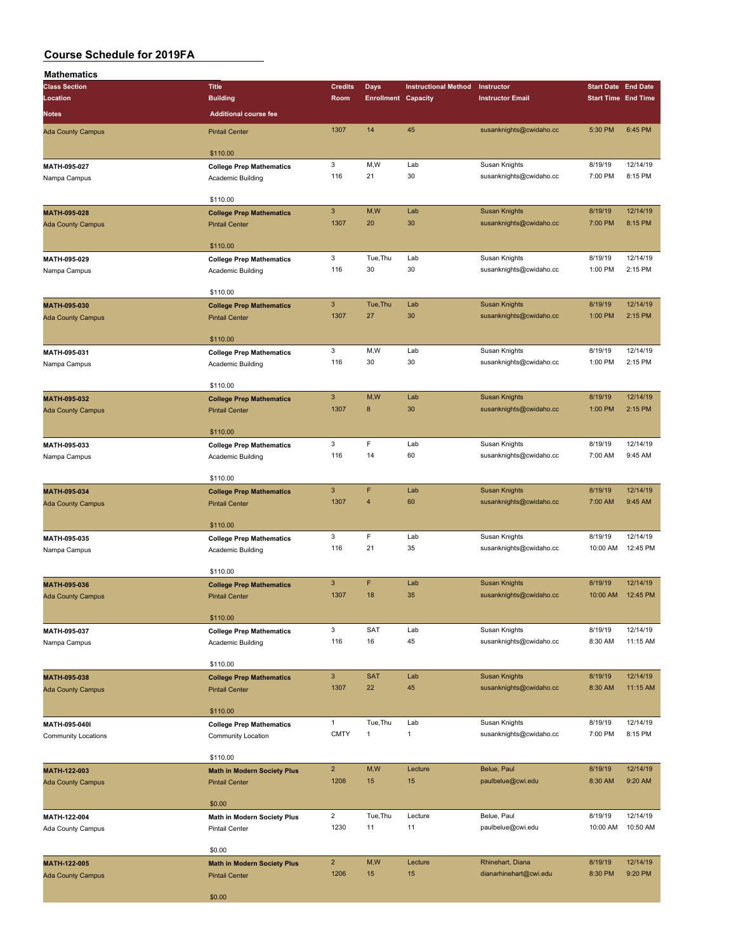| <b>Mathematics</b>                                                                                                   |                                                             |                        |                            |                                                                                                                                                                                                                                                                                                                                                                                                                                                                                                                                                                                                                                                                                  |                         |                                                                                                                                                                                                                                                                                                                                                      |                      |
|----------------------------------------------------------------------------------------------------------------------|-------------------------------------------------------------|------------------------|----------------------------|----------------------------------------------------------------------------------------------------------------------------------------------------------------------------------------------------------------------------------------------------------------------------------------------------------------------------------------------------------------------------------------------------------------------------------------------------------------------------------------------------------------------------------------------------------------------------------------------------------------------------------------------------------------------------------|-------------------------|------------------------------------------------------------------------------------------------------------------------------------------------------------------------------------------------------------------------------------------------------------------------------------------------------------------------------------------------------|----------------------|
| <b>Class Section</b>                                                                                                 | <b>Title</b>                                                | <b>Credits</b>         | <b>Days</b>                | <b>Instructional Method</b>                                                                                                                                                                                                                                                                                                                                                                                                                                                                                                                                                                                                                                                      | Instructor              |                                                                                                                                                                                                                                                                                                                                                      |                      |
| Location                                                                                                             | <b>Building</b>                                             | Room                   | <b>Enrollment Capacity</b> |                                                                                                                                                                                                                                                                                                                                                                                                                                                                                                                                                                                                                                                                                  | <b>Instructor Email</b> |                                                                                                                                                                                                                                                                                                                                                      |                      |
| <b>Notes</b>                                                                                                         | <b>Additional course fee</b>                                |                        |                            |                                                                                                                                                                                                                                                                                                                                                                                                                                                                                                                                                                                                                                                                                  |                         |                                                                                                                                                                                                                                                                                                                                                      |                      |
| <b>Ada County Campus</b>                                                                                             | <b>Pintail Center</b>                                       | 1307                   | 14                         | 45                                                                                                                                                                                                                                                                                                                                                                                                                                                                                                                                                                                                                                                                               | susanknights@cwidaho.cc | 5:30 PM                                                                                                                                                                                                                                                                                                                                              | 6:45 PM              |
|                                                                                                                      |                                                             |                        |                            |                                                                                                                                                                                                                                                                                                                                                                                                                                                                                                                                                                                                                                                                                  |                         | 8/19/19<br>7:00 PM<br>8/19/19<br>7:00 PM<br>8/19/19<br>1:00 PM<br>8/19/19<br>1:00 PM<br>8/19/19<br>1:00 PM<br>8/19/19<br>1:00 PM<br>8/19/19<br>7:00 AM<br>8/19/19<br>7:00 AM<br>8/19/19<br>10:00 AM<br>8/19/19<br>10:00 AM<br>8/19/19<br>8:30 AM<br>8/19/19<br>8:30 AM<br>8/19/19<br>7:00 PM<br>8/19/19<br>8:30 AM<br>8/19/19<br>10:00 AM<br>8/19/19 |                      |
|                                                                                                                      | \$110.00                                                    |                        |                            |                                                                                                                                                                                                                                                                                                                                                                                                                                                                                                                                                                                                                                                                                  |                         |                                                                                                                                                                                                                                                                                                                                                      |                      |
| MATH-095-027                                                                                                         | <b>College Prep Mathematics</b>                             | 3<br>116               | M,W<br>21                  |                                                                                                                                                                                                                                                                                                                                                                                                                                                                                                                                                                                                                                                                                  |                         |                                                                                                                                                                                                                                                                                                                                                      | 12/14/19<br>8:15 PM  |
| Nampa Campus                                                                                                         | Academic Building                                           |                        |                            |                                                                                                                                                                                                                                                                                                                                                                                                                                                                                                                                                                                                                                                                                  |                         |                                                                                                                                                                                                                                                                                                                                                      |                      |
|                                                                                                                      | \$110.00                                                    |                        |                            |                                                                                                                                                                                                                                                                                                                                                                                                                                                                                                                                                                                                                                                                                  |                         |                                                                                                                                                                                                                                                                                                                                                      |                      |
| MATH-095-028                                                                                                         | <b>College Prep Mathematics</b>                             | $\mathbf{3}$           | M,W                        | Lab                                                                                                                                                                                                                                                                                                                                                                                                                                                                                                                                                                                                                                                                              | <b>Susan Knights</b>    |                                                                                                                                                                                                                                                                                                                                                      | 12/14/19             |
| <b>Ada County Campus</b>                                                                                             | <b>Pintail Center</b>                                       | 1307                   | 20                         |                                                                                                                                                                                                                                                                                                                                                                                                                                                                                                                                                                                                                                                                                  | susanknights@cwidaho.cc |                                                                                                                                                                                                                                                                                                                                                      | 8:15 PM              |
|                                                                                                                      | \$110.00                                                    |                        |                            |                                                                                                                                                                                                                                                                                                                                                                                                                                                                                                                                                                                                                                                                                  |                         |                                                                                                                                                                                                                                                                                                                                                      |                      |
|                                                                                                                      | <b>College Prep Mathematics</b>                             | 3                      | Tue, Thu                   | Lab                                                                                                                                                                                                                                                                                                                                                                                                                                                                                                                                                                                                                                                                              |                         |                                                                                                                                                                                                                                                                                                                                                      | 12/14/19             |
| MATH-095-029<br>Nampa Campus<br><b>Ada County Campus</b><br>MATH-095-032<br><b>Ada County Campus</b><br>Nampa Campus | Academic Building                                           | 116                    | 30                         | 30                                                                                                                                                                                                                                                                                                                                                                                                                                                                                                                                                                                                                                                                               | susanknights@cwidaho.cc |                                                                                                                                                                                                                                                                                                                                                      | 2:15 PM              |
|                                                                                                                      |                                                             |                        |                            |                                                                                                                                                                                                                                                                                                                                                                                                                                                                                                                                                                                                                                                                                  |                         |                                                                                                                                                                                                                                                                                                                                                      |                      |
|                                                                                                                      | \$110.00                                                    |                        |                            |                                                                                                                                                                                                                                                                                                                                                                                                                                                                                                                                                                                                                                                                                  |                         |                                                                                                                                                                                                                                                                                                                                                      |                      |
| MATH-095-030                                                                                                         | <b>College Prep Mathematics</b>                             | $\mathbf{3}$<br>1307   | Tue, Thu<br>27             |                                                                                                                                                                                                                                                                                                                                                                                                                                                                                                                                                                                                                                                                                  |                         |                                                                                                                                                                                                                                                                                                                                                      | 12/14/19<br>2:15 PM  |
|                                                                                                                      | <b>Pintail Center</b>                                       |                        |                            |                                                                                                                                                                                                                                                                                                                                                                                                                                                                                                                                                                                                                                                                                  |                         |                                                                                                                                                                                                                                                                                                                                                      |                      |
|                                                                                                                      | \$110.00                                                    |                        |                            |                                                                                                                                                                                                                                                                                                                                                                                                                                                                                                                                                                                                                                                                                  |                         |                                                                                                                                                                                                                                                                                                                                                      |                      |
| MATH-095-031                                                                                                         | <b>College Prep Mathematics</b>                             | 3                      | M,W                        | Lab                                                                                                                                                                                                                                                                                                                                                                                                                                                                                                                                                                                                                                                                              | Susan Knights           |                                                                                                                                                                                                                                                                                                                                                      | 12/14/19             |
| Nampa Campus                                                                                                         | Academic Building                                           | 116                    | 30                         | 30                                                                                                                                                                                                                                                                                                                                                                                                                                                                                                                                                                                                                                                                               | susanknights@cwidaho.cc | <b>Start Date End Date</b><br><b>Start Time End Time</b><br>8:30 PM                                                                                                                                                                                                                                                                                  | 2:15 PM              |
|                                                                                                                      |                                                             |                        |                            |                                                                                                                                                                                                                                                                                                                                                                                                                                                                                                                                                                                                                                                                                  |                         |                                                                                                                                                                                                                                                                                                                                                      |                      |
|                                                                                                                      | \$110.00                                                    | $\mathsf 3$            | M,W                        |                                                                                                                                                                                                                                                                                                                                                                                                                                                                                                                                                                                                                                                                                  |                         |                                                                                                                                                                                                                                                                                                                                                      | 12/14/19             |
|                                                                                                                      | <b>College Prep Mathematics</b><br><b>Pintail Center</b>    | 1307                   | $\bf8$                     |                                                                                                                                                                                                                                                                                                                                                                                                                                                                                                                                                                                                                                                                                  |                         |                                                                                                                                                                                                                                                                                                                                                      | 2:15 PM              |
|                                                                                                                      |                                                             |                        |                            |                                                                                                                                                                                                                                                                                                                                                                                                                                                                                                                                                                                                                                                                                  |                         |                                                                                                                                                                                                                                                                                                                                                      |                      |
|                                                                                                                      | \$110.00                                                    |                        |                            |                                                                                                                                                                                                                                                                                                                                                                                                                                                                                                                                                                                                                                                                                  |                         |                                                                                                                                                                                                                                                                                                                                                      |                      |
| MATH-095-033                                                                                                         | <b>College Prep Mathematics</b>                             | 3                      | F                          | Lab                                                                                                                                                                                                                                                                                                                                                                                                                                                                                                                                                                                                                                                                              | Susan Knights           |                                                                                                                                                                                                                                                                                                                                                      | 12/14/19             |
| Nampa Campus                                                                                                         | Academic Building                                           | 116                    | 14                         |                                                                                                                                                                                                                                                                                                                                                                                                                                                                                                                                                                                                                                                                                  | susanknights@cwidaho.cc |                                                                                                                                                                                                                                                                                                                                                      | 9:45 AM              |
|                                                                                                                      | \$110.00                                                    |                        |                            |                                                                                                                                                                                                                                                                                                                                                                                                                                                                                                                                                                                                                                                                                  |                         |                                                                                                                                                                                                                                                                                                                                                      |                      |
| MATH-095-034                                                                                                         | <b>College Prep Mathematics</b>                             | $\mathbf{3}$           | F                          | Lab                                                                                                                                                                                                                                                                                                                                                                                                                                                                                                                                                                                                                                                                              | <b>Susan Knights</b>    |                                                                                                                                                                                                                                                                                                                                                      | 12/14/19             |
| <b>Ada County Campus</b>                                                                                             | <b>Pintail Center</b>                                       | 1307                   | $\overline{4}$             | 60                                                                                                                                                                                                                                                                                                                                                                                                                                                                                                                                                                                                                                                                               | susanknights@cwidaho.cc |                                                                                                                                                                                                                                                                                                                                                      | 9:45 AM              |
|                                                                                                                      |                                                             |                        |                            |                                                                                                                                                                                                                                                                                                                                                                                                                                                                                                                                                                                                                                                                                  |                         |                                                                                                                                                                                                                                                                                                                                                      |                      |
|                                                                                                                      | \$110.00                                                    |                        |                            |                                                                                                                                                                                                                                                                                                                                                                                                                                                                                                                                                                                                                                                                                  |                         |                                                                                                                                                                                                                                                                                                                                                      |                      |
| MATH-095-035                                                                                                         | <b>College Prep Mathematics</b>                             | 3<br>116               | F<br>21                    |                                                                                                                                                                                                                                                                                                                                                                                                                                                                                                                                                                                                                                                                                  |                         |                                                                                                                                                                                                                                                                                                                                                      | 12/14/19<br>12:45 PM |
|                                                                                                                      | Academic Building                                           |                        |                            | Lab<br>Susan Knights<br>30<br>susanknights@cwidaho.cc<br>30<br>Susan Knights<br><b>Susan Knights</b><br>Lab<br>30<br>susanknights@cwidaho.cc<br>Lab<br><b>Susan Knights</b><br>30<br>susanknights@cwidaho.cc<br>60<br>Lab<br>Susan Knights<br>35<br>susanknights@cwidaho.cc<br>Lab<br><b>Susan Knights</b><br>35<br>susanknights@cwidaho.cc<br>Susan Knights<br>Lab<br>45<br>susanknights@cwidaho.cc<br><b>Susan Knights</b><br>Lab<br>45<br>susanknights@cwidaho.cc<br>Lab<br>Susan Knights<br>$\mathbf{1}$<br>susanknights@cwidaho.cc<br>Belue, Paul<br>Lecture<br>15<br>paulbelue@cwi.edu<br>Belue, Paul<br>Lecture<br>11<br>paulbelue@cwi.edu<br>Rhinehart, Diana<br>Lecture |                         |                                                                                                                                                                                                                                                                                                                                                      |                      |
|                                                                                                                      | \$110.00                                                    |                        |                            |                                                                                                                                                                                                                                                                                                                                                                                                                                                                                                                                                                                                                                                                                  |                         |                                                                                                                                                                                                                                                                                                                                                      |                      |
| MATH-095-036                                                                                                         | <b>College Prep Mathematics</b>                             | $\mathbf{3}$           | $\mathsf F$                |                                                                                                                                                                                                                                                                                                                                                                                                                                                                                                                                                                                                                                                                                  |                         |                                                                                                                                                                                                                                                                                                                                                      | 12/14/19             |
| <b>Ada County Campus</b>                                                                                             | <b>Pintail Center</b>                                       | 1307                   | 18                         |                                                                                                                                                                                                                                                                                                                                                                                                                                                                                                                                                                                                                                                                                  |                         |                                                                                                                                                                                                                                                                                                                                                      | 12:45 PM             |
|                                                                                                                      |                                                             |                        |                            |                                                                                                                                                                                                                                                                                                                                                                                                                                                                                                                                                                                                                                                                                  |                         |                                                                                                                                                                                                                                                                                                                                                      |                      |
|                                                                                                                      | \$110.00                                                    | 3                      | SAT                        |                                                                                                                                                                                                                                                                                                                                                                                                                                                                                                                                                                                                                                                                                  |                         |                                                                                                                                                                                                                                                                                                                                                      | 12/14/19             |
| MATH-095-037<br>Nampa Campus                                                                                         | <b>College Prep Mathematics</b><br>Academic Building        | 116                    | 16                         |                                                                                                                                                                                                                                                                                                                                                                                                                                                                                                                                                                                                                                                                                  |                         |                                                                                                                                                                                                                                                                                                                                                      | 11:15 AM             |
|                                                                                                                      |                                                             |                        |                            |                                                                                                                                                                                                                                                                                                                                                                                                                                                                                                                                                                                                                                                                                  |                         |                                                                                                                                                                                                                                                                                                                                                      |                      |
|                                                                                                                      | \$110.00                                                    |                        |                            |                                                                                                                                                                                                                                                                                                                                                                                                                                                                                                                                                                                                                                                                                  |                         |                                                                                                                                                                                                                                                                                                                                                      |                      |
| MATH-095-038                                                                                                         | <b>College Prep Mathematics</b>                             | $\mathbf{3}$           | <b>SAT</b>                 |                                                                                                                                                                                                                                                                                                                                                                                                                                                                                                                                                                                                                                                                                  |                         |                                                                                                                                                                                                                                                                                                                                                      | 12/14/19             |
| <b>Ada County Campus</b>                                                                                             | <b>Pintail Center</b>                                       | 1307                   | 22                         |                                                                                                                                                                                                                                                                                                                                                                                                                                                                                                                                                                                                                                                                                  |                         |                                                                                                                                                                                                                                                                                                                                                      | 11:15 AM             |
|                                                                                                                      | \$110.00                                                    |                        |                            |                                                                                                                                                                                                                                                                                                                                                                                                                                                                                                                                                                                                                                                                                  |                         |                                                                                                                                                                                                                                                                                                                                                      |                      |
| MATH-095-040I                                                                                                        | <b>College Prep Mathematics</b>                             | $\mathbf{1}$           | Tue, Thu                   |                                                                                                                                                                                                                                                                                                                                                                                                                                                                                                                                                                                                                                                                                  |                         |                                                                                                                                                                                                                                                                                                                                                      | 12/14/19             |
| Community Locations                                                                                                  | Community Location                                          | <b>CMTY</b>            | $\mathbf{1}$               |                                                                                                                                                                                                                                                                                                                                                                                                                                                                                                                                                                                                                                                                                  |                         |                                                                                                                                                                                                                                                                                                                                                      | 8:15 PM              |
|                                                                                                                      |                                                             |                        |                            |                                                                                                                                                                                                                                                                                                                                                                                                                                                                                                                                                                                                                                                                                  |                         |                                                                                                                                                                                                                                                                                                                                                      |                      |
|                                                                                                                      | \$110.00                                                    |                        |                            |                                                                                                                                                                                                                                                                                                                                                                                                                                                                                                                                                                                                                                                                                  |                         |                                                                                                                                                                                                                                                                                                                                                      |                      |
| MATH-122-003                                                                                                         | <b>Math in Modern Society Plus</b>                          | $\overline{2}$<br>1206 | M,W<br>15                  |                                                                                                                                                                                                                                                                                                                                                                                                                                                                                                                                                                                                                                                                                  |                         |                                                                                                                                                                                                                                                                                                                                                      | 12/14/19<br>9:20 AM  |
| <b>Ada County Campus</b>                                                                                             | <b>Pintail Center</b>                                       |                        |                            |                                                                                                                                                                                                                                                                                                                                                                                                                                                                                                                                                                                                                                                                                  |                         |                                                                                                                                                                                                                                                                                                                                                      |                      |
|                                                                                                                      | \$0.00                                                      |                        |                            |                                                                                                                                                                                                                                                                                                                                                                                                                                                                                                                                                                                                                                                                                  |                         |                                                                                                                                                                                                                                                                                                                                                      |                      |
| MATH-122-004                                                                                                         | <b>Math in Modern Society Plus</b>                          | $\overline{2}$         | Tue, Thu                   |                                                                                                                                                                                                                                                                                                                                                                                                                                                                                                                                                                                                                                                                                  |                         |                                                                                                                                                                                                                                                                                                                                                      | 12/14/19             |
| Ada County Campus                                                                                                    | <b>Pintail Center</b>                                       | 1230                   | 11                         |                                                                                                                                                                                                                                                                                                                                                                                                                                                                                                                                                                                                                                                                                  |                         |                                                                                                                                                                                                                                                                                                                                                      | 10:50 AM             |
|                                                                                                                      |                                                             |                        |                            |                                                                                                                                                                                                                                                                                                                                                                                                                                                                                                                                                                                                                                                                                  |                         |                                                                                                                                                                                                                                                                                                                                                      |                      |
|                                                                                                                      | \$0.00                                                      | $\overline{2}$         | M,W                        |                                                                                                                                                                                                                                                                                                                                                                                                                                                                                                                                                                                                                                                                                  |                         |                                                                                                                                                                                                                                                                                                                                                      | 12/14/19             |
| MATH-122-005<br><b>Ada County Campus</b>                                                                             | <b>Math in Modern Society Plus</b><br><b>Pintail Center</b> | 1206                   | 15                         | 15                                                                                                                                                                                                                                                                                                                                                                                                                                                                                                                                                                                                                                                                               | dianarhinehart@cwi.edu  |                                                                                                                                                                                                                                                                                                                                                      | 9:20 PM              |
|                                                                                                                      |                                                             |                        |                            |                                                                                                                                                                                                                                                                                                                                                                                                                                                                                                                                                                                                                                                                                  |                         |                                                                                                                                                                                                                                                                                                                                                      |                      |
|                                                                                                                      | \$0.00                                                      |                        |                            |                                                                                                                                                                                                                                                                                                                                                                                                                                                                                                                                                                                                                                                                                  |                         |                                                                                                                                                                                                                                                                                                                                                      |                      |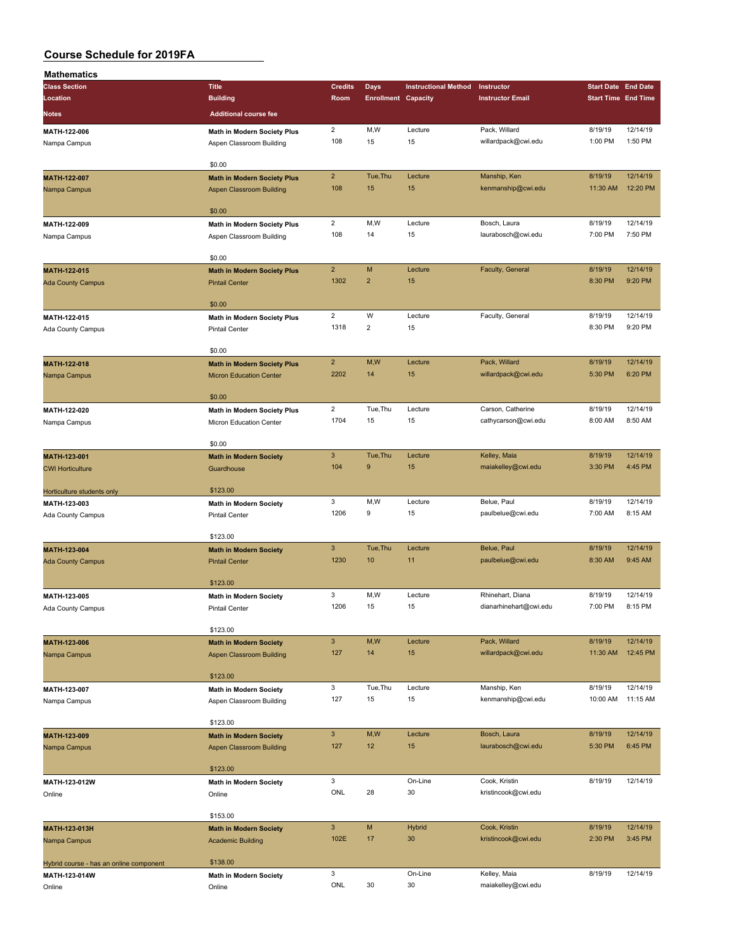| Mathematics                                                                                                                   |                                    |                        |                            |                             |                         |                                                                                                                                                                                                                                       |                     |
|-------------------------------------------------------------------------------------------------------------------------------|------------------------------------|------------------------|----------------------------|-----------------------------|-------------------------|---------------------------------------------------------------------------------------------------------------------------------------------------------------------------------------------------------------------------------------|---------------------|
| <b>Class Section</b>                                                                                                          | <b>Title</b>                       | <b>Credits</b>         | <b>Days</b>                | <b>Instructional Method</b> | Instructor              | <b>Start Date End Date</b>                                                                                                                                                                                                            |                     |
| Location                                                                                                                      | <b>Building</b>                    | Room                   | <b>Enrollment Capacity</b> |                             | <b>Instructor Email</b> | <b>Start Time End Time</b>                                                                                                                                                                                                            |                     |
| Notes                                                                                                                         | <b>Additional course fee</b>       |                        |                            |                             |                         |                                                                                                                                                                                                                                       |                     |
|                                                                                                                               |                                    | $\overline{2}$         | M,W                        |                             | Pack, Willard           |                                                                                                                                                                                                                                       | 12/14/19            |
| MATH-122-006                                                                                                                  | Math in Modern Society Plus        | 108                    | 15                         | Lecture<br>15               | willardpack@cwi.edu     |                                                                                                                                                                                                                                       | 1:50 PM             |
| Nampa Campus                                                                                                                  | Aspen Classroom Building           |                        |                            |                             |                         |                                                                                                                                                                                                                                       |                     |
|                                                                                                                               | \$0.00                             |                        |                            |                             |                         |                                                                                                                                                                                                                                       |                     |
| MATH-122-007                                                                                                                  | <b>Math in Modern Society Plus</b> | $\overline{2}$         | Tue, Thu                   | Lecture                     | Manship, Ken            |                                                                                                                                                                                                                                       | 12/14/19            |
| Nampa Campus                                                                                                                  | <b>Aspen Classroom Building</b>    | 108                    | 15                         | 15                          | kenmanship@cwi.edu      | 11:30 AM                                                                                                                                                                                                                              | 12:20 PM            |
|                                                                                                                               |                                    |                        |                            |                             |                         |                                                                                                                                                                                                                                       |                     |
|                                                                                                                               | \$0.00                             |                        |                            |                             |                         |                                                                                                                                                                                                                                       |                     |
| MATH-122-009                                                                                                                  | Math in Modern Society Plus        | $\overline{c}$         | M,W                        | Lecture                     | Bosch, Laura            | 8/19/19                                                                                                                                                                                                                               | 12/14/19            |
| Nampa Campus                                                                                                                  | Aspen Classroom Building           | 108                    | 14                         | 15                          | laurabosch@cwi.edu      | 7:00 PM                                                                                                                                                                                                                               | 7:50 PM             |
|                                                                                                                               |                                    |                        |                            |                             |                         |                                                                                                                                                                                                                                       |                     |
|                                                                                                                               | \$0.00                             |                        |                            |                             |                         |                                                                                                                                                                                                                                       |                     |
| MATH-122-015                                                                                                                  | <b>Math in Modern Society Plus</b> | $\overline{2}$         | M                          | Lecture                     | Faculty, General        | 8/19/19                                                                                                                                                                                                                               | 12/14/19            |
| <b>Ada County Campus</b>                                                                                                      | <b>Pintail Center</b>              | 1302                   | $\overline{2}$             | 15                          |                         | 8:30 PM                                                                                                                                                                                                                               | 9:20 PM             |
|                                                                                                                               |                                    |                        |                            |                             |                         |                                                                                                                                                                                                                                       |                     |
|                                                                                                                               | \$0.00                             |                        |                            |                             |                         |                                                                                                                                                                                                                                       |                     |
| MATH-122-015                                                                                                                  | Math in Modern Society Plus        | $\overline{2}$<br>1318 | W<br>$\overline{2}$        | Lecture<br>15               | Faculty, General        |                                                                                                                                                                                                                                       | 12/14/19<br>9:20 PM |
| Ada County Campus                                                                                                             | <b>Pintail Center</b>              |                        |                            |                             |                         |                                                                                                                                                                                                                                       |                     |
|                                                                                                                               | \$0.00                             |                        |                            |                             |                         |                                                                                                                                                                                                                                       |                     |
|                                                                                                                               | <b>Math in Modern Society Plus</b> | $\overline{2}$         | M,W                        | Lecture                     | Pack, Willard           |                                                                                                                                                                                                                                       | 12/14/19            |
|                                                                                                                               | <b>Micron Education Center</b>     | 2202                   | 14                         | 15                          | willardpack@cwi.edu     |                                                                                                                                                                                                                                       | 6:20 PM             |
|                                                                                                                               |                                    |                        |                            |                             |                         |                                                                                                                                                                                                                                       |                     |
|                                                                                                                               | \$0.00                             |                        |                            |                             |                         |                                                                                                                                                                                                                                       |                     |
| MATH-122-020                                                                                                                  | Math in Modern Society Plus        | $\overline{2}$         | Tue, Thu                   | Lecture                     | Carson, Catherine       | 8/19/19                                                                                                                                                                                                                               | 12/14/19            |
| Nampa Campus                                                                                                                  | Micron Education Center            | 1704                   | 15                         | 15                          | cathycarson@cwi.edu     | 8:00 AM                                                                                                                                                                                                                               | 8:50 AM             |
|                                                                                                                               |                                    |                        |                            |                             |                         |                                                                                                                                                                                                                                       |                     |
|                                                                                                                               | \$0.00                             |                        |                            |                             |                         |                                                                                                                                                                                                                                       |                     |
| MATH-123-001                                                                                                                  | <b>Math in Modern Society</b>      | $\mathsf 3$            | Tue, Thu                   | Lecture                     | Kelley, Maia            | 8/19/19                                                                                                                                                                                                                               | 12/14/19            |
| <b>CWI Horticulture</b>                                                                                                       | Guardhouse                         | 104                    | 9                          | 15                          | maiakelley@cwi.edu      | 3:30 PM                                                                                                                                                                                                                               | 4:45 PM             |
|                                                                                                                               |                                    |                        |                            |                             |                         |                                                                                                                                                                                                                                       |                     |
| Horticulture students only                                                                                                    | \$123.00                           |                        |                            |                             |                         |                                                                                                                                                                                                                                       |                     |
| MATH-123-003                                                                                                                  | Math in Modern Society             | 3                      | M, W                       | Lecture                     | Belue, Paul             |                                                                                                                                                                                                                                       | 12/14/19            |
| Ada County Campus                                                                                                             | <b>Pintail Center</b>              | 1206                   | 9                          | 15                          | paulbelue@cwi.edu       |                                                                                                                                                                                                                                       | 8:15 AM             |
|                                                                                                                               |                                    |                        |                            |                             |                         |                                                                                                                                                                                                                                       |                     |
|                                                                                                                               | \$123.00                           | $\mathbf{3}$           | Tue, Thu                   | Lecture                     | Belue, Paul             |                                                                                                                                                                                                                                       | 12/14/19            |
|                                                                                                                               | <b>Math in Modern Society</b>      | 1230                   | 10                         | 11                          | paulbelue@cwi.edu       |                                                                                                                                                                                                                                       | 9:45 AM             |
|                                                                                                                               | <b>Pintail Center</b>              |                        |                            |                             |                         |                                                                                                                                                                                                                                       |                     |
|                                                                                                                               | \$123.00                           |                        |                            |                             |                         |                                                                                                                                                                                                                                       |                     |
|                                                                                                                               | <b>Math in Modern Society</b>      | 3                      | M,W                        | Lecture                     | Rhinehart, Diana        | 8/19/19                                                                                                                                                                                                                               | 12/14/19            |
|                                                                                                                               | <b>Pintail Center</b>              | 1206                   | 15                         | 15                          | dianarhinehart@cwi.edu  | 7:00 PM                                                                                                                                                                                                                               | 8:15 PM             |
|                                                                                                                               |                                    |                        |                            |                             |                         | 8/19/19<br>1:00 PM<br>8/19/19<br>8/19/19<br>8:30 PM<br>8/19/19<br>5:30 PM<br>8/19/19<br>7:00 AM<br>8/19/19<br>8:30 AM<br>8/19/19<br>11:30 AM<br>8/19/19<br>10:00 AM<br>8/19/19<br>5:30 PM<br>8/19/19<br>8/19/19<br>2:30 PM<br>8/19/19 |                     |
|                                                                                                                               | \$123.00                           |                        |                            |                             |                         |                                                                                                                                                                                                                                       |                     |
| MATH-123-006                                                                                                                  | <b>Math in Modern Society</b>      | $\mathsf 3$            | M,W                        | Lecture                     | Pack, Willard           |                                                                                                                                                                                                                                       | 12/14/19            |
| MATH-122-018<br>Nampa Campus<br>MATH-123-004<br><b>Ada County Campus</b><br>MATH-123-005<br>Ada County Campus<br>Nampa Campus | <b>Aspen Classroom Building</b>    | 127                    | 14                         | 15                          | willardpack@cwi.edu     |                                                                                                                                                                                                                                       | 12:45 PM            |
|                                                                                                                               |                                    |                        |                            |                             |                         |                                                                                                                                                                                                                                       |                     |
|                                                                                                                               | \$123.00                           |                        |                            |                             |                         |                                                                                                                                                                                                                                       |                     |
| MATH-123-007                                                                                                                  | <b>Math in Modern Society</b>      | 3                      | Tue, Thu                   | Lecture                     | Manship, Ken            |                                                                                                                                                                                                                                       | 12/14/19            |
| Nampa Campus                                                                                                                  | Aspen Classroom Building           | 127                    | 15                         | 15                          | kenmanship@cwi.edu      |                                                                                                                                                                                                                                       | 11:15 AM            |
|                                                                                                                               |                                    |                        |                            |                             |                         |                                                                                                                                                                                                                                       |                     |
|                                                                                                                               | \$123.00                           |                        |                            |                             | Bosch, Laura            |                                                                                                                                                                                                                                       | 12/14/19            |
| MATH-123-009                                                                                                                  | <b>Math in Modern Society</b>      | $\mathbf{3}$<br>127    | M,W<br>12                  | Lecture<br>15               | laurabosch@cwi.edu      |                                                                                                                                                                                                                                       | 6:45 PM             |
| Nampa Campus                                                                                                                  | Aspen Classroom Building           |                        |                            |                             |                         |                                                                                                                                                                                                                                       |                     |
|                                                                                                                               | \$123.00                           |                        |                            |                             |                         |                                                                                                                                                                                                                                       |                     |
| MATH-123-012W                                                                                                                 | <b>Math in Modern Society</b>      | 3                      |                            | On-Line                     | Cook, Kristin           |                                                                                                                                                                                                                                       | 12/14/19            |
| Online                                                                                                                        | Online                             | ONL                    | 28                         | 30                          | kristincook@cwi.edu     |                                                                                                                                                                                                                                       |                     |
|                                                                                                                               |                                    |                        |                            |                             |                         |                                                                                                                                                                                                                                       |                     |
|                                                                                                                               | \$153.00                           |                        |                            |                             |                         |                                                                                                                                                                                                                                       |                     |
| MATH-123-013H                                                                                                                 | <b>Math in Modern Society</b>      | $\mathbf{3}$           | M                          | <b>Hybrid</b>               | Cook, Kristin           |                                                                                                                                                                                                                                       | 12/14/19            |
| Nampa Campus                                                                                                                  | <b>Academic Building</b>           | 102E                   | 17                         | 30                          | kristincook@cwi.edu     |                                                                                                                                                                                                                                       | 3:45 PM             |
|                                                                                                                               |                                    |                        |                            |                             |                         |                                                                                                                                                                                                                                       |                     |
| Hybrid course - has an online component                                                                                       | \$138.00                           |                        |                            |                             |                         |                                                                                                                                                                                                                                       |                     |
| MATH-123-014W                                                                                                                 | <b>Math in Modern Society</b>      | 3                      |                            | On-Line                     | Kelley, Maia            |                                                                                                                                                                                                                                       | 12/14/19            |
| Online                                                                                                                        | Online                             | ONL                    | 30                         | 30                          | maiakelley@cwi.edu      |                                                                                                                                                                                                                                       |                     |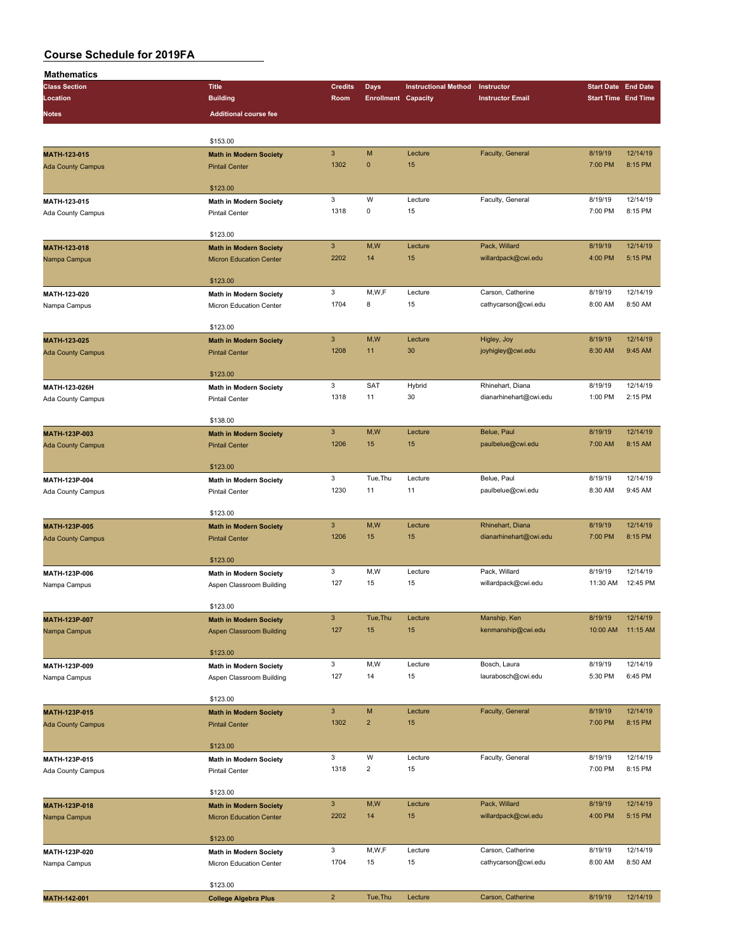| <b>Mathematics</b>       |                                                    |                           |                            |                             |                         |                            |          |
|--------------------------|----------------------------------------------------|---------------------------|----------------------------|-----------------------------|-------------------------|----------------------------|----------|
| <b>Class Section</b>     | <b>Title</b>                                       | <b>Credits</b>            | Days                       | <b>Instructional Method</b> | Instructor              | <b>Start Date End Date</b> |          |
| Location                 | <b>Building</b>                                    | Room                      | <b>Enrollment Capacity</b> |                             | <b>Instructor Email</b> | <b>Start Time End Time</b> |          |
| Notes                    | <b>Additional course fee</b>                       |                           |                            |                             |                         |                            |          |
|                          |                                                    |                           |                            |                             |                         |                            |          |
|                          | \$153.00                                           |                           |                            |                             |                         |                            |          |
| MATH-123-015             | <b>Math in Modern Society</b>                      | $\mathsf 3$               | M                          | Lecture                     | Faculty, General        | 8/19/19                    | 12/14/19 |
| <b>Ada County Campus</b> | <b>Pintail Center</b>                              | 1302                      | $\mathbf{0}$               | 15                          |                         | 7:00 PM                    | 8:15 PM  |
|                          |                                                    |                           |                            |                             |                         |                            |          |
|                          | \$123.00                                           |                           |                            |                             |                         |                            |          |
| MATH-123-015             | Math in Modern Society                             | 3                         | W                          | Lecture                     | Faculty, General        | 8/19/19                    | 12/14/19 |
| Ada County Campus        | <b>Pintail Center</b>                              | 1318                      | $\mathsf 0$                | 15                          |                         | 7:00 PM                    | 8:15 PM  |
|                          |                                                    |                           |                            |                             |                         |                            |          |
|                          | \$123.00                                           |                           |                            |                             |                         |                            |          |
| MATH-123-018             | <b>Math in Modern Society</b>                      | $\mathbf{3}$              | M,W                        | Lecture                     | Pack, Willard           | 8/19/19                    | 12/14/19 |
| Nampa Campus             | <b>Micron Education Center</b>                     | 2202                      | 14                         | 15                          | willardpack@cwi.edu     | 4:00 PM                    | 5:15 PM  |
|                          | \$123.00                                           |                           |                            |                             |                         |                            |          |
| MATH-123-020             | <b>Math in Modern Society</b>                      | 3                         | M,W,F                      | Lecture                     | Carson, Catherine       | 8/19/19                    | 12/14/19 |
|                          | Micron Education Center                            | 1704                      | 8                          | 15                          | cathycarson@cwi.edu     | 8:00 AM                    | 8:50 AM  |
| Nampa Campus             |                                                    |                           |                            |                             |                         |                            |          |
|                          | \$123.00                                           |                           |                            |                             |                         |                            |          |
| MATH-123-025             | <b>Math in Modern Society</b>                      | $\mathbf{3}$              | M,W                        | Lecture                     | Higley, Joy             | 8/19/19                    | 12/14/19 |
| <b>Ada County Campus</b> | <b>Pintail Center</b>                              | 1208                      | 11                         | 30                          | joyhigley@cwi.edu       | 8:30 AM                    | 9:45 AM  |
|                          |                                                    |                           |                            |                             |                         |                            |          |
|                          | \$123.00                                           |                           |                            |                             |                         |                            |          |
| MATH-123-026H            | Math in Modern Society                             | 3                         | <b>SAT</b>                 | Hybrid                      | Rhinehart, Diana        | 8/19/19                    | 12/14/19 |
| Ada County Campus        | <b>Pintail Center</b>                              | 1318                      | 11                         | 30                          | dianarhinehart@cwi.edu  | 1:00 PM                    | 2:15 PM  |
|                          |                                                    |                           |                            |                             |                         |                            |          |
|                          | \$138.00                                           |                           |                            |                             |                         |                            |          |
| MATH-123P-003            | <b>Math in Modern Society</b>                      | $\mathsf 3$               | M,W                        | Lecture                     | Belue, Paul             | 8/19/19                    | 12/14/19 |
| <b>Ada County Campus</b> | <b>Pintail Center</b>                              | 1206                      | 15                         | 15                          | paulbelue@cwi.edu       | 7:00 AM                    | 8:15 AM  |
|                          |                                                    |                           |                            |                             |                         |                            |          |
|                          | \$123.00                                           |                           |                            | Lecture                     | Belue, Paul             |                            | 12/14/19 |
| MATH-123P-004            | <b>Math in Modern Society</b>                      | 3<br>1230                 | Tue, Thu<br>11             | 11                          | paulbelue@cwi.edu       | 8/19/19<br>8:30 AM         | 9:45 AM  |
| Ada County Campus        | <b>Pintail Center</b>                              |                           |                            |                             |                         |                            |          |
|                          | \$123.00                                           |                           |                            |                             |                         |                            |          |
| MATH-123P-005            | <b>Math in Modern Society</b>                      | $\mathbf{3}$              | M,W                        | Lecture                     | Rhinehart, Diana        | 8/19/19                    | 12/14/19 |
| <b>Ada County Campus</b> | <b>Pintail Center</b>                              | 1206                      | 15                         | 15                          | dianarhinehart@cwi.edu  | 7:00 PM                    | 8:15 PM  |
|                          |                                                    |                           |                            |                             |                         |                            |          |
|                          | \$123.00                                           |                           |                            |                             |                         |                            |          |
| MATH-123P-006            | Math in Modern Society                             | 3                         | M,W                        | Lecture                     | Pack, Willard           | 8/19/19                    | 12/14/19 |
| Nampa Campus             | Aspen Classroom Building                           | 127                       | 15                         | 15                          | willardpack@cwi.edu     | 11:30 AM                   | 12:45 PM |
|                          |                                                    |                           |                            |                             |                         |                            |          |
|                          | \$123.00                                           |                           |                            |                             |                         |                            |          |
| MATH-123P-007            | <b>Math in Modern Society</b>                      | $\ensuremath{\mathsf{3}}$ | Tue, Thu                   | Lecture                     | Manship, Ken            | 8/19/19                    | 12/14/19 |
| Nampa Campus             | <b>Aspen Classroom Building</b>                    | 127                       | 15                         | 15                          | kenmanship@cwi.edu      | 10:00 AM                   | 11:15 AM |
|                          | \$123.00                                           |                           |                            |                             |                         |                            |          |
| MATH-123P-009            |                                                    | 3                         | M,W                        | Lecture                     | Bosch, Laura            | 8/19/19                    | 12/14/19 |
| Nampa Campus             | Math in Modern Society<br>Aspen Classroom Building | 127                       | 14                         | 15                          | laurabosch@cwi.edu      | 5:30 PM                    | 6:45 PM  |
|                          |                                                    |                           |                            |                             |                         |                            |          |
|                          | \$123.00                                           |                           |                            |                             |                         |                            |          |
| MATH-123P-015            | <b>Math in Modern Society</b>                      | $\mathsf 3$               | M                          | Lecture                     | Faculty, General        | 8/19/19                    | 12/14/19 |
| <b>Ada County Campus</b> | <b>Pintail Center</b>                              | 1302                      | $\overline{2}$             | 15                          |                         | 7:00 PM                    | 8:15 PM  |
|                          |                                                    |                           |                            |                             |                         |                            |          |
|                          | \$123.00                                           |                           |                            |                             |                         |                            |          |
| MATH-123P-015            | Math in Modern Society                             | 3                         | W                          | Lecture                     | Faculty, General        | 8/19/19                    | 12/14/19 |
| Ada County Campus        | Pintail Center                                     | 1318                      | $\overline{2}$             | 15                          |                         | 7:00 PM                    | 8:15 PM  |
|                          |                                                    |                           |                            |                             |                         |                            |          |
|                          | \$123.00                                           |                           |                            |                             |                         |                            |          |
| MATH-123P-018            | <b>Math in Modern Society</b>                      | $\mathsf 3$               | M,W                        | Lecture                     | Pack, Willard           | 8/19/19                    | 12/14/19 |
| Nampa Campus             | <b>Micron Education Center</b>                     | 2202                      | 14                         | 15                          | willardpack@cwi.edu     | 4:00 PM                    | 5:15 PM  |
|                          |                                                    |                           |                            |                             |                         |                            |          |
|                          | \$123.00                                           | 3                         | M,W,F                      | Lecture                     | Carson, Catherine       | 8/19/19                    | 12/14/19 |
| MATH-123P-020            | <b>Math in Modern Society</b>                      | 1704                      | 15                         | 15                          | cathycarson@cwi.edu     | 8:00 AM                    | 8:50 AM  |
| Nampa Campus             | Micron Education Center                            |                           |                            |                             |                         |                            |          |
|                          | \$123.00                                           |                           |                            |                             |                         |                            |          |
| MATH-142-001             | <b>College Algebra Plus</b>                        | $\mathbf 2$               | Tue, Thu                   | Lecture                     | Carson, Catherine       | 8/19/19                    | 12/14/19 |
|                          |                                                    |                           |                            |                             |                         |                            |          |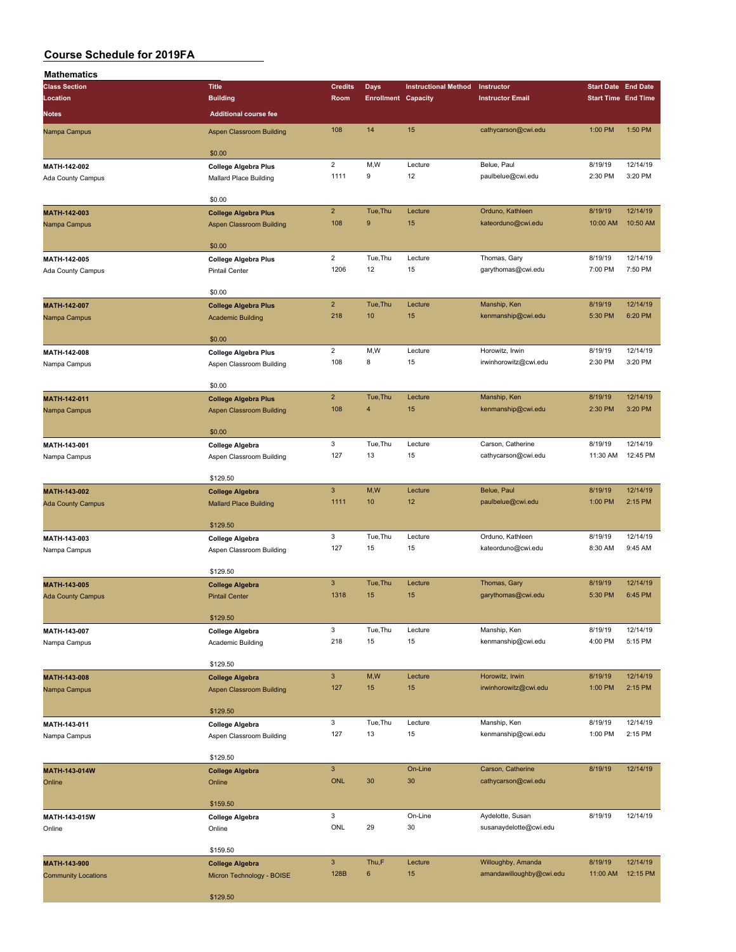| <b>Mathematics</b>           |                                                         |                         |                            |                             |                                          |                            |                     |
|------------------------------|---------------------------------------------------------|-------------------------|----------------------------|-----------------------------|------------------------------------------|----------------------------|---------------------|
| <b>Class Section</b>         | <b>Title</b>                                            | <b>Credits</b>          | <b>Days</b>                | <b>Instructional Method</b> | Instructor                               | <b>Start Date End Date</b> |                     |
| Location                     | <b>Building</b>                                         | Room                    | <b>Enrollment Capacity</b> |                             | <b>Instructor Email</b>                  | <b>Start Time End Time</b> |                     |
| <b>Notes</b>                 | <b>Additional course fee</b>                            |                         |                            |                             |                                          |                            |                     |
| Nampa Campus                 | Aspen Classroom Building                                | 108                     | 14                         | 15                          | cathycarson@cwi.edu                      | 1:00 PM                    | 1:50 PM             |
|                              |                                                         |                         |                            |                             |                                          |                            |                     |
|                              | \$0.00                                                  |                         |                            |                             |                                          |                            |                     |
| MATH-142-002                 | <b>College Algebra Plus</b>                             | $\overline{2}$<br>1111  | M,W<br>9                   | Lecture<br>12               | Belue, Paul<br>paulbelue@cwi.edu         | 8/19/19<br>2:30 PM         | 12/14/19<br>3:20 PM |
| Ada County Campus            | Mallard Place Building                                  |                         |                            |                             |                                          |                            |                     |
|                              | \$0.00                                                  |                         |                            |                             |                                          |                            |                     |
| MATH-142-003                 | <b>College Algebra Plus</b>                             | $\overline{2}$          | Tue, Thu                   | Lecture                     | Orduno, Kathleen                         | 8/19/19                    | 12/14/19            |
| Nampa Campus                 | <b>Aspen Classroom Building</b>                         | 108                     | $\boldsymbol{9}$           | 15                          | kateorduno@cwi.edu                       | 10:00 AM                   | 10:50 AM            |
|                              | \$0.00                                                  |                         |                            |                             |                                          |                            |                     |
| MATH-142-005                 | <b>College Algebra Plus</b>                             | $\overline{2}$          | Tue, Thu                   | Lecture                     | Thomas, Gary                             | 8/19/19                    | 12/14/19            |
| Ada County Campus            | <b>Pintail Center</b>                                   | 1206                    | 12                         | 15                          | garythomas@cwi.edu                       | 7:00 PM                    | 7:50 PM             |
|                              |                                                         |                         |                            |                             |                                          |                            |                     |
|                              | \$0.00                                                  | $\overline{2}$          | Tue, Thu                   |                             |                                          | 8/19/19                    | 12/14/19            |
| MATH-142-007                 | <b>College Algebra Plus</b><br><b>Academic Building</b> | 218                     | 10                         | Lecture<br>15               | Manship, Ken<br>kenmanship@cwi.edu       | 5:30 PM                    | 6:20 PM             |
| Nampa Campus                 |                                                         |                         |                            |                             |                                          |                            |                     |
|                              | \$0.00                                                  |                         |                            |                             |                                          |                            |                     |
| MATH-142-008                 | <b>College Algebra Plus</b>                             | $\overline{\mathbf{c}}$ | M,W                        | Lecture                     | Horowitz, Irwin                          | 8/19/19                    | 12/14/19            |
| Nampa Campus                 | Aspen Classroom Building                                | 108                     | 8                          | 15                          | irwinhorowitz@cwi.edu                    | 2:30 PM                    | 3:20 PM             |
|                              |                                                         |                         |                            |                             |                                          |                            |                     |
| MATH-142-011                 | \$0.00<br><b>College Algebra Plus</b>                   | $\overline{2}$          | Tue, Thu                   | Lecture                     | Manship, Ken                             | 8/19/19                    | 12/14/19            |
| Nampa Campus                 | <b>Aspen Classroom Building</b>                         | 108                     | $\overline{\mathbf{4}}$    | 15                          | kenmanship@cwi.edu                       | 2:30 PM                    | 3:20 PM             |
|                              |                                                         |                         |                            |                             |                                          |                            |                     |
|                              | \$0.00                                                  |                         |                            |                             |                                          |                            |                     |
| MATH-143-001                 | <b>College Algebra</b>                                  | 3                       | Tue, Thu                   | Lecture                     | Carson, Catherine                        | 8/19/19                    | 12/14/19            |
| Nampa Campus                 | Aspen Classroom Building                                | 127                     | 13                         | 15                          | cathycarson@cwi.edu                      | 11:30 AM                   | 12:45 PM            |
|                              | \$129.50                                                |                         |                            |                             |                                          |                            |                     |
| MATH-143-002                 | <b>College Algebra</b>                                  | $\mathbf{3}$            | M,W                        | Lecture                     | Belue, Paul                              | 8/19/19                    | 12/14/19            |
| <b>Ada County Campus</b>     | <b>Mallard Place Building</b>                           | 1111                    | 10                         | 12                          | paulbelue@cwi.edu                        | 1:00 PM                    | 2:15 PM             |
|                              |                                                         |                         |                            |                             |                                          |                            |                     |
|                              | \$129.50                                                | 3                       | Tue, Thu                   | Lecture                     |                                          | 8/19/19                    | 12/14/19            |
| MATH-143-003<br>Nampa Campus | <b>College Algebra</b><br>Aspen Classroom Building      | 127                     | 15                         | 15                          | Orduno, Kathleen<br>kateorduno@cwi.edu   | 8:30 AM                    | 9:45 AM             |
|                              |                                                         |                         |                            |                             |                                          |                            |                     |
|                              | \$129.50                                                |                         |                            |                             |                                          |                            |                     |
| MATH-143-005                 | <b>College Algebra</b>                                  | $\mathbf{3}$            | Tue, Thu                   | Lecture                     | Thomas, Gary                             | 8/19/19                    | 12/14/19            |
| <b>Ada County Campus</b>     | <b>Pintail Center</b>                                   | 1318                    | 15                         | 15                          | garythomas@cwi.edu                       | 5:30 PM                    | 6:45 PM             |
|                              | \$129.50                                                |                         |                            |                             |                                          |                            |                     |
| MATH-143-007                 | <b>College Algebra</b>                                  | 3                       | Tue, Thu                   | Lecture                     | Manship, Ken                             | 8/19/19                    | 12/14/19            |
| Nampa Campus                 | Academic Building                                       | 218                     | 15                         | 15                          | kenmanship@cwi.edu                       | 4:00 PM                    | 5:15 PM             |
|                              |                                                         |                         |                            |                             |                                          |                            |                     |
|                              | \$129.50                                                |                         |                            |                             |                                          |                            |                     |
| MATH-143-008                 | <b>College Algebra</b>                                  | $\mathbf{3}$            | M,W                        | Lecture                     | Horowitz, Irwin<br>irwinhorowitz@cwi.edu | 8/19/19                    | 12/14/19            |
| Nampa Campus                 | Aspen Classroom Building                                | 127                     | 15                         | 15                          |                                          | 1:00 PM                    | 2:15 PM             |
|                              | \$129.50                                                |                         |                            |                             |                                          |                            |                     |
| MATH-143-011                 | <b>College Algebra</b>                                  | $\mathbf{3}$            | Tue, Thu                   | Lecture                     | Manship, Ken                             | 8/19/19                    | 12/14/19            |
| Nampa Campus                 | Aspen Classroom Building                                | 127                     | 13                         | 15                          | kenmanship@cwi.edu                       | 1:00 PM                    | 2:15 PM             |
|                              |                                                         |                         |                            |                             |                                          |                            |                     |
|                              | \$129.50                                                | $\mathbf{3}$            |                            | On-Line                     | Carson, Catherine                        | 8/19/19                    | 12/14/19            |
| MATH-143-014W<br>Online      | <b>College Algebra</b><br>Online                        | <b>ONL</b>              | 30                         | 30                          | cathycarson@cwi.edu                      |                            |                     |
|                              |                                                         |                         |                            |                             |                                          |                            |                     |
|                              | \$159.50                                                |                         |                            |                             |                                          |                            |                     |
| MATH-143-015W                | <b>College Algebra</b>                                  | 3                       |                            | On-Line                     | Aydelotte, Susan                         | 8/19/19                    | 12/14/19            |
| Online                       | Online                                                  | ONL                     | 29                         | 30                          | susanaydelotte@cwi.edu                   |                            |                     |
|                              | \$159.50                                                |                         |                            |                             |                                          |                            |                     |
| MATH-143-900                 | <b>College Algebra</b>                                  | $\mathbf{3}$            | Thu,F                      | Lecture                     | Willoughby, Amanda                       | 8/19/19                    | 12/14/19            |
| <b>Community Locations</b>   | Micron Technology - BOISE                               | 128B                    | 6                          | 15                          | amandawilloughby@cwi.edu                 | 11:00 AM                   | 12:15 PM            |
|                              |                                                         |                         |                            |                             |                                          |                            |                     |
|                              | \$129.50                                                |                         |                            |                             |                                          |                            |                     |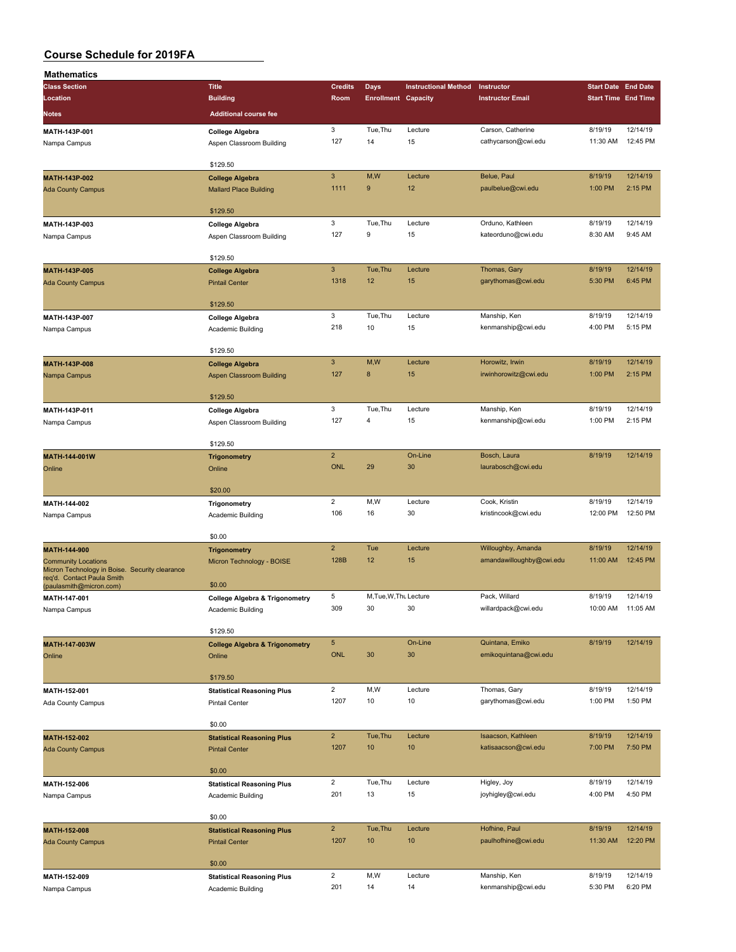| <b>Mathematics</b>                                                           |                                           |                           |                            |                             |                          |                            |          |
|------------------------------------------------------------------------------|-------------------------------------------|---------------------------|----------------------------|-----------------------------|--------------------------|----------------------------|----------|
| <b>Class Section</b>                                                         | <b>Title</b>                              | <b>Credits</b>            | Days                       | <b>Instructional Method</b> | Instructor               | <b>Start Date End Date</b> |          |
| Location                                                                     | <b>Building</b>                           | Room                      | <b>Enrollment Capacity</b> |                             | <b>Instructor Email</b>  | <b>Start Time End Time</b> |          |
| Notes                                                                        | <b>Additional course fee</b>              |                           |                            |                             |                          |                            |          |
|                                                                              |                                           |                           |                            |                             |                          |                            |          |
| MATH-143P-001                                                                | <b>College Algebra</b>                    | 3                         | Tue, Thu                   | Lecture                     | Carson, Catherine        | 8/19/19                    | 12/14/19 |
| Nampa Campus                                                                 | Aspen Classroom Building                  | 127                       | 14                         | 15                          | cathycarson@cwi.edu      | 11:30 AM                   | 12:45 PM |
|                                                                              |                                           |                           |                            |                             |                          |                            |          |
|                                                                              | \$129.50                                  |                           |                            |                             |                          |                            |          |
| MATH-143P-002                                                                | <b>College Algebra</b>                    | $\ensuremath{\mathsf{3}}$ | M,W                        | Lecture                     | Belue, Paul              | 8/19/19                    | 12/14/19 |
| <b>Ada County Campus</b>                                                     | <b>Mallard Place Building</b>             | 1111                      | 9                          | 12                          | paulbelue@cwi.edu        | 1:00 PM                    | 2:15 PM  |
|                                                                              |                                           |                           |                            |                             |                          |                            |          |
|                                                                              | \$129.50                                  |                           |                            |                             |                          |                            |          |
| MATH-143P-003                                                                | College Algebra                           | 3                         | Tue, Thu                   | Lecture                     | Orduno, Kathleen         | 8/19/19                    | 12/14/19 |
| Nampa Campus                                                                 | Aspen Classroom Building                  | 127                       | 9                          | 15                          | kateorduno@cwi.edu       | 8:30 AM                    | 9:45 AM  |
|                                                                              |                                           |                           |                            |                             |                          |                            |          |
|                                                                              | \$129.50                                  |                           |                            |                             |                          |                            |          |
| MATH-143P-005                                                                | <b>College Algebra</b>                    | 3                         | Tue, Thu                   | Lecture                     | Thomas, Gary             | 8/19/19                    | 12/14/19 |
| <b>Ada County Campus</b>                                                     | <b>Pintail Center</b>                     | 1318                      | 12                         | 15                          | garythomas@cwi.edu       | 5:30 PM                    | 6:45 PM  |
|                                                                              |                                           |                           |                            |                             |                          |                            |          |
|                                                                              | \$129.50                                  |                           |                            |                             |                          |                            |          |
| MATH-143P-007                                                                | College Algebra                           | 3                         | Tue, Thu                   | Lecture                     | Manship, Ken             | 8/19/19                    | 12/14/19 |
| Nampa Campus                                                                 | Academic Building                         | 218                       | 10                         | 15                          | kenmanship@cwi.edu       | 4:00 PM                    | 5:15 PM  |
|                                                                              |                                           |                           |                            |                             |                          |                            |          |
|                                                                              | \$129.50                                  |                           |                            |                             |                          |                            |          |
| MATH-143P-008                                                                | <b>College Algebra</b>                    | 3                         | M,W                        | Lecture                     | Horowitz, Irwin          | 8/19/19                    | 12/14/19 |
| Nampa Campus                                                                 | Aspen Classroom Building                  | 127                       | 8                          | 15                          | irwinhorowitz@cwi.edu    | 1:00 PM                    | 2:15 PM  |
|                                                                              |                                           |                           |                            |                             |                          |                            |          |
|                                                                              | \$129.50                                  |                           |                            |                             |                          |                            |          |
| MATH-143P-011                                                                | College Algebra                           | 3                         | Tue, Thu                   | Lecture                     | Manship, Ken             | 8/19/19                    | 12/14/19 |
| Nampa Campus                                                                 | Aspen Classroom Building                  | 127                       | 4                          | 15                          | kenmanship@cwi.edu       | 1:00 PM                    | 2:15 PM  |
|                                                                              |                                           |                           |                            |                             |                          |                            |          |
|                                                                              | \$129.50                                  |                           |                            |                             |                          |                            |          |
| MATH-144-001W                                                                | <b>Trigonometry</b>                       | $\overline{2}$            |                            | On-Line                     | Bosch, Laura             | 8/19/19                    | 12/14/19 |
| Online                                                                       | Online                                    | <b>ONL</b>                | 29                         | 30                          | laurabosch@cwi.edu       |                            |          |
|                                                                              |                                           |                           |                            |                             |                          |                            |          |
|                                                                              | \$20.00                                   |                           |                            |                             |                          |                            |          |
| MATH-144-002                                                                 | Trigonometry                              | $\overline{2}$            | M,W                        | Lecture                     | Cook, Kristin            | 8/19/19                    | 12/14/19 |
| Nampa Campus                                                                 | Academic Building                         | 106                       | 16                         | 30                          | kristincook@cwi.edu      | 12:00 PM                   | 12:50 PM |
|                                                                              |                                           |                           |                            |                             |                          |                            |          |
|                                                                              | \$0.00                                    |                           |                            |                             |                          |                            |          |
| MATH-144-900                                                                 | <b>Trigonometry</b>                       | $\overline{2}$            | Tue                        | Lecture                     | Willoughby, Amanda       | 8/19/19                    | 12/14/19 |
| <b>Community Locations</b><br>Micron Technology in Boise. Security clearance | Micron Technology - BOISE                 | 128B                      | 12                         | 15                          | amandawilloughby@cwi.edu | 11:00 AM                   | 12:45 PM |
| req'd. Contact Paula Smith                                                   |                                           |                           |                            |                             |                          |                            |          |
| (paulasmith@micron.com)                                                      | \$0.00                                    |                           |                            |                             |                          |                            |          |
| MATH-147-001                                                                 | <b>College Algebra &amp; Trigonometry</b> | 5                         | M, Tue, W, Thu Lecture     |                             | Pack, Willard            | 8/19/19                    | 12/14/19 |
| Nampa Campus                                                                 | Academic Building                         | 309                       | 30                         | 30                          | willardpack@cwi.edu      | 10:00 AM                   | 11:05 AM |
|                                                                              |                                           |                           |                            |                             |                          |                            |          |
|                                                                              | \$129.50                                  |                           |                            |                             |                          |                            |          |
| MATH-147-003W                                                                | <b>College Algebra &amp; Trigonometry</b> | 5                         |                            | On-Line                     | Quintana, Emiko          | 8/19/19                    | 12/14/19 |
| Online                                                                       | Online                                    | ONL                       | 30                         | 30                          | emikoquintana@cwi.edu    |                            |          |
|                                                                              |                                           |                           |                            |                             |                          |                            |          |
|                                                                              | \$179.50                                  |                           |                            |                             |                          |                            |          |
| MATH-152-001                                                                 | <b>Statistical Reasoning Plus</b>         | $\overline{2}$            | M,W                        | Lecture                     | Thomas, Gary             | 8/19/19                    | 12/14/19 |
| Ada County Campus                                                            | <b>Pintail Center</b>                     | 1207                      | 10                         | 10                          | garythomas@cwi.edu       | 1:00 PM                    | 1:50 PM  |
|                                                                              |                                           |                           |                            |                             |                          |                            |          |
|                                                                              | \$0.00                                    |                           |                            |                             |                          |                            |          |
| MATH-152-002                                                                 | <b>Statistical Reasoning Plus</b>         | $\overline{2}$            | Tue, Thu                   | Lecture                     | Isaacson, Kathleen       | 8/19/19                    | 12/14/19 |
| <b>Ada County Campus</b>                                                     | <b>Pintail Center</b>                     | 1207                      | 10                         | 10                          | katisaacson@cwi.edu      | 7:00 PM                    | 7:50 PM  |
|                                                                              |                                           |                           |                            |                             |                          |                            |          |
|                                                                              | \$0.00                                    |                           |                            |                             |                          |                            |          |
| MATH-152-006                                                                 | <b>Statistical Reasoning Plus</b>         | $\overline{2}$            | Tue, Thu                   | Lecture                     | Higley, Joy              | 8/19/19                    | 12/14/19 |
| Nampa Campus                                                                 | Academic Building                         | 201                       | 13                         | 15                          | joyhigley@cwi.edu        | 4:00 PM                    | 4:50 PM  |
|                                                                              |                                           |                           |                            |                             |                          |                            |          |
|                                                                              | \$0.00                                    |                           |                            |                             |                          |                            |          |
| MATH-152-008                                                                 | <b>Statistical Reasoning Plus</b>         | $\overline{2}$            | Tue, Thu                   | Lecture                     | Hofhine, Paul            | 8/19/19                    | 12/14/19 |
| <b>Ada County Campus</b>                                                     | <b>Pintail Center</b>                     | 1207                      | 10                         | 10                          | paulhofhine@cwi.edu      | 11:30 AM                   | 12:20 PM |
|                                                                              |                                           |                           |                            |                             |                          |                            |          |
|                                                                              | \$0.00                                    |                           |                            |                             |                          |                            |          |
| MATH-152-009                                                                 | <b>Statistical Reasoning Plus</b>         | $\overline{a}$            | M,W                        | Lecture                     | Manship, Ken             | 8/19/19                    | 12/14/19 |
| Nampa Campus                                                                 | Academic Building                         | 201                       | 14                         | 14                          | kenmanship@cwi.edu       | 5:30 PM                    | 6:20 PM  |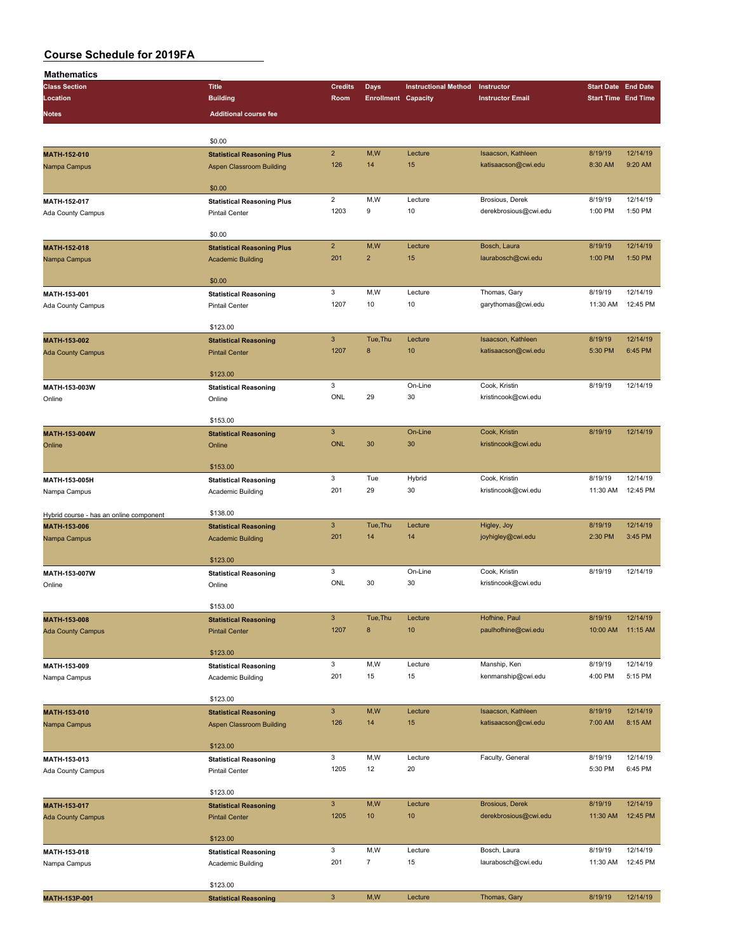| <b>Mathematics</b>                      |                                   |                           |                            |                             |                         |                            |          |
|-----------------------------------------|-----------------------------------|---------------------------|----------------------------|-----------------------------|-------------------------|----------------------------|----------|
| <b>Class Section</b>                    | <b>Title</b>                      | <b>Credits</b>            | Days                       | <b>Instructional Method</b> | Instructor              | <b>Start Date End Date</b> |          |
| Location                                | <b>Building</b>                   | Room                      | <b>Enrollment Capacity</b> |                             | <b>Instructor Email</b> | <b>Start Time End Time</b> |          |
|                                         |                                   |                           |                            |                             |                         |                            |          |
| <b>Notes</b>                            | <b>Additional course fee</b>      |                           |                            |                             |                         |                            |          |
|                                         |                                   |                           |                            |                             |                         |                            |          |
|                                         | \$0.00                            |                           |                            |                             |                         |                            |          |
| MATH-152-010                            | <b>Statistical Reasoning Plus</b> | $\overline{2}$            | M,W                        | Lecture                     | Isaacson, Kathleen      | 8/19/19                    | 12/14/19 |
| Nampa Campus                            | <b>Aspen Classroom Building</b>   | 126                       | 14                         | 15                          | katisaacson@cwi.edu     | 8:30 AM                    | 9:20 AM  |
|                                         |                                   |                           |                            |                             |                         |                            |          |
|                                         | \$0.00                            |                           |                            |                             |                         |                            |          |
|                                         |                                   | $\overline{2}$            | M,W                        | Lecture                     | Brosious, Derek         | 8/19/19                    | 12/14/19 |
| MATH-152-017                            | <b>Statistical Reasoning Plus</b> | 1203                      | 9                          | 10                          | derekbrosious@cwi.edu   | 1:00 PM                    | 1:50 PM  |
| Ada County Campus                       | <b>Pintail Center</b>             |                           |                            |                             |                         |                            |          |
|                                         |                                   |                           |                            |                             |                         |                            |          |
|                                         | \$0.00                            |                           |                            |                             |                         |                            |          |
| MATH-152-018                            | <b>Statistical Reasoning Plus</b> | $\overline{2}$            | M,W                        | Lecture                     | Bosch, Laura            | 8/19/19                    | 12/14/19 |
| Nampa Campus                            | <b>Academic Building</b>          | 201                       | $\overline{2}$             | 15                          | laurabosch@cwi.edu      | 1:00 PM                    | 1:50 PM  |
|                                         |                                   |                           |                            |                             |                         |                            |          |
|                                         | \$0.00                            |                           |                            |                             |                         |                            |          |
| MATH-153-001                            | <b>Statistical Reasoning</b>      | 3                         | M,W                        | Lecture                     | Thomas, Gary            | 8/19/19                    | 12/14/19 |
| Ada County Campus                       | <b>Pintail Center</b>             | 1207                      | 10                         | 10                          | garythomas@cwi.edu      | 11:30 AM                   | 12:45 PM |
|                                         |                                   |                           |                            |                             |                         |                            |          |
|                                         | \$123.00                          |                           |                            |                             |                         |                            |          |
| MATH-153-002                            | <b>Statistical Reasoning</b>      | $\mathbf{3}$              | Tue, Thu                   | Lecture                     | Isaacson, Kathleen      | 8/19/19                    | 12/14/19 |
| <b>Ada County Campus</b>                | <b>Pintail Center</b>             | 1207                      | 8                          | 10                          | katisaacson@cwi.edu     | 5:30 PM                    | 6:45 PM  |
|                                         |                                   |                           |                            |                             |                         |                            |          |
|                                         | \$123.00                          |                           |                            |                             |                         |                            |          |
|                                         |                                   |                           |                            |                             |                         |                            |          |
| MATH-153-003W                           | <b>Statistical Reasoning</b>      | 3                         |                            | On-Line                     | Cook, Kristin           | 8/19/19                    | 12/14/19 |
| Online                                  | Online                            | ONL                       | 29                         | 30                          | kristincook@cwi.edu     |                            |          |
|                                         |                                   |                           |                            |                             |                         |                            |          |
|                                         | \$153.00                          |                           |                            |                             |                         |                            |          |
| MATH-153-004W                           | <b>Statistical Reasoning</b>      | $\ensuremath{\mathsf{3}}$ |                            | On-Line                     | Cook, Kristin           | 8/19/19                    | 12/14/19 |
| Online                                  | Online                            | <b>ONL</b>                | 30                         | 30                          | kristincook@cwi.edu     |                            |          |
|                                         |                                   |                           |                            |                             |                         |                            |          |
|                                         | \$153.00                          |                           |                            |                             |                         |                            |          |
| MATH-153-005H                           | <b>Statistical Reasoning</b>      | 3                         | Tue                        | Hybrid                      | Cook, Kristin           | 8/19/19                    | 12/14/19 |
| Nampa Campus                            | Academic Building                 | 201                       | 29                         | 30                          | kristincook@cwi.edu     | 11:30 AM                   | 12:45 PM |
|                                         |                                   |                           |                            |                             |                         |                            |          |
|                                         | \$138.00                          |                           |                            |                             |                         |                            |          |
| Hybrid course - has an online component |                                   | $\ensuremath{\mathsf{3}}$ | Tue, Thu                   | Lecture                     | Higley, Joy             | 8/19/19                    | 12/14/19 |
| MATH-153-006                            | <b>Statistical Reasoning</b>      |                           |                            |                             |                         |                            |          |
| Nampa Campus                            | <b>Academic Building</b>          | 201                       | 14                         | 14                          | joyhigley@cwi.edu       | 2:30 PM                    | 3:45 PM  |
|                                         |                                   |                           |                            |                             |                         |                            |          |
|                                         | \$123.00                          |                           |                            |                             |                         |                            |          |
| MATH-153-007W                           | <b>Statistical Reasoning</b>      | 3                         |                            | On-Line                     | Cook, Kristin           | 8/19/19                    | 12/14/19 |
| Online                                  | Online                            | ONL                       | 30                         | 30                          | kristincook@cwi.edu     |                            |          |
|                                         |                                   |                           |                            |                             |                         |                            |          |
|                                         | \$153.00                          |                           |                            |                             |                         |                            |          |
| MATH-153-008                            | <b>Statistical Reasoning</b>      | $\ensuremath{\mathsf{3}}$ | Tue, Thu                   | Lecture                     | Hofhine, Paul           | 8/19/19                    | 12/14/19 |
| <b>Ada County Campus</b>                | <b>Pintail Center</b>             | 1207                      | 8                          | 10                          | paulhofhine@cwi.edu     | 10:00 AM                   | 11:15 AM |
|                                         |                                   |                           |                            |                             |                         |                            |          |
|                                         | \$123.00                          |                           |                            |                             |                         |                            |          |
| MATH-153-009                            |                                   | 3                         | M,W                        | Lecture                     | Manship, Ken            | 8/19/19                    | 12/14/19 |
|                                         | <b>Statistical Reasoning</b>      | 201                       | 15                         | 15                          | kenmanship@cwi.edu      | 4:00 PM                    | 5:15 PM  |
| Nampa Campus                            | Academic Building                 |                           |                            |                             |                         |                            |          |
|                                         |                                   |                           |                            |                             |                         |                            |          |
|                                         | \$123.00                          |                           |                            |                             |                         |                            |          |
| MATH-153-010                            | <b>Statistical Reasoning</b>      | $\ensuremath{\mathsf{3}}$ | M,W                        | Lecture                     | Isaacson, Kathleen      | 8/19/19                    | 12/14/19 |
| Nampa Campus                            | Aspen Classroom Building          | 126                       | 14                         | 15                          | katisaacson@cwi.edu     | 7:00 AM                    | 8:15 AM  |
|                                         |                                   |                           |                            |                             |                         |                            |          |
|                                         | \$123.00                          |                           |                            |                             |                         |                            |          |
| MATH-153-013                            | <b>Statistical Reasoning</b>      | 3                         | M,W                        | Lecture                     | Faculty, General        | 8/19/19                    | 12/14/19 |
| Ada County Campus                       | <b>Pintail Center</b>             | 1205                      | 12                         | 20                          |                         | 5:30 PM                    | 6:45 PM  |
|                                         |                                   |                           |                            |                             |                         |                            |          |
|                                         | \$123.00                          |                           |                            |                             |                         |                            |          |
| MATH-153-017                            | <b>Statistical Reasoning</b>      | $\mathbf{3}$              | M, W                       | Lecture                     | Brosious, Derek         | 8/19/19                    | 12/14/19 |
|                                         |                                   | 1205                      | 10                         | 10                          | derekbrosious@cwi.edu   | 11:30 AM                   | 12:45 PM |
| <b>Ada County Campus</b>                | <b>Pintail Center</b>             |                           |                            |                             |                         |                            |          |
|                                         |                                   |                           |                            |                             |                         |                            |          |
|                                         | \$123.00                          |                           |                            |                             |                         |                            |          |
| MATH-153-018                            | <b>Statistical Reasoning</b>      | 3                         | M,W                        | Lecture                     | Bosch, Laura            | 8/19/19                    | 12/14/19 |
| Nampa Campus                            | Academic Building                 | 201                       | $\overline{7}$             | 15                          | laurabosch@cwi.edu      | 11:30 AM                   | 12:45 PM |
|                                         |                                   |                           |                            |                             |                         |                            |          |
|                                         | \$123.00                          |                           |                            |                             |                         |                            |          |
| MATH-153P-001                           | <b>Statistical Reasoning</b>      | $\ensuremath{\mathsf{3}}$ | M, W                       | Lecture                     | Thomas, Gary            | 8/19/19                    | 12/14/19 |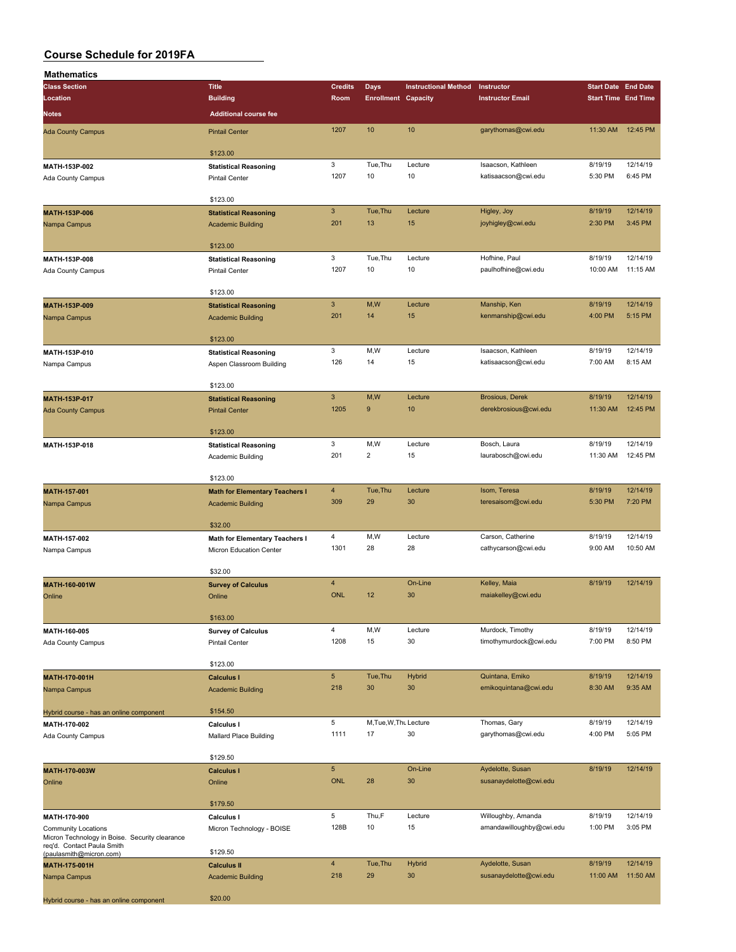| <b>Mathematics</b>                                                           |                                                |                           |                            |                             |                                                |                            |                     |
|------------------------------------------------------------------------------|------------------------------------------------|---------------------------|----------------------------|-----------------------------|------------------------------------------------|----------------------------|---------------------|
| <b>Class Section</b>                                                         | <b>Title</b>                                   | <b>Credits</b>            | Days                       | <b>Instructional Method</b> | Instructor                                     | <b>Start Date End Date</b> |                     |
| Location                                                                     | <b>Building</b>                                | Room                      | <b>Enrollment Capacity</b> |                             | <b>Instructor Email</b>                        | <b>Start Time End Time</b> |                     |
| <b>Notes</b>                                                                 | <b>Additional course fee</b>                   |                           |                            |                             |                                                |                            |                     |
| <b>Ada County Campus</b>                                                     | <b>Pintail Center</b>                          | 1207                      | 10                         | 10                          | garythomas@cwi.edu                             | 11:30 AM                   | 12:45 PM            |
|                                                                              |                                                |                           |                            |                             |                                                |                            |                     |
|                                                                              | \$123.00                                       |                           |                            |                             |                                                |                            |                     |
| MATH-153P-002                                                                | <b>Statistical Reasoning</b><br>Pintail Center | 3<br>1207                 | Tue, Thu<br>10             | Lecture<br>10               | Isaacson, Kathleen<br>katisaacson@cwi.edu      | 8/19/19<br>5:30 PM         | 12/14/19<br>6:45 PM |
| Ada County Campus                                                            |                                                |                           |                            |                             |                                                |                            |                     |
|                                                                              | \$123.00                                       |                           |                            |                             |                                                |                            |                     |
| MATH-153P-006                                                                | <b>Statistical Reasoning</b>                   | $\ensuremath{\mathsf{3}}$ | Tue, Thu                   | Lecture                     | Higley, Joy                                    | 8/19/19                    | 12/14/19            |
| Nampa Campus                                                                 | <b>Academic Building</b>                       | 201                       | 13                         | 15                          | joyhigley@cwi.edu                              | 2:30 PM                    | 3:45 PM             |
|                                                                              | \$123.00                                       |                           |                            |                             |                                                |                            |                     |
| MATH-153P-008                                                                | <b>Statistical Reasoning</b>                   | 3                         | Tue, Thu                   | Lecture                     | Hofhine, Paul                                  | 8/19/19                    | 12/14/19            |
| Ada County Campus                                                            | <b>Pintail Center</b>                          | 1207                      | 10                         | 10                          | paulhofhine@cwi.edu                            | 10:00 AM                   | 11:15 AM            |
|                                                                              |                                                |                           |                            |                             |                                                |                            |                     |
| MATH-153P-009                                                                | \$123.00<br><b>Statistical Reasoning</b>       | $\mathbf{3}$              | M,W                        | Lecture                     | Manship, Ken                                   | 8/19/19                    | 12/14/19            |
| Nampa Campus                                                                 | <b>Academic Building</b>                       | 201                       | 14                         | 15                          | kenmanship@cwi.edu                             | 4:00 PM                    | 5:15 PM             |
|                                                                              |                                                |                           |                            |                             |                                                |                            |                     |
|                                                                              | \$123.00                                       |                           |                            |                             |                                                |                            |                     |
| MATH-153P-010                                                                | <b>Statistical Reasoning</b>                   | 3                         | M,W                        | Lecture                     | Isaacson, Kathleen                             | 8/19/19                    | 12/14/19            |
| Nampa Campus                                                                 | Aspen Classroom Building                       | 126                       | 14                         | 15                          | katisaacson@cwi.edu                            | 7:00 AM                    | 8:15 AM             |
|                                                                              | \$123.00                                       |                           |                            |                             |                                                |                            |                     |
| MATH-153P-017                                                                | <b>Statistical Reasoning</b>                   | $\ensuremath{\mathsf{3}}$ | M, W                       | Lecture                     | <b>Brosious, Derek</b>                         | 8/19/19                    | 12/14/19            |
| <b>Ada County Campus</b>                                                     | <b>Pintail Center</b>                          | 1205                      | $\boldsymbol{9}$           | 10                          | derekbrosious@cwi.edu                          | 11:30 AM                   | 12:45 PM            |
|                                                                              | \$123.00                                       |                           |                            |                             |                                                |                            |                     |
| MATH-153P-018                                                                | <b>Statistical Reasoning</b>                   | 3                         | M, W                       | Lecture                     | Bosch, Laura                                   | 8/19/19                    | 12/14/19            |
|                                                                              | Academic Building                              | 201                       | $\overline{2}$             | 15                          | laurabosch@cwi.edu                             | 11:30 AM                   | 12:45 PM            |
|                                                                              |                                                |                           |                            |                             |                                                |                            |                     |
|                                                                              | \$123.00                                       |                           |                            |                             |                                                |                            |                     |
| MATH-157-001                                                                 | <b>Math for Elementary Teachers I</b>          | $\overline{4}$<br>309     | Tue, Thu<br>29             | Lecture<br>30               | Isom, Teresa<br>teresaisom@cwi.edu             | 8/19/19<br>5:30 PM         | 12/14/19<br>7:20 PM |
| Nampa Campus                                                                 | <b>Academic Building</b>                       |                           |                            |                             |                                                |                            |                     |
|                                                                              | \$32.00                                        |                           |                            |                             |                                                |                            |                     |
| MATH-157-002                                                                 | Math for Elementary Teachers I                 | $\overline{\mathbf{4}}$   | M, W                       | Lecture                     | Carson, Catherine                              | 8/19/19                    | 12/14/19            |
| Nampa Campus                                                                 | Micron Education Center                        | 1301                      | 28                         | 28                          | cathycarson@cwi.edu                            | 9:00 AM                    | 10:50 AM            |
|                                                                              | \$32.00                                        |                           |                            |                             |                                                |                            |                     |
| MATH-160-001W                                                                | <b>Survey of Calculus</b>                      | $\overline{4}$            |                            | On-Line                     | Kelley, Maia                                   | 8/19/19                    | 12/14/19            |
| Online                                                                       | Online                                         | <b>ONL</b>                | 12                         | 30                          | maiakelley@cwi.edu                             |                            |                     |
|                                                                              |                                                |                           |                            |                             |                                                |                            |                     |
|                                                                              | \$163.00                                       | $\overline{4}$            | M,W                        | Lecture                     | Murdock, Timothy                               | 8/19/19                    | 12/14/19            |
| MATH-160-005<br>Ada County Campus                                            | <b>Survey of Calculus</b><br>Pintail Center    | 1208                      | 15                         | 30                          | timothymurdock@cwi.edu                         | 7:00 PM                    | 8:50 PM             |
|                                                                              |                                                |                           |                            |                             |                                                |                            |                     |
|                                                                              | \$123.00                                       |                           |                            |                             |                                                |                            |                     |
| MATH-170-001H                                                                | <b>Calculus I</b>                              | $\sqrt{5}$                | Tue, Thu                   | <b>Hybrid</b>               | Quintana, Emiko                                | 8/19/19                    | 12/14/19            |
| Nampa Campus                                                                 | <b>Academic Building</b>                       | 218                       | 30                         | 30                          | emikoquintana@cwi.edu                          | 8:30 AM                    | 9:35 AM             |
| Hybrid course - has an online component                                      | \$154.50                                       |                           |                            |                             |                                                |                            |                     |
| MATH-170-002                                                                 | <b>Calculus I</b>                              | 5                         | M, Tue, W, Thu Lecture     |                             | Thomas, Gary                                   | 8/19/19                    | 12/14/19            |
| Ada County Campus                                                            | Mallard Place Building                         | 1111                      | 17                         | 30                          | garythomas@cwi.edu                             | 4:00 PM                    | 5:05 PM             |
|                                                                              | \$129.50                                       |                           |                            |                             |                                                |                            |                     |
| MATH-170-003W                                                                | <b>Calculus I</b>                              | $\sqrt{5}$                |                            | On-Line                     | Aydelotte, Susan                               | 8/19/19                    | 12/14/19            |
| Online                                                                       | Online                                         | ONL                       | 28                         | 30                          | susanaydelotte@cwi.edu                         |                            |                     |
|                                                                              |                                                |                           |                            |                             |                                                |                            |                     |
|                                                                              | \$179.50                                       | 5                         | Thu,F                      |                             |                                                |                            | 12/14/19            |
| MATH-170-900                                                                 | Calculus I                                     | 128B                      | 10                         | Lecture<br>15               | Willoughby, Amanda<br>amandawilloughby@cwi.edu | 8/19/19<br>1:00 PM         | 3:05 PM             |
| <b>Community Locations</b><br>Micron Technology in Boise. Security clearance | Micron Technology - BOISE                      |                           |                            |                             |                                                |                            |                     |
| req'd. Contact Paula Smith<br>(paulasmith@micron.com)                        | \$129.50                                       |                           |                            |                             |                                                |                            |                     |
| MATH-175-001H                                                                | <b>Calculus II</b>                             | $\overline{4}$            | Tue, Thu                   | <b>Hybrid</b>               | Aydelotte, Susan                               | 8/19/19                    | 12/14/19            |
| Nampa Campus                                                                 | <b>Academic Building</b>                       | 218                       | 29                         | 30                          | susanaydelotte@cwi.edu                         | 11:00 AM                   | 11:50 AM            |
|                                                                              | \$20.00                                        |                           |                            |                             |                                                |                            |                     |
| Hybrid course - has an online component                                      |                                                |                           |                            |                             |                                                |                            |                     |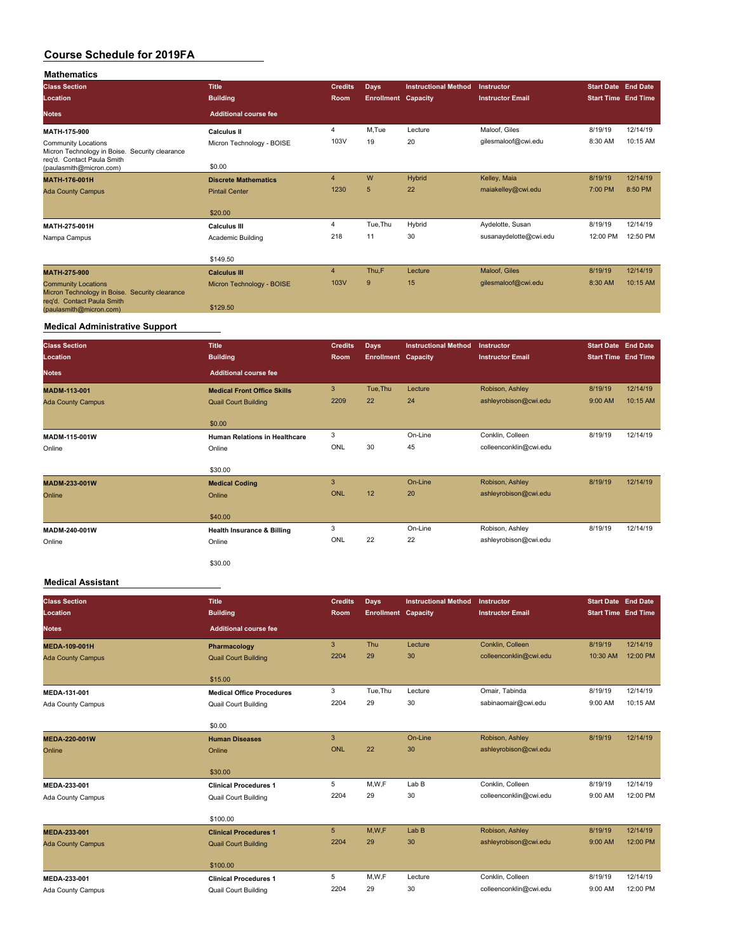| <b>Mathematics</b>                                                                                         |                                       |                |                            |                             |                         |                            |          |
|------------------------------------------------------------------------------------------------------------|---------------------------------------|----------------|----------------------------|-----------------------------|-------------------------|----------------------------|----------|
| <b>Class Section</b>                                                                                       | <b>Title</b>                          | <b>Credits</b> | <b>Days</b>                | <b>Instructional Method</b> | Instructor              | <b>Start Date End Date</b> |          |
| Location                                                                                                   | <b>Building</b>                       | Room           | <b>Enrollment Capacity</b> |                             | <b>Instructor Email</b> | <b>Start Time End Time</b> |          |
| <b>Notes</b>                                                                                               | <b>Additional course fee</b>          |                |                            |                             |                         |                            |          |
| MATH-175-900                                                                                               | <b>Calculus II</b>                    | 4              | M,Tue                      | Lecture                     | Maloof, Giles           | 8/19/19                    | 12/14/19 |
| <b>Community Locations</b><br>Micron Technology in Boise. Security clearance<br>req'd. Contact Paula Smith | Micron Technology - BOISE             | 103V           | 19                         | 20                          | gilesmaloof@cwi.edu     | 8:30 AM                    | 10:15 AM |
| (paulasmith@micron.com)                                                                                    | \$0.00                                |                |                            |                             |                         |                            |          |
| MATH-176-001H                                                                                              | <b>Discrete Mathematics</b>           | $\overline{4}$ | W                          | Hybrid                      | Kelley, Maia            | 8/19/19                    | 12/14/19 |
| <b>Ada County Campus</b>                                                                                   | <b>Pintail Center</b>                 | 1230           | 5                          | 22                          | maiakelley@cwi.edu      | 7:00 PM                    | 8:50 PM  |
|                                                                                                            | \$20.00                               |                |                            |                             |                         |                            |          |
| MATH-275-001H                                                                                              | <b>Calculus III</b>                   | 4              | Tue, Thu                   | Hybrid                      | Aydelotte, Susan        | 8/19/19                    | 12/14/19 |
| Nampa Campus                                                                                               | Academic Building                     | 218            | 11                         | 30                          | susanaydelotte@cwi.edu  | 12:00 PM                   | 12:50 PM |
|                                                                                                            | \$149.50                              |                |                            |                             |                         |                            |          |
| <b>MATH-275-900</b>                                                                                        | <b>Calculus III</b>                   | $\overline{4}$ | Thu,F                      | Lecture                     | Maloof, Giles           | 8/19/19                    | 12/14/19 |
| <b>Community Locations</b><br>Micron Technology in Boise. Security clearance<br>reg'd. Contact Paula Smith | Micron Technology - BOISE<br>\$129.50 | 103V           | 9                          | 15                          | qilesmaloof@cwi.edu     | 8:30 AM                    | 10:15 AM |
| (paulasmith@micron.com)                                                                                    |                                       |                |                            |                             |                         |                            |          |

## **Medical Administrative Support**

| <b>Class Section</b>     | <b>Title</b>                          | <b>Credits</b> | <b>Days</b>                | <b>Instructional Method</b> | Instructor              | Start Date End Date        |          |
|--------------------------|---------------------------------------|----------------|----------------------------|-----------------------------|-------------------------|----------------------------|----------|
| Location                 | <b>Building</b>                       | Room           | <b>Enrollment Capacity</b> |                             | <b>Instructor Email</b> | <b>Start Time End Time</b> |          |
| <b>Notes</b>             | <b>Additional course fee</b>          |                |                            |                             |                         |                            |          |
| <b>MADM-113-001</b>      | <b>Medical Front Office Skills</b>    | 3              | Tue, Thu                   | Lecture                     | Robison, Ashley         | 8/19/19                    | 12/14/19 |
| <b>Ada County Campus</b> | <b>Quail Court Building</b>           | 2209           | 22                         | 24                          | ashleyrobison@cwi.edu   | 9:00 AM                    | 10:15 AM |
|                          | \$0.00                                |                |                            |                             |                         |                            |          |
| MADM-115-001W            | <b>Human Relations in Healthcare</b>  | 3              |                            | On-Line                     | Conklin, Colleen        | 8/19/19                    | 12/14/19 |
| Online                   | Online                                | ONL            | 30                         | 45                          | colleenconklin@cwi.edu  |                            |          |
|                          | \$30.00                               |                |                            |                             |                         |                            |          |
| MADM-233-001W            | <b>Medical Coding</b>                 | 3              |                            | On-Line                     | Robison, Ashley         | 8/19/19                    | 12/14/19 |
| Online                   | Online                                | <b>ONL</b>     | 12                         | 20                          | ashleyrobison@cwi.edu   |                            |          |
|                          | \$40.00                               |                |                            |                             |                         |                            |          |
| MADM-240-001W            | <b>Health Insurance &amp; Billing</b> | 3              |                            | On-Line                     | Robison, Ashley         | 8/19/19                    | 12/14/19 |
| Online                   | Online                                | ONL            | 22                         | 22                          | ashleyrobison@cwi.edu   |                            |          |
|                          | \$30.00                               |                |                            |                             |                         |                            |          |

#### **Medical Assistant**

| <b>Class Section</b><br>Location | <b>Title</b><br><b>Building</b>  | <b>Credits</b><br>Room | <b>Days</b><br><b>Enrollment Capacity</b> | <b>Instructional Method</b> | Instructor<br><b>Instructor Email</b> | <b>Start Date End Date</b><br><b>Start Time End Time</b> |          |
|----------------------------------|----------------------------------|------------------------|-------------------------------------------|-----------------------------|---------------------------------------|----------------------------------------------------------|----------|
| <b>Notes</b>                     | <b>Additional course fee</b>     |                        |                                           |                             |                                       |                                                          |          |
| <b>MEDA-109-001H</b>             | Pharmacology                     | 3                      | Thu                                       | Lecture                     | Conklin, Colleen                      | 8/19/19                                                  | 12/14/19 |
| <b>Ada County Campus</b>         | <b>Quail Court Building</b>      | 2204                   | 29                                        | 30                          | colleenconklin@cwi.edu                | 10:30 AM                                                 | 12:00 PM |
|                                  | \$15.00                          |                        |                                           |                             |                                       |                                                          |          |
| MEDA-131-001                     | <b>Medical Office Procedures</b> | 3                      | Tue, Thu                                  | Lecture                     | Omair, Tabinda                        | 8/19/19                                                  | 12/14/19 |
| Ada County Campus                | <b>Quail Court Building</b>      | 2204                   | 29                                        | 30                          | sabinaomair@cwi.edu                   | 9:00 AM                                                  | 10:15 AM |
|                                  | \$0.00                           |                        |                                           |                             |                                       |                                                          |          |
| <b>MEDA-220-001W</b>             | <b>Human Diseases</b>            | 3                      |                                           | On-Line                     | Robison, Ashley                       | 8/19/19                                                  | 12/14/19 |
| Online                           | Online                           | ONL                    | 22                                        | 30                          | ashleyrobison@cwi.edu                 |                                                          |          |
|                                  | \$30.00                          |                        |                                           |                             |                                       |                                                          |          |
| MEDA-233-001                     | <b>Clinical Procedures 1</b>     | 5                      | M, W, F                                   | Lab B                       | Conklin, Colleen                      | 8/19/19                                                  | 12/14/19 |
| Ada County Campus                | <b>Quail Court Building</b>      | 2204                   | 29                                        | 30                          | colleenconklin@cwi.edu                | 9:00 AM                                                  | 12:00 PM |
|                                  | \$100.00                         |                        |                                           |                             |                                       |                                                          |          |
| MEDA-233-001                     | <b>Clinical Procedures 1</b>     | 5                      | M,W,F                                     | Lab <sub>B</sub>            | Robison, Ashley                       | 8/19/19                                                  | 12/14/19 |
| <b>Ada County Campus</b>         | <b>Quail Court Building</b>      | 2204                   | 29                                        | 30                          | ashleyrobison@cwi.edu                 | 9:00 AM                                                  | 12:00 PM |
|                                  | \$100.00                         |                        |                                           |                             |                                       |                                                          |          |
| MEDA-233-001                     | <b>Clinical Procedures 1</b>     | 5                      | M, W, F                                   | Lecture                     | Conklin, Colleen                      | 8/19/19                                                  | 12/14/19 |
| Ada County Campus                | <b>Quail Court Building</b>      | 2204                   | 29                                        | 30                          | colleenconklin@cwi.edu                | 9:00 AM                                                  | 12:00 PM |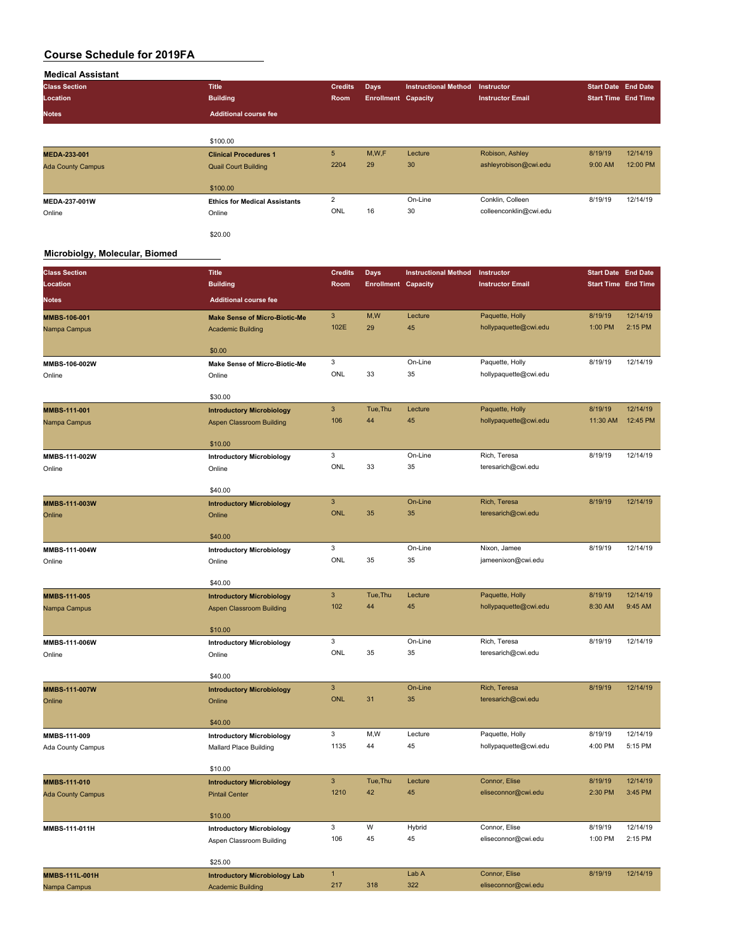| <b>Medical Assistant</b> |                                      |                |                            |                             |                         |                            |                            |
|--------------------------|--------------------------------------|----------------|----------------------------|-----------------------------|-------------------------|----------------------------|----------------------------|
| <b>Class Section</b>     | <b>Title</b>                         | <b>Credits</b> | <b>Days</b>                | <b>Instructional Method</b> | Instructor              | <b>Start Date End Date</b> |                            |
| Location                 | <b>Building</b>                      | Room           | <b>Enrollment Capacity</b> |                             | <b>Instructor Email</b> |                            | <b>Start Time End Time</b> |
| <b>Notes</b>             | <b>Additional course fee</b>         |                |                            |                             |                         |                            |                            |
|                          |                                      |                |                            |                             |                         |                            |                            |
|                          | \$100.00                             |                |                            |                             |                         |                            |                            |
| MEDA-233-001             | <b>Clinical Procedures 1</b>         | 5              | M,W,F                      | Lecture                     | Robison, Ashley         | 8/19/19                    | 12/14/19                   |
| <b>Ada County Campus</b> | <b>Quail Court Building</b>          | 2204           | 29                         | 30                          | ashleyrobison@cwi.edu   | 9:00 AM                    | 12:00 PM                   |
|                          | \$100.00                             |                |                            |                             |                         |                            |                            |
| MEDA-237-001W            | <b>Ethics for Medical Assistants</b> | $\overline{2}$ |                            | On-Line                     | Conklin, Colleen        | 8/19/19                    | 12/14/19                   |
| Online                   | Online                               | ONL            | 16                         | 30                          | colleenconklin@cwi.edu  |                            |                            |
|                          | \$20.00                              |                |                            |                             |                         |                            |                            |

#### **Microbiolgy, Molecular, Biomed**

| <b>Class Section</b>     | <b>Title</b>                               | <b>Credits</b>      | Days                       | <b>Instructional Method</b> | Instructor                               | <b>Start Date End Date</b> |          |
|--------------------------|--------------------------------------------|---------------------|----------------------------|-----------------------------|------------------------------------------|----------------------------|----------|
| Location                 | <b>Building</b>                            | Room                | <b>Enrollment Capacity</b> |                             | <b>Instructor Email</b>                  | <b>Start Time End Time</b> |          |
| <b>Notes</b>             | <b>Additional course fee</b>               |                     |                            |                             |                                          |                            |          |
| MMBS-106-001             | <b>Make Sense of Micro-Biotic-Me</b>       | $\mathbf{3}$        | M, W                       | Lecture                     | Paquette, Holly                          | 8/19/19                    | 12/14/19 |
| Nampa Campus             | <b>Academic Building</b>                   | 102E                | 29                         | 45                          | hollypaquette@cwi.edu                    | 1:00 PM                    | 2:15 PM  |
|                          |                                            |                     |                            |                             |                                          |                            |          |
|                          | \$0.00                                     | 3                   |                            | On-Line                     | Paquette, Holly                          | 8/19/19                    | 12/14/19 |
| MMBS-106-002W<br>Online  | Make Sense of Micro-Biotic-Me<br>Online    | ONL                 | 33                         | 35                          | hollypaquette@cwi.edu                    |                            |          |
|                          |                                            |                     |                            |                             |                                          |                            |          |
|                          | \$30.00                                    | 3                   | Tue, Thu                   |                             |                                          | 8/19/19                    | 12/14/19 |
| MMBS-111-001             | <b>Introductory Microbiology</b>           | 106                 | 44                         | Lecture<br>45               | Paquette, Holly<br>hollypaquette@cwi.edu | 11:30 AM                   | 12:45 PM |
| Nampa Campus             | Aspen Classroom Building                   |                     |                            |                             |                                          |                            |          |
|                          | \$10.00                                    |                     |                            |                             |                                          |                            |          |
| MMBS-111-002W            | <b>Introductory Microbiology</b>           | 3                   |                            | On-Line                     | Rich, Teresa                             | 8/19/19                    | 12/14/19 |
| Online                   | Online                                     | <b>ONL</b>          | 33                         | 35                          | teresarich@cwi.edu                       |                            |          |
|                          |                                            |                     |                            |                             |                                          |                            |          |
| MMBS-111-003W            | \$40.00                                    | 3                   |                            | On-Line                     | Rich, Teresa                             | 8/19/19                    | 12/14/19 |
| Online                   | <b>Introductory Microbiology</b><br>Online | <b>ONL</b>          | 35                         | 35                          | teresarich@cwi.edu                       |                            |          |
|                          |                                            |                     |                            |                             |                                          |                            |          |
|                          | \$40.00                                    |                     |                            |                             |                                          |                            |          |
| MMBS-111-004W            | <b>Introductory Microbiology</b>           | 3                   |                            | On-Line                     | Nixon, Jamee                             | 8/19/19                    | 12/14/19 |
| Online                   | Online                                     | <b>ONL</b>          | 35                         | 35                          | jameenixon@cwi.edu                       |                            |          |
|                          | \$40.00                                    |                     |                            |                             |                                          |                            |          |
| MMBS-111-005             | <b>Introductory Microbiology</b>           | 3                   | Tue, Thu                   | Lecture                     | Paquette, Holly                          | 8/19/19                    | 12/14/19 |
| Nampa Campus             | Aspen Classroom Building                   | 102                 | 44                         | 45                          | hollypaquette@cwi.edu                    | 8:30 AM                    | 9:45 AM  |
|                          |                                            |                     |                            |                             |                                          |                            |          |
|                          | \$10.00                                    | 3                   |                            | On-Line                     | Rich, Teresa                             | 8/19/19                    | 12/14/19 |
| MMBS-111-006W            | <b>Introductory Microbiology</b>           | ONL                 | 35                         | 35                          | teresarich@cwi.edu                       |                            |          |
| Online                   | Online                                     |                     |                            |                             |                                          |                            |          |
|                          | \$40.00                                    |                     |                            |                             |                                          |                            |          |
| MMBS-111-007W            | <b>Introductory Microbiology</b>           | 3                   |                            | On-Line                     | Rich, Teresa                             | 8/19/19                    | 12/14/19 |
| Online                   | Online                                     | <b>ONL</b>          | 31                         | 35                          | teresarich@cwi.edu                       |                            |          |
|                          | \$40.00                                    |                     |                            |                             |                                          |                            |          |
| MMBS-111-009             | <b>Introductory Microbiology</b>           | 3                   | M,W                        | Lecture                     | Paquette, Holly                          | 8/19/19                    | 12/14/19 |
| Ada County Campus        | Mallard Place Building                     | 1135                | 44                         | 45                          | hollypaquette@cwi.edu                    | 4:00 PM                    | 5:15 PM  |
|                          |                                            |                     |                            |                             |                                          |                            |          |
|                          | \$10.00                                    |                     |                            |                             |                                          |                            |          |
| MMBS-111-010             | <b>Introductory Microbiology</b>           | $\mathbf{3}$        | Tue, Thu                   | Lecture                     | Connor, Elise                            | 8/19/19                    | 12/14/19 |
| <b>Ada County Campus</b> | <b>Pintail Center</b>                      | 1210                | 42                         | 45                          | eliseconnor@cwi.edu                      | 2:30 PM                    | 3:45 PM  |
|                          | \$10.00                                    |                     |                            |                             |                                          |                            |          |
| MMBS-111-011H            | <b>Introductory Microbiology</b>           | 3                   | W                          | Hybrid                      | Connor, Elise                            | 8/19/19                    | 12/14/19 |
|                          | Aspen Classroom Building                   | 106                 | 45                         | 45                          | eliseconnor@cwi.edu                      | 1:00 PM                    | 2:15 PM  |
|                          |                                            |                     |                            |                             |                                          |                            |          |
|                          | \$25.00                                    |                     |                            |                             |                                          | 8/19/19                    | 12/14/19 |
| <b>MMBS-111L-001H</b>    | <b>Introductory Microbiology Lab</b>       | $\mathbf{1}$<br>217 | 318                        | Lab A<br>322                | Connor, Elise<br>eliseconnor@cwi.edu     |                            |          |
| Nampa Campus             | <b>Academic Building</b>                   |                     |                            |                             |                                          |                            |          |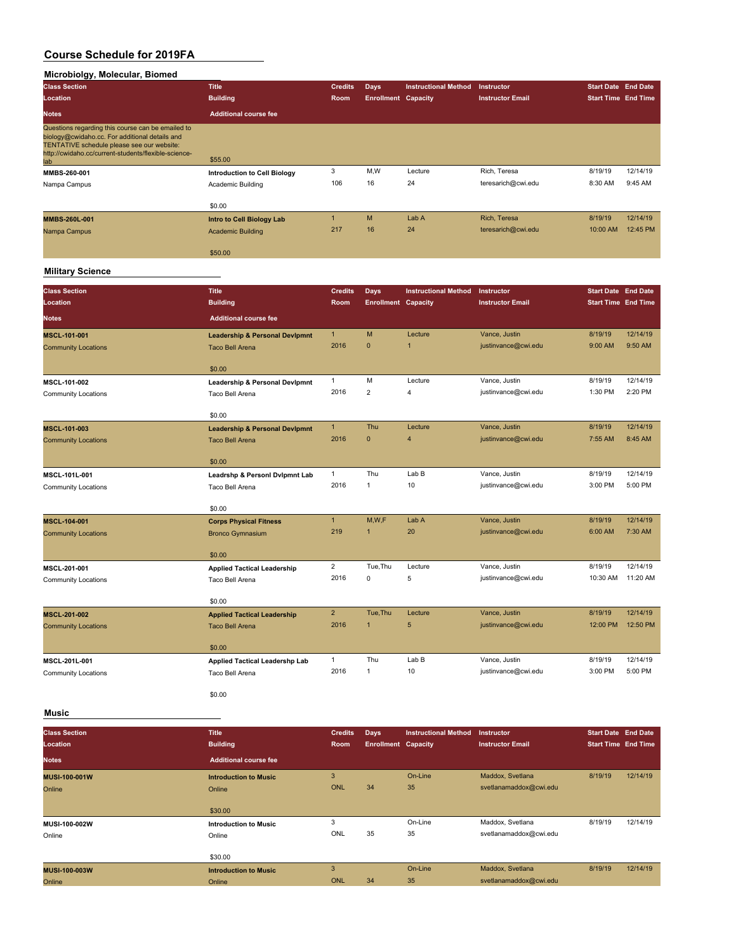#### **Microbiolgy, Molecular, Biomed**

| <b>Class Section</b>                                                                                                                                                                                             | <b>Title</b>                        | <b>Credits</b> | Days                       | <b>Instructional Method</b> | Instructor              | <b>Start Date End Date</b> |          |
|------------------------------------------------------------------------------------------------------------------------------------------------------------------------------------------------------------------|-------------------------------------|----------------|----------------------------|-----------------------------|-------------------------|----------------------------|----------|
| Location                                                                                                                                                                                                         | <b>Building</b>                     | <b>Room</b>    | <b>Enrollment Capacity</b> |                             | <b>Instructor Email</b> | <b>Start Time End Time</b> |          |
| <b>Notes</b>                                                                                                                                                                                                     | <b>Additional course fee</b>        |                |                            |                             |                         |                            |          |
| Questions regarding this course can be emailed to<br>biology@cwidaho.cc. For additional details and<br>TENTATIVE schedule please see our website:<br>http://cwidaho.cc/current-students/flexible-science-<br>lab | \$55.00                             |                |                            |                             |                         |                            |          |
| MMBS-260-001                                                                                                                                                                                                     | <b>Introduction to Cell Biology</b> | 3              | M,W                        | Lecture                     | Rich. Teresa            | 8/19/19                    | 12/14/19 |
| Nampa Campus                                                                                                                                                                                                     | Academic Building                   | 106            | 16                         | 24                          | teresarich@cwi.edu      | 8:30 AM                    | 9:45 AM  |
|                                                                                                                                                                                                                  | \$0.00                              |                |                            |                             |                         |                            |          |
| MMBS-260L-001                                                                                                                                                                                                    | <b>Intro to Cell Biology Lab</b>    |                | M                          | Lab A                       | Rich, Teresa            | 8/19/19                    | 12/14/19 |
| Nampa Campus                                                                                                                                                                                                     | <b>Academic Building</b>            | 217            | 16                         | 24                          | teresarich@cwi.edu      | 10:00 AM                   | 12:45 PM |
|                                                                                                                                                                                                                  | \$50.00                             |                |                            |                             |                         |                            |          |

#### **Military Science**

| <b>Class Section</b>       | <b>Title</b>                                          | <b>Credits</b> | <b>Days</b>                | <b>Instructional Method</b> | Instructor              | <b>Start Date End Date</b> |          |
|----------------------------|-------------------------------------------------------|----------------|----------------------------|-----------------------------|-------------------------|----------------------------|----------|
| Location                   | <b>Building</b>                                       | Room           | <b>Enrollment Capacity</b> |                             | <b>Instructor Email</b> | <b>Start Time End Time</b> |          |
| <b>Notes</b>               | <b>Additional course fee</b>                          |                |                            |                             |                         |                            |          |
| <b>MSCL-101-001</b>        | <b>Leadership &amp; Personal Devipmnt</b>             | $\mathbf{1}$   | M                          | Lecture                     | Vance, Justin           | 8/19/19                    | 12/14/19 |
| <b>Community Locations</b> | <b>Taco Bell Arena</b>                                | 2016           | $\mathbf{0}$               | 1                           | justinvance@cwi.edu     | 9:00 AM                    | 9:50 AM  |
|                            | \$0.00                                                |                |                            |                             |                         |                            |          |
| MSCL-101-002               | Leadership & Personal Devipmnt                        | $\mathbf{1}$   | M                          | Lecture                     | Vance, Justin           | 8/19/19                    | 12/14/19 |
| <b>Community Locations</b> | Taco Bell Arena                                       | 2016           | $\overline{2}$             | $\overline{4}$              | justinvance@cwi.edu     | 1:30 PM                    | 2:20 PM  |
|                            |                                                       |                |                            |                             |                         |                            |          |
| MSCL-101-003               | \$0.00<br><b>Leadership &amp; Personal Devipmnt</b>   | $\mathbf{1}$   | Thu                        | Lecture                     | Vance, Justin           | 8/19/19                    | 12/14/19 |
| <b>Community Locations</b> | <b>Taco Bell Arena</b>                                | 2016           | $\mathbf 0$                | $\overline{4}$              | justinvance@cwi.edu     | 7:55 AM                    | 8:45 AM  |
|                            |                                                       |                |                            |                             |                         |                            |          |
|                            | \$0.00                                                |                |                            |                             |                         |                            |          |
| MSCL-101L-001              | Leadrshp & Personl Dvlpmnt Lab                        | $\mathbf{1}$   | Thu                        | Lab B                       | Vance, Justin           | 8/19/19                    | 12/14/19 |
| <b>Community Locations</b> | Taco Bell Arena                                       | 2016           | $\mathbf{1}$               | 10                          | justinvance@cwi.edu     | 3:00 PM                    | 5:00 PM  |
|                            | \$0.00                                                |                |                            |                             |                         |                            |          |
| <b>MSCL-104-001</b>        | <b>Corps Physical Fitness</b>                         | 1              | M,W,F                      | Lab A                       | Vance, Justin           | 8/19/19                    | 12/14/19 |
| <b>Community Locations</b> | <b>Bronco Gymnasium</b>                               | 219            | $\overline{1}$             | 20                          | justinvance@cwi.edu     | 6:00 AM                    | 7:30 AM  |
|                            |                                                       |                |                            |                             |                         |                            |          |
|                            | \$0.00                                                | $\overline{2}$ | Tue, Thu                   | Lecture                     | Vance, Justin           | 8/19/19                    | 12/14/19 |
| MSCL-201-001               | <b>Applied Tactical Leadership</b><br>Taco Bell Arena | 2016           | 0                          | 5                           | justinvance@cwi.edu     | 10:30 AM                   | 11:20 AM |
| <b>Community Locations</b> |                                                       |                |                            |                             |                         |                            |          |
|                            | \$0.00                                                |                |                            |                             |                         |                            |          |
| <b>MSCL-201-002</b>        | <b>Applied Tactical Leadership</b>                    | $\overline{2}$ | Tue.Thu                    | Lecture                     | Vance, Justin           | 8/19/19                    | 12/14/19 |
| <b>Community Locations</b> | <b>Taco Bell Arena</b>                                | 2016           | $\overline{1}$             | 5                           | justinvance@cwi.edu     | 12:00 PM                   | 12:50 PM |
|                            | \$0.00                                                |                |                            |                             |                         |                            |          |
| MSCL-201L-001              | <b>Applied Tactical Leadershp Lab</b>                 | $\mathbf{1}$   | Thu                        | Lab B                       | Vance, Justin           | 8/19/19                    | 12/14/19 |
| <b>Community Locations</b> | Taco Bell Arena                                       | 2016           | $\mathbf{1}$               | 10                          | justinvance@cwi.edu     | 3:00 PM                    | 5:00 PM  |
|                            |                                                       |                |                            |                             |                         |                            |          |
|                            | \$0.00                                                |                |                            |                             |                         |                            |          |
| <b>Music</b>               |                                                       |                |                            |                             |                         |                            |          |
|                            |                                                       |                |                            |                             |                         |                            |          |

| <b>Class Section</b> | <b>Title</b>                 | <b>Credits</b> | <b>Days</b>                | <b>Instructional Method</b> | Instructor              | <b>Start Date End Date</b> |          |
|----------------------|------------------------------|----------------|----------------------------|-----------------------------|-------------------------|----------------------------|----------|
| Location             | <b>Building</b>              | Room           | <b>Enrollment Capacity</b> |                             | <b>Instructor Email</b> | <b>Start Time End Time</b> |          |
| <b>Notes</b>         | <b>Additional course fee</b> |                |                            |                             |                         |                            |          |
| <b>MUSI-100-001W</b> | <b>Introduction to Music</b> | 3              |                            | On-Line                     | Maddox, Svetlana        | 8/19/19                    | 12/14/19 |
| Online               | Online                       | ONL            | 34                         | 35                          | svetlanamaddox@cwi.edu  |                            |          |
|                      | \$30.00                      |                |                            |                             |                         |                            |          |
| <b>MUSI-100-002W</b> | <b>Introduction to Music</b> | 3              |                            | On-Line                     | Maddox, Svetlana        | 8/19/19                    | 12/14/19 |
| Online               | Online                       | ONL            | 35                         | 35                          | svetlanamaddox@cwi.edu  |                            |          |
|                      | \$30.00                      |                |                            |                             |                         |                            |          |
| MUSI-100-003W        | <b>Introduction to Music</b> | 3              |                            | On-Line                     | Maddox, Svetlana        | 8/19/19                    | 12/14/19 |
| Online               | Online                       | ONL            | 34                         | 35                          | svetlanamaddox@cwi.edu  |                            |          |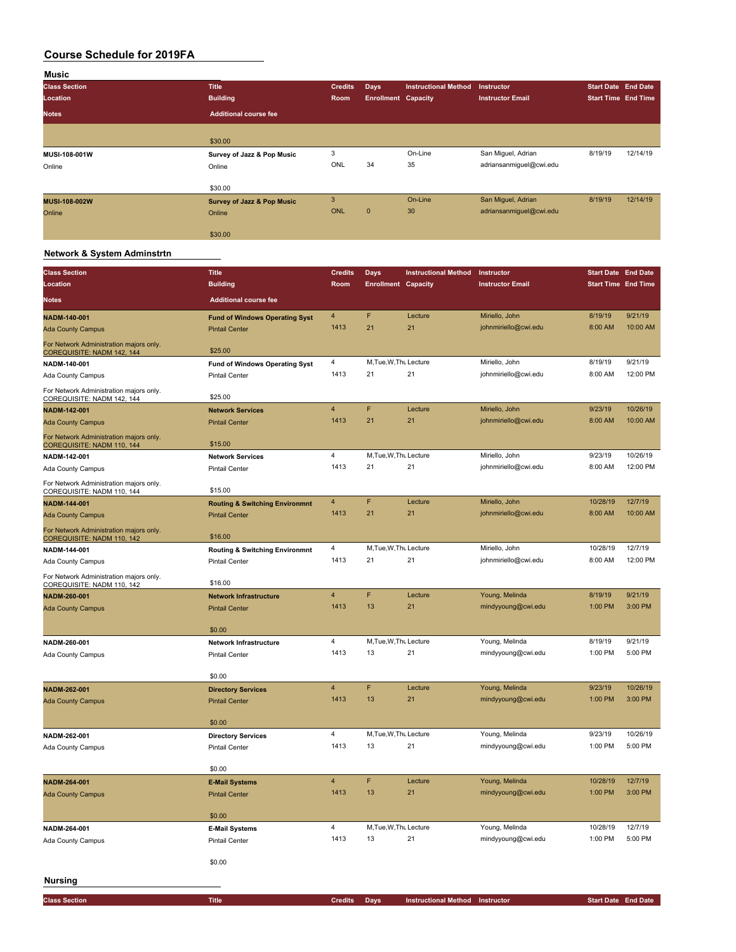| Music                |                                       |                |                            |                             |                         |                            |          |
|----------------------|---------------------------------------|----------------|----------------------------|-----------------------------|-------------------------|----------------------------|----------|
| <b>Class Section</b> | <b>Title</b>                          | <b>Credits</b> | <b>Days</b>                | <b>Instructional Method</b> | <b>Instructor</b>       | <b>Start Date End Date</b> |          |
| Location             | <b>Building</b>                       | Room           | <b>Enrollment Capacity</b> |                             | <b>Instructor Email</b> | <b>Start Time End Time</b> |          |
| <b>Notes</b>         | <b>Additional course fee</b>          |                |                            |                             |                         |                            |          |
|                      |                                       |                |                            |                             |                         |                            |          |
|                      | \$30.00                               |                |                            |                             |                         |                            |          |
| <b>MUSI-108-001W</b> | Survey of Jazz & Pop Music            | 3              |                            | On-Line                     | San Miguel, Adrian      | 8/19/19                    | 12/14/19 |
| Online               | Online                                | ONL            | 34                         | 35                          | adriansanmiguel@cwi.edu |                            |          |
|                      | \$30.00                               |                |                            |                             |                         |                            |          |
| <b>MUSI-108-002W</b> | <b>Survey of Jazz &amp; Pop Music</b> | 3              |                            | On-Line                     | San Miguel, Adrian      | 8/19/19                    | 12/14/19 |
| Online               | Online                                | <b>ONL</b>     | $\mathbf{0}$               | 30                          | adriansanmiquel@cwi.edu |                            |          |
|                      | \$30.00                               |                |                            |                             |                         |                            |          |

#### **Network & System Adminstrtn**

| <b>Class Section</b>                                                  | <b>Title</b>                                       | <b>Credits</b> | Days                       | <b>Instructional Method</b>     | Instructor              | <b>Start Date End Date</b> |          |
|-----------------------------------------------------------------------|----------------------------------------------------|----------------|----------------------------|---------------------------------|-------------------------|----------------------------|----------|
| Location                                                              | <b>Building</b>                                    | Room           | <b>Enrollment Capacity</b> |                                 | <b>Instructor Email</b> | <b>Start Time End Time</b> |          |
| Notes                                                                 | <b>Additional course fee</b>                       |                |                            |                                 |                         |                            |          |
| NADM-140-001                                                          | <b>Fund of Windows Operating Syst</b>              | $\overline{4}$ | F                          | Lecture                         | Miriello, John          | 8/19/19                    | 9/21/19  |
| <b>Ada County Campus</b>                                              | <b>Pintail Center</b>                              | 1413           | 21                         | 21                              | johnmiriello@cwi.edu    | 8:00 AM                    | 10:00 AM |
| For Network Administration majors only.<br>COREQUISITE: NADM 142, 144 | \$25.00                                            |                |                            |                                 |                         |                            |          |
| NADM-140-001                                                          | <b>Fund of Windows Operating Syst</b>              | 4              | M, Tue, W, Thu Lecture     |                                 | Miriello, John          | 8/19/19                    | 9/21/19  |
| Ada County Campus                                                     | <b>Pintail Center</b>                              | 1413           | 21                         | 21                              | johnmiriello@cwi.edu    | 8:00 AM                    | 12:00 PM |
| For Network Administration majors only.<br>COREQUISITE: NADM 142, 144 | \$25.00                                            |                |                            |                                 |                         |                            |          |
| NADM-142-001                                                          | <b>Network Services</b>                            | $\overline{4}$ | F                          | Lecture                         | Miriello, John          | 9/23/19                    | 10/26/19 |
| <b>Ada County Campus</b>                                              | <b>Pintail Center</b>                              | 1413           | 21                         | 21                              | johnmiriello@cwi.edu    | 8:00 AM                    | 10:00 AM |
| For Network Administration majors only.<br>COREQUISITE: NADM 110, 144 | \$15.00                                            |                |                            |                                 |                         |                            |          |
| NADM-142-001                                                          | <b>Network Services</b>                            | 4              | M, Tue, W, Thu Lecture     |                                 | Miriello, John          | 9/23/19                    | 10/26/19 |
| Ada County Campus                                                     | <b>Pintail Center</b>                              | 1413           | 21                         | 21                              | johnmiriello@cwi.edu    | 8:00 AM                    | 12:00 PM |
| For Network Administration majors only.<br>COREQUISITE: NADM 110, 144 | \$15.00                                            |                |                            |                                 |                         |                            |          |
| NADM-144-001                                                          | <b>Routing &amp; Switching Environmnt</b>          | 4              | F                          | Lecture                         | Miriello, John          | 10/28/19                   | 12/7/19  |
| <b>Ada County Campus</b>                                              | <b>Pintail Center</b>                              | 1413           | 21                         | 21                              | johnmiriello@cwi.edu    | 8:00 AM                    | 10:00 AM |
| For Network Administration majors only.<br>COREQUISITE: NADM 110, 142 | \$16.00                                            |                |                            |                                 |                         |                            |          |
| NADM-144-001                                                          | <b>Routing &amp; Switching Environmnt</b>          | 4              | M, Tue, W, Thu Lecture     |                                 | Miriello, John          | 10/28/19                   | 12/7/19  |
| Ada County Campus                                                     | <b>Pintail Center</b>                              | 1413           | 21                         | 21                              | johnmiriello@cwi.edu    | 8:00 AM                    | 12:00 PM |
| For Network Administration majors only.<br>COREQUISITE: NADM 110, 142 | \$16.00                                            |                |                            |                                 |                         |                            |          |
| NADM-260-001                                                          | <b>Network Infrastructure</b>                      | $\overline{4}$ | F                          | Lecture                         | Young, Melinda          | 8/19/19                    | 9/21/19  |
| <b>Ada County Campus</b>                                              | <b>Pintail Center</b>                              | 1413           | 13                         | 21                              | mindyyoung@cwi.edu      | 1:00 PM                    | 3:00 PM  |
|                                                                       | \$0.00                                             |                |                            |                                 |                         |                            |          |
| NADM-260-001                                                          | <b>Network Infrastructure</b>                      | 4              | M, Tue, W, Thu Lecture     |                                 | Young, Melinda          | 8/19/19                    | 9/21/19  |
| Ada County Campus                                                     | <b>Pintail Center</b>                              | 1413           | 13                         | 21                              | mindyyoung@cwi.edu      | 1:00 PM                    | 5:00 PM  |
|                                                                       | \$0.00                                             |                |                            |                                 |                         |                            |          |
| NADM-262-001                                                          | <b>Directory Services</b>                          | $\overline{4}$ | F                          | Lecture                         | Young, Melinda          | 9/23/19                    | 10/26/19 |
| <b>Ada County Campus</b>                                              | <b>Pintail Center</b>                              | 1413           | 13                         | 21                              | mindyyoung@cwi.edu      | 1:00 PM                    | 3:00 PM  |
|                                                                       |                                                    |                |                            |                                 |                         |                            |          |
| NADM-262-001                                                          | \$0.00                                             | $\overline{4}$ | M, Tue, W, Thu Lecture     |                                 | Young, Melinda          | 9/23/19                    | 10/26/19 |
| Ada County Campus                                                     | <b>Directory Services</b><br><b>Pintail Center</b> | 1413           | 13                         | 21                              | mindyyoung@cwi.edu      | 1:00 PM                    | 5:00 PM  |
|                                                                       |                                                    |                |                            |                                 |                         |                            |          |
|                                                                       | \$0.00                                             |                |                            |                                 |                         |                            |          |
| NADM-264-001                                                          | <b>E-Mail Systems</b>                              | $\overline{4}$ | F                          | Lecture                         | Young, Melinda          | 10/28/19                   | 12/7/19  |
| <b>Ada County Campus</b>                                              | <b>Pintail Center</b>                              | 1413           | 13                         | 21                              | mindyyoung@cwi.edu      | 1:00 PM                    | 3:00 PM  |
|                                                                       | \$0.00                                             |                |                            |                                 |                         |                            |          |
| NADM-264-001                                                          | <b>E-Mail Systems</b>                              | $\overline{4}$ | M, Tue, W, Thu Lecture     |                                 | Young, Melinda          | 10/28/19                   | 12/7/19  |
| Ada County Campus                                                     | <b>Pintail Center</b>                              | 1413           | 13                         | 21                              | mindyyoung@cwi.edu      | 1:00 PM                    | 5:00 PM  |
|                                                                       | \$0.00                                             |                |                            |                                 |                         |                            |          |
| <b>Nursing</b>                                                        |                                                    |                |                            |                                 |                         |                            |          |
| <b>Class Section</b>                                                  | <b>Title</b>                                       | <b>Credits</b> | <b>Days</b>                | Instructional Method Instructor |                         | <b>Start Date End Date</b> |          |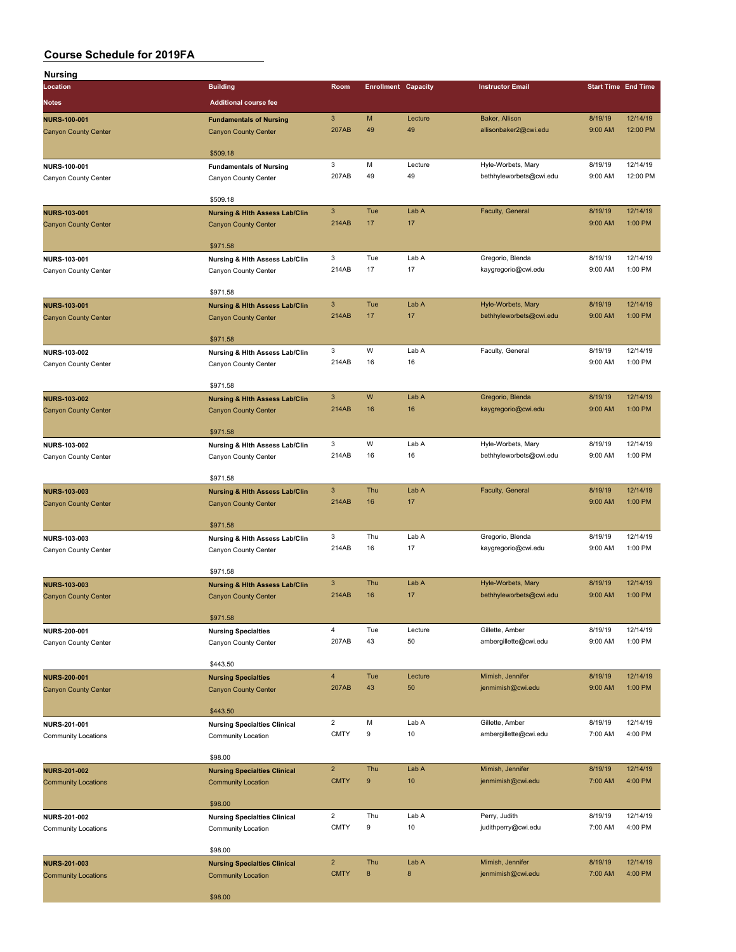| Nursing                                            |                                                                          |                       |                            |               |                                         |                                                                                                                                                                                                                                                                                                                                                                                    |                      |
|----------------------------------------------------|--------------------------------------------------------------------------|-----------------------|----------------------------|---------------|-----------------------------------------|------------------------------------------------------------------------------------------------------------------------------------------------------------------------------------------------------------------------------------------------------------------------------------------------------------------------------------------------------------------------------------|----------------------|
| Location                                           | <b>Building</b>                                                          | Room                  | <b>Enrollment Capacity</b> |               | <b>Instructor Email</b>                 |                                                                                                                                                                                                                                                                                                                                                                                    |                      |
| <b>Notes</b>                                       | <b>Additional course fee</b>                                             |                       |                            |               |                                         |                                                                                                                                                                                                                                                                                                                                                                                    |                      |
|                                                    |                                                                          |                       |                            |               |                                         |                                                                                                                                                                                                                                                                                                                                                                                    |                      |
| <b>NURS-100-001</b>                                | <b>Fundamentals of Nursing</b>                                           | $\mathbf{3}$<br>207AB | M<br>49                    | Lecture<br>49 | Baker, Allison<br>allisonbaker2@cwi.edu |                                                                                                                                                                                                                                                                                                                                                                                    | 12/14/19<br>12:00 PM |
| <b>Canyon County Center</b>                        | <b>Canyon County Center</b>                                              |                       |                            |               |                                         |                                                                                                                                                                                                                                                                                                                                                                                    |                      |
|                                                    | \$509.18                                                                 |                       |                            |               |                                         | 8/19/19<br>9:00 AM<br>8/19/19<br>9:00 AM<br>8/19/19<br>9:00 AM<br>8/19/19<br>9:00 AM<br>8/19/19<br>9:00 AM<br>8/19/19<br>9:00 AM<br>8/19/19<br>9:00 AM<br>8/19/19<br>9:00 AM<br>8/19/19<br>9:00 AM<br>8/19/19<br>9:00 AM<br>8/19/19<br>9:00 AM<br>8/19/19<br>9:00 AM<br>8/19/19<br>9:00 AM<br>8/19/19<br>7:00 AM<br>8/19/19<br>7:00 AM<br>8/19/19<br>7:00 AM<br>8/19/19<br>7:00 AM |                      |
| NURS-100-001                                       | <b>Fundamentals of Nursing</b>                                           | 3                     | M                          | Lecture       | Hyle-Worbets, Mary                      |                                                                                                                                                                                                                                                                                                                                                                                    | 12/14/19             |
| Canyon County Center                               | Canyon County Center                                                     | 207AB                 | 49                         | 49            | bethhyleworbets@cwi.edu                 |                                                                                                                                                                                                                                                                                                                                                                                    | 12:00 PM             |
|                                                    | \$509.18                                                                 |                       |                            |               |                                         | <b>Start Time End Time</b>                                                                                                                                                                                                                                                                                                                                                         |                      |
| <b>NURS-103-001</b>                                | <b>Nursing &amp; Hith Assess Lab/Clin</b>                                | $\mathbf{3}$          | Tue                        | Lab A         | Faculty, General                        |                                                                                                                                                                                                                                                                                                                                                                                    | 12/14/19             |
| <b>Canyon County Center</b>                        | <b>Canyon County Center</b>                                              | 214AB                 | 17                         | 17            |                                         |                                                                                                                                                                                                                                                                                                                                                                                    | 1:00 PM              |
|                                                    |                                                                          |                       |                            |               |                                         |                                                                                                                                                                                                                                                                                                                                                                                    |                      |
|                                                    | \$971.58                                                                 |                       |                            |               |                                         |                                                                                                                                                                                                                                                                                                                                                                                    |                      |
| NURS-103-001                                       | Nursing & Hith Assess Lab/Clin                                           | 3                     | Tue                        | Lab A         | Gregorio, Blenda                        |                                                                                                                                                                                                                                                                                                                                                                                    | 12/14/19             |
| Canyon County Center                               | Canyon County Center                                                     | 214AB                 | 17                         | 17            | kaygregorio@cwi.edu                     |                                                                                                                                                                                                                                                                                                                                                                                    | 1:00 PM              |
|                                                    |                                                                          |                       |                            |               |                                         |                                                                                                                                                                                                                                                                                                                                                                                    |                      |
|                                                    | \$971.58                                                                 | 3                     | Tue                        | Lab A         | Hyle-Worbets, Mary                      |                                                                                                                                                                                                                                                                                                                                                                                    | 12/14/19             |
| <b>NURS-103-001</b><br><b>Canyon County Center</b> | <b>Nursing &amp; Hith Assess Lab/Clin</b><br><b>Canyon County Center</b> | 214AB                 | 17                         | 17            | bethhyleworbets@cwi.edu                 |                                                                                                                                                                                                                                                                                                                                                                                    | 1:00 PM              |
|                                                    |                                                                          |                       |                            |               |                                         |                                                                                                                                                                                                                                                                                                                                                                                    |                      |
|                                                    | \$971.58                                                                 |                       |                            |               |                                         |                                                                                                                                                                                                                                                                                                                                                                                    |                      |
| NURS-103-002                                       | Nursing & Hith Assess Lab/Clin                                           | 3                     | W                          | Lab A         | Faculty, General                        |                                                                                                                                                                                                                                                                                                                                                                                    | 12/14/19             |
| Canyon County Center                               | Canyon County Center                                                     | 214AB                 | 16                         | 16            |                                         |                                                                                                                                                                                                                                                                                                                                                                                    | 1:00 PM              |
|                                                    |                                                                          |                       |                            |               |                                         |                                                                                                                                                                                                                                                                                                                                                                                    |                      |
|                                                    | \$971.58                                                                 | $\mathbf{3}$          | W                          | Lab A         |                                         |                                                                                                                                                                                                                                                                                                                                                                                    | 12/14/19             |
| <b>NURS-103-002</b>                                | <b>Nursing &amp; Hith Assess Lab/Clin</b>                                | 214AB                 | 16                         | 16            | Gregorio, Blenda<br>kaygregorio@cwi.edu |                                                                                                                                                                                                                                                                                                                                                                                    | 1:00 PM              |
| <b>Canyon County Center</b>                        | <b>Canyon County Center</b>                                              |                       |                            |               |                                         |                                                                                                                                                                                                                                                                                                                                                                                    |                      |
|                                                    | \$971.58                                                                 |                       |                            |               |                                         |                                                                                                                                                                                                                                                                                                                                                                                    |                      |
| NURS-103-002                                       | Nursing & Hith Assess Lab/Clin                                           | 3                     | W                          | Lab A         | Hyle-Worbets, Mary                      |                                                                                                                                                                                                                                                                                                                                                                                    | 12/14/19             |
| Canyon County Center                               | Canyon County Center                                                     | 214AB                 | 16                         | 16            | bethhyleworbets@cwi.edu                 |                                                                                                                                                                                                                                                                                                                                                                                    | 1:00 PM              |
|                                                    |                                                                          |                       |                            |               |                                         |                                                                                                                                                                                                                                                                                                                                                                                    |                      |
|                                                    | \$971.58                                                                 |                       |                            |               |                                         |                                                                                                                                                                                                                                                                                                                                                                                    |                      |
| <b>NURS-103-003</b>                                | <b>Nursing &amp; Hith Assess Lab/Clin</b>                                | 3<br>214AB            | Thu<br>16                  | Lab A<br>17   | Faculty, General                        |                                                                                                                                                                                                                                                                                                                                                                                    | 12/14/19<br>1:00 PM  |
| <b>Canyon County Center</b>                        | <b>Canyon County Center</b>                                              |                       |                            |               |                                         |                                                                                                                                                                                                                                                                                                                                                                                    |                      |
|                                                    | \$971.58                                                                 |                       |                            |               |                                         |                                                                                                                                                                                                                                                                                                                                                                                    |                      |
| NURS-103-003                                       | Nursing & Hith Assess Lab/Clin                                           | 3                     | Thu                        | Lab A         | Gregorio, Blenda                        |                                                                                                                                                                                                                                                                                                                                                                                    | 12/14/19             |
| Canyon County Center                               | Canyon County Center                                                     | 214AB                 | 16                         | 17            | kaygregorio@cwi.edu                     |                                                                                                                                                                                                                                                                                                                                                                                    | 1:00 PM              |
|                                                    |                                                                          |                       |                            |               |                                         |                                                                                                                                                                                                                                                                                                                                                                                    |                      |
|                                                    | \$971.58                                                                 |                       |                            |               |                                         |                                                                                                                                                                                                                                                                                                                                                                                    |                      |
| <b>NURS-103-003</b>                                | <b>Nursing &amp; Hith Assess Lab/Clin</b>                                | 3<br>214AB            | Thu                        | Lab A         | Hyle-Worbets, Mary                      |                                                                                                                                                                                                                                                                                                                                                                                    | 12/14/19<br>1:00 PM  |
| <b>Canyon County Center</b>                        | <b>Canyon County Center</b>                                              |                       | 16                         | 17            | bethhyleworbets@cwi.edu                 |                                                                                                                                                                                                                                                                                                                                                                                    |                      |
|                                                    | \$971.58                                                                 |                       |                            |               |                                         |                                                                                                                                                                                                                                                                                                                                                                                    |                      |
| NURS-200-001                                       | <b>Nursing Specialties</b>                                               | $\overline{4}$        | Tue                        | Lecture       | Gillette, Amber                         |                                                                                                                                                                                                                                                                                                                                                                                    | 12/14/19             |
| Canyon County Center                               | Canyon County Center                                                     | 207AB                 | 43                         | 50            | ambergillette@cwi.edu                   |                                                                                                                                                                                                                                                                                                                                                                                    | 1:00 PM              |
|                                                    |                                                                          |                       |                            |               |                                         |                                                                                                                                                                                                                                                                                                                                                                                    |                      |
|                                                    | \$443.50                                                                 |                       |                            |               |                                         |                                                                                                                                                                                                                                                                                                                                                                                    |                      |
| <b>NURS-200-001</b>                                | <b>Nursing Specialties</b>                                               | $\overline{4}$        | Tue                        | Lecture       | Mimish, Jennifer                        |                                                                                                                                                                                                                                                                                                                                                                                    | 12/14/19             |
| <b>Canyon County Center</b>                        | <b>Canyon County Center</b>                                              | 207AB                 | 43                         | 50            | jenmimish@cwi.edu                       |                                                                                                                                                                                                                                                                                                                                                                                    | 1:00 PM              |
|                                                    | \$443.50                                                                 |                       |                            |               |                                         |                                                                                                                                                                                                                                                                                                                                                                                    |                      |
| NURS-201-001                                       | <b>Nursing Specialties Clinical</b>                                      | $\overline{2}$        | M                          | Lab A         | Gillette, Amber                         |                                                                                                                                                                                                                                                                                                                                                                                    | 12/14/19             |
| <b>Community Locations</b>                         | Community Location                                                       | <b>CMTY</b>           | 9                          | 10            | ambergillette@cwi.edu                   |                                                                                                                                                                                                                                                                                                                                                                                    | 4:00 PM              |
|                                                    |                                                                          |                       |                            |               |                                         |                                                                                                                                                                                                                                                                                                                                                                                    |                      |
|                                                    | \$98.00                                                                  |                       |                            |               |                                         |                                                                                                                                                                                                                                                                                                                                                                                    |                      |
| <b>NURS-201-002</b>                                | <b>Nursing Specialties Clinical</b>                                      | $\overline{2}$        | Thu                        | Lab A         | Mimish, Jennifer                        |                                                                                                                                                                                                                                                                                                                                                                                    | 12/14/19             |
| <b>Community Locations</b>                         | <b>Community Location</b>                                                | <b>CMTY</b>           | 9                          | 10            | jenmimish@cwi.edu                       |                                                                                                                                                                                                                                                                                                                                                                                    | 4:00 PM              |
|                                                    | \$98.00                                                                  |                       |                            |               |                                         |                                                                                                                                                                                                                                                                                                                                                                                    |                      |
| NURS-201-002                                       | <b>Nursing Specialties Clinical</b>                                      | $\overline{2}$        | Thu                        | Lab A         | Perry, Judith                           |                                                                                                                                                                                                                                                                                                                                                                                    | 12/14/19             |
| Community Locations                                | Community Location                                                       | <b>CMTY</b>           | 9                          | 10            | judithperry@cwi.edu                     |                                                                                                                                                                                                                                                                                                                                                                                    | 4:00 PM              |
|                                                    |                                                                          |                       |                            |               |                                         |                                                                                                                                                                                                                                                                                                                                                                                    |                      |
|                                                    | \$98.00                                                                  |                       |                            |               |                                         |                                                                                                                                                                                                                                                                                                                                                                                    |                      |
| <b>NURS-201-003</b>                                | <b>Nursing Specialties Clinical</b>                                      | $\overline{2}$        | Thu                        | Lab A         | Mimish, Jennifer                        |                                                                                                                                                                                                                                                                                                                                                                                    | 12/14/19             |
| <b>Community Locations</b>                         | <b>Community Location</b>                                                | <b>CMTY</b>           | 8                          | 8             | jenmimish@cwi.edu                       |                                                                                                                                                                                                                                                                                                                                                                                    | 4:00 PM              |
|                                                    | \$98.00                                                                  |                       |                            |               |                                         |                                                                                                                                                                                                                                                                                                                                                                                    |                      |
|                                                    |                                                                          |                       |                            |               |                                         |                                                                                                                                                                                                                                                                                                                                                                                    |                      |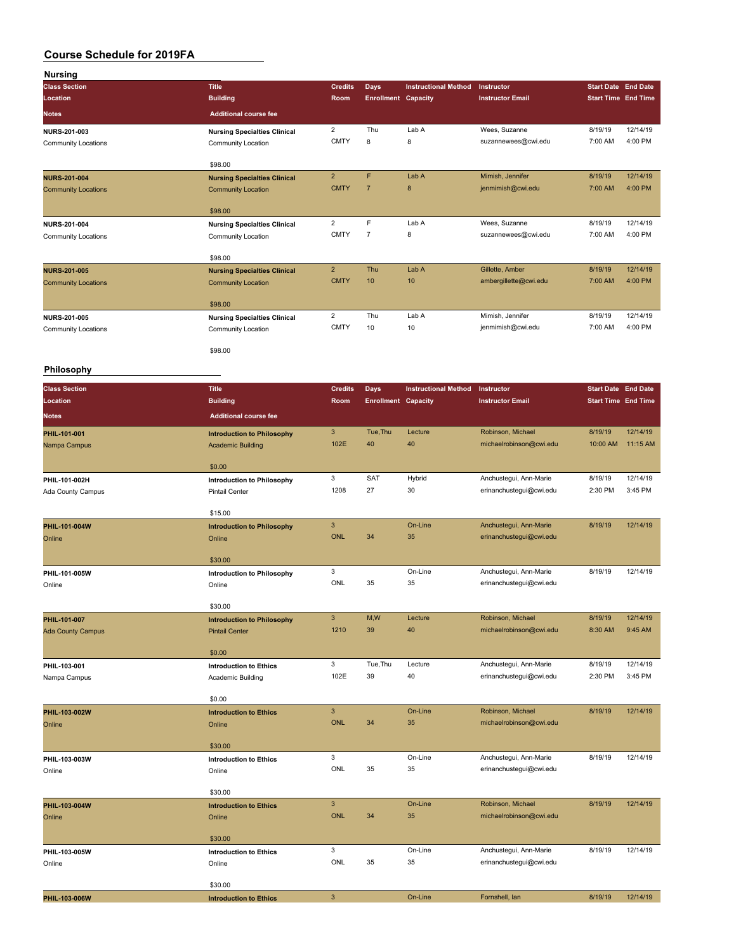| <b>Nursing</b>             |                                                     |                           |                            |                             |                         |                            |          |
|----------------------------|-----------------------------------------------------|---------------------------|----------------------------|-----------------------------|-------------------------|----------------------------|----------|
| <b>Class Section</b>       | <b>Title</b>                                        | <b>Credits</b>            | <b>Days</b>                | <b>Instructional Method</b> | Instructor              | <b>Start Date End Date</b> |          |
| Location                   | <b>Building</b>                                     | Room                      | <b>Enrollment Capacity</b> |                             | <b>Instructor Email</b> | <b>Start Time End Time</b> |          |
| Notes                      | <b>Additional course fee</b>                        |                           |                            |                             |                         |                            |          |
| NURS-201-003               | <b>Nursing Specialties Clinical</b>                 | $\overline{2}$            | Thu                        | Lab A                       | Wees, Suzanne           | 8/19/19                    | 12/14/19 |
| <b>Community Locations</b> | Community Location                                  | <b>CMTY</b>               | 8                          | 8                           | suzannewees@cwi.edu     | 7:00 AM                    | 4:00 PM  |
|                            |                                                     |                           |                            |                             |                         |                            |          |
|                            | \$98.00                                             |                           |                            |                             |                         |                            |          |
| <b>NURS-201-004</b>        | <b>Nursing Specialties Clinical</b>                 | $\overline{2}$            | F                          | Lab A                       | Mimish, Jennifer        | 8/19/19                    | 12/14/19 |
| <b>Community Locations</b> | <b>Community Location</b>                           | <b>CMTY</b>               | $\overline{7}$             | 8                           | jenmimish@cwi.edu       | 7:00 AM                    | 4:00 PM  |
|                            | \$98.00                                             |                           |                            |                             |                         |                            |          |
| NURS-201-004               | <b>Nursing Specialties Clinical</b>                 | $\overline{2}$            | F                          | Lab A                       | Wees, Suzanne           | 8/19/19                    | 12/14/19 |
| <b>Community Locations</b> | Community Location                                  | <b>CMTY</b>               | $\overline{7}$             | 8                           | suzannewees@cwi.edu     | 7:00 AM                    | 4:00 PM  |
|                            |                                                     |                           |                            |                             |                         |                            |          |
|                            | \$98.00                                             |                           |                            |                             |                         |                            |          |
| <b>NURS-201-005</b>        | <b>Nursing Specialties Clinical</b>                 | $\overline{2}$            | Thu                        | Lab A                       | Gillette, Amber         | 8/19/19                    | 12/14/19 |
| <b>Community Locations</b> | <b>Community Location</b>                           | <b>CMTY</b>               | 10                         | 10                          | ambergillette@cwi.edu   | 7:00 AM                    | 4:00 PM  |
|                            | \$98.00                                             |                           |                            |                             |                         |                            |          |
| <b>NURS-201-005</b>        | <b>Nursing Specialties Clinical</b>                 | $\overline{2}$            | Thu                        | Lab A                       | Mimish, Jennifer        | 8/19/19                    | 12/14/19 |
| <b>Community Locations</b> | Community Location                                  | <b>CMTY</b>               | 10                         | 10                          | jenmimish@cwi.edu       | 7:00 AM                    | 4:00 PM  |
|                            |                                                     |                           |                            |                             |                         |                            |          |
|                            | \$98.00                                             |                           |                            |                             |                         |                            |          |
| <b>Philosophy</b>          |                                                     |                           |                            |                             |                         |                            |          |
|                            |                                                     |                           |                            |                             |                         |                            |          |
| <b>Class Section</b>       | <b>Title</b>                                        | <b>Credits</b>            | <b>Days</b>                | <b>Instructional Method</b> | Instructor              | <b>Start Date End Date</b> |          |
| Location                   | <b>Building</b>                                     | Room                      | <b>Enrollment Capacity</b> |                             | <b>Instructor Email</b> | <b>Start Time End Time</b> |          |
| <b>Notes</b>               | <b>Additional course fee</b>                        |                           |                            |                             |                         |                            |          |
| PHIL-101-001               | <b>Introduction to Philosophy</b>                   | $\mathbf{3}$              | Tue, Thu                   | Lecture                     | Robinson, Michael       | 8/19/19                    | 12/14/19 |
| Nampa Campus               | <b>Academic Building</b>                            | 102E                      | 40                         | 40                          | michaelrobinson@cwi.edu | 10:00 AM                   | 11:15 AM |
|                            |                                                     |                           |                            |                             |                         |                            |          |
| PHIL-101-002H              | \$0.00                                              | 3                         | SAT                        | Hybrid                      | Anchustegui, Ann-Marie  | 8/19/19                    | 12/14/19 |
| Ada County Campus          | Introduction to Philosophy<br><b>Pintail Center</b> | 1208                      | 27                         | 30                          | erinanchustegui@cwi.edu | 2:30 PM                    | 3:45 PM  |
|                            |                                                     |                           |                            |                             |                         |                            |          |
|                            | \$15.00                                             |                           |                            |                             |                         |                            |          |
| PHIL-101-004W              | <b>Introduction to Philosophy</b>                   | $\overline{3}$            |                            | On-Line                     | Anchustegui, Ann-Marie  | 8/19/19                    | 12/14/19 |
| Online                     | Online                                              | <b>ONL</b>                | 34                         | 35                          | erinanchustegui@cwi.edu |                            |          |
|                            | \$30.00                                             |                           |                            |                             |                         |                            |          |
| PHIL-101-005W              |                                                     | 3                         |                            | On-Line                     | Anchustegui, Ann-Marie  | 8/19/19                    | 12/14/19 |
| Online                     | Introduction to Philosophy<br>Online                | ONL                       | 35                         | 35                          | erinanchustegui@cwi.edu |                            |          |
|                            |                                                     |                           |                            |                             |                         |                            |          |
|                            | \$30.00                                             |                           |                            |                             |                         |                            |          |
| PHIL-101-007               | <b>Introduction to Philosophy</b>                   | $\mathbf{3}$              | M,W                        | Lecture                     | Robinson, Michael       | 8/19/19                    | 12/14/19 |
| <b>Ada County Campus</b>   | <b>Pintail Center</b>                               | 1210                      | 39                         | 40                          | michaelrobinson@cwi.edu | 8:30 AM                    | 9:45 AM  |
|                            | \$0.00                                              |                           |                            |                             |                         |                            |          |
| PHIL-103-001               | <b>Introduction to Ethics</b>                       | 3                         | Tue, Thu                   | Lecture                     | Anchustegui, Ann-Marie  | 8/19/19                    | 12/14/19 |
| Nampa Campus               | Academic Building                                   | 102E                      | 39                         | 40                          | erinanchustegui@cwi.edu | 2:30 PM                    | 3:45 PM  |
|                            |                                                     |                           |                            |                             |                         |                            |          |
|                            | \$0.00                                              |                           |                            |                             |                         |                            |          |
| PHIL-103-002W              | <b>Introduction to Ethics</b>                       | $\mathbf{3}$              |                            | On-Line                     | Robinson, Michael       | 8/19/19                    | 12/14/19 |
| Online                     | Online                                              | <b>ONL</b>                | 34                         | 35                          | michaelrobinson@cwi.edu |                            |          |
|                            | \$30.00                                             |                           |                            |                             |                         |                            |          |
| PHIL-103-003W              | <b>Introduction to Ethics</b>                       | 3                         |                            | On-Line                     | Anchustegui, Ann-Marie  | 8/19/19                    | 12/14/19 |
| Online                     | Online                                              | ONL                       | 35                         | 35                          | erinanchustegui@cwi.edu |                            |          |
|                            |                                                     |                           |                            |                             |                         |                            |          |
|                            | \$30.00                                             |                           |                            |                             |                         |                            |          |
| PHIL-103-004W              | <b>Introduction to Ethics</b>                       | $\mathsf 3$               |                            | On-Line                     | Robinson, Michael       | 8/19/19                    | 12/14/19 |
| Online                     | Online                                              | <b>ONL</b>                | 34                         | 35                          | michaelrobinson@cwi.edu |                            |          |
|                            |                                                     |                           |                            |                             |                         |                            |          |
|                            | \$30.00                                             | 3                         |                            | On-Line                     | Anchustegui, Ann-Marie  | 8/19/19                    | 12/14/19 |
| PHIL-103-005W<br>Online    | <b>Introduction to Ethics</b><br>Online             | ONL                       | 35                         | 35                          | erinanchustegui@cwi.edu |                            |          |
|                            |                                                     |                           |                            |                             |                         |                            |          |
|                            | \$30.00                                             |                           |                            |                             |                         |                            |          |
| PHIL-103-006W              | <b>Introduction to Ethics</b>                       | $\ensuremath{\mathsf{3}}$ |                            | On-Line                     | Fornshell, lan          | 8/19/19                    | 12/14/19 |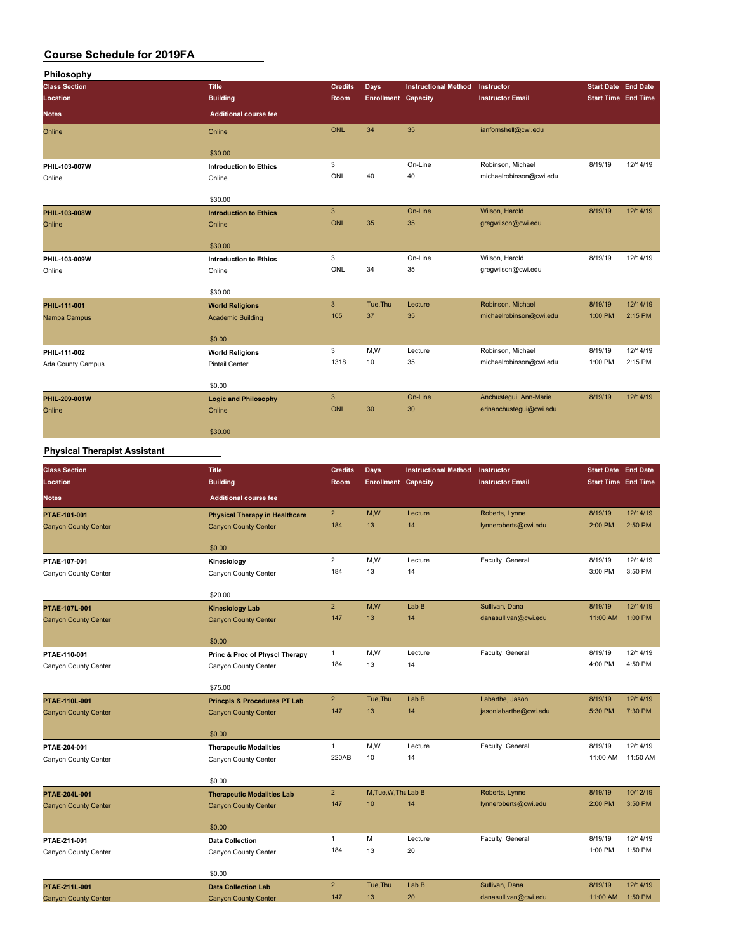| Philosophy           |                               |                |                            |                             |                         |                            |          |
|----------------------|-------------------------------|----------------|----------------------------|-----------------------------|-------------------------|----------------------------|----------|
| <b>Class Section</b> | <b>Title</b>                  | <b>Credits</b> | Days                       | <b>Instructional Method</b> | Instructor              | <b>Start Date End Date</b> |          |
| Location             | <b>Building</b>               | Room           | <b>Enrollment Capacity</b> |                             | <b>Instructor Email</b> | <b>Start Time End Time</b> |          |
| <b>Notes</b>         | <b>Additional course fee</b>  |                |                            |                             |                         |                            |          |
| Online               | Online                        | <b>ONL</b>     | 34                         | 35                          | ianfornshell@cwi.edu    |                            |          |
|                      | \$30.00                       |                |                            |                             |                         |                            |          |
| PHIL-103-007W        | <b>Introduction to Ethics</b> | 3              |                            | On-Line                     | Robinson, Michael       | 8/19/19                    | 12/14/19 |
| Online               | Online                        | ONL            | 40                         | 40                          | michaelrobinson@cwi.edu |                            |          |
|                      | \$30.00                       |                |                            |                             |                         |                            |          |
| PHIL-103-008W        | <b>Introduction to Ethics</b> | $\overline{3}$ |                            | On-Line                     | Wilson, Harold          | 8/19/19                    | 12/14/19 |
| Online               | Online                        | ONL            | 35                         | 35                          | gregwilson@cwi.edu      |                            |          |
|                      | \$30.00                       |                |                            |                             |                         |                            |          |
| PHIL-103-009W        | <b>Introduction to Ethics</b> | 3              |                            | On-Line                     | Wilson, Harold          | 8/19/19                    | 12/14/19 |
| Online               | Online                        | ONL            | 34                         | 35                          | gregwilson@cwi.edu      |                            |          |
|                      | \$30.00                       |                |                            |                             |                         |                            |          |
| PHIL-111-001         | <b>World Religions</b>        | $\mathbf{3}$   | Tue, Thu                   | Lecture                     | Robinson, Michael       | 8/19/19                    | 12/14/19 |
| Nampa Campus         | <b>Academic Building</b>      | 105            | 37                         | 35                          | michaelrobinson@cwi.edu | 1:00 PM                    | 2:15 PM  |
|                      | \$0.00                        |                |                            |                             |                         |                            |          |
| PHIL-111-002         | <b>World Religions</b>        | 3              | M, W                       | Lecture                     | Robinson, Michael       | 8/19/19                    | 12/14/19 |
| Ada County Campus    | <b>Pintail Center</b>         | 1318           | 10                         | 35                          | michaelrobinson@cwi.edu | 1:00 PM                    | 2:15 PM  |
|                      | \$0.00                        |                |                            |                             |                         |                            |          |
| PHIL-209-001W        | <b>Logic and Philosophy</b>   | $\mathbf{3}$   |                            | On-Line                     | Anchustegui, Ann-Marie  | 8/19/19                    | 12/14/19 |
| Online               | Online                        | ONL            | 30                         | 30                          | erinanchustegui@cwi.edu |                            |          |
|                      | \$30.00                       |                |                            |                             |                         |                            |          |

#### **Physical Therapist Assistant**

| <b>Class Section</b>        | <b>Title</b>                            | <b>Credits</b> | <b>Days</b>                | <b>Instructional Method</b> | Instructor              | <b>Start Date End Date</b> |          |
|-----------------------------|-----------------------------------------|----------------|----------------------------|-----------------------------|-------------------------|----------------------------|----------|
| Location                    | <b>Building</b>                         | Room           | <b>Enrollment Capacity</b> |                             | <b>Instructor Email</b> | <b>Start Time End Time</b> |          |
| <b>Notes</b>                | <b>Additional course fee</b>            |                |                            |                             |                         |                            |          |
| PTAE-101-001                | <b>Physical Therapy in Healthcare</b>   | $\overline{2}$ | M,W                        | Lecture                     | Roberts, Lynne          | 8/19/19                    | 12/14/19 |
| <b>Canyon County Center</b> | <b>Canyon County Center</b>             | 184            | 13                         | 14                          | lynneroberts@cwi.edu    | 2:00 PM                    | 2:50 PM  |
|                             | \$0.00                                  |                |                            |                             |                         |                            |          |
| PTAE-107-001                | Kinesiology                             | $\overline{2}$ | M,W                        | Lecture                     | Faculty, General        | 8/19/19                    | 12/14/19 |
| Canyon County Center        | Canyon County Center                    | 184            | 13                         | 14                          |                         | 3:00 PM                    | 3:50 PM  |
|                             |                                         |                |                            |                             |                         |                            |          |
|                             | \$20.00                                 |                |                            |                             |                         |                            |          |
| PTAE-107L-001               | <b>Kinesiology Lab</b>                  | $\overline{2}$ | M,W                        | Lab <sub>B</sub>            | Sullivan, Dana          | 8/19/19                    | 12/14/19 |
| <b>Canyon County Center</b> | <b>Canyon County Center</b>             | 147            | 13                         | 14                          | danasullivan@cwi.edu    | 11:00 AM                   | 1:00 PM  |
|                             | \$0.00                                  |                |                            |                             |                         |                            |          |
| PTAE-110-001                | Princ & Proc of Physcl Therapy          | $\mathbf{1}$   | M,W                        | Lecture                     | Faculty, General        | 8/19/19                    | 12/14/19 |
| Canyon County Center        | Canyon County Center                    | 184            | 13                         | 14                          |                         | 4:00 PM                    | 4:50 PM  |
|                             |                                         |                |                            |                             |                         |                            |          |
|                             | \$75.00                                 |                |                            |                             |                         |                            |          |
| PTAE-110L-001               | <b>Princpls &amp; Procedures PT Lab</b> | $\overline{2}$ | Tue, Thu                   | Lab <sub>B</sub>            | Labarthe, Jason         | 8/19/19                    | 12/14/19 |
| <b>Canyon County Center</b> | <b>Canyon County Center</b>             | 147            | 13                         | 14                          | jasonlabarthe@cwi.edu   | 5:30 PM                    | 7:30 PM  |
|                             |                                         |                |                            |                             |                         |                            |          |
|                             | \$0.00                                  | $\mathbf{1}$   | M,W                        | Lecture                     | Faculty, General        | 8/19/19                    | 12/14/19 |
| PTAE-204-001                | <b>Therapeutic Modalities</b>           | 220AB          | 10                         | 14                          |                         | 11:00 AM                   | 11:50 AM |
| Canyon County Center        | Canyon County Center                    |                |                            |                             |                         |                            |          |
|                             | \$0.00                                  |                |                            |                             |                         |                            |          |
| PTAE-204L-001               | <b>Therapeutic Modalities Lab</b>       | $\overline{2}$ | M.Tue.W.Thu Lab B          |                             | Roberts, Lynne          | 8/19/19                    | 10/12/19 |
| <b>Canyon County Center</b> | <b>Canyon County Center</b>             | 147            | 10                         | 14                          | lynneroberts@cwi.edu    | 2:00 PM                    | 3:50 PM  |
|                             |                                         |                |                            |                             |                         |                            |          |
|                             | \$0.00                                  |                |                            |                             |                         |                            |          |
| PTAE-211-001                | <b>Data Collection</b>                  | $\mathbf{1}$   | M                          | Lecture                     | Faculty, General        | 8/19/19                    | 12/14/19 |
| Canyon County Center        | Canyon County Center                    | 184            | 13                         | 20                          |                         | 1:00 PM                    | 1:50 PM  |
|                             | \$0.00                                  |                |                            |                             |                         |                            |          |
| PTAE-211L-001               | <b>Data Collection Lab</b>              | $\overline{2}$ | Tue, Thu                   | Lab B                       | Sullivan, Dana          | 8/19/19                    | 12/14/19 |
| <b>Canyon County Center</b> | <b>Canyon County Center</b>             | 147            | 13                         | 20                          | danasullivan@cwi.edu    | 11:00 AM  1:50 PM          |          |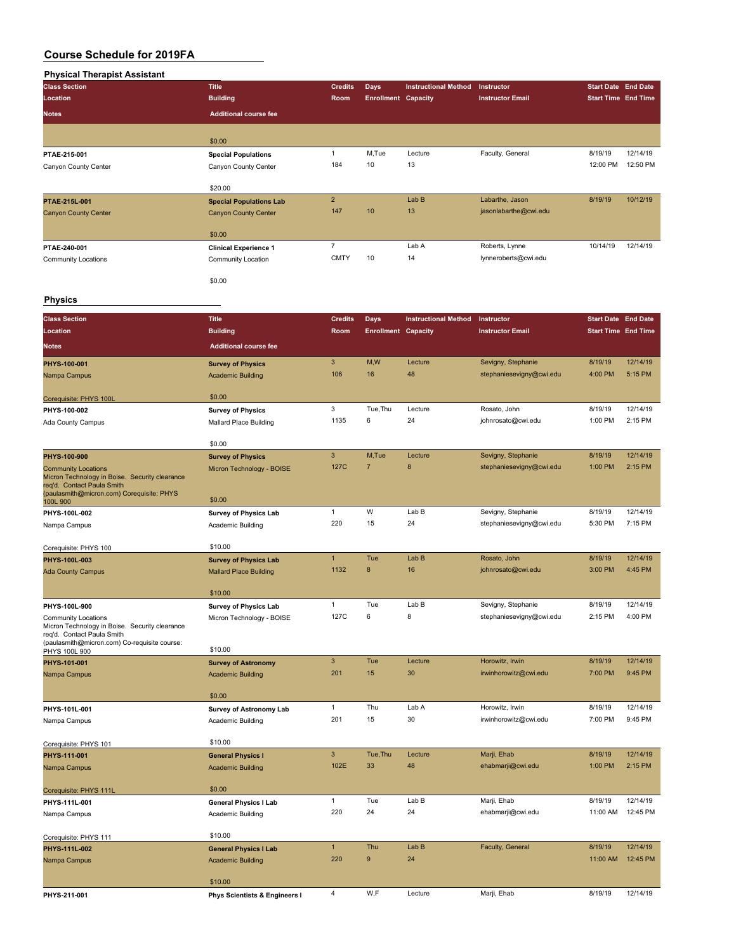| <b>Physical Therapist Assistant</b> |                                |                |                            |                             |                         |                            |          |
|-------------------------------------|--------------------------------|----------------|----------------------------|-----------------------------|-------------------------|----------------------------|----------|
| <b>Class Section</b>                | <b>Title</b>                   | <b>Credits</b> | <b>Days</b>                | <b>Instructional Method</b> | Instructor              | <b>Start Date End Date</b> |          |
| Location                            | <b>Building</b>                | Room           | <b>Enrollment Capacity</b> |                             | <b>Instructor Email</b> | <b>Start Time End Time</b> |          |
| <b>Notes</b>                        | <b>Additional course fee</b>   |                |                            |                             |                         |                            |          |
|                                     | \$0.00                         |                |                            |                             |                         |                            |          |
| PTAE-215-001                        | <b>Special Populations</b>     |                | M,Tue                      | Lecture                     | Faculty, General        | 8/19/19                    | 12/14/19 |
| Canyon County Center                | Canyon County Center           | 184            | 10                         | 13                          |                         | 12:00 PM                   | 12:50 PM |
|                                     | \$20.00                        |                |                            |                             |                         |                            |          |
| PTAE-215L-001                       | <b>Special Populations Lab</b> | $\overline{2}$ |                            | Lab <sub>B</sub>            | Labarthe, Jason         | 8/19/19                    | 10/12/19 |
| <b>Canyon County Center</b>         | <b>Canyon County Center</b>    | 147            | 10                         | 13                          | jasonlabarthe@cwi.edu   |                            |          |
|                                     | \$0.00                         |                |                            |                             |                         |                            |          |
| PTAE-240-001                        | <b>Clinical Experience 1</b>   | $\overline{7}$ |                            | Lab A                       | Roberts, Lynne          | 10/14/19                   | 12/14/19 |
| <b>Community Locations</b>          | Community Location             | <b>CMTY</b>    | 10                         | 14                          | lynneroberts@cwi.edu    |                            |          |
|                                     | \$0.00                         |                |                            |                             |                         |                            |          |

#### **Physics**

| <b>Class Section</b>                                                         | <b>Title</b>                             | <b>Credits</b> | Days                       | <b>Instructional Method</b> | Instructor                         | <b>Start Date End Date</b> |                     |
|------------------------------------------------------------------------------|------------------------------------------|----------------|----------------------------|-----------------------------|------------------------------------|----------------------------|---------------------|
| Location                                                                     | <b>Building</b>                          | Room           | <b>Enrollment Capacity</b> |                             | <b>Instructor Email</b>            | <b>Start Time End Time</b> |                     |
| <b>Notes</b>                                                                 | <b>Additional course fee</b>             |                |                            |                             |                                    |                            |                     |
| PHYS-100-001                                                                 | <b>Survey of Physics</b>                 | $\mathbf{3}$   | M,W                        | Lecture                     | Sevigny, Stephanie                 | 8/19/19                    | 12/14/19            |
| Nampa Campus                                                                 | <b>Academic Building</b>                 | 106            | 16                         | 48                          | stephaniesevigny@cwi.edu           | 4:00 PM                    | 5:15 PM             |
|                                                                              |                                          |                |                            |                             |                                    |                            |                     |
| Corequisite: PHYS 100L                                                       | \$0.00                                   |                |                            |                             |                                    |                            |                     |
| PHYS-100-002                                                                 | <b>Survey of Physics</b>                 | 3<br>1135      | Tue, Thu<br>6              | Lecture<br>24               | Rosato, John<br>johnrosato@cwi.edu | 8/19/19<br>1:00 PM         | 12/14/19<br>2:15 PM |
| Ada County Campus                                                            | Mallard Place Building                   |                |                            |                             |                                    |                            |                     |
|                                                                              | \$0.00                                   |                |                            |                             |                                    |                            |                     |
| PHYS-100-900                                                                 | <b>Survey of Physics</b>                 | $\mathsf 3$    | M,Tue                      | Lecture                     | Sevigny, Stephanie                 | 8/19/19                    | 12/14/19            |
| <b>Community Locations</b>                                                   | Micron Technology - BOISE                | 127C           | $\overline{7}$             | $\bf8$                      | stephaniesevigny@cwi.edu           | 1:00 PM                    | 2:15 PM             |
| Micron Technology in Boise. Security clearance<br>req'd. Contact Paula Smith |                                          |                |                            |                             |                                    |                            |                     |
| (paulasmith@micron.com) Corequisite: PHYS                                    | \$0.00                                   |                |                            |                             |                                    |                            |                     |
| 100L 900<br>PHYS-100L-002                                                    | <b>Survey of Physics Lab</b>             | $\mathbf{1}$   | W                          | Lab B                       | Sevigny, Stephanie                 | 8/19/19                    | 12/14/19            |
| Nampa Campus                                                                 | Academic Building                        | 220            | 15                         | 24                          | stephaniesevigny@cwi.edu           | 5:30 PM                    | 7:15 PM             |
|                                                                              |                                          |                |                            |                             |                                    |                            |                     |
| Corequisite: PHYS 100                                                        | \$10.00                                  |                |                            |                             |                                    |                            |                     |
| PHYS-100L-003                                                                | <b>Survey of Physics Lab</b>             | $\mathbf{1}$   | Tue                        | Lab B                       | Rosato, John                       | 8/19/19                    | 12/14/19            |
| <b>Ada County Campus</b>                                                     | <b>Mallard Place Building</b>            | 1132           | 8                          | 16                          | johnrosato@cwi.edu                 | 3:00 PM                    | 4:45 PM             |
|                                                                              | \$10.00                                  |                |                            |                             |                                    |                            |                     |
| PHYS-100L-900                                                                | <b>Survey of Physics Lab</b>             | $\mathbf{1}$   | Tue                        | Lab B                       | Sevigny, Stephanie                 | 8/19/19                    | 12/14/19            |
| <b>Community Locations</b>                                                   | Micron Technology - BOISE                | 127C           | 6                          | 8                           | stephaniesevigny@cwi.edu           | 2:15 PM                    | 4:00 PM             |
| Micron Technology in Boise. Security clearance<br>reg'd. Contact Paula Smith |                                          |                |                            |                             |                                    |                            |                     |
| (paulasmith@micron.com) Co-requisite course:                                 |                                          |                |                            |                             |                                    |                            |                     |
| PHYS 100L 900<br>PHYS-101-001                                                | \$10.00<br><b>Survey of Astronomy</b>    | $\mathbf{3}$   | Tue                        | Lecture                     | Horowitz, Irwin                    | 8/19/19                    | 12/14/19            |
| Nampa Campus                                                                 | <b>Academic Building</b>                 | 201            | 15                         | 30                          | irwinhorowitz@cwi.edu              | 7:00 PM                    | 9:45 PM             |
|                                                                              |                                          |                |                            |                             |                                    |                            |                     |
|                                                                              | \$0.00                                   |                |                            |                             |                                    |                            |                     |
| PHYS-101L-001                                                                | <b>Survey of Astronomy Lab</b>           | $\mathbf{1}$   | Thu                        | Lab A                       | Horowitz, Irwin                    | 8/19/19                    | 12/14/19            |
| Nampa Campus                                                                 | Academic Building                        | 201            | 15                         | 30                          | irwinhorowitz@cwi.edu              | 7:00 PM                    | 9:45 PM             |
| Corequisite: PHYS 101                                                        | \$10.00                                  |                |                            |                             |                                    |                            |                     |
| PHYS-111-001                                                                 | <b>General Physics I</b>                 | $\mathbf{3}$   | Tue, Thu                   | Lecture                     | Marji, Ehab                        | 8/19/19                    | 12/14/19            |
| Nampa Campus                                                                 | <b>Academic Building</b>                 | 102E           | 33                         | 48                          | ehabmarji@cwi.edu                  | 1:00 PM                    | 2:15 PM             |
|                                                                              |                                          |                |                            |                             |                                    |                            |                     |
| Corequisite: PHYS 111L                                                       | \$0.00                                   |                |                            |                             |                                    |                            |                     |
| PHYS-111L-001                                                                | General Physics I Lab                    | $\mathbf{1}$   | Tue                        | Lab B                       | Marji, Ehab                        | 8/19/19                    | 12/14/19            |
| Nampa Campus                                                                 | Academic Building                        | 220            | 24                         | 24                          | ehabmarji@cwi.edu                  | 11:00 AM                   | 12:45 PM            |
| Corequisite: PHYS 111                                                        | \$10.00                                  |                |                            |                             |                                    |                            |                     |
| PHYS-111L-002                                                                | <b>General Physics I Lab</b>             | $\mathbf{1}$   | Thu                        | Lab B                       | Faculty, General                   | 8/19/19                    | 12/14/19            |
| Nampa Campus                                                                 | <b>Academic Building</b>                 | 220            | $\boldsymbol{9}$           | 24                          |                                    | 11:00 AM                   | 12:45 PM            |
|                                                                              |                                          |                |                            |                             |                                    |                            |                     |
|                                                                              | \$10.00                                  | 4              | W,F                        | Lecture                     |                                    | 8/19/19                    | 12/14/19            |
| PHYS-211-001                                                                 | <b>Phys Scientists &amp; Engineers I</b> |                |                            |                             | Marji, Ehab                        |                            |                     |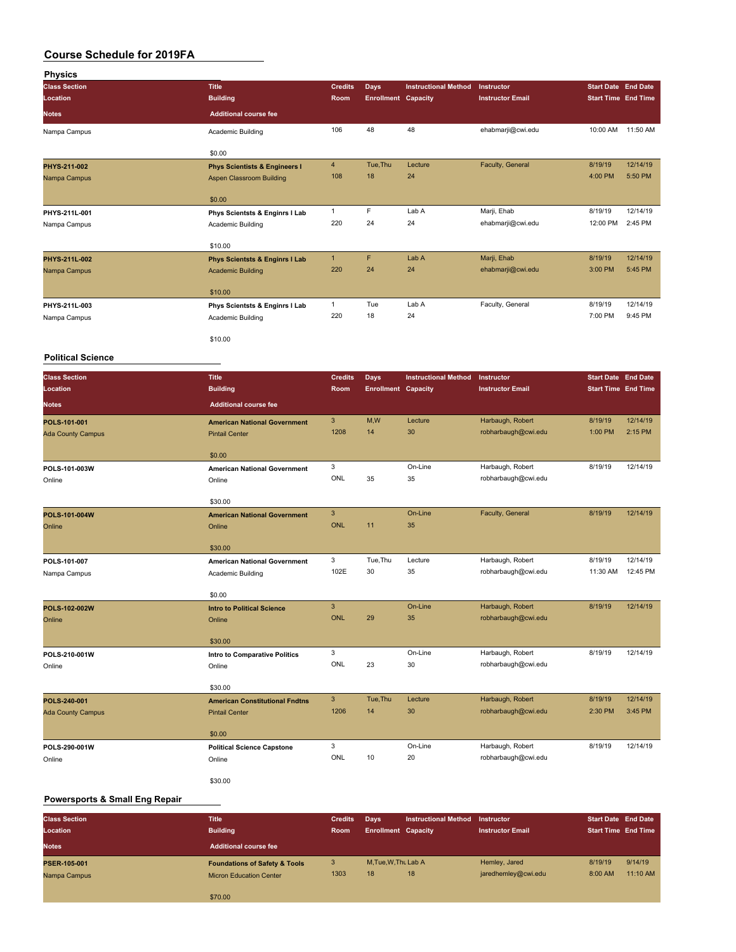| <b>Physics</b>           |                                               |                |                            |                             |                                         |                                                                                                                                                                                                                 |          |
|--------------------------|-----------------------------------------------|----------------|----------------------------|-----------------------------|-----------------------------------------|-----------------------------------------------------------------------------------------------------------------------------------------------------------------------------------------------------------------|----------|
| <b>Class Section</b>     | <b>Title</b>                                  | <b>Credits</b> | <b>Days</b>                | <b>Instructional Method</b> | Instructor                              |                                                                                                                                                                                                                 |          |
| Location                 | <b>Building</b>                               | Room           | <b>Enrollment Capacity</b> |                             | <b>Instructor Email</b>                 |                                                                                                                                                                                                                 |          |
| Notes                    | <b>Additional course fee</b>                  |                |                            |                             |                                         |                                                                                                                                                                                                                 |          |
|                          |                                               |                |                            |                             |                                         |                                                                                                                                                                                                                 |          |
| Nampa Campus             | Academic Building                             | 106            | 48                         | 48                          | ehabmarji@cwi.edu                       | 10:00 AM                                                                                                                                                                                                        | 11:50 AM |
|                          |                                               |                |                            |                             |                                         |                                                                                                                                                                                                                 |          |
|                          | \$0.00                                        |                |                            |                             |                                         | 8/19/19<br>4:00 PM<br>8/19/19<br>12:00 PM<br>8/19/19<br>3:00 PM<br>8/19/19<br>7:00 PM<br>8/19/19<br>1:00 PM<br>8/19/19<br>8/19/19<br>8/19/19<br>11:30 AM<br>8/19/19<br>8/19/19<br>8/19/19<br>2:30 PM<br>8/19/19 |          |
| PHYS-211-002             | <b>Phys Scientists &amp; Engineers I</b>      | $\overline{4}$ | Tue, Thu                   | Lecture                     | Faculty, General                        | <b>Start Date End Date</b><br><b>Start Time End Time</b><br><b>Start Date End Date</b><br><b>Start Time End Time</b>                                                                                            | 12/14/19 |
| Nampa Campus             | Aspen Classroom Building                      | 108            | 18                         | 24                          |                                         |                                                                                                                                                                                                                 | 5:50 PM  |
|                          |                                               |                |                            |                             |                                         |                                                                                                                                                                                                                 |          |
|                          | \$0.00                                        |                |                            |                             |                                         |                                                                                                                                                                                                                 |          |
| PHYS-211L-001            | Phys Scientsts & Enginrs I Lab                | $\mathbf{1}$   | F                          | Lab A                       | Marji, Ehab                             |                                                                                                                                                                                                                 | 12/14/19 |
| Nampa Campus             | Academic Building                             | 220            | 24                         | 24                          | ehabmarji@cwi.edu                       |                                                                                                                                                                                                                 | 2:45 PM  |
|                          |                                               |                |                            |                             |                                         |                                                                                                                                                                                                                 |          |
|                          | \$10.00                                       |                |                            |                             |                                         |                                                                                                                                                                                                                 |          |
| PHYS-211L-002            | <b>Phys Scientsts &amp; Enginrs I Lab</b>     | $\mathbf{1}$   | F                          | Lab A                       | Marji, Ehab                             |                                                                                                                                                                                                                 | 12/14/19 |
| Nampa Campus             | <b>Academic Building</b>                      | 220            | 24                         | 24                          | ehabmarji@cwi.edu                       |                                                                                                                                                                                                                 | 5:45 PM  |
|                          | \$10.00                                       |                |                            |                             |                                         |                                                                                                                                                                                                                 |          |
| PHYS-211L-003            |                                               | $\mathbf{1}$   | Tue                        | Lab A                       | Faculty, General                        |                                                                                                                                                                                                                 | 12/14/19 |
|                          | Phys Scientsts & Enginrs I Lab                | 220            | 18                         | 24                          |                                         |                                                                                                                                                                                                                 | 9:45 PM  |
| Nampa Campus             | Academic Building                             |                |                            |                             |                                         |                                                                                                                                                                                                                 |          |
|                          | \$10.00                                       |                |                            |                             |                                         |                                                                                                                                                                                                                 |          |
|                          |                                               |                |                            |                             |                                         |                                                                                                                                                                                                                 |          |
| <b>Political Science</b> |                                               |                |                            |                             |                                         |                                                                                                                                                                                                                 |          |
| <b>Class Section</b>     | <b>Title</b>                                  | <b>Credits</b> | <b>Days</b>                | <b>Instructional Method</b> | Instructor                              |                                                                                                                                                                                                                 |          |
| Location                 | <b>Building</b>                               | Room           | <b>Enrollment Capacity</b> |                             | <b>Instructor Email</b>                 |                                                                                                                                                                                                                 |          |
| <b>Notes</b>             | <b>Additional course fee</b>                  |                |                            |                             |                                         |                                                                                                                                                                                                                 |          |
|                          |                                               |                |                            |                             |                                         |                                                                                                                                                                                                                 |          |
| POLS-101-001             | <b>American National Government</b>           | $\mathbf{3}$   | M,W                        | Lecture                     | Harbaugh, Robert                        |                                                                                                                                                                                                                 | 12/14/19 |
| <b>Ada County Campus</b> | <b>Pintail Center</b>                         | 1208           | 14                         | 30                          | robharbaugh@cwi.edu                     |                                                                                                                                                                                                                 | 2:15 PM  |
|                          | \$0.00                                        |                |                            |                             |                                         |                                                                                                                                                                                                                 |          |
|                          |                                               | 3              |                            | On-Line                     | Harbaugh, Robert                        |                                                                                                                                                                                                                 | 12/14/19 |
| POLS-101-003W<br>Online  | <b>American National Government</b><br>Online | ONL            | 35                         | 35                          | robharbaugh@cwi.edu                     |                                                                                                                                                                                                                 |          |
|                          |                                               |                |                            |                             |                                         |                                                                                                                                                                                                                 |          |
|                          | \$30.00                                       |                |                            |                             |                                         |                                                                                                                                                                                                                 |          |
| POLS-101-004W            | <b>American National Government</b>           | $\mathbf{3}$   |                            | On-Line                     | Faculty, General                        |                                                                                                                                                                                                                 | 12/14/19 |
| Online                   | Online                                        | <b>ONL</b>     | 11                         | 35                          |                                         |                                                                                                                                                                                                                 |          |
|                          |                                               |                |                            |                             |                                         |                                                                                                                                                                                                                 |          |
|                          | \$30.00                                       |                |                            |                             |                                         |                                                                                                                                                                                                                 |          |
| POLS-101-007             | <b>American National Government</b>           | 3              | Tue, Thu                   | Lecture                     | Harbaugh, Robert                        |                                                                                                                                                                                                                 | 12/14/19 |
| Nampa Campus             | Academic Building                             | 102E           | 30                         | 35                          | robharbaugh@cwi.edu                     |                                                                                                                                                                                                                 | 12:45 PM |
|                          |                                               |                |                            |                             |                                         |                                                                                                                                                                                                                 |          |
|                          | \$0.00                                        |                |                            |                             |                                         |                                                                                                                                                                                                                 |          |
| POLS-102-002W            | <b>Intro to Political Science</b>             | $\mathbf{3}$   |                            | On-Line                     | Harbaugh, Robert                        |                                                                                                                                                                                                                 | 12/14/19 |
| Online                   | Online                                        | <b>ONL</b>     | 29                         | 35                          | robharbaugh@cwi.edu                     |                                                                                                                                                                                                                 |          |
|                          |                                               |                |                            |                             |                                         |                                                                                                                                                                                                                 |          |
|                          | \$30.00                                       |                |                            |                             |                                         |                                                                                                                                                                                                                 |          |
| POLS-210-001W            | Intro to Comparative Politics                 | 3<br>ONL       | 23                         | On-Line                     | Harbaugh, Robert<br>robharbaugh@cwi.edu |                                                                                                                                                                                                                 | 12/14/19 |
| Online                   | Online                                        |                |                            | 30                          |                                         |                                                                                                                                                                                                                 |          |
|                          | \$30.00                                       |                |                            |                             |                                         |                                                                                                                                                                                                                 |          |
| POLS-240-001             | <b>American Constitutional Fndtns</b>         | $\mathbf{3}$   | Tue, Thu                   | Lecture                     | Harbaugh, Robert                        |                                                                                                                                                                                                                 | 12/14/19 |
| <b>Ada County Campus</b> | <b>Pintail Center</b>                         | 1206           | 14                         | 30                          | robharbaugh@cwi.edu                     |                                                                                                                                                                                                                 | 3:45 PM  |
|                          |                                               |                |                            |                             |                                         |                                                                                                                                                                                                                 |          |
|                          | \$0.00                                        |                |                            |                             |                                         |                                                                                                                                                                                                                 |          |
| POLS-290-001W            | <b>Political Science Capstone</b>             | 3              |                            | On-Line                     | Harbaugh, Robert                        |                                                                                                                                                                                                                 | 12/14/19 |
| Online                   | Online                                        | ONL            | 10                         | 20                          | robharbaugh@cwi.edu                     |                                                                                                                                                                                                                 |          |
|                          |                                               |                |                            |                             |                                         |                                                                                                                                                                                                                 |          |
|                          | \$30.00                                       |                |                            |                             |                                         |                                                                                                                                                                                                                 |          |

#### **Powersports & Small Eng Repair**

| <b>Class Section</b> | <b>Title</b>                             | <b>Credits</b> | Days                       | <b>Instructional Method</b> | Instructor              | <b>Start Date End Date</b> |          |
|----------------------|------------------------------------------|----------------|----------------------------|-----------------------------|-------------------------|----------------------------|----------|
| Location             | <b>Building</b>                          | <b>Room</b>    | <b>Enrollment Capacity</b> |                             | <b>Instructor Email</b> | <b>Start Time End Time</b> |          |
| <b>Notes</b>         | <b>Additional course fee</b>             |                |                            |                             |                         |                            |          |
| <b>PSER-105-001</b>  | <b>Foundations of Safety &amp; Tools</b> | з              | M, Tue, W, Thu Lab A       |                             | Hemley, Jared           | 8/19/19                    | 9/14/19  |
| Nampa Campus         | <b>Micron Education Center</b>           | 1303           | 18                         | 18                          | jaredhemley@cwi.edu     | 8:00 AM                    | 11:10 AM |
|                      | \$70.00                                  |                |                            |                             |                         |                            |          |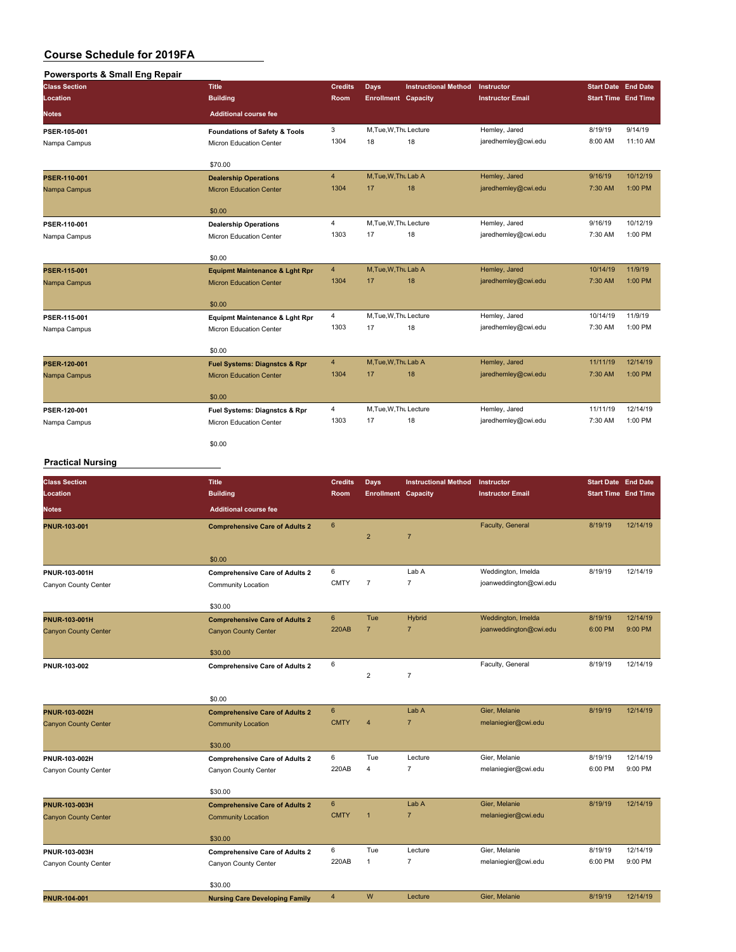#### **Powersports & Small Eng Repair**

| <b>Class Section</b> | <b>Title</b>                              | <b>Credits</b> | Days                       | <b>Instructional Method</b> | Instructor              | <b>Start Date End Date</b> |          |
|----------------------|-------------------------------------------|----------------|----------------------------|-----------------------------|-------------------------|----------------------------|----------|
| Location             | <b>Building</b>                           | Room           | <b>Enrollment</b> Capacity |                             | <b>Instructor Email</b> | <b>Start Time End Time</b> |          |
| <b>Notes</b>         | <b>Additional course fee</b>              |                |                            |                             |                         |                            |          |
| PSER-105-001         | <b>Foundations of Safety &amp; Tools</b>  | 3              | M, Tue, W, Thu Lecture     |                             | Hemley, Jared           | 8/19/19                    | 9/14/19  |
| Nampa Campus         | Micron Education Center                   | 1304           | 18                         | 18                          | jaredhemley@cwi.edu     | 8:00 AM                    | 11:10 AM |
|                      | \$70.00                                   |                |                            |                             |                         |                            |          |
| PSER-110-001         | <b>Dealership Operations</b>              | $\overline{4}$ | M.Tue.W.Thu Lab A          |                             | Hemley, Jared           | 9/16/19                    | 10/12/19 |
| Nampa Campus         | <b>Micron Education Center</b>            | 1304           | 17                         | 18                          | jaredhemley@cwi.edu     | 7:30 AM                    | 1:00 PM  |
|                      | \$0.00                                    |                |                            |                             |                         |                            |          |
| PSER-110-001         | <b>Dealership Operations</b>              | $\overline{4}$ | M.Tue, W.Thu Lecture       |                             | Hemley, Jared           | 9/16/19                    | 10/12/19 |
| Nampa Campus         | Micron Education Center                   | 1303           | 17                         | 18                          | jaredhemley@cwi.edu     | 7:30 AM                    | 1:00 PM  |
|                      | \$0.00                                    |                |                            |                             |                         |                            |          |
| PSER-115-001         | <b>Equipmt Maintenance &amp; Lght Rpr</b> | 4              | M, Tue, W, Thu Lab A       |                             | Hemley, Jared           | 10/14/19                   | 11/9/19  |
| Nampa Campus         | <b>Micron Education Center</b>            | 1304           | 17                         | 18                          | jaredhemley@cwi.edu     | 7:30 AM                    | 1:00 PM  |
|                      | \$0.00                                    |                |                            |                             |                         |                            |          |
| PSER-115-001         | <b>Equipmt Maintenance &amp; Lght Rpr</b> | 4              | M, Tue, W, Thu Lecture     |                             | Hemley, Jared           | 10/14/19                   | 11/9/19  |
| Nampa Campus         | Micron Education Center                   | 1303           | 17                         | 18                          | jaredhemley@cwi.edu     | 7:30 AM                    | 1:00 PM  |
|                      | \$0.00                                    |                |                            |                             |                         |                            |          |
| PSER-120-001         | <b>Fuel Systems: Diagnstcs &amp; Rpr</b>  | $\overline{4}$ | M, Tue, W, Thu Lab A       |                             | Hemley, Jared           | 11/11/19                   | 12/14/19 |
| Nampa Campus         | <b>Micron Education Center</b>            | 1304           | 17                         | 18                          | jaredhemley@cwi.edu     | 7:30 AM                    | 1:00 PM  |
|                      | \$0.00                                    |                |                            |                             |                         |                            |          |
| PSER-120-001         | Fuel Systems: Diagnstcs & Rpr             | 4              | M, Tue, W, Thu Lecture     |                             | Hemley, Jared           | 11/11/19                   | 12/14/19 |
| Nampa Campus         | Micron Education Center                   | 1303           | 17                         | 18                          | jaredhemley@cwi.edu     | 7:30 AM                    | 1:00 PM  |
|                      | \$0.00                                    |                |                            |                             |                         |                            |          |
| .                    |                                           |                |                            |                             |                         |                            |          |

#### **Practical Nursing**

| <b>Class Section</b>        | <b>Title</b>                          | <b>Credits</b> | Days                       | <b>Instructional Method</b> | Instructor              | <b>Start Date End Date</b> |          |
|-----------------------------|---------------------------------------|----------------|----------------------------|-----------------------------|-------------------------|----------------------------|----------|
| Location                    | <b>Building</b>                       | Room           | <b>Enrollment Capacity</b> |                             | <b>Instructor Email</b> | <b>Start Time End Time</b> |          |
| <b>Notes</b>                | <b>Additional course fee</b>          |                |                            |                             |                         |                            |          |
| PNUR-103-001                | <b>Comprehensive Care of Adults 2</b> | $6\phantom{a}$ | $\overline{2}$             | $\overline{7}$              | Faculty, General        | 8/19/19                    | 12/14/19 |
|                             |                                       |                |                            |                             |                         |                            |          |
|                             | \$0.00                                |                |                            |                             |                         |                            |          |
| PNUR-103-001H               | <b>Comprehensive Care of Adults 2</b> | 6              |                            | Lab A                       | Weddington, Imelda      | 8/19/19                    | 12/14/19 |
| Canyon County Center        | Community Location                    | <b>CMTY</b>    | $\overline{7}$             | $\overline{7}$              | joanweddington@cwi.edu  |                            |          |
|                             | \$30.00                               |                |                            |                             |                         |                            |          |
| <b>PNUR-103-001H</b>        | <b>Comprehensive Care of Adults 2</b> | 6              | Tue                        | Hybrid                      | Weddington, Imelda      | 8/19/19                    | 12/14/19 |
| <b>Canyon County Center</b> | <b>Canyon County Center</b>           | <b>220AB</b>   | $\overline{7}$             | $\overline{7}$              | joanweddington@cwi.edu  | 6:00 PM                    | 9:00 PM  |
|                             | \$30.00                               |                |                            |                             |                         |                            |          |
| PNUR-103-002                | <b>Comprehensive Care of Adults 2</b> | 6              |                            |                             | Faculty, General        | 8/19/19                    | 12/14/19 |
|                             |                                       |                | $\overline{2}$             | $\overline{7}$              |                         |                            |          |
|                             | \$0.00                                |                |                            |                             |                         |                            |          |
| <b>PNUR-103-002H</b>        | <b>Comprehensive Care of Adults 2</b> | 6              |                            | Lab A                       | Gier, Melanie           | 8/19/19                    | 12/14/19 |
| <b>Canyon County Center</b> | <b>Community Location</b>             | <b>CMTY</b>    | $\overline{4}$             | $\overline{7}$              | melaniegier@cwi.edu     |                            |          |
|                             | \$30.00                               |                |                            |                             |                         |                            |          |
| PNUR-103-002H               | <b>Comprehensive Care of Adults 2</b> | 6              | Tue                        | Lecture                     | Gier, Melanie           | 8/19/19                    | 12/14/19 |
| Canyon County Center        | Canyon County Center                  | 220AB          | $\overline{4}$             | $\overline{7}$              | melaniegier@cwi.edu     | 6:00 PM                    | 9:00 PM  |
|                             | \$30.00                               |                |                            |                             |                         |                            |          |
| <b>PNUR-103-003H</b>        | <b>Comprehensive Care of Adults 2</b> | 6              |                            | Lab A                       | Gier, Melanie           | 8/19/19                    | 12/14/19 |
| <b>Canyon County Center</b> | <b>Community Location</b>             | <b>CMTY</b>    | $\overline{1}$             | $\overline{7}$              | melaniegier@cwi.edu     |                            |          |
|                             | \$30.00                               |                |                            |                             |                         |                            |          |
| PNUR-103-003H               | <b>Comprehensive Care of Adults 2</b> | 6              | Tue                        | Lecture                     | Gier, Melanie           | 8/19/19                    | 12/14/19 |
| Canyon County Center        | Canyon County Center                  | 220AB          | $\mathbf{1}$               | $\overline{7}$              | melaniegier@cwi.edu     | 6:00 PM                    | 9:00 PM  |

|                     | \$30.00                        |  |         |               |         |          |
|---------------------|--------------------------------|--|---------|---------------|---------|----------|
| <b>PNUR-104-001</b> | Nursing Care Developing Family |  | Lecture | Gier, Melanie | 8/19/19 | 12/14/19 |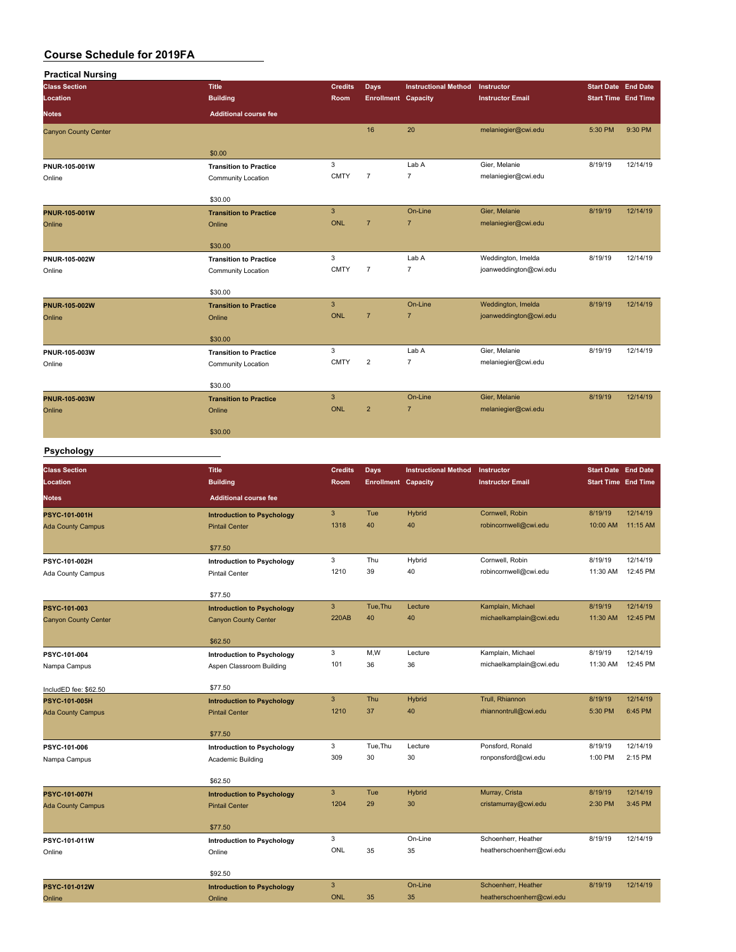| <b>Practical Nursing</b>    |                               |                |                            |                             |                         |                            |          |
|-----------------------------|-------------------------------|----------------|----------------------------|-----------------------------|-------------------------|----------------------------|----------|
| <b>Class Section</b>        | <b>Title</b>                  | <b>Credits</b> | Days                       | <b>Instructional Method</b> | Instructor              | <b>Start Date End Date</b> |          |
| Location                    | <b>Building</b>               | Room           | <b>Enrollment Capacity</b> |                             | <b>Instructor Email</b> | <b>Start Time End Time</b> |          |
| <b>Notes</b>                | <b>Additional course fee</b>  |                |                            |                             |                         |                            |          |
| <b>Canyon County Center</b> |                               |                | 16                         | 20                          | melaniegier@cwi.edu     | 5:30 PM                    | 9:30 PM  |
|                             | \$0.00                        |                |                            |                             |                         |                            |          |
| PNUR-105-001W               | <b>Transition to Practice</b> | 3              |                            | Lab A                       | Gier, Melanie           | 8/19/19                    | 12/14/19 |
| Online                      | <b>Community Location</b>     | <b>CMTY</b>    | $\overline{7}$             | $\overline{7}$              | melaniegier@cwi.edu     |                            |          |
|                             | \$30.00                       |                |                            |                             |                         |                            |          |
| PNUR-105-001W               | <b>Transition to Practice</b> | $\mathbf{3}$   |                            | On-Line                     | Gier, Melanie           | 8/19/19                    | 12/14/19 |
| Online                      | Online                        | <b>ONL</b>     | $\overline{7}$             | $\overline{7}$              | melaniegier@cwi.edu     |                            |          |
|                             | \$30.00                       |                |                            |                             |                         |                            |          |
| PNUR-105-002W               | <b>Transition to Practice</b> | 3              |                            | Lab A                       | Weddington, Imelda      | 8/19/19                    | 12/14/19 |
| Online                      | <b>Community Location</b>     | <b>CMTY</b>    | $\overline{7}$             | $\overline{7}$              | joanweddington@cwi.edu  |                            |          |
|                             | \$30.00                       |                |                            |                             |                         |                            |          |
| <b>PNUR-105-002W</b>        | <b>Transition to Practice</b> | 3              |                            | On-Line                     | Weddington, Imelda      | 8/19/19                    | 12/14/19 |
| Online                      | Online                        | <b>ONL</b>     | $\overline{7}$             | $\overline{7}$              | joanweddington@cwi.edu  |                            |          |
|                             | \$30.00                       |                |                            |                             |                         |                            |          |
| PNUR-105-003W               | <b>Transition to Practice</b> | 3              |                            | Lab A                       | Gier, Melanie           | 8/19/19                    | 12/14/19 |
| Online                      | Community Location            | <b>CMTY</b>    | $\overline{2}$             | $\overline{7}$              | melaniegier@cwi.edu     |                            |          |
|                             | \$30.00                       |                |                            |                             |                         |                            |          |
| PNUR-105-003W               | <b>Transition to Practice</b> | $\mathbf{3}$   |                            | On-Line                     | Gier, Melanie           | 8/19/19                    | 12/14/19 |
| Online                      | Online                        | <b>ONL</b>     | $\overline{2}$             | $\overline{7}$              | melaniegier@cwi.edu     |                            |          |
|                             | \$30.00                       |                |                            |                             |                         |                            |          |
|                             |                               |                |                            |                             |                         |                            |          |

#### **Psychology**

| <b>Class Section</b>        | <b>Title</b>                      | <b>Credits</b> | <b>Days</b>                | <b>Instructional Method</b> | Instructor                | <b>Start Date End Date</b> |          |
|-----------------------------|-----------------------------------|----------------|----------------------------|-----------------------------|---------------------------|----------------------------|----------|
| Location                    | <b>Building</b>                   | Room           | <b>Enrollment Capacity</b> |                             | <b>Instructor Email</b>   | <b>Start Time End Time</b> |          |
| Notes                       | <b>Additional course fee</b>      |                |                            |                             |                           |                            |          |
| <b>PSYC-101-001H</b>        | <b>Introduction to Psychology</b> | 3              | Tue                        | <b>Hybrid</b>               | Cornwell, Robin           | 8/19/19                    | 12/14/19 |
| <b>Ada County Campus</b>    | <b>Pintail Center</b>             | 1318           | 40                         | 40                          | robincornwell@cwi.edu     | 10:00 AM                   | 11:15 AM |
|                             | \$77.50                           |                |                            |                             |                           |                            |          |
| PSYC-101-002H               | <b>Introduction to Psychology</b> | 3              | Thu                        | Hybrid                      | Cornwell, Robin           | 8/19/19                    | 12/14/19 |
| Ada County Campus           | <b>Pintail Center</b>             | 1210           | 39                         | 40                          | robincornwell@cwi.edu     | 11:30 AM                   | 12:45 PM |
|                             | \$77.50                           |                |                            |                             |                           |                            |          |
| PSYC-101-003                | <b>Introduction to Psychology</b> | $\mathbf{3}$   | Tue, Thu                   | Lecture                     | Kamplain, Michael         | 8/19/19                    | 12/14/19 |
| <b>Canyon County Center</b> | <b>Canyon County Center</b>       | <b>220AB</b>   | 40                         | 40                          | michaelkamplain@cwi.edu   | 11:30 AM                   | 12:45 PM |
|                             | \$62.50                           |                |                            |                             |                           |                            |          |
| PSYC-101-004                | <b>Introduction to Psychology</b> | 3              | M,W                        | Lecture                     | Kamplain, Michael         | 8/19/19                    | 12/14/19 |
| Nampa Campus                | Aspen Classroom Building          | 101            | 36                         | 36                          | michaelkamplain@cwi.edu   | 11:30 AM                   | 12:45 PM |
| IncludED fee: \$62.50       | \$77.50                           |                |                            |                             |                           |                            |          |
| PSYC-101-005H               | <b>Introduction to Psychology</b> | $\mathbf{3}$   | Thu                        | Hybrid                      | Trull, Rhiannon           | 8/19/19                    | 12/14/19 |
| <b>Ada County Campus</b>    | <b>Pintail Center</b>             | 1210           | 37                         | 40                          | rhiannontrull@cwi.edu     | 5:30 PM                    | 6:45 PM  |
|                             | \$77.50                           |                |                            |                             |                           |                            |          |
| PSYC-101-006                | <b>Introduction to Psychology</b> | 3              | Tue, Thu                   | Lecture                     | Ponsford, Ronald          | 8/19/19                    | 12/14/19 |
| Nampa Campus                | Academic Building                 | 309            | 30                         | 30                          | ronponsford@cwi.edu       | 1:00 PM                    | 2:15 PM  |
|                             | \$62.50                           |                |                            |                             |                           |                            |          |
| <b>PSYC-101-007H</b>        | <b>Introduction to Psychology</b> | $\mathbf{3}$   | Tue                        | <b>Hybrid</b>               | Murray, Crista            | 8/19/19                    | 12/14/19 |
| <b>Ada County Campus</b>    | <b>Pintail Center</b>             | 1204           | 29                         | 30                          | cristamurray@cwi.edu      | 2:30 PM                    | 3:45 PM  |
|                             | \$77.50                           |                |                            |                             |                           |                            |          |
| PSYC-101-011W               | <b>Introduction to Psychology</b> | 3              |                            | On-Line                     | Schoenherr, Heather       | 8/19/19                    | 12/14/19 |
| Online                      | Online                            | ONL            | 35                         | 35                          | heatherschoenherr@cwi.edu |                            |          |
|                             | \$92.50                           |                |                            |                             |                           |                            |          |
| PSYC-101-012W               | <b>Introduction to Psychology</b> | $\mathbf{3}$   |                            | On-Line                     | Schoenherr, Heather       | 8/19/19                    | 12/14/19 |
| Online                      | Online                            | <b>ONL</b>     | 35                         | 35                          | heatherschoenherr@cwi.edu |                            |          |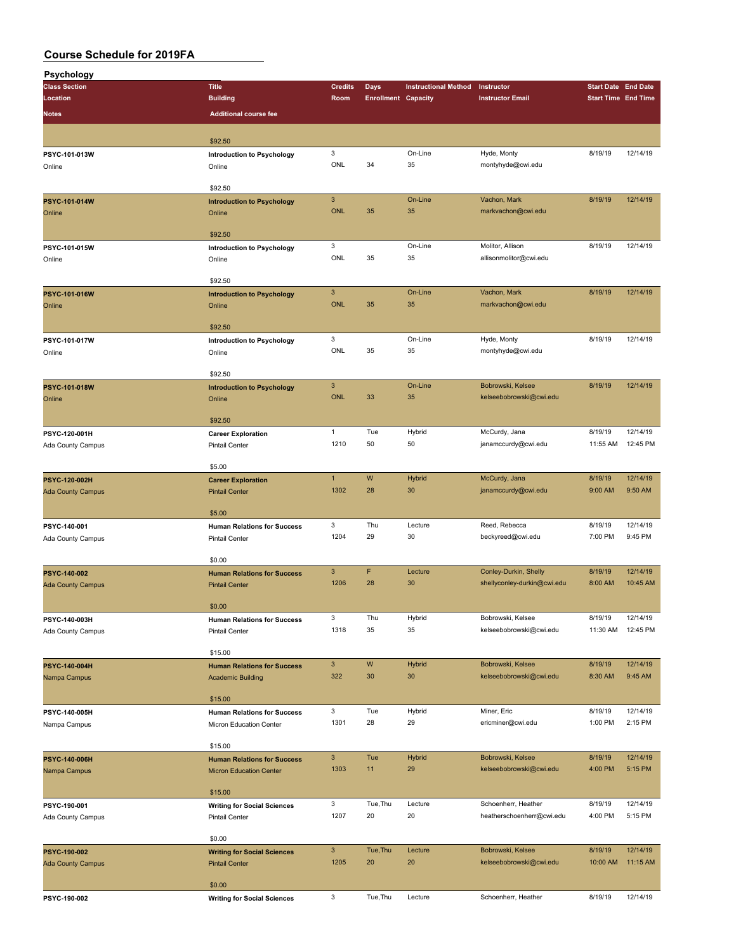| Psychology               |                                      |                |                            |                             |                             |                            |                     |
|--------------------------|--------------------------------------|----------------|----------------------------|-----------------------------|-----------------------------|----------------------------|---------------------|
| <b>Class Section</b>     | <b>Title</b>                         | <b>Credits</b> | <b>Days</b>                | <b>Instructional Method</b> | Instructor                  | <b>Start Date End Date</b> |                     |
| Location                 | <b>Building</b>                      | Room           | <b>Enrollment Capacity</b> |                             | <b>Instructor Email</b>     | <b>Start Time End Time</b> |                     |
| <b>Notes</b>             | <b>Additional course fee</b>         |                |                            |                             |                             |                            |                     |
|                          |                                      |                |                            |                             |                             |                            |                     |
|                          | \$92.50                              |                |                            |                             |                             |                            |                     |
| PSYC-101-013W            |                                      | 3              |                            | On-Line                     | Hyde, Monty                 | 8/19/19                    | 12/14/19            |
| Online                   | Introduction to Psychology<br>Online | ONL            | 34                         | 35                          | montyhyde@cwi.edu           |                            |                     |
|                          |                                      |                |                            |                             |                             |                            |                     |
|                          | \$92.50                              |                |                            |                             |                             |                            |                     |
| PSYC-101-014W            | <b>Introduction to Psychology</b>    | $\overline{3}$ |                            | On-Line                     | Vachon, Mark                | 8/19/19                    | 12/14/19            |
| Online                   | Online                               | <b>ONL</b>     | 35                         | 35                          | markvachon@cwi.edu          |                            |                     |
|                          |                                      |                |                            |                             |                             |                            |                     |
|                          | \$92.50                              |                |                            |                             |                             |                            |                     |
| PSYC-101-015W            | <b>Introduction to Psychology</b>    | 3              |                            | On-Line                     | Molitor, Allison            | 8/19/19                    | 12/14/19            |
| Online                   | Online                               | ONL            | 35                         | 35                          | allisonmolitor@cwi.edu      |                            |                     |
|                          |                                      |                |                            |                             |                             |                            |                     |
|                          | \$92.50                              |                |                            |                             |                             |                            |                     |
| PSYC-101-016W            | <b>Introduction to Psychology</b>    | $\mathbf{3}$   |                            | On-Line                     | Vachon, Mark                | 8/19/19                    | 12/14/19            |
| Online                   | Online                               | <b>ONL</b>     | 35                         | 35                          | markvachon@cwi.edu          |                            |                     |
|                          |                                      |                |                            |                             |                             |                            |                     |
|                          | \$92.50                              |                |                            |                             |                             |                            |                     |
| PSYC-101-017W            | <b>Introduction to Psychology</b>    | 3              |                            | On-Line                     | Hyde, Monty                 | 8/19/19                    | 12/14/19            |
| Online                   | Online                               | ONL            | 35                         | 35                          | montyhyde@cwi.edu           |                            |                     |
|                          |                                      |                |                            |                             |                             |                            |                     |
|                          | \$92.50                              |                |                            |                             |                             |                            |                     |
| PSYC-101-018W            | <b>Introduction to Psychology</b>    | $\mathbf{3}$   |                            | On-Line                     | Bobrowski, Kelsee           | 8/19/19                    | 12/14/19            |
| Online                   | Online                               | <b>ONL</b>     | 33                         | 35                          | kelseebobrowski@cwi.edu     |                            |                     |
|                          |                                      |                |                            |                             |                             |                            |                     |
|                          | \$92.50                              |                |                            |                             |                             |                            |                     |
| PSYC-120-001H            | <b>Career Exploration</b>            | $\mathbf{1}$   | Tue                        | Hybrid                      | McCurdy, Jana               | 8/19/19                    | 12/14/19            |
| Ada County Campus        | <b>Pintail Center</b>                | 1210           | 50                         | 50                          | janamccurdy@cwi.edu         | 11:55 AM                   | 12:45 PM            |
|                          |                                      |                |                            |                             |                             |                            |                     |
|                          | \$5.00                               |                |                            |                             |                             |                            |                     |
| PSYC-120-002H            | <b>Career Exploration</b>            | $\mathbf{1}$   | W                          | Hybrid                      | McCurdy, Jana               | 8/19/19                    | 12/14/19            |
| <b>Ada County Campus</b> | <b>Pintail Center</b>                | 1302           | 28                         | 30                          | janamccurdy@cwi.edu         | 9:00 AM                    | 9:50 AM             |
|                          |                                      |                |                            |                             |                             |                            |                     |
|                          | \$5.00                               |                |                            |                             |                             |                            |                     |
| PSYC-140-001             | <b>Human Relations for Success</b>   | 3              | Thu                        | Lecture                     | Reed, Rebecca               | 8/19/19                    | 12/14/19<br>9:45 PM |
| Ada County Campus        | <b>Pintail Center</b>                | 1204           | 29                         | 30                          | beckyreed@cwi.edu           | 7:00 PM                    |                     |
|                          | \$0.00                               |                |                            |                             |                             |                            |                     |
|                          |                                      | $\mathbf{3}$   | F                          | Lecture                     | Conley-Durkin, Shelly       | 8/19/19                    | 12/14/19            |
| PSYC-140-002             | <b>Human Relations for Success</b>   | 1206           | 28                         | 30                          | shellyconley-durkin@cwi.edu | 8:00 AM                    | 10:45 AM            |
| <b>Ada County Campus</b> | <b>Pintail Center</b>                |                |                            |                             |                             |                            |                     |
|                          | \$0.00                               |                |                            |                             |                             |                            |                     |
| PSYC-140-003H            | <b>Human Relations for Success</b>   | 3              | Thu                        | Hybrid                      | Bobrowski, Kelsee           | 8/19/19                    | 12/14/19            |
| Ada County Campus        | <b>Pintail Center</b>                | 1318           | 35                         | 35                          | kelseebobrowski@cwi.edu     | 11:30 AM                   | 12:45 PM            |
|                          |                                      |                |                            |                             |                             |                            |                     |
|                          | \$15.00                              |                |                            |                             |                             |                            |                     |
| PSYC-140-004H            | <b>Human Relations for Success</b>   | $\mathbf{3}$   | W                          | <b>Hybrid</b>               | Bobrowski, Kelsee           | 8/19/19                    | 12/14/19            |
| Nampa Campus             | <b>Academic Building</b>             | 322            | 30                         | 30                          | kelseebobrowski@cwi.edu     | 8:30 AM                    | 9:45 AM             |
|                          |                                      |                |                            |                             |                             |                            |                     |
|                          | \$15.00                              |                |                            |                             |                             |                            |                     |
| PSYC-140-005H            | <b>Human Relations for Success</b>   | 3              | Tue                        | Hybrid                      | Miner, Eric                 | 8/19/19                    | 12/14/19            |
| Nampa Campus             | Micron Education Center              | 1301           | 28                         | 29                          | ericminer@cwi.edu           | 1:00 PM                    | 2:15 PM             |
|                          |                                      |                |                            |                             |                             |                            |                     |
|                          | \$15.00                              |                |                            |                             |                             |                            |                     |
| PSYC-140-006H            | <b>Human Relations for Success</b>   | $\mathbf{3}$   | Tue                        | <b>Hybrid</b>               | Bobrowski, Kelsee           | 8/19/19                    | 12/14/19            |
| Nampa Campus             | <b>Micron Education Center</b>       | 1303           | 11                         | 29                          | kelseebobrowski@cwi.edu     | 4:00 PM                    | 5:15 PM             |
|                          |                                      |                |                            |                             |                             |                            |                     |
|                          | \$15.00                              |                |                            |                             |                             |                            |                     |
| PSYC-190-001             | <b>Writing for Social Sciences</b>   | 3              | Tue, Thu                   | Lecture                     | Schoenherr, Heather         | 8/19/19                    | 12/14/19            |
| Ada County Campus        | <b>Pintail Center</b>                | 1207           | 20                         | 20                          | heatherschoenherr@cwi.edu   | 4:00 PM                    | 5:15 PM             |
|                          |                                      |                |                            |                             |                             |                            |                     |
|                          | \$0.00                               |                |                            |                             |                             |                            |                     |
| PSYC-190-002             | <b>Writing for Social Sciences</b>   | $\mathbf{3}$   | Tue, Thu                   | Lecture                     | Bobrowski, Kelsee           | 8/19/19                    | 12/14/19            |
| <b>Ada County Campus</b> | <b>Pintail Center</b>                | 1205           | 20                         | 20                          | kelseebobrowski@cwi.edu     | 10:00 AM                   | 11:15 AM            |
|                          |                                      |                |                            |                             |                             |                            |                     |
|                          | \$0.00                               |                |                            |                             |                             |                            |                     |
| PSYC-190-002             | <b>Writing for Social Sciences</b>   | 3              | Tue, Thu                   | Lecture                     | Schoenherr, Heather         | 8/19/19                    | 12/14/19            |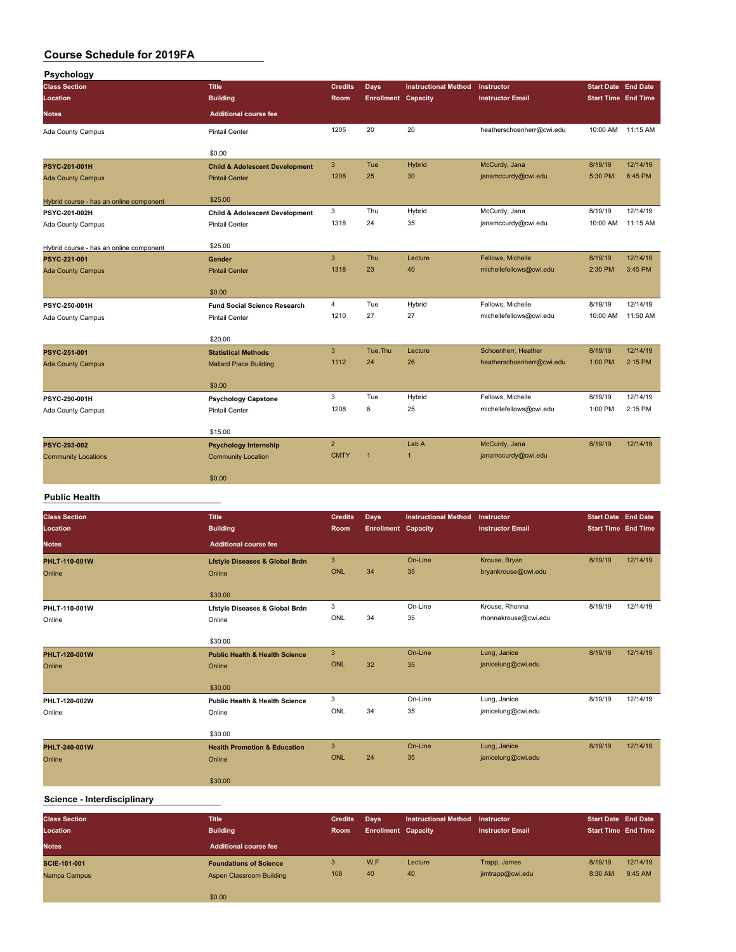| Psychology                              |                                           |                |                            |                             |                           |                            |          |
|-----------------------------------------|-------------------------------------------|----------------|----------------------------|-----------------------------|---------------------------|----------------------------|----------|
| <b>Class Section</b>                    | <b>Title</b>                              | <b>Credits</b> | Days                       | <b>Instructional Method</b> | Instructor                | <b>Start Date End Date</b> |          |
| Location                                | <b>Building</b>                           | Room           | <b>Enrollment Capacity</b> |                             | <b>Instructor Email</b>   | <b>Start Time End Time</b> |          |
| <b>Notes</b>                            | <b>Additional course fee</b>              |                |                            |                             |                           |                            |          |
| Ada County Campus                       | <b>Pintail Center</b>                     | 1205           | 20                         | 20                          | heatherschoenherr@cwi.edu | 10:00 AM                   | 11:15 AM |
|                                         | \$0.00                                    |                |                            |                             |                           |                            |          |
| <b>PSYC-201-001H</b>                    | <b>Child &amp; Adolescent Development</b> | $\mathbf{3}$   | Tue                        | Hybrid                      | McCurdy, Jana             | 8/19/19                    | 12/14/19 |
| <b>Ada County Campus</b>                | <b>Pintail Center</b>                     | 1208           | 25                         | 30                          | janamccurdy@cwi.edu       | 5:30 PM                    | 6:45 PM  |
| Hybrid course - has an online component | \$25.00                                   |                |                            |                             |                           |                            |          |
| PSYC-201-002H                           | <b>Child &amp; Adolescent Development</b> | 3              | Thu                        | Hybrid                      | McCurdy, Jana             | 8/19/19                    | 12/14/19 |
| Ada County Campus                       | <b>Pintail Center</b>                     | 1318           | 24                         | 35                          | janamccurdy@cwi.edu       | 10:00 AM                   | 11:15 AM |
|                                         | \$25.00                                   |                |                            |                             |                           |                            |          |
| Hybrid course - has an online component |                                           | 3              | Thu                        | Lecture                     | Fellows, Michelle         | 8/19/19                    | 12/14/19 |
| PSYC-221-001                            | Gender                                    | 1318           | 23                         | 40                          | michellefellows@cwi.edu   | 2:30 PM                    | 3:45 PM  |
| <b>Ada County Campus</b>                | <b>Pintail Center</b>                     |                |                            |                             |                           |                            |          |
|                                         | \$0.00                                    |                |                            |                             |                           |                            |          |
| PSYC-250-001H                           | <b>Fund Social Science Research</b>       | $\overline{4}$ | Tue                        | Hybrid                      | Fellows, Michelle         | 8/19/19                    | 12/14/19 |
| Ada County Campus                       | <b>Pintail Center</b>                     | 1210           | 27                         | 27                          | michellefellows@cwi.edu   | 10:00 AM                   | 11:50 AM |
|                                         | \$20.00                                   |                |                            |                             |                           |                            |          |
| PSYC-251-001                            | <b>Statistical Methods</b>                | $\mathbf{3}$   | Tue, Thu                   | Lecture                     | Schoenherr, Heather       | 8/19/19                    | 12/14/19 |
| <b>Ada County Campus</b>                | <b>Mallard Place Building</b>             | 1112           | 24                         | 26                          | heatherschoenherr@cwi.edu | 1:00 PM                    | 2:15 PM  |
|                                         |                                           |                |                            |                             |                           |                            |          |
|                                         | \$0.00                                    |                |                            |                             |                           |                            |          |
| PSYC-290-001H                           | <b>Psychology Capstone</b>                | 3              | Tue                        | Hybrid                      | Fellows, Michelle         | 8/19/19                    | 12/14/19 |
| Ada County Campus                       | <b>Pintail Center</b>                     | 1208           | 6                          | 25                          | michellefellows@cwi.edu   | 1:00 PM                    | 2:15 PM  |
|                                         | \$15.00                                   |                |                            |                             |                           |                            |          |
| PSYC-293-002                            | <b>Psychology Internship</b>              | $\overline{2}$ |                            | Lab A                       | McCurdy, Jana             | 8/19/19                    | 12/14/19 |
| <b>Community Locations</b>              | <b>Community Location</b>                 | <b>CMTY</b>    | $\overline{1}$             | $\overline{1}$              | janamccurdy@cwi.edu       |                            |          |
|                                         | \$0.00                                    |                |                            |                             |                           |                            |          |
|                                         |                                           |                |                            |                             |                           |                            |          |

#### **Public Health**

| <b>Class Section</b><br>Location | <b>Title</b><br><b>Building</b>                     | <b>Credits</b><br>Room | <b>Days</b><br><b>Enrollment Capacity</b> | <b>Instructional Method</b> | Instructor<br><b>Instructor Email</b> | <b>Start Date End Date</b><br><b>Start Time End Time</b> |          |
|----------------------------------|-----------------------------------------------------|------------------------|-------------------------------------------|-----------------------------|---------------------------------------|----------------------------------------------------------|----------|
| <b>Notes</b>                     | <b>Additional course fee</b>                        |                        |                                           |                             |                                       |                                                          |          |
| PHLT-110-001W<br>Online          | <b>Lfstyle Diseases &amp; Global Brdn</b><br>Online | 3<br>ONL               | 34                                        | On-Line<br>35               | Krouse, Bryan<br>bryankrouse@cwi.edu  | 8/19/19                                                  | 12/14/19 |
|                                  | \$30.00                                             |                        |                                           |                             |                                       |                                                          |          |
| PHLT-110-001W                    | Lfstyle Diseases & Global Brdn                      | 3                      |                                           | On-Line                     | Krouse, Rhonna                        | 8/19/19                                                  | 12/14/19 |
| Online                           | Online                                              | ONL                    | 34                                        | 35                          | rhonnakrouse@cwi.edu                  |                                                          |          |
|                                  | \$30.00                                             |                        |                                           |                             |                                       |                                                          |          |
| PHLT-120-001W                    | <b>Public Health &amp; Health Science</b>           | $\mathbf{3}$           |                                           | On-Line                     | Lung, Janice                          | 8/19/19                                                  | 12/14/19 |
| Online                           | Online                                              | ONL                    | 32                                        | 35                          | janicelung@cwi.edu                    |                                                          |          |
|                                  | \$30.00                                             |                        |                                           |                             |                                       |                                                          |          |
| PHLT-120-002W                    | <b>Public Health &amp; Health Science</b>           | 3                      |                                           | On-Line                     | Lung, Janice                          | 8/19/19                                                  | 12/14/19 |
| Online                           | Online                                              | ONL                    | 34                                        | 35                          | janicelung@cwi.edu                    |                                                          |          |
|                                  | \$30.00                                             |                        |                                           |                             |                                       |                                                          |          |
| PHLT-240-001W                    | <b>Health Promotion &amp; Education</b>             | 3                      |                                           | On-Line                     | Lung, Janice                          | 8/19/19                                                  | 12/14/19 |
| Online                           | Online                                              | <b>ONL</b>             | 24                                        | 35                          | janicelung@cwi.edu                    |                                                          |          |
|                                  | \$30.00                                             |                        |                                           |                             |                                       |                                                          |          |

#### **Science - Interdisciplinary**

| <b>Class Section</b><br>Location | <b>Title</b><br><b>Building</b> | <b>Credits</b><br><b>Room</b> | Days<br><b>Enrollment Capacity</b> | <b>Instructional Method</b> | Instructor<br><b>Instructor Email</b> | <b>Start Date End Date</b><br><b>Start Time End Time</b> |          |
|----------------------------------|---------------------------------|-------------------------------|------------------------------------|-----------------------------|---------------------------------------|----------------------------------------------------------|----------|
| <b>Notes</b>                     | <b>Additional course fee</b>    |                               |                                    |                             |                                       |                                                          |          |
| SCIE-101-001                     | <b>Foundations of Science</b>   | 3                             | W,F                                | Lecture                     | Trapp, James                          | 8/19/19                                                  | 12/14/19 |
| Nampa Campus                     | Aspen Classroom Building        | 108                           | 40                                 | 40                          | jimtrapp@cwi.edu                      | 8:30 AM                                                  | 9:45 AM  |
|                                  | \$0.00                          |                               |                                    |                             |                                       |                                                          |          |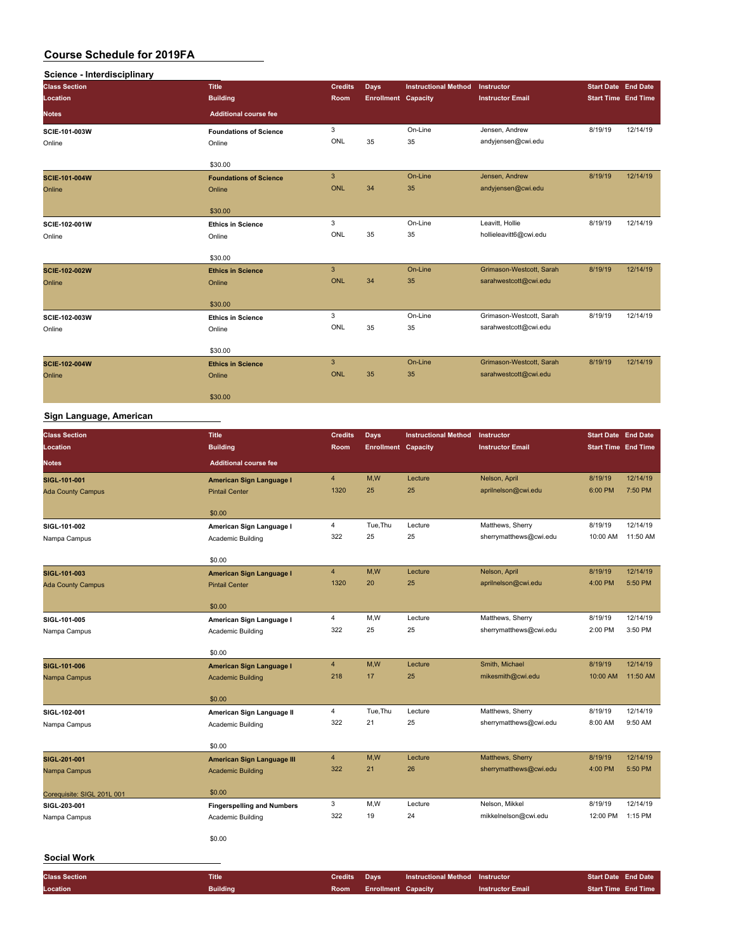| Science - Interdisciplinary |                               |                |                            |                             |                          |                            |          |
|-----------------------------|-------------------------------|----------------|----------------------------|-----------------------------|--------------------------|----------------------------|----------|
| <b>Class Section</b>        | <b>Title</b>                  | <b>Credits</b> | Days                       | <b>Instructional Method</b> | Instructor               | <b>Start Date End Date</b> |          |
| Location                    | <b>Building</b>               | Room           | <b>Enrollment Capacity</b> |                             | <b>Instructor Email</b>  | <b>Start Time End Time</b> |          |
| <b>Notes</b>                | <b>Additional course fee</b>  |                |                            |                             |                          |                            |          |
| <b>SCIE-101-003W</b>        | <b>Foundations of Science</b> | 3              |                            | On-Line                     | Jensen, Andrew           | 8/19/19                    | 12/14/19 |
| Online                      | Online                        | ONL            | 35                         | 35                          | andyjensen@cwi.edu       |                            |          |
|                             | \$30.00                       |                |                            |                             |                          |                            |          |
| <b>SCIE-101-004W</b>        | <b>Foundations of Science</b> | $\overline{3}$ |                            | On-Line                     | Jensen, Andrew           | 8/19/19                    | 12/14/19 |
| Online                      | Online                        | ONL            | 34                         | 35                          | andyjensen@cwi.edu       |                            |          |
|                             | \$30.00                       |                |                            |                             |                          |                            |          |
| SCIE-102-001W               | <b>Ethics in Science</b>      | 3              |                            | On-Line                     | Leavitt, Hollie          | 8/19/19                    | 12/14/19 |
| Online                      | Online                        | ONL            | 35                         | 35                          | hollieleavitt6@cwi.edu   |                            |          |
|                             | \$30.00                       |                |                            |                             |                          |                            |          |
| <b>SCIE-102-002W</b>        | <b>Ethics in Science</b>      | 3              |                            | On-Line                     | Grimason-Westcott, Sarah | 8/19/19                    | 12/14/19 |
| Online                      | Online                        | ONL            | 34                         | 35                          | sarahwestcott@cwi.edu    |                            |          |
|                             | \$30.00                       |                |                            |                             |                          |                            |          |
| SCIE-102-003W               | <b>Ethics in Science</b>      | 3              |                            | On-Line                     | Grimason-Westcott, Sarah | 8/19/19                    | 12/14/19 |
| Online                      | Online                        | ONL            | 35                         | 35                          | sarahwestcott@cwi.edu    |                            |          |
|                             | \$30.00                       |                |                            |                             |                          |                            |          |
| <b>SCIE-102-004W</b>        | <b>Ethics in Science</b>      | $\overline{3}$ |                            | On-Line                     | Grimason-Westcott, Sarah | 8/19/19                    | 12/14/19 |
| Online                      | Online                        | ONL            | 35                         | 35                          | sarahwestcott@cwi.edu    |                            |          |
|                             | \$30.00                       |                |                            |                             |                          |                            |          |

#### **Sign Language, American**

| <b>Class Section</b>       | <b>Title</b>                      | <b>Credits</b> | <b>Days</b>                | <b>Instructional Method</b> | Instructor              | <b>Start Date End Date</b> |          |
|----------------------------|-----------------------------------|----------------|----------------------------|-----------------------------|-------------------------|----------------------------|----------|
| Location                   | <b>Building</b>                   | Room           | <b>Enrollment Capacity</b> |                             | <b>Instructor Email</b> | <b>Start Time End Time</b> |          |
| <b>Notes</b>               | <b>Additional course fee</b>      |                |                            |                             |                         |                            |          |
| SIGL-101-001               | American Sign Language I          | 4              | M, W                       | Lecture                     | Nelson, April           | 8/19/19                    | 12/14/19 |
| <b>Ada County Campus</b>   | <b>Pintail Center</b>             | 1320           | 25                         | 25                          | aprilnelson@cwi.edu     | 6:00 PM                    | 7:50 PM  |
|                            | \$0.00                            |                |                            |                             |                         |                            |          |
| SIGL-101-002               | American Sign Language I          | 4              | Tue, Thu                   | Lecture                     | Matthews, Sherry        | 8/19/19                    | 12/14/19 |
| Nampa Campus               | Academic Building                 | 322            | 25                         | 25                          | sherrymatthews@cwi.edu  | 10:00 AM                   | 11:50 AM |
|                            | \$0.00                            |                |                            |                             |                         |                            |          |
| SIGL-101-003               | American Sign Language I          | 4              | M, W                       | Lecture                     | Nelson, April           | 8/19/19                    | 12/14/19 |
| <b>Ada County Campus</b>   | <b>Pintail Center</b>             | 1320           | 20                         | 25                          | aprilnelson@cwi.edu     | 4:00 PM                    | 5:50 PM  |
|                            | \$0.00                            |                |                            |                             |                         |                            |          |
| SIGL-101-005               | American Sign Language I          | 4              | M,W                        | Lecture                     | Matthews, Sherry        | 8/19/19                    | 12/14/19 |
| Nampa Campus               | Academic Building                 | 322            | 25                         | 25                          | sherrymatthews@cwi.edu  | 2:00 PM                    | 3:50 PM  |
|                            | \$0.00                            |                |                            |                             |                         |                            |          |
| SIGL-101-006               | American Sign Language I          | $\overline{4}$ | M,W                        | Lecture                     | Smith, Michael          | 8/19/19                    | 12/14/19 |
| Nampa Campus               | <b>Academic Building</b>          | 218            | 17                         | 25                          | mikesmith@cwi.edu       | 10:00 AM                   | 11:50 AM |
|                            | \$0.00                            |                |                            |                             |                         |                            |          |
| SIGL-102-001               | American Sign Language II         | 4              | Tue, Thu                   | Lecture                     | Matthews, Sherry        | 8/19/19                    | 12/14/19 |
| Nampa Campus               | Academic Building                 | 322            | 21                         | 25                          | sherrymatthews@cwi.edu  | 8:00 AM                    | 9:50 AM  |
|                            | \$0.00                            |                |                            |                             |                         |                            |          |
| SIGL-201-001               | American Sign Language III        | $\overline{4}$ | M,W                        | Lecture                     | Matthews, Sherry        | 8/19/19                    | 12/14/19 |
| Nampa Campus               | <b>Academic Building</b>          | 322            | 21                         | 26                          | sherrymatthews@cwi.edu  | 4:00 PM                    | 5:50 PM  |
| Corequisite: SIGL 201L 001 | \$0.00                            |                |                            |                             |                         |                            |          |
| SIGL-203-001               | <b>Fingerspelling and Numbers</b> | 3              | M,W                        | Lecture                     | Nelson, Mikkel          | 8/19/19                    | 12/14/19 |
| Nampa Campus               | Academic Building                 | 322            | 19                         | 24                          | mikkelnelson@cwi.edu    | 12:00 PM                   | 1:15 PM  |
|                            | \$0.00                            |                |                            |                             |                         |                            |          |
| <b>Social Work</b>         |                                   |                |                            |                             |                         |                            |          |
| <b>Class Section</b>       | <b>Title</b>                      | <b>Credits</b> | <b>Days</b>                | <b>Instructional Method</b> | Instructor              | <b>Start Date End Date</b> |          |
| Location                   | <b>Building</b>                   | Room           | <b>Enrollment Capacity</b> |                             | <b>Instructor Email</b> | <b>Start Time End Time</b> |          |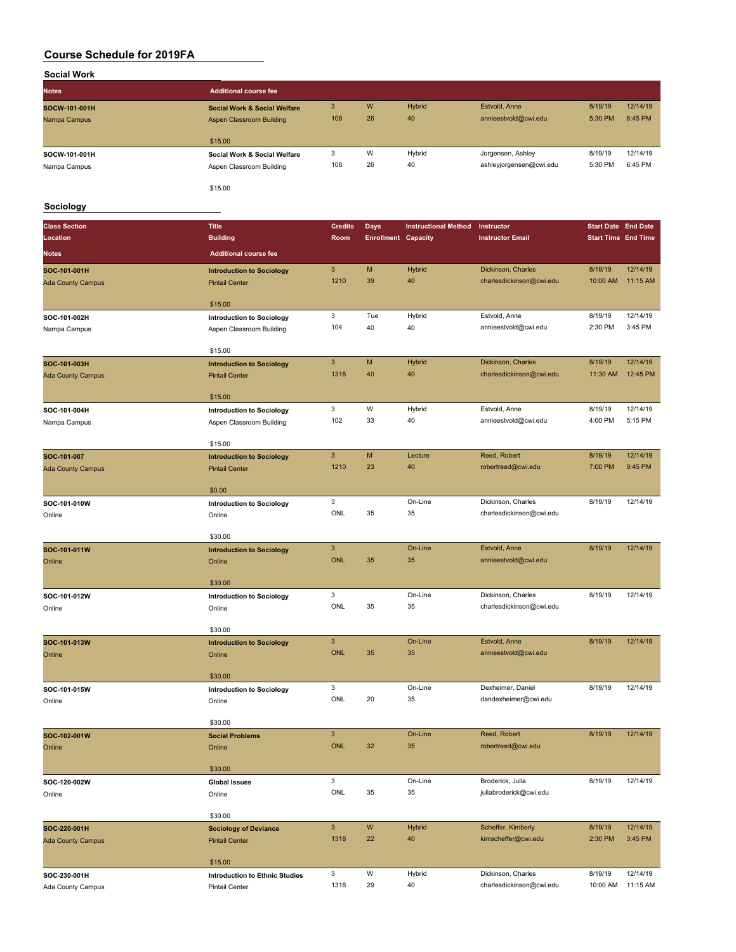| <b>Social Work</b> |                                         |     |    |        |                         |         |          |
|--------------------|-----------------------------------------|-----|----|--------|-------------------------|---------|----------|
| <b>Notes</b>       | <b>Additional course fee</b>            |     |    |        |                         |         |          |
| SOCW-101-001H      | <b>Social Work &amp; Social Welfare</b> | 3   | W  | Hybrid | Estvold, Anne           | 8/19/19 | 12/14/19 |
| Nampa Campus       | Aspen Classroom Building                | 108 | 26 | 40     | annieestvold@cwi.edu    | 5:30 PM | 6:45 PM  |
|                    | \$15.00                                 |     |    |        |                         |         |          |
| SOCW-101-001H      | Social Work & Social Welfare            | 3   | W  | Hybrid | Jorgensen, Ashley       | 8/19/19 | 12/14/19 |
| Nampa Campus       | Aspen Classroom Building                | 108 | 26 | 40     | ashleyjorgensen@cwi.edu | 5:30 PM | 6:45 PM  |
|                    | \$15.00                                 |     |    |        |                         |         |          |

#### **Sociology**

| <b>Class Section</b>                     | <b>Title</b>                                          | <b>Credits</b>            | <b>Days</b>                | <b>Instructional Method</b> | Instructor               | <b>Start Date End Date</b> |          |
|------------------------------------------|-------------------------------------------------------|---------------------------|----------------------------|-----------------------------|--------------------------|----------------------------|----------|
| Location                                 | <b>Building</b>                                       | Room                      | <b>Enrollment Capacity</b> |                             | <b>Instructor Email</b>  | <b>Start Time End Time</b> |          |
| <b>Notes</b>                             | <b>Additional course fee</b>                          |                           |                            |                             |                          |                            |          |
| SOC-101-001H                             | <b>Introduction to Sociology</b>                      | $\sqrt{3}$                | M                          | Hybrid                      | Dickinson, Charles       | 8/19/19                    | 12/14/19 |
| <b>Ada County Campus</b>                 | <b>Pintail Center</b>                                 | 1210                      | 39                         | 40                          | charlesdickinson@cwi.edu | 10:00 AM                   | 11:15 AM |
|                                          |                                                       |                           |                            |                             |                          |                            |          |
|                                          | \$15.00                                               |                           |                            |                             |                          |                            |          |
| SOC-101-002H                             | <b>Introduction to Sociology</b>                      | 3                         | Tue<br>40                  | Hybrid                      | Estvold, Anne            | 8/19/19                    | 12/14/19 |
| Nampa Campus                             | Aspen Classroom Building                              | 104                       |                            | 40                          | annieestvold@cwi.edu     | 2:30 PM                    | 3:45 PM  |
|                                          | \$15.00                                               |                           |                            |                             |                          |                            |          |
| SOC-101-003H                             | <b>Introduction to Sociology</b>                      | $\ensuremath{\mathsf{3}}$ | M                          | Hybrid                      | Dickinson, Charles       | 8/19/19                    | 12/14/19 |
| <b>Ada County Campus</b>                 | <b>Pintail Center</b>                                 | 1318                      | 40                         | 40                          | charlesdickinson@cwi.edu | 11:30 AM                   | 12:45 PM |
|                                          | \$15.00                                               |                           |                            |                             |                          |                            |          |
| SOC-101-004H                             | <b>Introduction to Sociology</b>                      | 3                         | W                          | Hybrid                      | Estvold, Anne            | 8/19/19                    | 12/14/19 |
| Nampa Campus                             | Aspen Classroom Building                              | 102                       | 33                         | 40                          | annieestvold@cwi.edu     | 4:00 PM                    | 5:15 PM  |
|                                          | \$15.00                                               |                           |                            |                             |                          |                            |          |
| SOC-101-007                              | <b>Introduction to Sociology</b>                      | $\mathbf{3}$              | M                          | Lecture                     | Reed, Robert             | 8/19/19                    | 12/14/19 |
| <b>Ada County Campus</b>                 | <b>Pintail Center</b>                                 | 1210                      | 23                         | 40                          | robertreed@cwi.edu       | 7:00 PM                    | 9:45 PM  |
|                                          |                                                       |                           |                            |                             |                          |                            |          |
|                                          | \$0.00                                                |                           |                            |                             |                          |                            |          |
| SOC-101-010W                             | <b>Introduction to Sociology</b>                      | 3                         |                            | On-Line                     | Dickinson, Charles       | 8/19/19                    | 12/14/19 |
| Online                                   | Online                                                | ONL                       | 35                         | 35                          | charlesdickinson@cwi.edu |                            |          |
|                                          | \$30.00                                               |                           |                            |                             |                          |                            |          |
| SOC-101-011W                             | <b>Introduction to Sociology</b>                      | $\ensuremath{\mathsf{3}}$ |                            | On-Line                     | Estvold, Anne            | 8/19/19                    | 12/14/19 |
| Online                                   | Online                                                | <b>ONL</b>                | 35                         | 35                          | annieestvold@cwi.edu     |                            |          |
|                                          | \$30.00                                               |                           |                            |                             |                          |                            |          |
| SOC-101-012W                             | <b>Introduction to Sociology</b>                      | 3                         |                            | On-Line                     | Dickinson, Charles       | 8/19/19                    | 12/14/19 |
| Online                                   | Online                                                | ONL                       | 35                         | 35                          | charlesdickinson@cwi.edu |                            |          |
|                                          |                                                       |                           |                            |                             |                          |                            |          |
|                                          | \$30.00                                               | $\mathbf{3}$              |                            | On-Line                     | Estvold, Anne            | 8/19/19                    | 12/14/19 |
| SOC-101-013W<br>Online                   | <b>Introduction to Sociology</b><br>Online            | <b>ONL</b>                | 35                         | 35                          | annieestvold@cwi.edu     |                            |          |
|                                          |                                                       |                           |                            |                             |                          |                            |          |
|                                          | \$30.00                                               |                           |                            |                             |                          |                            |          |
| SOC-101-015W                             | <b>Introduction to Sociology</b>                      | 3                         |                            | On-Line                     | Dexheimer, Daniel        | 8/19/19                    | 12/14/19 |
| Online                                   | Online                                                | ONL                       | 20                         | 35                          | dandexheimer@cwi.edu     |                            |          |
|                                          | \$30.00                                               |                           |                            |                             |                          |                            |          |
| SOC-102-001W                             | <b>Social Problems</b>                                | 3                         |                            | On-Line                     | Reed, Robert             | 8/19/19                    | 12/14/19 |
| Online                                   | Online                                                | <b>ONL</b>                | 32                         | 35                          | robertreed@cwi.edu       |                            |          |
|                                          | \$30.00                                               |                           |                            |                             |                          |                            |          |
| SOC-120-002W                             | <b>Global Issues</b>                                  | 3                         |                            | On-Line                     | Broderick, Julia         | 8/19/19                    | 12/14/19 |
| Online                                   | Online                                                | ONL                       | 35                         | 35                          | juliabroderick@cwi.edu   |                            |          |
|                                          |                                                       |                           |                            |                             |                          |                            |          |
|                                          | \$30.00                                               | $\ensuremath{\mathsf{3}}$ | W                          | Hybrid                      | Scheffer, Kimberly       | 8/19/19                    | 12/14/19 |
| SOC-220-001H<br><b>Ada County Campus</b> | <b>Sociology of Deviance</b><br><b>Pintail Center</b> | 1318                      | 22                         | 40                          | kimscheffer@cwi.edu      | 2:30 PM                    | 3:45 PM  |
|                                          |                                                       |                           |                            |                             |                          |                            |          |
|                                          | \$15.00                                               |                           |                            |                             |                          |                            |          |
| SOC-230-001H                             | <b>Introduction to Ethnic Studies</b>                 | 3                         | W                          | Hybrid                      | Dickinson, Charles       | 8/19/19                    | 12/14/19 |
| Ada County Campus                        | Pintail Center                                        | 1318                      | 29                         | 40                          | charlesdickinson@cwi.edu | 10:00 AM                   | 11:15 AM |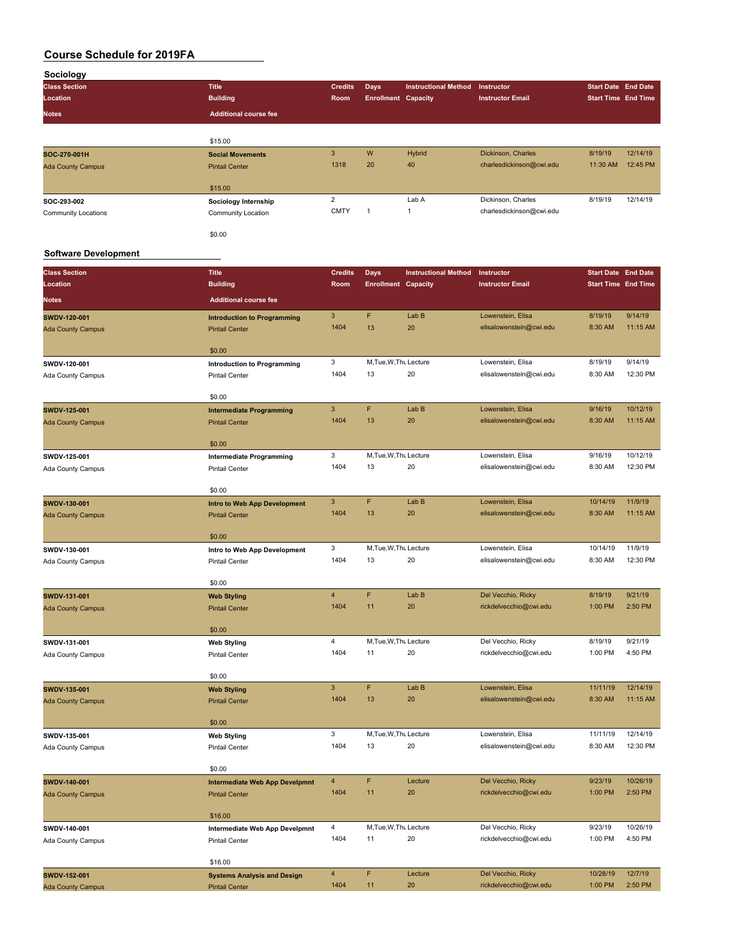| Sociology                                |                                                          |                        |                                    |                             |                                              |                                                          |                      |
|------------------------------------------|----------------------------------------------------------|------------------------|------------------------------------|-----------------------------|----------------------------------------------|----------------------------------------------------------|----------------------|
| <b>Class Section</b>                     | <b>Title</b>                                             | <b>Credits</b>         | Days                               | <b>Instructional Method</b> | Instructor                                   | <b>Start Date End Date</b>                               |                      |
| Location                                 | <b>Building</b>                                          | Room                   | <b>Enrollment Capacity</b>         |                             | <b>Instructor Email</b>                      | <b>Start Time End Time</b>                               |                      |
| <b>Notes</b>                             | <b>Additional course fee</b>                             |                        |                                    |                             |                                              |                                                          |                      |
|                                          |                                                          |                        |                                    |                             |                                              |                                                          |                      |
|                                          | \$15.00                                                  |                        |                                    |                             |                                              |                                                          |                      |
| SOC-270-001H                             | <b>Social Movements</b>                                  | $\mathbf{3}$           | W                                  | Hybrid                      | Dickinson, Charles                           | 8/19/19                                                  | 12/14/19             |
| <b>Ada County Campus</b>                 | <b>Pintail Center</b>                                    | 1318                   | 20                                 | 40                          | charlesdickinson@cwi.edu                     | 11:30 AM                                                 | 12:45 PM             |
|                                          |                                                          |                        |                                    |                             |                                              |                                                          |                      |
| SOC-293-002                              | \$15.00                                                  | $\overline{2}$         |                                    | Lab A                       | Dickinson, Charles                           | 8/19/19                                                  | 12/14/19             |
| <b>Community Locations</b>               | Sociology Internship<br>Community Location               | <b>CMTY</b>            | 1                                  | $\mathbf{1}$                | charlesdickinson@cwi.edu                     |                                                          |                      |
|                                          |                                                          |                        |                                    |                             |                                              |                                                          |                      |
|                                          | \$0.00                                                   |                        |                                    |                             |                                              |                                                          |                      |
| <b>Software Development</b>              |                                                          |                        |                                    |                             |                                              |                                                          |                      |
|                                          |                                                          |                        |                                    |                             |                                              |                                                          |                      |
| <b>Class Section</b><br>Location         | <b>Title</b><br><b>Building</b>                          | <b>Credits</b><br>Room | Days<br><b>Enrollment Capacity</b> | <b>Instructional Method</b> | Instructor<br><b>Instructor Email</b>        | <b>Start Date End Date</b><br><b>Start Time End Time</b> |                      |
|                                          |                                                          |                        |                                    |                             |                                              |                                                          |                      |
| <b>Notes</b>                             | <b>Additional course fee</b>                             |                        |                                    |                             |                                              |                                                          |                      |
| SWDV-120-001                             | <b>Introduction to Programming</b>                       | 3                      | F                                  | Lab B                       | Lowenstein, Elisa                            | 8/19/19                                                  | 9/14/19              |
| <b>Ada County Campus</b>                 | <b>Pintail Center</b>                                    | 1404                   | 13                                 | 20                          | elisalowenstein@cwi.edu                      | 8:30 AM                                                  | 11:15 AM             |
|                                          | \$0.00                                                   |                        |                                    |                             |                                              |                                                          |                      |
| SWDV-120-001                             | <b>Introduction to Programming</b>                       | 3                      | M, Tue, W, Thu Lecture             |                             | Lowenstein, Elisa                            | 8/19/19                                                  | 9/14/19              |
| Ada County Campus                        | <b>Pintail Center</b>                                    | 1404                   | 13                                 | 20                          | elisalowenstein@cwi.edu                      | 8:30 AM                                                  | 12:30 PM             |
|                                          |                                                          |                        |                                    |                             |                                              |                                                          |                      |
|                                          | \$0.00                                                   | $\mathbf{3}$           | F                                  | Lab B                       | Lowenstein, Elisa                            | 9/16/19                                                  | 10/12/19             |
| SWDV-125-001<br><b>Ada County Campus</b> | <b>Intermediate Programming</b><br><b>Pintail Center</b> | 1404                   | 13                                 | 20                          | elisalowenstein@cwi.edu                      | 8:30 AM                                                  | 11:15 AM             |
|                                          |                                                          |                        |                                    |                             |                                              |                                                          |                      |
|                                          | \$0.00                                                   |                        |                                    |                             |                                              |                                                          |                      |
| SWDV-125-001                             | <b>Intermediate Programming</b>                          | 3                      | M, Tue, W, Thu Lecture             |                             | Lowenstein, Elisa                            | 9/16/19                                                  | 10/12/19             |
| Ada County Campus                        | <b>Pintail Center</b>                                    | 1404                   | 13                                 | 20                          | elisalowenstein@cwi.edu                      | 8:30 AM                                                  | 12:30 PM             |
|                                          | \$0.00                                                   |                        |                                    |                             |                                              |                                                          |                      |
| SWDV-130-001                             | Intro to Web App Development                             | 3                      | F                                  | Lab B                       | Lowenstein, Elisa                            | 10/14/19                                                 | 11/9/19              |
| <b>Ada County Campus</b>                 | <b>Pintail Center</b>                                    | 1404                   | 13                                 | 20                          | elisalowenstein@cwi.edu                      | 8:30 AM                                                  | 11:15 AM             |
|                                          |                                                          |                        |                                    |                             |                                              |                                                          |                      |
|                                          | \$0.00                                                   | 3                      | M, Tue, W, Thu Lecture             |                             | Lowenstein, Elisa                            | 10/14/19                                                 | 11/9/19              |
| SWDV-130-001<br>Ada County Campus        | Intro to Web App Development<br><b>Pintail Center</b>    | 1404                   | 13                                 | 20                          | elisalowenstein@cwi.edu                      | 8:30 AM                                                  | 12:30 PM             |
|                                          |                                                          |                        |                                    |                             |                                              |                                                          |                      |
|                                          | \$0.00                                                   |                        |                                    |                             |                                              |                                                          |                      |
| SWDV-131-001                             | <b>Web Styling</b>                                       | 4                      | F                                  | Lab B                       | Del Vecchio, Ricky                           | 8/19/19                                                  | 9/21/19              |
| <b>Ada County Campus</b>                 | <b>Pintail Center</b>                                    | 1404                   | 11                                 | 20                          | rickdelvecchio@cwi.edu                       | 1:00 PM                                                  | 2:50 PM              |
|                                          | \$0.00                                                   |                        |                                    |                             |                                              |                                                          |                      |
| SWDV-131-001                             | <b>Web Styling</b>                                       | 4                      | M, Tue, W, Thu Lecture             |                             | Del Vecchio, Ricky                           | 8/19/19                                                  | 9/21/19              |
| Ada County Campus                        | <b>Pintail Center</b>                                    | 1404                   | 11                                 | 20                          | rickdelvecchio@cwi.edu                       | 1:00 PM                                                  | 4:50 PM              |
|                                          |                                                          |                        |                                    |                             |                                              |                                                          |                      |
|                                          | \$0.00                                                   |                        |                                    |                             |                                              |                                                          |                      |
| SWDV-135-001                             | <b>Web Styling</b>                                       | $\mathbf{3}$<br>1404   | F<br>13                            | Lab B<br>20                 | Lowenstein, Elisa<br>elisalowenstein@cwi.edu | 11/11/19<br>8:30 AM                                      | 12/14/19<br>11:15 AM |
| <b>Ada County Campus</b>                 | <b>Pintail Center</b>                                    |                        |                                    |                             |                                              |                                                          |                      |
|                                          | \$0.00                                                   |                        |                                    |                             |                                              |                                                          |                      |
| SWDV-135-001                             | <b>Web Styling</b>                                       | 3                      | M, Tue, W, Thu Lecture             |                             | Lowenstein, Elisa                            | 11/11/19                                                 | 12/14/19             |
| Ada County Campus                        | <b>Pintail Center</b>                                    | 1404                   | 13                                 | 20                          | elisalowenstein@cwi.edu                      | 8:30 AM                                                  | 12:30 PM             |
|                                          | \$0.00                                                   |                        |                                    |                             |                                              |                                                          |                      |
|                                          |                                                          |                        |                                    |                             |                                              |                                                          |                      |

| <b>SWDV-140-001</b>      | Intermediate Web App Develpmnt     | $\overline{4}$ | F                      | Lecture | Del Vecchio, Ricky     | 9/23/19  | 10/26/19 |
|--------------------------|------------------------------------|----------------|------------------------|---------|------------------------|----------|----------|
| <b>Ada County Campus</b> | <b>Pintail Center</b>              | 1404           | 11                     | 20      | rickdelvecchio@cwi.edu | 1:00 PM  | 2:50 PM  |
|                          |                                    |                |                        |         |                        |          |          |
|                          | \$16,00                            |                |                        |         |                        |          |          |
| SWDV-140-001             | Intermediate Web App Develpmnt     | 4              | M, Tue, W, Thu Lecture |         | Del Vecchio, Ricky     | 9/23/19  | 10/26/19 |
| Ada County Campus        | <b>Pintail Center</b>              | 1404           | 11                     | 20      | rickdelvecchio@cwi.edu | 1:00 PM  | 4:50 PM  |
|                          |                                    |                |                        |         |                        |          |          |
|                          | \$16.00                            |                |                        |         |                        |          |          |
| <b>SWDV-152-001</b>      | <b>Systems Analysis and Design</b> | $\overline{4}$ | F                      | Lecture | Del Vecchio, Ricky     | 10/28/19 | 12/7/19  |
| <b>Ada County Campus</b> | <b>Pintail Center</b>              | 1404           | 11                     | 20      | rickdelvecchio@cwi.edu | 1:00 PM  | 2:50 PM  |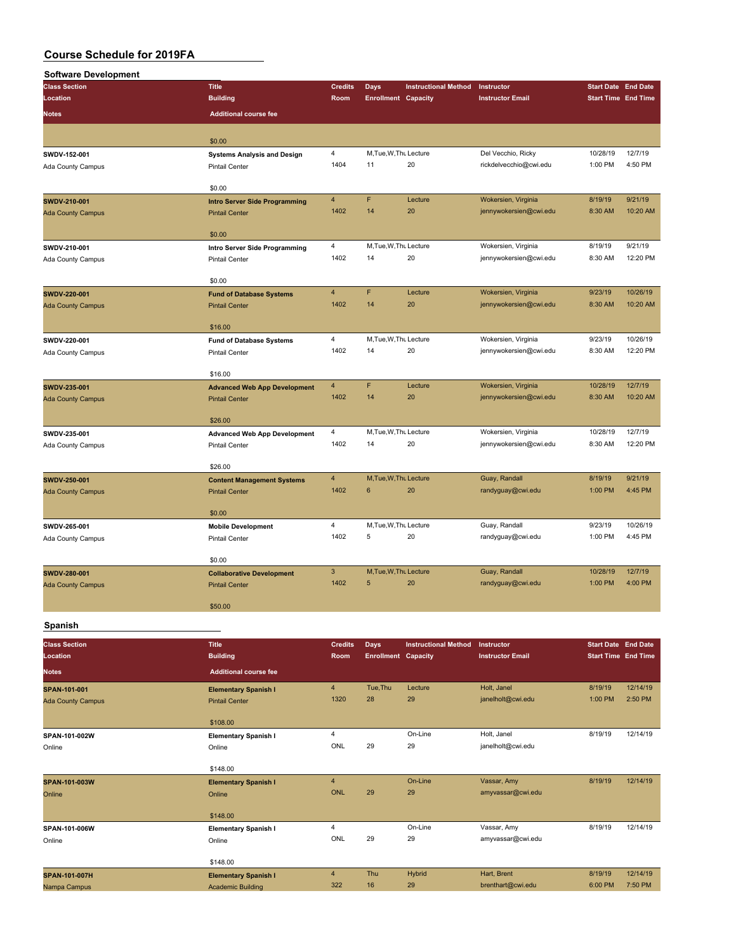| <b>Software Development</b> |                                                              |                         |                                           |                             |                                       |                                                          |                     |
|-----------------------------|--------------------------------------------------------------|-------------------------|-------------------------------------------|-----------------------------|---------------------------------------|----------------------------------------------------------|---------------------|
| <b>Class Section</b>        | <b>Title</b>                                                 | <b>Credits</b>          | Days                                      | <b>Instructional Method</b> | Instructor                            | <b>Start Date End Date</b>                               |                     |
| Location                    | <b>Building</b>                                              | Room                    | <b>Enrollment Capacity</b>                |                             | <b>Instructor Email</b>               | <b>Start Time End Time</b>                               |                     |
| <b>Notes</b>                | <b>Additional course fee</b>                                 |                         |                                           |                             |                                       |                                                          |                     |
|                             |                                                              |                         |                                           |                             |                                       |                                                          |                     |
|                             | \$0.00                                                       |                         |                                           |                             |                                       |                                                          |                     |
| SWDV-152-001                | <b>Systems Analysis and Design</b>                           | 4                       | M, Tue, W, Thu Lecture                    |                             | Del Vecchio, Ricky                    | 10/28/19                                                 | 12/7/19             |
| Ada County Campus           | Pintail Center                                               | 1404                    | 11                                        | 20                          | rickdelvecchio@cwi.edu                | 1:00 PM                                                  | 4:50 PM             |
|                             |                                                              |                         |                                           |                             |                                       |                                                          |                     |
|                             | \$0.00                                                       |                         |                                           |                             |                                       |                                                          |                     |
| SWDV-210-001                | <b>Intro Server Side Programming</b>                         | $\overline{4}$<br>1402  | $\mathbf{F}$<br>14                        | Lecture<br>20               | Wokersien, Virginia                   | 8/19/19                                                  | 9/21/19<br>10:20 AM |
| <b>Ada County Campus</b>    | <b>Pintail Center</b>                                        |                         |                                           |                             | jennywokersien@cwi.edu                | 8:30 AM                                                  |                     |
|                             | \$0.00                                                       |                         |                                           |                             |                                       |                                                          |                     |
| SWDV-210-001                | Intro Server Side Programming                                | 4                       | M, Tue, W, Thu Lecture                    |                             | Wokersien, Virginia                   | 8/19/19                                                  | 9/21/19             |
| Ada County Campus           | <b>Pintail Center</b>                                        | 1402                    | 14                                        | 20                          | jennywokersien@cwi.edu                | 8:30 AM                                                  | 12:20 PM            |
|                             |                                                              |                         |                                           |                             |                                       |                                                          |                     |
|                             | \$0.00                                                       |                         |                                           |                             |                                       |                                                          |                     |
| SWDV-220-001                | <b>Fund of Database Systems</b>                              | $\overline{\mathbf{4}}$ | F                                         | Lecture                     | Wokersien, Virginia                   | 9/23/19                                                  | 10/26/19            |
| <b>Ada County Campus</b>    | <b>Pintail Center</b>                                        | 1402                    | 14                                        | 20                          | jennywokersien@cwi.edu                | 8:30 AM                                                  | 10:20 AM            |
|                             | \$16.00                                                      |                         |                                           |                             |                                       |                                                          |                     |
| SWDV-220-001                | <b>Fund of Database Systems</b>                              | $\overline{4}$          | M, Tue, W, Thu Lecture                    |                             | Wokersien, Virginia                   | 9/23/19                                                  | 10/26/19            |
| Ada County Campus           | <b>Pintail Center</b>                                        | 1402                    | 14                                        | 20                          | jennywokersien@cwi.edu                | 8:30 AM                                                  | 12:20 PM            |
|                             |                                                              |                         |                                           |                             |                                       |                                                          |                     |
|                             | \$16.00                                                      |                         |                                           |                             |                                       |                                                          |                     |
| SWDV-235-001                | <b>Advanced Web App Development</b>                          | 4                       | F                                         | Lecture                     | Wokersien, Virginia                   | 10/28/19                                                 | 12/7/19             |
| <b>Ada County Campus</b>    | <b>Pintail Center</b>                                        | 1402                    | 14                                        | 20                          | jennywokersien@cwi.edu                | 8:30 AM                                                  | 10:20 AM            |
|                             | \$26.00                                                      |                         |                                           |                             |                                       |                                                          |                     |
| SWDV-235-001                |                                                              | 4                       | M, Tue, W, Thu Lecture                    |                             | Wokersien, Virginia                   | 10/28/19                                                 | 12/7/19             |
| Ada County Campus           | <b>Advanced Web App Development</b><br><b>Pintail Center</b> | 1402                    | 14                                        | 20                          | jennywokersien@cwi.edu                | 8:30 AM                                                  | 12:20 PM            |
|                             |                                                              |                         |                                           |                             |                                       |                                                          |                     |
|                             | \$26.00                                                      |                         |                                           |                             |                                       |                                                          |                     |
| SWDV-250-001                | <b>Content Management Systems</b>                            | 4                       | M, Tue, W, Thu Lecture                    |                             | Guay, Randall                         | 8/19/19                                                  | 9/21/19             |
| <b>Ada County Campus</b>    | <b>Pintail Center</b>                                        | 1402                    | $6\phantom{1}$                            | 20                          | randyguay@cwi.edu                     | 1:00 PM                                                  | 4:45 PM             |
|                             |                                                              |                         |                                           |                             |                                       |                                                          |                     |
|                             | \$0.00                                                       | 4                       | M, Tue, W, Thu Lecture                    |                             | Guay, Randall                         | 9/23/19                                                  | 10/26/19            |
| SWDV-265-001                | <b>Mobile Development</b><br><b>Pintail Center</b>           | 1402                    | 5                                         | 20                          | randyguay@cwi.edu                     | 1:00 PM                                                  | 4:45 PM             |
| Ada County Campus           |                                                              |                         |                                           |                             |                                       |                                                          |                     |
|                             | \$0.00                                                       |                         |                                           |                             |                                       |                                                          |                     |
| SWDV-280-001                | <b>Collaborative Development</b>                             | 3                       | M, Tue, W, Thu Lecture                    |                             | Guay, Randall                         | 10/28/19                                                 | 12/7/19             |
| <b>Ada County Campus</b>    | <b>Pintail Center</b>                                        | 1402                    | 5                                         | 20                          | randyguay@cwi.edu                     | 1:00 PM                                                  | 4:00 PM             |
|                             |                                                              |                         |                                           |                             |                                       |                                                          |                     |
|                             | \$50.00                                                      |                         |                                           |                             |                                       |                                                          |                     |
| Spanish                     |                                                              |                         |                                           |                             |                                       |                                                          |                     |
| <b>Class Section</b>        |                                                              |                         |                                           | <b>Instructional Method</b> |                                       |                                                          |                     |
| Location                    | <b>Title</b><br><b>Building</b>                              | <b>Credits</b><br>Room  | <b>Days</b><br><b>Enrollment Capacity</b> |                             | Instructor<br><b>Instructor Email</b> | <b>Start Date End Date</b><br><b>Start Time End Time</b> |                     |
|                             |                                                              |                         |                                           |                             |                                       |                                                          |                     |
| <b>Notes</b>                | <b>Additional course fee</b>                                 |                         |                                           |                             |                                       |                                                          |                     |
| SPAN-101-001                | <b>Elementary Spanish I</b>                                  | 4                       | Tue, Thu                                  | Lecture                     | Holt, Janel                           | 8/19/19                                                  | 12/14/19            |
| <b>Ada County Campus</b>    | <b>Pintail Center</b>                                        | 1320                    | 28                                        | 29                          | janelholt@cwi.edu                     | 1:00 PM                                                  | 2:50 PM             |
|                             | \$108.00                                                     |                         |                                           |                             |                                       |                                                          |                     |
| SPAN-101-002W               | <b>Elementary Spanish I</b>                                  | $\overline{4}$          |                                           | On-Line                     | Holt, Janel                           | 8/19/19                                                  | 12/14/19            |
| Online                      | Online                                                       | ONL                     | 29                                        | 29                          | janelholt@cwi.edu                     |                                                          |                     |
|                             |                                                              |                         |                                           |                             |                                       |                                                          |                     |
|                             | \$148.00                                                     |                         |                                           |                             |                                       |                                                          |                     |
| SPAN-101-003W               | <b>Elementary Spanish I</b>                                  | $\overline{4}$          |                                           | On-Line                     | Vassar, Amy                           | 8/19/19                                                  | 12/14/19            |
| Online                      | Online                                                       | <b>ONL</b>              | 29                                        | 29                          | amyvassar@cwi.edu                     |                                                          |                     |
|                             |                                                              |                         |                                           |                             |                                       |                                                          |                     |
|                             | \$148.00                                                     | 4                       |                                           | On-Line                     | Vassar, Amy                           | 8/19/19                                                  | 12/14/19            |
| SPAN-101-006W<br>Online     | <b>Elementary Spanish I</b><br>Online                        | ONL                     | 29                                        | 29                          | amyvassar@cwi.edu                     |                                                          |                     |
|                             |                                                              |                         |                                           |                             |                                       |                                                          |                     |
|                             | \$148.00                                                     |                         |                                           |                             |                                       |                                                          |                     |
| SPAN-101-007H               | <b>Elementary Spanish I</b>                                  | $\overline{4}$          | Thu                                       | <b>Hybrid</b>               | Hart, Brent                           | 8/19/19                                                  | 12/14/19            |
| Nampa Campus                | <b>Academic Building</b>                                     | 322                     | 16                                        | 29                          | brenthart@cwi.edu                     | 6:00 PM                                                  | 7:50 PM             |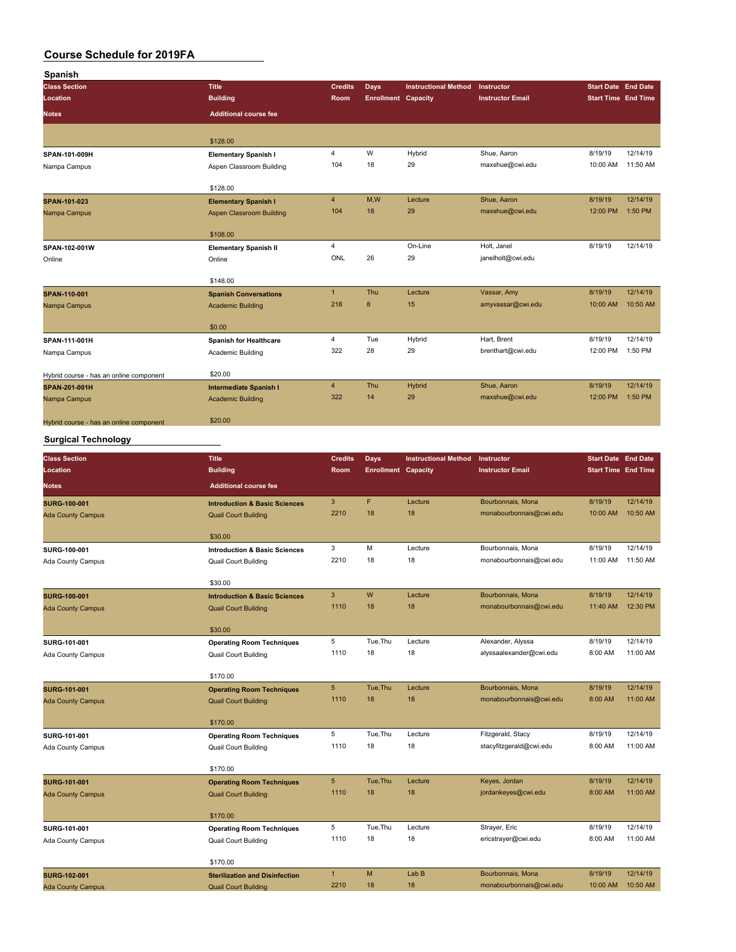| Spanish                                 |                                 |                |                            |                             |                         |                            |          |
|-----------------------------------------|---------------------------------|----------------|----------------------------|-----------------------------|-------------------------|----------------------------|----------|
| <b>Class Section</b>                    | <b>Title</b>                    | <b>Credits</b> | Days                       | <b>Instructional Method</b> | Instructor              | <b>Start Date End Date</b> |          |
| Location                                | <b>Building</b>                 | Room           | <b>Enrollment Capacity</b> |                             | <b>Instructor Email</b> | <b>Start Time End Time</b> |          |
| <b>Notes</b>                            | <b>Additional course fee</b>    |                |                            |                             |                         |                            |          |
|                                         | \$128.00                        |                |                            |                             |                         |                            |          |
| SPAN-101-009H                           | <b>Elementary Spanish I</b>     | $\overline{4}$ | W                          | Hybrid                      | Shue, Aaron             | 8/19/19                    | 12/14/19 |
| Nampa Campus                            | Aspen Classroom Building        | 104            | 18                         | 29                          | maxshue@cwi.edu         | 10:00 AM                   | 11:50 AM |
|                                         | \$128.00                        |                |                            |                             |                         |                            |          |
| <b>SPAN-101-023</b>                     | <b>Elementary Spanish I</b>     | $\overline{4}$ | M,W                        | Lecture                     | Shue, Aaron             | 8/19/19                    | 12/14/19 |
| Nampa Campus                            | <b>Aspen Classroom Building</b> | 104            | 18                         | 29                          | maxshue@cwi.edu         | 12:00 PM                   | 1:50 PM  |
|                                         | \$108.00                        |                |                            |                             |                         |                            |          |
| SPAN-102-001W                           | <b>Elementary Spanish II</b>    | $\overline{4}$ |                            | On-Line                     | Holt, Janel             | 8/19/19                    | 12/14/19 |
| Online                                  | Online                          | ONL            | 26                         | 29                          | janelholt@cwi.edu       |                            |          |
|                                         | \$148.00                        |                |                            |                             |                         |                            |          |
| SPAN-110-001                            | <b>Spanish Conversations</b>    | $\overline{1}$ | Thu                        | Lecture                     | Vassar, Amy             | 8/19/19                    | 12/14/19 |
| Nampa Campus                            | <b>Academic Building</b>        | 218            | 8                          | 15                          | amyvassar@cwi.edu       | 10:00 AM                   | 10:50 AM |
|                                         | \$0.00                          |                |                            |                             |                         |                            |          |
| SPAN-111-001H                           | <b>Spanish for Healthcare</b>   | $\overline{4}$ | Tue                        | Hybrid                      | Hart, Brent             | 8/19/19                    | 12/14/19 |
| Nampa Campus                            | Academic Building               | 322            | 28                         | 29                          | brenthart@cwi.edu       | 12:00 PM                   | 1:50 PM  |
| Hybrid course - has an online component | \$20.00                         |                |                            |                             |                         |                            |          |
| SPAN-201-001H                           | <b>Intermediate Spanish I</b>   | $\overline{4}$ | Thu                        | Hybrid                      | Shue, Aaron             | 8/19/19                    | 12/14/19 |
| Nampa Campus                            | <b>Academic Building</b>        | 322            | 14                         | 29                          | maxshue@cwi.edu         | 12:00 PM                   | 1:50 PM  |
| Hybrid course - has an online component | \$20.00                         |                |                            |                             |                         |                            |          |

#### **Surgical Technology**

| <b>Class Section</b><br>Location | <b>Title</b><br><b>Building</b>          | <b>Credits</b><br>Room | <b>Days</b><br><b>Enrollment Capacity</b> | <b>Instructional Method</b> | Instructor<br><b>Instructor Email</b> | <b>Start Date End Date</b><br><b>Start Time End Time</b> |          |
|----------------------------------|------------------------------------------|------------------------|-------------------------------------------|-----------------------------|---------------------------------------|----------------------------------------------------------|----------|
| <b>Notes</b>                     | <b>Additional course fee</b>             |                        |                                           |                             |                                       |                                                          |          |
| <b>SURG-100-001</b>              | <b>Introduction &amp; Basic Sciences</b> | 3                      | F.                                        | Lecture                     | Bourbonnais, Mona                     | 8/19/19                                                  | 12/14/19 |
| <b>Ada County Campus</b>         | <b>Quail Court Building</b>              | 2210                   | 18                                        | 18                          | monabourbonnais@cwi.edu               | 10:00 AM                                                 | 10:50 AM |
|                                  | \$30.00                                  |                        |                                           |                             |                                       |                                                          |          |
| SURG-100-001                     | <b>Introduction &amp; Basic Sciences</b> | 3                      | M                                         | Lecture                     | Bourbonnais, Mona                     | 8/19/19                                                  | 12/14/19 |
| Ada County Campus                | <b>Quail Court Building</b>              | 2210                   | 18                                        | 18                          | monabourbonnais@cwi.edu               | 11:00 AM                                                 | 11:50 AM |
|                                  | \$30.00                                  |                        |                                           |                             |                                       |                                                          |          |
| <b>SURG-100-001</b>              | <b>Introduction &amp; Basic Sciences</b> | $\mathbf{3}$           | W                                         | Lecture                     | Bourbonnais, Mona                     | 8/19/19                                                  | 12/14/19 |
| <b>Ada County Campus</b>         | <b>Quail Court Building</b>              | 1110                   | 18                                        | 18                          | monabourbonnais@cwi.edu               | 11:40 AM                                                 | 12:30 PM |
|                                  | \$30.00                                  |                        |                                           |                             |                                       |                                                          |          |
| SURG-101-001                     | <b>Operating Room Techniques</b>         | 5                      | Tue, Thu                                  | Lecture                     | Alexander, Alyssa                     | 8/19/19                                                  | 12/14/19 |
| Ada County Campus                | <b>Quail Court Building</b>              | 1110                   | 18                                        | 18                          | alyssaalexander@cwi.edu               | 8:00 AM                                                  | 11:00 AM |
|                                  | \$170.00                                 |                        |                                           |                             |                                       |                                                          |          |
| <b>SURG-101-001</b>              | <b>Operating Room Techniques</b>         | 5                      | Tue.Thu                                   | Lecture                     | Bourbonnais, Mona                     | 8/19/19                                                  | 12/14/19 |
| <b>Ada County Campus</b>         | <b>Quail Court Building</b>              | 1110                   | 18                                        | 18                          | monabourbonnais@cwi.edu               | 8:00 AM                                                  | 11:00 AM |
|                                  | \$170.00                                 |                        |                                           |                             |                                       |                                                          |          |
| SURG-101-001                     | <b>Operating Room Techniques</b>         | 5                      | Tue, Thu                                  | Lecture                     | Fitzgerald, Stacy                     | 8/19/19                                                  | 12/14/19 |
| Ada County Campus                | <b>Quail Court Building</b>              | 1110                   | 18                                        | 18                          | stacyfitzgerald@cwi.edu               | 8:00 AM                                                  | 11:00 AM |
|                                  | \$170.00                                 |                        |                                           |                             |                                       |                                                          |          |
| <b>SURG-101-001</b>              | <b>Operating Room Techniques</b>         | 5                      | Tue, Thu                                  | Lecture                     | Keyes, Jordan                         | 8/19/19                                                  | 12/14/19 |
| <b>Ada County Campus</b>         | <b>Quail Court Building</b>              | 1110                   | 18                                        | 18                          | jordankeyes@cwi.edu                   | 8:00 AM                                                  | 11:00 AM |
|                                  | \$170.00                                 |                        |                                           |                             |                                       |                                                          |          |
| SURG-101-001                     | <b>Operating Room Techniques</b>         | 5                      | Tue, Thu                                  | Lecture                     | Strayer, Eric                         | 8/19/19                                                  | 12/14/19 |
| <b>Ada County Campus</b>         | <b>Quail Court Building</b>              | 1110                   | 18                                        | 18                          | ericstrayer@cwi.edu                   | 8:00 AM                                                  | 11:00 AM |
|                                  | \$170.00                                 |                        |                                           |                             |                                       |                                                          |          |
| <b>SURG-102-001</b>              | <b>Sterilization and Disinfection</b>    | $\mathbf{1}$           | M                                         | Lab <sub>B</sub>            | Bourbonnais, Mona                     | 8/19/19                                                  | 12/14/19 |
| <b>Ada County Campus</b>         | <b>Quail Court Building</b>              | 2210                   | 18                                        | 18                          | monabourbonnais@cwi.edu               | 10:00 AM                                                 | 10:50 AM |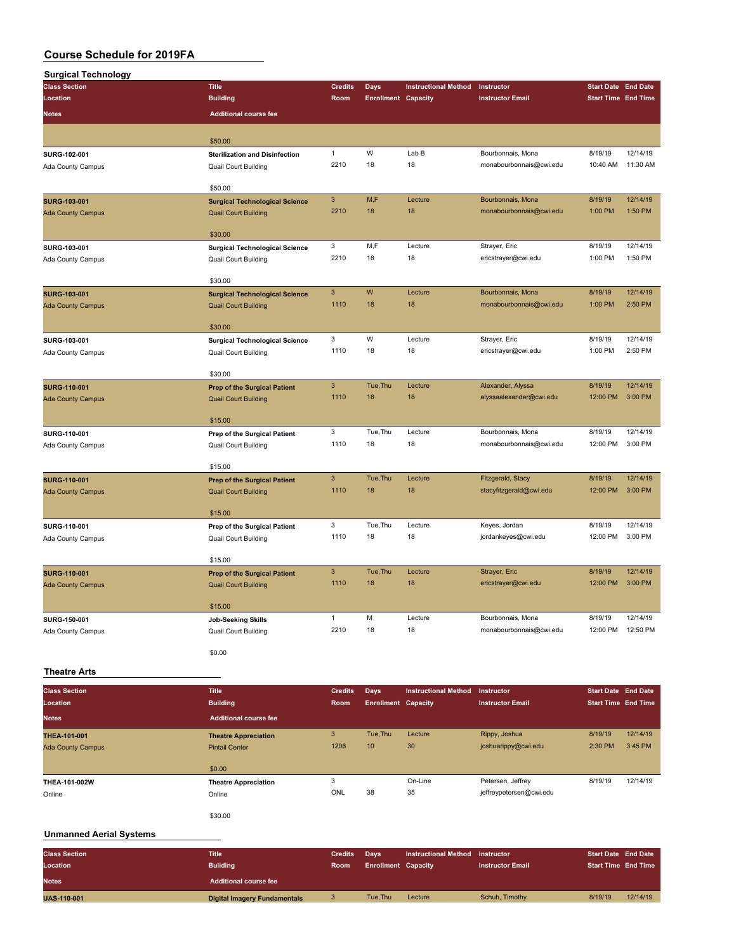| <b>Surgical Technology</b> |                                       |                |                            |                             |                         |                            |          |
|----------------------------|---------------------------------------|----------------|----------------------------|-----------------------------|-------------------------|----------------------------|----------|
| <b>Class Section</b>       | <b>Title</b>                          | <b>Credits</b> | Days                       | <b>Instructional Method</b> | Instructor              | <b>Start Date End Date</b> |          |
| Location                   | <b>Building</b>                       | Room           | <b>Enrollment Capacity</b> |                             | <b>Instructor Email</b> | <b>Start Time End Time</b> |          |
| <b>Notes</b>               | <b>Additional course fee</b>          |                |                            |                             |                         |                            |          |
|                            |                                       |                |                            |                             |                         |                            |          |
|                            | \$50.00                               |                |                            |                             |                         |                            |          |
| SURG-102-001               | <b>Sterilization and Disinfection</b> | $\mathbf{1}$   | W                          | Lab B                       | Bourbonnais, Mona       | 8/19/19                    | 12/14/19 |
| Ada County Campus          | <b>Quail Court Building</b>           | 2210           | 18                         | 18                          | monabourbonnais@cwi.edu | 10:40 AM                   | 11:30 AM |
|                            | \$50.00                               |                |                            |                             |                         |                            |          |
| <b>SURG-103-001</b>        | <b>Surgical Technological Science</b> | 3              | M,F                        | Lecture                     | Bourbonnais, Mona       | 8/19/19                    | 12/14/19 |
| <b>Ada County Campus</b>   | <b>Quail Court Building</b>           | 2210           | 18                         | 18                          | monabourbonnais@cwi.edu | 1:00 PM                    | 1:50 PM  |
|                            |                                       |                |                            |                             |                         |                            |          |
|                            | \$30.00                               |                |                            |                             |                         |                            |          |
| SURG-103-001               | <b>Surgical Technological Science</b> | 3              | M,F                        | Lecture                     | Strayer, Eric           | 8/19/19                    | 12/14/19 |
| Ada County Campus          | Quail Court Building                  | 2210           | 18                         | 18                          | ericstrayer@cwi.edu     | 1:00 PM                    | 1:50 PM  |
|                            |                                       |                |                            |                             |                         |                            |          |
|                            | \$30.00                               |                |                            |                             |                         |                            |          |
| SURG-103-001               | <b>Surgical Technological Science</b> | $\mathbf{3}$   | W                          | Lecture                     | Bourbonnais, Mona       | 8/19/19                    | 12/14/19 |
| <b>Ada County Campus</b>   | <b>Quail Court Building</b>           | 1110           | 18                         | 18                          | monabourbonnais@cwi.edu | 1:00 PM                    | 2:50 PM  |
|                            | \$30.00                               |                |                            |                             |                         |                            |          |
|                            |                                       | 3              | W                          | Lecture                     | Strayer, Eric           | 8/19/19                    | 12/14/19 |
| SURG-103-001               | <b>Surgical Technological Science</b> | 1110           | 18                         | 18                          | ericstrayer@cwi.edu     | 1:00 PM                    | 2:50 PM  |
| Ada County Campus          | <b>Quail Court Building</b>           |                |                            |                             |                         |                            |          |
|                            | \$30.00                               |                |                            |                             |                         |                            |          |
| SURG-110-001               | <b>Prep of the Surgical Patient</b>   | 3              | Tue, Thu                   | Lecture                     | Alexander, Alyssa       | 8/19/19                    | 12/14/19 |
| <b>Ada County Campus</b>   | <b>Quail Court Building</b>           | 1110           | 18                         | 18                          | alyssaalexander@cwi.edu | 12:00 PM                   | 3:00 PM  |
|                            |                                       |                |                            |                             |                         |                            |          |
|                            | \$15.00                               |                |                            |                             |                         |                            |          |
| SURG-110-001               | Prep of the Surgical Patient          | 3              | Tue, Thu                   | Lecture                     | Bourbonnais, Mona       | 8/19/19                    | 12/14/19 |
| Ada County Campus          | Quail Court Building                  | 1110           | 18                         | 18                          | monabourbonnais@cwi.edu | 12:00 PM                   | 3:00 PM  |
|                            |                                       |                |                            |                             |                         |                            |          |
|                            | \$15.00                               | 3              | Tue, Thu                   | Lecture                     | Fitzgerald, Stacy       | 8/19/19                    | 12/14/19 |
| SURG-110-001               | <b>Prep of the Surgical Patient</b>   | 1110           | 18                         | 18                          | stacyfitzgerald@cwi.edu | 12:00 PM                   | 3:00 PM  |
| <b>Ada County Campus</b>   | <b>Quail Court Building</b>           |                |                            |                             |                         |                            |          |
|                            | \$15.00                               |                |                            |                             |                         |                            |          |
| SURG-110-001               | Prep of the Surgical Patient          | 3              | Tue, Thu                   | Lecture                     | Keyes, Jordan           | 8/19/19                    | 12/14/19 |
| Ada County Campus          | <b>Quail Court Building</b>           | 1110           | 18                         | 18                          | jordankeyes@cwi.edu     | 12:00 PM                   | 3:00 PM  |
|                            |                                       |                |                            |                             |                         |                            |          |
|                            | \$15.00                               |                |                            |                             |                         |                            |          |
| SURG-110-001               | <b>Prep of the Surgical Patient</b>   | 3              | Tue, Thu                   | Lecture                     | Strayer, Eric           | 8/19/19                    | 12/14/19 |
| <b>Ada County Campus</b>   | <b>Quail Court Building</b>           | 1110           | 18                         | 18                          | ericstrayer@cwi.edu     | 12:00 PM                   | 3:00 PM  |
|                            |                                       |                |                            |                             |                         |                            |          |
|                            | \$15.00                               |                |                            |                             |                         |                            |          |
| SURG-150-001               | <b>Job-Seeking Skills</b>             | $\mathbf{1}$   | М                          | Lecture                     | Bourbonnais, Mona       | 8/19/19                    | 12/14/19 |
| Ada County Campus          | Quail Court Building                  | 2210           | 18                         | 18                          | monabourbonnais@cwi.edu | 12:00 PM                   | 12:50 PM |
|                            | \$0.00                                |                |                            |                             |                         |                            |          |
|                            |                                       |                |                            |                             |                         |                            |          |
| <b>Theatre Arts</b>        |                                       |                |                            |                             |                         |                            |          |
| <b>Class Section</b>       | <b>Title</b>                          | <b>Credits</b> | <b>Days</b>                | <b>Instructional Method</b> | Instructor              | <b>Start Date End Date</b> |          |
| Location                   | <b>Building</b>                       | Room           | <b>Enrollment Capacity</b> |                             | <b>Instructor Email</b> | <b>Start Time End Time</b> |          |
|                            |                                       |                |                            |                             |                         |                            |          |
| <b>Notes</b>               | <b>Additional course fee</b>          |                |                            |                             |                         |                            |          |
| THEA-101-001               | <b>Theatre Appreciation</b>           | 3              | Tue, Thu                   | Lecture                     | Rippy, Joshua           | 8/19/19                    | 12/14/19 |
| <b>Ada County Campus</b>   | <b>Pintail Center</b>                 | 1208           | 10                         | 30 <sub>o</sub>             | joshuarippy@cwi.edu     | 2:30 PM                    | 3:45 PM  |

| ___           |                             |     |    |         |                         |         |          |
|---------------|-----------------------------|-----|----|---------|-------------------------|---------|----------|
|               | \$0.00                      |     |    |         |                         |         |          |
| THEA-101-002W | <b>Theatre Appreciation</b> |     |    | On-Line | Petersen, Jeffrey       | 8/19/19 | 12/14/19 |
| Online        | Online                      | ONL | 38 | 35      | jeffreypetersen@cwi.edu |         |          |
|               |                             |     |    |         |                         |         |          |

\$30.00

## **Unmanned Aerial Systems**

| <b>Class Section</b> | <b>Title</b>                        | <b>Credits</b> | <b>Davs</b>                | Instructional Method Instructor |                         | <b>Start Date End Date</b> |          |
|----------------------|-------------------------------------|----------------|----------------------------|---------------------------------|-------------------------|----------------------------|----------|
| Location             | <b>Building</b>                     | Room           | <b>Enrollment Capacity</b> |                                 | <b>Instructor Email</b> | <b>Start Time End Time</b> |          |
| <b>Notes</b>         | <b>Additional course fee</b>        |                |                            |                                 |                         |                            |          |
| <b>UAS-110-001</b>   | <b>Digital Imagery Fundamentals</b> |                | Tue.Thu                    | Lecture                         | Schuh, Timothy          | 8/19/19                    | 12/14/19 |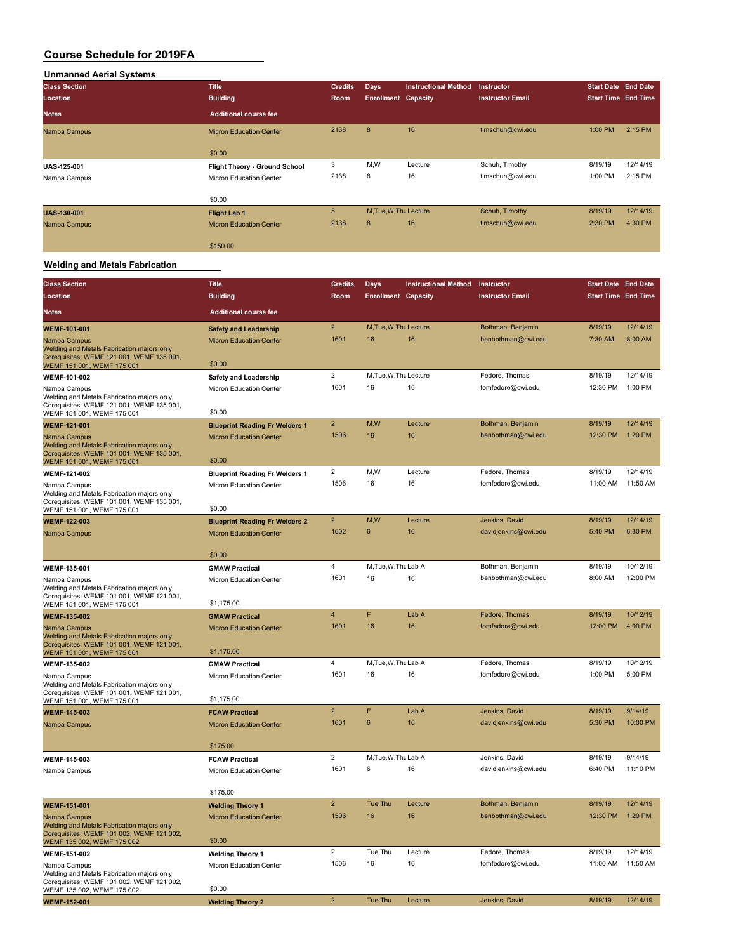| <b>Unmanned Aerial Systems</b> |                                |                |                            |                             |                         |                            |          |
|--------------------------------|--------------------------------|----------------|----------------------------|-----------------------------|-------------------------|----------------------------|----------|
| <b>Class Section</b>           | <b>Title</b>                   | <b>Credits</b> | <b>Days</b>                | <b>Instructional Method</b> | Instructor              | Start Date End Date        |          |
| Location                       | <b>Building</b>                | <b>Room</b>    | <b>Enrollment Capacity</b> |                             | <b>Instructor Email</b> | <b>Start Time End Time</b> |          |
| <b>Notes</b>                   | <b>Additional course fee</b>   |                |                            |                             |                         |                            |          |
| Nampa Campus                   | <b>Micron Education Center</b> | 2138           | 8                          | 16                          | timschuh@cwi.edu        | 1:00 PM                    | 2:15 PM  |
|                                | \$0.00                         |                |                            |                             |                         |                            |          |
| <b>UAS-125-001</b>             | Flight Theory - Ground School  | 3              | M,W                        | Lecture                     | Schuh, Timothy          | 8/19/19                    | 12/14/19 |
| Nampa Campus                   | <b>Micron Education Center</b> | 2138           | 8                          | 16                          | timschuh@cwi.edu        | 1:00 PM                    | 2:15 PM  |
|                                | \$0.00                         |                |                            |                             |                         |                            |          |
| <b>UAS-130-001</b>             | <b>Flight Lab 1</b>            | 5              | M.Tue.W.Tht Lecture        |                             | Schuh, Timothy          | 8/19/19                    | 12/14/19 |
| Nampa Campus                   | <b>Micron Education Center</b> | 2138           | 8                          | 16                          | timschuh@cwi.edu        | 2:30 PM                    | 4:30 PM  |
|                                | \$150.00                       |                |                            |                             |                         |                            |          |

#### **Welding and Metals Fabrication**

| <b>Class Section</b>                                                                                                                  | <b>Title</b>                                                            | <b>Credits</b>      | Days                       | <b>Instructional Method</b> | Instructor                             | <b>Start Date End Date</b> |          |
|---------------------------------------------------------------------------------------------------------------------------------------|-------------------------------------------------------------------------|---------------------|----------------------------|-----------------------------|----------------------------------------|----------------------------|----------|
| Location                                                                                                                              | <b>Building</b>                                                         | Room                | <b>Enrollment Capacity</b> |                             | <b>Instructor Email</b>                | <b>Start Time End Time</b> |          |
| Notes                                                                                                                                 | <b>Additional course fee</b>                                            |                     |                            |                             |                                        |                            |          |
| <b>WEMF-101-001</b>                                                                                                                   | <b>Safety and Leadership</b>                                            | $\overline{2}$      | M, Tue, W, Thu Lecture     |                             | Bothman, Benjamin                      | 8/19/19                    | 12/14/19 |
| Nampa Campus<br>Welding and Metals Fabrication majors only<br>Corequisites: WEMF 121 001, WEMF 135 001,<br>WEMF 151 001, WEMF 175 001 | <b>Micron Education Center</b><br>\$0.00                                | 1601                | 16                         | 16                          | benbothman@cwi.edu                     | 7:30 AM                    | 8:00 AM  |
| WEMF-101-002                                                                                                                          | <b>Safety and Leadership</b>                                            | $\overline{2}$      | M, Tue, W, Thu Lecture     |                             | Fedore, Thomas                         | 8/19/19                    | 12/14/19 |
| Nampa Campus<br>Welding and Metals Fabrication majors only<br>Corequisites: WEMF 121 001, WEMF 135 001,<br>WEMF 151 001, WEMF 175 001 | Micron Education Center<br>\$0.00                                       | 1601                | 16                         | 16                          | tomfedore@cwi.edu                      | 12:30 PM                   | 1:00 PM  |
| <b>WEMF-121-001</b>                                                                                                                   | <b>Blueprint Reading Fr Welders 1</b>                                   | $\mathbf 2$         | M,W                        | Lecture                     | Bothman, Benjamin                      | 8/19/19                    | 12/14/19 |
| Nampa Campus<br>Welding and Metals Fabrication majors only<br>Corequisites: WEMF 101 001, WEMF 135 001,<br>WEMF 151 001, WEMF 175 001 | <b>Micron Education Center</b><br>\$0.00                                | 1506                | 16                         | 16                          | benbothman@cwi.edu                     | 12:30 PM                   | 1:20 PM  |
| WEMF-121-002                                                                                                                          | <b>Blueprint Reading Fr Welders 1</b>                                   | $\overline{c}$      | M,W                        | Lecture                     | Fedore, Thomas                         | 8/19/19                    | 12/14/19 |
| Nampa Campus<br>Welding and Metals Fabrication majors only<br>Corequisites: WEMF 101 001, WEMF 135 001,                               | Micron Education Center                                                 | 1506                | 16                         | 16                          | tomfedore@cwi.edu                      | 11:00 AM                   | 11:50 AM |
| WEMF 151 001, WEMF 175 001                                                                                                            | \$0.00                                                                  |                     |                            |                             |                                        |                            | 12/14/19 |
| WEMF-122-003<br>Nampa Campus                                                                                                          | <b>Blueprint Reading Fr Welders 2</b><br><b>Micron Education Center</b> | $\mathbf 2$<br>1602 | M,W<br>6                   | Lecture<br>16               | Jenkins, David<br>davidjenkins@cwi.edu | 8/19/19<br>5:40 PM         | 6:30 PM  |
|                                                                                                                                       | \$0.00                                                                  |                     |                            |                             |                                        |                            |          |
| WEMF-135-001                                                                                                                          | <b>GMAW Practical</b>                                                   | 4                   | M, Tue, W, Thu Lab A       |                             | Bothman, Benjamin                      | 8/19/19                    | 10/12/19 |
| Nampa Campus<br>Welding and Metals Fabrication majors only<br>Corequisites: WEMF 101 001, WEMF 121 001,<br>WEMF 151 001, WEMF 175 001 | Micron Education Center<br>\$1,175.00                                   | 1601                | 16                         | 16                          | benbothman@cwi.edu                     | 8:00 AM                    | 12:00 PM |
| <b>WEMF-135-002</b>                                                                                                                   | <b>GMAW Practical</b>                                                   | $\overline{4}$      | F                          | Lab A                       | Fedore, Thomas                         | 8/19/19                    | 10/12/19 |
| Nampa Campus<br>Welding and Metals Fabrication majors only<br>Corequisites: WEMF 101 001, WEMF 121 001,                               | <b>Micron Education Center</b>                                          | 1601                | 16                         | 16                          | tomfedore@cwi.edu                      | 12:00 PM                   | 4:00 PM  |
| WEMF 151 001, WEMF 175 001<br>WEMF-135-002                                                                                            | \$1,175.00<br><b>GMAW Practical</b>                                     | 4                   | M, Tue, W, Thu Lab A       |                             | Fedore, Thomas                         | 8/19/19                    | 10/12/19 |
| Nampa Campus                                                                                                                          | Micron Education Center                                                 | 1601                | 16                         | 16                          | tomfedore@cwi.edu                      | 1:00 PM                    | 5:00 PM  |
| Welding and Metals Fabrication majors only<br>Corequisites: WEMF 101 001, WEMF 121 001,<br>WEMF 151 001, WEMF 175 001                 | \$1,175.00                                                              |                     |                            |                             |                                        |                            |          |
| WEMF-145-003                                                                                                                          | <b>FCAW Practical</b>                                                   | $\overline{2}$      | F                          | Lab A                       | Jenkins, David                         | 8/19/19                    | 9/14/19  |
| Nampa Campus                                                                                                                          | <b>Micron Education Center</b>                                          | 1601                | $6\phantom{1}$             | 16                          | davidjenkins@cwi.edu                   | 5:30 PM                    | 10:00 PM |
|                                                                                                                                       | \$175.00                                                                | $\overline{2}$      | M, Tue, W, Thu Lab A       |                             | Jenkins, David                         | 8/19/19                    | 9/14/19  |
| WEMF-145-003<br>Nampa Campus                                                                                                          | <b>FCAW Practical</b><br><b>Micron Education Center</b>                 | 1601                | 6                          | 16                          | davidjenkins@cwi.edu                   | 6:40 PM                    | 11:10 PM |
|                                                                                                                                       | \$175.00                                                                |                     |                            |                             |                                        |                            |          |
| <b>WEMF-151-001</b>                                                                                                                   | <b>Welding Theory 1</b>                                                 | $\overline{2}$      | Tue, Thu                   | Lecture                     | Bothman, Benjamin                      | 8/19/19                    | 12/14/19 |
| Nampa Campus<br>Welding and Metals Fabrication majors only<br>Corequisites: WEMF 101 002, WEMF 121 002,<br>WEMF 135 002, WEMF 175 002 | <b>Micron Education Center</b><br>\$0.00                                | 1506                | 16                         | 16                          | benbothman@cwi.edu                     | 12:30 PM                   | 1:20 PM  |
| WEMF-151-002                                                                                                                          | <b>Welding Theory 1</b>                                                 | $\overline{c}$      | Tue, Thu                   | Lecture                     | Fedore, Thomas                         | 8/19/19                    | 12/14/19 |
| Nampa Campus<br>Welding and Metals Fabrication majors only<br>Corequisites: WEMF 101 002, WEMF 121 002,                               | Micron Education Center<br>\$0.00                                       | 1506                | 16                         | 16                          | tomfedore@cwi.edu                      | 11:00 AM                   | 11:50 AM |
| WEMF 135 002, WEMF 175 002<br><b>WEMF-152-001</b>                                                                                     | <b>Welding Theory 2</b>                                                 | $\overline{2}$      | Tue, Thu                   | Lecture                     | Jenkins, David                         | 8/19/19                    | 12/14/19 |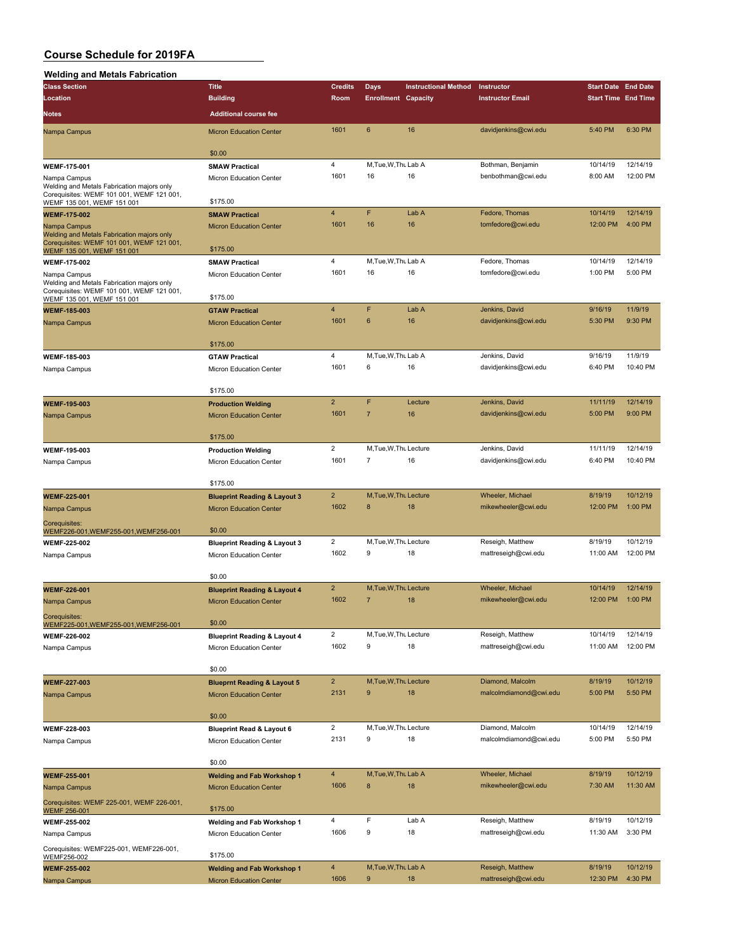#### **Welding and Metals Fabrication**

| <b>Class Section</b>                                                                    | <b>Title</b>                            | <b>Credits</b> | <b>Days</b>                | <b>Instructional Method</b> | Instructor              | <b>Start Date End Date</b> |          |
|-----------------------------------------------------------------------------------------|-----------------------------------------|----------------|----------------------------|-----------------------------|-------------------------|----------------------------|----------|
| Location                                                                                | <b>Building</b>                         | Room           | <b>Enrollment Capacity</b> |                             | <b>Instructor Email</b> | <b>Start Time End Time</b> |          |
|                                                                                         |                                         |                |                            |                             |                         |                            |          |
| Notes                                                                                   | <b>Additional course fee</b>            |                |                            |                             |                         |                            |          |
| Nampa Campus                                                                            | <b>Micron Education Center</b>          | 1601           | 6                          | 16                          | davidjenkins@cwi.edu    | 5:40 PM                    | 6:30 PM  |
|                                                                                         |                                         |                |                            |                             |                         |                            |          |
|                                                                                         | \$0.00                                  |                |                            |                             |                         |                            |          |
| WEMF-175-001                                                                            | <b>SMAW Practical</b>                   | 4              | M, Tue, W, Thu Lab A       |                             | Bothman, Benjamin       | 10/14/19                   | 12/14/19 |
| Nampa Campus                                                                            | Micron Education Center                 | 1601           | 16                         | 16                          | benbothman@cwi.edu      | 8:00 AM                    | 12:00 PM |
| Welding and Metals Fabrication majors only<br>Corequisites: WEMF 101 001, WEMF 121 001, |                                         |                |                            |                             |                         |                            |          |
| WEMF 135 001, WEMF 151 001                                                              | \$175.00                                |                |                            |                             |                         |                            |          |
| <b>WEMF-175-002</b>                                                                     | <b>SMAW Practical</b>                   | 4              | F                          | Lab A                       | Fedore, Thomas          | 10/14/19                   | 12/14/19 |
| Nampa Campus                                                                            | <b>Micron Education Center</b>          | 1601           | 16                         | 16                          | tomfedore@cwi.edu       | 12:00 PM                   | 4:00 PM  |
| Welding and Metals Fabrication majors only                                              |                                         |                |                            |                             |                         |                            |          |
| Corequisites: WEMF 101 001, WEMF 121 001,<br>WEMF 135 001, WEMF 151 001                 | \$175.00                                |                |                            |                             |                         |                            |          |
| <b>WEMF-175-002</b>                                                                     | <b>SMAW Practical</b>                   | 4              | M, Tue, W, Thu Lab A       |                             | Fedore, Thomas          | 10/14/19                   | 12/14/19 |
| Nampa Campus                                                                            | Micron Education Center                 | 1601           | 16                         | 16                          | tomfedore@cwi.edu       | 1:00 PM                    | 5:00 PM  |
| Welding and Metals Fabrication majors only                                              |                                         |                |                            |                             |                         |                            |          |
| Corequisites: WEMF 101 001, WEMF 121 001,<br>WEMF 135 001, WEMF 151 001                 | \$175.00                                |                |                            |                             |                         |                            |          |
|                                                                                         | <b>GTAW Practical</b>                   | $\overline{4}$ | F                          | Lab A                       | Jenkins, David          | 9/16/19                    | 11/9/19  |
| <b>WEMF-185-003</b>                                                                     | <b>Micron Education Center</b>          | 1601           | 6                          | 16                          | davidjenkins@cwi.edu    | 5:30 PM                    | 9:30 PM  |
| Nampa Campus                                                                            |                                         |                |                            |                             |                         |                            |          |
|                                                                                         | \$175.00                                |                |                            |                             |                         |                            |          |
|                                                                                         | <b>GTAW Practical</b>                   | 4              | M, Tue, W, Thu Lab A       |                             | Jenkins, David          | 9/16/19                    | 11/9/19  |
| WEMF-185-003                                                                            |                                         | 1601           | 6                          | 16                          | davidjenkins@cwi.edu    | 6:40 PM                    | 10:40 PM |
| Nampa Campus                                                                            | Micron Education Center                 |                |                            |                             |                         |                            |          |
|                                                                                         | \$175.00                                |                |                            |                             |                         |                            |          |
|                                                                                         |                                         | $\overline{2}$ | F                          | Lecture                     | Jenkins, David          | 11/11/19                   | 12/14/19 |
| <b>WEMF-195-003</b>                                                                     | <b>Production Welding</b>               | 1601           | $\overline{7}$             | 16                          |                         | 5:00 PM                    | 9:00 PM  |
| Nampa Campus                                                                            | <b>Micron Education Center</b>          |                |                            |                             | davidjenkins@cwi.edu    |                            |          |
|                                                                                         |                                         |                |                            |                             |                         |                            |          |
|                                                                                         | \$175.00                                | $\overline{2}$ | M, Tue, W, Thu Lecture     |                             |                         |                            | 12/14/19 |
| WEMF-195-003                                                                            | <b>Production Welding</b>               |                |                            | 16                          | Jenkins, David          | 11/11/19                   | 10:40 PM |
| Nampa Campus                                                                            | Micron Education Center                 | 1601           | 7                          |                             | davidjenkins@cwi.edu    | 6:40 PM                    |          |
|                                                                                         |                                         |                |                            |                             |                         |                            |          |
|                                                                                         | \$175.00                                | $\overline{2}$ |                            |                             |                         |                            |          |
| WEMF-225-001                                                                            | <b>Blueprint Reading &amp; Layout 3</b> |                | M.Tue.W.Thu Lecture        |                             | Wheeler, Michael        | 8/19/19                    | 10/12/19 |
| Nampa Campus                                                                            | <b>Micron Education Center</b>          | 1602           | 8                          | 18                          | mikewheeler@cwi.edu     | 12:00 PM                   | 1:00 PM  |
| Corequisites:                                                                           |                                         |                |                            |                             |                         |                            |          |
| WEMF226-001, WEMF255-001, WEMF256-001                                                   | \$0.00                                  |                |                            |                             |                         |                            |          |
| <b>WEMF-225-002</b>                                                                     | <b>Blueprint Reading &amp; Layout 3</b> | 2              | M, Tue, W, Thu Lecture     |                             | Reseigh, Matthew        | 8/19/19                    | 10/12/19 |
| Nampa Campus                                                                            | Micron Education Center                 | 1602           | 9                          | 18                          | mattreseigh@cwi.edu     | 11:00 AM                   | 12:00 PM |
|                                                                                         |                                         |                |                            |                             |                         |                            |          |
|                                                                                         | \$0.00                                  |                |                            |                             |                         |                            |          |
| <b>WEMF-226-001</b>                                                                     | <b>Blueprint Reading &amp; Layout 4</b> | $\overline{2}$ | M, Tue, W, Thu Lecture     |                             | Wheeler, Michael        | 10/14/19                   | 12/14/19 |
| Nampa Campus                                                                            | <b>Micron Education Center</b>          | 1602           | $\overline{7}$             | 18                          | mikewheeler@cwi.edu     | 12:00 PM                   | 1:00 PM  |
| Coreguisites:                                                                           |                                         |                |                            |                             |                         |                            |          |
| WEMF225-001, WEMF255-001, WEMF256-001                                                   | \$0.00                                  |                |                            |                             |                         |                            |          |
| <b>WEMF-226-002</b>                                                                     | <b>Blueprint Reading &amp; Layout 4</b> | 2              | M, Tue, W, Thu Lecture     |                             | Reseigh, Matthew        | 10/14/19                   | 12/14/19 |
| Nampa Campus                                                                            | Micron Education Center                 | 1602           | 9                          | 18                          | mattreseigh@cwi.edu     | 11:00 AM                   | 12:00 PM |
|                                                                                         |                                         |                |                            |                             |                         |                            |          |
|                                                                                         | \$0.00                                  |                |                            |                             |                         |                            |          |
| <b>WEMF-227-003</b>                                                                     | <b>Blueprnt Reading &amp; Layout 5</b>  | $\overline{2}$ | M, Tue, W, Thu Lecture     |                             | Diamond, Malcolm        | 8/19/19                    | 10/12/19 |
| Nampa Campus                                                                            | <b>Micron Education Center</b>          | 2131           | 9                          | 18                          | malcolmdiamond@cwi.edu  | 5:00 PM                    | 5:50 PM  |
|                                                                                         |                                         |                |                            |                             |                         |                            |          |
|                                                                                         | \$0.00                                  |                |                            |                             |                         |                            |          |
| WEMF-228-003                                                                            | <b>Blueprint Read &amp; Layout 6</b>    | $\overline{2}$ | M, Tue, W, Thu Lecture     |                             | Diamond, Malcolm        | 10/14/19                   | 12/14/19 |
| Nampa Campus                                                                            | Micron Education Center                 | 2131           | 9                          | 18                          | malcolmdiamond@cwi.edu  | 5:00 PM                    | 5:50 PM  |
|                                                                                         |                                         |                |                            |                             |                         |                            |          |
|                                                                                         | \$0.00                                  |                |                            |                             |                         |                            |          |
| <b>WEMF-255-001</b>                                                                     | <b>Welding and Fab Workshop 1</b>       | 4              | M, Tue, W, Thu Lab A       |                             | Wheeler, Michael        | 8/19/19                    | 10/12/19 |
| Nampa Campus                                                                            | <b>Micron Education Center</b>          | 1606           | 8                          | 18                          | mikewheeler@cwi.edu     | 7:30 AM                    | 11:30 AM |
| Corequisites: WEMF 225-001, WEMF 226-001,                                               |                                         |                |                            |                             |                         |                            |          |
| <b>WEMF 256-001</b>                                                                     | \$175.00                                |                |                            |                             |                         |                            |          |
| WEMF-255-002                                                                            | Welding and Fab Workshop 1              | 4              | F                          | Lab A                       | Reseigh, Matthew        | 8/19/19                    | 10/12/19 |
| Nampa Campus                                                                            | Micron Education Center                 | 1606           | 9                          | 18                          | mattreseigh@cwi.edu     | 11:30 AM                   | 3:30 PM  |
| Corequisites: WEMF225-001, WEMF226-001,                                                 |                                         |                |                            |                             |                         |                            |          |
| WEMF256-002                                                                             | \$175.00                                |                |                            |                             |                         |                            |          |
| <b>WEMF-255-002</b>                                                                     | <b>Welding and Fab Workshop 1</b>       | 4              | M, Tue, W, Thu Lab A       |                             | Reseigh, Matthew        | 8/19/19                    | 10/12/19 |
| Nampa Campus                                                                            | <b>Micron Education Center</b>          | 1606           | 9                          | 18                          | mattreseigh@cwi.edu     | 12:30 PM                   | 4:30 PM  |